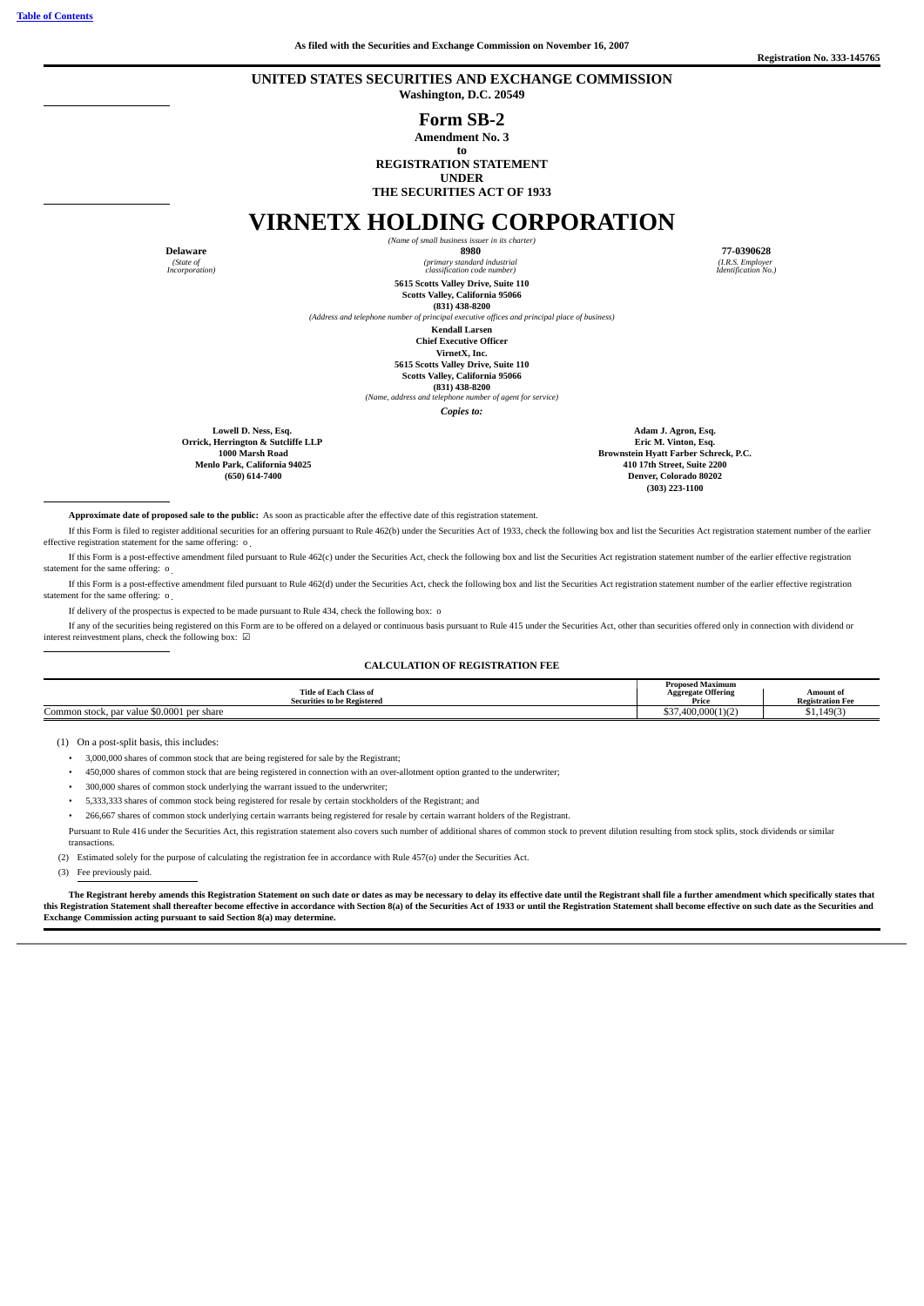**Table of [Contents](#page-4-0)**

# **UNITED STATES SECURITIES AND EXCHANGE COMMISSION**

**Washington, D.C. 20549**

## **Form SB-2**

**Amendment No. 3**

**to**

**REGISTRATION STATEMENT**

**UNDER**

**THE SECURITIES ACT OF 1933**

# **VIRNETX HOLDING CORPORATION**

*(State of Incorporation)*

*(Name of small business issuer in its charter)* **Delaware 8980 77-0390628** *(primary standard industrial classification code number)* **5615 Scotts Valley Drive, Suite 110 Scotts Valley, California 95066 (831) 438-8200**

*(I.R.S. Employer Identification No.)*

*(Address and telephone number of principal executive offices and principal place of business)*

**Kendall Larsen**

**Chief Executive Officer**

**VirnetX, Inc. 5615 Scotts Valley Drive, Suite 110**

**Scotts Valley, California 95066**

**(831) 438-8200** *(Name, address and telephone number of agent for service)*

*Copies to:*

**Lowell D. Ness, Esq. Adam J. Agron, Esq. Orrick, Herrington & Sutcliffe LLP Eric M. Vinton, Esq. 1000 Marsh Road Brownstein Hyatt Farber Schreck, P.C. (650) 614-7400 Denver, Colorado 80202 (303) 223-1100**

**Approximate date of proposed sale to the public:** As soon as practicable after the effective date of this registration statement.

If this Form is filed to register additional securities for an offering pursuant to Rule 462(b) under the Securities Act of 1933, check the following box and list the Securities Act registration statement number of the ear effective registration statement for the same offering: o

If this Form is a post-effective amendment filed pursuant to Rule 462(c) under the Securities Act, check the following box and list the Securities Act registration statement number of the earlier effective registration statement for the same offering: o

If this Form is a post-effective amendment filed pursuant to Rule 462(d) under the Securities Act, check the following box and list the Securities Act registration statement number of the earlier effective registration statement for the same offering: o

If delivery of the prospectus is expected to be made pursuant to Rule 434, check the following box: o

**Menlo Park, California 94025** 

If any of the securities being registered on this Form are to be offered on a delayed or continuous basis pursuant to Rule 415 under the Securities Act, other than securities offered only in connection with dividend or interest reinvestment plans, check the following box: ☑

#### **CALCULATION OF REGISTRATION FEE**

| <b>Title of Each Class of</b><br><b>Securities to be Registered</b> | <b>Proposed Maximum</b><br><b>Aggregate Offering</b><br>Price | Amount o<br><b>Registration Fee</b> |
|---------------------------------------------------------------------|---------------------------------------------------------------|-------------------------------------|
| Common stock, par value \$0.0001 per share                          | ,400,000(1)(2)<br>ر ده                                        | \$1,149(3)                          |

(1) On a post-split basis, this includes:

• 3,000,000 shares of common stock that are being registered for sale by the Registrant;

• 450,000 shares of common stock that are being registered in connection with an over-allotment option granted to the underwriter;

• 300,000 shares of common stock underlying the warrant issued to the underwriter;

• 5,333,333 shares of common stock being registered for resale by certain stockholders of the Registrant; and

• 266,667 shares of common stock underlying certain warrants being registered for resale by certain warrant holders of the Registrant.

Pursuant to Rule 416 under the Securities Act, this registration statement also covers such number of additional shares of common stock to prevent dilution resulting from stock splits, stock dividends or similar transactions.

(2) Estimated solely for the purpose of calculating the registration fee in accordance with Rule 457(o) under the Securities Act.

(3) Fee previously paid.

**The Registrant hereby amends this Registration Statement on such date or dates as may be necessary to delay its effective date until the Registrant shall file a further amendment which specifically states that this Registration Statement shall thereafter become effective in accordance with Section 8(a) of the Securities Act of 1933 or until the Registration Statement shall become effective on such date as the Securities and Exchange Commission acting pursuant to said Section 8(a) may determine.**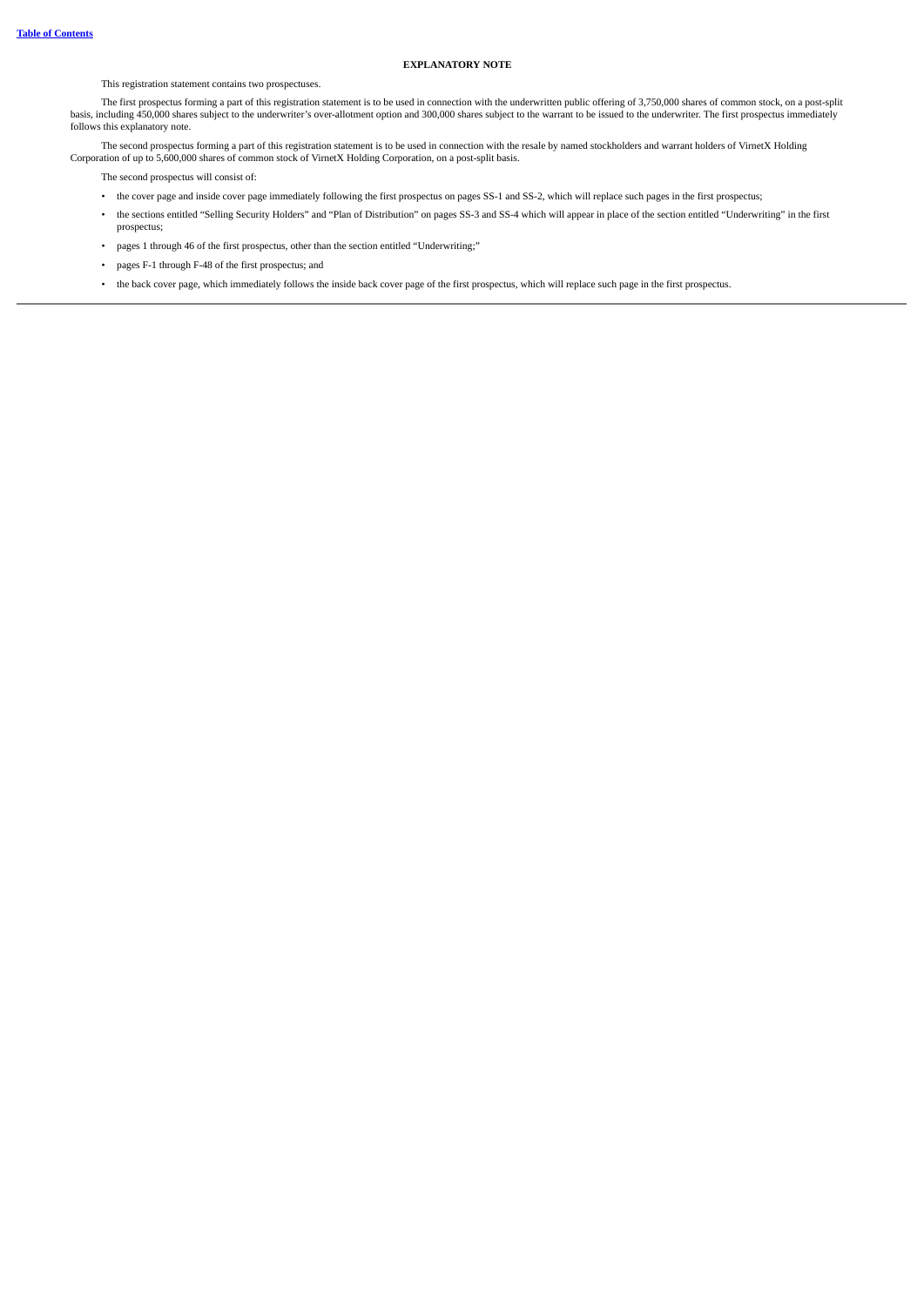## **EXPLANATORY NOTE**

This registration statement contains two prospectuses.

The first prospectus forming a part of this registration statement is to be used in connection with the underwritten public offering of 3,750,000 shares of common stock, on a post-split basis, including 450,000 shares subject to the underwriter's over-allotment option and 300,000 shares subject to the warrant to be issued to the underwriter. The first prospectus immediately follows this explanatory note.

The second prospectus forming a part of this registration statement is to be used in connection with the resale by named stockholders and warrant holders of VirnetX Holding<br>Corporation of up to 5,600,000 shares of common s

The second prospectus will consist of:

- the cover page and inside cover page immediately following the first prospectus on pages SS-1 and SS-2, which will replace such pages in the first prospectus;
- the sections entitled "Selling Security Holders" and "Plan of Distribution" on pages SS-3 and SS-4 which will appear in place of the section entitled "Underwriting" in the first prospectus;
- pages 1 through 46 of the first prospectus, other than the section entitled "Underwriting;"
- pages F-1 through F-48 of the first prospectus; and
- the back cover page, which immediately follows the inside back cover page of the first prospectus, which will replace such page in the first prospectus.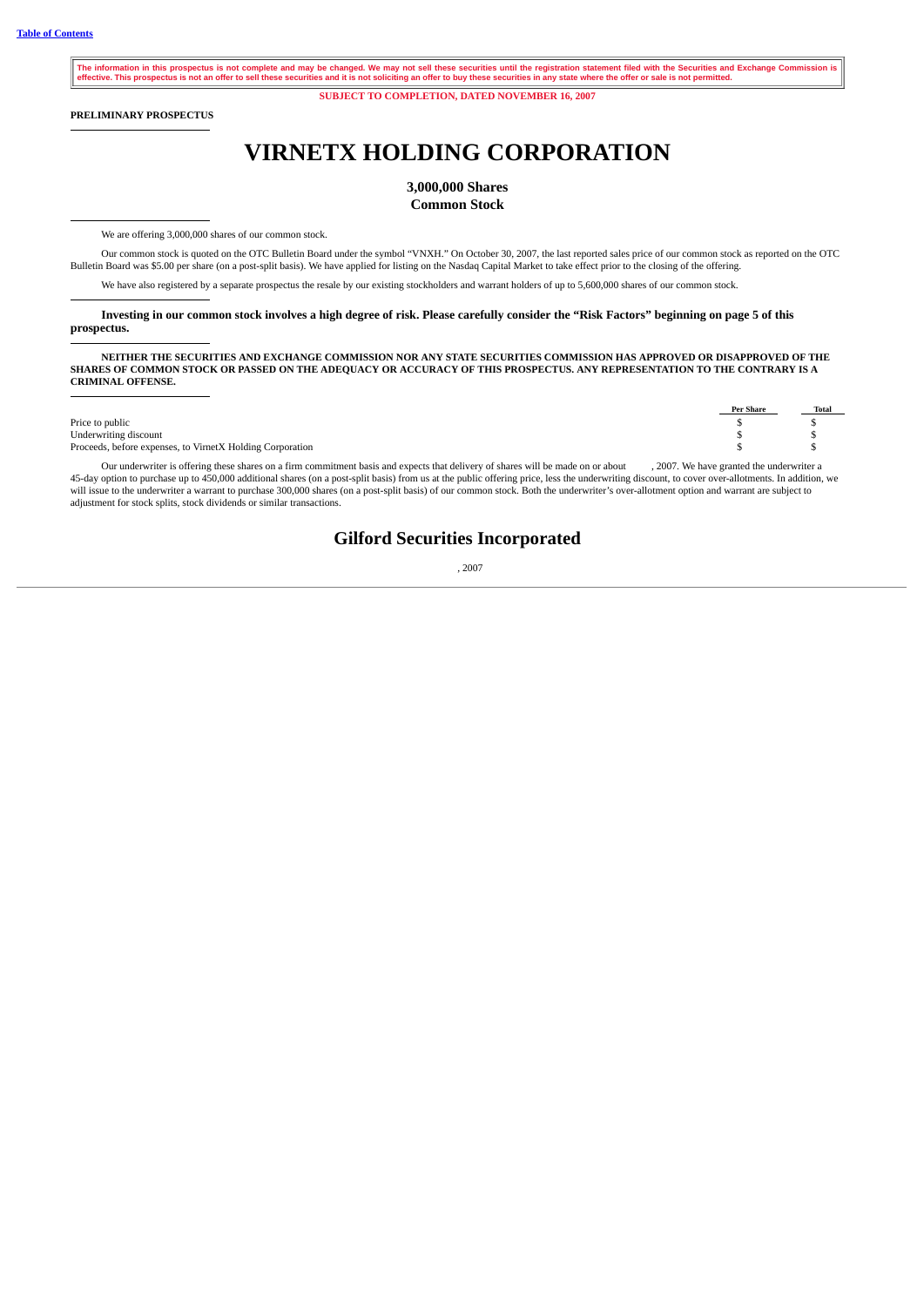The information in this prospectus is not complete and may be changed. We may not sell these securities until the registration statement filed with the Securities and Exchange Commission is<br>effective. This prospectus is no

**SUBJECT TO COMPLETION, DATED NOVEMBER 16, 2007**

**PRELIMINARY PROSPECTUS**

# **VIRNETX HOLDING CORPORATION**

**3,000,000 Shares Common Stock**

We are offering 3,000,000 shares of our common stock.

Our common stock is quoted on the OTC Bulletin Board under the symbol "VNXH." On October 30, 2007, the last reported sales price of our common stock as reported on the OTC Bulletin Board was \$5.00 per share (on a post-split basis). We have applied for listing on the Nasdaq Capital Market to take effect prior to the closing of the offering.

We have also registered by a separate prospectus the resale by our existing stockholders and warrant holders of up to 5,600,000 shares of our common stock.

**Investing in our common stock involves a high degree of risk. Please carefully consider the "Risk Factors" beginning on page 5 of this prospectus.**

NEITHER THE SECURITIES AND EXCHANGE COMMISSION NOR ANY STATE SECURITIES COMMISSION HAS APPROVED OR DISAPPROVED OF THE SHARES OF COMMON STOCK OR PASSED ON THE ADEQUACY OR ACCURACY OF THIS PROSPECTUS. ANY REPRESENTATION TO THE CONTRARY IS A **CRIMINAL OFFENSE.**

Price to public the set of the set of the set of the set of the set of the set of the set of the set of the set of the set of the set of the set of the set of the set of the set of the set of the set of the set of the set Underwriting discount \$ \$ Proceeds, before expenses, to VirnetX Holding Corporation \$ \$

**Per Share Total**

Our underwriter is offering these shares on a firm commitment basis and expects that delivery of shares will be made on or about , 2007. We have granted the underwriter a 45-day option to purchase up to 450,000 additional shares (on a post-split basis) from us at the public offering price, less the underwriting discount, to cover over-allotments. In addition, we will issue to the underwriter a warrant to purchase 300,000 shares (on a post-split basis) of our common stock. Both the underwriter's over-allotment option and warrant are subject to adjustment for stock splits, stock dividends or similar transactions.

# **Gilford Securities Incorporated**

, 2007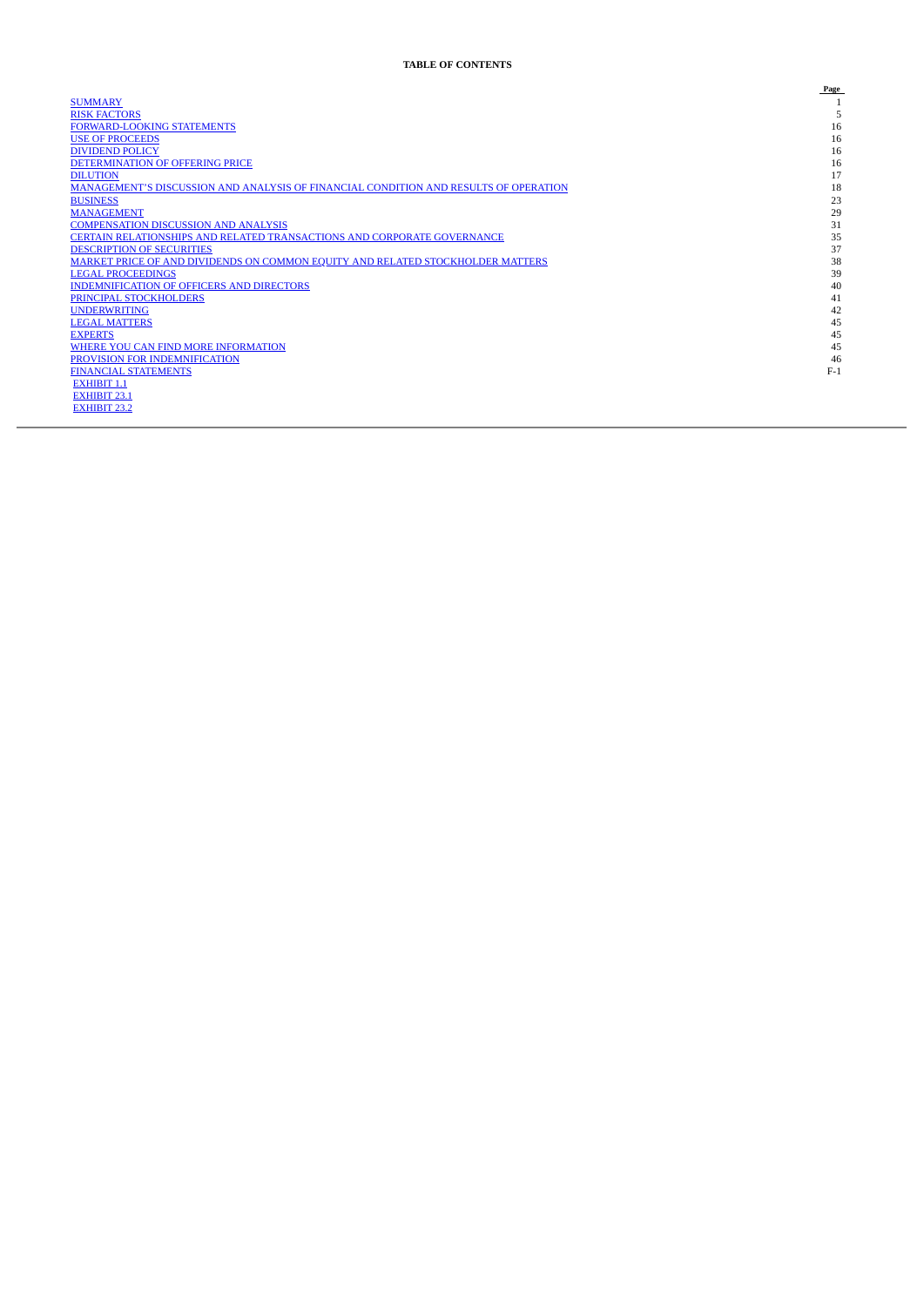<span id="page-4-0"></span>

|                                                                                       | Page  |
|---------------------------------------------------------------------------------------|-------|
| <b>SUMMARY</b>                                                                        |       |
| <b>RISK FACTORS</b>                                                                   |       |
| <b>FORWARD-LOOKING STATEMENTS</b>                                                     | 16    |
| <b>USE OF PROCEEDS</b>                                                                | 16    |
| <b>DIVIDEND POLICY</b>                                                                | 16    |
| <b>DETERMINATION OF OFFERING PRICE</b>                                                | 16    |
| <b>DILUTION</b>                                                                       | 17    |
| MANAGEMENT'S DISCUSSION AND ANALYSIS OF FINANCIAL CONDITION AND RESULTS OF OPERATION  | 18    |
| <b>BUSINESS</b>                                                                       | 23    |
| <b>MANAGEMENT</b>                                                                     | 29    |
| <b>COMPENSATION DISCUSSION AND ANALYSIS</b>                                           | 31    |
| CERTAIN RELATIONSHIPS AND RELATED TRANSACTIONS AND CORPORATE GOVERNANCE               | 35    |
| <b>DESCRIPTION OF SECURITIES</b>                                                      | 37    |
| <b>MARKET PRICE OF AND DIVIDENDS ON COMMON EQUITY AND RELATED STOCKHOLDER MATTERS</b> | 38    |
| <b>LEGAL PROCEEDINGS</b>                                                              | 39    |
| <b>INDEMNIFICATION OF OFFICERS AND DIRECTORS</b>                                      | 40    |
| PRINCIPAL STOCKHOLDERS                                                                | 41    |
| <b>UNDERWRITING</b>                                                                   | 42    |
| <b>LEGAL MATTERS</b>                                                                  | 45    |
| <b>EXPERTS</b>                                                                        | 45    |
| WHERE YOU CAN FIND MORE INFORMATION                                                   | 45    |
| PROVISION FOR INDEMNIFICATION                                                         | 46    |
| <b>FINANCIAL STATEMENTS</b>                                                           | $F-1$ |
| <b>EXHIBIT 1.1</b>                                                                    |       |
| <b>EXHIBIT 23.1</b>                                                                   |       |
| <b>EXHIBIT 23.2</b>                                                                   |       |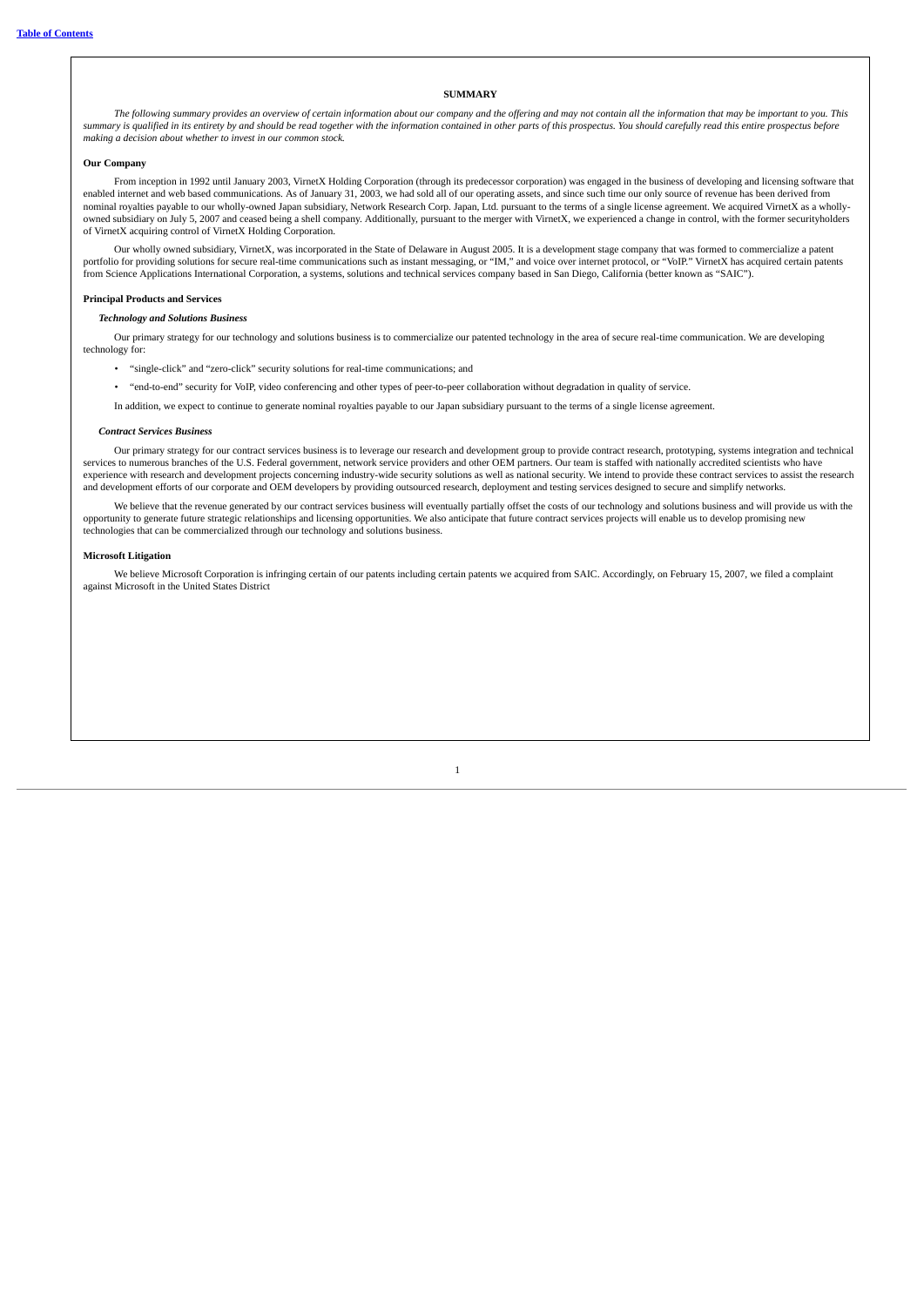#### **SUMMARY**

<span id="page-5-0"></span>The following summary provides an overview of certain information about our company and the offering and may not contain all the information that may be important to you. This summary is qualified in its entirety by and should be read together with the information contained in other parts of this prospectus. You should carefully read this entire prospectus before *making a decision about whether to invest in our common stock.*

#### **Our Company**

From inception in 1992 until January 2003, VirnetX Holding Corporation (through its predecessor corporation) was engaged in the business of developing and licensing software that enabled internet and web based communications. As of January 31, 2003, we had sold all of our operating assets, and since such time our only source of revenue has been derived from nominal royalties payable to our wholly-owned Japan subsidiary, Network Research Corp. Japan, Ltd. pursuant to the terms of a single license agreement. We acquired VirnetX as a whollyowned subsidiary on July 5, 2007 and ceased being a shell company. Additionally, pursuant to the merger with VirnetX, we experienced a change in control, with the former securityholders of VirnetX acquiring control of VirnetX Holding Corporation.

Our wholly owned subsidiary, VirnetX, was incorporated in the State of Delaware in August 2005. It is a development stage company that was formed to commercialize a patent portfolio for providing solutions for secure real-time communications such as instant messaging, or "IM," and voice over internet protocol, or "VoIP." VirnetX has acquired certain patents from Science Applications International Corporation, a systems, solutions and technical services company based in San Diego, California (better known as "SAIC").

## **Principal Products and Services**

#### *Technology and Solutions Business*

Our primary strategy for our technology and solutions business is to commercialize our patented technology in the area of secure real-time communication. We are developing technology for:

- "single-click" and "zero-click" security solutions for real-time communications; and
- "end-to-end" security for VoIP, video conferencing and other types of peer-to-peer collaboration without degradation in quality of service.

In addition, we expect to continue to generate nominal royalties payable to our Japan subsidiary pursuant to the terms of a single license agreement.

## *Contract Services Business*

Our primary strategy for our contract services business is to leverage our research and development group to provide contract research, prototyping, systems integration and technical services to numerous branches of the U.S. Federal government, network service providers and other OEM partners. Our team is staffed with nationally accredited scientists who have experience with research and development projects concerning industry-wide security solutions as well as national security. We intend to provide these contract services to assist the research and development efforts of our corporate and OEM developers by providing outsourced research, deployment and testing services designed to secure and simplify networks.

We believe that the revenue generated by our contract services business will eventually partially offset the costs of our technology and solutions business and will provide us with the opportunity to generate future strategic relationships and licensing opportunities. We also anticipate that future contract services projects will enable us to develop promising new technologies that can be commercialized through our technology and solutions business.

#### **Microsoft Litigation**

We believe Microsoft Corporation is infringing certain of our patents including certain patents we acquired from SAIC. Accordingly, on February 15, 2007, we filed a complaint against Microsoft in the United States District

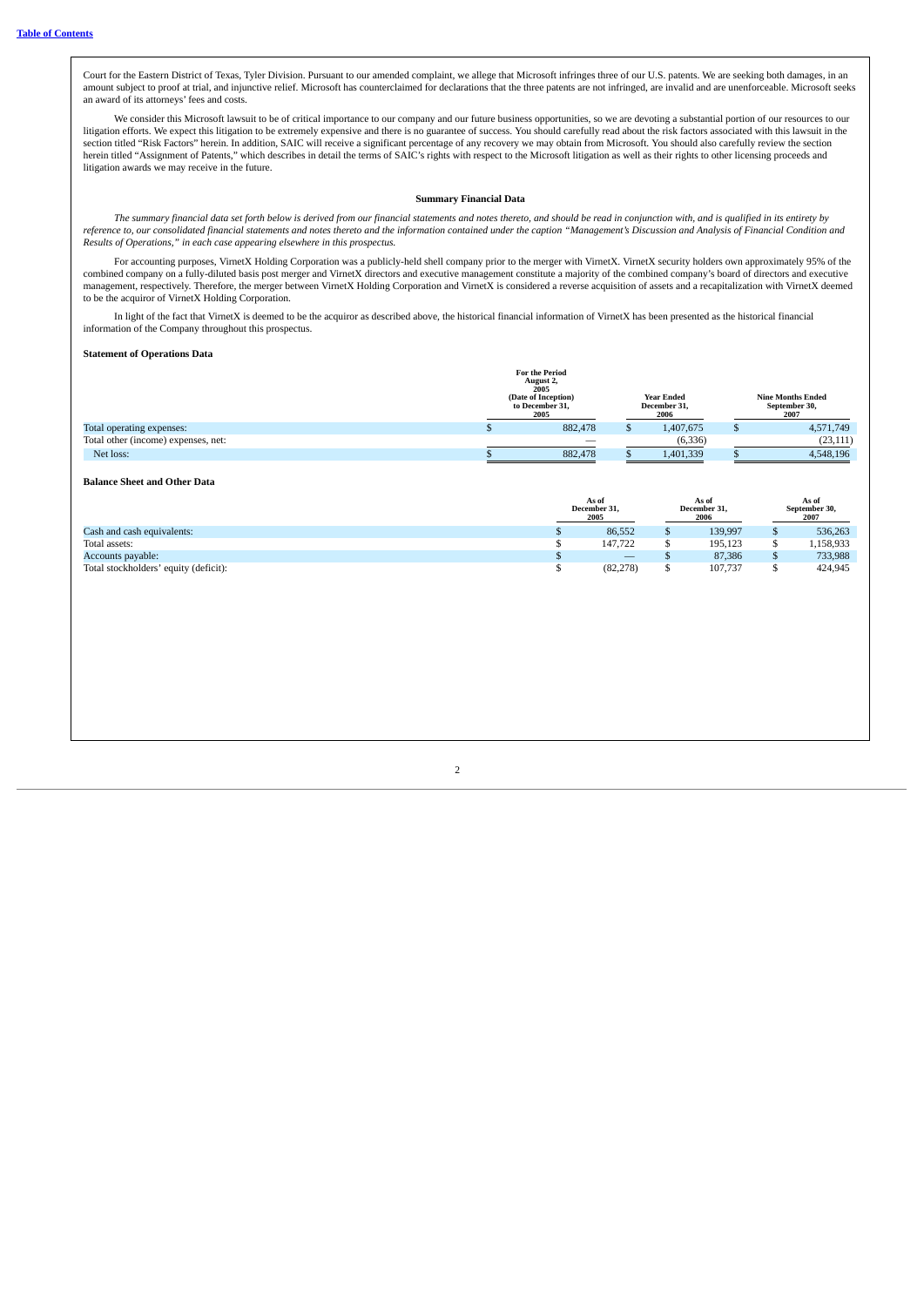Court for the Eastern District of Texas, Tyler Division. Pursuant to our amended complaint, we allege that Microsoft infringes three of our U.S. patents. We are seeking both damages, in an amount subject to proof at trial, and injunctive relief. Microsoft has counterclaimed for declarations that the three patents are not infringed, are invalid and are unenforceable. Microsoft seeks an award of its attorneys' fees and costs.

We consider this Microsoft lawsuit to be of critical importance to our company and our future business opportunities, so we are devoting a substantial portion of our resources to our litigation efforts. We expect this litigation to be extremely expensive and there is no guarantee of success. You should carefully read about the risk factors associated with this lawsuit in the section titled "Risk Factors" herein. In addition, SAIC will receive a significant percentage of any recovery we may obtain from Microsoft. You should also carefully review the section herein titled "Assignment of Patents," which describes in detail the terms of SAIC's rights with respect to the Microsoft litigation as well as their rights to other licensing proceeds and litigation awards we may receive in the future.

## **Summary Financial Data**

The summary financial data set forth below is derived from our financial statements and notes thereto, and should be read in conjunction with, and is qualified in its entirety by reference to, our consolidated financial statements and notes thereto and the information contained under the caption "Management's Discussion and Analysis of Financial Condition and *Results of Operations," in each case appearing elsewhere in this prospectus.*

For accounting purposes, VirnetX Holding Corporation was a publicly-held shell company prior to the merger with VirnetX. VirnetX security holders own approximately 95% of the combined company on a fully-diluted basis post merger and VirnetX directors and executive management constitute a majority of the combined company's board of directors and executive management, respectively. Therefore, the merger between VirnetX Holding Corporation and VirnetX is considered a reverse acquisition of assets and a recapitalization with VirnetX deemed to be the acquiror of VirnetX Holding Corporation.

In light of the fact that VirnetX is deemed to be the acquiror as described above, the historical financial information of VirnetX has been presented as the historical financial information of the Company throughout this prospectus.

#### **Statement of Operations Data**

|                                     | <b>For the Period</b><br>August 2,<br>2005 |                                                |  |                                           |                                                   |           |  |
|-------------------------------------|--------------------------------------------|------------------------------------------------|--|-------------------------------------------|---------------------------------------------------|-----------|--|
|                                     |                                            | (Date of Inception)<br>to December 31,<br>2005 |  | <b>Year Ended</b><br>December 31,<br>2006 | <b>Nine Months Ended</b><br>September 30,<br>2007 |           |  |
| Total operating expenses:           |                                            | 882,478                                        |  | 1,407,675                                 |                                                   | 4,571,749 |  |
| Total other (income) expenses, net: |                                            |                                                |  | (6,336)                                   |                                                   | (23, 111) |  |
| Net loss:                           |                                            | 882,478                                        |  | 1,401,339                                 |                                                   | 4,548,196 |  |

## **Balance Sheet and Other Data**

|                                       | As of<br>December 31.<br>2005   | As of<br>December 31,<br>2006 | As of<br>September 30,<br>2007 |           |
|---------------------------------------|---------------------------------|-------------------------------|--------------------------------|-----------|
| Cash and cash equivalents:            | 86,552                          | 139.997                       |                                | 536,263   |
| Total assets:                         | 147.722                         | 195.123                       |                                | 1,158,933 |
| Accounts payable:                     | $\hspace{0.1mm}-\hspace{0.1mm}$ | 87,386                        |                                | 733,988   |
| Total stockholders' equity (deficit): | (82, 278)                       | 107.737                       |                                | 424,945   |

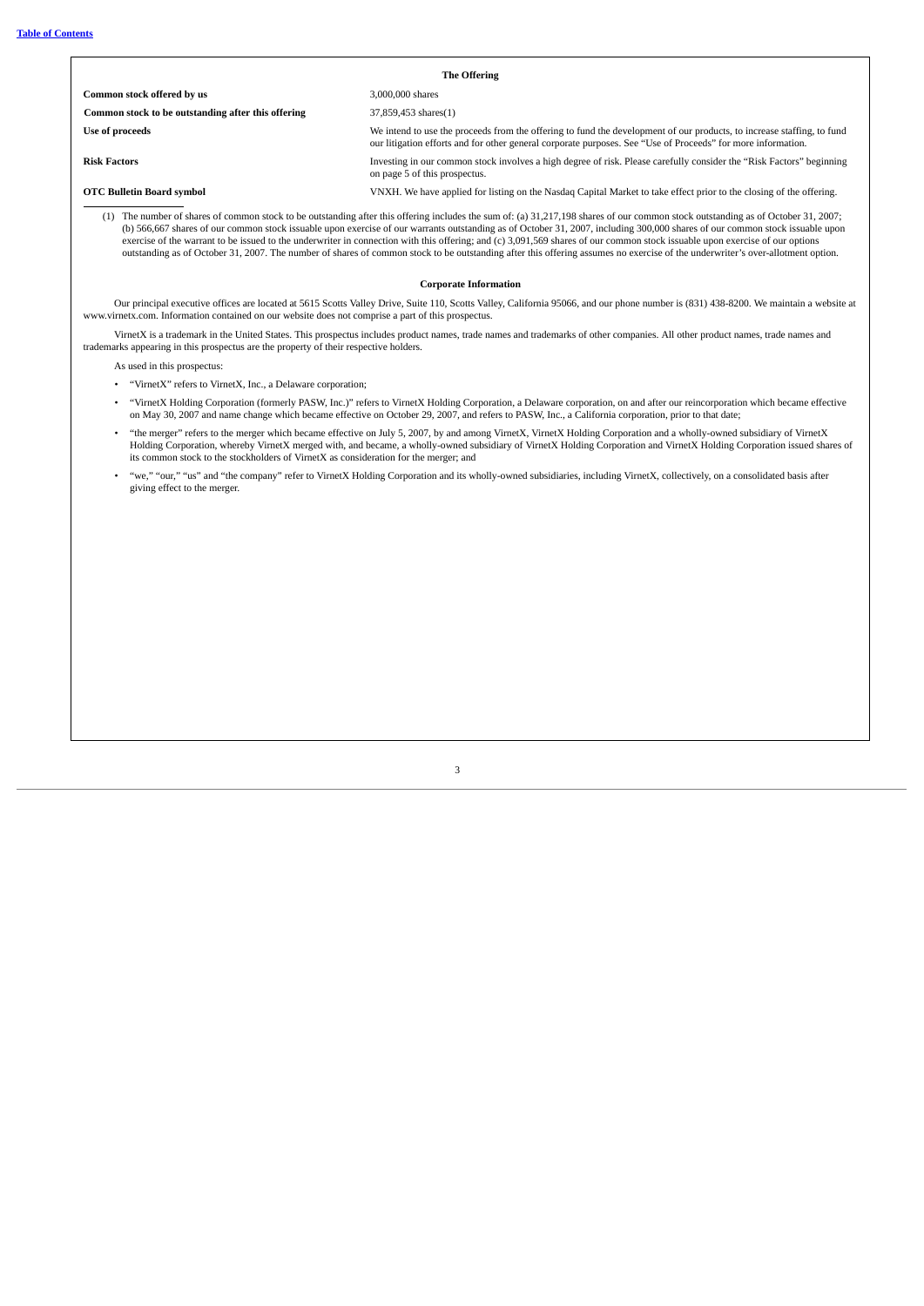| The Offering                                                                                                                                                                                                                                                                                                                                                                                                                                                                                                                                        |                                                                                                                                                                                                                                        |  |  |  |
|-----------------------------------------------------------------------------------------------------------------------------------------------------------------------------------------------------------------------------------------------------------------------------------------------------------------------------------------------------------------------------------------------------------------------------------------------------------------------------------------------------------------------------------------------------|----------------------------------------------------------------------------------------------------------------------------------------------------------------------------------------------------------------------------------------|--|--|--|
| Common stock offered by us                                                                                                                                                                                                                                                                                                                                                                                                                                                                                                                          | 3,000,000 shares                                                                                                                                                                                                                       |  |  |  |
| Common stock to be outstanding after this offering                                                                                                                                                                                                                                                                                                                                                                                                                                                                                                  | 37,859,453 shares(1)                                                                                                                                                                                                                   |  |  |  |
| Use of proceeds                                                                                                                                                                                                                                                                                                                                                                                                                                                                                                                                     | We intend to use the proceeds from the offering to fund the development of our products, to increase staffing, to fund<br>our litigation efforts and for other general corporate purposes. See "Use of Proceeds" for more information. |  |  |  |
| <b>Risk Factors</b>                                                                                                                                                                                                                                                                                                                                                                                                                                                                                                                                 | Investing in our common stock involves a high degree of risk. Please carefully consider the "Risk Factors" beginning<br>on page 5 of this prospectus.                                                                                  |  |  |  |
| <b>OTC Bulletin Board symbol</b>                                                                                                                                                                                                                                                                                                                                                                                                                                                                                                                    | VNXH. We have applied for listing on the Nasdaq Capital Market to take effect prior to the closing of the offering.                                                                                                                    |  |  |  |
| (1) The number of shares of common stock to be outstanding after this offering includes the sum of: (a) 31,217,198 shares of our common stock outstanding as of October 31, 2007;<br>(b) 566,667 shares of our common stock issuable upon exercise of our warrants outstanding as of October 31, 2007, including 300,000 shares of our common stock issuable upon<br>exercise of the warrant to be issued to the underwriter in connection with this offering: and $(c)$ 3.091.569 shares of our common stock issuable upon exercise of our options |                                                                                                                                                                                                                                        |  |  |  |

exercise of the warrant to be issued to the underwriter in connection with this offering; and (c) 3,091,569 shares of our common stock issuable upon exercise of our options<br>outstanding as of October 31, 2007. The number of

## **Corporate Information**

Our principal executive offices are located at 5615 Scotts Valley Drive, Suite 110, Scotts Valley, California 95066, and our phone number is (831) 438-8200. We maintain a website at www.virnetx.com. Information contained on our website does not comprise a part of this prospectus.

VirnetX is a trademark in the United States. This prospectus includes product names, trade names and trademarks of other companies. All other product names, trade names and trademarks appearing in this prospectus are the property of their respective holders.

As used in this prospectus:

- "VirnetX" refers to VirnetX, Inc., a Delaware corporation;
- "VirnetX Holding Corporation (formerly PASW, Inc.)" refers to VirnetX Holding Corporation, a Delaware corporation, on and after our reincorporation which became effective on May 30, 2007 and name change which became effective on October 29, 2007, and refers to PASW, Inc., a California corporation, prior to that date;
- the merger" refers to the merger which became effective on July 5, 2007, by and among VirnetX, VirnetX Holding Corporation and a wholly-owned subsidiary of VirnetX<br>Holding Corporation, whereby VirnetX merged with, and beca its common stock to the stockholders of VirnetX as consideration for the merger; and
- "we," "our," "us" and "the company" refer to VirnetX Holding Corporation and its wholly-owned subsidiaries, including VirnetX, collectively, on a consolidated basis after giving effect to the merger.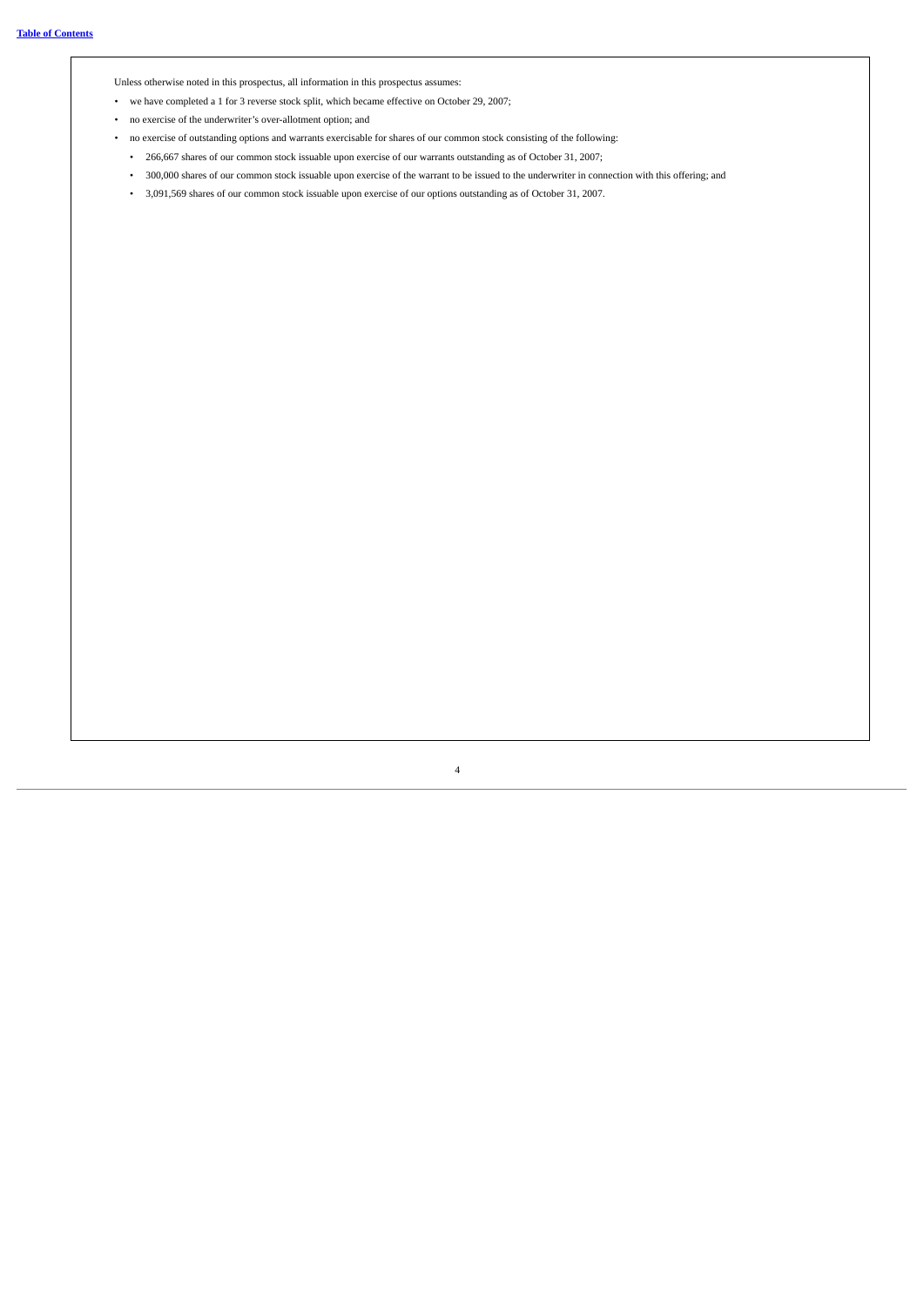Unless otherwise noted in this prospectus, all information in this prospectus assumes:

- we have completed a 1 for 3 reverse stock split, which became effective on October 29, 2007;
- no exercise of the underwriter's over-allotment option; and
- no exercise of outstanding options and warrants exercisable for shares of our common stock consisting of the following:
	- 266,667 shares of our common stock issuable upon exercise of our warrants outstanding as of October 31, 2007;
	- 300,000 shares of our common stock issuable upon exercise of the warrant to be issued to the underwriter in connection with this offering; and

4

• 3,091,569 shares of our common stock issuable upon exercise of our options outstanding as of October 31, 2007.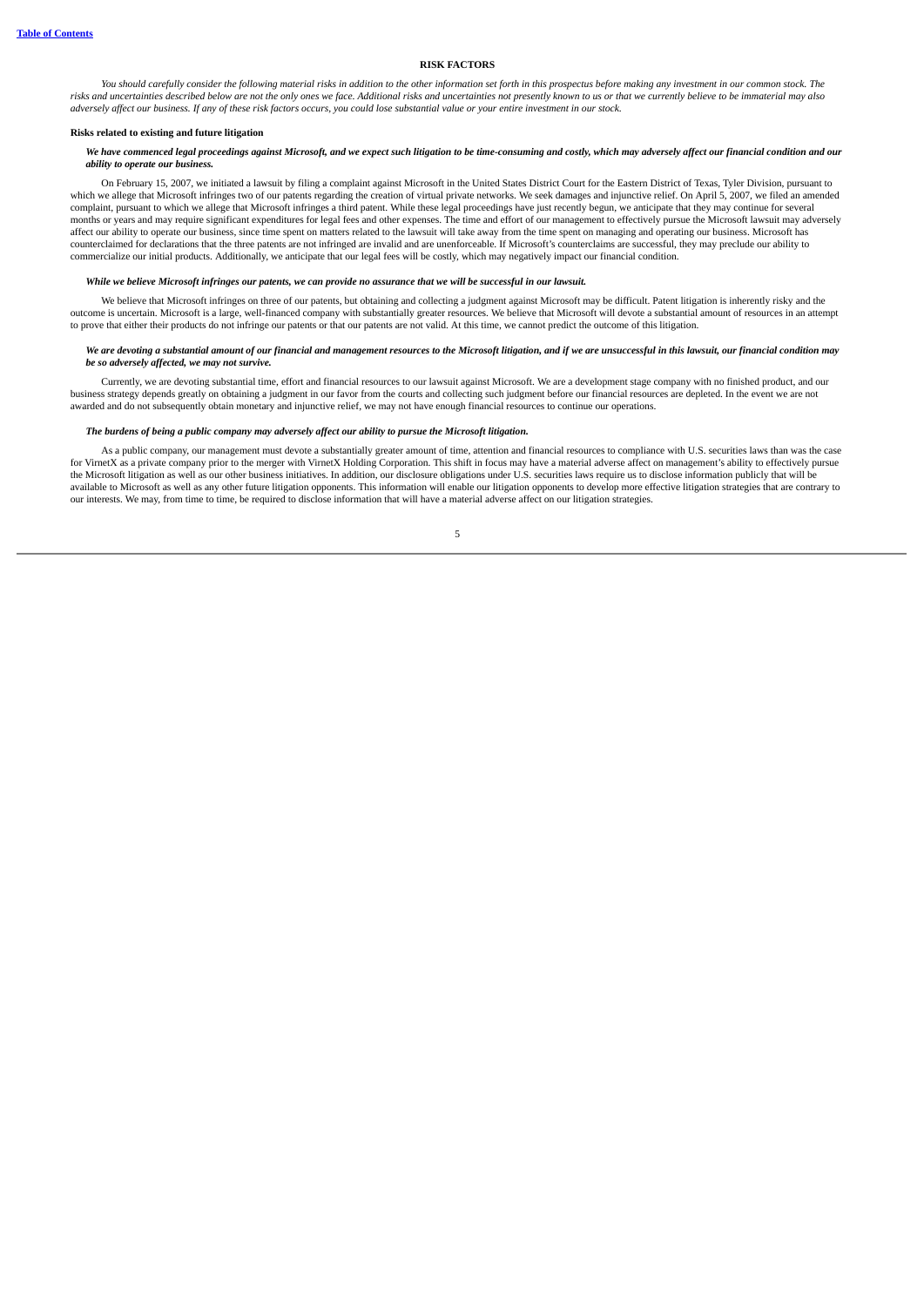## **RISK FACTORS**

<span id="page-9-0"></span>You should carefully consider the following material risks in addition to the other information set forth in this prospectus before making any investment in our common stock. The risks and uncertainties described below are not the only ones we face. Additional risks and uncertainties not presently known to us or that we currently believe to be immaterial may also adversely affect our business. If any of these risk factors occurs, you could lose substantial value or your entire investment in our stock.

#### **Risks related to existing and future litigation**

## We have commenced legal proceedings against Microsoft, and we expect such litigation to be time-consuming and costly, which may adversely affect our financial condition and our *ability to operate our business.*

On February 15, 2007, we initiated a lawsuit by filing a complaint against Microsoft in the United States District Court for the Eastern District of Texas, Tyler Division, pursuant to which we allege that Microsoft infringes two of our patents regarding the creation of virtual private networks. We seek damages and injunctive relief. On April 5, 2007, we filed an amended which we allege that Microsoft in complaint, pursuant to which we allege that Microsoft infringes a third patent. While these legal proceedings have just recently begun, we anticipate that they may continue for several months or years and may require significant expenditures for legal fees and other expenses. The time and effort of our management to effectively pursue the Microsoft lawsuit may adversely affect our ability to operate our business, since time spent on matters related to the lawsuit will take away from the time spent on managing and operating our business. Microsoft has counterclaimed for declarations that the three patents are not infringed are invalid and are unenforceable. If Microsoft's counterclaims are successful, they may preclude our ability to commercialize our initial products. Additionally, we anticipate that our legal fees will be costly, which may negatively impact our financial condition.

## While we believe Microsoft infringes our patents, we can provide no assurance that we will be successful in our lawsuit.

We believe that Microsoft infringes on three of our patents, but obtaining and collecting a judgment against Microsoft may be difficult. Patent litigation is inherently risky and the outcome is uncertain. Microsoft is a large, well-financed company with substantially greater resources. We believe that Microsoft will devote a substantial amount of resources in an attempt to prove that either their products do not infringe our patents or that our patents are not valid. At this time, we cannot predict the outcome of this litigation.

#### We are devotina a substantial amount of our financial and management resources to the Microsoft litigation, and if we are unsuccessful in this lawsuit, our financial condition may *be so adversely affected, we may not survive.*

Currently, we are devoting substantial time, effort and financial resources to our lawsuit against Microsoft. We are a development stage company with no finished product, and our business strategy depends greatly on obtaining a judgment in our favor from the courts and collecting such judgment before our financial resources are depleted. In the event we are not<br>awarded and do not subsequently obtai

## The burdens of being a public company may adversely affect our ability to pursue the Microsoft litigation.

As a public company, our management must devote a substantially greater amount of time, attention and financial resources to compliance with U.S. securities laws than was the case for VirnetX as a private company prior to the merger with VirnetX Holding Corporation. This shift in focus may have a material adverse affect on management's ability to effectively pursue<br>the Microsoft litigation as well a available to Microsoft as well as any other future litigation opponents. This information will enable our litigation opponents to develop more effective litigation strategies that are contrary to our interests. We may, from time to time, be required to disclose information that will have a material adverse affect on our litigation strategies.

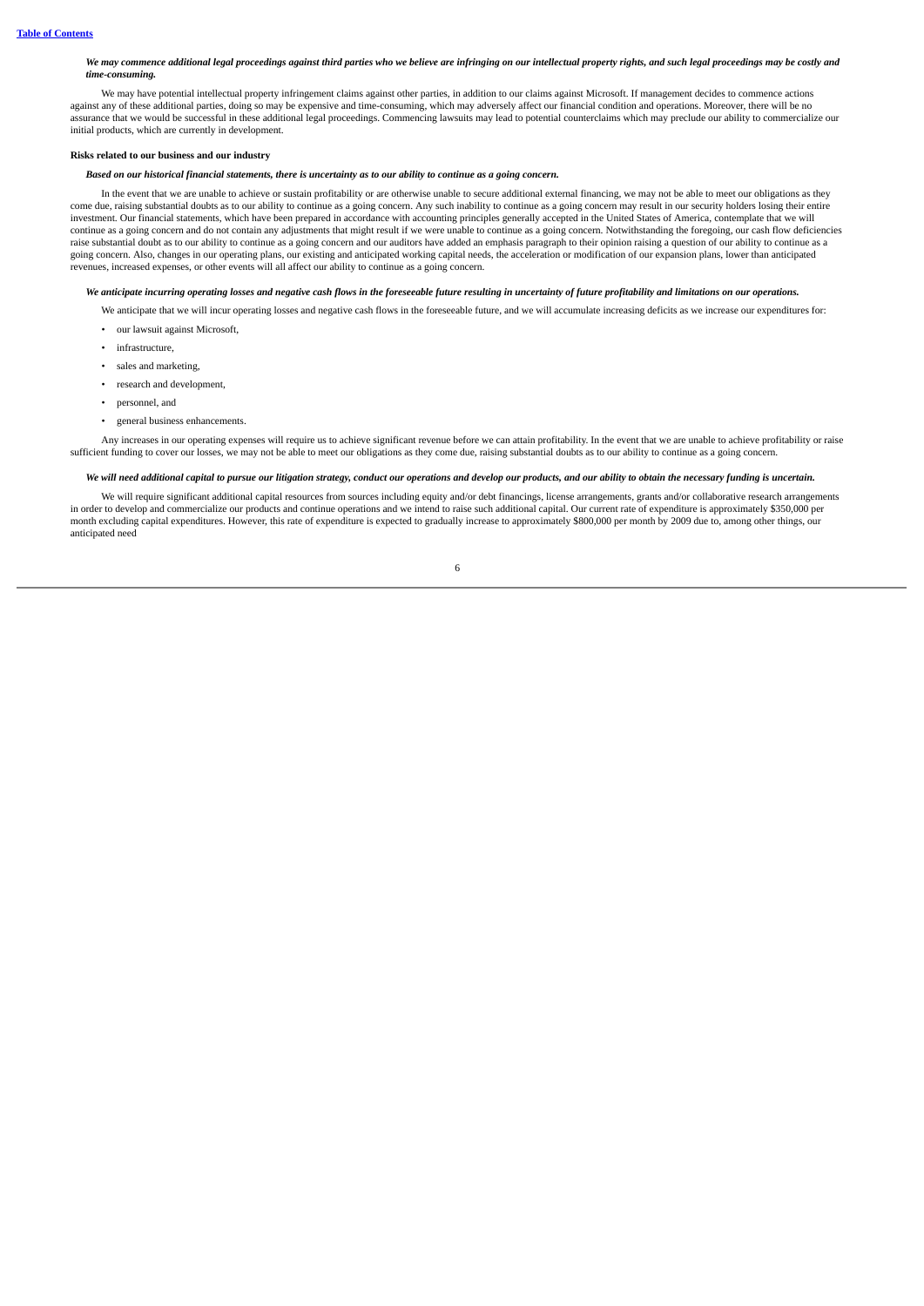#### We may commence additional legal proceedings against third parties who we believe are infringing on our intellectual property rights, and such legal proceedings may be costly and *time-consuming.*

We may have potential intellectual property infringement claims against other parties, in addition to our claims against Microsoft. If management decides to commence actions against any of these additional parties, doing so may be expensive and time-consuming, which may adversely affect our financial condition and operations. Moreover, there will be no<br>assurance that we would be successful in initial products, which are currently in development.

## **Risks related to our business and our industry**

## Based on our historical financial statements, there is uncertainty as to our ability to continue as a going concern.

In the event that we are unable to achieve or sustain profitability or are otherwise unable to secure additional external financing, we may not be able to meet our obligations as they come due, raising substantial doubts as to our ability to continue as a going concern. Any such inability to continue as a going concern may result in our security holders losing their entire investment. Our financial statements, which have been prepared in accordance with accounting principles generally accepted in the United States of America, contemplate that we will continue as a going concern and do not contain any adjustments that might result if we were unable to continue as a going concern. Notwithstanding the foregoing, our cash flow deficiencies raise substantial doubt as to our ability to continue as a going concern and our auditors have added an emphasis paragraph to their opinion raising a question of our ability to continue as a going concern. Also, changes in our operating plans, our existing and anticipated working capital needs, the acceleration or modification of our expansion plans, lower than anticipated<br>revenues, increased expenses, or othe

## We anticipate incurring operating losses and negative cash flows in the foreseeable future resulting in uncertainty of future profitability and limitations on our operations.

We anticipate that we will incur operating losses and negative cash flows in the foreseeable future, and we will accumulate increasing deficits as we increase our expenditures for:

- our lawsuit against Microsoft,
- infrastructure,
- sales and marketing,
- research and development,
- personnel, and
- general business enhancements.

Any increases in our operating expenses will require us to achieve significant revenue before we can attain profitability. In the event that we are unable to achieve profitability or raise sufficient funding to cover our losses, we may not be able to meet our obligations as they come due, raising substantial doubts as to our ability to continue as a going concern.

## We will need additional capital to pursue our litigation strategy, conduct our operations and develop our products, and our ability to obtain the necessary funding is uncertain.

We will require significant additional capital resources from sources including equity and/or debt financings, license arrangements, grants and/or collaborative research arrangements in order to develop and commercialize our products and continue operations and we intend to raise such additional capital. Our current rate of expenditure is approximately \$350,000 per month excluding capital expenditures. However, this rate of expenditure is expected to gradually increase to approximately \$800,000 per month by 2009 due to, among other things, our anticipated need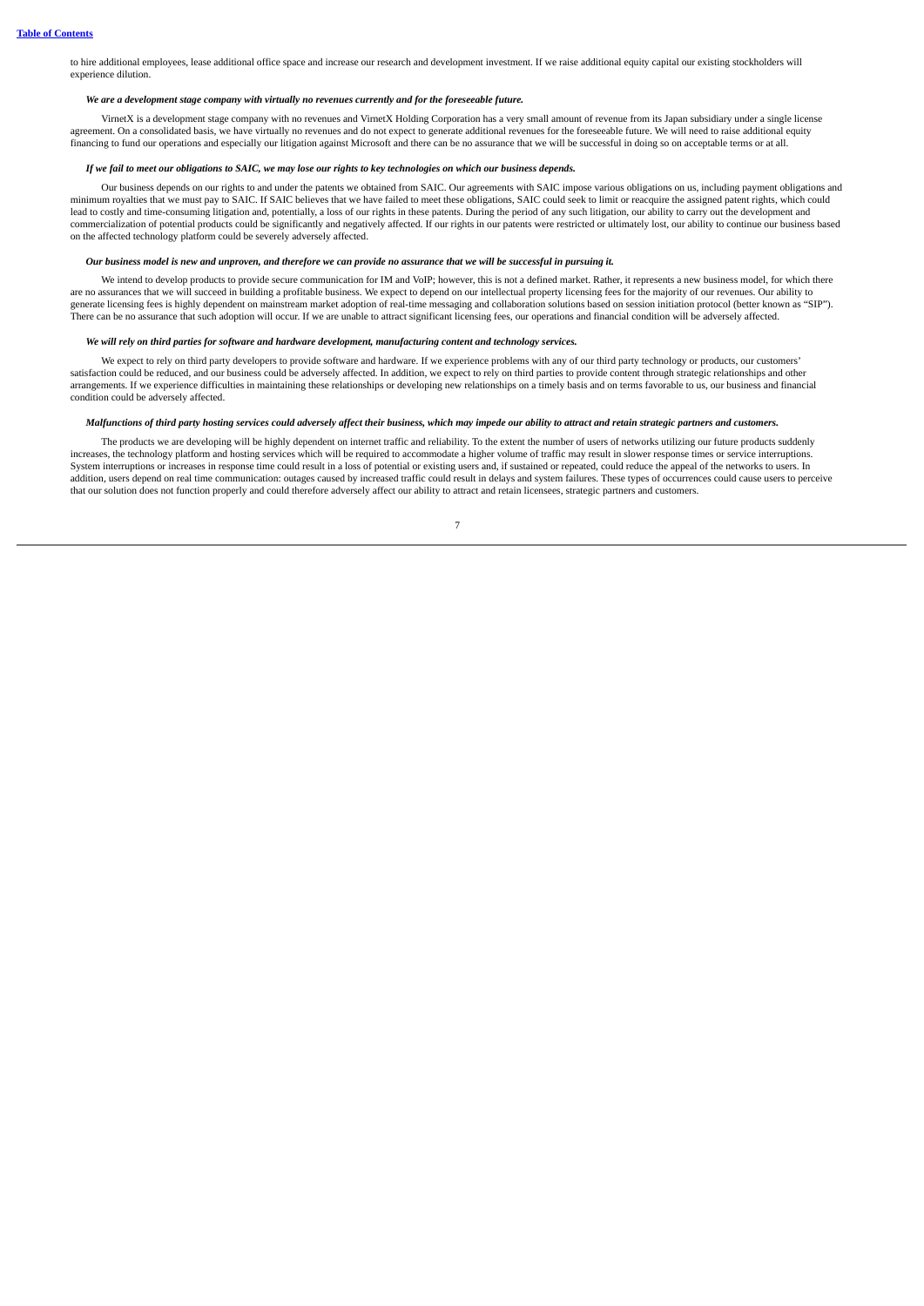to hire additional employees, lease additional office space and increase our research and development investment. If we raise additional equity capital our existing stockholders will experience dilution.

## *We are a development stage company with virtually no revenues currently and for the foreseeable future.*

VirnetX is a development stage company with no revenues and VirnetX Holding Corporation has a very small amount of revenue from its Japan subsidiary under a single license agreement. On a consolidated basis, we have virtually no revenues and do not expect to generate additional revenues for the foreseeable future. We will need to raise additional equity financing to fund our operations and especially our litigation against Microsoft and there can be no assurance that we will be successful in doing so on acceptable terms or at all.

## If we fail to meet our obligations to SAIC, we may lose our rights to key technologies on which our business depends.

Our business depends on our rights to and under the patents we obtained from SAIC. Our agreements with SAIC impose various obligations on us, including payment obligations and minimum royalties that we must pay to SAIC. If SAIC believes that we have failed to meet these obligations, SAIC could seek to limit or reacquire the assigned patent rights, which could lead to costly and time-consuming litigation and, potentially, a loss of our rights in these patents. During the period of any such litigation, our ability to carry out the development and commercialization of potential products could be significantly and negatively affected. If our rights in our patents were restricted or ultimately lost, our ability to continue our business based on the affected technology platform could be severely adversely affected.

## Our business model is new and unproven, and therefore we can provide no assurance that we will be successful in pursuing it.

We intend to develop products to provide secure communication for IM and VoIP; however, this is not a defined market. Rather, it represents a new business model, for which there are no assurances that we will succeed in building a profitable business. We expect to depend on our intellectual property licensing fees for the majority of our revenues. Our ability to generate licensing fees is highly dependent on mainstream market adoption of real-time messaging and collaboration solutions based on session initiation protocol (better known as "SIP"). There can be no assurance that such adoption will occur. If we are unable to attract significant licensing fees, our operations and financial condition will be adversely affected.

#### We will rely on third parties for software and hardware development, manufacturing content and technology services.

We expect to rely on third party developers to provide software and hardware. If we experience problems with any of our third party technology or products, our customers' satisfaction could be reduced, and our business could be adversely affected. In addition, we expect to rely on third parties to provide content through strategic relationships and other arrangements. If we experience difficulties in maintaining these relationships or developing new relationships on a timely basis and on terms favorable to us, our business and financial condition could be adversely affected.

## Malfunctions of third party hosting services could adversely affect their business, which may impede our ability to attract and retain strategic partners and customers.

The products we are developing will be highly dependent on internet traffic and reliability. To the extent the number of users of networks utilizing our future products suddenly increases, the technology platform and hosting services which will be required to accommodate a higher volume of traffic may result in slower response times or service interruptions. System interruptions or increases in response time could result in a loss of potential or existing users and, if sustained or repeated, could reduce the appeal of the networks to users. In addition, users depend on real time communication: outages caused by increased traffic could result in delays and system failures. These types of occurrences could cause users to perceive that our solution does not function properly and could therefore adversely affect our ability to attract and retain licensees, strategic partners and customers.

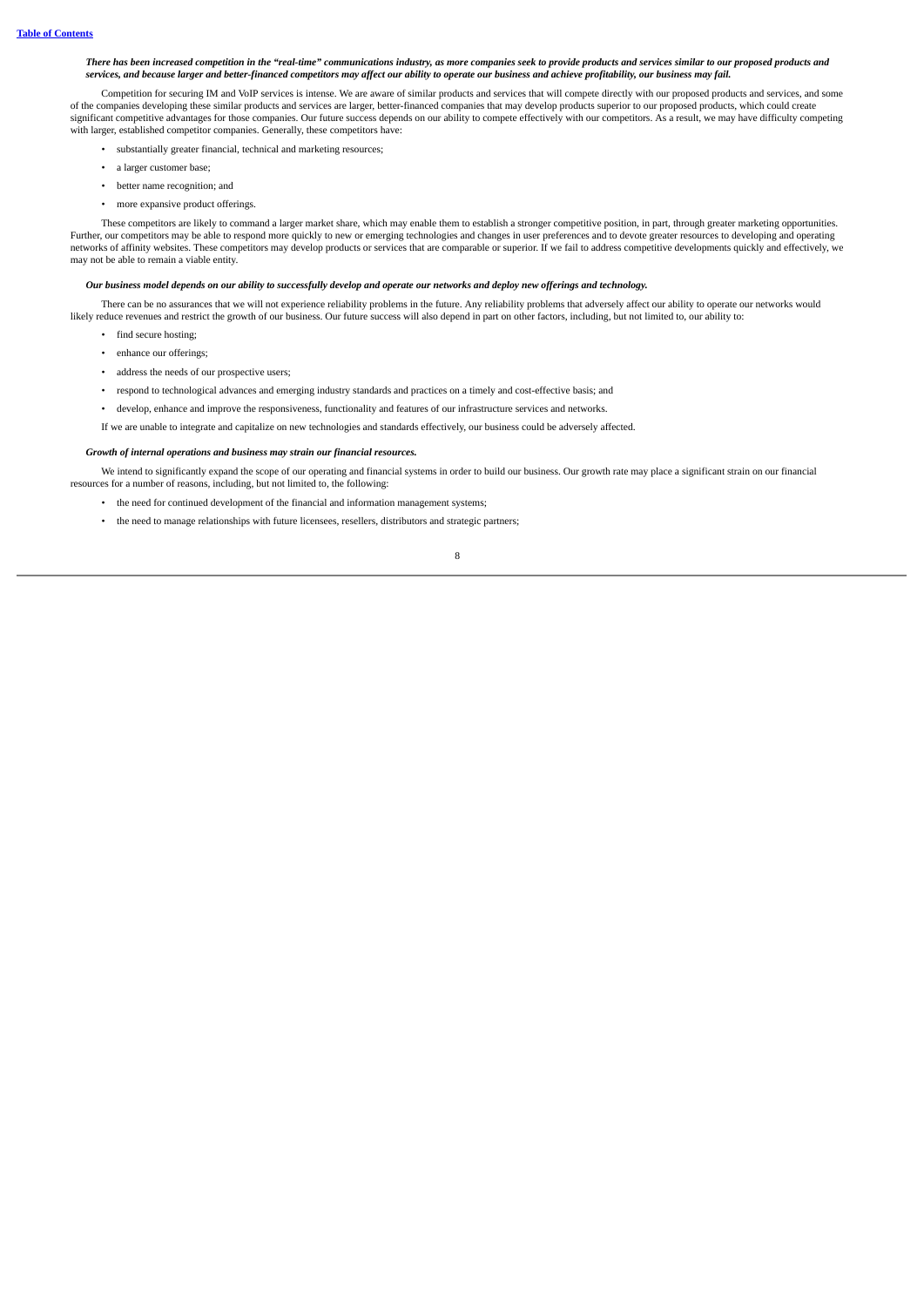There has been increased competition in the "real-time" communications industry, as more companies seek to provide products and services similar to our proposed products and<br>services, and because larger and better-financed

Competition for securing IM and VoIP services is intense. We are aware of similar products and services that will compete directly with our proposed products and services, and some of the companies developing these similar products and services are larger, better-financed companies that may develop products superior to our proposed products, which could create<br>significant competitive advantages for t with larger, established competitor companies. Generally, these competitors have:

- substantially greater financial, technical and marketing resources;
- a larger customer base;
- better name recognition; and
- more expansive product offerings.

These competitors are likely to command a larger market share, which may enable them to establish a stronger competitive position, in part, through greater marketing opportunities. Further, our competitors may be able to respond more quickly to new or emerging technologies and changes in user preferences and to devote greater resources to developing and operating networks of affinity websites. These competitors may develop products or services that are comparable or superior. If we fail to address competitive developments quickly and effectively, we may not be able to remain a viable entity.

## Our business model depends on our ability to successfully develop and operate our networks and deploy new offerings and technology.

There can be no assurances that we will not experience reliability problems in the future. Any reliability problems that adversely affect our ability to operate our networks would likely reduce revenues and restrict the growth of our business. Our future success will also depend in part on other factors, including, but not limited to, our ability to:

- find secure hosting;
- enhance our offerings;
- address the needs of our prospective users;
- respond to technological advances and emerging industry standards and practices on a timely and cost-effective basis; and
- develop, enhance and improve the responsiveness, functionality and features of our infrastructure services and networks.
- If we are unable to integrate and capitalize on new technologies and standards effectively, our business could be adversely affected.

## *Growth of internal operations and business may strain our financial resources.*

We intend to significantly expand the scope of our operating and financial systems in order to build our business. Our growth rate may place a significant strain on our financial resources for a number of reasons, includin

- the need for continued development of the financial and information management systems;
- the need to manage relationships with future licensees, resellers, distributors and strategic partners;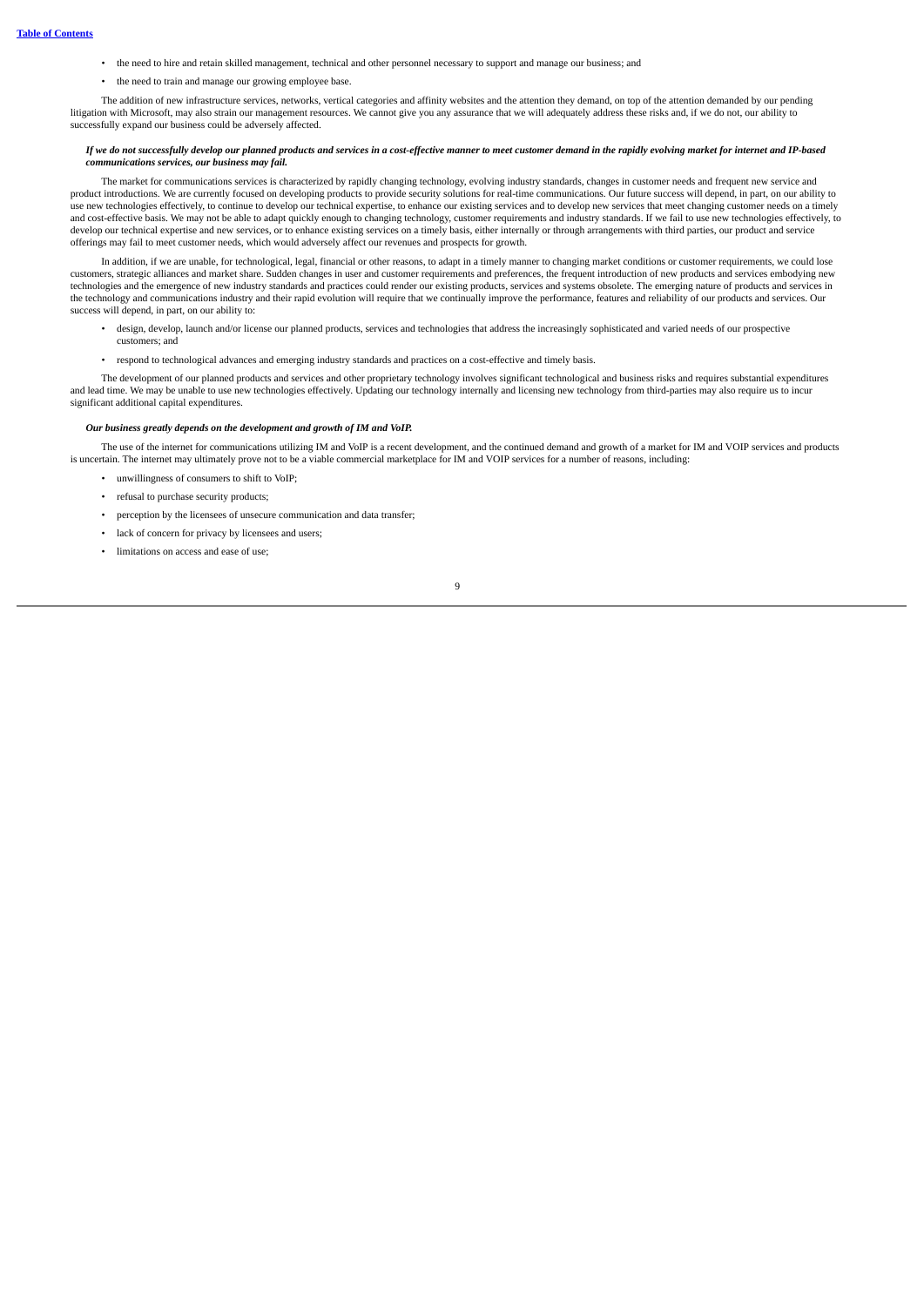- the need to hire and retain skilled management, technical and other personnel necessary to support and manage our business; and
- the need to train and manage our growing employee base.

The addition of new infrastructure services, networks, vertical categories and affinity websites and the attention they demand, on top of the attention demanded by our pending litigation with Microsoft, may also strain our management resources. We cannot give you any assurance that we will adequately address these risks and, if we do not, our ability to successfully expand our business could be adversely affected.

# If we do not successfully develop our planned products and services in a cost-effective manner to meet customer demand in the rapidly evolving market for internet and IP-based<br>communications services, our business may fail

The market for communications services is characterized by rapidly changing technology, evolving industry standards, changes in customer needs and frequent new service and product introductions. We are currently focused on developing products to provide security solutions for real-time communications. Our future success will depend, in part, on our ability to use new technologies effectively, to continue to develop our technical expertise, to enhance our existing services and to develop new services that meet changing customer needs on a timely and cost-effective basis. We may not be able to adapt quickly enough to changing technology, customer requirements and industry standards. If we fail to use new technologies effectively, to develop our technical expertise and new services, or to enhance existing services on a timely basis, either internally or through arrangements with third parties, our product and service offerings may fail to meet customer needs, which would adversely affect our revenues and prospects for growth.

In addition, if we are unable, for technological, legal, financial or other reasons, to adapt in a timely manner to changing market conditions or customer requirements, we could lose customers, strategic alliances and market share. Sudden changes in user and customer requirements and preferences, the frequent introduction of new products and services embodying new technologies and the emergence of new industry standards and practices could render our existing products, services and systems obsolete. The emerging nature of products and services in the technology and communications industry and their rapid evolution will require that we continually improve the performance, features and reliability of our products and services. Our success will depend, in part, on our ability to:

- design, develop, launch and/or license our planned products, services and technologies that address the increasingly sophisticated and varied needs of our prospective customers; and
- respond to technological advances and emerging industry standards and practices on a cost-effective and timely basis.

The development of our planned products and services and other proprietary technology involves significant technological and business risks and requires substantial expenditures and lead time. We may be unable to use new technologies effectively. Updating our technology internally and licensing new technology from third-parties may also require us to incur significant additional capital expenditures.

#### *Our business greatly depends on the development and growth of IM and VoIP.*

The use of the internet for communications utilizing IM and VoIP is a recent development, and the continued demand and growth of a market for IM and VOIP services and products is uncertain. The internet may ultimately prove not to be a viable commercial marketplace for IM and VOIP services for a number of reasons, including:

- unwillingness of consumers to shift to VoIP;
- refusal to purchase security products;
- perception by the licensees of unsecure communication and data transfer;
- lack of concern for privacy by licensees and users;
- limitations on access and ease of use;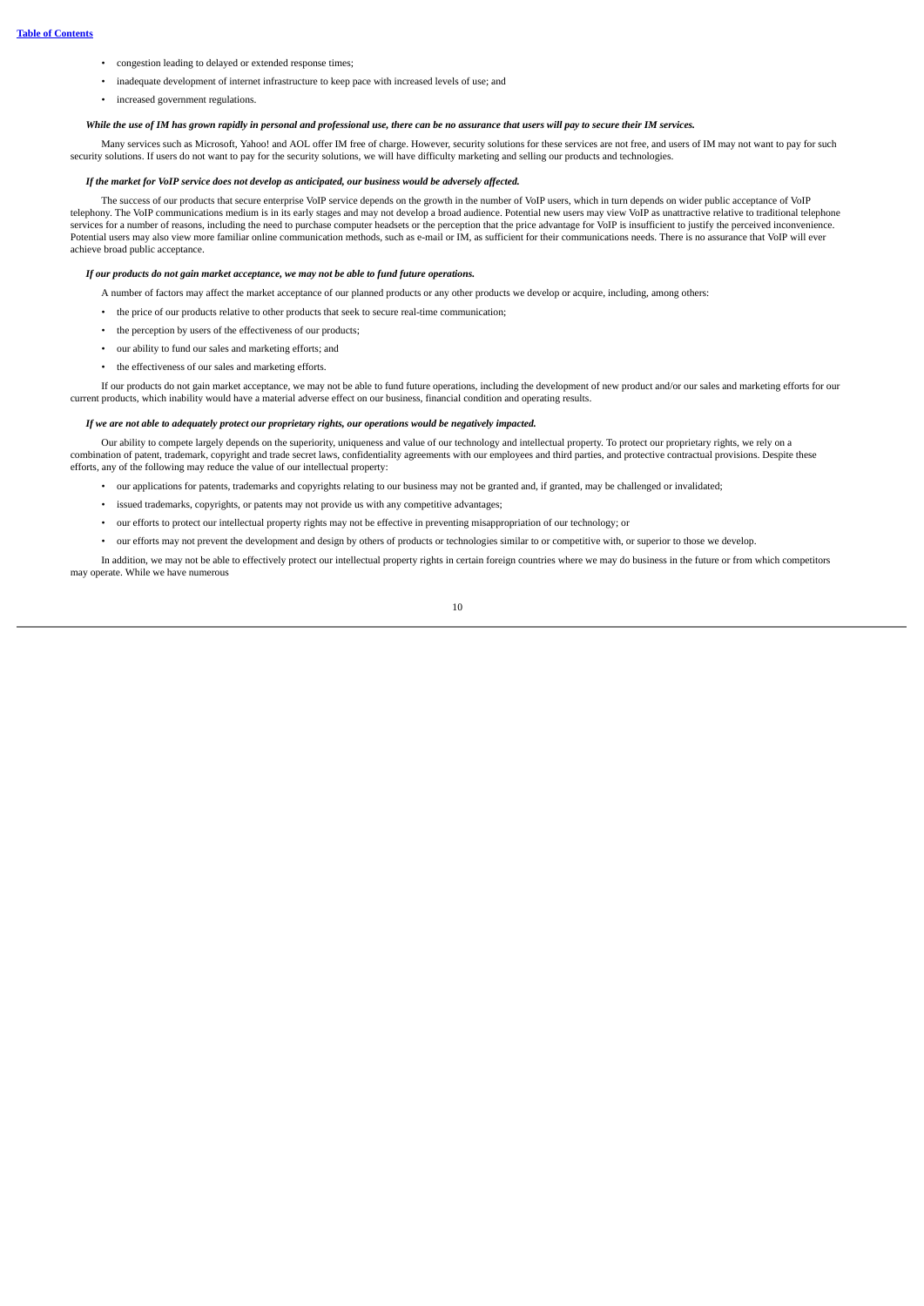- congestion leading to delayed or extended response times;
- inadequate development of internet infrastructure to keep pace with increased levels of use; and
- increased government regulations.

## While the use of IM has grown rapidly in personal and professional use, there can be no assurance that users will pay to secure their IM services.

Many services such as Microsoft, Yahoo! and AOL offer IM free of charge. However, security solutions for these services are not free, and users of IM may not want to pay for such security solutions. If users do not want to pay for the security solutions, we will have difficulty marketing and selling our products and technologies.

## *If the market for VoIP service does not develop as anticipated, our business would be adversely affected.*

The success of our products that secure enterprise VoIP service depends on the growth in the number of VoIP users, which in turn depends on wider public acceptance of VoIP telephony. The VoIP communications medium is in its early stages and may not develop a broad audience. Potential new users may view VoIP as unattractive relative to traditional telephone services for a number of reasons, including the need to purchase computer headsets or the perception that the price advantage for VoIP is insufficient to justify the perceived inconvenience. Potential users may also view more familiar online communication methods, such as e-mail or IM, as sufficient for their communications needs. There is no assurance that VoIP will ever achieve broad public acceptance.

## *If our products do not gain market acceptance, we may not be able to fund future operations.*

- A number of factors may affect the market acceptance of our planned products or any other products we develop or acquire, including, among others:
- the price of our products relative to other products that seek to secure real-time communication;
- the perception by users of the effectiveness of our products;
- our ability to fund our sales and marketing efforts; and
- the effectiveness of our sales and marketing efforts.

If our products do not gain market acceptance, we may not be able to fund future operations, including the development of new product and/or our sales and marketing efforts for our current products, which inability would have a material adverse effect on our business, financial condition and operating results.

## If we are not able to adequately protect our proprietary rights, our operations would be negatively impacted.

Our ability to compete largely depends on the superiority, uniqueness and value of our technology and intellectual property. To protect our proprietary rights, we rely on a combination of patent, trademark, copyright and trade secret laws, confidentiality agreements with our employees and third parties, and protective contractual provisions. Despite these efforts, any of the following may reduce the value of our intellectual property:

- our applications for patents, trademarks and copyrights relating to our business may not be granted and, if granted, may be challenged or invalidated;
	- issued trademarks, copyrights, or patents may not provide us with any competitive advantages;
	- our efforts to protect our intellectual property rights may not be effective in preventing misappropriation of our technology; or
	- our efforts may not prevent the development and design by others of products or technologies similar to or competitive with, or superior to those we develop.

In addition, we may not be able to effectively protect our intellectual property rights in certain foreign countries where we may do business in the future or from which competitors may operate. While we have numerous

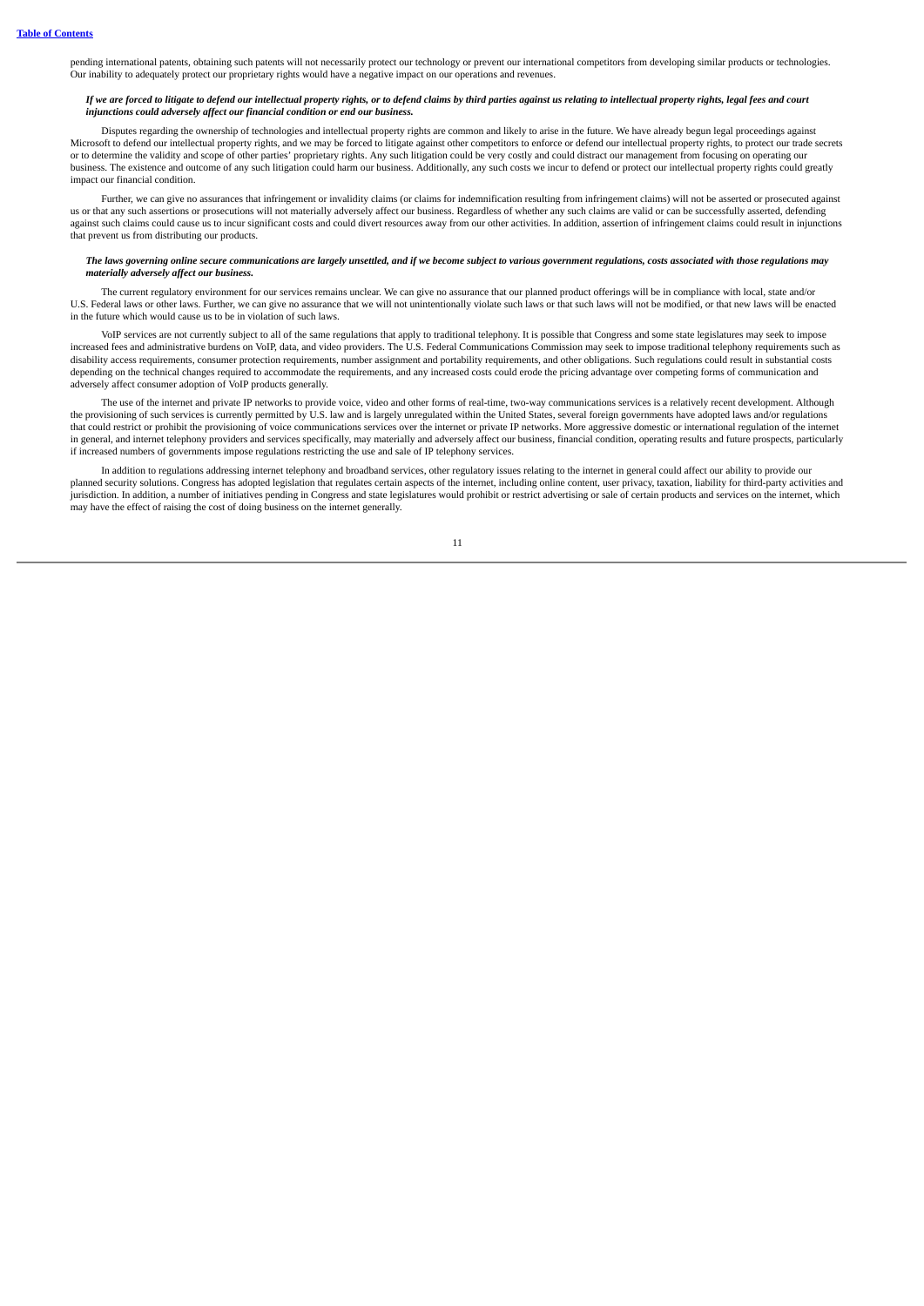pending international patents, obtaining such patents will not necessarily protect our technology or prevent our international competitors from developing similar products or technologies. Our inability to adequately protect our proprietary rights would have a negative impact on our operations and revenues.

## If we are forced to litigate to defend our intellectual property rights, or to defend claims by third parties against us relating to intellectual property rights, legal fees and court *injunctions could adversely affect our financial condition or end our business.*

Disputes regarding the ownership of technologies and intellectual property rights are common and likely to arise in the future. We have already begun legal proceedings against Microsoft to defend our intellectual property rights, and we may be forced to litigate against other competitors to enforce or defend our intellectual property rights, to protect our trade secrets or to determine the validity and scope of other parties' proprietary rights. Any such litigation could be very costly and could distract our management from focusing on operating our business. The existence and outcome of any such litigation could harm our business. Additionally, any such costs we incur to defend or protect our intellectual property rights could greatly impact our financial condition.

Further, we can give no assurances that infringement or invalidity claims (or claims for indemnification resulting from infringement claims) will not be asserted or prosecuted against us or that any such assertions or prosecutions will not materially adversely affect our business. Regardless of whether any such claims are valid or can be successfully asserted, defending against such claims could cause us to incur significant costs and could divert resources away from our other activities. In addition, assertion of infringement claims could result in injunctions that prevent us from distributing our products.

## The laws governing online secure communications are largely unsettled, and if we become subject to various government regulations, costs associated with those regulations may *materially adversely affect our business.*

The current regulatory environment for our services remains unclear. We can give no assurance that our planned product offerings will be in compliance with local, state and/or U.S. Federal laws or other laws. Further, we can give no assurance that we will not unintentionally violate such laws or that such laws will not be modified, or that new laws will be enacted in the future which would cause us to be in violation of such laws.

VoIP services are not currently subject to all of the same regulations that apply to traditional telephony. It is possible that Congress and some state legislatures may seek to impose increased fees and administrative burdens on VoIP, data, and video providers. The U.S. Federal Communications Commission may seek to impose traditional telephony requirements such as disability access requirements, consumer protection requirements, number assignment and portability requirements, and other obligations. Such regulations could result in substantial costs depending on the technical changes required to accommodate the requirements, and any increased costs could erode the pricing advantage over competing forms of communication and adversely affect consumer adoption of VoIP products generally.

The use of the internet and private IP networks to provide voice, video and other forms of real-time, two-way communications services is a relatively recent development. Although the provisioning of such services is currently permitted by U.S. law and is largely unregulated within the United States, several foreign governments have adopted laws and/or regulations that could restrict or prohibit the provisioning of voice communications services over the internet or private IP networks. More aggressive domestic or international regulation of the internet in general, and internet telephony providers and services specifically, may materially and adversely affect our business, financial condition, operating results and future prospects, particularly if increased numbers of governments impose regulations restricting the use and sale of IP telephony services.

In addition to regulations addressing internet telephony and broadband services, other regulatory issues relating to the internet in general could affect our ability to provide our planned security solutions. Congress has adopted legislation that regulates certain aspects of the internet, including online content, user privacy, taxation, liability for third-party activities and jurisdiction. In addition, a number of initiatives pending in Congress and state legislatures would prohibit or restrict advertising or sale of certain products and services on the internet, which may have the effect of raising the cost of doing business on the internet generally.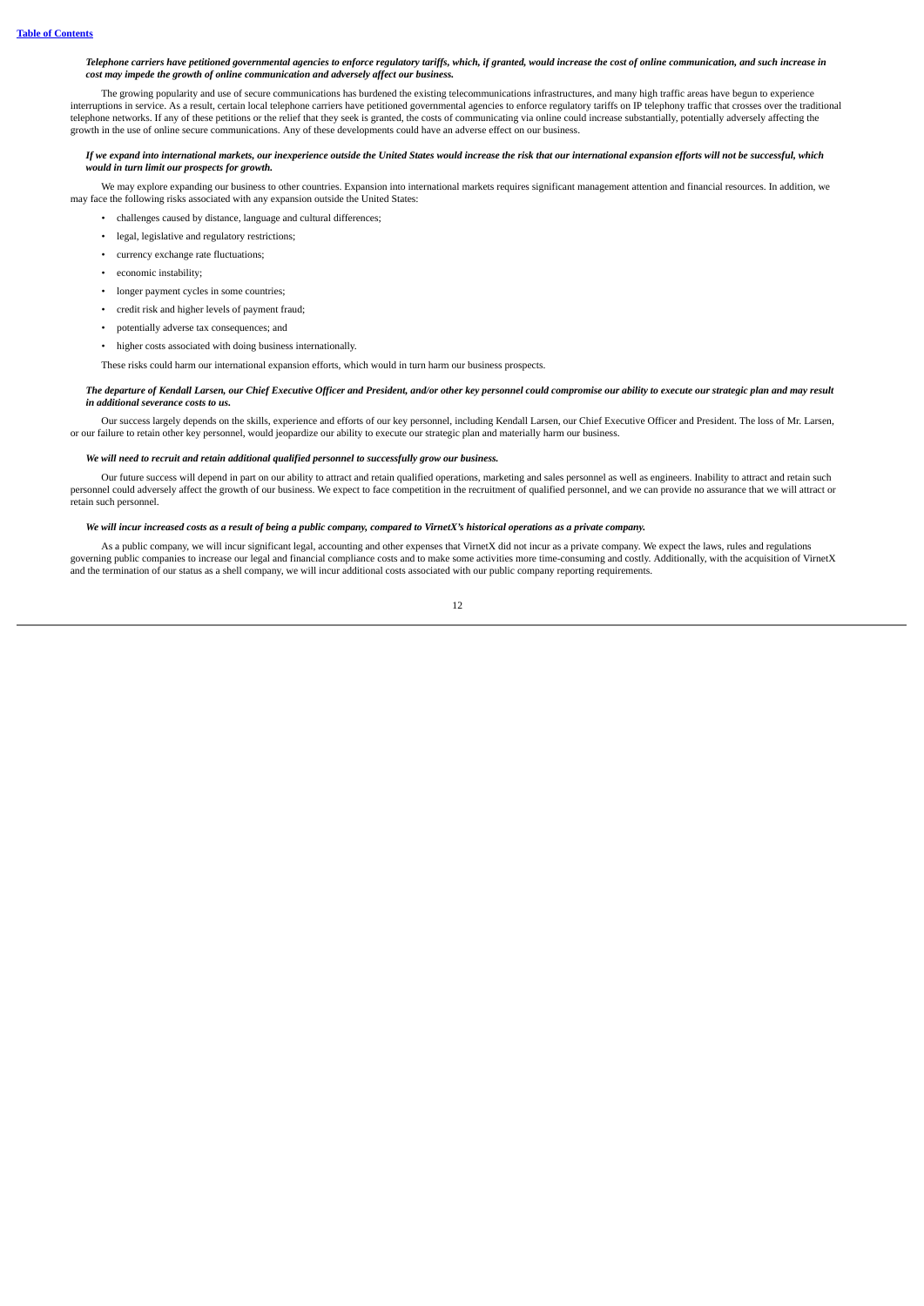# Telephone carriers have petitioned governmental agencies to enforce regulatory tariffs, which, if granted, would increase the cost of online communication, and such increase in<br>cost may impede the growth of online communic

The growing popularity and use of secure communications has burdened the existing telecommunications infrastructures, and many high traffic areas have begun to experience interruptions in service. As a result, certain local telephone carriers have petitioned governmental agencies to enforce regulatory tariffs on IP telephony traffic that crosses over the traditional telephone networks. If any of these petitions or the relief that they seek is granted, the costs of communicating via online could increase substantially, potentially adversely affecting the growth in the use of online secure communications. Any of these developments could have an adverse effect on our business.

## If we expand into international markets, our inexperience outside the United States would increase the risk that our international expansion efforts will not be successful, which *would in turn limit our prospects for growth.*

We may explore expanding our business to other countries. Expansion into international markets requires significant management attention and financial resources. In addition, we may face the following risks associated with any expansion outside the United States:

- challenges caused by distance, language and cultural differences;
- legal, legislative and regulatory restrictions;
- currency exchange rate fluctuations;
- economic instability:
- longer payment cycles in some countries;
- credit risk and higher levels of payment fraud;
- potentially adverse tax consequences; and
- higher costs associated with doing business internationally.

These risks could harm our international expansion efforts, which would in turn harm our business prospects.

#### The departure of Kendall Larsen, our Chief Executive Officer and President, and/or other key personnel could compromise our ability to execute our strategic plan and may result *in additional severance costs to us.*

Our success largely depends on the skills, experience and efforts of our key personnel, including Kendall Larsen, our Chief Executive Officer and President. The loss of Mr. Larsen, or our failure to retain other key personnel, would jeopardize our ability to execute our strategic plan and materially harm our business.

#### *We will need to recruit and retain additional qualified personnel to successfully grow our business.*

Our future success will depend in part on our ability to attract and retain qualified operations, marketing and sales personnel as well as engineers. Inability to attract and retain such personnel could adversely affect the growth of our business. We expect to face competition in the recruitment of qualified personnel, and we can provide no assurance that we will attract or retain such personnel.

## We will incur increased costs as a result of being a public company, compared to VirnetX's historical operations as a private company.

As a public company, we will incur significant legal, accounting and other expenses that VirnetX did not incur as a private company. We expect the laws, rules and regulations governing public companies to increase our legal and financial compliance costs and to make some activities more time-consuming and costly. Additionally, with the acquisition of VirnetX and the termination of our status as a shell company, we will incur additional costs associated with our public company reporting requirements.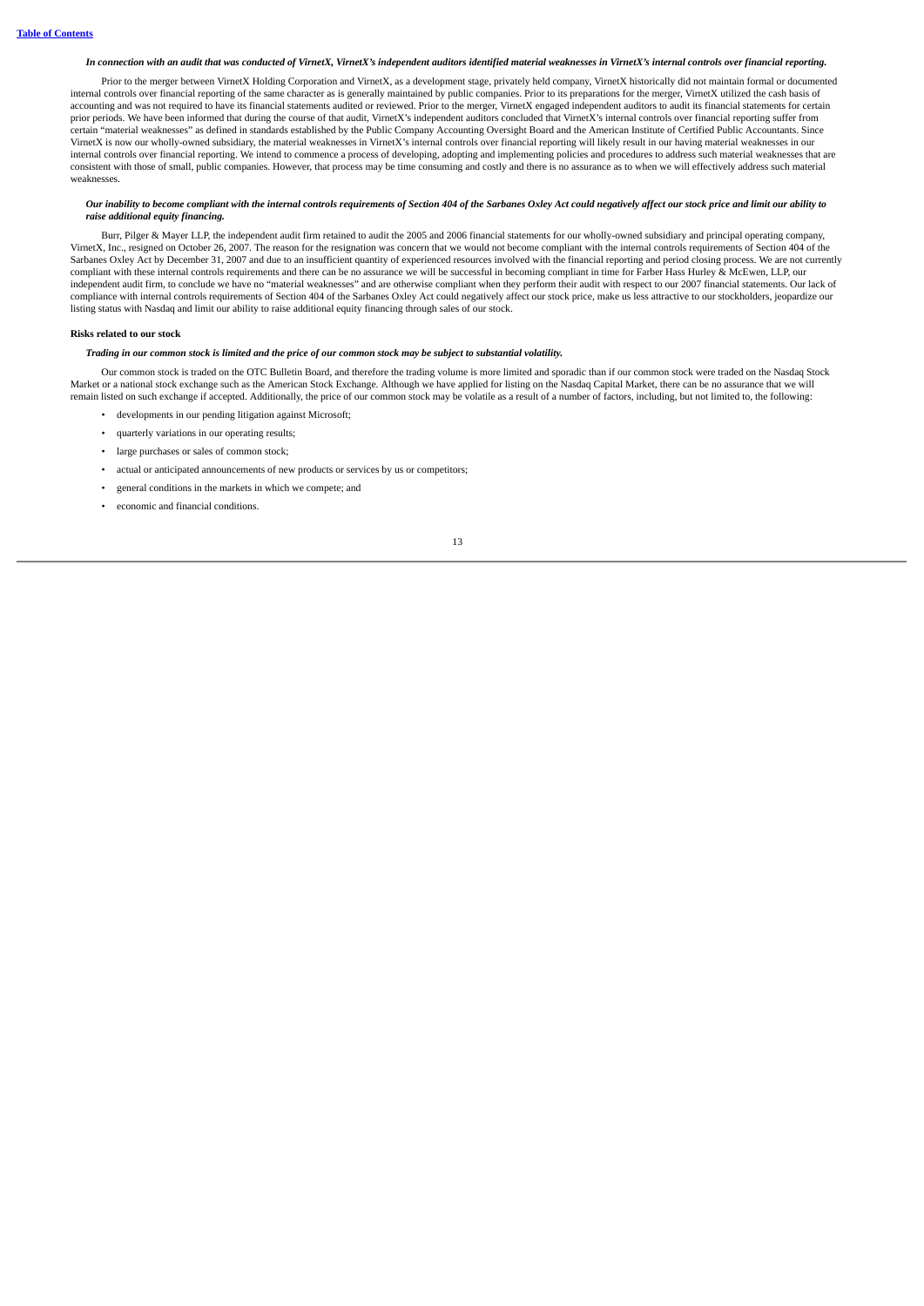#### In connection with an audit that was conducted of VirnetX, VirnetX's independent auditors identified material weaknesses in VirnetX's internal controls over financial reporting.

Prior to the merger between VirnetX Holding Corporation and VirnetX, as a development stage, privately held company, VirnetX historically did not maintain formal or documented internal controls over financial reporting of the same character as is generally maintained by public companies. Prior to its preparations for the merger, VirnetX utilized the cash basis of accounting and was not required to have its financial statements audited or reviewed. Prior to the merger, VirnetX engaged independent auditors to audit its financial statements for certain prior periods. We have been informed that during the course of that audit, VirnetX's independent auditors concluded that VirnetX's internal controls over financial reporting suffer from certain "material weaknesses" as defined in standards established by the Public Company Accounting Oversight Board and the American Institute of Certified Public Accountants. Since VirnetX is now our wholly-owned subsidiary, the material weaknesses in VirnetX's internal controls over financial reporting will likely result in our having material weaknesses in our internal controls over financial reporting. We intend to commence a process of developing, adopting and implementing policies and procedures to address such material weaknesses that are<br>consistent with those of small, publ weaknesses.

## Our inability to become compliant with the internal controls requirements of Section 404 of the Sarbanes Oxley Act could negatively affect our stock price and limit our ability to *raise additional equity financing.*

Burr, Pilger & Mayer LLP, the independent audit firm retained to audit the 2005 and 2006 financial statements for our wholly-owned subsidiary and principal operating company, VirnetX, Inc., resigned on October 26, 2007. The reason for the resignation was concern that we would not become compliant with the internal controls requirements of Section 404 of the Sarbanes Oxley Act by December 31, 2007 and due to an insufficient quantity of experienced resources involved with the financial reporting and period closing process. We are not currently compliant with these internal controls requirements and there can be no assurance we will be successful in becoming compliant in time for Farber Hass Hurley & McEwen, LLP, our<br>independent audit firm, to conclude we have no compliance with internal controls requirements of Section 404 of the Sarbanes Oxley Act could negatively affect our stock price, make us less attractive to our stockholders, jeopardize our listing status with Nasdaq and limit our ability to raise additional equity financing through sales of our stock.

## **Risks related to our stock**

## Trading in our common stock is limited and the price of our common stock may be subject to substantial volatility.

Our common stock is traded on the OTC Bulletin Board, and therefore the trading volume is more limited and sporadic than if our common stock were traded on the Nasdaq Stock Market or a national stock exchange such as the American Stock Exchange. Although we have applied for listing on the Nasdaq Capital Market, there can be no assurance that we will remain listed on such exchange if accepted. Additionally, the price of our common stock may be volatile as a result of a number of factors, including, but not limited to, the following:

- developments in our pending litigation against Microsoft;
- quarterly variations in our operating results;
- large purchases or sales of common stock;
- actual or anticipated announcements of new products or services by us or competitors;
- general conditions in the markets in which we compete; and
- economic and financial conditions.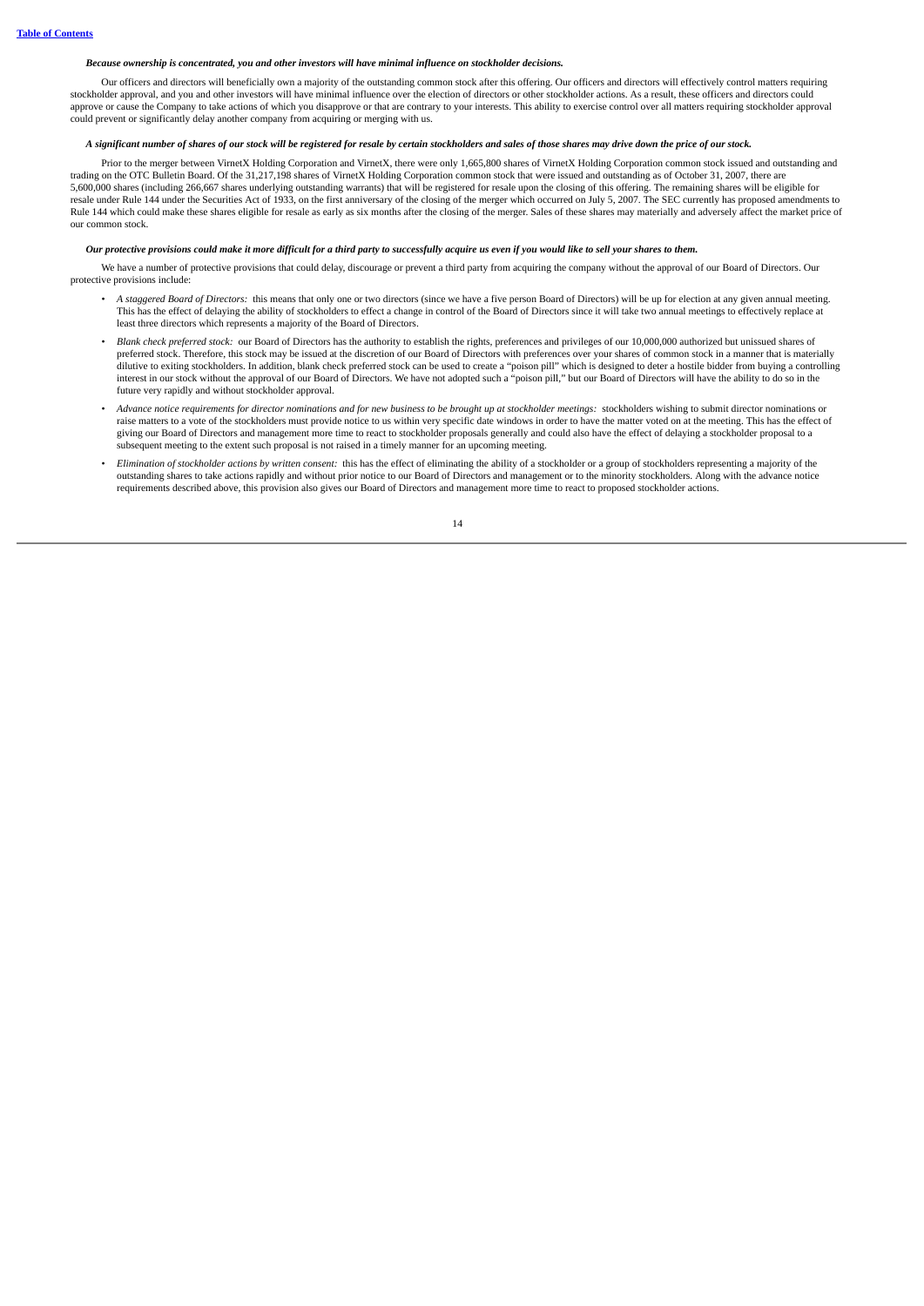#### *Because ownership is concentrated, you and other investors will have minimal influence on stockholder decisions.*

Our officers and directors will beneficially own a majority of the outstanding common stock after this offering. Our officers and directors will effectively control matters requiring stockholder approval, and you and other investors will have minimal influence over the election of directors or other stockholder actions. As a result, these officers and directors could approve or cause the Company to take actions of which you disapprove or that are contrary to your interests. This ability to exercise control over all matters requiring stockholder approval could prevent or significantly delay another company from acquiring or merging with us.

## A significant number of shares of our stock will be registered for resale by certain stockholders and sales of those shares may drive down the price of our stock.

Prior to the merger between VirnetX Holding Corporation and VirnetX, there were only 1,665,800 shares of VirnetX Holding Corporation common stock issued and outstanding and trading on the OTC Bulletin Board. Of the 31,217,198 shares of VirnetX Holding Corporation common stock that were issued and outstanding as of October 31, 2007, there are 5,600,000 shares (including 266,667 shares underlying outstanding warrants) that will be registered for resale upon the closing of this offering. The remaining shares will be eligible for resale under Rule 144 under the Securities Act of 1933, on the first anniversary of the closing of the merger which occurred on July 5, 2007. The SEC currently has proposed amendments to Rule 144 which could make these shares eligible for resale as early as six months after the closing of the merger. Sales of these shares may materially and adversely affect the market price of our common stock.

## Our protective provisions could make it more difficult for a third party to successfully acquire us even if you would like to sell your shares to them.

We have a number of protective provisions that could delay, discourage or prevent a third party from acquiring the company without the approval of our Board of Directors. Our protective provisions include:

- *A staggered Board of Directors:* this means that only one or two directors (since we have a five person Board of Directors) will be up for election at any given annual meeting. This has the effect of delaying the ability of stockholders to effect a change in control of the Board of Directors since it will take two annual meetings to effectively replace at least three directors which represents a majority of the Board of Directors.
- *Blank check preferred stock:* our Board of Directors has the authority to establish the rights, preferences and privileges of our 10,000,000 authorized but unissued shares of preferred stock. Therefore, this stock may be issued at the discretion of our Board of Directors with preferences over your shares of common stock in a manner that is materially<br>dilutive to exiting stockholders. In additio interest in our stock without the approval of our Board of Directors. We have not adopted such a "poison pill," but our Board of Directors will have the ability to do so in the future very rapidly and without stockholder approval.
- Advance notice requirements for director nominations and for new business to be brought up at stockholder meetings: stockholders wishing to submit director nominations or raise matters to a vote of the stockholders must provide notice to us within very specific date windows in order to have the matter voted on at the meeting. This has the effect of giving our Board of Directors and management more time to react to stockholder proposals generally and could also have the effect of delaying a stockholder proposal to a subsequent meeting to the extent such proposal is not raised in a timely manner for an upcoming meeting.
- Elimination of stockholder actions by written consent: this has the effect of eliminating the ability of a stockholder or a group of stockholders representing a majority of the outstanding shares to take actions rapidly and without prior notice to our Board of Directors and management or to the minority stockholders. Along with the advance notice requirements described above, this provision also gives our Board of Directors and management more time to react to proposed stockholder actions.

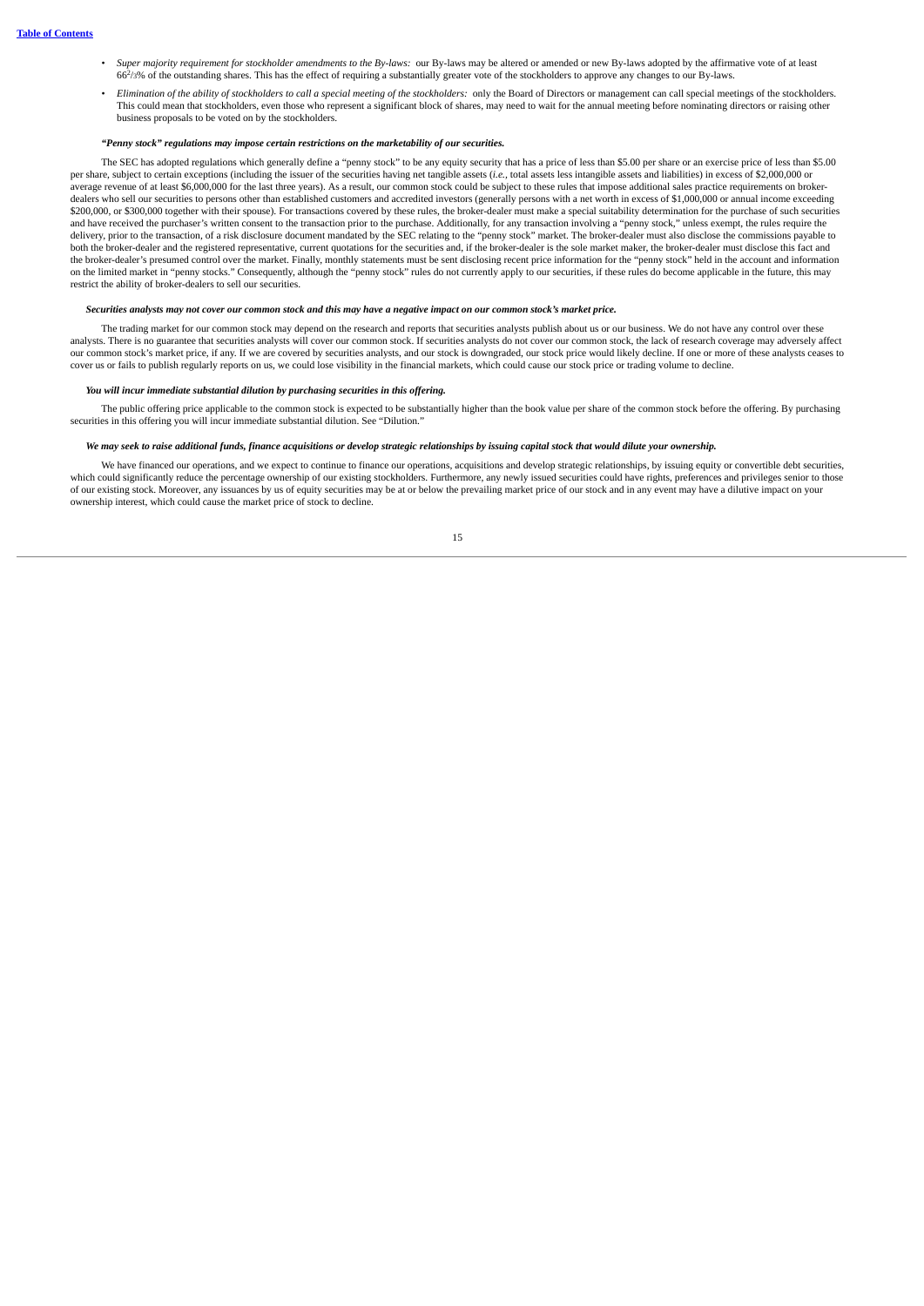- Super majority requirement for stockholder amendments to the By-laws: our By-laws may be altered or amended or new By-laws adopted by the affirmative vote of at least 66 2 /3% of the outstanding shares. This has the effect of requiring a substantially greater vote of the stockholders to approve any changes to our By-laws.
- Elimination of the ability of stockholders to call a special meeting of the stockholders: only the Board of Directors or management can call special meetings of the stockholders. This could mean that stockholders, even those who represent a significant block of shares, may need to wait for the annual meeting before nominating directors or raising other business proposals to be voted on by the stockholders.

## *"Penny stock" regulations may impose certain restrictions on the marketability of our securities.*

The SEC has adopted regulations which generally define a "penny stock" to be any equity security that has a price of less than \$5.00 per share or an exercise price of less than \$5.00 per share, subject to certain exceptions (including the issuer of the securities having net tangible assets (*i.e.,* total assets less intangible assets and liabilities) in excess of \$2,000,000 or average revenue of at least \$6,000,000 for the last three years). As a result, our common stock could be subject to these rules that impose additional sales practice requirements on brokerdealers who sell our securities to persons other than established customers and accredited investors (generally persons with a net worth in excess of \$1,000,000 or annual income exceeding \$200,000, or \$300,000 together with their spouse). For transactions covered by these rules, the broker-dealer must make a special suitability determination for the purchase of such securities and have received the purchaser's written consent to the transaction prior to the purchase. Additionally, for any transaction involving a "penny stock," unless exempt, the rules require the delivery, prior to the transaction, of a risk disclosure document mandated by the SEC relating to the "penny stock" market. The broker-dealer must also disclose the commissions payable to both the broker-dealer and the registered representative, current quotations for the securities and, if the broker-dealer is the sole market maker, the broker-dealer must disclose this fact and the broker-dealer's presumed control over the market. Finally, monthly statements must be sent disclosing recent price information for the "penny stock" held in the account and information on the limited market in "penny stocks." Consequently, although the "penny stock" rules do not currently apply to our securities, if these rules do become applicable in the future, this may<br>restrict the ability of broker-d

## Securities analysts may not cover our common stock and this may have a negative impact on our common stock's market price.

The trading market for our common stock may depend on the research and reports that securities analysts publish about us or our business. We do not have any control over these analysts. There is no guarantee that securities analysts will cover our common stock. If securities analysts do not cover our common stock, the lack of research coverage may adversely affect our common stock's market price, if any. If we are covered by securities analysts, and our stock is downgraded, our stock price would likely decline. If one or more of these analysts ceases to cover us or fails to publish regularly reports on us, we could lose visibility in the financial markets, which could cause our stock price or trading volume to decline.

#### *You will incur immediate substantial dilution by purchasing securities in this offering.*

The public offering price applicable to the common stock is expected to be substantially higher than the book value per share of the common stock before the offering. By purchasing securities in this offering you will incur immediate substantial dilution. See "Dilution."

## We may seek to raise additional funds, finance acquisitions or develop strategic relationships by issuing capital stock that would dilute your ownership.

We have financed our operations, and we expect to continue to finance our operations, acquisitions and develop strategic relationships, by issuing equity or convertible debt securities, which could significantly reduce the percentage ownership of our existing stockholders. Furthermore, any newly issued securities could have rights, preferences and privileges senior to those of our existing stock. Moreover, any issuances by us of equity securities may be at or below the prevailing market price of our stock and in any event may have a dilutive impact on your ownership interest, which could cause the market price of stock to decline.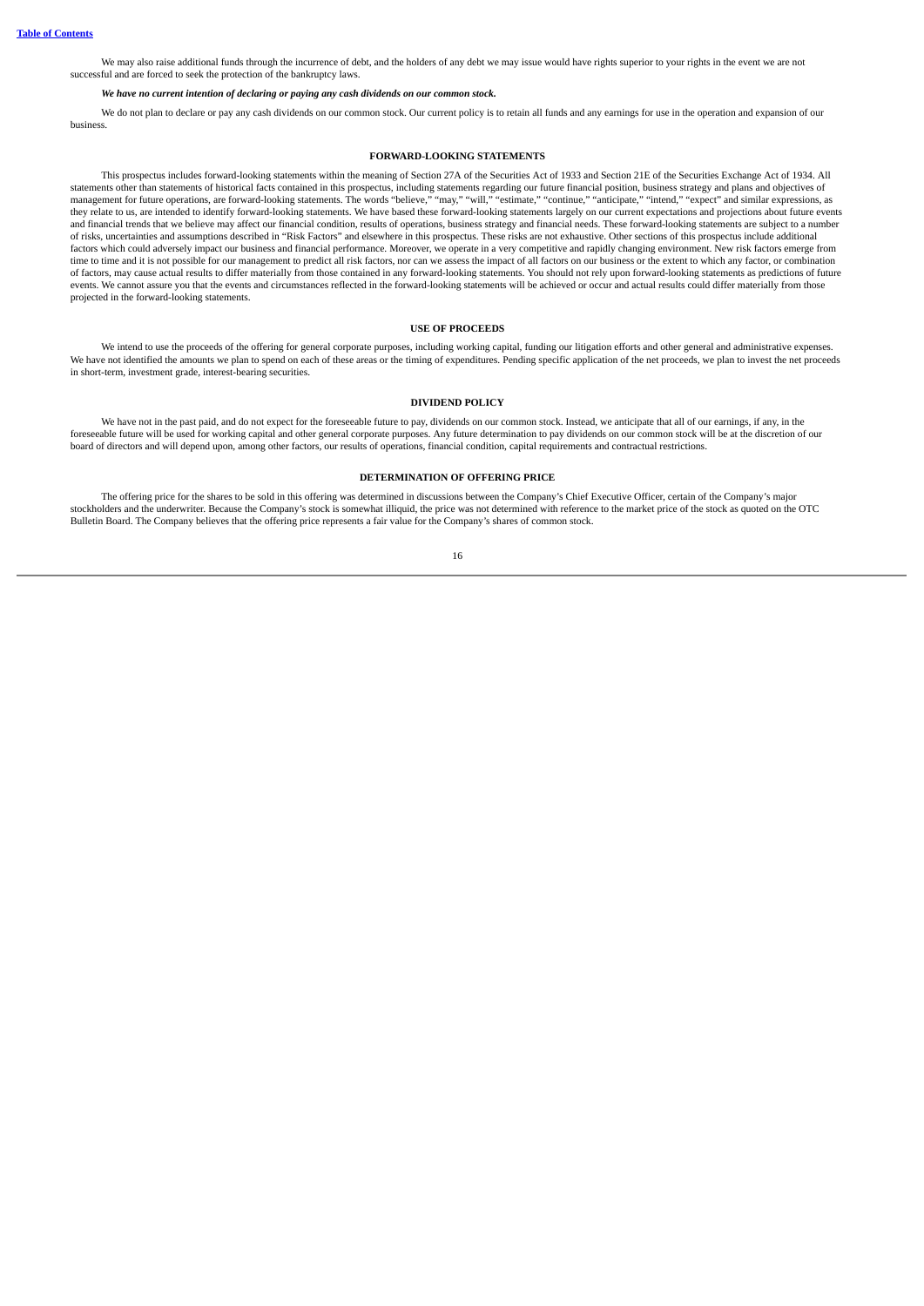We may also raise additional funds through the incurrence of debt, and the holders of any debt we may issue would have rights superior to your rights in the event we are not successful and are forced to seek the protection of the bankruptcy laws.

## *We have no current intention of declaring or paying any cash dividends on our common stock.*

We do not plan to declare or pay any cash dividends on our common stock. Our current policy is to retain all funds and any earnings for use in the operation and expansion of our business.

## **FORWARD-LOOKING STATEMENTS**

<span id="page-20-0"></span>This prospectus includes forward-looking statements within the meaning of Section 27A of the Securities Act of 1933 and Section 21E of the Securities Exchange Act of 1934. All statements other than statements of historical facts contained in this prospectus, including statements regarding our future financial position, business strategy and plans and objectives of<br>management for future operation they relate to us, are intended to identify forward-looking statements. We have based these forward-looking statements largely on our current expectations and projections about future events and financial trends that we believe may affect our financial condition, results of operations, business strategy and financial needs. These forward-looking statements are subject to a number of risks, uncertainties and assumptions described in "Risk Factors" and elsewhere in this prospectus. These risks are not exhaustive. Other sections of this prospectus include additional factors which could adversely impact our business and financial performance. Moreover, we operate in a very competitive and rapidly changing environment. New risk factors emerge from time to time and it is not possible for our management to predict all risk factors, nor can we assess the impact of all factors on our business or the extent to which any factor, or combination of factors, may cause actual results to differ materially from those contained in any forward-looking statements. You should not rely upon forward-looking statements as predictions of future events. We cannot assure you that the events and circumstances reflected in the forward-looking statements will be achieved or occur and actual results could differ materially from those projected in the forward-looking statements.

## **USE OF PROCEEDS**

<span id="page-20-1"></span>We intend to use the proceeds of the offering for general corporate purposes, including working capital, funding our litigation efforts and other general and administrative expenses. We have not identified the amounts we plan to spend on each of these areas or the timing of expenditures. Pending specific application of the net proceeds, we plan to invest the net proceeds in short-term, investment grade, interest-bearing securities.

## **DIVIDEND POLICY**

<span id="page-20-2"></span>We have not in the past paid, and do not expect for the foreseeable future to pay, dividends on our common stock. Instead, we anticipate that all of our earnings, if any, in the foreseeable future will be used for working capital and other general corporate purposes. Any future determination to pay dividends on our common stock will be at the discretion of our board of directors and will depend upon, among other factors, our results of operations, financial condition, capital requirements and contractual restrictions.

## **DETERMINATION OF OFFERING PRICE**

<span id="page-20-3"></span>The offering price for the shares to be sold in this offering was determined in discussions between the Company's Chief Executive Officer, certain of the Company's major stockholders and the underwriter. Because the Company's stock is somewhat illiquid, the price was not determined with reference to the market price of the stock as quoted on the OTC Bulletin Board. The Company believes that the offering price represents a fair value for the Company's shares of common stock.

| ., |
|----|
|    |
| M. |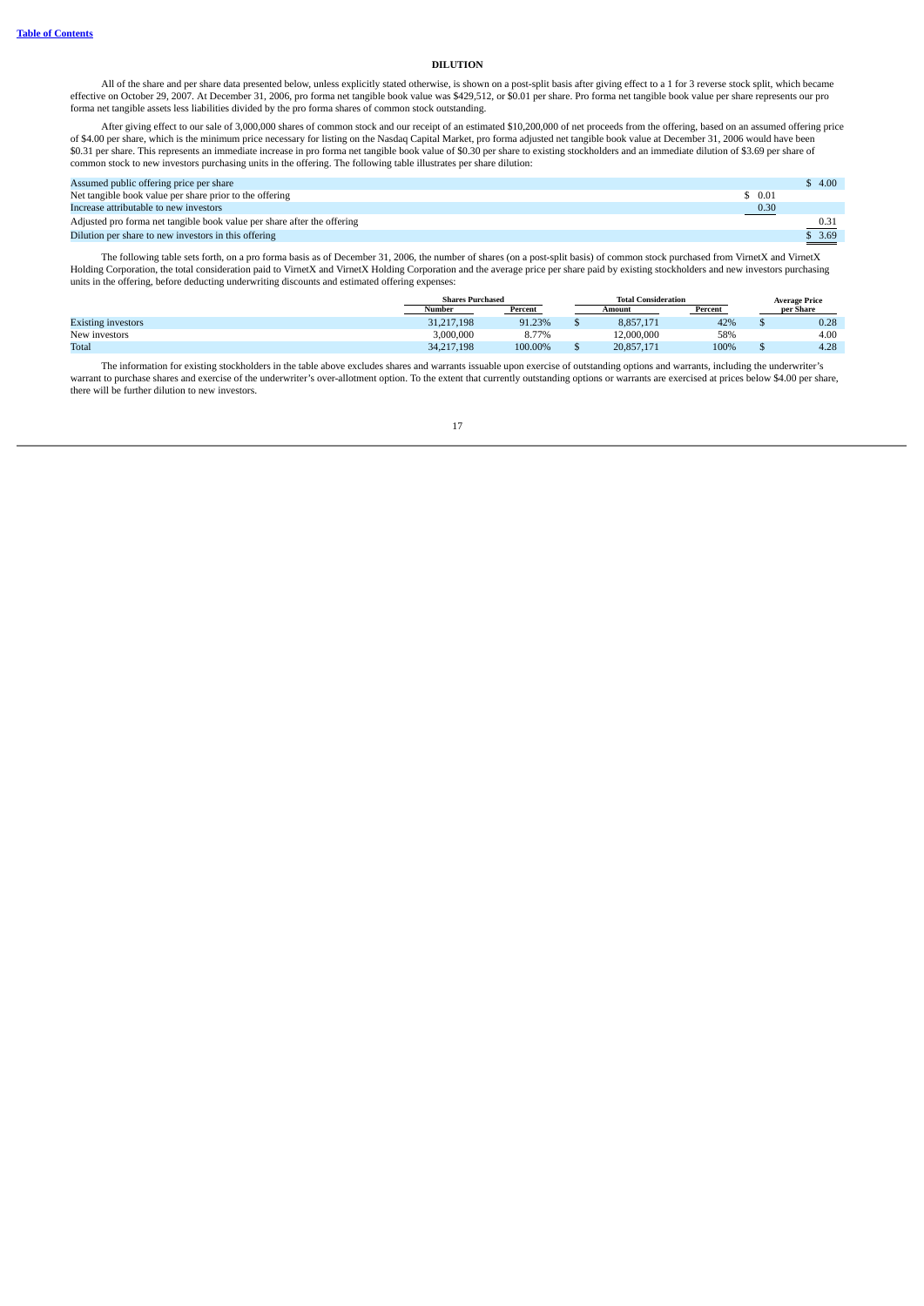## **DILUTION**

<span id="page-21-0"></span>All of the share and per share data presented below, unless explicitly stated otherwise, is shown on a post-split basis after giving effect to a 1 for 3 reverse stock split, which became effective on October 29, 2007. At December 31, 2006, pro forma net tangible book value was \$429,512, or \$0.01 per share. Pro forma net tangible book value per share represents our pro forma net tangible assets less liabilities divided by the pro forma shares of common stock outstanding.

After giving effect to our sale of 3,000,000 shares of common stock and our receipt of an estimated \$10,200,000 of net proceeds from the offering, based on an assumed offering price of \$4.00 per share, which is the minimum price necessary for listing on the Nasdaq Capital Market, pro forma adjusted net tangible book value at December 31, 2006 would have been \$0.31 per share. This represents an immediate increase in pro forma net tangible book value of \$0.30 per share to existing stockholders and an immediate dilution of \$3.69 per share of common stock to new investors purchasing units in the offering. The following table illustrates per share dilution:

| Assumed public offering price per share                                 |                                                    | \$4.00                                    |
|-------------------------------------------------------------------------|----------------------------------------------------|-------------------------------------------|
| Net tangible book value per share prior to the offering                 | \$0.01                                             |                                           |
| Increase attributable to new investors                                  | 0.30<br><b>Contract Contract Contract Contract</b> |                                           |
| Adjusted pro forma net tangible book value per share after the offering |                                                    | 0.31<br><b>Contract Contract Contract</b> |
| Dilution per share to new investors in this offering                    |                                                    | \$3.69                                    |

The following table sets forth, on a pro forma basis as of December 31, 2006, the number of shares (on a post-split basis) of common stock purchased from VirnetX and VirnetX Holding Corporation, the total consideration paid to VirnetX and VirnetX Holding Corporation and the average price per share paid by existing stockholders and new investors purchasing units in the offering, before deducting underwriting discounts and estimated offering expenses:

|                           | <b>Shares Purchased</b> |         | <b>Total Consideration</b> |            |         | <b>Average Price</b> |           |
|---------------------------|-------------------------|---------|----------------------------|------------|---------|----------------------|-----------|
|                           | <b>Number</b>           | Percent |                            | Amount     | Percent |                      | per Share |
| <b>Existing investors</b> | 31.217.198              | 91.23%  |                            | 8,857,17   | 42%     |                      | 0.28      |
| New investors             | 3,000,000               | 8.77%   |                            | 12.000.000 | 58%     |                      | 4.00      |
| <b>Total</b>              | 34.217.198              | 100.00% |                            | 20,857,171 | 100%    |                      | 4.28      |

The information for existing stockholders in the table above excludes shares and warrants issuable upon exercise of outstanding options and warrants, including the underwriter's warrant to purchase shares and exercise of the underwriter's over-allotment option. To the extent that currently outstanding options or warrants are exercised at prices below \$4.00 per share, there will be further dilution to new investors.

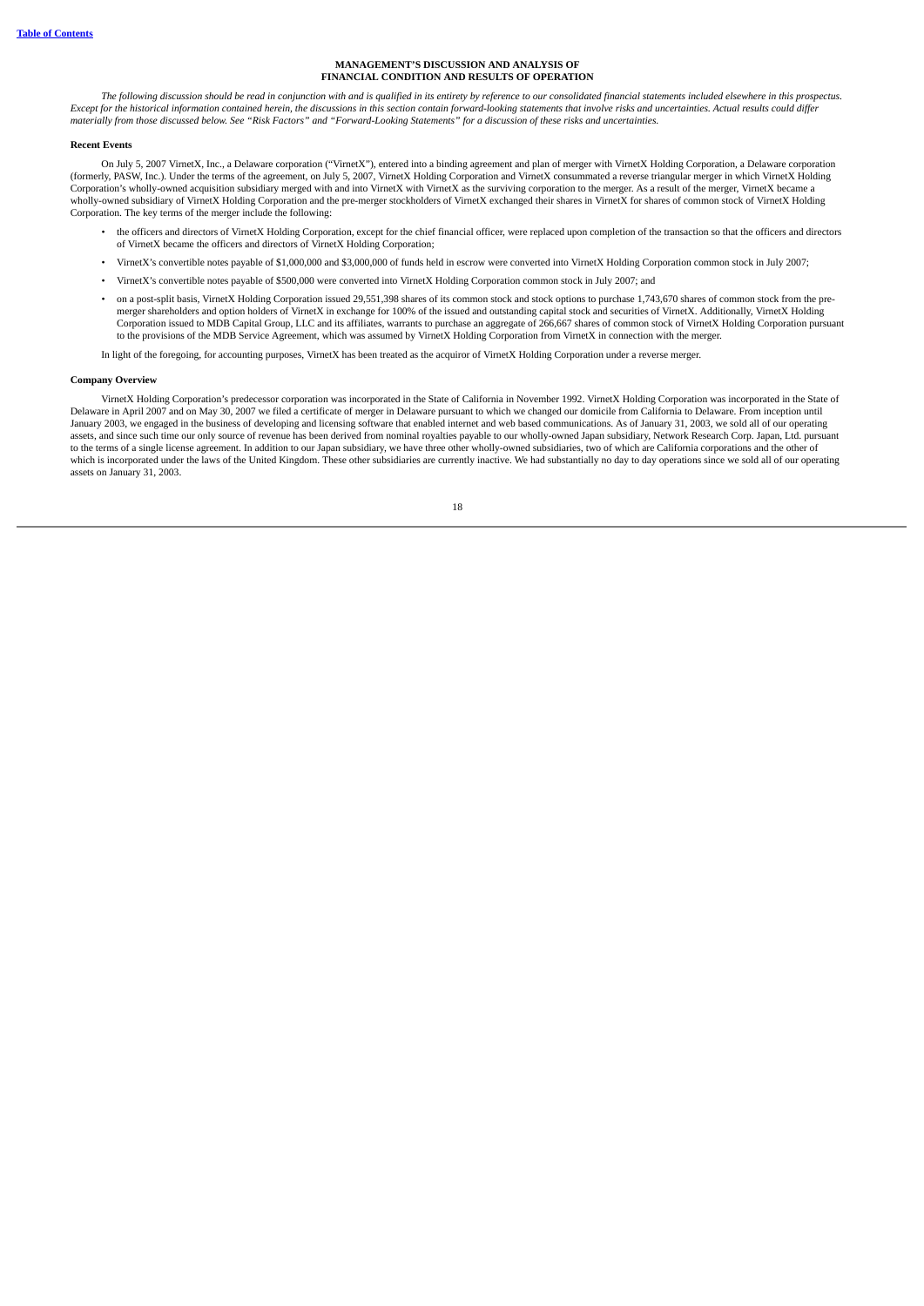## **MANAGEMENT'S DISCUSSION AND ANALYSIS OF FINANCIAL CONDITION AND RESULTS OF OPERATION**

<span id="page-22-0"></span>The following discussion should be read in conjunction with and is qualified in its entirety by reference to our consolidated financial statements included elsewhere in this prospectus. Except for the historical information contained herein, the discussions in this section contain forward-looking statements that involve risks and uncertainties. Actual results could differ materially from those discussed below. See "Risk Factors" and "Forward-Lookina Statements" for a discussion of these risks and uncertainties.

#### **Recent Events**

On July 5, 2007 VirnetX, Inc., a Delaware corporation ("VirnetX"), entered into a binding agreement and plan of merger with VirnetX Holding Corporation, a Delaware corporation (formerly, PASW, Inc.). Under the terms of the agreement, on July 5, 2007, VirnetX Holding Corporation and VirnetX consummated a reverse triangular merger in which VirnetX Holding<br>Corporation's wholly-owned acquisition sub wholly-owned subsidiary of VirnetX Holding Corporation and the pre-merger stockholders of VirnetX exchanged their shares in VirnetX for shares of common stock of VirnetX Holding Corporation. The key terms of the merger include the following:

- the officers and directors of VirnetX Holding Corporation, except for the chief financial officer, were replaced upon completion of the transaction so that the officers and directors of VirnetX became the officers and directors of VirnetX Holding Corporation;
- VirnetX's convertible notes payable of \$1,000,000 and \$3,000,000 of funds held in escrow were converted into VirnetX Holding Corporation common stock in July 2007;
- VirnetX's convertible notes payable of \$500,000 were converted into VirnetX Holding Corporation common stock in July 2007; and
- on a post-split basis, VirnetX Holding Corporation issued 29,551,398 shares of its common stock and stock options to purchase 1,743,670 shares of common stock from the premerger shareholders and option holders of VirnetX in exchange for 100% of the issued and outstanding capital stock and securities of VirnetX. Additionally, VirnetX Holding Corporation issued to MDB Capital Group, LLC and its affiliates, warrants to purchase an aggregate of 266,667 shares of common stock of VirnetX Holding Corporation pursuant to the provisions of the MDB Service Agreement, which was assumed by VirnetX Holding Corporation from VirnetX in connection with the merger.

In light of the foregoing, for accounting purposes, VirnetX has been treated as the acquiror of VirnetX Holding Corporation under a reverse merger.

## **Company Overview**

VirnetX Holding Corporation's predecessor corporation was incorporated in the State of California in November 1992. VirnetX Holding Corporation was incorporated in the State of Delaware in April 2007 and on May 30, 2007 we filed a certificate of merger in Delaware pursuant to which we changed our domicile from California to Delaware. From inception until<br>January 2003, we engaged in the business o assets, and since such time our only source of revenue has been derived from nominal royalties payable to our wholly-owned Japan subsidiary, Network Research Corp. Japan, Ltd. pursuant to the terms of a single license agreement. In addition to our Japan subsidiary, we have three other wholly-owned subsidiaries, two of which are California corporations and the other of which is incorporated under the laws of the United Kingdom. These other subsidiaries are currently inactive. We had substantially no day to day operations since we sold all of our operating assets on January 31, 2003.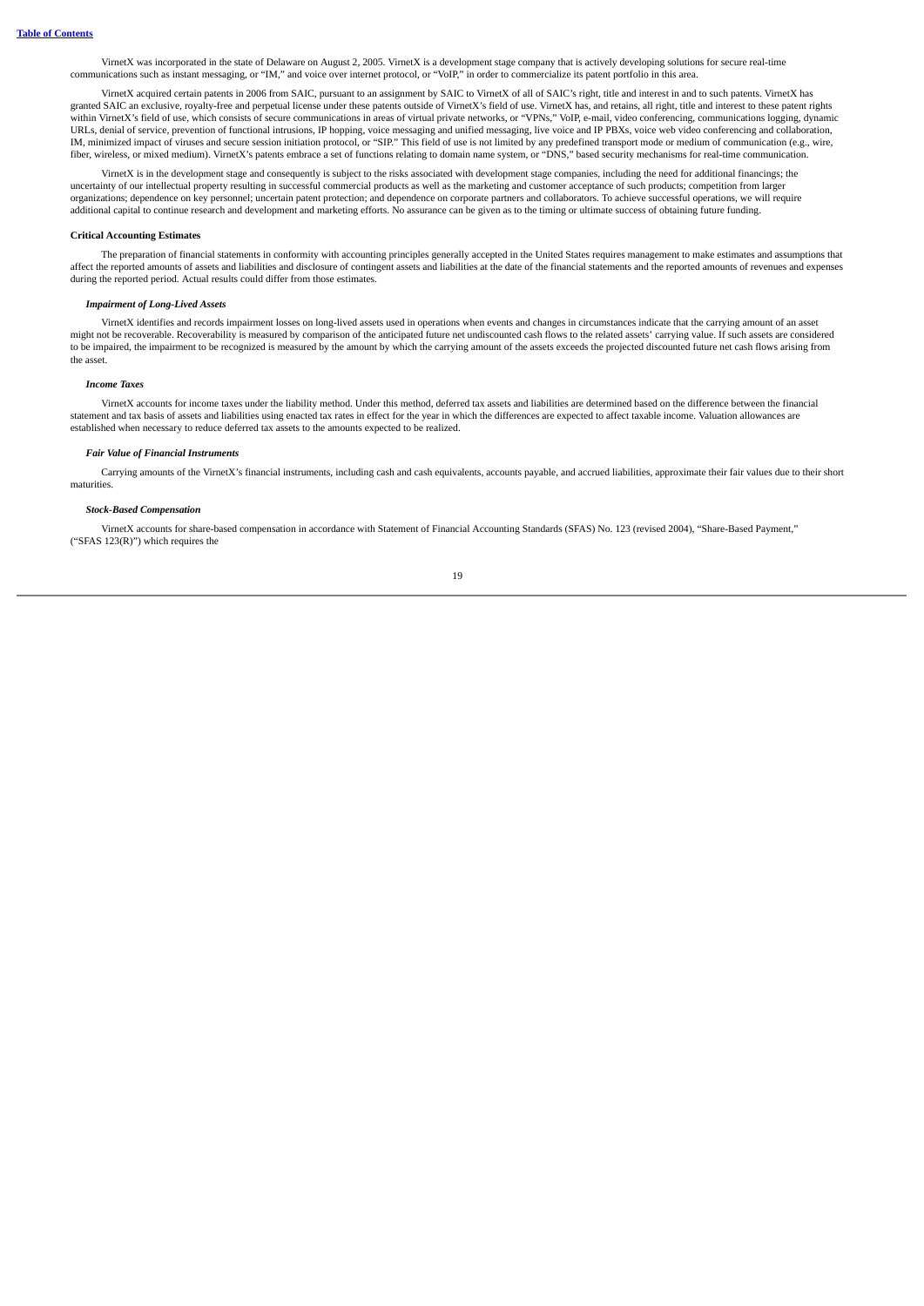VirnetX was incorporated in the state of Delaware on August 2, 2005. VirnetX is a development stage company that is actively developing solutions for secure real-time<br>communications such as instant messaging, or "IM," and

VirnetX acquired certain patents in 2006 from SAIC, pursuant to an assignment by SAIC to VirnetX of all of SAIC's right, title and interest in and to such patents. VirnetX has granted SAIC an exclusive, royalty-free and perpetual license under these patents outside of VirnetX's field of use. VirnetX has, and retains, all right, title and interest to these patent rights within VirnetX's field of use, which consists of secure communications in areas of virtual private networks, or "VPNs," VoIP, e-mail, video conferencing, communications logging, dynamic URLs, denial of service, prevention of functional intrusions, IP hopping, voice messaging and unified messaging, live voice and IP PBXs, voice web video conferencing and collaboration, IM, minimized impact of viruses and secure session initiation protocol, or "SIP." This field of use is not limited by any predefined transport mode or medium of communication (e.g., wire, fiber, wireless, or mixed medium). VirnetX's patents embrace a set of functions relating to domain name system, or "DNS," based security mechanisms for real-time communication.

VirnetX is in the development stage and consequently is subject to the risks associated with development stage companies, including the need for additional financings; the uncertainty of our intellectual property resulting in successful commercial products as well as the marketing and customer acceptance of such products; competition from larger organizations; dependence on key personnel; uncertain patent protection; and dependence on corporate partners and collaborators. To achieve successful operations, we will require additional capital to continue research and development and marketing efforts. No assurance can be given as to the timing or ultimate success of obtaining future funding.

## **Critical Accounting Estimates**

The preparation of financial statements in conformity with accounting principles generally accepted in the United States requires management to make estimates and assumptions that<br>affect the reported amounts of assets and during the reported period. Actual results could differ from those estimates.

#### *Impairment of Long-Lived Assets*

VirnetX identifies and records impairment losses on long-lived assets used in operations when events and changes in circumstances indicate that the carrying amount of an asset might not be recoverable. Recoverability is measured by comparison of the anticipated future net undiscounted cash flows to the related assets' carrying value. If such assets are considered to be impaired, the impairment to be recognized is measured by the amount by which the carrying amount of the assets exceeds the projected discounted future net cash flows arising from the asset.

#### *Income Taxes*

VirnetX accounts for income taxes under the liability method. Under this method, deferred tax assets and liabilities are determined based on the difference between the financial statement and tax basis of assets and liabilities using enacted tax rates in effect for the year in which the differences are expected to affect taxable income. Valuation allowances are established when necessary to reduce deferred tax assets to the amounts expected to be realized.

#### *Fair Value of Financial Instruments*

Carrying amounts of the VirnetX's financial instruments, including cash and cash equivalents, accounts payable, and accrued liabilities, approximate their fair values due to their short maturities.

## *Stock-Based Compensation*

VirnetX accounts for share-based compensation in accordance with Statement of Financial Accounting Standards (SFAS) No. 123 (revised 2004), "Share-Based Payment," ("SFAS 123(R)") which requires the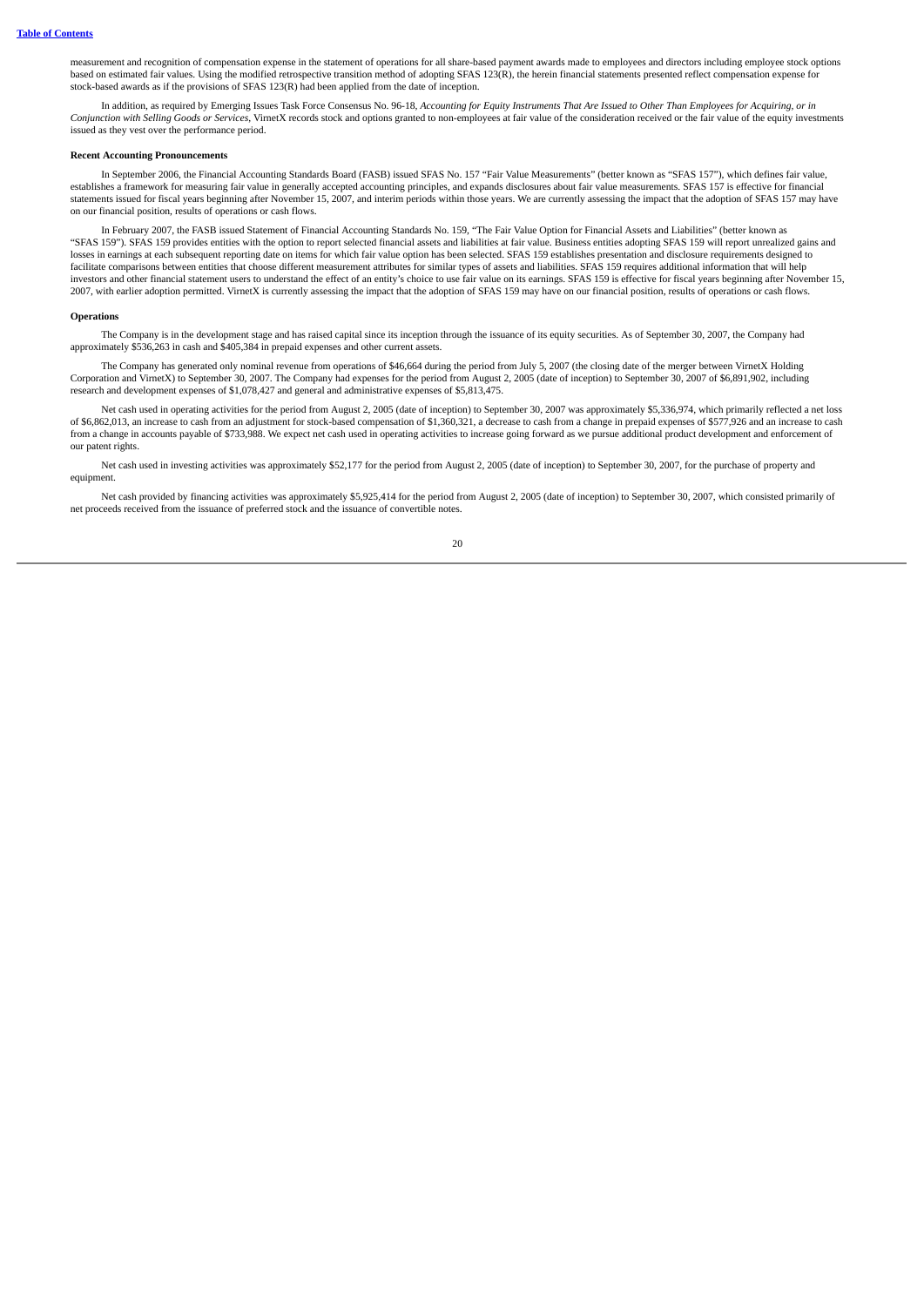measurement and recognition of compensation expense in the statement of operations for all share-based payment awards made to employees and directors including employee stock options based on estimated fair values. Using the modified retrospective transition method of adopting SFAS 123(R), the herein financial statements presented reflect compensation expense for stock-based awards as if the provisions of SFAS 123(R) had been applied from the date of inception.

In addition, as required by Emerging Issues Task Force Consensus No. 96-18. Accounting for Equity Instruments That Are Issued to Other Than Employees for Acquiring, or in Conjunction with Selling Goods or Services, VirnetX records stock and options granted to non-employees at fair value of the consideration received or the fair value of the equity investments issued as they vest over the performance period.

## **Recent Accounting Pronouncements**

In September 2006, the Financial Accounting Standards Board (FASB) issued SFAS No. 157 "Fair Value Measurements" (better known as "SFAS 157"), which defines fair value, establishes a framework for measuring fair value in generally accepted accounting principles, and expands disclosures about fair value measurements. SFAS 157 is effective for financial statements issued for fiscal years beginning after November 15, 2007, and interim periods within those years. We are currently assessing the impact that the adoption of SFAS 157 may have on our financial position, results of operations or cash flows.

In February 2007, the FASB issued Statement of Financial Accounting Standards No. 159, "The Fair Value Option for Financial Assets and Liabilities" (better known as "SFAS 159"). SFAS 159 provides entities with the option to report selected financial assets and liabilities at fair value. Business entities adopting SFAS 159 will report unrealized gains and losses in earnings at each subsequent reporting date on items for which fair value option has been selected. SFAS 159 establishes presentation and disclosure requirements designed to<br>facilitate comparisons between entities investors and other financial statement users to understand the effect of an entity's choice to use fair value on its earnings. SFAS 159 is effective for fiscal years beginning after November 15, 2007, with earlier adoption permitted. VirnetX is currently assessing the impact that the adoption of SFAS 159 may have on our financial position, results of operations or cash flows.

#### **Operations**

The Company is in the development stage and has raised capital since its inception through the issuance of its equity securities. As of September 30, 2007, the Company had approximately \$536,263 in cash and \$405,384 in prepaid expenses and other current ass

The Company has generated only nominal revenue from operations of \$46,664 during the period from July 5, 2007 (the closing date of the merger between VirnetX Holding Corporation and VirnetX) to September 30, 2007. The Company had expenses for the period from August 2, 2005 (date of inception) to September 30, 2007 of \$6,891,902, including research and development expenses of \$1,078,427 and general and administrative expenses of \$5,813,475.

Net cash used in operating activities for the period from August 2, 2005 (date of inception) to September 30, 2007 was approximately \$5,336,974, which primarily reflected a net loss of \$6,862,013, an increase to cash from an adjustment for stock-based compensation of \$1,360,321, a decrease to cash from a change in prepaid expenses of \$577,926 and an increase to cash from a change in accounts payable of \$733,988. We expect net cash used in operating activities to increase going forward as we pursue additional product development and enforcement of our patent rights.

Net cash used in investing activities was approximately \$52,177 for the period from August 2, 2005 (date of inception) to September 30, 2007, for the purchase of property and equipment.

Net cash provided by financing activities was approximately \$5,925,414 for the period from August 2, 2005 (date of inception) to September 30, 2007, which consisted primarily of net proceeds received from the issuance of preferred stock and the issuance of convertible notes.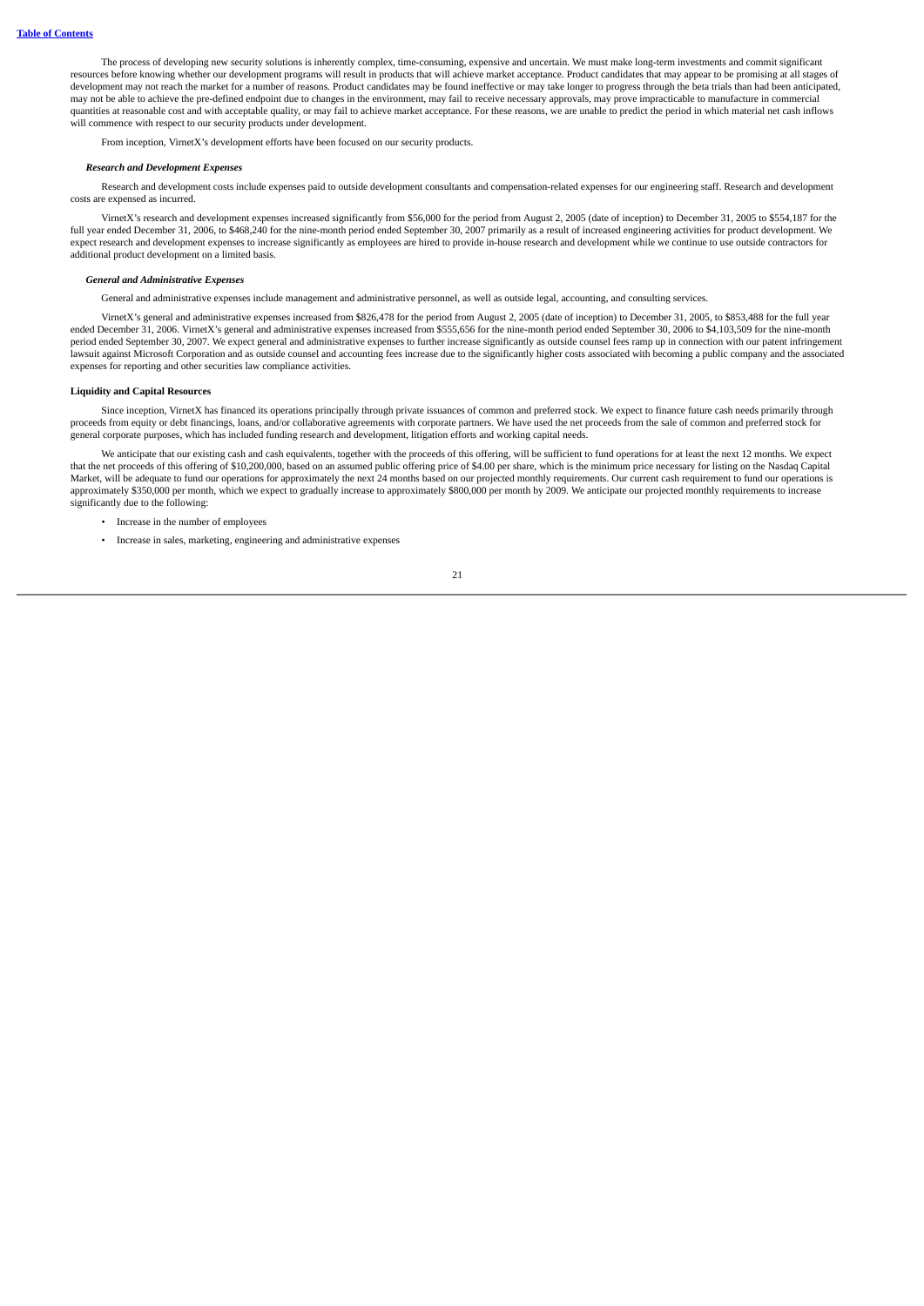The process of developing new security solutions is inherently complex, time-consuming, expensive and uncertain. We must make long-term investments and commit significant resources before knowing whether our development programs will result in products that will achieve market acceptance. Product candidates that may appear to be promising at all stages of development may not reach the market for a number of reasons. Product candidates may be found ineffective or may take longer to progress through the beta trials than had been anticipated, may not be able to achieve the pre-defined endpoint due to changes in the environment, may fail to receive necessary approvals, may prove impracticable to manufacture in commercial quantities at reasonable cost and with acceptable quality, or may fail to achieve market acceptance. For these reasons, we are unable to predict the period in which material net cash inflows will commence with respect to our security products under development.

From inception, VirnetX's development efforts have been focused on our security products.

#### *Research and Development Expenses*

Research and development costs include expenses paid to outside development consultants and compensation-related expenses for our engineering staff. Research and development costs are expensed as incurred.

VirnetX's research and development expenses increased significantly from \$56,000 for the period from August 2, 2005 (date of inception) to December 31, 2005 to \$554,187 for the full year ended December 31, 2006, to \$468,240 for the nine-month period ended September 30, 2007 primarily as a result of increased engineering activities for product development. We expect research and development expenses to increase significantly as employees are hired to provide in-house research and development while we continue to use outside contractors for additional product development on a limited basis.

#### *General and Administrative Expenses*

General and administrative expenses include management and administrative personnel, as well as outside legal, accounting, and consulting services.

VirnetX's general and administrative expenses increased from \$826,478 for the period from August 2, 2005 (date of inception) to December 31, 2005, to \$853,488 for the full year ended December 31, 2006. VirnetX's general and administrative expenses increased from \$555,656 for the nine-month period ended September 30, 2006 to \$4,103,509 for the nine-month period ended September 30, 2007. We expect general and administrative expenses to further increase significantly as outside counsel fees ramp up in connection with our patent infringement lawsuit against Microsoft Corporation and as outside counsel and accounting fees increase due to the significantly higher costs associated with becoming a public company and the associated expenses for reporting and other securities law compliance activities.

## **Liquidity and Capital Resources**

Since inception, VirnetX has financed its operations principally through private issuances of common and preferred stock. We expect to finance future cash needs primarily through proceeds from equity or debt financings, loans, and/or collaborative agreements with corporate partners. We have used the net proceeds from the sale of common and preferred stock for general corporate purposes, which has included funding research and development, litigation efforts and working capital needs.

We anticipate that our existing cash and cash equivalents, together with the proceeds of this offering, will be sufficient to fund operations for at least the next 12 months. We expect that the net proceeds of this offering of \$10,200,000, based on an assumed public offering price of \$4.00 per share, which is the minimum price necessary for listing on the Nasdaq Capital Market, will be adequate to fund our operations for approximately the next 24 months based on our projected monthly requirements. Our current cash requirement to fund our operations is approximately \$350,000 per month, which we expect to gradually increase to approximately \$800,000 per month by 2009. We anticipate our projected monthly requirements to increase significantly due to the following:

- Increase in the number of employees
- Increase in sales, marketing, engineering and administrative expenses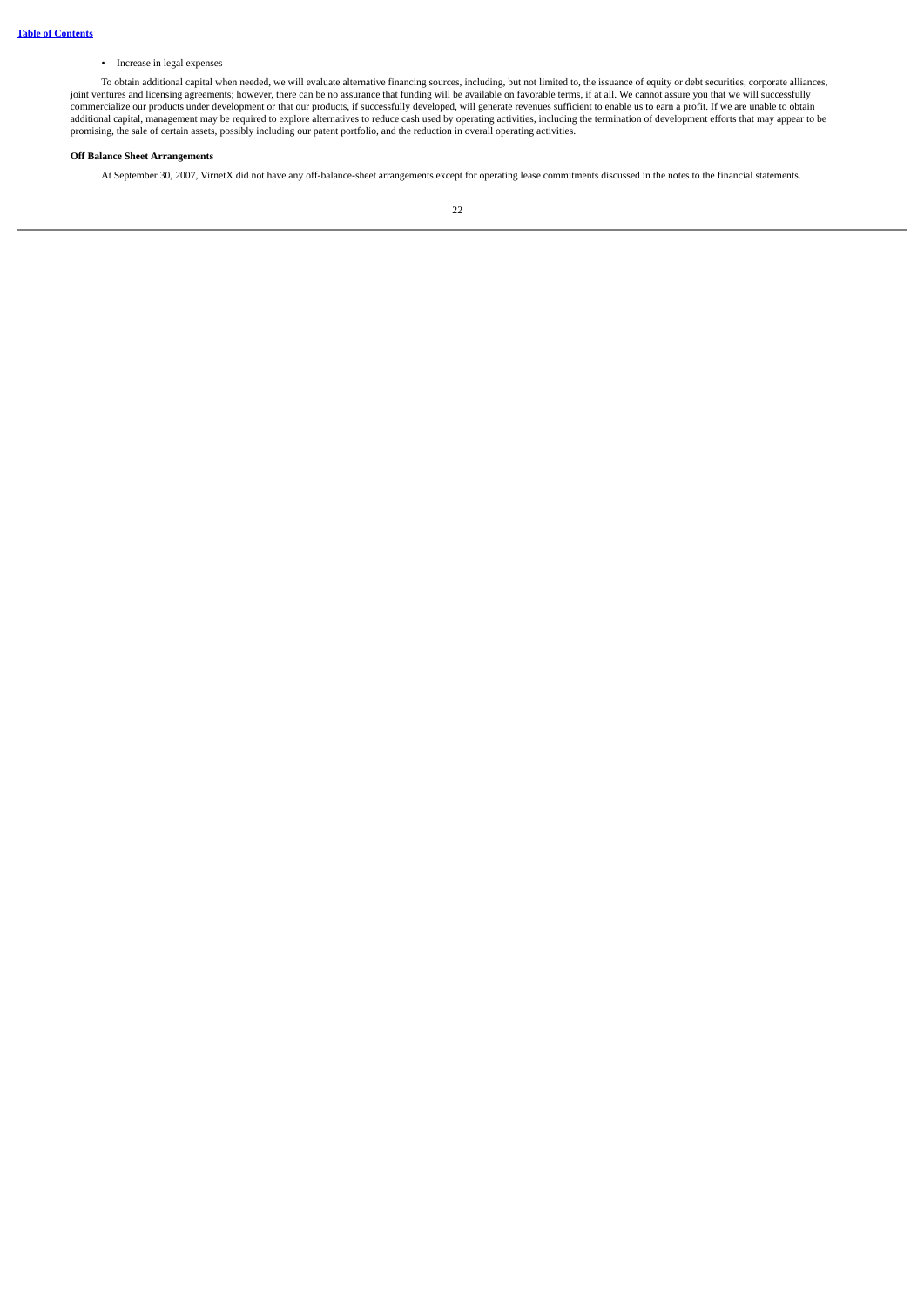## • Increase in legal expenses

To obtain additional capital when needed, we will evaluate alternative financing sources, including, but not limited to, the issuance of equity or debt securities, corporate alliances,<br>joint ventures and licensing agreemen commercialize our products under development or that our products, if successfully developed, will generate revenues sufficient to enable us to earn a profit. If we are unable to obtain<br>additional capital, management may b

## **Off Balance Sheet Arrangements**

At September 30, 2007, VirnetX did not have any off-balance-sheet arrangements except for operating lease commitments discussed in the notes to the financial statements.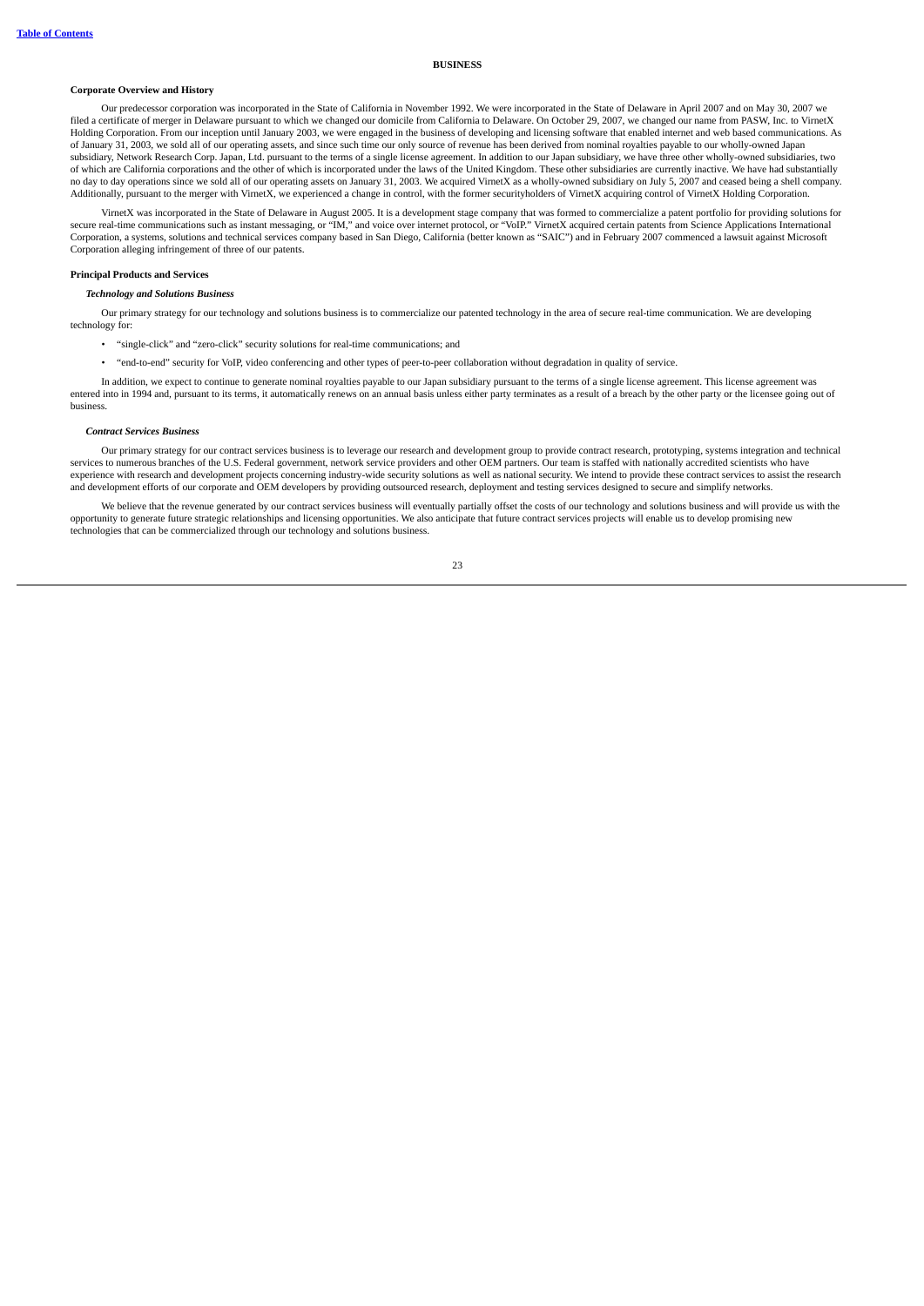#### **BUSINESS**

## <span id="page-27-0"></span>**Corporate Overview and History**

Our predecessor corporation was incorporated in the State of California in November 1992. We were incorporated in the State of Delaware in April 2007 and on May 30, 2007 we filed a certificate of merger in Delaware pursuant to which we changed our domicile from California to Delaware. On October 29, 2007, we changed our name from PASW, Inc. to VirnetX Holding Corporation. From our inception until January 2003, we were engaged in the business of developing and licensing software that enabled internet and web based communications. As of January 31, 2003, we sold all of our operating assets, and since such time our only source of revenue has been derived from nominal royalties payable to our wholly-owned Japan subsidiary, Network Research Corp. Japan, Ltd. pursuant to the terms of a single license agreement. In addition to our Japan subsidiary, we have three other wholly-owned subsidiaries, two of which are California corporations and the other of which is incorporated under the laws of the United Kingdom. These other subsidiaries are currently inactive. We have had substantially no day to day operations since we sold all of our operating assets on January 31, 2003. We acquired VirnetX as a wholly-owned subsidiary on July 5, 2007 and ceased being a shell company. Additionally, pursuant to the merger with VirnetX, we experienced a change in control, with the former securityholders of VirnetX acquiring control of VirnetX Holding Corporation.

VirnetX was incorporated in the State of Delaware in August 2005. It is a development stage company that was formed to commercialize a patent portfolio for providing solutions for secure real-time communications such as instant messaging, or "IM," and voice over internet protocol, or "VoIP." VirnetX acquired certain patents from Science Applications International<br>Corporation, a systems, solutions an Corporation alleging infringement of three of our patents.

## **Principal Products and Services**

#### *Technology and Solutions Business*

Our primary strategy for our technology and solutions business is to commercialize our patented technology in the area of secure real-time communication. We are developing technology for:

- "single-click" and "zero-click" security solutions for real-time communications; and
- "end-to-end" security for VoIP, video conferencing and other types of peer-to-peer collaboration without degradation in quality of service.

In addition, we expect to continue to generate nominal royalties payable to our Japan subsidiary pursuant to the terms of a single license agreement. This license agreement was entered into in 1994 and, pursuant to its terms, it automatically renews on an annual basis unless either party terminates as a result of a breach by the other party or the licensee going out of business.

## *Contract Services Business*

Our primary strategy for our contract services business is to leverage our research and development group to provide contract research, prototyping, systems integration and technical services to numerous branches of the U.S. Federal government, network service providers and other OEM partners. Our team is staffed with nationally accredited scientists who have experience with research and development projects concerning industry-wide security solutions as well as national security. We intend to provide these contract services to assist the research and development efforts of our corporate and OEM developers by providing outsourced research, deployment and testing services designed to secure and simplify networks.

We believe that the revenue generated by our contract services business will eventually partially offset the costs of our technology and solutions business and will provide us with the opportunity to generate future strategic relationships and licensing opportunities. We also anticipate that future contract services projects will enable us to develop promising new technologies that can be commercialized through our technology and solutions business.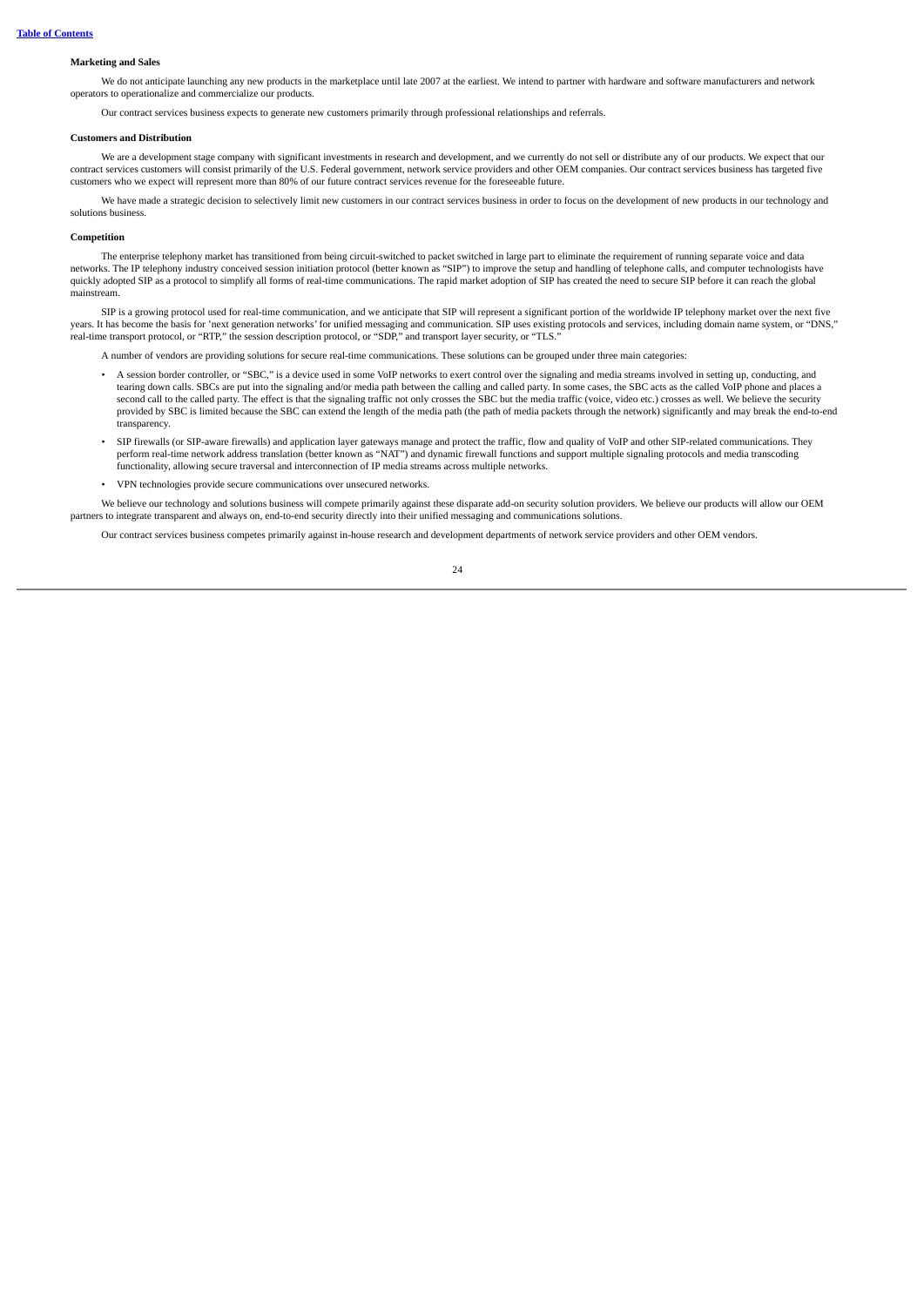#### **Marketing and Sales**

We do not anticipate launching any new products in the marketplace until late 2007 at the earliest. We intend to partner with hardware and software manufacturers and network operators to operationalize and commercialize our products.

Our contract services business expects to generate new customers primarily through professional relationships and referrals.

#### **Customers and Distribution**

We are a development stage company with significant investments in research and development, and we currently do not sell or distribute any of our products. We expect that our contract services customers will consist primarily of the U.S. Federal government, network service providers and other OEM companies. Our contract services business has targeted five customers who we expect will represent more than 80% of our future contract services revenue for the foreseeable future.

We have made a strategic decision to selectively limit new customers in our contract services business in order to focus on the development of new products in our technology and solutions business.

#### **Competition**

The enterprise telephony market has transitioned from being circuit-switched to packet switched in large part to eliminate the requirement of running separate voice and data networks. The IP telephony industry conceived session initiation protocol (better known as "SIP") to improve the setup and handling of telephone calls, and computer technologists have quickly adopted SIP as a protocol to simplify all forms of real-time communications. The rapid market adoption of SIP has created the need to secure SIP before it can reach the global mainstream.

SIP is a growing protocol used for real-time communication, and we anticipate that SIP will represent a significant portion of the worldwide IP telephony market over the next five years. It has become the basis for 'next generation networks' for unified messaging and communication. SIP uses existing protocols and services, including domain name system, or "DNS,"<br>real-time transport protocol, or "RTP

number of vendors are providing solutions for secure real-time communications. These solutions can be grouped under three main categories:

- A session border controller, or "SBC," is a device used in some VoIP networks to exert control over the signaling and media streams involved in setting up, conducting, and tearing down calls. SBCs are put into the signaling and/or media path between the calling and called party. In some cases, the SBC acts as the called VoIP phone and places a second call to the called party. The effect is that the signaling traffic not only crosses the SBC but the media traffic (voice, video etc.) crosses as well. We believe the security provided by SBC is limited because the SBC can extend the length of the media path (the path of media packets through the network) significantly and may break the end-to-end transparency.
- SIP firewalls (or SIP-aware firewalls) and application layer gateways manage and protect the traffic, flow and quality of VoIP and other SIP-related communications. They<br>perform real-time network address translation (bet functionality, allowing secure traversal and interconnection of IP media streams across multiple networks.
- VPN technologies provide secure communications over unsecured networks.

We believe our technology and solutions business will compete primarily against these disparate add-on security solution providers. We believe our products will allow our OEM partners to integrate transparent and always on, end-to-end security directly into their unified messaging and communications solutions.

Our contract services business competes primarily against in-house research and development departments of network service providers and other OEM vendors.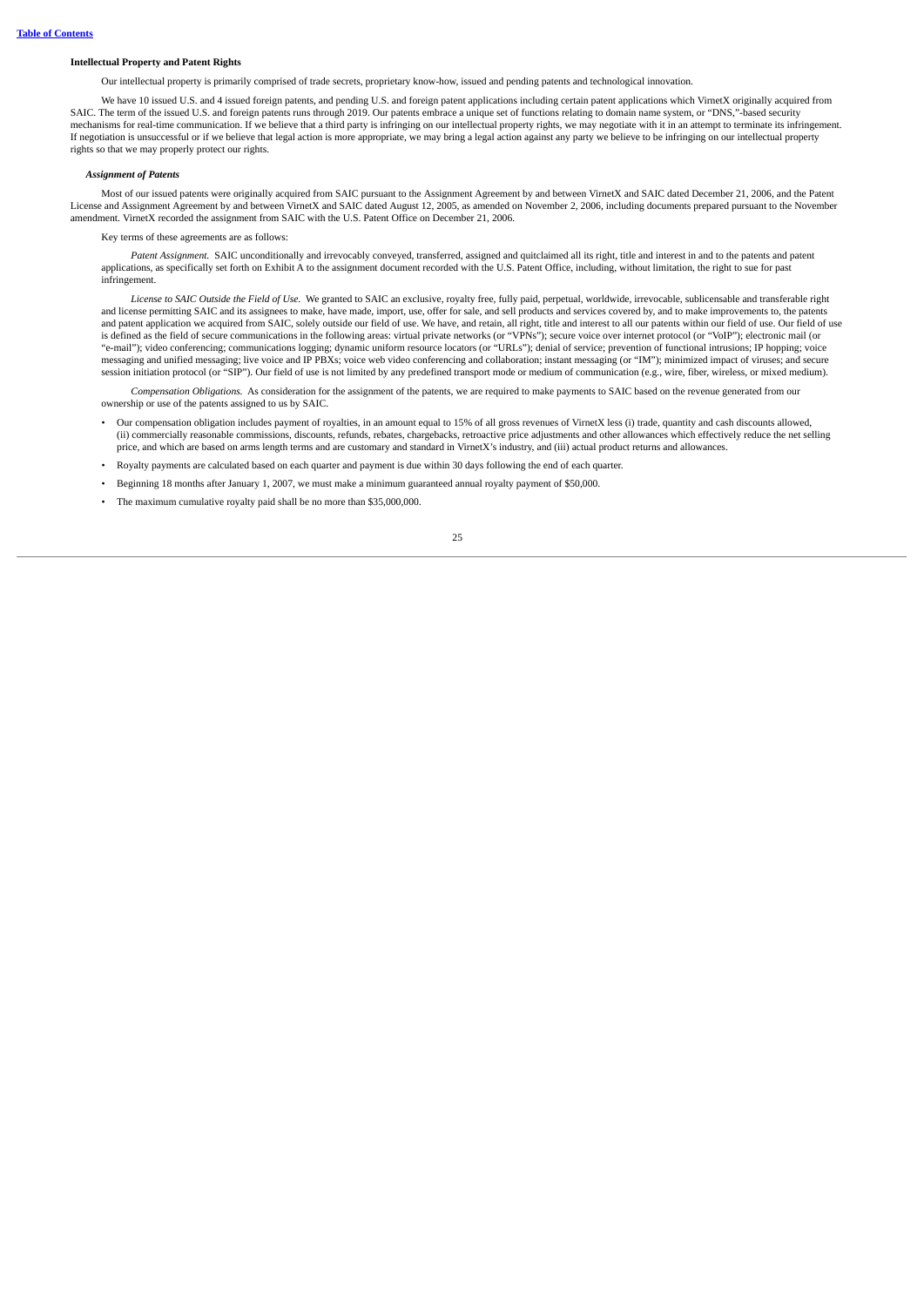## **Intellectual Property and Patent Rights**

Our intellectual property is primarily comprised of trade secrets, proprietary know-how, issued and pending patents and technological innovation.

We have 10 issued U.S. and 4 issued foreign patents, and pending U.S. and foreign patent applications including certain patent applications which VirnetX originally acquired from SAIC. The term of the issued U.S. and foreign patents runs through 2019. Our patents embrace a unique set of functions relating to domain name system, or "DNS,"-based security mechanisms for real-time communication. If we believe that a third party is infringing on our intellectual property rights, we may negotiate with it in an attempt to terminate its infringement. If negotiation is unsuccessful or if we believe that legal action is more appropriate, we may bring a legal action against any party we believe to be infringing on our intellectual property rights so that we may properly protect our rights.

## *Assignment of Patents*

Most of our issued patents were originally acquired from SAIC pursuant to the Assignment Agreement by and between VirnetX and SAIC dated December 21, 2006, and the Patent License and Assignment Agreement by and between VirnetX and SAIC dated August 12, 2005, as amended on November 2, 2006, including documents prepared pursuant to the November amendment. VirnetX recorded the assignment from SAIC with the U.S. Patent Office on December 21, 2006.

#### Key terms of these agreements are as follows:

*Patent Assignment.* SAIC unconditionally and irrevocably conveyed, transferred, assigned and quitclaimed all its right, title and interest in and to the patents and patent applications, as specifically set forth on Exhibit A to the assignment document recorded with the U.S. Patent Office, including, without limitation, the right to sue for past infringement.

License to SAIC Outside the Field of Use. We granted to SAIC an exclusive, royalty free, fully paid, perpetual, worldwide, irrevocable, sublicensable and transferable right and license permitting SAIC and its assignees to make, have made, import, use, offer for sale, and sell products and services covered by, and to make improvements to, the patents and patent application we acquired from SAIC, solely outside our field of use. We have, and retain, all right, title and interest to all our patents within our field of use. Our field of use is defined as the field of secure communications in the following areas: virtual private networks (or "VPNs"); secure voice over internet protocol (or "VoIP"); electronic mail (or  $\sim$ "e-mail"); video conferencing; communications logging; dynamic uniform resource locators (or "URLs"); denial of service; prevention of functional intrusions; IP hopping; voice messaging and unified messaging; live voice and IP PBXs; voice web video conferencing and collaboration; instant messaging (or "IM"); minimized impact of viruses; and secure session initiation protocol (or "SIP"). Our field of use is not limited by any predefined transport mode or medium of communication (e.g., wire, fiber, wireless, or mixed medium).

*Compensation Obligations.* As consideration for the assignment of the patents, we are required to make payments to SAIC based on the revenue generated from our ownership or use of the patents assigned to us by SAIC.

- Our compensation obligation includes payment of royalties, in an amount equal to 15% of all gross revenues of VirnetX less (i) trade, quantity and cash discounts allowed, (ii) commercially reasonable commissions, discounts, refunds, rebates, chargebacks, retroactive price adjustments and other allowances which effectively reduce the net selling price, and which are based on arms length terms and are customary and standard in VirnetX's industry, and (iii) actual product returns and allowances.
- Royalty payments are calculated based on each quarter and payment is due within 30 days following the end of each quarter.
- Beginning 18 months after January 1, 2007, we must make a minimum guaranteed annual royalty payment of \$50,000.
- The maximum cumulative royalty paid shall be no more than \$35,000,000.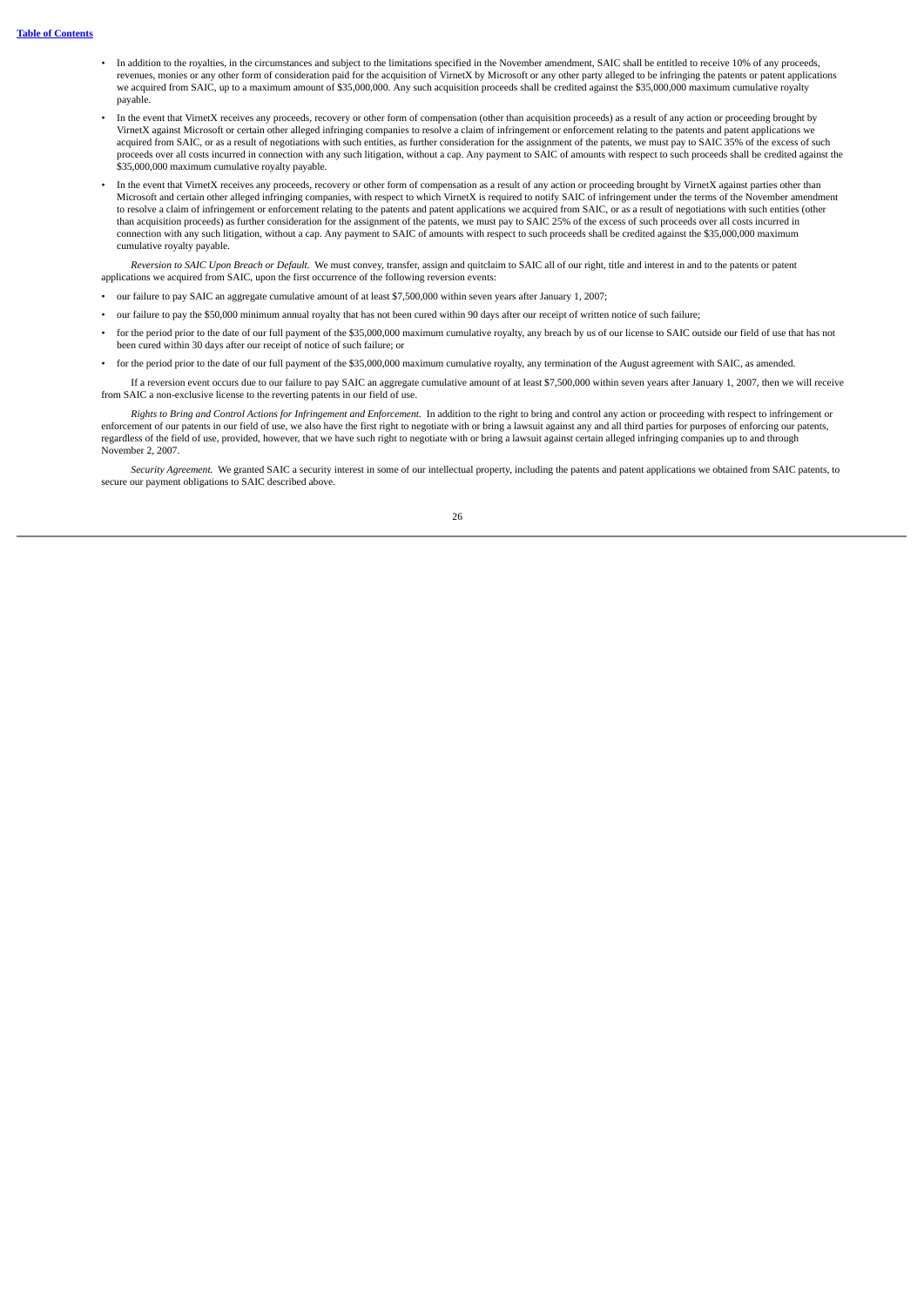- In addition to the royalties, in the circumstances and subject to the limitations specified in the November amendment, SAIC shall be entitled to receive 10% of any proceeds, revenues, monies or any other form of consideration paid for the acquisition of VirnetX by Microsoft or any other party alleged to be infringing the patents or patent applications we acquired from SAIC, up to a maximum amount of \$35,000,000. Any such acquisition proceeds shall be credited against the \$35,000,000 maximum cumulative royalty payable.
- In the event that VirnetX receives any proceeds, recovery or other form of compensation (other than acquisition proceeds) as a result of any action or proceeding brought by VirnetX against Microsoft or certain other alleged infringing companies to resolve a claim of infringement or enforcement relating to the patents and patent applications we acquired from SAIC, or as a result of negotiations with such entities, as further consideration for the assignment of the patents, we must pay to SAIC 35% of the excess of such proceeds over all costs incurred in connection with any such litigation, without a cap. Any payment to SAIC of amounts with respect to such proceeds shall be credited against the \$35,000,000 maximum cumulative royalty payable.
- In the event that VirnetX receives any proceeds, recovery or other form of compensation as a result of any action or proceeding brought by VirnetX against parties other than Microsoft and certain other alleged infringing companies, with respect to which VirnetX is required to notify SAIC of infringement under the terms of the November amendment to resolve a claim of infringement or enforcement relating to the patents and patent applications we acquired from SAIC, or as a result of negotiations with such entities (other than acquisition proceeds) as further consideration for the assignment of the patents, we must pay to SAIC 25% of the excess of such proceeds over all costs incurred in connection with any such litigation, without a cap. Any payment to SAIC of amounts with respect to such proceeds shall be credited against the \$35,000,000 maximum cumulative royalty payable.

*Reversion to SAIC Upon Breach or Default.* We must convey, transfer, assign and quitclaim to SAIC all of our right, title and interest in and to the patents or patent applications we acquired from SAIC, upon the first occurrence of the following reversion events:

- our failure to pay SAIC an aggregate cumulative amount of at least \$7,500,000 within seven years after January 1, 2007;
- our failure to pay the \$50,000 minimum annual royalty that has not been cured within 90 days after our receipt of written notice of such failure;
- for the period prior to the date of our full payment of the \$35,000,000 maximum cumulative royalty, any breach by us of our license to SAIC outside our field of use that has not been cured within 30 days after our receipt of notice of such failure; or
- for the period prior to the date of our full payment of the \$35,000,000 maximum cumulative royalty, any termination of the August agreement with SAIC, as amended.

If a reversion event occurs due to our failure to pay SAIC an aggregate cumulative amount of at least \$7,500,000 within seven years after January 1, 2007, then we will receive from SAIC a non-exclusive license to the reverting patents in our field of use.

Rights to Bring and Control Actions for Infringement and Enforcement. In addition to the right to bring and control any action or proceeding with respect to infringement or enforcement of our patents in our field of use, we also have the first right to negotiate with or bring a lawsuit against any and all third parties for purposes of enforcing our patents, regardless of the field of use, provided, however, that we have such right to negotiate with or bring a lawsuit against certain alleged infringing companies up to and through November 2, 2007.

*Security Agreement.* We granted SAIC a security interest in some of our intellectual property, including the patents and patent applications we obtained from SAIC patents, to secure our payment obligations to SAIC described above.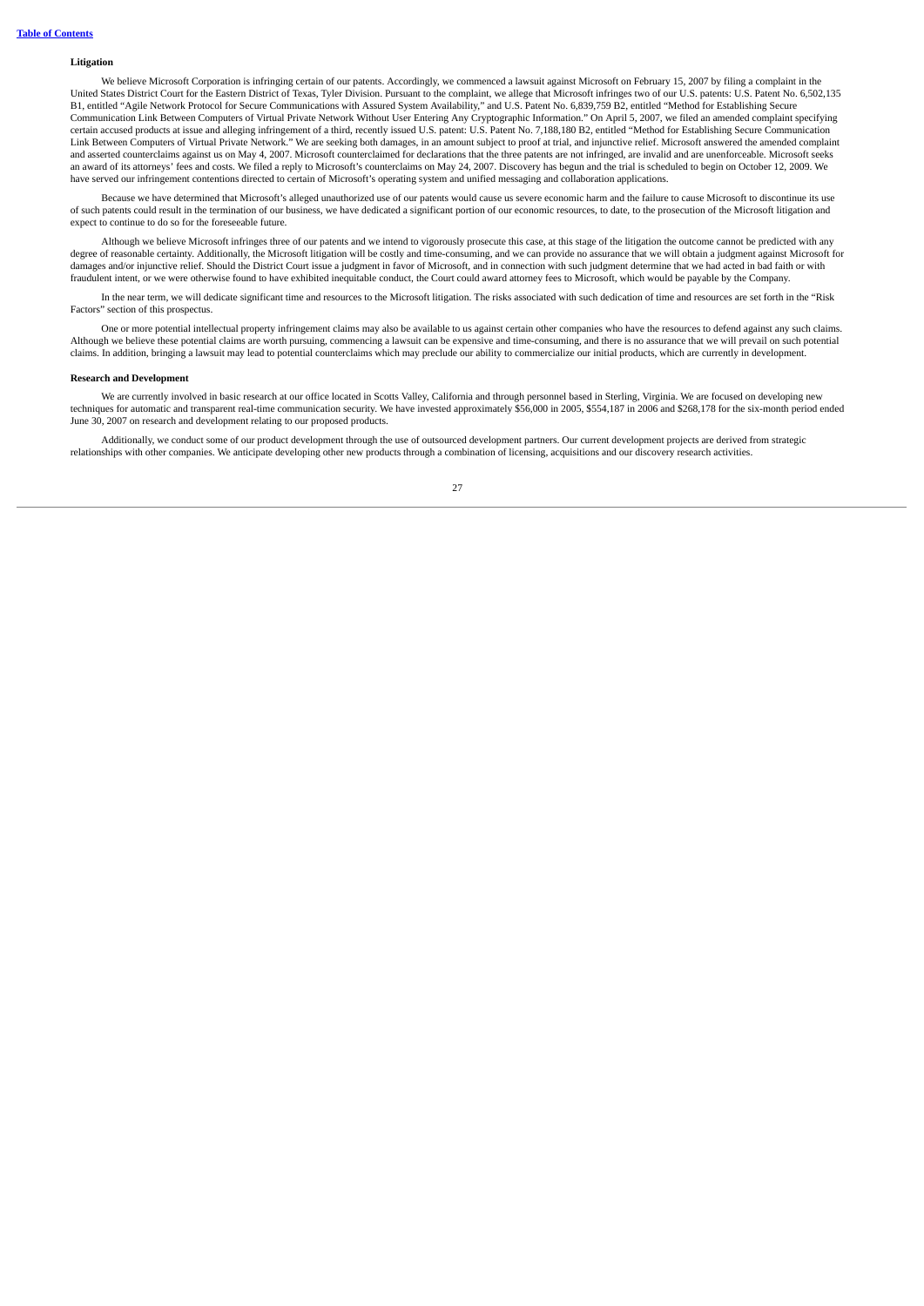#### **Litigation**

We believe Microsoft Corporation is infringing certain of our patents. Accordingly, we commenced a lawsuit against Microsoft on February 15, 2007 by filing a complaint in the United States District Court for the Eastern District of Texas, Tyler Division. Pursuant to the complaint, we allege that Microsoft infringes two of our U.S. patents: U.S. Patent No. 6,502,135 B1, entitled "Agile Network Protocol for Secure Communications with Assured System Availability," and U.S. Patent No. 6,839,759 B2, entitled "Method for Establishing Secure Communication Link Between Computers of Virtual Private Network Without User Entering Any Cryptographic Information." On April 5, 2007, we filed an amended complaint specifying certain accused products at issue and alleging infringement of a third, recently issued U.S. patent: U.S. Patent No. 7,188,180 B2, entitled "Method for Establishing Secure Communication Link Between Computers of Virtual Private Network." We are seeking both damages, in an amount subject to proof at trial, and injunctive relief. Microsoft answered the amended complaint and asserted counterclaims against us on May 4, 2007. Microsoft counterclaimed for declarations that the three patents are not infringed, are invalid and are unenforceable. Microsoft seeks an award of its attorneys' fees and costs. We filed a reply to Microsoft's counterclaims on May 24, 2007. Discovery has begun and the trial is scheduled to begin on October 12, 2009. We have a reply to Microsoft's counterc have served our infringement contentions directed to certain of Microsoft's operating system and unified messaging and collaboration applications.

Because we have determined that Microsoft's alleged unauthorized use of our patents would cause us severe economic harm and the failure to cause Microsoft to discontinue its use of such patents could result in the termination of our business, we have dedicated a significant portion of our economic resources, to date, to the prosecution of the Microsoft litigation and expect to continue to do so for the foreseeable future.

Although we believe Microsoft infringes three of our patents and we intend to vigorously prosecute this case, at this stage of the litigation the outcome cannot be predicted with any degree of reasonable certainty. Additionally, the Microsoft litigation will be costly and time-consuming, and we can provide no assurance that we will obtain a judgment against Microsoft for damages and/or injunctive relief. Should the District Court issue a judgment in favor of Microsoft, and in connection with such judgment determine that we had acted in bad faith or with fraudulent intent, or we were otherwise found to have exhibited inequitable conduct, the Court could award attorney fees to Microsoft, which would be payable by the Company.

In the near term, we will dedicate significant time and resources to the Microsoft litigation. The risks associated with such dedication of time and resources are set forth in the "Risk Factors" section of this prospectus.

One or more potential intellectual property infringement claims may also be available to us against certain other companies who have the resources to defend against any such claims. Although we believe these potential claims are worth pursuing, commencing a lawsuit can be expensive and time-consuming, and there is no assurance that we will prevail on such potential<br>claims. In addition, bringing a laws

#### **Research and Development**

We are currently involved in basic research at our office located in Scotts Valley, California and through personnel based in Sterling, Virginia. We are focused on developing new techniques for automatic and transparent real-time communication security. We have invested approximately \$56,000 in 2005, \$554,187 in 2006 and \$268,178 for the six-month period ended June 30, 2007 on research and development relating to our proposed products.

Additionally, we conduct some of our product development through the use of outsourced development partners. Our current development projects are derived from strategic relationships with other companies. We anticipate developing other new products through a combination of licensing, acquisitions and our discovery research activities.

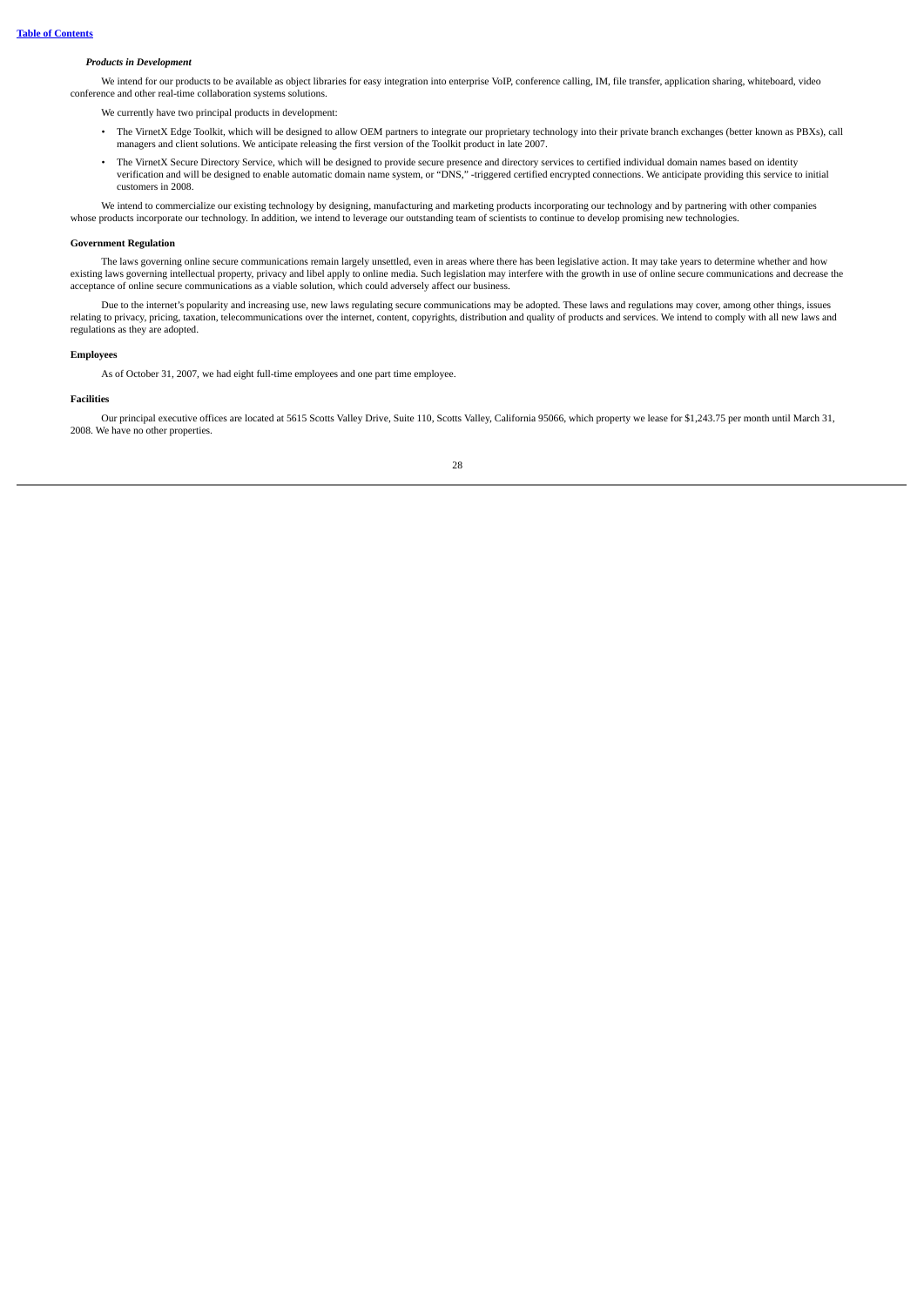## *Products in Development*

We intend for our products to be available as object libraries for easy integration into enterprise VoIP, conference calling, IM, file transfer, application sharing, whiteboard, video conference and other real-time collaboration systems solutions.

We currently have two principal products in development:

- The VirnetX Edge Toolkit, which will be designed to allow OEM partners to integrate our proprietary technology into their private branch exchanges (better known as PBXs), call managers and client solutions. We anticipate releasing the first version of the Toolkit product in late 2007.
- The VirnetX Secure Directory Service, which will be designed to provide secure presence and directory services to certified individual domain names based on identity verification and will be designed to enable automatic domain name system, or "DNS," -triggered certified encrypted connections. We anticipate providing this service to initial customers in 2008.

We intend to commercialize our existing technology by designing, manufacturing and marketing products incorporating our technology and by partnering with other companies whose products incorporate our technology. In addition, we intend to leverage our outstanding team of scientists to continue to develop promising new technologies.

## **Government Regulation**

The laws governing online secure communications remain largely unsettled, even in areas where there has been legislative action. It may take years to determine whether and how existing laws governing intellectual property, privacy and libel apply to online media. Such legislation may interfere with the growth in use of online secure communications and decrease the acceptance of online secure communications as a viable solution, which could adversely affect our business.

Due to the internet's popularity and increasing use, new laws regulating secure communications may be adopted. These laws and regulations may cover, among other things, issues relating to privacy, pricing, taxation, telecommunications over the internet, content, copyrights, distribution and quality of products and services. We intend to comply with all new laws and regulations as they are adopted.

## **Employees**

As of October 31, 2007, we had eight full-time employees and one part time employee.

## **Facilities**

Our principal executive offices are located at 5615 Scotts Valley Drive, Suite 110, Scotts Valley, California 95066, which property we lease for \$1,243.75 per month until March 31, 2008. We have no other properties.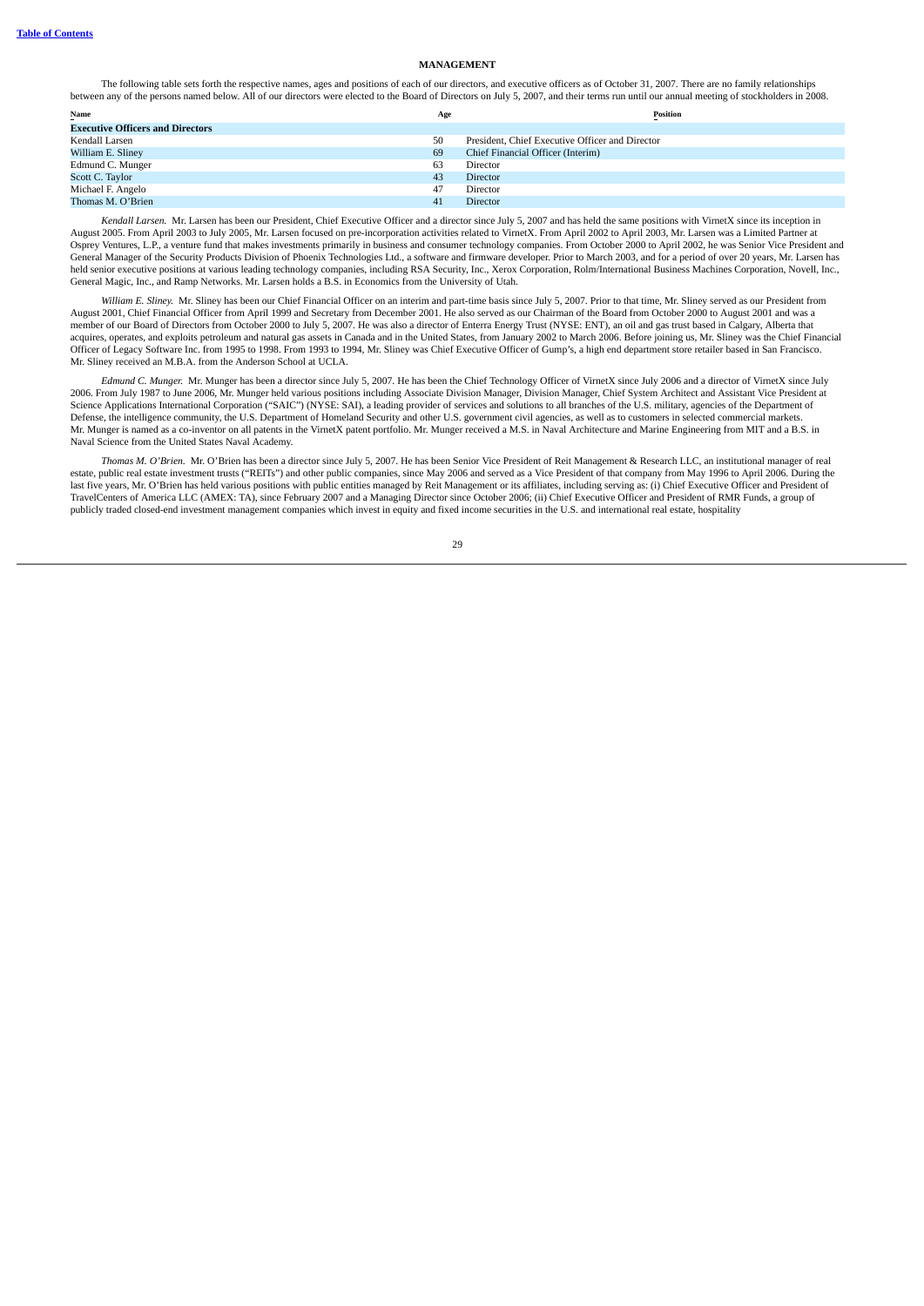## **MANAGEMENT**

<span id="page-33-0"></span>The following table sets forth the respective names, ages and positions of each of our directors, and executive officers as of October 31, 2007. There are no family relationships between any of the persons named below. All of our directors were elected to the Board of Directors on July 5, 2007, and their terms run until our annual meeting of stockholders in 2008.

| Name                                    | Age | <b>Position</b>                                 |
|-----------------------------------------|-----|-------------------------------------------------|
| <b>Executive Officers and Directors</b> |     |                                                 |
| Kendall Larsen                          | 50  | President, Chief Executive Officer and Director |
| William E. Sliney                       | 69  | Chief Financial Officer (Interim)               |
| Edmund C. Munger                        | 63  | Director                                        |
| Scott C. Taylor                         | 43  | <b>Director</b>                                 |
| Michael F. Angelo                       | 47  | Director                                        |
| Thomas M. O'Brien                       | 41  | <b>Director</b>                                 |

*Kendall Larsen.* Mr. Larsen has been our President, Chief Executive Officer and a director since July 5, 2007 and has held the same positions with VirnetX since its inception in August 2005. From April 2003 to July 2005, Mr. Larsen focused on pre-incorporation activities related to VirnetX. From April 2002 to April 2003, Mr. Larsen was a Limited Partner at Osprey Ventures, L.P., a venture fund that makes investments primarily in business and consumer technology companies. From October 2000 to April 2002, he was Senior Vice President and General Manager of the Security Products Division of Phoenix Technologies Ltd., a software and firmware developer. Prior to March 2003, and for a period of over 20 years, Mr. Larsen has held senior executive positions at various leading technology companies, including RSA Security, Inc., Xerox Corporation, Rolm/International Business Machines Corporation, Novell, Inc., General Magic, Inc., and Ramp Networks. Mr. Larsen holds a B.S. in Economics from the University of Utah.

*William E. Sliney.* Mr. Sliney has been our Chief Financial Officer on an interim and part-time basis since July 5, 2007. Prior to that time, Mr. Sliney served as our President from August 2001, Chief Financial Officer from April 1999 and Secretary from December 2001. He also served as our Chairman of the Board from October 2000 to August 2001 and was a member of our Board of Directors from October 2000 to July 5, 2007. He was also a director of Enterra Energy Trust (NYSE: ENT), an oil and gas trust based in Calgary, Alberta that acquires, operates, and exploits petroleum and natural gas assets in Canada and in the United States, from January 2002 to March 2006. Before joining us, Mr. Sliney was the Chief Financial Officer of Legacy Software Inc. from 1995 to 1998. From 1993 to 1994, Mr. Sliney was Chief Executive Officer of Gump's, a high end department store retailer based in San Francisco. Mr. Sliney received an M.B.A. from the Anderson School at UCLA.

*Edmund C. Munger.* Mr. Munger has been a director since July 5, 2007. He has been the Chief Technology Officer of VirnetX since July 2006 and a director of VirnetX since July 2006. From July 1987 to June 2006, Mr. Munger held various positions including Associate Division Manager, Division Manager, Chief System Architect and Assistant Vice President at Science Applications International Corporation ("SAIC") (NYSE: SAI), a leading provider of services and solutions to all branches of the U.S. military, agencies of the Department of Defense, the intelligence community, the U.S. Department of Homeland Security and other U.S. government civil agencies, as well as to customers in selected commercial markets. Mr. Munger is named as a co-inventor on all patents in the VirnetX patent portfolio. Mr. Munger received a M.S. in Naval Architecture and Marine Engineering from MIT and a B.S. in Naval Science from the United States Naval Academy.

*Thomas M. O'Brien.* Mr. O'Brien has been a director since July 5, 2007. He has been Senior Vice President of Reit Management & Research LLC, an institutional manager of real estate, public real estate investment trusts ("REITs") and other public companies, since May 2006 and served as a Vice President of that company from May 1996 to April 2006. During the last five years, Mr. O'Brien has held various positions with public entities managed by Reit Management or its affiliates, including serving as: (i) Chief Executive Officer and President of TravelCenters of America LLC (AMEX: TA), since February 2007 and a Managing Director since October 2006; (ii) Chief Executive Officer and President of RMR Funds, a group of publicly traded closed-end investment management companies which invest in equity and fixed income securities in the U.S. and international real estate, hospitality

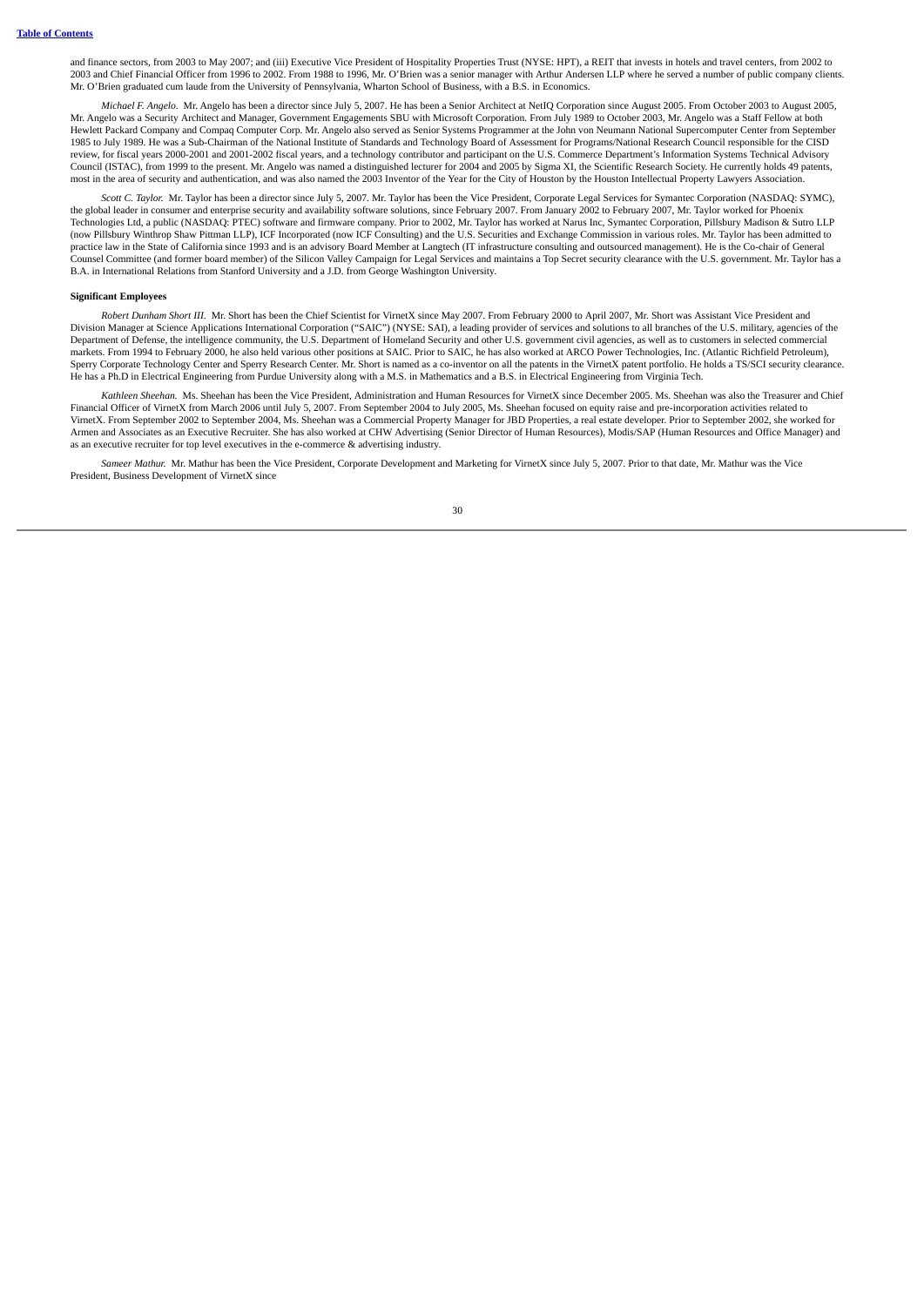and finance sectors, from 2003 to May 2007; and (iii) Executive Vice President of Hospitality Properties Trust (NYSE: HPT), a REIT that invests in hotels and travel centers, from 2002 to 2003 and Chief Financial Officer from 1996 to 2002. From 1988 to 1996, Mr. O'Brien was a senior manager with Arthur Andersen LLP where he served a number of public company clients. Mr. O'Brien graduated cum laude from the University of Pennsylvania, Wharton School of Business, with a B.S. in Economics.

*Michael F. Angelo.* Mr. Angelo has been a director since July 5, 2007. He has been a Senior Architect at NetIQ Corporation since August 2005. From October 2003 to August 2005, Mr. Angelo was a Security Architect and Manager, Government Engagements SBU with Microsoft Corporation. From July 1989 to October 2003, Mr. Angelo was a Staff Fellow at both Hewlett Packard Company and Compaq Computer Corp. Mr. Angelo also served as Senior Systems Programmer at the John von Neumann National Supercomputer Center from September 1985 to July 1989. He was a Sub-Chairman of the National Institute of Standards and Technology Board of Assessment for Programs/National Research Council responsible for the CISD review, for fiscal years 2000-2001 and 2001-2002 fiscal years, and a technology contributor and participant on the U.S. Commerce Department's Information Systems Technical Advisory Council (ISTAC), from 1999 to the present. Mr. Angelo was named a distinguished lecturer for 2004 and 2005 by Sigma XI, the Scientific Research Society. He currently holds 49 patents, most in the area of security and authentication, and was also named the 2003 Inventor of the Year for the City of Houston by the Houston Intellectual Property Lawyers Association.

*Scott C. Taylor.* Mr. Taylor has been a director since July 5, 2007. Mr. Taylor has been the Vice President, Corporate Legal Services for Symantec Corporation (NASDAQ: SYMC), the global leader in consumer and enterprise security and availability software solutions, since February 2007. From January 2002 to February 2007, Mr. Taylor worked for Phoenix Technologies Ltd, a public (NASDAQ: PTEC) software and firmware company. Prior to 2002, Mr. Taylor has worked at Narus Inc, Symantec Corporation, Pillsbury Madison & Sutro LLP (now Pillsbury Winthrop Shaw Pittman LLP), ICF Incorporated (now ICF Consulting) and the U.S. Securities and Exchange Commission in various roles. Mr. Taylor has been admitted to practice law in the State of California since 1993 and is an advisory Board Member at Langtech (IT infrastructure consulting and outsourced management). He is the Co-chair of General Counsel Committee (and former board member) of the Silicon Valley Campaign for Legal Services and maintains a Top Secret security clearance with the U.S. government. Mr. Taylor has a B.A. in International Relations from Stanford University and a J.D. from George Washington University.

## **Significant Employees**

*Robert Dunham Short III.* Mr. Short has been the Chief Scientist for VirnetX since May 2007. From February 2000 to April 2007, Mr. Short was Assistant Vice President and Division Manager at Science Applications International Corporation ("SAIC") (NYSE: SAI), a leading provider of services and solutions to all branches of the U.S. military, agencies of the Department of Defense, the intelligence community, the U.S. Department of Homeland Security and other U.S. government civil agencies, as well as to customers in selected commercial markets. From 1994 to February 2000, he also held various other positions at SAIC. Prior to SAIC, he has also worked at ARCO Power Technologies, Inc. (Atlantic Richfield Petroleum), Sperry Corporate Technology Center and Sperry Research Center. Mr. Short is named as a co-inventor on all the patents in the VirnetX patent portfolio. He holds a TS/SCI security clearance. He has a Ph.D in Electrical Engineering from Purdue University along with a M.S. in Mathematics and a B.S. in Electrical Engineering from Virginia Tech.

*Kathleen Sheehan.* Ms. Sheehan has been the Vice President, Administration and Human Resources for VirnetX since December 2005. Ms. Sheehan was also the Treasurer and Chief Financial Officer of VirnetX from March 2006 until July 5, 2007. From September 2004 to July 2005, Ms. Sheehan focused on equity raise and pre-incorporation activities related to VirnetX. From September 2002 to September 2004, Ms. Sheehan was a Commercial Property Manager for JBD Properties, a real estate developer. Prior to September 2002, she worked for<br>Armen and Associates as an Executive Recrui as an executive recruiter for top level executives in the e-commerce & advertising industry.

*Sameer Mathur.* Mr. Mathur has been the Vice President, Corporate Development and Marketing for VirnetX since July 5, 2007. Prior to that date, Mr. Mathur was the Vice President, Business Development of VirnetX since

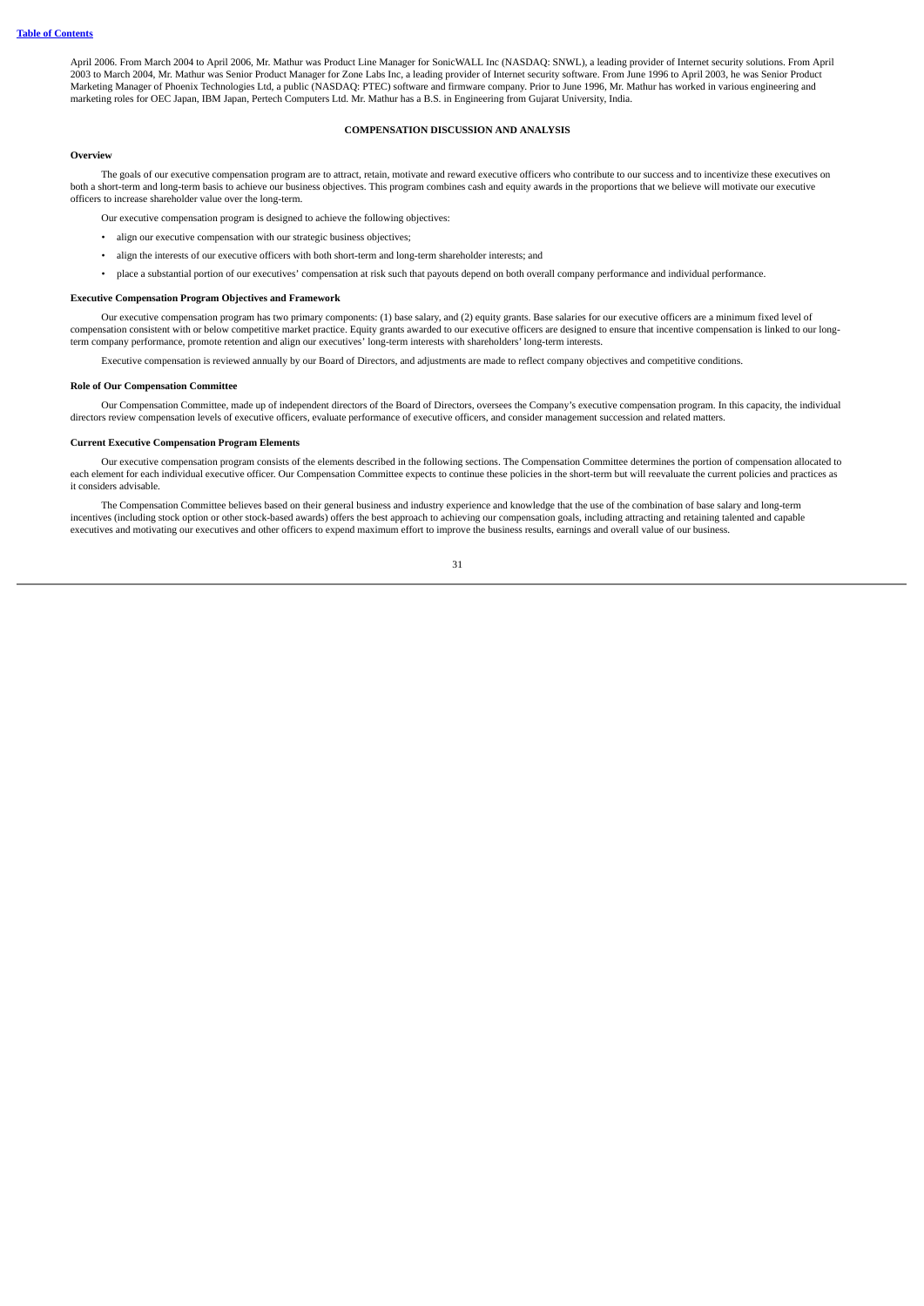April 2006. From March 2004 to April 2006, Mr. Mathur was Product Line Manager for SonicWALL Inc (NASDAQ: SNWL), a leading provider of Internet security solutions. From April 2003 to March 2004, Mr. Mathur was Senior Product Manager for Zone Labs Inc, a leading provider of Internet security software. From June 1996 to April 2003, he was Senior Product Marketing Manager of Phoenix Technologies Ltd, a public (NASDAQ: PTEC) software and firmware company. Prior to June 1996, Mr. Mathur has worked in various engineering and marketing roles for OEC Japan, IBM Japan, Pertech Computers Ltd. Mr. Mathur has a B.S. in Engineering from Gujarat University, India.

## **COMPENSATION DISCUSSION AND ANALYSIS**

## <span id="page-35-0"></span>**Overview**

The goals of our executive compensation program are to attract, retain, motivate and reward executive officers who contribute to our success and to incentivize these executives on both a short-term and long-term basis to achieve our business objectives. This program combines cash and equity awards in the proportions that we believe will motivate our executive officers to increase shareholder value over the long-term.

Our executive compensation program is designed to achieve the following objectives:

- align our executive compensation with our strategic business objectives;
- align the interests of our executive officers with both short-term and long-term shareholder interests; and
- place a substantial portion of our executives' compensation at risk such that payouts depend on both overall company performance and individual performance.

## **Executive Compensation Program Objectives and Framework**

Our executive compensation program has two primary components: (1) base salary, and (2) equity grants. Base salaries for our executive officers are a minimum fixed level of compensation consistent with or below competitive market practice. Equity grants awarded to our executive officers are designed to ensure that incentive compensation is linked to our longterm company performance, promote retention and align our executives' long-term interests with shareholders' long-term interests.

Executive compensation is reviewed annually by our Board of Directors, and adjustments are made to reflect company objectives and competitive conditions.

## **Role of Our Compensation Committee**

Our Compensation Committee, made up of independent directors of the Board of Directors, oversees the Company's executive compensation program. In this capacity, the individual directors review compensation levels of executive officers, evaluate performance of executive officers, and consider management succession and related matters.

#### **Current Executive Compensation Program Elements**

Our executive compensation program consists of the elements described in the following sections. The Compensation Committee determines the portion of compensation allocated to each element for each individual executive officer. Our Compensation Committee expects to continue these policies in the short-term but will reevaluate the current policies and practices as it considers advisable.

The Compensation Committee believes based on their general business and industry experience and knowledge that the use of the combination of base salary and long-term incentives (including stock option or other stock-based awards) offers the best approach to achieving our compensation goals, including attracting and retaining talented and capable executives and motivating our executives and other officers to expend maximum effort to improve the business results, earnings and overall value of our business.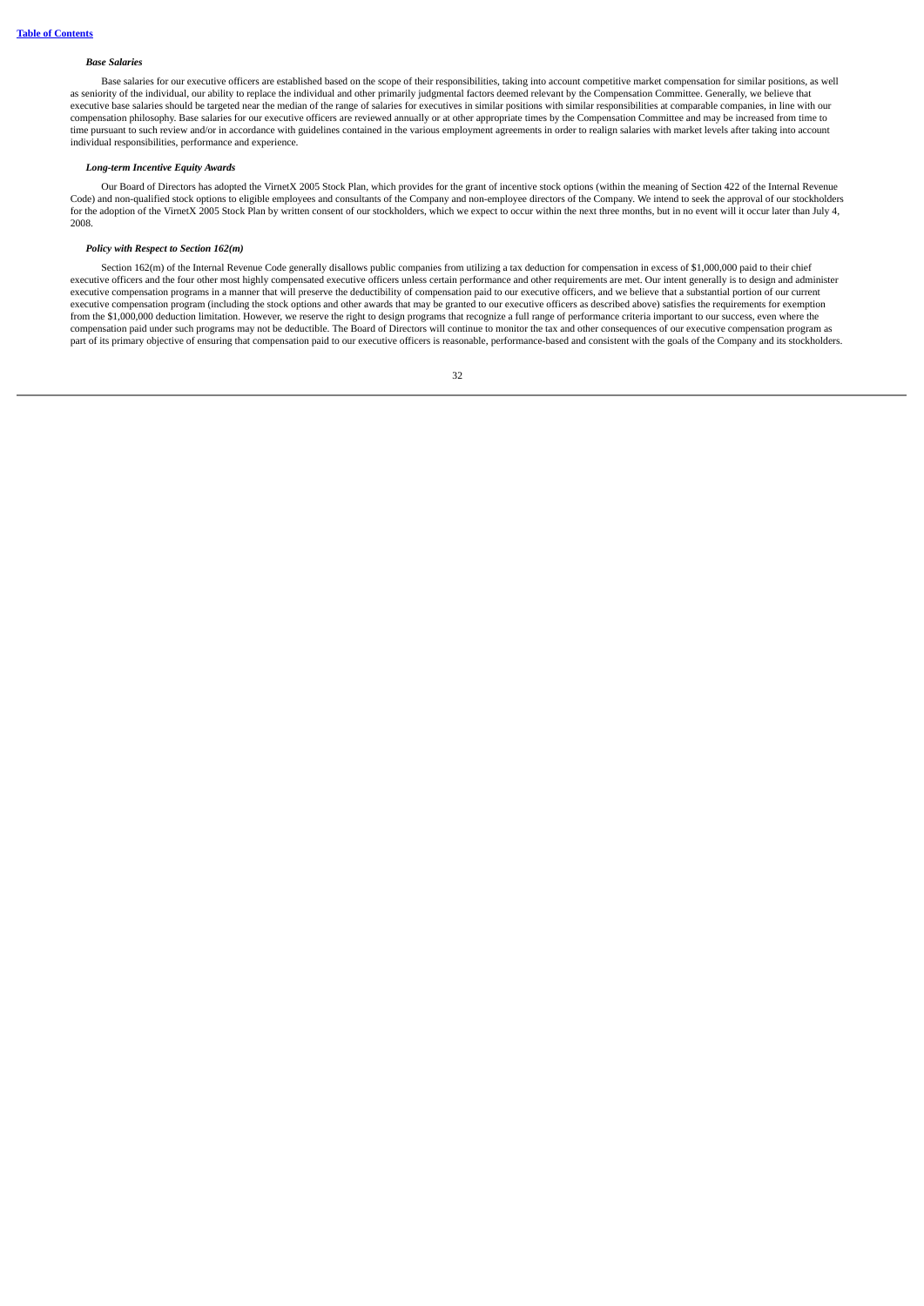## *Base Salaries*

Base salaries for our executive officers are established based on the scope of their responsibilities, taking into account competitive market compensation for similar positions, as well as seniority of the individual, our ability to replace the individual and other primarily judgmental factors deemed relevant by the Compensation Committee. Generally, we believe that executive base salaries should be targeted near the median of the range of salaries for executives in similar positions with similar responsibilities at comparable companies, in line with our compensation philosophy. Base salaries for our executive officers are reviewed annually or at other appropriate times by the Compensation Committee and may be increased from time to time pursuant to such review and/or in accordance with guidelines contained in the various employment agreements in order to realign salaries with market levels after taking into account individual responsibilities, performance and experience.

#### *Long-term Incentive Equity Awards*

Our Board of Directors has adopted the VirnetX 2005 Stock Plan, which provides for the grant of incentive stock options (within the meaning of Section 422 of the Internal Revenue Code) and non-qualified stock options to eligible employees and consultants of the Company and non-employee directors of the Company. We intend to seek the approval of our stockholders<br>for the adoption of the VirnetX 2005 2008.

## *Policy with Respect to Section 162(m)*

Section 162(m) of the Internal Revenue Code generally disallows public companies from utilizing a tax deduction for compensation in excess of \$1,000,000 paid to their chief<br>executive officers and the four other most highly executive compensation programs in a manner that will preserve the deductibility of compensation paid to our executive officers, and we believe that a substantial portion of our current executive compensation program (including the stock options and other awards that may be granted to our executive officers as described above) satisfies the requirements for exemption from the \$1,000,000 deduction limitation. However, we reserve the right to design programs that recognize a full range of performance criteria important to our success, even where the compensation paid under such programs may not be deductible. The Board of Directors will continue to monitor the tax and other consequences of our executive compensation program as part of its primary objective of ensuring that compensation paid to our executive officers is reasonable, performance-based and consistent with the goals of the Company and its stockholders.

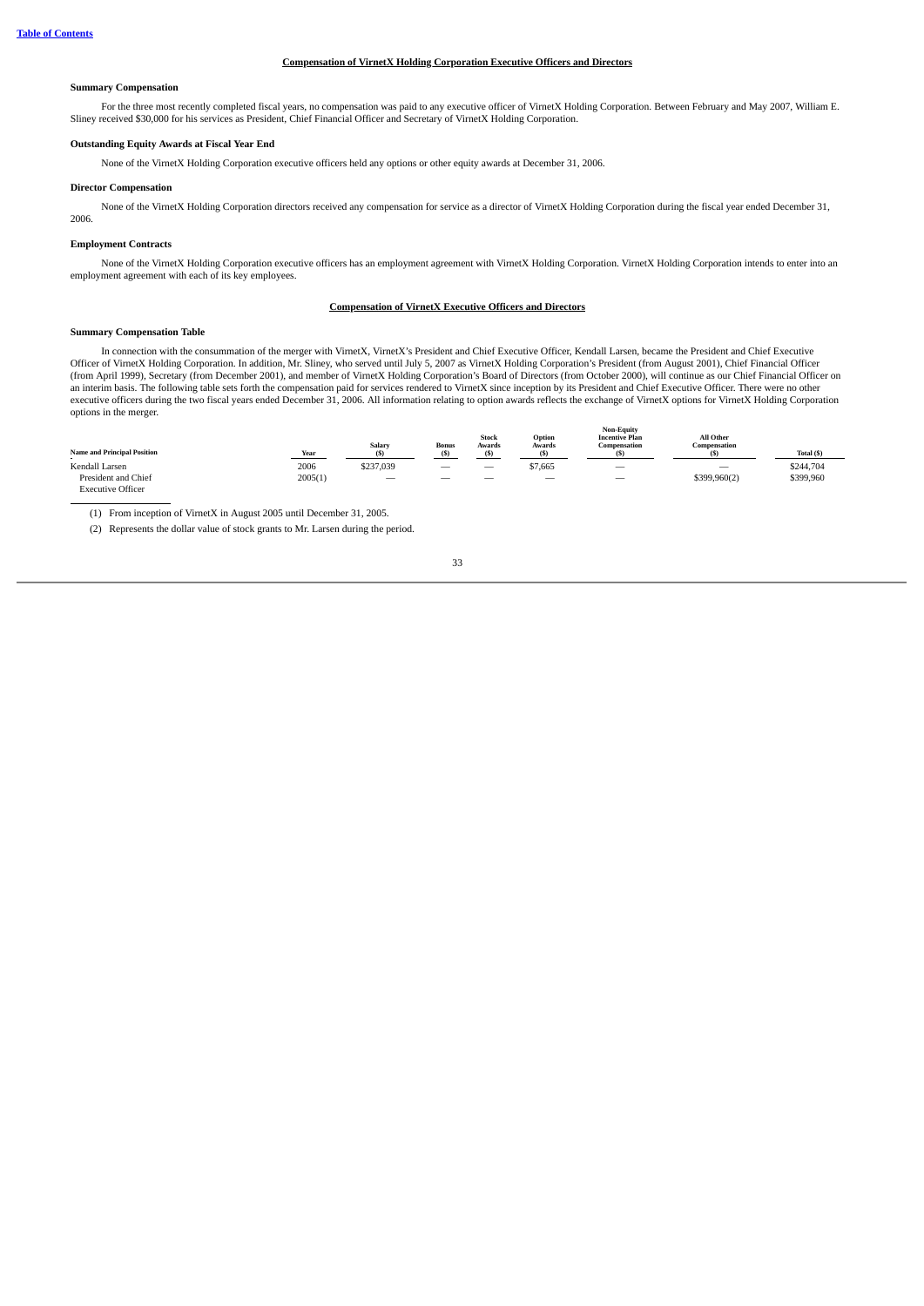## **Compensation of VirnetX Holding Corporation Executive Officers and Directors**

## **Summary Compensation**

For the three most recently completed fiscal years, no compensation was paid to any executive officer of VirnetX Holding Corporation. Between February and May 2007, William E.<br>Sliney received \$30,000 for his services as Pr

## **Outstanding Equity Awards at Fiscal Year End**

None of the VirnetX Holding Corporation executive officers held any options or other equity awards at December 31, 2006.

## **Director Compensation**

None of the VirnetX Holding Corporation directors received any compensation for service as a director of VirnetX Holding Corporation during the fiscal year ended December 31, 2006.

## **Employment Contracts**

None of the VirnetX Holding Corporation executive officers has an employment agreement with VirnetX Holding Corporation. VirnetX Holding Corporation intends to enter into an employment agreement with each of its key employees.

## **Compensation of VirnetX Executive Officers and Directors**

## **Summary Compensation Table**

In connection with the consummation of the merger with VirnetX, VirnetX's President and Chief Executive Officer, Kendall Larsen, became the President and Chief Executive<br>Officer of VirnetX Holding Corporation In addition, (from April 1999), Secretary (from December 2001), and member of VirnetX Holding Corporation's Board of Directors (from October 2000), will continue as our Chief Financial Officer on an interim basis. The following table sets forth the compensation paid for services rendered to VirnetX since inception by its President and Chief Executive Officer. There were no other executive officers during the two fiscal years ended December 31, 2006. All information relating to option awards reflects the exchange of VirnetX options for VirnetX Holding Corporation options in the merger.

| <b>Name and Principal Position</b> | Year    | Salary<br>(S) | <b>Bonus</b>                    | <b>Stock</b><br>Awards<br>(S)   | Option<br>Awards<br>(S)         | Non-Equity<br><b>Incentive Plan</b><br>Compensation | All Other<br>Compensation | Total (\$) |
|------------------------------------|---------|---------------|---------------------------------|---------------------------------|---------------------------------|-----------------------------------------------------|---------------------------|------------|
| Kendall Larsen                     | 2006    | \$237,039     | $\qquad \qquad -$               | $\hspace{0.1mm}-\hspace{0.1mm}$ | \$7,665                         | $\overline{\phantom{a}}$                            | $\overline{\phantom{a}}$  | \$244,704  |
| President and Chief                | 2005(1) |               | $\hspace{0.1mm}-\hspace{0.1mm}$ | $\hspace{0.1mm}-\hspace{0.1mm}$ | $\hspace{0.1mm}-\hspace{0.1mm}$ |                                                     | \$399,960(2)              | \$399,960  |
| <b>Executive Officer</b>           |         |               |                                 |                                 |                                 |                                                     |                           |            |

(1) From inception of VirnetX in August 2005 until December 31, 2005.

(2) Represents the dollar value of stock grants to Mr. Larsen during the period.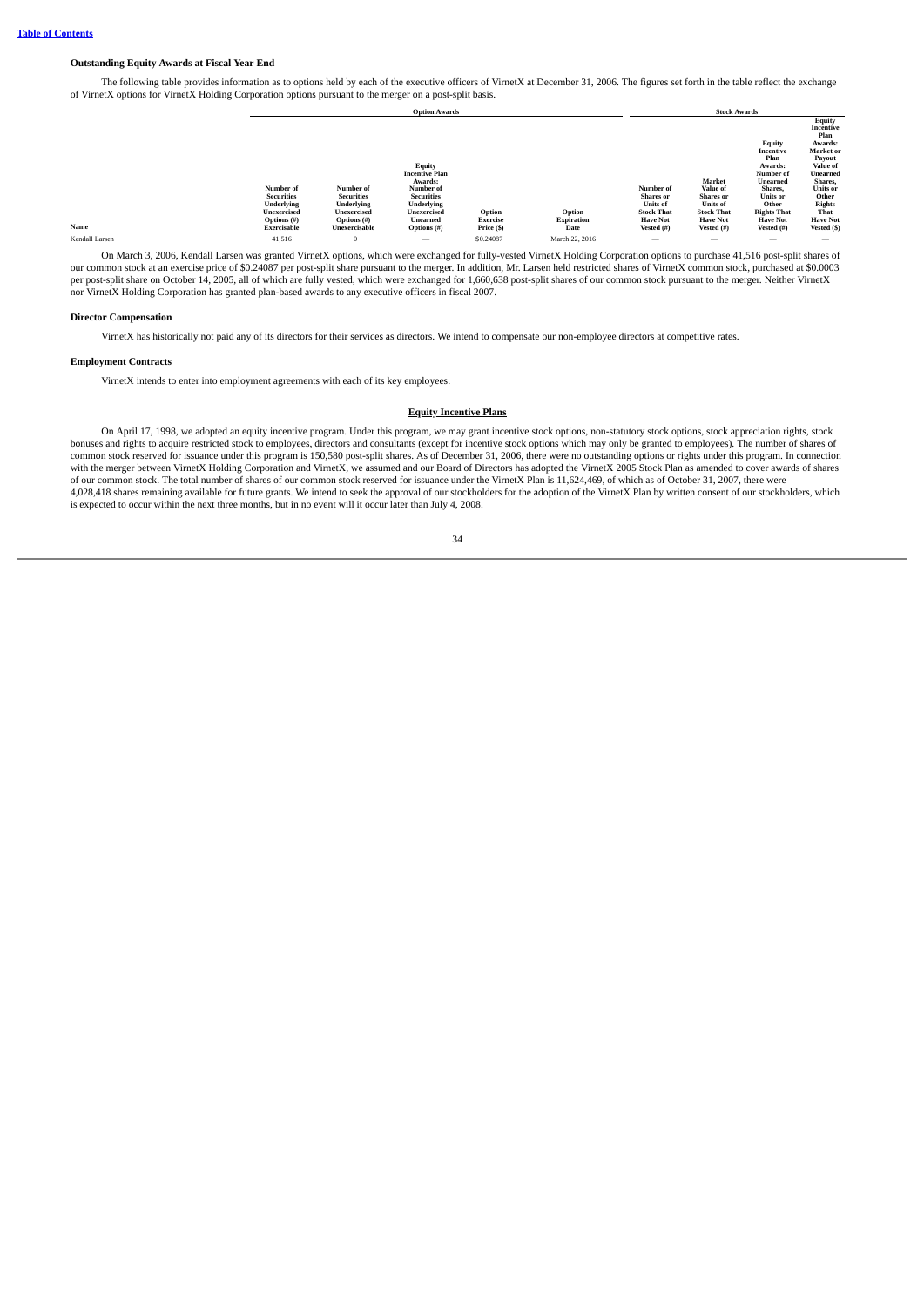## **Outstanding Equity Awards at Fiscal Year End**

The following table provides information as to options held by each of the executive officers of VirnetX at December 31, 2006. The figures set forth in the table reflect the exchange of VirnetX options for VirnetX Holding Corporation options pursuant to the merger on a post-split basis.

|                |                                                                                                  |                                                                                                    | <b>Option Awards</b>                                                                                                                 |                                         |                                     |                                                                                                        | <b>Stock Awards</b>                                                                                             |                                                                                                                                                                      |                                                                                                                                                                                                |
|----------------|--------------------------------------------------------------------------------------------------|----------------------------------------------------------------------------------------------------|--------------------------------------------------------------------------------------------------------------------------------------|-----------------------------------------|-------------------------------------|--------------------------------------------------------------------------------------------------------|-----------------------------------------------------------------------------------------------------------------|----------------------------------------------------------------------------------------------------------------------------------------------------------------------|------------------------------------------------------------------------------------------------------------------------------------------------------------------------------------------------|
| Name           | Number of<br><b>Securities</b><br>Underlying<br><b>Unexercised</b><br>Options (#)<br>Exercisable | Number of<br><b>Securities</b><br>Underlying<br><b>Unexercised</b><br>Options (#)<br>Unexercisable | Equity<br><b>Incentive Plan</b><br>Awards:<br>Number of<br><b>Securities</b><br>Underlying<br>Unexercised<br>Unearned<br>Options (#) | Option<br><b>Exercise</b><br>Price (\$) | Option<br><b>Expiration</b><br>Date | Number of<br><b>Shares</b> or<br><b>Units of</b><br><b>Stock That</b><br><b>Have Not</b><br>Vested (#) | Market<br>Value of<br><b>Shares</b> or<br><b>Units of</b><br><b>Stock That</b><br><b>Have Not</b><br>Vested (#) | Equity<br>Incentive<br>Plan<br>Awards:<br>Number of<br><b>Unearned</b><br>Shares,<br><b>Units or</b><br>Other<br><b>Rights That</b><br><b>Have Not</b><br>Vested (#) | Equity<br>Incentive<br>Plan<br>Awards:<br>Market or<br>Payout<br>Value of<br><b>Unearned</b><br>Shares,<br><b>Units or</b><br>Other<br><b>Rights</b><br>That<br><b>Have Not</b><br>Vested (\$) |
| Kendall Larsen | 41,516                                                                                           | $\bf{0}$                                                                                           | $\hspace{0.1mm}-\hspace{0.1mm}$                                                                                                      | \$0,24087                               | March 22, 2016                      | $\sim$                                                                                                 | $\sim$                                                                                                          | -                                                                                                                                                                    |                                                                                                                                                                                                |

On March 3, 2006, Kendall Larsen was granted VirnetX options, which were exchanged for fully-vested VirnetX Holding Corporation options to purchase 41,516 post-split shares of our common stock at an exercise price of \$0.24087 per post-split share pursuant to the merger. In addition, Mr. Larsen held restricted shares of VirnetX common stock, purchased at \$0.0003<br>per post-split share on October 14 nor VirnetX Holding Corporation has granted plan-based awards to any executive officers in fiscal 2007.

## **Director Compensation**

VirnetX has historically not paid any of its directors for their services as directors. We intend to compensate our non-employee directors at competitive rates.

## **Employment Contracts**

VirnetX intends to enter into employment agreements with each of its key employees.

## **Equity Incentive Plans**

On April 17, 1998, we adopted an equity incentive program. Under this program, we may grant incentive stock options, non-statutory stock options, stock appreciation rights, stock bonuses and rights to acquire restricted stock to employees, directors and consultants (except for incentive stock options which may only be granted to employees). The number of shares of common stock reserved for issuance under this program is 150,580 post-split shares. As of December 31, 2006, there were no outstanding options or rights under this program. In connection with the merger between VirnetX Holding Corporation and VirnetX, we assumed and our Board of Directors has adopted the VirnetX 2005 Stock Plan as amended to cover awards of shares of our common stock. The total number of shares of our common stock reserved for issuance under the VirnetX Plan is 11,624,469, of which as of October 31, 2007, there were 4,028,418 shares remaining available for future grants. We intend to seek the approval of our stockholders for the adoption of the VirnetX Plan by written consent of our stockholders, which is expected to occur within the next three months, but in no event will it occur later than July 4, 2008.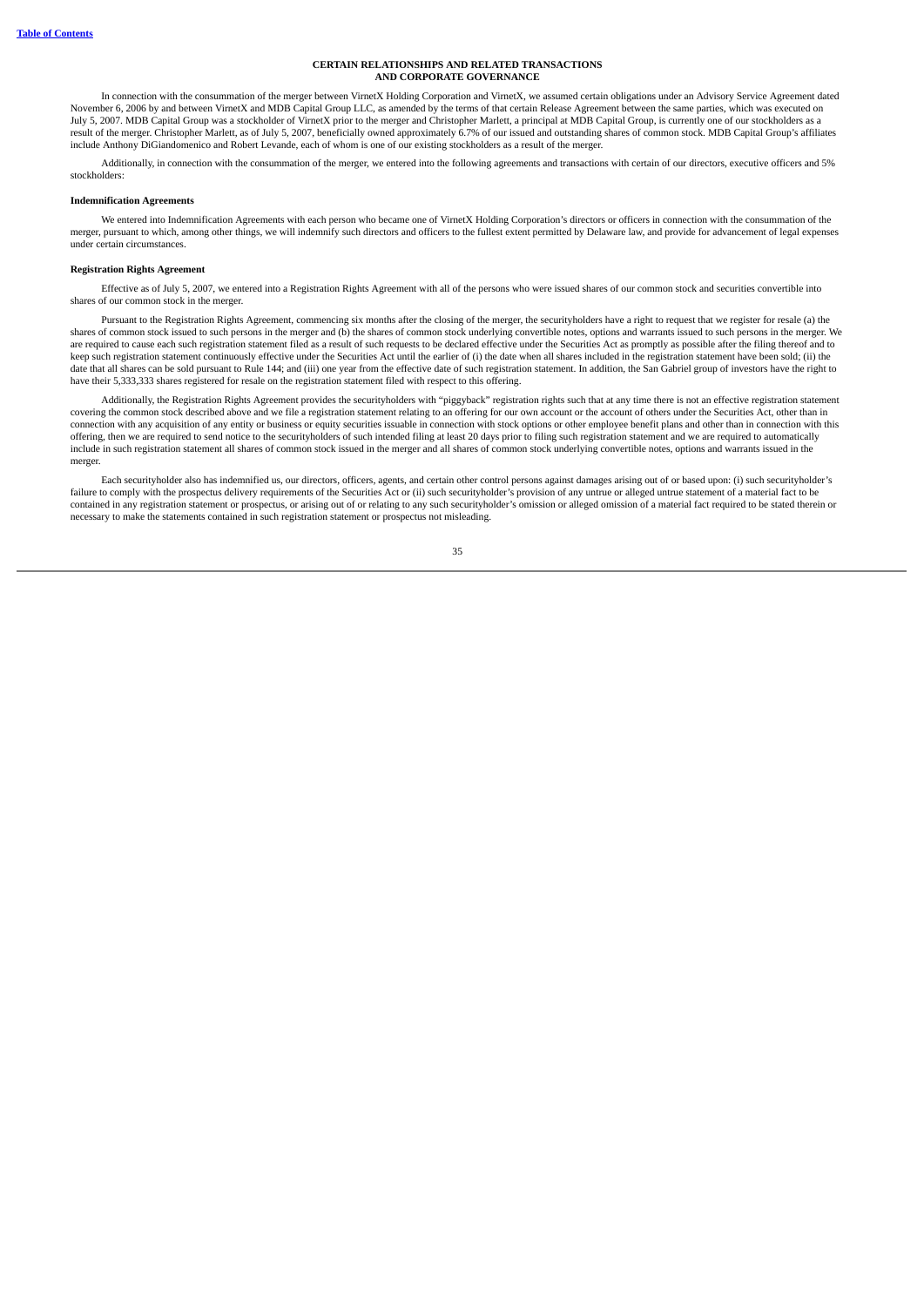#### **CERTAIN RELATIONSHIPS AND RELATED TRANSACTIONS AND CORPORATE GOVERNANCE**

In connection with the consummation of the merger between VirnetX Holding Corporation and VirnetX, we assumed certain obligations under an Advisory Service Agreement dated November 6, 2006 by and between VirnetX and MDB Capital Group LLC, as amended by the terms of that certain Release Agreement between the same parties, which was executed on July 5, 2007. MDB Capital Group was a stockholder of VirnetX prior to the merger and Christopher Marlett, a principal at MDB Capital Group, is currently one of our stockholders as a result of the merger. Christopher Marlett, as of July 5, 2007, beneficially owned approximately 6.7% of our issued and outstanding shares of common stock. MDB Capital Group's affiliates include Anthony DiGiandomenico and Robert Levande, each of whom is one of our existing stockholders as a result of the merger.

Additionally, in connection with the consummation of the merger, we entered into the following agreements and transactions with certain of our directors, executive officers and 5% stockholders:

#### **Indemnification Agreements**

We entered into Indemnification Agreements with each person who became one of VirnetX Holding Corporation's directors or officers in connection with the consummation of the merger, pursuant to which, among other things, we will indemnify such directors and officers to the fullest extent permitted by Delaware law, and provide for advancement of legal expenses under certain circumstances.

## **Registration Rights Agreement**

Effective as of July 5, 2007, we entered into a Registration Rights Agreement with all of the persons who were issued shares of our common stock and securities convertible into shares of our common stock in the merger.

Pursuant to the Registration Rights Agreement, commencing six months after the closing of the merger, the securityholders have a right to request that we register for resale (a) the shares of common stock issued to such persons in the merger and (b) the shares of common stock underlying convertible notes, options and warrants issued to such persons in the merger. We are required to cause each such registration statement filed as a result of such requests to be declared effective under the Securities Act as promptly as possible after the filing thereof and to keep such registration statement continuously effective under the Securities Act until the earlier of (i) the date when all shares included in the registration statement have been sold; (ii) the date that all shares can be sold pursuant to Rule 144; and (iii) one year from the effective date of such registration statement. In addition, the San Gabriel group of investors have the right to have their 5,333,333 shares registered for resale on the registration statement filed with respect to this offering.

Additionally, the Registration Rights Agreement provides the securityholders with "piggyback" registration rights such that at any time there is not an effective registration statement covering the common stock described above and we file a registration statement relating to an offering for our own account or the account of others under the Securities Act, other than in connection with any acquisition of any entity or business or equity securities issuable in connection with stock options or other employee benefit plans and other than in connection with this offering, then we are required to send notice to the securityholders of such intended filing at least 20 days prior to filing such registration statement and we are required to automatically include in such registration statement all shares of common stock issued in the merger and all shares of common stock underlying convertible notes, options and warrants issued in the merger.

Each securityholder also has indemnified us, our directors, officers, agents, and certain other control persons against damages arising out of or based upon: (i) such securityholder's<br>failure to comply with the prospectus contained in any registration statement or prospectus, or arising out of or relating to any such securityholder's omission or alleged omission of a material fact required to be stated therein or necessary to make the statements contained in such registration statement or prospectus not misleading.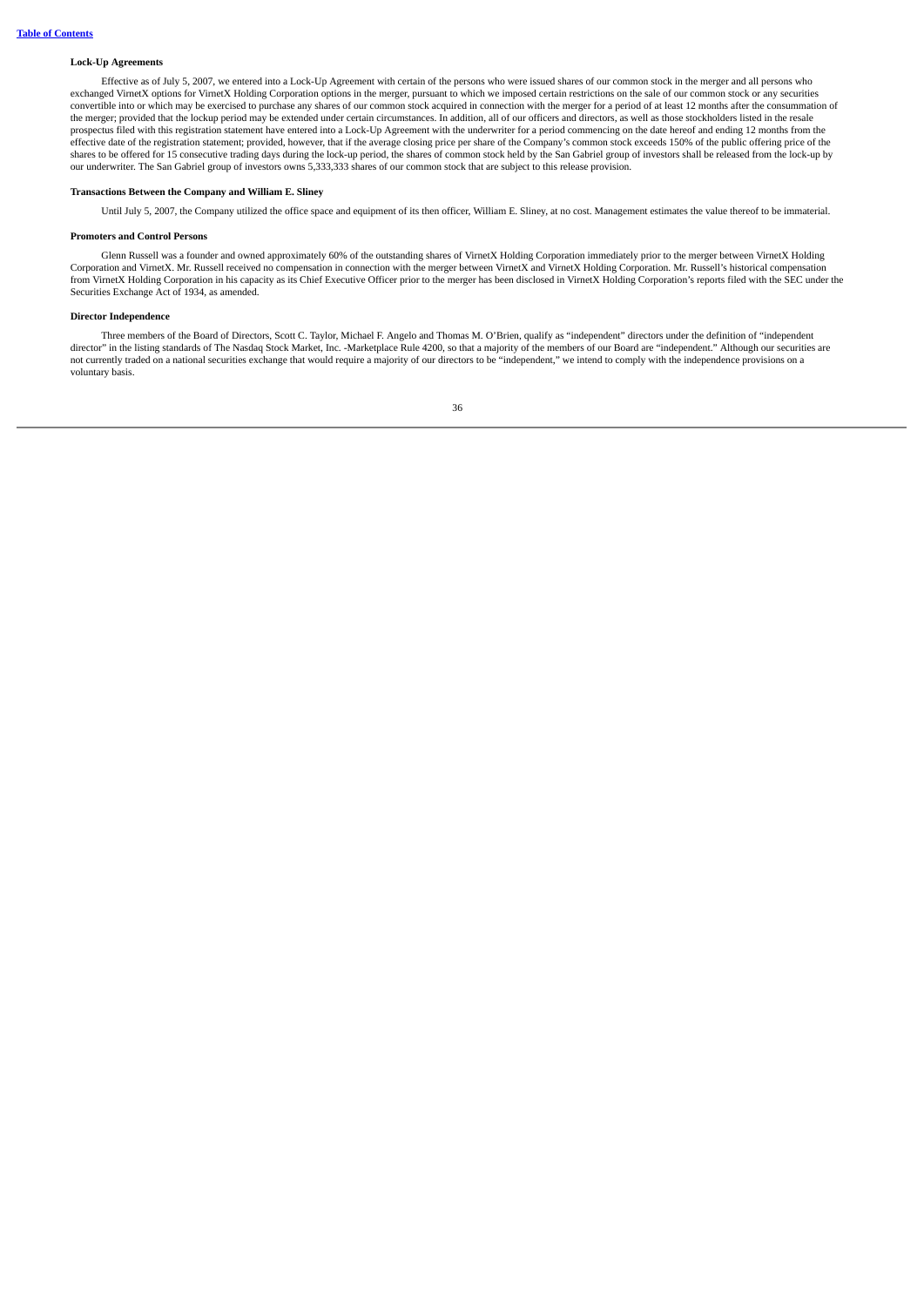#### **Lock-Up Agreements**

Effective as of July 5, 2007, we entered into a Lock-Up Agreement with certain of the persons who were issued shares of our common stock in the merger and all persons who exchanged VirnetX options for VirnetX Holding Corporation options in the merger, pursuant to which we imposed certain restrictions on the sale of our common stock or any securities convertible into or which may be exercised to purchase any shares of our common stock acquired in connection with the merger for a period of at least 12 months after the consummation of the merger; provided that the lockup period may be extended under certain circumstances. In addition, all of our officers and directors, as well as those stockholders listed in the resale prospectus filed with this registration statement have entered into a Lock-Up Agreement with the underwriter for a period commencing on the date hereof and ending 12 months from the effective date of the registration statement; provided, however, that if the average closing price per share of the Company's common stock exceeds 150% of the public offering price of the shares to be offered for 15 consecutive trading days during the lock-up period, the shares of common stock held by the San Gabriel group of investors shall be released from the lock-up by<br>our underwriter. The San Gabriel g

## **Transactions Between the Company and William E. Sliney**

Until July 5, 2007, the Company utilized the office space and equipment of its then officer, William E. Sliney, at no cost. Management estimates the value thereof to be immaterial.

#### **Promoters and Control Persons**

Glenn Russell was a founder and owned approximately 60% of the outstanding shares of VirnetX Holding Corporation immediately prior to the merger between VirnetX Holding Corporation and VirnetX. Mr. Russell received no compensation in connection with the merger between VirnetX and VirnetX Holding Corporation. Mr. Russell's historical compensation from VirnetX Holding Corporation in his capacity as its Chief Executive Officer prior to the merger has been disclosed in VirnetX Holding Corporation's reports filed with the SEC under the Securities Exchange Act of 1934, as amended.

## **Director Independence**

Three members of the Board of Directors, Scott C. Taylor, Michael F. Angelo and Thomas M. O'Brien, qualify as "independent" directors under the definition of "independent director" in the listing standards of The Nasdaq Stock Market, Inc. -Marketplace Rule 4200, so that a majority of the members of our Board are "independent." Although our securities are not currently traded on a national securities exchange that would require a majority of our directors to be "independent," we intend to comply with the independence provisions on a voluntary basis.

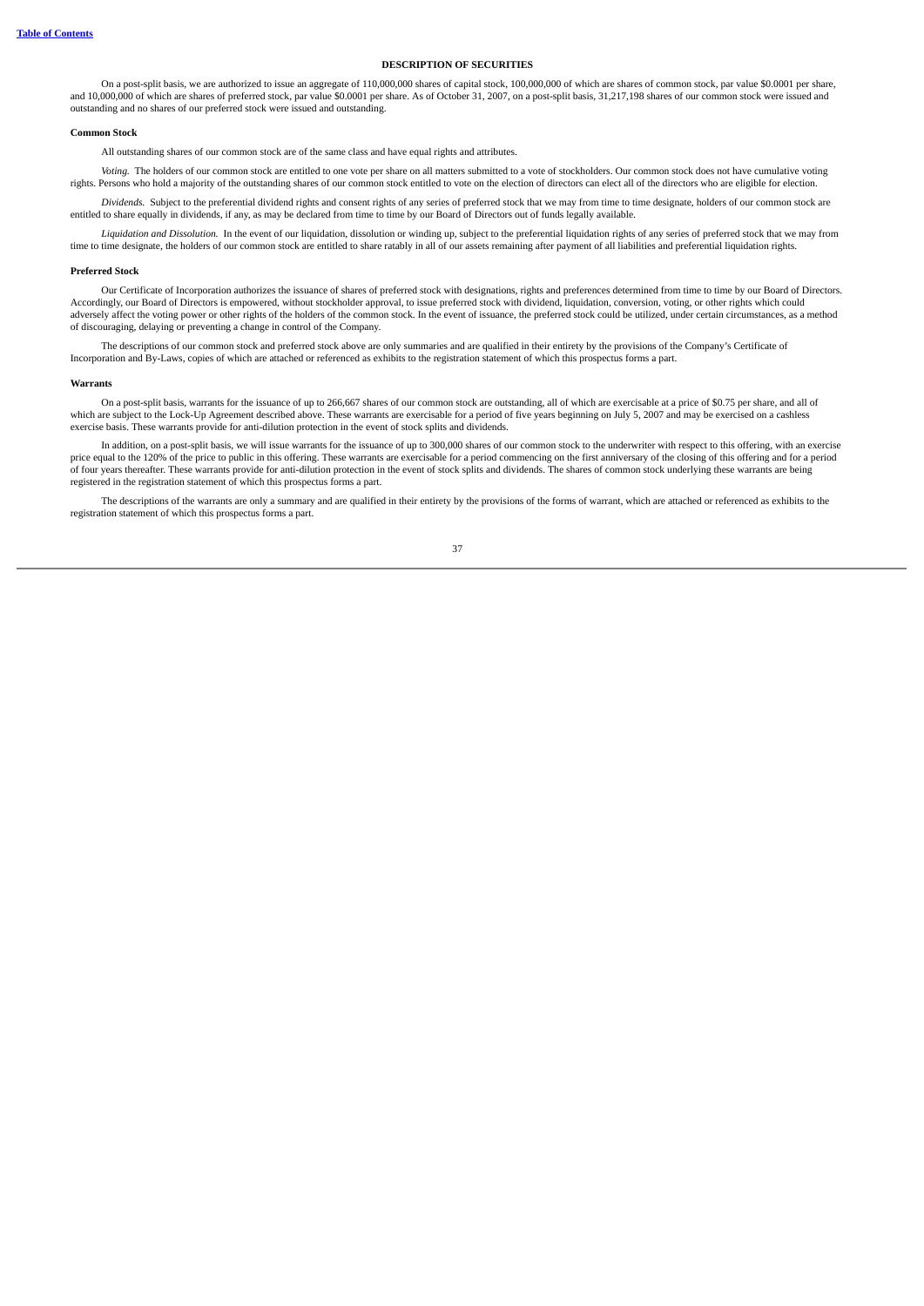#### **DESCRIPTION OF SECURITIES**

On a post-split basis, we are authorized to issue an aggregate of 110,000,000 shares of capital stock, 100,000,000 of which are shares of common stock, par value \$0.0001 per share, and 10,000,000 of which are shares of preferred stock, par value \$0.0001 per share. As of October 31, 2007, on a post-split basis, 31,217,198 shares of our common stock were issued and and 10,000,000 of which are shares of outstanding and no shares of our preferred stock were issued and outstanding.

#### **Common Stock**

All outstanding shares of our common stock are of the same class and have equal rights and attributes.

*Voting.* The holders of our common stock are entitled to one vote per share on all matters submitted to a vote of stockholders. Our common stock does not have cumulative voting rights. Persons who hold a majority of the outstanding shares of our common stock entitled to vote on the election of directors can elect all of the directors who are eligible for election.

*Dividends.* Subject to the preferential dividend rights and consent rights of any series of preferred stock that we may from time to time designate, holders of our common stock are entitled to share equally in dividends, if any, as may be declared from time to time by our Board of Directors out of funds legally available.

*Liquidation and Dissolution.* In the event of our liquidation, dissolution or winding up, subject to the preferential liquidation rights of any series of preferred stock that we may from time to time designate, the holders of our common stock are entitled to share ratably in all of our assets remaining after payment of all liabilities and preferential liquidation rights.

#### **Preferred Stock**

Our Certificate of Incorporation authorizes the issuance of shares of preferred stock with designations, rights and preferences determined from time to time by our Board of Directors. Accordingly, our Board of Directors is empowered, without stockholder approval, to issue preferred stock with dividend, liquidation, conversion, voting, or other rights which could adversely affect the voting power or other rights of the holders of the common stock. In the event of issuance, the preferred stock could be utilized, under certain circumstances, as a method of discouraging, delaying or preventing a change in control of the Company.

The descriptions of our common stock and preferred stock above are only summaries and are qualified in their entirety by the provisions of the Company's Certificate of Incorporation and By-Laws, copies of which are attached or referenced as exhibits to the registration statement of which this prospectus forms a part.

#### **Warrants**

On a post-split basis, warrants for the issuance of up to 266,667 shares of our common stock are outstanding, all of which are exercisable at a price of \$0.75 per share, and all of which are subject to the Lock-Up Agreement described above. These warrants are exercisable for a period of five years beginning on July 5, 2007 and may be exercised on a cashless exercise basis. These warrants provide for anti-dilution protection in the event of stock splits and dividends.

In addition, on a post-split basis, we will issue warrants for the issuance of up to 300,000 shares of our common stock to the underwriter with respect to this offering, with an exercise price equal to the 120% of the price to public in this offering. These warrants are exercisable for a period commencing on the first anniversary of the closing of this offering and for a period of four years thereafter. These warrants provide for anti-dilution protection in the event of stock splits and dividends. The shares of common stock underlying these warrants are being registered in the registration statement of which this prospectus forms a part.

The descriptions of the warrants are only a summary and are qualified in their entirety by the provisions of the forms of warrant, which are attached or referenced as exhibits to the registration statement of which this prospectus forms a part.

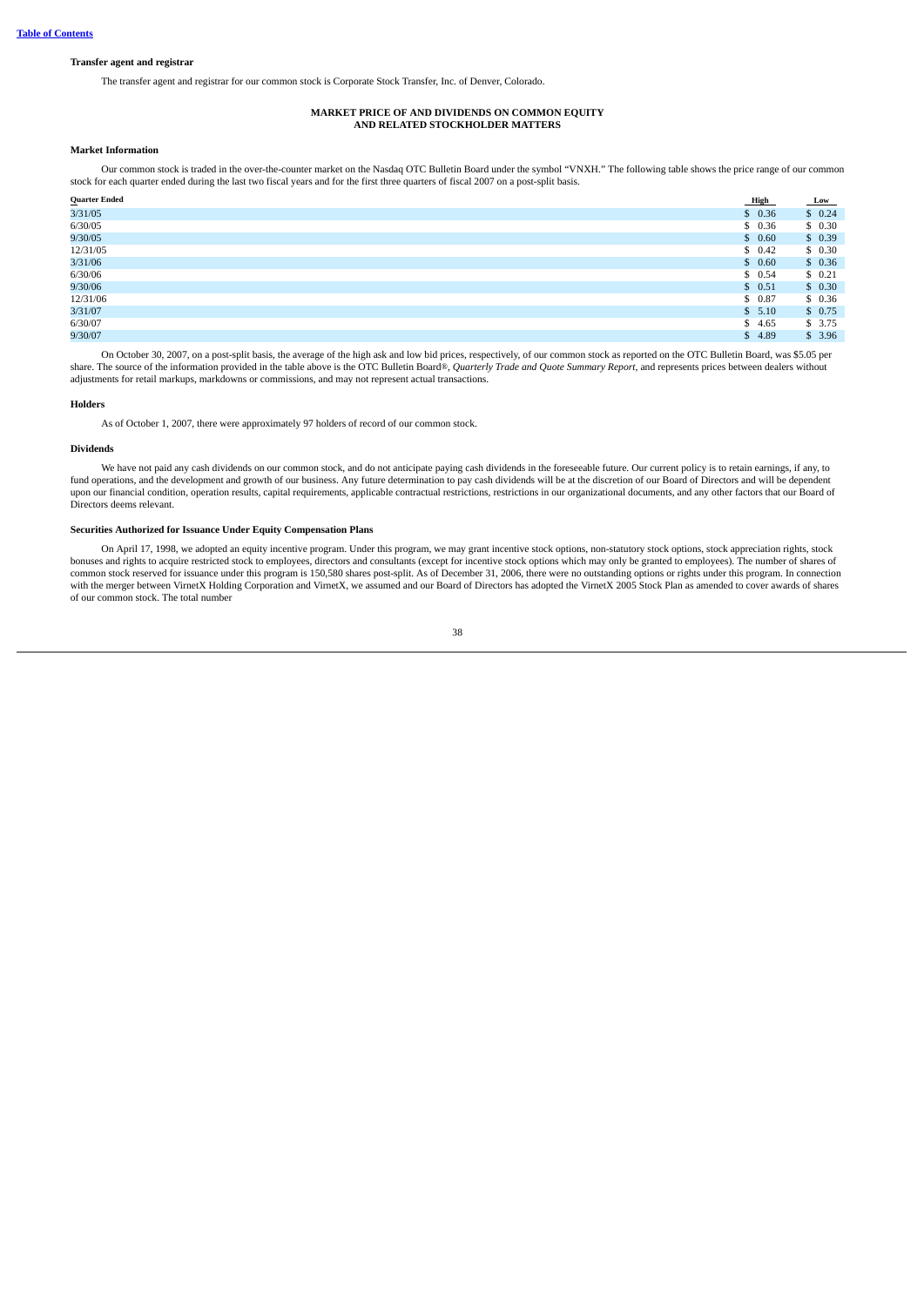## **Transfer agent and registrar**

The transfer agent and registrar for our common stock is Corporate Stock Transfer, Inc. of Denver, Colorado.

## **MARKET PRICE OF AND DIVIDENDS ON COMMON EQUITY AND RELATED STOCKHOLDER MATTERS**

## **Market Information**

Our common stock is traded in the over-the-counter market on the Nasdaq OTC Bulletin Board under the symbol "VNXH." The following table shows the price range of our common stock for each quarter ended during the last two fiscal years and for the first three quarters of fiscal 2007 on a post-split basis.

| <b>Quarter Ended</b> | High       | Low    |
|----------------------|------------|--------|
| 3/31/05              | \$0.36     | \$0.24 |
| 6/30/05              | \$0.36     | \$0.30 |
| 9/30/05              | \$0.60     | \$0.39 |
| 12/31/05             | \$0.42     | \$0.30 |
| 3/31/06              | \$0.60     | \$0.36 |
| 6/30/06              | \$0.54     | \$0.21 |
| 9/30/06              | \$0.51     | \$0.30 |
| 12/31/06             | \$0.87     | \$0.36 |
| 3/31/07              | \$5.10     | \$0.75 |
| 6/30/07              | 4.65<br>\$ | \$3.75 |
| 9/30/07              | \$4.89     | \$3.96 |

On October 30, 2007, on a post-split basis, the average of the high ask and low bid prices, respectively, of our common stock as reported on the OTC Bulletin Board, was \$5.05 per share. The source of the information provided in the table above is the OTC Bulletin Board®, *Quarterly Trade and Quote Summary Report*, and represents prices between dealers without adjustments for retail markups, markdowns or commissions, and may not represent actual transactions.

## **Holders**

As of October 1, 2007, there were approximately 97 holders of record of our common stock.

## **Dividends**

We have not paid any cash dividends on our common stock, and do not anticipate paying cash dividends in the foreseeable future. Our current policy is to retain earnings, if any, to fund operations, and the development and growth of our business. Any future determination to pay cash dividends will be at the discretion of our Board of Directors and will be dependent<br>upon our financial condition, operat Directors deems relevant.

## **Securities Authorized for Issuance Under Equity Compensation Plans**

On April 17, 1998, we adopted an equity incentive program. Under this program, we may grant incentive stock options, non-statutory stock options, stock appreciation rights, stock bonuses and rights to acquire restricted stock to employees, directors and consultants (except for incentive stock options which may only be granted to employees). The number of shares of common stock reserved for issuance under this program is 150,580 shares post-split. As of December 31, 2006, there were no outstanding options or rights under this program. In connection<br>with the merger between VirnetX Hol of our common stock. The total number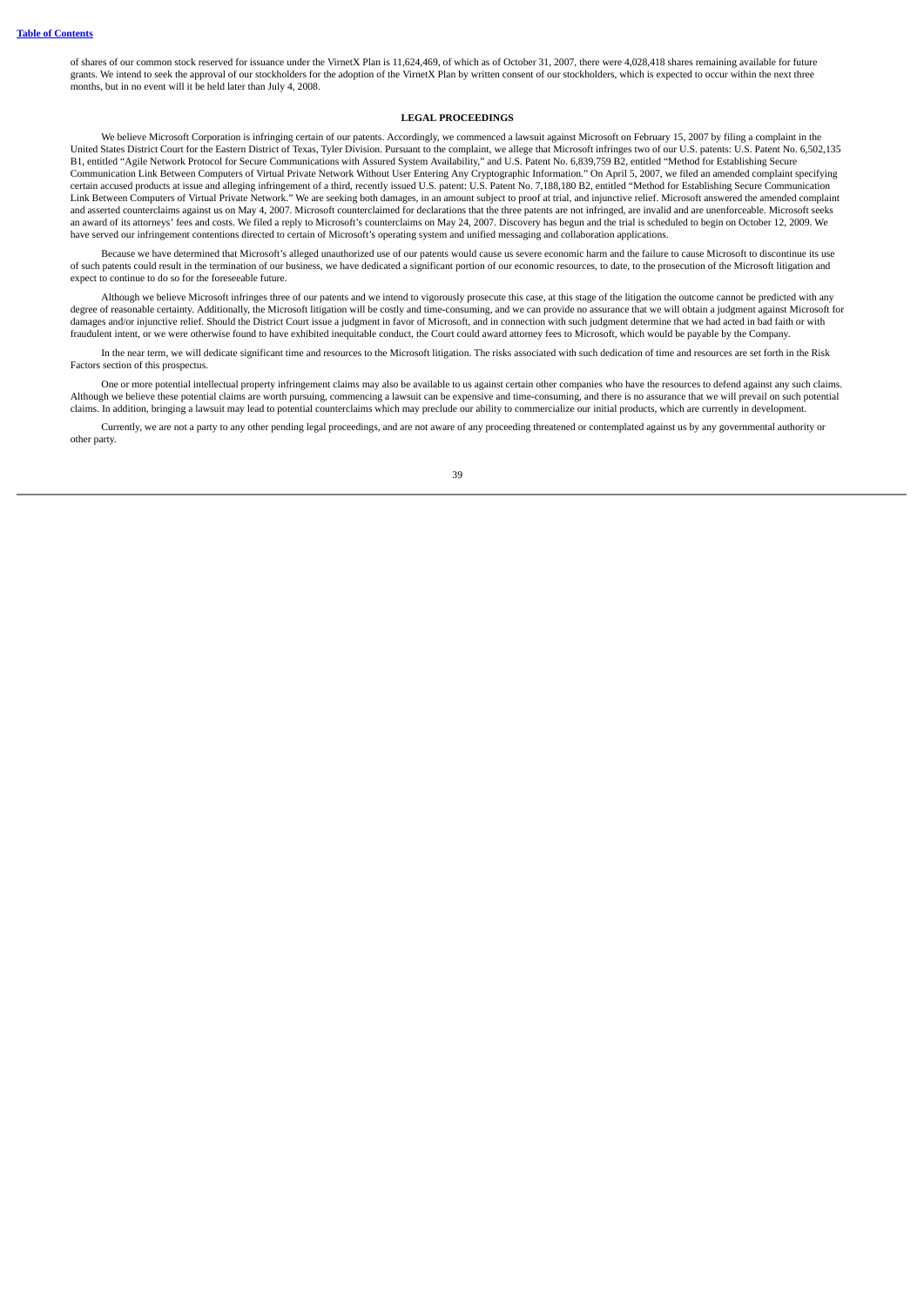of shares of our common stock reserved for issuance under the VirnetX Plan is 11,624,469, of which as of October 31, 2007, there were 4,028,418 shares remaining available for future grants. We intend to seek the approval of our stockholders for the adoption of the VirnetX Plan by written consent of our stockholders, which is expected to occur within the next three months, but in no event will it be held later than July 4, 2008.

## **LEGAL PROCEEDINGS**

We believe Microsoft Corporation is infringing certain of our patents. Accordingly, we commenced a lawsuit against Microsoft on February 15, 2007 by filing a complaint in the United States District Court for the Eastern District of Texas, Tyler Division. Pursuant to the complaint, we allege that Microsoft infringes two of our U.S. patents: U.S. Patent No. 6,502,135 B1, entitled "Agile Network Protocol for Secure Communications with Assured System Availability," and U.S. Patent No. 6,839,759 B2, entitled "Method for Establishing Secure Communication Link Between Computers of Virtual Private Network Without User Entering Any Cryptographic Information." On April 5, 2007, we filed an amended complaint specifying certain accused products at issue and alleging infringement of a third, recently issued U.S. patent: U.S. Patent No. 7,188,180 B2, entitled "Method for Establishing Secure Communication<br>Link Between Computers of Virtual Pr and asserted counterclaims against us on May 4, 2007. Microsoft counterclaimed for declarations that the three patents are not infringed, are invalid and are unenforceable. Microsoft seeks an award of its attorneys' fees and costs. We filed a reply to Microsoft's counterclaims on May 24, 2007. Discovery has begun and the trial is scheduled to begin on October 12, 2009. We have served our infringement contentions directed to certain of Microsoft's operating system and unified messaging and collaboration applications.

Because we have determined that Microsoft's alleged unauthorized use of our patents would cause us severe economic harm and the failure to cause Microsoft to discontinue its use of such patents could result in the termination of our business, we have dedicated a significant portion of our economic resources, to date, to the prosecution of the Microsoft litigation and expect to continue to do so for the foreseeable future.

Although we believe Microsoft infringes three of our patents and we intend to vigorously prosecute this case, at this stage of the litigation the outcome cannot be predicted with any degree of reasonable certainty. Additionally, the Microsoft litigation will be costly and time-consuming, and we can provide no assurance that we will obtain a judgment against Microsoft for damages and/or injunctive relief. Should the District Court issue a judgment in favor of Microsoft, and in connection with such judgment determine that we had acted in bad faith or with fraudulent intent, or we were otherwise found to have exhibited inequitable conduct, the Court could award attorney fees to Microsoft, which would be payable by the Company.

In the near term, we will dedicate significant time and resources to the Microsoft litigation. The risks associated with such dedication of time and resources are set forth in the Risk Factors section of this prospectus.

One or more potential intellectual property infringement claims may also be available to us against certain other companies who have the resources to defend against any such claims. Although we believe these potential claims are worth pursuing, commencing a lawsuit can be expensive and time-consuming, and there is no assurance that we will prevail on such potential claims. In addition, bringing a lawsuit may lead to potential counterclaims which may preclude our ability to commercialize our initial products, which are currently in development.

Currently, we are not a party to any other pending legal proceedings, and are not aware of any proceeding threatened or contemplated against us by any governmental authority or other party.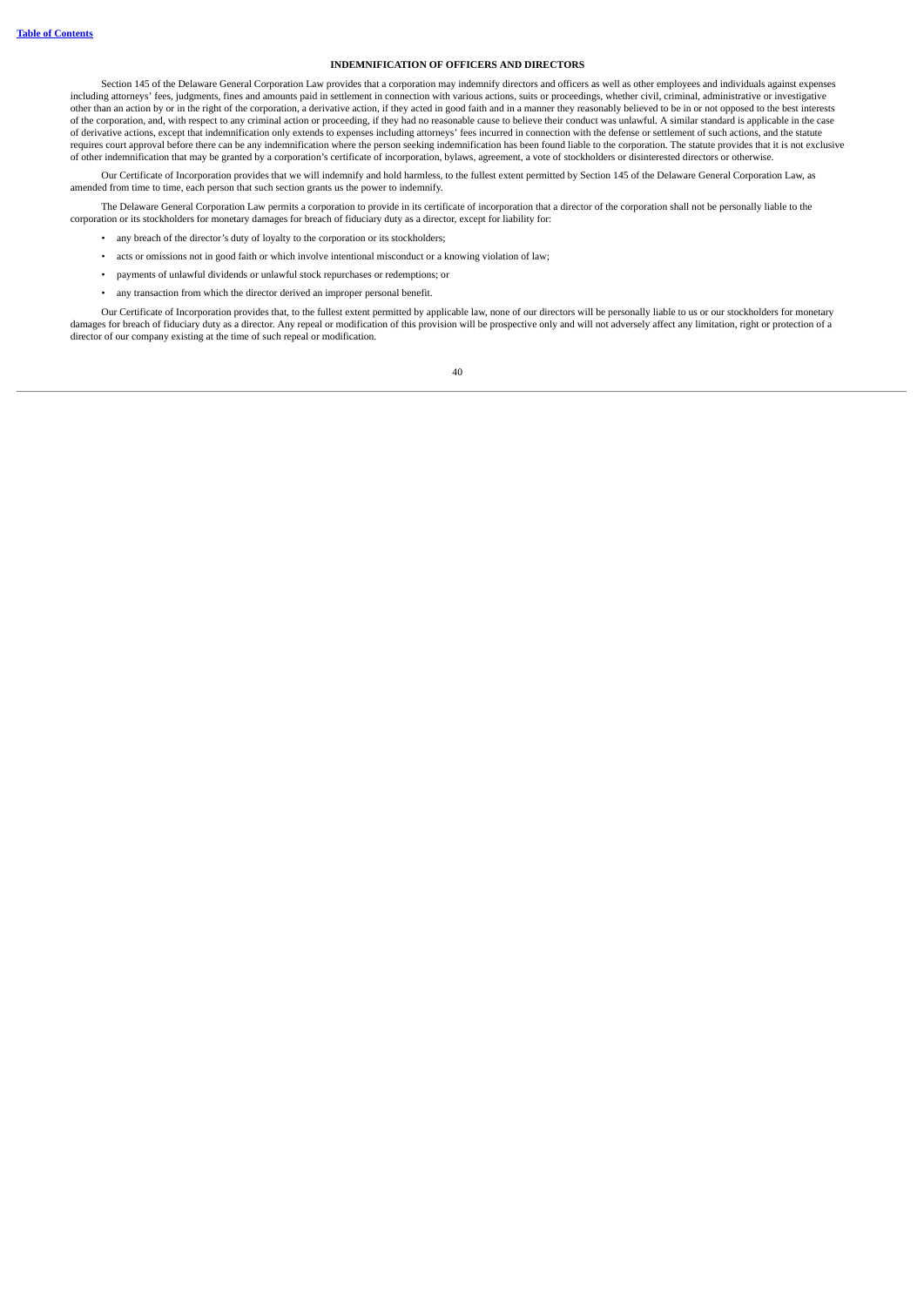## **INDEMNIFICATION OF OFFICERS AND DIRECTORS**

Section 145 of the Delaware General Corporation Law provides that a corporation may indemnify directors and officers as well as other employees and individuals against expenses including attorneys' fees, judgments, fines and amounts paid in settlement in connection with various actions, suits or proceedings, whether civil, criminal, administrative or investigative other than an action by or in the right of the corporation, a derivative action, if they acted in good faith and in a manner they reasonably believed to be in or not opposed to the best interests of the corporation, and, with respect to any criminal action or proceeding, if they had no reasonable cause to believe their conduct was unlawful. A similar standard is applicable in the case of derivative actions, except that indemnification only extends to expenses including attorneys' fees incurred in connection with the defense or settlement of such actions, and the statute<br>requires court approval before th of other indemnification that may be granted by a corporation's certificate of incorporation, bylaws, agreement, a vote of stockholders or disinterested directors or otherwise.

Our Certificate of Incorporation provides that we will indemnify and hold harmless, to the fullest extent permitted by Section 145 of the Delaware General Corporation Law, as amended from time to time, each person that such section grants us the power to indemnify.

The Delaware General Corporation Law permits a corporation to provide in its certificate of incorporation that a director of the corporation shall not be personally liable to the corporation or its stockholders for monetary damages for breach of fiduciary duty as a director, except for liability for:

- any breach of the director's duty of loyalty to the corporation or its stockholders;
- acts or omissions not in good faith or which involve intentional misconduct or a knowing violation of law;
- payments of unlawful dividends or unlawful stock repurchases or redemptions; or
- any transaction from which the director derived an improper personal benefit.

Our Certificate of Incorporation provides that, to the fullest extent permitted by applicable law, none of our directors will be personally liable to us or our stockholders for monetary damages for breach of fiduciary duty as a director. Any repeal or modification of this provision will be prospective only and will not adversely affect any limitation, right or protection of a director of our company existing at the time of such repeal or modification.

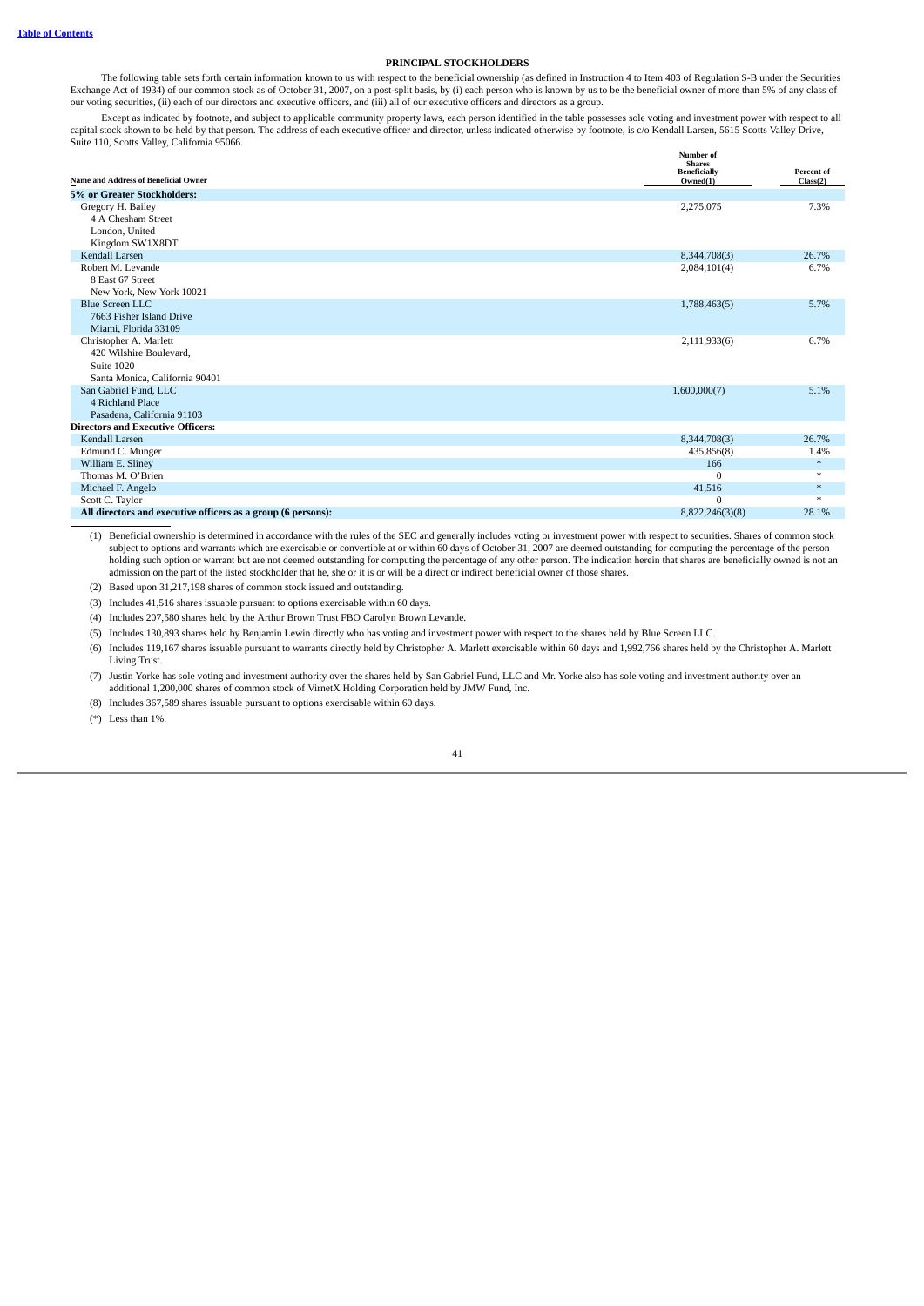## **PRINCIPAL STOCKHOLDERS**

The following table sets forth certain information known to us with respect to the beneficial ownership (as defined in Instruction 4 to Item 403 of Regulation S-B under the Securities Exchange Act of 1934) of our common stock as of October 31, 2007, on a post-split basis, by (i) each person who is known by us to be the beneficial owner of more than 5% of any class of our voting securities, (ii) each of our directors and executive officers, and (iii) all of our executive officers and directors as a group.

Except as indicated by footnote, and subject to applicable community property laws, each person identified in the table possesses sole voting and investment power with respect to all capital stock shown to be held by that person. The address of each executive officer and director, unless indicated otherwise by footnote, is c/o Kendall Larsen, 5615 Scotts Valley Drive, Suite 110, Scotts Valley, California 95066.

| <b>Name and Address of Beneficial Owner</b>                  | Number of<br><b>Shares</b><br><b>Beneficially</b><br>Owned(1) | Percent of<br>Class(2) |
|--------------------------------------------------------------|---------------------------------------------------------------|------------------------|
| 5% or Greater Stockholders:                                  |                                                               |                        |
| Gregory H. Bailey<br>4 A Chesham Street                      | 2,275,075                                                     | 7.3%                   |
| London, United<br>Kingdom SW1X8DT                            |                                                               |                        |
| <b>Kendall Larsen</b>                                        | 8,344,708(3)                                                  | 26.7%                  |
| Robert M. Levande                                            | 2,084,101(4)                                                  | 6.7%                   |
| 8 East 67 Street                                             |                                                               |                        |
| New York, New York 10021                                     |                                                               |                        |
| Blue Screen LLC                                              | 1,788,463(5)                                                  | 5.7%                   |
| 7663 Fisher Island Drive                                     |                                                               |                        |
| Miami, Florida 33109                                         |                                                               |                        |
| Christopher A. Marlett                                       | 2,111,933(6)                                                  | 6.7%                   |
| 420 Wilshire Boulevard.                                      |                                                               |                        |
| Suite 1020                                                   |                                                               |                        |
| Santa Monica, California 90401                               |                                                               |                        |
| San Gabriel Fund, LLC                                        | 1,600,000(7)                                                  | 5.1%                   |
| 4 Richland Place                                             |                                                               |                        |
| Pasadena, California 91103                                   |                                                               |                        |
| <b>Directors and Executive Officers:</b>                     |                                                               |                        |
| Kendall Larsen                                               | 8,344,708(3)                                                  | 26.7%                  |
| Edmund C. Munger                                             | 435,856(8)                                                    | 1.4%                   |
| William E. Sliney                                            | 166                                                           | $*$                    |
| Thomas M. O'Brien                                            | $\Omega$                                                      | *                      |
| Michael F. Angelo                                            | 41,516                                                        | $*$                    |
| Scott C. Taylor                                              | $\Omega$                                                      | *                      |
| All directors and executive officers as a group (6 persons): | 8,822,246(3)(8)                                               | 28.1%                  |

(1) Beneficial ownership is determined in accordance with the rules of the SEC and generally includes voting or investment power with respect to securities. Shares of common stock subject to options and warrants which are exercisable or convertible at or within 60 days of October 31, 2007 are deemed outstanding for computing the percentage of the person holding such option or warrant but are not deemed outstanding for computing the percentage of any other person. The indication herein that shares are beneficially owned is not an admission on the part of the listed stockholder that he, she or it is or will be a direct or indirect beneficial owner of those shares.

(2) Based upon 31,217,198 shares of common stock issued and outstanding.

(3) Includes 41,516 shares issuable pursuant to options exercisable within 60 days.

(4) Includes 207,580 shares held by the Arthur Brown Trust FBO Carolyn Brown Levande.

(5) Includes 130,893 shares held by Benjamin Lewin directly who has voting and investment power with respect to the shares held by Blue Screen LLC.

(6) Includes 119,167 shares issuable pursuant to warrants directly held by Christopher A. Marlett exercisable within 60 days and 1,992,766 shares held by the Christopher A. Marlett Living Trust.

(7) Justin Yorke has sole voting and investment authority over the shares held by San Gabriel Fund, LLC and Mr. Yorke also has sole voting and investment authority over an additional 1,200,000 shares of common stock of VirnetX Holding Corporation held by JMW Fund, Inc.

(8) Includes 367,589 shares issuable pursuant to options exercisable within 60 days.

(\*) Less than 1%.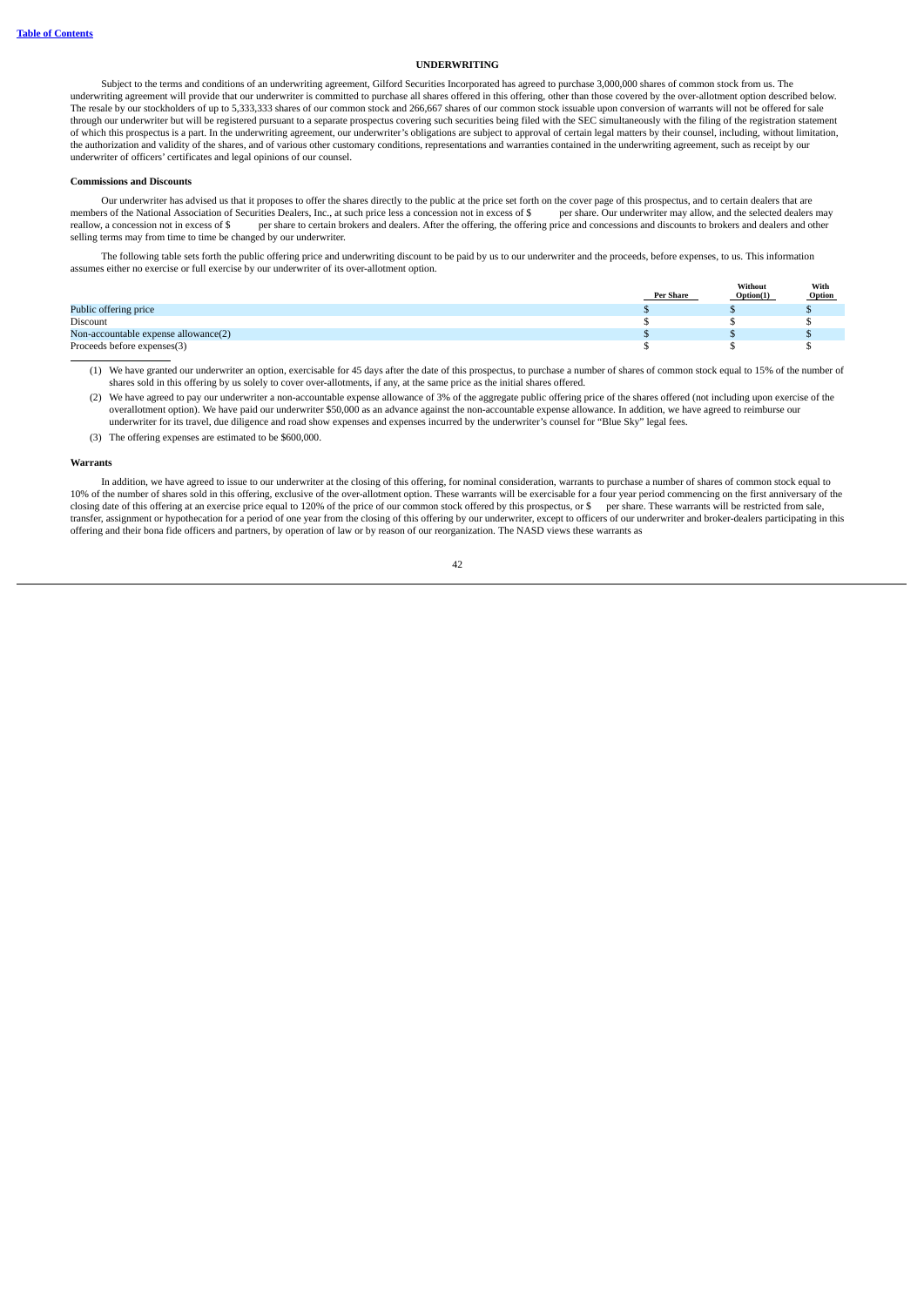## **UNDERWRITING**

Subject to the terms and conditions of an underwriting agreement, Gilford Securities Incorporated has agreed to purchase 3,000,000 shares of common stock from us. The underwriting agreement will provide that our underwriter is committed to purchase all shares offered in this offering, other than those covered by the over-allotment option described below. The resale by our stockholders of up to 5,333,333 shares of our common stock and 266,667 shares of our common stock issuable upon conversion of warrants will not be offered for sale through our underwriter but will be registered pursuant to a separate prospectus covering such securities being filed with the SEC simultaneously with the filing of the registration statement of which this prospectus is a part. In the underwriting agreement, our underwriter's obligations are subject to approval of certain legal matters by their counsel, including, without limitation,<br>the authorization and valid underwriter of officers' certificates and legal opinions of our counsel.

## **Commissions and Discounts**

Our underwriter has advised us that it proposes to offer the shares directly to the public at the price set forth on the cover page of this prospectus, and to certain dealers that are<br>rs of the National Association of Secu members of the National Association of Securities Dealers, Inc., at such price less a concession not in excess of \$ per share. Our underwriter may allow, a concession not in excess of \$ per share to certain brokers and dea per share to certain brokers and dealers. After the offering, the offering price and concessions and discounts to brokers and dealers and other selling terms may from time to time be changed by our underwriter.

The following table sets forth the public offering price and underwriting discount to be paid by us to our underwriter and the proceeds, before expenses, to us. This information assumes either no exercise or full exercise by our underwriter of its over-allotment option.

|                                      | Per Share | Without<br>Option(1) | With<br>Option |
|--------------------------------------|-----------|----------------------|----------------|
| Public offering price                |           |                      |                |
| Discount                             |           |                      |                |
| Non-accountable expense allowance(2) |           |                      |                |
| Proceeds before expenses(3)          |           |                      |                |

(1) We have granted our underwriter an option, exercisable for 45 days after the date of this prospectus, to purchase a number of shares of common stock equal to 15% of the number of shares sold in this offering by us solely to cover over-allotments, if any, at the same price as the initial shares offered.

(2) We have agreed to pay our underwriter a non-accountable expense allowance of 3% of the aggregate public offering price of the shares offered (not including upon exercise of the overallotment option). We have paid our underwriter \$50,000 as an advance against the non-accountable expense allowance. In addition, we have agreed to reimburse our underwriter for its travel, due diligence and road show expenses and expenses incurred by the underwriter's counsel for "Blue Sky" legal fees.

(3) The offering expenses are estimated to be \$600,000.

#### **Warrants**

In addition, we have agreed to issue to our underwriter at the closing of this offering, for nominal consideration, warrants to purchase a number of shares of common stock equal to 10% of the number of shares sold in this offering, exclusive of the over-allotment option. These warrants will be exercisable for a four year period commencing on the first anniversary of the closing date of this offering at an exercise price equal to 120% of the price of our common stock offered by this prospectus, or \$ per share. These warrants will be restricted from sale, transfer, assignment or hypothecation for a period of one year from the closing of this offering by our underwriter, except to officers of our underwriter and broker-dealers participating in this offering and their bona fide officers and partners, by operation of law or by reason of our reorganization. The NASD views these warrants as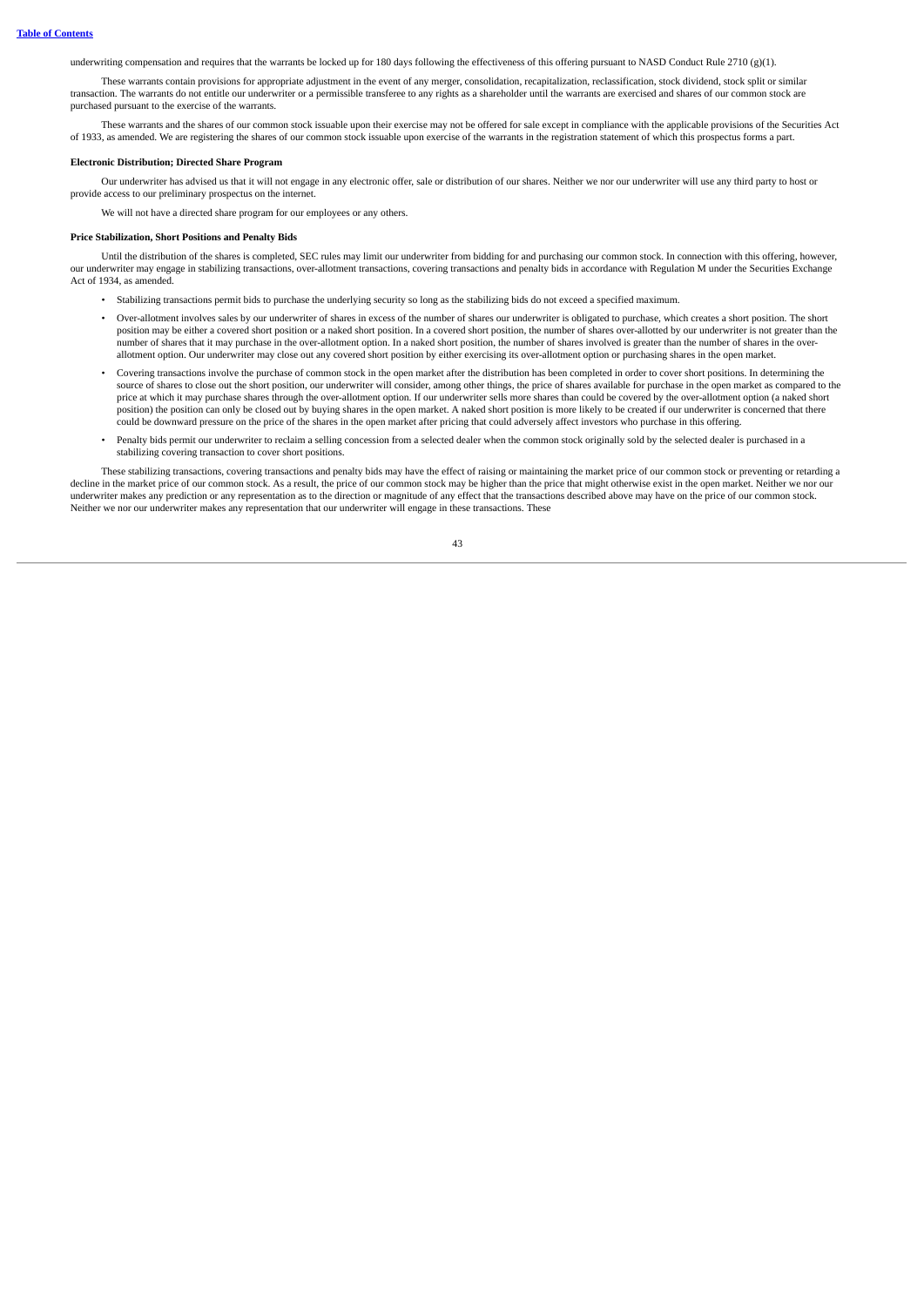underwriting compensation and requires that the warrants be locked up for 180 days following the effectiveness of this offering pursuant to NASD Conduct Rule 2710 (g)(1).

These warrants contain provisions for appropriate adjustment in the event of any merger, consolidation, recapitalization, reclassification, stock dividend, stock split or similar transaction. The warrants do not entitle our underwriter or a permissible transferee to any rights as a shareholder until the warrants are exercised and shares of our common stock are purchased pursuant to the exercise of the warrants.

These warrants and the shares of our common stock issuable upon their exercise may not be offered for sale except in compliance with the applicable provisions of the Securities Act of 1933, as amended. We are registering the shares of our common stock issuable upon exercise of the warrants in the registration statement of which this prospectus forms a part.

### **Electronic Distribution; Directed Share Program**

Our underwriter has advised us that it will not engage in any electronic offer, sale or distribution of our shares. Neither we nor our underwriter will use any third party to host or provide access to our preliminary prospectus on the internet.

We will not have a directed share program for our employees or any others.

#### **Price Stabilization, Short Positions and Penalty Bids**

Until the distribution of the shares is completed, SEC rules may limit our underwriter from bidding for and purchasing our common stock. In connection with this offering, however, our underwriter may engage in stabilizing transactions, over-allotment transactions, covering transactions and penalty bids in accordance with Regulation M under the Securities Exchange Act of 1934, as amended.

- Stabilizing transactions permit bids to purchase the underlying security so long as the stabilizing bids do not exceed a specified maximum.
- Over-allotment involves sales by our underwriter of shares in excess of the number of shares our underwriter is obligated to purchase, which creates a short position. The short position may be either a covered short position or a naked short position. In a covered short position, the number of shares over-allotted by our underwriter is not greater than the number of shares that it may purchase in the over-allotment option. In a naked short position, the number of shares involved is greater than the number of shares in the overallotment option. Our underwriter may close out any covered short position by either exercising its over-allotment option or purchasing shares in the open market.
- Covering transactions involve the purchase of common stock in the open market after the distribution has been completed in order to cover short positions. In determining the source of shares to close out the short position, our underwriter will consider, among other things, the price of shares available for purchase in the open market as compared to the price at which it may purchase shares through the over-allotment option. If our underwriter sells more shares than could be covered by the over-allotment option (a naked short position) the position can only be closed out by buying shares in the open market. A naked short position is more likely to be created if our underwriter is concerned that there could be downward pressure on the price of the shares in the open market after pricing that could adversely affect investors who purchase in this offering.
- Penalty bids permit our underwriter to reclaim a selling concession from a selected dealer when the common stock originally sold by the selected dealer is purchased in a stabilizing covering transaction to cover short positions.

These stabilizing transactions, covering transactions and penalty bids may have the effect of raising or maintaining the market price of our common stock or preventing or retarding a<br>decline in the market price of our comm underwriter makes any prediction or any representation as to the direction or magnitude of any effect that the transactions described above may have on the price of our common stock. Neither we nor our underwriter makes any representation that our underwriter will engage in these transactions. These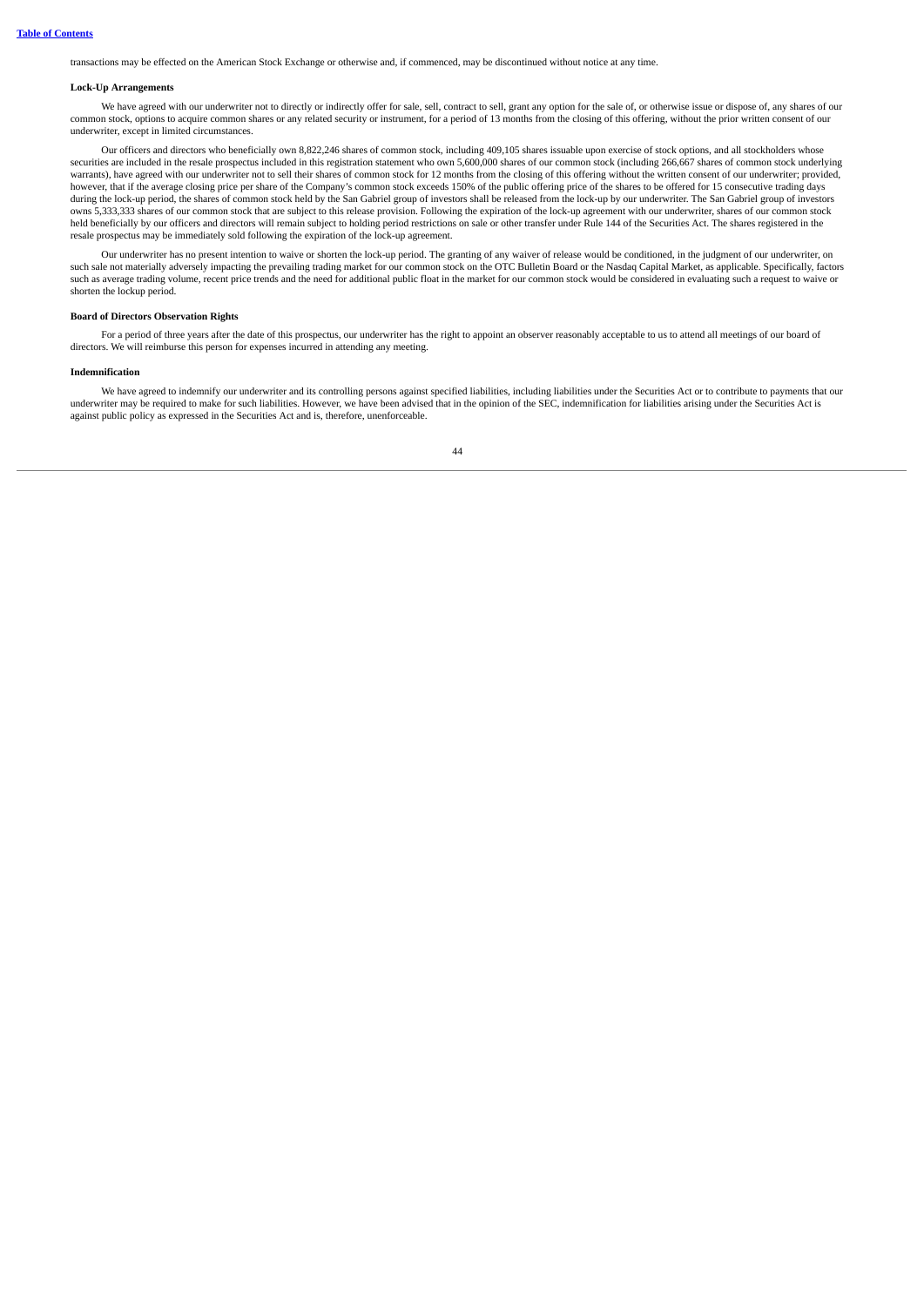transactions may be effected on the American Stock Exchange or otherwise and, if commenced, may be discontinued without notice at any time.

## **Lock-Up Arrangements**

We have agreed with our underwriter not to directly or indirectly offer for sale, sell, contract to sell, grant any option for the sale of, or otherwise issue or dispose of, any shares of our common stock, options to acquire common shares or any related security or instrument, for a period of 13 months from the closing of this offering, without the prior written consent of our underwriter, except in limited circumstances.

Our officers and directors who beneficially own 8,822,246 shares of common stock, including 409,105 shares issuable upon exercise of stock options, and all stockholders whose<br>securities are included in the resale prospectu warrants), have agreed with our underwriter not to sell their shares of common stock for 12 months from the closing of this offering without the written consent of our underwriter; provided, however, that if the average closing price per share of the Company's common stock exceeds 150% of the public offering price of the shares to be offered for 15 consecutive trading days during the lock-up period, the shares of common stock held by the San Gabriel group of investors shall be released from the lock-up by our underwriter. The San Gabriel group of investors owns 5,333,333 shares of our common stock that are subject to this release provision. Following the expiration of the lock-up agreement with our underwriter, shares of our common stock held beneficially by our officers and directors will remain subject to holding period restrictions on sale or other transfer under Rule 144 of the Securities Act. The shares registered in the resale prospectus may be immediately sold following the expiration of the lock-up agreement.

Our underwriter has no present intention to waive or shorten the lock-up period. The granting of any waiver of release would be conditioned, in the judgment of our underwriter, on<br>such sale not materially adversely impacti such as average trading volume, recent price trends and the need for additional public float in the market for our common stock would be considered in evaluating such a request to waive or shorten the lockup period.

## **Board of Directors Observation Rights**

For a period of three years after the date of this prospectus, our underwriter has the right to appoint an observer reasonably acceptable to us to attend all meetings of our board of directors. We will reimburse this person for expenses incurred in attending any meeting.

#### **Indemnification**

We have agreed to indemnify our underwriter and its controlling persons against specified liabilities, including liabilities under the Securities Act or to contribute to payments that our underwriter may be required to make for such liabilities. However, we have been advised that in the opinion of the SEC, indemnification for liabilities arising under the Securities Act is against public policy as expressed in the Securities Act and is, therefore, unenforceable.

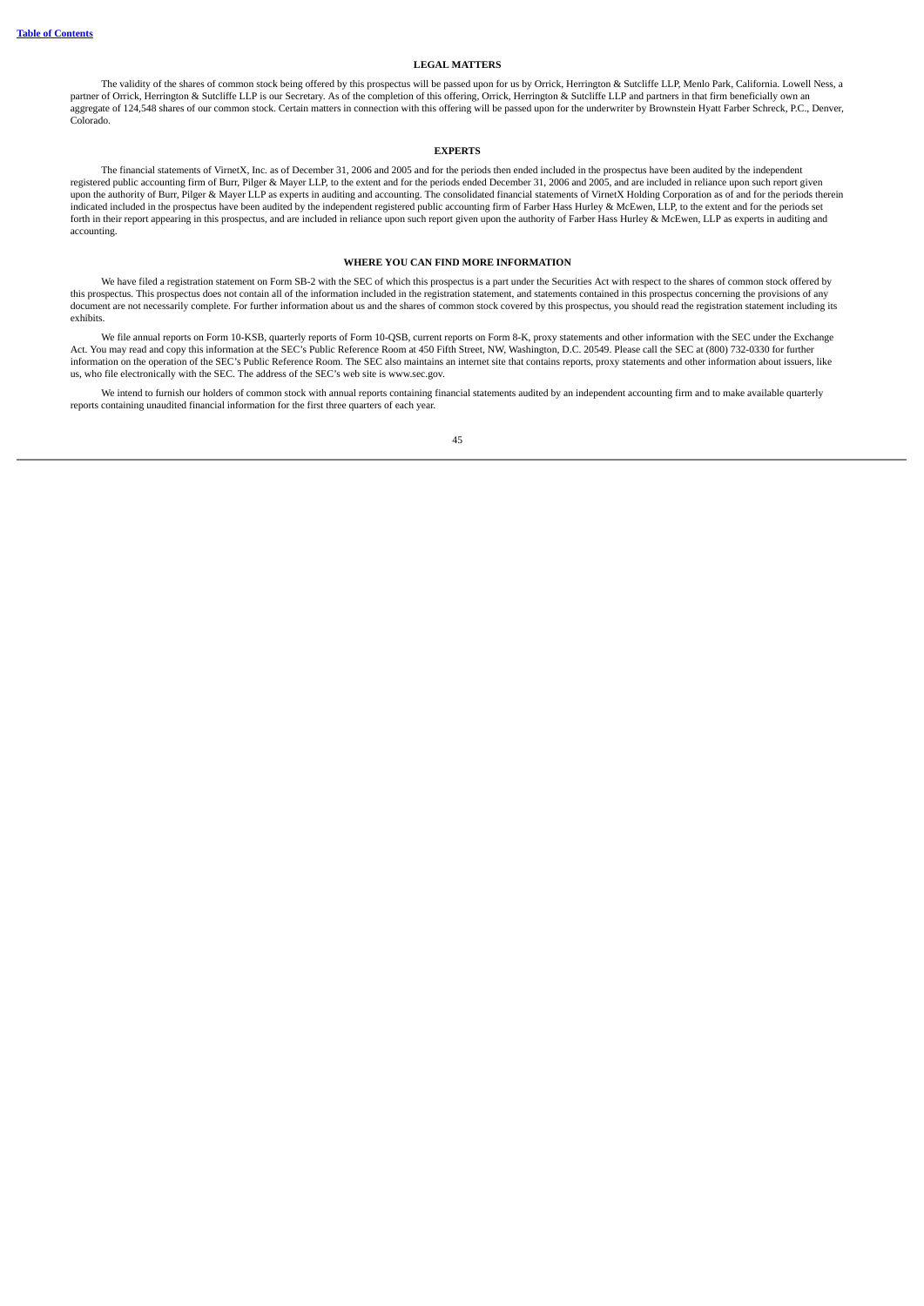### **LEGAL MATTERS**

The validity of the shares of common stock being offered by this prospectus will be passed upon for us by Orrick, Herrington & Sutcliffe LLP, Menlo Park, California. Lowell Ness, a partner of Orrick, Herrington & Sutcliffe LLP is our Secretary. As of the completion of this offering, Orrick, Herrington & Sutcliffe LLP and partners in that firm beneficially own an aggregate of 124,548 shares of our common stock. Certain matters in connection with this offering will be passed upon for the underwriter by Brownstein Hyatt Farber Schreck, P.C., Denver, Colorado.

## **EXPERTS**

The financial statements of VirnetX, Inc. as of December 31, 2006 and 2005 and for the periods then ended included in the prospectus have been audited by the independent registered public accounting firm of Burr, Pilger & Mayer LLP, to the extent and for the periods ended December 31, 2006 and 2005, and are included in reliance upon such report given upon the authority of Burr, Pilger & Mayer LLP as experts in auditing and accounting. The consolidated financial statements of VirnetX Holding Corporation as of and for the periods therein indicated included in the prospectus have been audited by the independent registered public accounting firm of Farber Hass Hurley & McEwen, LLP, to the extent and for the periods set forth in their report appearing in this prospectus, and are included in reliance upon such report given upon the authority of Farber Hass Hurley & McEwen, LLP as experts in auditing and accounting.

## **WHERE YOU CAN FIND MORE INFORMATION**

We have filed a registration statement on Form SB-2 with the SEC of which this prospectus is a part under the Securities Act with respect to the shares of common stock offered by this prospectus. This prospectus does not contain all of the information included in the registration statement, and statements contained in this prospectus concerning the provisions of any document are not necessarily complete. For further information about us and the shares of common stock covered by this prospectus, you should read the registration statement including its decument are not necessarily compl exhibits.

We file annual reports on Form 10-KSB, quarterly reports of Form 10-QSB, current reports on Form 8-K, proxy statements and other information with the SEC under the Exchange Act. You may read and copy this information at the SEC's Public Reference Room at 450 Fifth Street, NW, Washington, D.C. 20549. Please call the SEC at (800) 732-0330 for further information on the operation of the SEC's Public Reference Room. The SEC also maintains an internet site that contains reports, proxy statements and other information about issuers, like us, who file electronically with the SEC. The address of the SEC's web site is www.sec.gov.

We intend to furnish our holders of common stock with annual reports containing financial statements audited by an independent accounting firm and to make available quarterly reports containing unaudited financial information for the first three quarters of each year.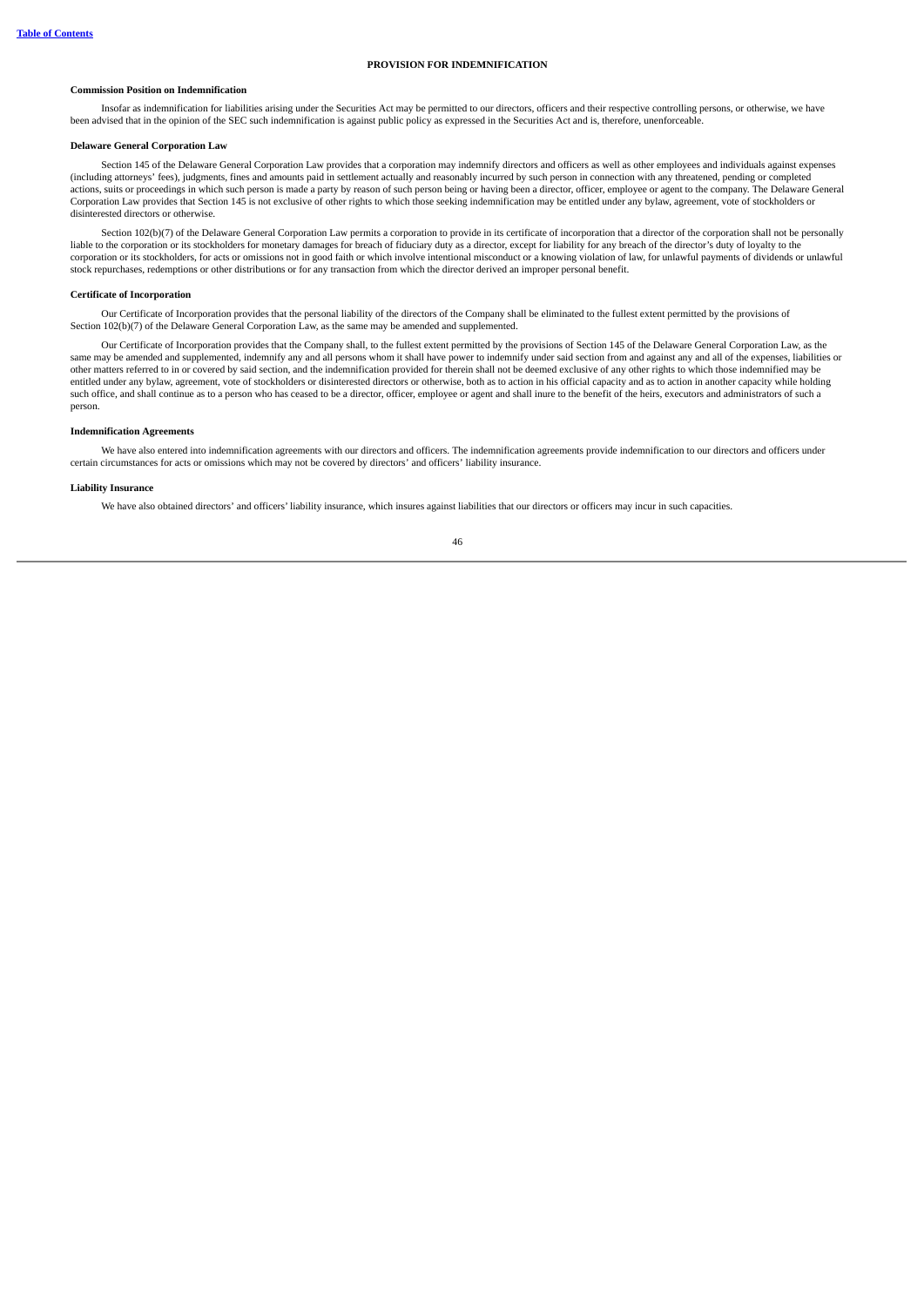## **PROVISION FOR INDEMNIFICATION**

## **Commission Position on Indemnification**

Insofar as indemnification for liabilities arising under the Securities Act may be permitted to our directors, officers and their respective controlling persons, or otherwise, we have been advised that in the opinion of the SEC such indemnification is against public policy as expressed in the Securities Act and is, therefore, unenforceab

## **Delaware General Corporation Law**

Section 145 of the Delaware General Corporation Law provides that a corporation may indemnify directors and officers as well as other employees and individuals against expenses (including attorneys' fees), judgments, fines and amounts paid in settlement actually and reasonably incurred by such person in connection with any threatened, pending or completed actions, suits or proceedings in which such person is made a party by reason of such person being or having been a director, officer, employee or agent to the company. The Delaware General<br>Corporation Law provides that Sec disinterested directors or otherwise.

Section 102(b)(7) of the Delaware General Corporation Law permits a corporation to provide in its certificate of incorporation that a director of the corporation shall not be personally liable to the corporation or its stockholders for monetary damages for breach of fiduciary duty as a director, except for liability for any breach of the director's duty of loyalty to the<br>corporation or its stockholders, f stock repurchases, redemptions or other distributions or for any transaction from which the director derived an improper personal benefit.

### **Certificate of Incorporation**

Our Certificate of Incorporation provides that the personal liability of the directors of the Company shall be eliminated to the fullest extent permitted by the provisions of Section 102(b)(7) of the Delaware General Corporation Law, as the same may be amended and supplemented.

Our Certificate of Incorporation provides that the Company shall, to the fullest extent permitted by the provisions of Section 145 of the Delaware General Corporation Law, as the same may be amended and supplemented, indemnify any and all persons whom it shall have power to indemnify under said section from and against any and all of the expenses, liabilities or other matters referred to in or covered by said section, and the indemnification provided for therein shall not be deemed exclusive of any other rights to which those indemnified may be entitled under any bylaw, agreement, vote of stockholders or disinterested directors or otherwise, both as to action in his official capacity and as to action in another capacity while holding such office, and shall continue as to a person who has ceased to be a director, officer, employee or agent and shall inure to the benefit of the heirs, executors and administrators of such a person.

## **Indemnification Agreements**

We have also entered into indemnification agreements with our directors and officers. The indemnification agreements provide indemnification to our directors and officers under certain circumstances for acts or omissions which may not be covered by directors' and officers' liability insurance.

## **Liability Insurance**

We have also obtained directors' and officers' liability insurance, which insures against liabilities that our directors or officers may incur in such capacities.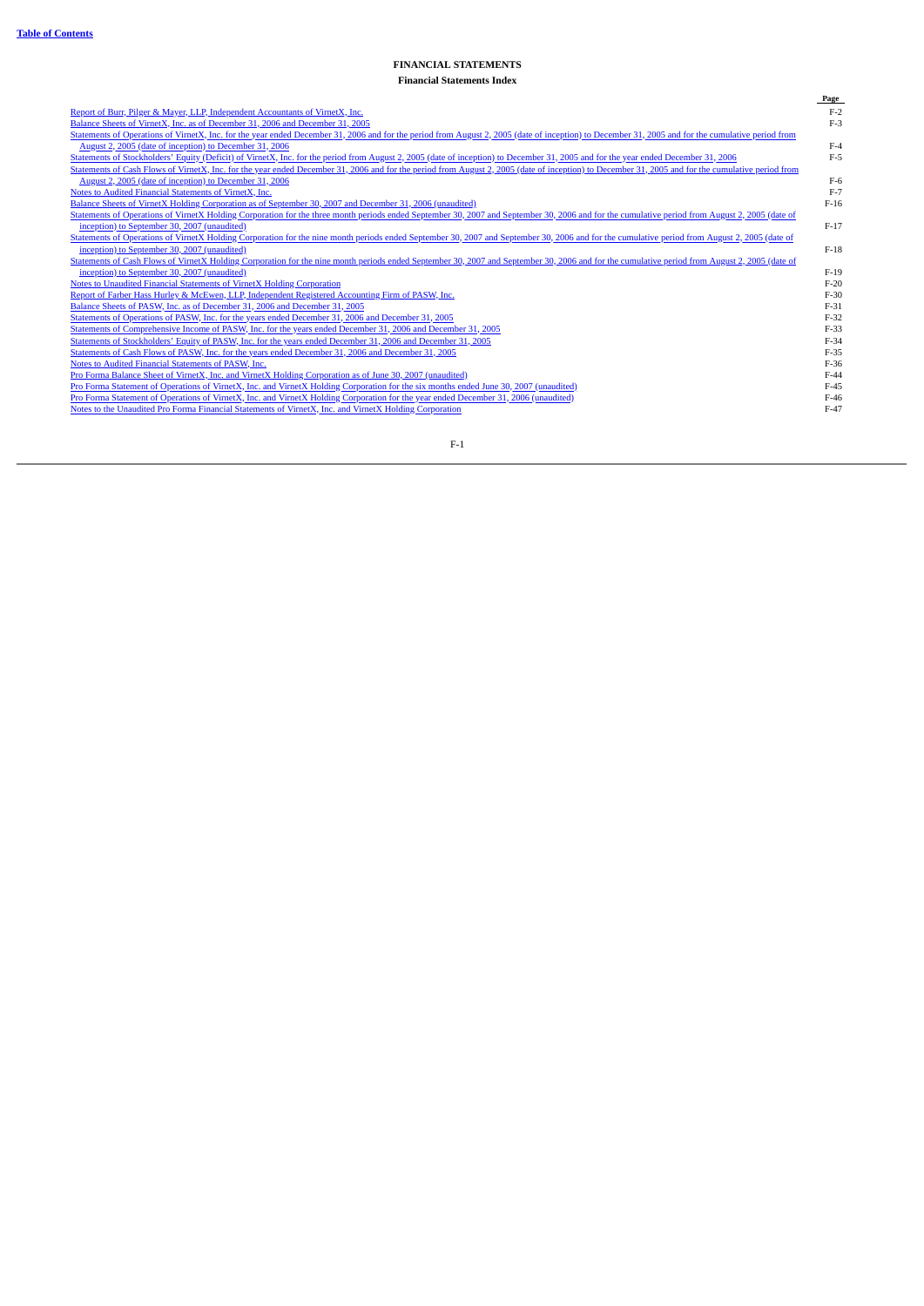# **FINANCIAL STATEMENTS**

**Financial Statements Index**

|                                                                                                                                                                                                   | Page   |
|---------------------------------------------------------------------------------------------------------------------------------------------------------------------------------------------------|--------|
| Report of Burr, Pilger & Mayer, LLP, Independent Accountants of VirnetX, Inc.                                                                                                                     | $F-2$  |
| Balance Sheets of VirnetX, Inc. as of December 31, 2006 and December 31, 2005                                                                                                                     | $F-3$  |
| Statements of Operations of VirnetX, Inc. for the year ended December 31, 2006 and for the period from August 2, 2005 (date of inception) to December 31, 2005 and for the cumulative period from |        |
| August 2, 2005 (date of inception) to December 31, 2006                                                                                                                                           | $F-4$  |
| Statements of Stockholders' Equity (Deficit) of VirnetX, Inc. for the period from August 2, 2005 (date of inception) to December 31, 2005 and for the year ended December 31, 2006                | $F-5$  |
| Statements of Cash Flows of VirnetX, Inc. for the year ended December 31, 2006 and for the period from August 2, 2005 (date of inception) to December 31, 2005 and for the cumulative period from |        |
| August 2, 2005 (date of inception) to December 31, 2006                                                                                                                                           | $F-6$  |
| Notes to Audited Financial Statements of VirnetX, Inc.                                                                                                                                            | $F-7$  |
| Balance Sheets of VirnetX Holding Corporation as of September 30, 2007 and December 31, 2006 (unaudited)                                                                                          | $F-16$ |
| Statements of Operations of VirnetX Holding Corporation for the three month periods ended September 30, 2007 and September 30, 2006 and for the cumulative period from August 2, 2005 (date of    |        |
| inception) to September 30, 2007 (unaudited)                                                                                                                                                      | $F-17$ |
| Statements of Operations of VirnetX Holding Corporation for the nine month periods ended September 30, 2007 and September 30, 2006 and for the cumulative period from August 2, 2005 (date of     |        |
| inception) to September 30, 2007 (unaudited)                                                                                                                                                      | $F-18$ |
| Statements of Cash Flows of VirnetX Holding Corporation for the nine month periods ended September 30, 2007 and September 30, 2006 and for the cumulative period from August 2, 2005 (date of     |        |
| inception) to September 30, 2007 (unaudited)                                                                                                                                                      | $F-19$ |
| Notes to Unaudited Financial Statements of VirnetX Holding Corporation                                                                                                                            | $F-20$ |
| Report of Farber Hass Hurley & McEwen, LLP, Independent Registered Accounting Firm of PASW, Inc.                                                                                                  | $F-30$ |
| Balance Sheets of PASW, Inc. as of December 31, 2006 and December 31, 2005                                                                                                                        | $F-31$ |
| Statements of Operations of PASW, Inc. for the years ended December 31, 2006 and December 31, 2005                                                                                                | $F-32$ |
| Statements of Comprehensive Income of PASW, Inc. for the years ended December 31, 2006 and December 31, 2005                                                                                      | $F-33$ |
| Statements of Stockholders' Equity of PASW, Inc. for the years ended December 31, 2006 and December 31, 2005                                                                                      | $F-34$ |
| Statements of Cash Flows of PASW, Inc. for the years ended December 31, 2006 and December 31, 2005                                                                                                | $F-35$ |
| Notes to Audited Financial Statements of PASW, Inc.                                                                                                                                               | $F-36$ |
| Pro Forma Balance Sheet of VirnetX, Inc. and VirnetX Holding Corporation as of June 30, 2007 (unaudited)                                                                                          | $F-44$ |
| Pro Forma Statement of Operations of VirnetX, Inc. and VirnetX Holding Corporation for the six months ended June 30, 2007 (unaudited)                                                             | $F-45$ |
| Pro Forma Statement of Operations of VirnetX, Inc. and VirnetX Holding Corporation for the year ended December 31, 2006 (unaudited)                                                               | $F-46$ |
| Notes to the Unaudited Pro Forma Financial Statements of VirnetX, Inc. and VirnetX Holding Corporation                                                                                            | $F-47$ |
|                                                                                                                                                                                                   |        |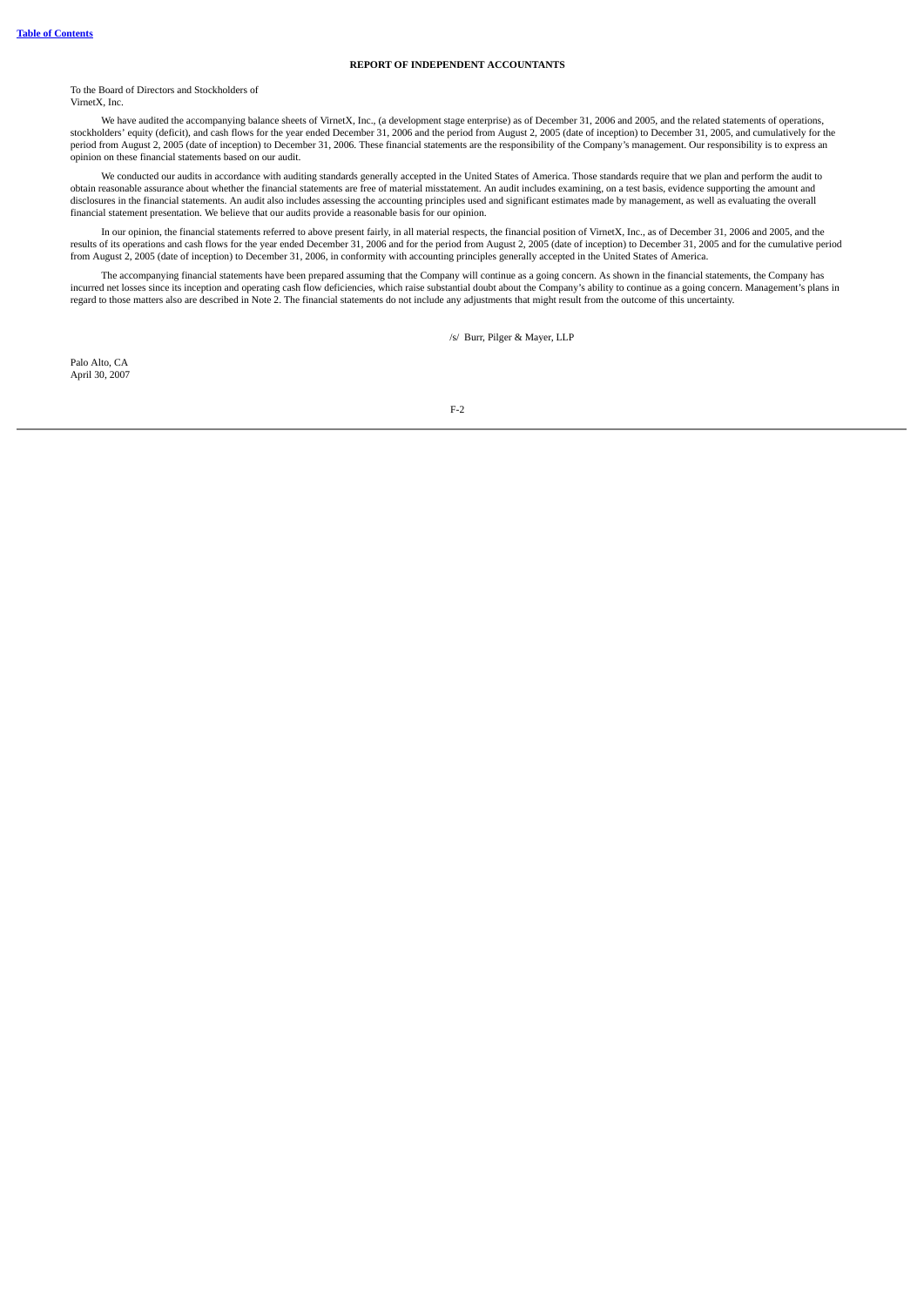## **REPORT OF INDEPENDENT ACCOUNTANTS**

<span id="page-52-0"></span>To the Board of Directors and Stockholders of VirnetX, Inc.

We have audited the accompanying balance sheets of VirnetX, Inc., (a development stage enterprise) as of December 31, 2006 and 2005, and the related statements of operations, stockholders' equity (deficit), and cash flows for the year ended December 31, 2006 and the period from August 2, 2005 (date of inception) to December 31, 2005, and cumulatively for the period from August 2, 2005 (date of inception) to December 31, 2006. These financial statements are the responsibility of the Company's management. Our responsibility is to express an period from August 2, 2005 (date of in opinion on these financial statements based on our audit.

We conducted our audits in accordance with auditing standards generally accepted in the United States of America. Those standards require that we plan and perform the audit to obtain reasonable assurance about whether the financial statements are free of material misstatement. An audit includes examining, on a test basis, evidence supporting the amount and disclosures in the financial statements. An audit also includes assessing the accounting principles used and significant estimates made by management, as well as evaluating the overall disclosures in the financial statemen financial statement presentation. We believe that our audits provide a reasonable basis for our opinion.

In our opinion, the financial statements referred to above present fairly, in all material respects, the financial position of VirnetX, Inc., as of December 31, 2006 and 2005, and the results of its operations and cash flows for the year ended December 31, 2006 and for the period from August 2, 2005 (date of inception) to December 31, 2005 and for the cumulative period from August 2, 2005 (date of inception) to December 31, 2006, in conformity with accounting principles generally accepted in the United States of America.

The accompanying financial statements have been prepared assuming that the Company will continue as a going concern. As shown in the financial statements, the Company has incurred net losses since its inception and operating cash flow deficiencies, which raise substantial doubt about the Company's ability to continue as a going concern. Management's plans in<br>regard to those matters also are

/s/ Burr, Pilger & Mayer, LLP

Palo Alto, CA April 30, 2007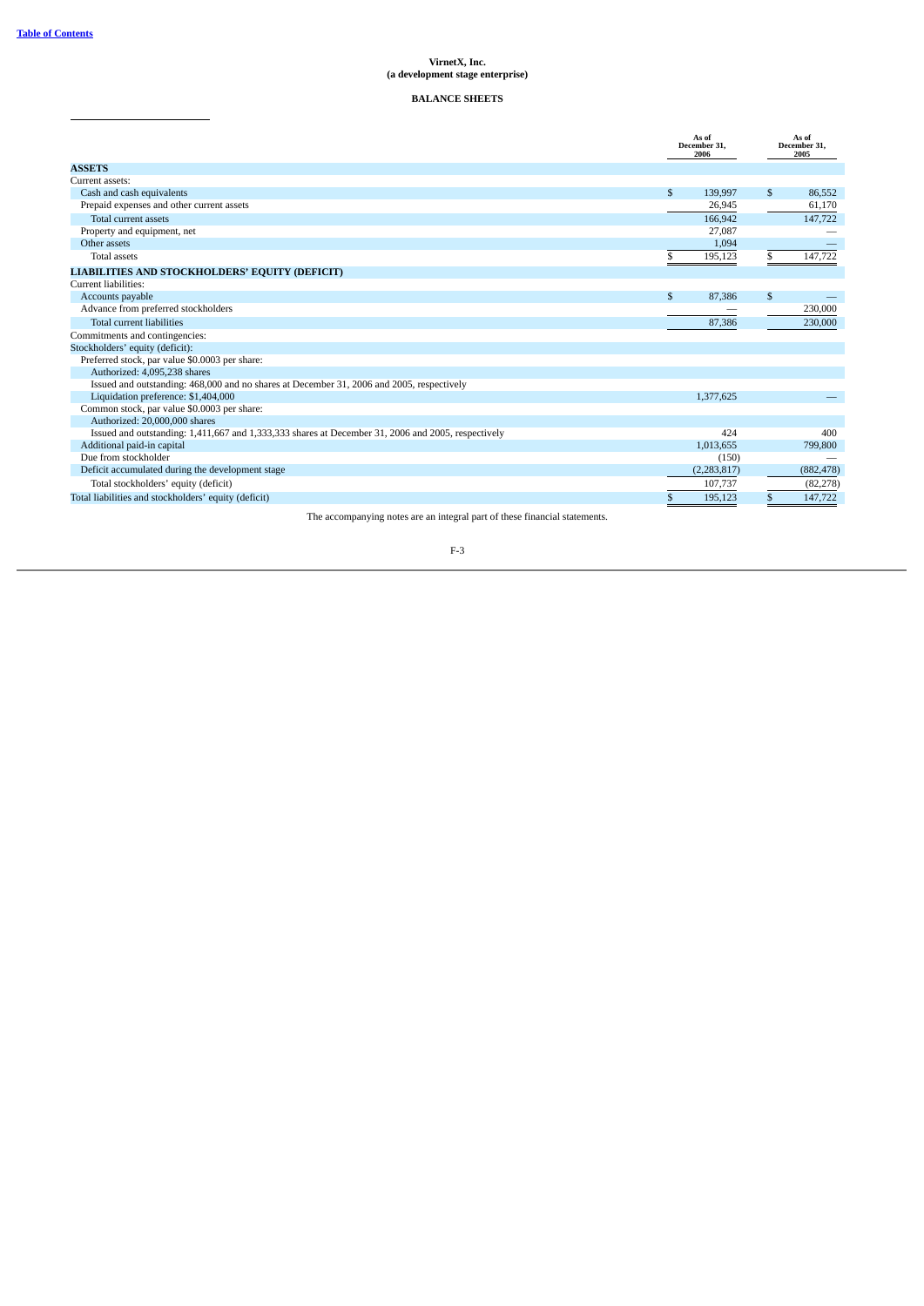# **BALANCE SHEETS**

<span id="page-53-0"></span>

|                                                                                                    | As of<br>December 31,<br>2006 |    | As of<br>December 31,<br>2005 |
|----------------------------------------------------------------------------------------------------|-------------------------------|----|-------------------------------|
| <b>ASSETS</b>                                                                                      |                               |    |                               |
| Current assets:                                                                                    |                               |    |                               |
| Cash and cash equivalents                                                                          | \$<br>139,997                 | \$ | 86,552                        |
| Prepaid expenses and other current assets                                                          | 26,945                        |    | 61,170                        |
| Total current assets                                                                               | 166,942                       |    | 147,722                       |
| Property and equipment, net                                                                        | 27,087                        |    |                               |
| Other assets                                                                                       | 1,094                         |    |                               |
| Total assets                                                                                       | 195,123                       |    | 147,722                       |
| LIABILITIES AND STOCKHOLDERS' EQUITY (DEFICIT)                                                     |                               |    |                               |
| Current liabilities:                                                                               |                               |    |                               |
| Accounts payable                                                                                   | \$<br>87,386                  | \$ |                               |
| Advance from preferred stockholders                                                                |                               |    | 230,000                       |
| <b>Total current liabilities</b>                                                                   | 87,386                        |    | 230,000                       |
| Commitments and contingencies:                                                                     |                               |    |                               |
| Stockholders' equity (deficit):                                                                    |                               |    |                               |
| Preferred stock, par value \$0.0003 per share:                                                     |                               |    |                               |
| Authorized: 4.095.238 shares                                                                       |                               |    |                               |
| Issued and outstanding: 468,000 and no shares at December 31, 2006 and 2005, respectively          |                               |    |                               |
| Liquidation preference: \$1,404,000                                                                | 1,377,625                     |    |                               |
| Common stock, par value \$0.0003 per share:                                                        |                               |    |                               |
| Authorized: 20,000,000 shares                                                                      |                               |    |                               |
| Issued and outstanding: 1,411,667 and 1,333,333 shares at December 31, 2006 and 2005, respectively | 424                           |    | 400                           |
| Additional paid-in capital                                                                         | 1.013.655                     |    | 799,800                       |
| Due from stockholder                                                                               | (150)                         |    |                               |
| Deficit accumulated during the development stage                                                   | (2, 283, 817)                 |    | (882, 478)                    |
| Total stockholders' equity (deficit)                                                               | 107,737                       |    | (82, 278)                     |
| Total liabilities and stockholders' equity (deficit)                                               | 195,123                       |    | 147,722                       |

The accompanying notes are an integral part of these financial statements.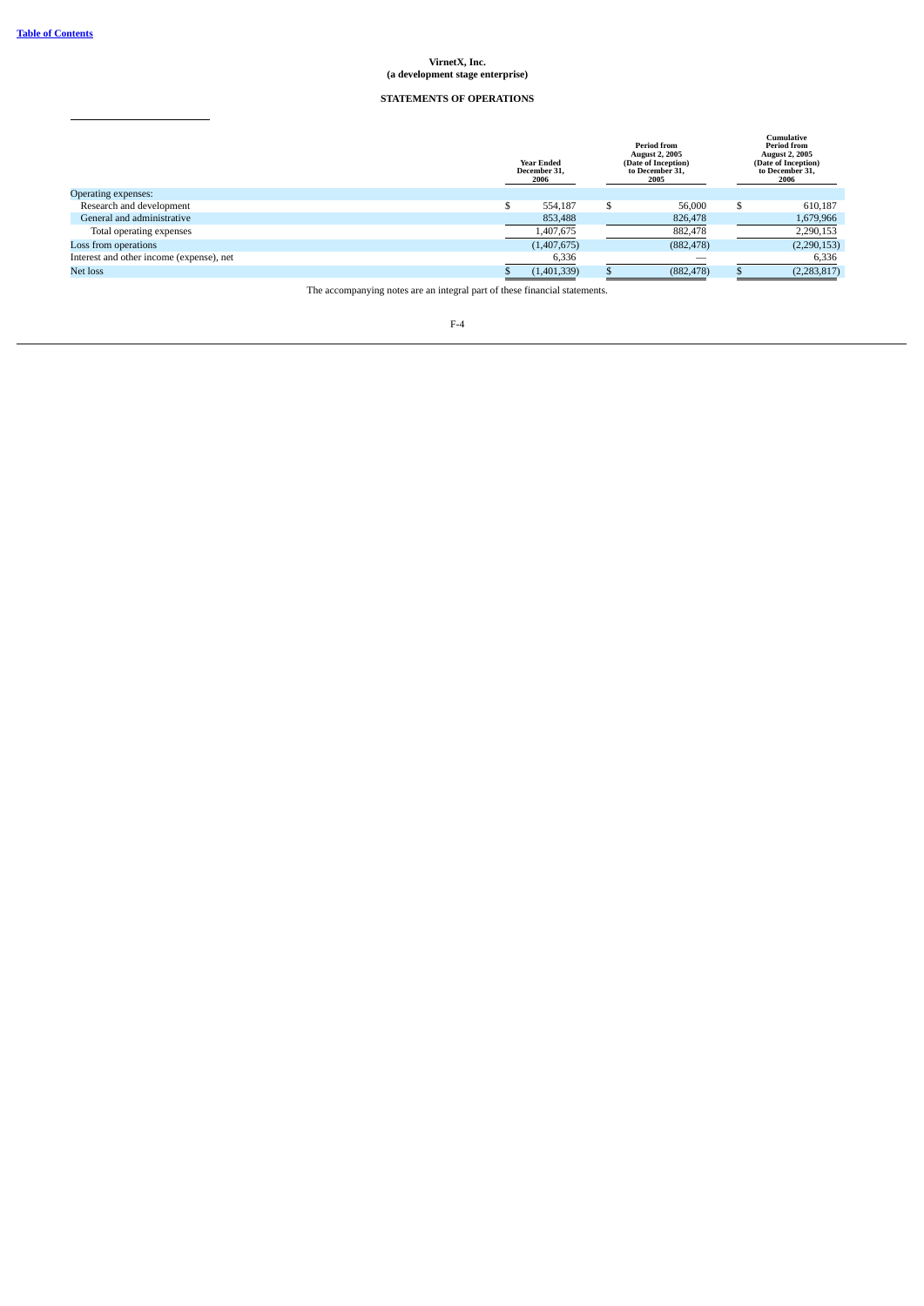# **STATEMENTS OF OPERATIONS**

<span id="page-54-0"></span>

| <b>Year Ended</b><br>December 31.<br>2006 |             |   | 2005       | Cumulative<br>Period from<br><b>August 2, 2005</b><br>(Date of Inception)<br>to December 31.<br>2006 |             |  |
|-------------------------------------------|-------------|---|------------|------------------------------------------------------------------------------------------------------|-------------|--|
|                                           |             |   |            |                                                                                                      |             |  |
| \$                                        | 554.187     | S | 56,000     |                                                                                                      | 610,187     |  |
|                                           | 853,488     |   | 826,478    |                                                                                                      | 1,679,966   |  |
|                                           | 1,407,675   |   | 882,478    |                                                                                                      | 2,290,153   |  |
|                                           | (1,407,675) |   | (882, 478) |                                                                                                      | (2,290,153) |  |
|                                           | 6,336       |   |            |                                                                                                      | 6,336       |  |
|                                           | (1,401,339) |   | (882, 478) |                                                                                                      | (2,283,817) |  |
|                                           |             |   |            | Period from<br><b>August 2, 2005</b><br>(Date of Inception)<br>to December 31.                       |             |  |

The accompanying notes are an integral part of these financial statements.

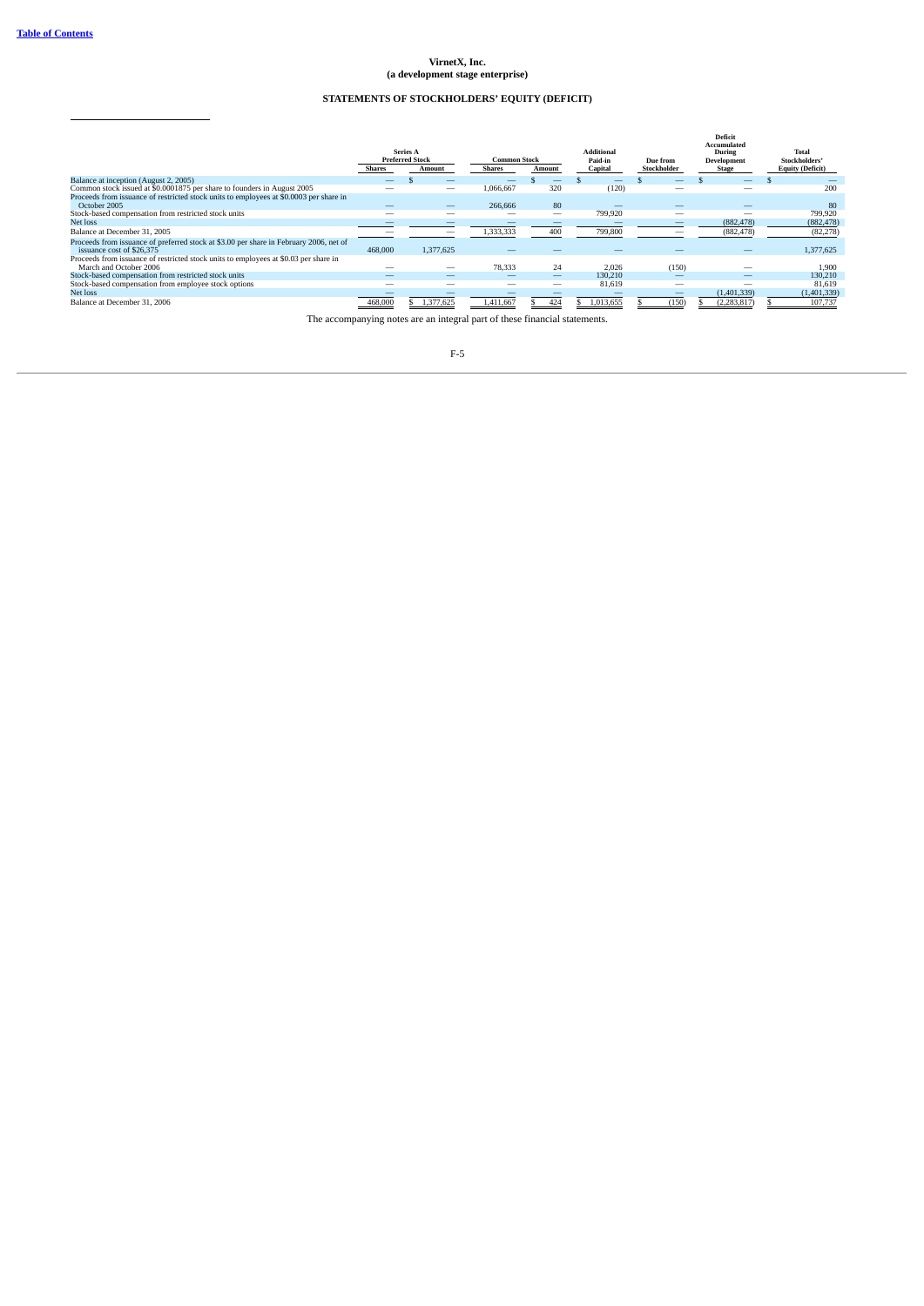# **STATEMENTS OF STOCKHOLDERS' EQUITY (DEFICIT)**

<span id="page-55-0"></span>

|                                                                                                                     | Shares  | <b>Series A</b><br><b>Preferred Stock</b><br>Amount | <b>Common Stock</b><br><b>Shares</b> | Amount                   | <b>Additional</b><br>Paid-in<br>Capital | Due from<br>Stockholder | Deficit<br>Accumulated<br>During<br>Development<br>Stage | Total<br>Stockholders'<br><b>Equity (Deficit)</b> |  |
|---------------------------------------------------------------------------------------------------------------------|---------|-----------------------------------------------------|--------------------------------------|--------------------------|-----------------------------------------|-------------------------|----------------------------------------------------------|---------------------------------------------------|--|
| Balance at inception (August 2, 2005)                                                                               | –       | _                                                   |                                      | $\overline{\phantom{a}}$ |                                         | –                       | $\overline{\phantom{a}}$                                 |                                                   |  |
| Common stock issued at \$0.0001875 per share to founders in August 2005                                             |         |                                                     | 1,066,667                            | 320                      | (120)                                   |                         |                                                          | 200                                               |  |
| Proceeds from issuance of restricted stock units to employees at \$0,0003 per share in<br>October 2005              |         |                                                     | 266,666                              | 80                       |                                         |                         |                                                          | 80                                                |  |
| Stock-based compensation from restricted stock units                                                                |         |                                                     |                                      | $\overline{\phantom{a}}$ | 799,920                                 |                         |                                                          | 799,920                                           |  |
| Net loss                                                                                                            |         |                                                     |                                      |                          |                                         |                         | (882, 478)                                               | (882, 478)                                        |  |
| Balance at December 31, 2005                                                                                        |         |                                                     | 1,333,333                            | 400                      | 799,800                                 |                         | (882, 478)                                               | (82, 278)                                         |  |
| Proceeds from issuance of preferred stock at \$3.00 per share in February 2006, net of<br>issuance cost of \$26,375 | 468,000 | 1.377.625                                           |                                      |                          |                                         |                         |                                                          | 1.377.625                                         |  |
| Proceeds from issuance of restricted stock units to employees at \$0.03 per share in<br>March and October 2006      |         |                                                     | 78.333                               | 24                       | 2,026                                   | (150)                   | --                                                       | 1,900                                             |  |
| Stock-based compensation from restricted stock units                                                                |         |                                                     |                                      |                          | 130,210                                 | –                       |                                                          | 130,210                                           |  |
| Stock-based compensation from employee stock options                                                                |         |                                                     |                                      |                          | 81,619                                  |                         |                                                          | 81,619                                            |  |
| Net loss                                                                                                            |         |                                                     |                                      |                          |                                         |                         | (1,401,339)                                              | (1,401,339)                                       |  |
| Balance at December 31, 2006                                                                                        | 468,000 | 1,377,625                                           | 1,411,667                            | 424                      | 1,013,655                               | (150)                   | (2, 283, 817)                                            | 107,737                                           |  |
| The accompanying notes are an integral part of these financial statements.                                          |         |                                                     |                                      |                          |                                         |                         |                                                          |                                                   |  |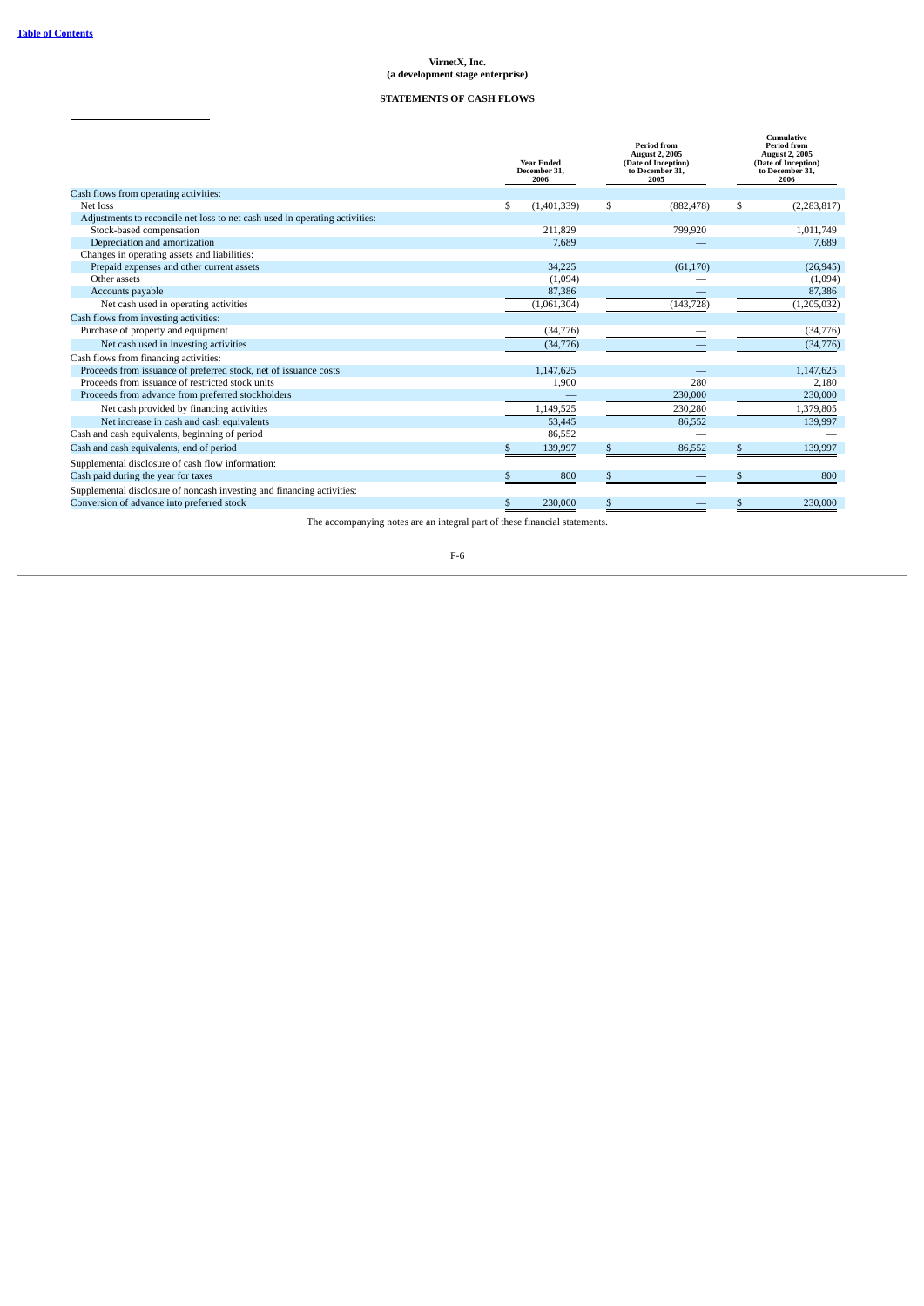# **STATEMENTS OF CASH FLOWS**

<span id="page-56-0"></span>

|                                                                             | <b>Period from</b><br><b>August 2, 2005</b><br><b>Year Ended</b><br>(Date of Inception)<br>December 31.<br>to December 31,<br>2006<br>2005 |    |            |    |               |  | Cumulative<br><b>Period from</b><br><b>August 2, 2005</b><br>(Date of Inception)<br>to December 31,<br>2006 |
|-----------------------------------------------------------------------------|--------------------------------------------------------------------------------------------------------------------------------------------|----|------------|----|---------------|--|-------------------------------------------------------------------------------------------------------------|
| Cash flows from operating activities:                                       |                                                                                                                                            |    |            |    |               |  |                                                                                                             |
| Net loss                                                                    | \$<br>(1,401,339)                                                                                                                          | S  | (882, 478) | \$ | (2, 283, 817) |  |                                                                                                             |
| Adjustments to reconcile net loss to net cash used in operating activities: |                                                                                                                                            |    |            |    |               |  |                                                                                                             |
| Stock-based compensation                                                    | 211,829                                                                                                                                    |    | 799,920    |    | 1,011,749     |  |                                                                                                             |
| Depreciation and amortization                                               | 7.689                                                                                                                                      |    |            |    | 7.689         |  |                                                                                                             |
| Changes in operating assets and liabilities:                                |                                                                                                                                            |    |            |    |               |  |                                                                                                             |
| Prepaid expenses and other current assets                                   | 34,225                                                                                                                                     |    | (61, 170)  |    | (26, 945)     |  |                                                                                                             |
| Other assets                                                                | (1,094)                                                                                                                                    |    |            |    | (1,094)       |  |                                                                                                             |
| Accounts payable                                                            | 87,386                                                                                                                                     |    |            |    | 87,386        |  |                                                                                                             |
| Net cash used in operating activities                                       | (1,061,304)                                                                                                                                |    | (143, 728) |    | (1,205,032)   |  |                                                                                                             |
| Cash flows from investing activities:                                       |                                                                                                                                            |    |            |    |               |  |                                                                                                             |
| Purchase of property and equipment                                          | (34,776)                                                                                                                                   |    |            |    | (34, 776)     |  |                                                                                                             |
| Net cash used in investing activities                                       | (34,776)                                                                                                                                   |    |            |    | (34,776)      |  |                                                                                                             |
| Cash flows from financing activities:                                       |                                                                                                                                            |    |            |    |               |  |                                                                                                             |
| Proceeds from issuance of preferred stock, net of issuance costs            | 1,147,625                                                                                                                                  |    |            |    | 1,147,625     |  |                                                                                                             |
| Proceeds from issuance of restricted stock units                            | 1,900                                                                                                                                      |    | 280        |    | 2,180         |  |                                                                                                             |
| Proceeds from advance from preferred stockholders                           |                                                                                                                                            |    | 230,000    |    | 230,000       |  |                                                                                                             |
| Net cash provided by financing activities                                   | 1,149,525                                                                                                                                  |    | 230,280    |    | 1,379,805     |  |                                                                                                             |
| Net increase in cash and cash equivalents                                   | 53,445                                                                                                                                     |    | 86,552     |    | 139,997       |  |                                                                                                             |
| Cash and cash equivalents, beginning of period                              | 86,552                                                                                                                                     |    |            |    |               |  |                                                                                                             |
| Cash and cash equivalents, end of period                                    | 139,997                                                                                                                                    |    | 86,552     |    | 139,997       |  |                                                                                                             |
| Supplemental disclosure of cash flow information:                           |                                                                                                                                            |    |            |    |               |  |                                                                                                             |
| Cash paid during the year for taxes                                         | 800                                                                                                                                        | \$ |            |    | 800           |  |                                                                                                             |
| Supplemental disclosure of noncash investing and financing activities:      |                                                                                                                                            |    |            |    |               |  |                                                                                                             |
| Conversion of advance into preferred stock                                  | 230,000                                                                                                                                    | \$ |            |    | 230,000       |  |                                                                                                             |
|                                                                             |                                                                                                                                            |    |            |    |               |  |                                                                                                             |

The accompanying notes are an integral part of these financial statements.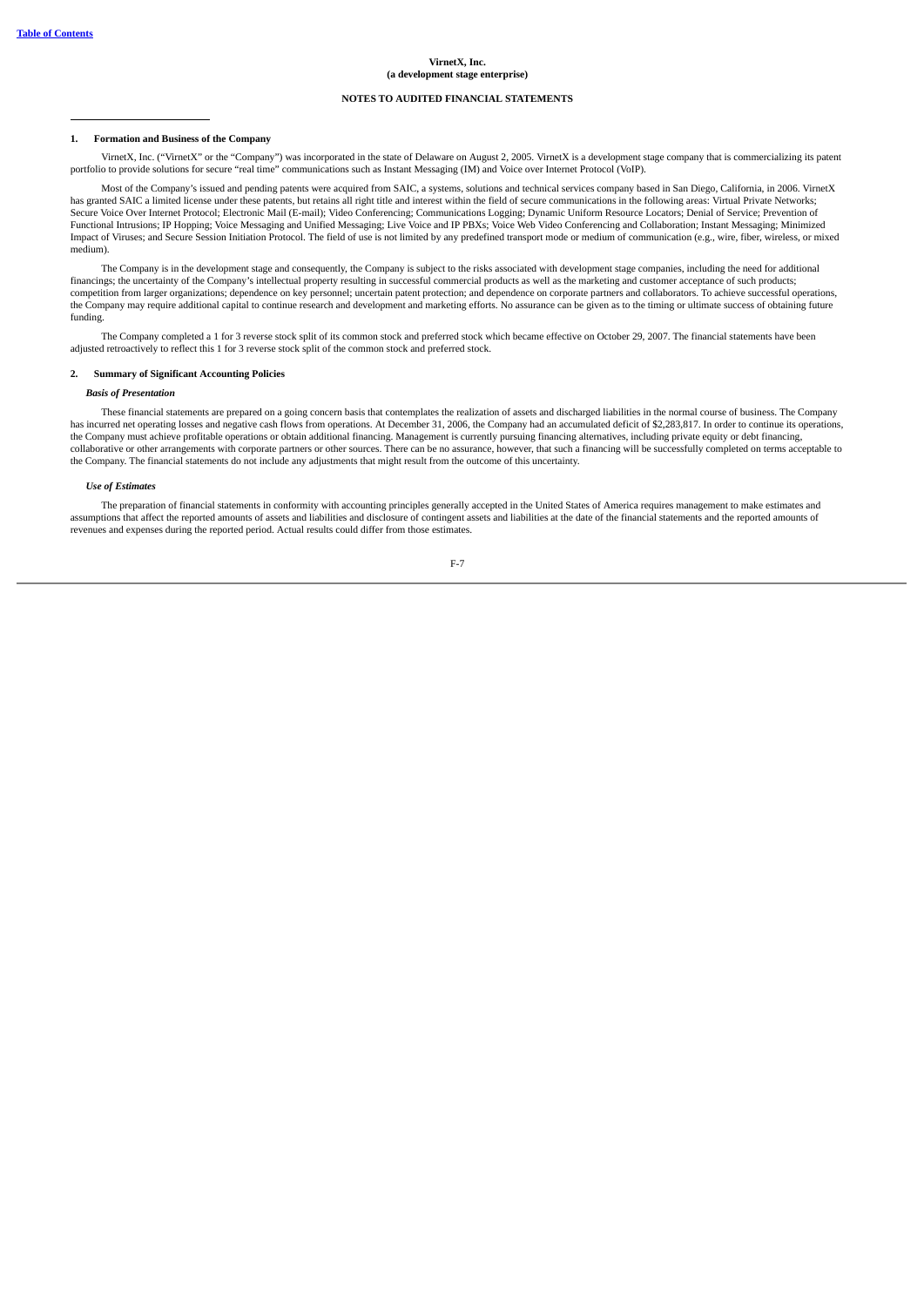#### **NOTES TO AUDITED FINANCIAL STATEMENTS**

## <span id="page-57-0"></span>**1. Formation and Business of the Company**

VirnetX, Inc. ("VirnetX" or the "Company") was incorporated in the state of Delaware on August 2, 2005. VirnetX is a development stage company that is commercializing its patent portfolio to provide solutions for secure "real time" communications such as Instant Messaging (IM) and Voice over Internet Protocol (VoIP).

Most of the Company's issued and pending patents were acquired from SAIC, a systems, solutions and technical services company based in San Diego, California, in 2006. VirnetX has granted SAIC a limited license under these patents, but retains all right title and interest within the field of secure communications in the following areas: Virtual Private Networks; Secure Voice Over Internet Protocol; Electronic Mail (E-mail); Video Conferencing; Communications Logging; Dynamic Uniform Resource Locators; Denial of Service; Prevention of Functional Intrusions; IP Hopping; Voice Messaging and Unified Messaging; Live Voice and IP PBXs; Voice Web Video Conferencing and Collaboration; Instant Messaging; Minimized Impact of Viruses; and Secure Session Initiation Protocol. The field of use is not limited by any predefined transport mode or medium of communication (e.g., wire, fiber, wireless, or mixed medium).

The Company is in the development stage and consequently, the Company is subject to the risks associated with development stage companies, including the need for additional financings; the uncertainty of the Company's intellectual property resulting in successful commercial products as well as the marketing and customer acceptance of such products; competition from larger organizations; dependence on key personnel; uncertain patent protection; and dependence on corporate partners and collaborators. To achieve successful operations, the Company may require additional capital to continue research and development and marketing efforts. No assurance can be given as to the timing or ultimate success of obtaining future funding.

The Company completed a 1 for 3 reverse stock split of its common stock and preferred stock which became effective on October 29, 2007. The financial statements have been<br>adjusted retroactively to reflect this 1 for 3 reve

## **2. Summary of Significant Accounting Policies**

#### *Basis of Presentation*

These financial statements are prepared on a going concern basis that contemplates the realization of assets and discharged liabilities in the normal course of business. The Company has incurred net operating losses and negative cash flows from operations. At December 31, 2006, the Company had an accumulated deficit of \$2,283,817. In order to continue its operations, the Company must achieve profitable operations or obtain additional financing. Management is currently pursuing financing alternatives, including private equity or debt financing, collaborative or other arrangements with corporate partners or other sources. There can be no assurance, however, that such a financing will be successfully completed on terms acceptable to the Company. The financial statements do not include any adjustments that might result from the outcome of this uncertainty.

#### *Use of Estimates*

The preparation of financial statements in conformity with accounting principles generally accepted in the United States of America requires management to make estimates and assumptions that affect the reported amounts of assets and liabilities and disclosure of contingent assets and liabilities at the date of the financial statements and the reported amounts of revenues and expenses during the reported period. Actual results could differ from those estimates.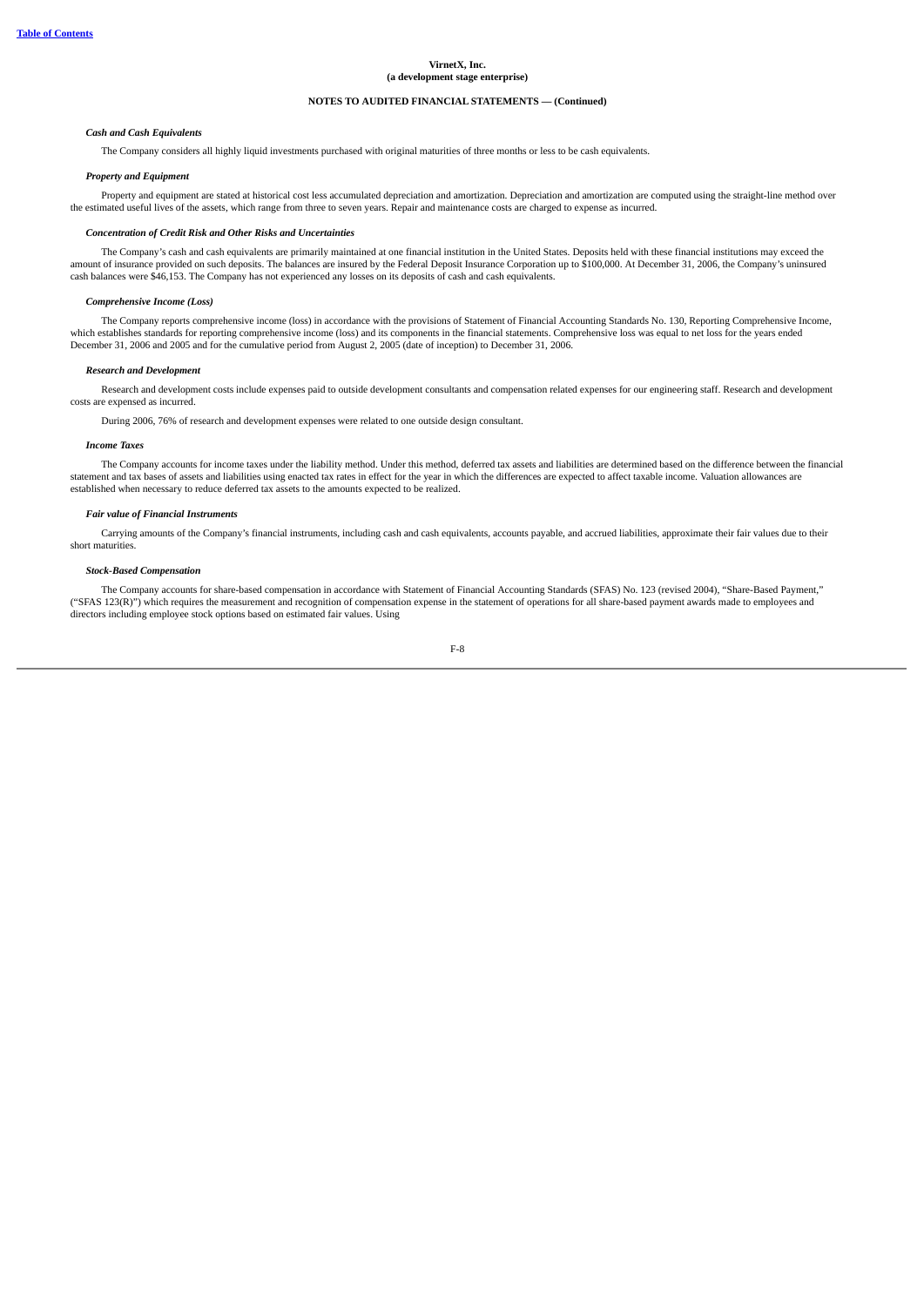## **NOTES TO AUDITED FINANCIAL STATEMENTS — (Continued)**

#### *Cash and Cash Equivalents*

The Company considers all highly liquid investments purchased with original maturities of three months or less to be cash equivalents.

## *Property and Equipment*

Property and equipment are stated at historical cost less accumulated depreciation and amortization. Depreciation and amortization are computed using the straight-line method over the estimated useful lives of the assets, which range from three to seven years. Repair and maintenance costs are charged to expense as incurred.

## *Concentration of Credit Risk and Other Risks and Uncertainties*

The Company's cash and cash equivalents are primarily maintained at one financial institution in the United States. Deposits held with these financial institutions may exceed the amount of insurance provided on such deposits. The balances are insured by the Federal Deposit Insurance Corporation up to \$100,000. At December 31, 2006, the Company's uninsured cash balances were \$46,153. The Company has not experienced any losses on its deposits of cash and cash equivalents.

#### *Comprehensive Income (Loss)*

The Company reports comprehensive income (loss) in accordance with the provisions of Statement of Financial Accounting Standards No. 130, Reporting Comprehensive Income, which establishes standards for reporting comprehensive income (loss) and its components in the financial statements. Comprehensive loss was equal to net loss for the years ended December 31, 2006 and 2005 and for the cumulative period from August 2, 2005 (date of inception) to December 31, 2006.

## *Research and Development*

Research and development costs include expenses paid to outside development consultants and compensation related expenses for our engineering staff. Research and development costs are expensed as incurred.

During 2006, 76% of research and development expenses were related to one outside design consultant.

#### *Income Taxes*

The Company accounts for income taxes under the liability method. Under this method, deferred tax assets and liabilities are determined based on the difference between the financial statement and tax bases of assets and liabilities using enacted tax rates in effect for the year in which the differences are expected to affect taxable income. Valuation allowances are established when necessary to reduce deferred tax assets to the amounts expected to be realized.

#### *Fair value of Financial Instruments*

Carrying amounts of the Company's financial instruments, including cash and cash equivalents, accounts payable, and accrued liabilities, approximate their fair values due to their short maturities.

## *Stock-Based Compensation*

The Company accounts for share-based compensation in accordance with Statement of Financial Accounting Standards (SFAS) No. 123 (revised 2004), "Share-Based Payment," ("SFAS 123(R)") which requires the measurement and recognition of compensation expense in the statement of operations for all share-based payment awards made to employees and<br>directors including employee stock options base

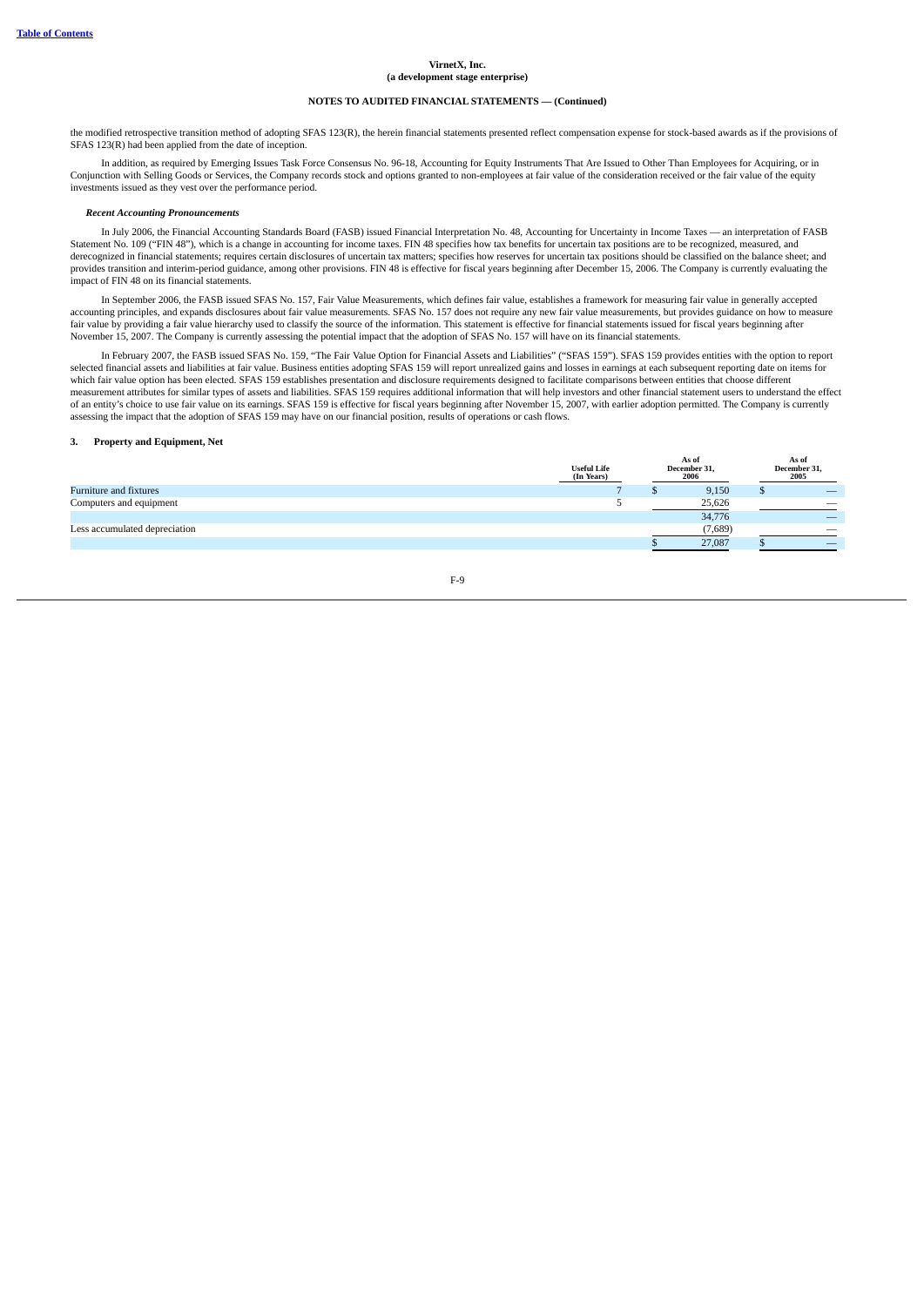## **NOTES TO AUDITED FINANCIAL STATEMENTS — (Continued)**

the modified retrospective transition method of adopting SFAS 123(R), the herein financial statements presented reflect compensation expense for stock-based awards as if the provisions of SFAS 123(R) had been applied from the date of inception.

In addition, as required by Emerging Issues Task Force Consensus No. 96-18, Accounting for Equity Instruments That Are Issued to Other Than Employees for Acquiring, or in Conjunction with Selling Goods or Services, the Company records stock and options granted to non-employees at fair value of the consideration received or the fair value of the equity investments issued as they vest over the performance period.

## *Recent Accounting Pronouncements*

In July 2006, the Financial Accounting Standards Board (FASB) issued Financial Interpretation No. 48, Accounting for Uncertainty in Income Taxes — an interpretation of FASB Statement No. 109 ("FIN 48"), which is a change in accounting for income taxes. FIN 48 specifies how tax benefits for uncertain tax positions are to be recognized, measured, and derecognized in financial statements; requires certain disclosures of uncertain tax matters; specifies how reserves for uncertain tax positions should be classified on the balance sheet; and provides transition and interim-period guidance, among other provisions. FIN 48 is effective for fiscal years beginning after December 15, 2006. The Company is currently evaluating the impact of FIN 48 on its financial statements.

In September 2006, the FASB issued SFAS No. 157, Fair Value Measurements, which defines fair value, establishes a framework for measuring fair value in generally accepted accounting principles, and expands disclosures about fair value measurements. SFAS No. 157 does not require any new fair value measurements, but provides guidance on how to measure fair value by providing a fair value hierarchy used to classify the source of the information. This statement is effective for financial statements issued for fiscal years beginning after November 15, 2007. The Company is currently assessing the potential impact that the adoption of SFAS No. 157 will have on its financial statements.

In February 2007, the FASB issued SFAS No. 159, "The Fair Value Option for Financial Assets and Liabilities" ("SFAS 159"). SFAS 159 provides entities with the option to report selected financial assets and liabilities at fair value. Business entities adopting SFAS 159 will report unrealized gains and losses in earnings at each subsequent reporting date on items for which fair value option has been elected. SFAS 159 establishes presentation and disclosure requirements designed to facilitate comparisons between entities that choose different<br>measurement attributes for similar types of of an entity's choice to use fair value on its earnings. SFAS 159 is effective for fiscal years beginning after November 15, 2007, with earlier adoption permitted. The Company is currently assessing the impact that the adoption of SFAS 159 may have on our financial position, results of operations or cash flows.

#### **3. Property and Equipment, Net**

|                               | <b>Useful Life</b><br>(In Years) | As of<br>December 31,<br>2006 | As of<br>December 31,<br>2005 |  |  |
|-------------------------------|----------------------------------|-------------------------------|-------------------------------|--|--|
| Furniture and fixtures        |                                  | 9,150                         |                               |  |  |
| Computers and equipment       |                                  | 25,626                        |                               |  |  |
|                               |                                  | 34,776                        |                               |  |  |
| Less accumulated depreciation |                                  | (7,689)                       |                               |  |  |
|                               |                                  | 27,087                        |                               |  |  |
|                               |                                  |                               |                               |  |  |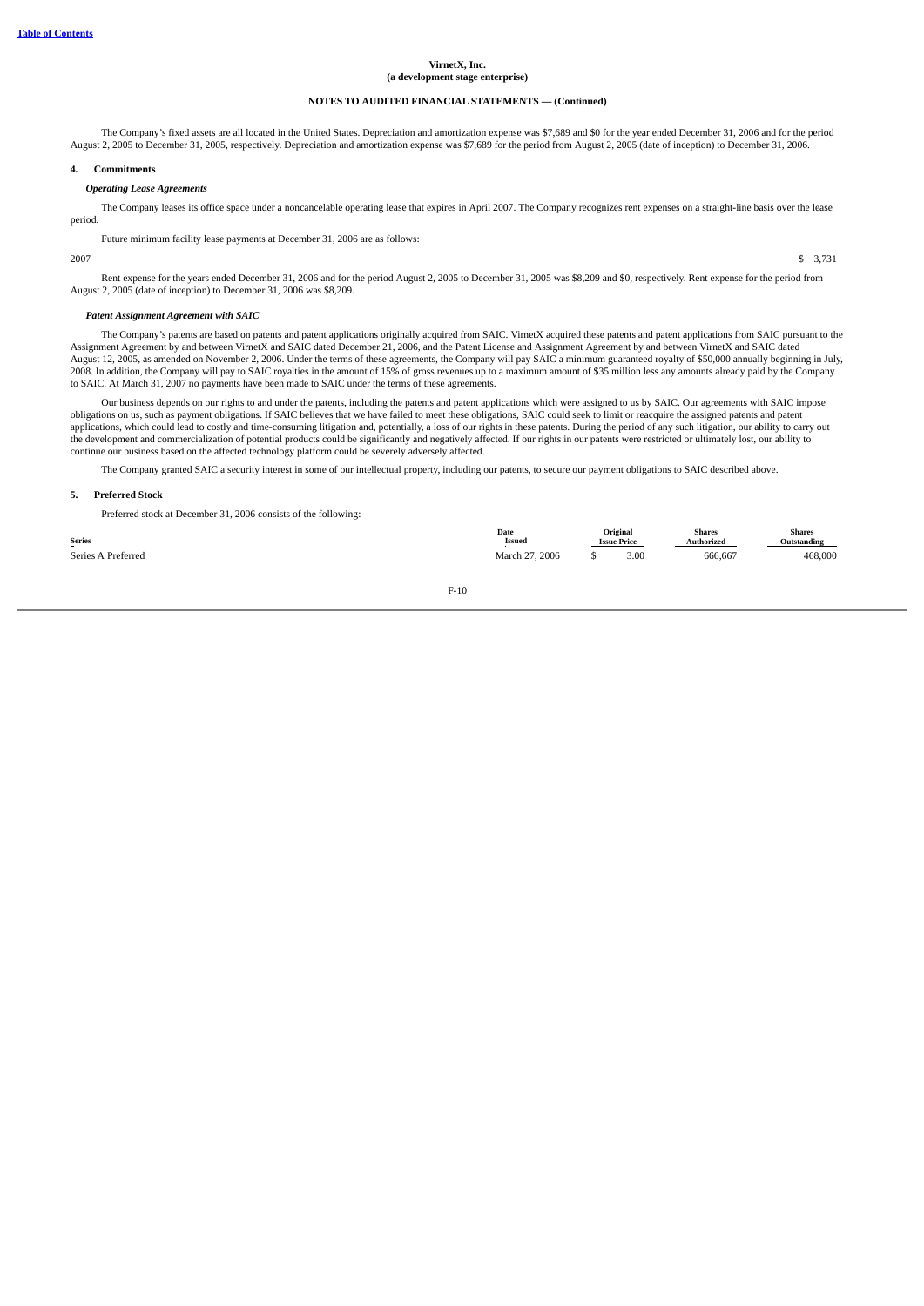## **NOTES TO AUDITED FINANCIAL STATEMENTS — (Continued)**

The Company's fixed assets are all located in the United States. Depreciation and amortization expense was \$7,689 and \$0 for the year ended December 31, 2006 and for the period August 2, 2005 (date of inception) to Decembe

#### **4. Commitments**

#### *Operating Lease Agreements*

The Company leases its office space under a noncancelable operating lease that expires in April 2007. The Company recognizes rent expenses on a straight-line basis over the lease period.

Future minimum facility lease payments at December 31, 2006 are as follows:

2007 \$ 3,731

Rent expense for the years ended December 31, 2006 and for the period August 2, 2005 to December 31, 2005 was \$8,209 and \$0, respectively. Rent expense for the period from August 2, 2005 (date of inception) to December 31, 2006 was \$8,209.

#### *Patent Assignment Agreement with SAIC*

The Company's patents are based on patents and patent applications originally acquired from SAIC. VirnetX acquired these patents and patent applications from SAIC pursuant to the Assignment Agreement by and between VirnetX and SAIC dated December 21, 2006, and the Patent License and Assignment Agreement by and between VirnetX and SAIC dated August 12, 2005, as amended on November 2, 2006. Under the terms of these agreements, the Company will pay SAIC a minimum guaranteed royalty of \$50,000 annually beginning in July,<br>2008. In addition, the Company will pay to to SAIC. At March 31, 2007 no payments have been made to SAIC under the terms of these agreements.

Our business depends on our rights to and under the patents, including the patents and patent applications which were assigned to us by SAIC. Our agreements with SAIC impose<br>obligations on us, such as payment obligations. applications, which could lead to costly and time-consuming litigation and, potentially, a loss of our rights in these patents. During the period of any such litigation, our ability to carry out the development and commercialization of potential products could be significantly and negatively affected. If our rights in our patents were restricted or ultimately lost, our ability to continue our business based on the affected technology platform could be severely adversely affected.

The Company granted SAIC a security interest in some of our intellectual property, including our patents, to secure our payment obligations to SAIC described above.

## **5. Preferred Stock**

Preferred stock at December 31, 2006 consists of the following:

| Series                  | Date<br>Issued | Original<br><b>Issue Price</b> |      | Shares<br>Authorized | <b>Shares</b><br>Outstanding |  |
|-------------------------|----------------|--------------------------------|------|----------------------|------------------------------|--|
| Series A Preferred<br>. | March 27, 2006 |                                | 3.00 | 666,667              | 468,000                      |  |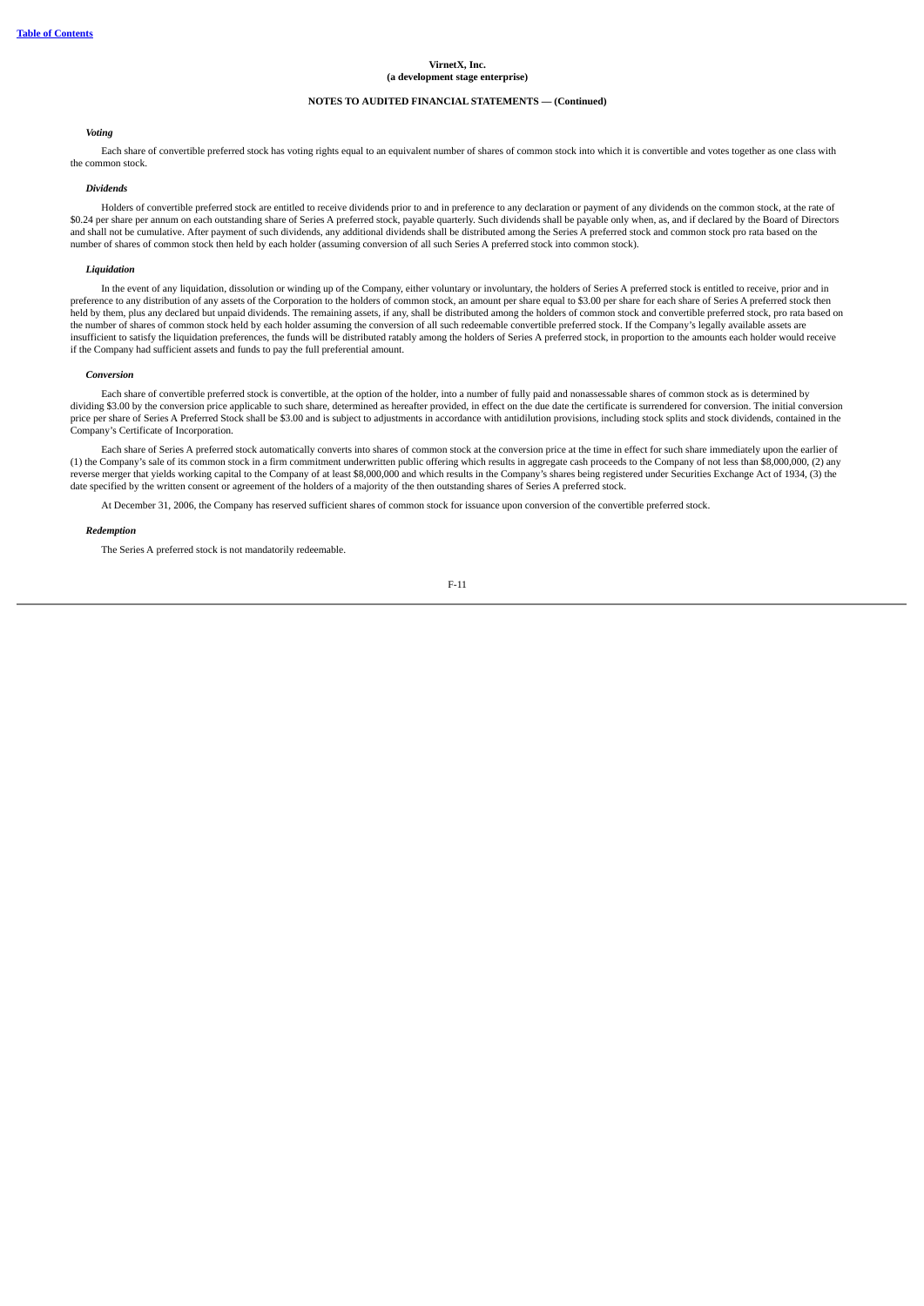## **NOTES TO AUDITED FINANCIAL STATEMENTS — (Continued)**

### *Voting*

Each share of convertible preferred stock has voting rights equal to an equivalent number of shares of common stock into which it is convertible and votes together as one class with the common stock.

### *Dividends*

Holders of convertible preferred stock are entitled to receive dividends prior to and in preference to any declaration or payment of any dividends on the common stock, at the rate of \$0.24 per share per annum on each outstanding share of Series A preferred stock, payable quarterly. Such dividends shall be payable only when, as, and if declared by the Board of Directors and shall not be cumulative. After payment of such dividends, any additional dividends shall be distributed among the Series A preferred stock and common stock pro rata based on the number of shares of common stock then held by each holder (assuming conversion of all such Series A preferred stock into common stock).

## *Liquidation*

In the event of any liquidation, dissolution or winding up of the Company, either voluntary or involuntary, the holders of Series A preferred stock is entitled to receive, prior and in preference to any distribution of any assets of the Corporation to the holders of common stock, an amount per share equal to \$3.00 per share for each share of Series A preferred stock then .<br>held by them, plus any declared but unpaid dividends. The remaining assets, if any, shall be distributed among the holders of common stock and convertible preferred stock, pro rata based on the number of shares of common stock held by each holder assuming the conversion of all such redeemable convertible preferred stock. If the Company's legally available assets are insufficient to satisfy the liquidation preferences, the funds will be distributed ratably among the holders of Series A preferred stock, in proportion to the amounts each holder would receive if the Company had sufficient assets and funds to pay the full preferential amount.

#### *Conversion*

Each share of convertible preferred stock is convertible, at the option of the holder, into a number of fully paid and nonassessable shares of common stock as is determined by وdividing \$3.00 by the conversion price applic price per share of Series A Preferred Stock shall be \$3.00 and is subject to adjustments in accordance with antidilution provisions, including stock splits and stock dividends, contained in the Company's Certificate of Incorporation.

Each share of Series A preferred stock automatically converts into shares of common stock at the conversion price at the time in effect for such share immediately upon the earlier of (1) the Company's sale of its common stock in a firm commitment underwritten public offering which results in aggregate cash proceeds to the Company of not less than \$8,000,000, (2) any reverse merger that yields working capital to the Company of at least \$8,000,000 and which results in the Company's shares being registered under Securities Exchange Act of 1934, (3) the date specified by the written consent or agreement of the holders of a majority of the then outstanding shares of Series A preferred stock.

At December 31, 2006, the Company has reserved sufficient shares of common stock for issuance upon conversion of the convertible preferred stock.

## *Redemption*

The Series A preferred stock is not mandatorily redeemable.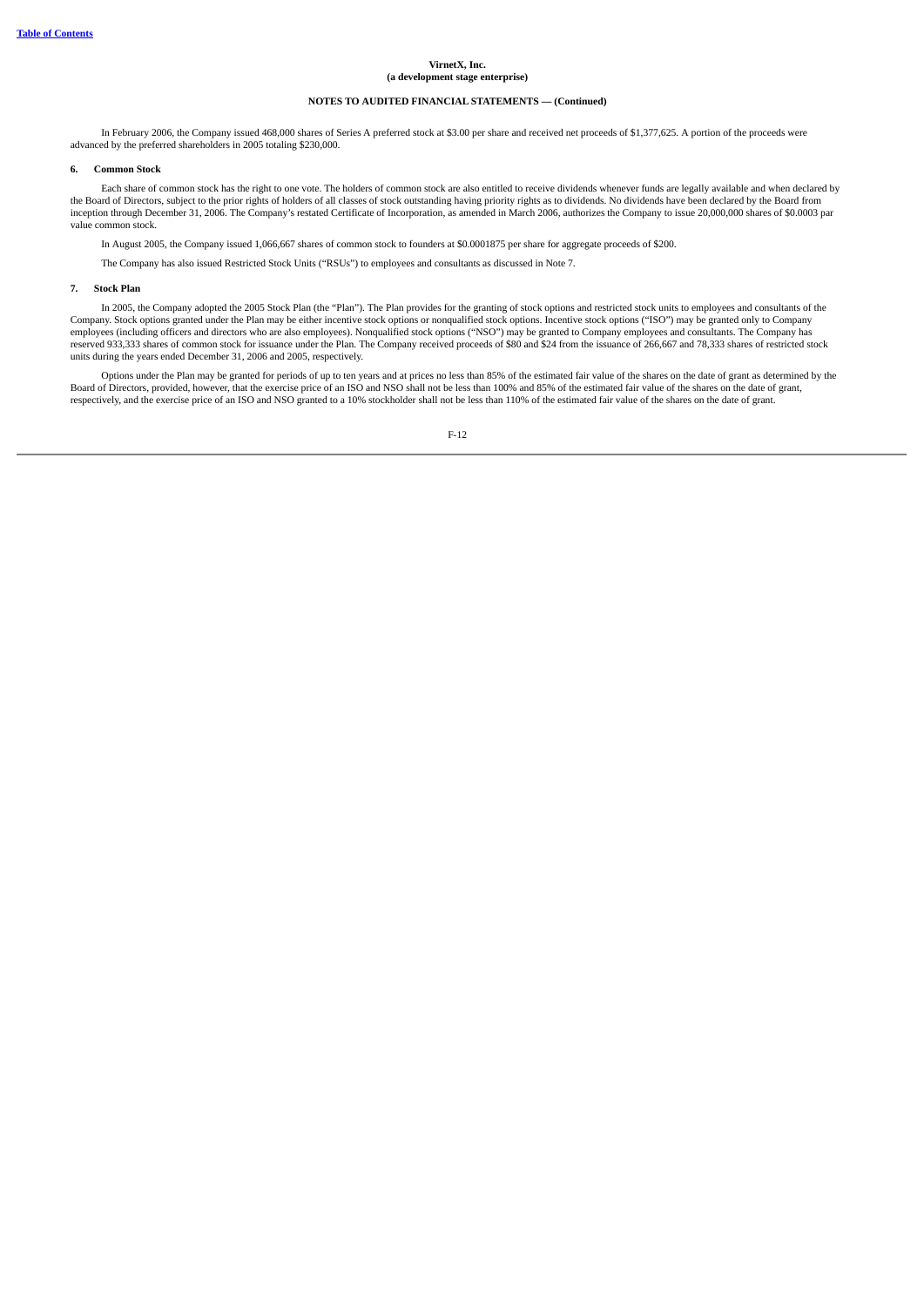## **NOTES TO AUDITED FINANCIAL STATEMENTS — (Continued)**

In February 2006, the Company issued 468,000 shares of Series A preferred stock at \$3.00 per share and received net proceeds of \$1,377,625. A portion of the proceeds were advanced by the preferred shareholders in 2005 totaling \$230,000.

#### **6. Common Stock**

Each share of common stock has the right to one vote. The holders of common stock are also entitled to receive dividends whenever funds are legally available and when declared by the Board of Directors, subject to the prior rights of holders of all classes of stock outstanding having priority rights as to dividends. No dividends have been declared by the Board from inception through December 31, 2006. The Company's restated Certificate of Incorporation, as amended in March 2006, authorizes the Company to issue 20,000,000 shares of \$0.0003 par value common stock.

In August 2005, the Company issued 1,066,667 shares of common stock to founders at \$0.0001875 per share for aggregate proceeds of \$200.

The Company has also issued Restricted Stock Units ("RSUs") to employees and consultants as discussed in Note 7.

## **7. Stock Plan**

In 2005, the Company adopted the 2005 Stock Plan (the "Plan"). The Plan provides for the granting of stock options and restricted stock units to employees and consultants of the Company. Stock options granted under the Plan may be either incentive stock options or nonqualified stock options. Incentive stock options ("ISO") may be granted only to Company employees (including officers and directors who are also employees). Nonqualified stock options ("NSO") may be granted to Company employees and consultants. The Company has<br>reserved 933,333 shares of common stock for issua units during the years ended December 31, 2006 and 2005, respectively.

Options under the Plan may be granted for periods of up to ten years and at prices no less than 85% of the estimated fair value of the shares on the date of grant as determined by the Board of Directors, provided, however, respectively, and the exercise price of an ISO and NSO granted to a 10% stockholder shall not be less than 110% of the estimated fair value of the shares on the date of grant.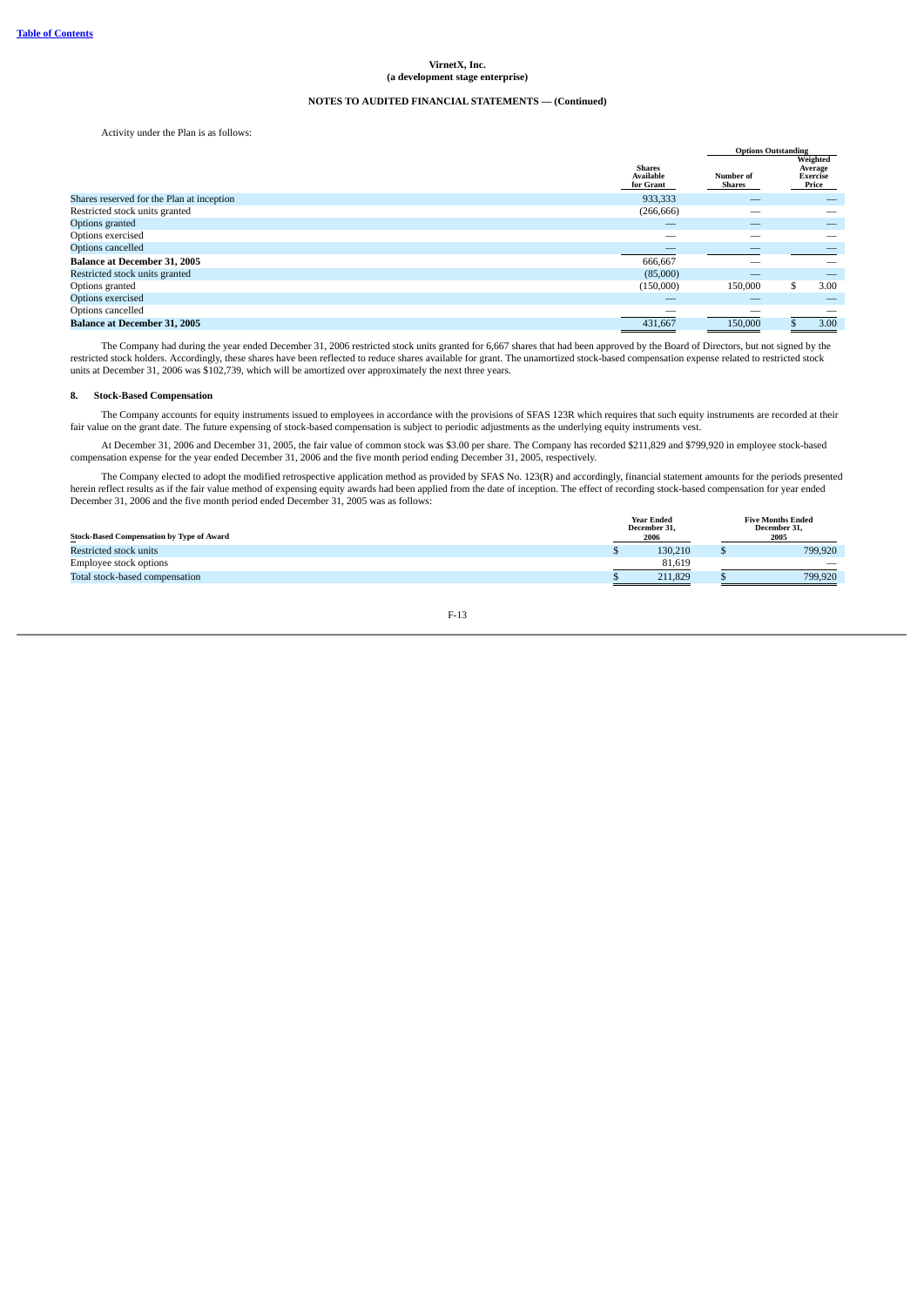## **NOTES TO AUDITED FINANCIAL STATEMENTS — (Continued)**

Activity under the Plan is as follows:

|                                           |                                                | <b>Options Outstanding</b> |                                          |
|-------------------------------------------|------------------------------------------------|----------------------------|------------------------------------------|
|                                           | <b>Shares</b><br><b>Available</b><br>for Grant | Number of<br>Shares        | Weighted<br>Average<br>Exercise<br>Price |
| Shares reserved for the Plan at inception | 933,333                                        | –                          |                                          |
| Restricted stock units granted            | (266, 666)                                     | __                         |                                          |
| Options granted                           | __                                             | __                         | —                                        |
| Options exercised                         |                                                |                            |                                          |
| Options cancelled                         |                                                |                            |                                          |
| Balance at December 31, 2005              | 666,667                                        |                            |                                          |
| Restricted stock units granted            | (85,000)                                       |                            | _                                        |
| Options granted                           | (150,000)                                      | 150,000                    | 3.00                                     |
| Options exercised                         |                                                |                            | –                                        |
| Options cancelled                         |                                                |                            |                                          |
| <b>Balance at December 31, 2005</b>       | 431,667                                        | 150,000                    | 3.00                                     |

The Company had during the year ended December 31, 2006 restricted stock units granted for 6,667 shares that had been approved by the Board of Directors, but not signed by the restricted stock holders. Accordingly, these shares have been reflected to reduce shares available for grant. The unamortized stock-based compensation expense related to restricted stock-<br>restricted stock-based compensatio units at December 31, 2006 was \$102,739, which will be amortized over approximately the next three years.

## **8. Stock-Based Compensation**

The Company accounts for equity instruments issued to employees in accordance with the provisions of SFAS 123R which requires that such equity instruments are recorded at their fair value on the grant date. The future expensing of stock-based compensation is subject to periodic adjustments as the underlying equity instruments vest.

At December 31, 2006 and December 31, 2005, the fair value of common stock was \$3.00 per share. The Company has recorded \$211,829 and \$799,920 in employee stock-based compensation expense for the year ended December 31, 2006 and the five month period ending December 31, 2005, respectively.

The Company elected to adopt the modified retrospective application method as provided by SFAS No. 123(R) and accordingly, financial statement amounts for the periods presented herein reflect results as if the fair value method of expensing equity awards had been applied from the date of inception. The effect of recording stock-based compensation for year ended<br>December 31, 2006 and the five mont

| <b>Stock-Based Compensation by Type of Award</b> | <b>Year Ended</b><br>December 31,<br>2006 | <b>Five Months Ended</b><br>December 31,<br>2005 |  |  |
|--------------------------------------------------|-------------------------------------------|--------------------------------------------------|--|--|
| Restricted stock units                           | 130,210                                   | 799,920                                          |  |  |
| Employee stock options                           | 81.619                                    | $\overline{\phantom{a}}$                         |  |  |
| Total stock-based compensation                   | 211,829                                   | 799.920                                          |  |  |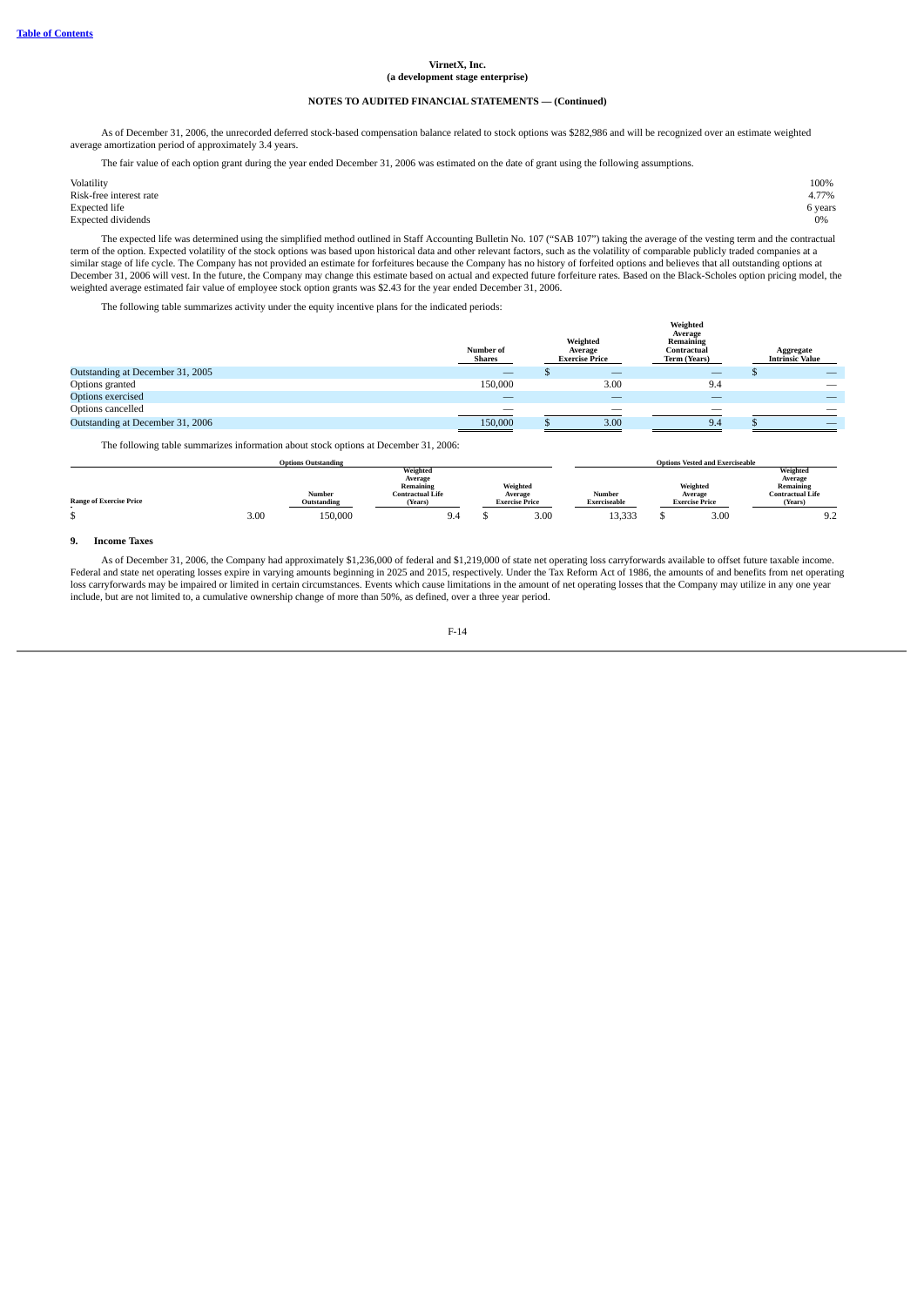## **NOTES TO AUDITED FINANCIAL STATEMENTS — (Continued)**

As of December 31, 2006, the unrecorded deferred stock-based compensation balance related to stock options was \$282,986 and will be recognized over an estimate weighted average amortization period of approximately 3.4 years.

The fair value of each option grant during the year ended December 31, 2006 was estimated on the date of grant using the following assumptions.

| Volatility              | 100%    |
|-------------------------|---------|
| Risk-free interest rate | 4.77%   |
| Expected life           | 6 years |
| Expected dividends      | 0%      |

The expected life was determined using the simplified method outlined in Staff Accounting Bulletin No. 107 ("SAB 107") taking the average of the vesting term and the contractual term of the option. Expected volatility of the stock options was based upon historical data and other relevant factors, such as the volatility of comparable publicly traded companies at a similar stage of life cycle. The Company has not provided an estimate for forfeitures because the Company has no history of forfeited options and believes that all outstanding options at December 31, 2006 will vest. In the future, the Company may change this estimate based on actual and expected future forfeiture rates. Based on the Black-Scholes option pricing model, the weighted average estimated fair value of employee stock option grants was \$2.43 for the year ended December 31, 2006.

The following table summarizes activity under the equity incentive plans for the indicated periods:

|                                  | Number of<br>Shares | Weighted<br>Average<br><b>Exercise Price</b> | Weighted<br>Average<br>Remaining<br>Contractual<br>Term (Years) | Aggregate<br><b>Intrinsic Value</b> |    |
|----------------------------------|---------------------|----------------------------------------------|-----------------------------------------------------------------|-------------------------------------|----|
| Outstanding at December 31, 2005 | –                   | _                                            |                                                                 |                                     |    |
| Options granted                  | 150,000             | 3.00                                         | 9.4                                                             |                                     |    |
| Options exercised                |                     | _                                            | –                                                               |                                     |    |
| Options cancelled                | __                  | __                                           | __                                                              |                                     | __ |
| Outstanding at December 31, 2006 | 150,000             | 3.00                                         | 9.4                                                             |                                     |    |

The following table summarizes information about stock options at December 31, 2006:

| <b>Options Outstanding</b>     |      |               |                                                 |  |                       | <b>Options Vested and Exerciseable</b> |                       |                                                 |
|--------------------------------|------|---------------|-------------------------------------------------|--|-----------------------|----------------------------------------|-----------------------|-------------------------------------------------|
|                                |      |               | Weighted                                        |  |                       |                                        |                       | Weighted                                        |
|                                |      | <b>Number</b> | Average<br>Remaining<br><b>Contractual Life</b> |  | Weighted<br>Average   | Number                                 | Weighted<br>Average   | Average<br>Remaining<br><b>Contractual Life</b> |
| <b>Range of Exercise Price</b> |      | Outstanding   | (Years)                                         |  | <b>Exercise Price</b> | <b>Exerciseable</b>                    | <b>Exercise Price</b> | (Years)                                         |
|                                | 3.00 | 150,000       | 9.4                                             |  | 3.00                  | 13,333                                 | 3.00                  | Q <sub>0</sub><br>J.Z                           |

## **9. Income Taxes**

As of December 31, 2006, the Company had approximately \$1,236,000 of federal and \$1,219,000 of state net operating loss carryforwards available to offset future taxable income. Federal and state net operating losses expire in varying amounts beginning in 2025 and 2015, respectively. Under the Tax Reform Act of 1986, the amounts of and benefits from net operating loss carryforwards may be impaired or limited in certain circumstances. Events which cause limitations in the amount of net operating losses that the Company may utilize in any one year include, but are not limited to, a cumulative ownership change of more than 50%, as defined, over a three year period.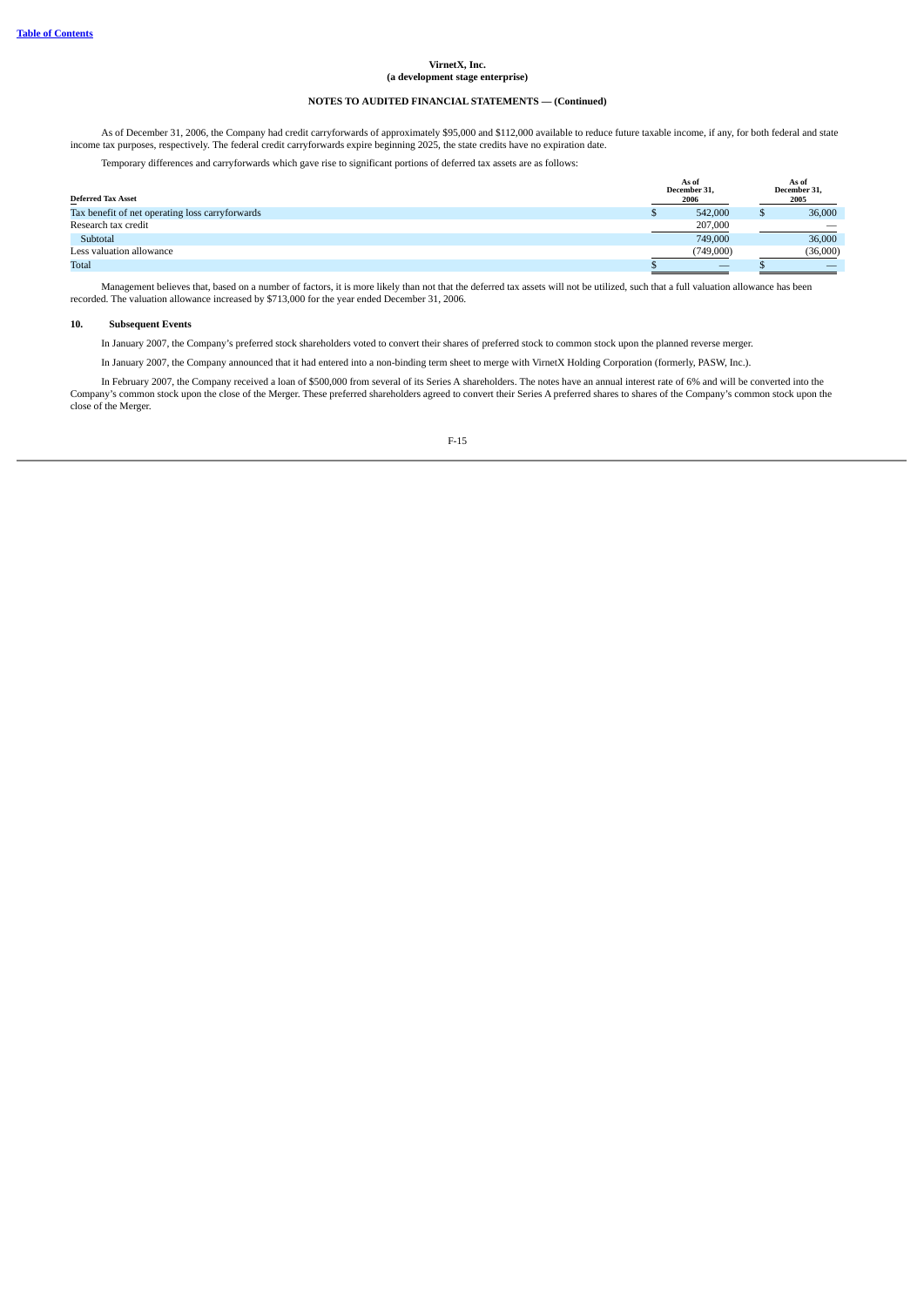## **NOTES TO AUDITED FINANCIAL STATEMENTS — (Continued)**

As of December 31, 2006, the Company had credit carryforwards of approximately \$95,000 and \$112,000 available to reduce future taxable income, if any, for both federal and state income tax purposes, respectively. The feder

Temporary differences and carryforwards which gave rise to significant portions of deferred tax assets are as follows:

| <b>Deferred Tax Asset</b>                       | As of<br>December 31.<br>2006 | As of<br>December 31,<br>2005 |
|-------------------------------------------------|-------------------------------|-------------------------------|
| Tax benefit of net operating loss carryforwards | 542,000<br>ш                  | 36,000                        |
| Research tax credit                             | 207,000                       | __                            |
| Subtotal                                        | 749,000                       | 36,000                        |
| Less valuation allowance                        | (749,000)                     | (36,000)                      |
| <b>Total</b>                                    |                               |                               |

Management believes that, based on a number of factors, it is more likely than not that the deferred tax assets will not be utilized, such that a full valuation allowance has been recorded. The valuation allowance increased by \$713,000 for the year ended December 31, 2006.

#### **10. Subsequent Events**

In January 2007, the Company's preferred stock shareholders voted to convert their shares of preferred stock to common stock upon the planned reverse merger.

In January 2007, the Company announced that it had entered into a non-binding term sheet to merge with VirnetX Holding Corporation (formerly, PASW, Inc.).

In February 2007, the Company received a loan of \$500,000 from several of its Series A shareholders. The notes have an annual interest rate of 6% and will be converted into the Company's common stock upon the close of the Merger. These preferred shareholders agreed to convert their Series A preferred shares to shares of the Company's common stock upon the close of the Merger.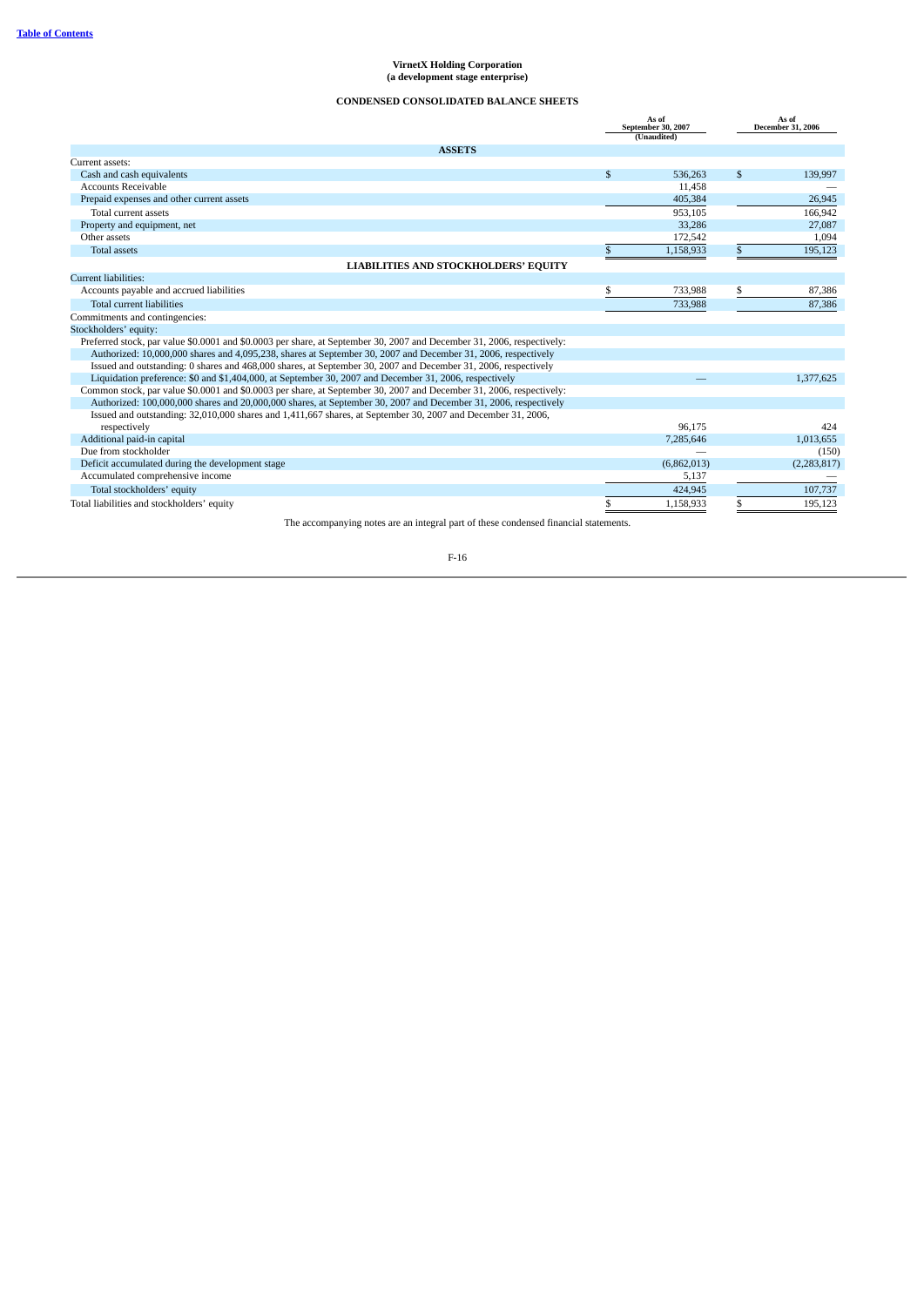## **CONDENSED CONSOLIDATED BALANCE SHEETS**

<span id="page-66-0"></span>

|                                                                                                                        | As of<br>September 30, 2007<br>(Unaudited) |             |              | As of<br><b>December 31, 2006</b> |
|------------------------------------------------------------------------------------------------------------------------|--------------------------------------------|-------------|--------------|-----------------------------------|
| <b>ASSETS</b>                                                                                                          |                                            |             |              |                                   |
| Current assets:                                                                                                        |                                            |             |              |                                   |
| Cash and cash equivalents                                                                                              | \$                                         | 536,263     | $\mathbb{S}$ | 139,997                           |
| <b>Accounts Receivable</b>                                                                                             |                                            | 11.458      |              |                                   |
| Prepaid expenses and other current assets                                                                              |                                            | 405.384     |              | 26.945                            |
| Total current assets                                                                                                   |                                            | 953.105     |              | 166.942                           |
| Property and equipment, net                                                                                            |                                            | 33,286      |              | 27,087                            |
| Other assets                                                                                                           |                                            | 172,542     |              | 1,094                             |
| <b>Total assets</b>                                                                                                    | \$                                         | 1,158,933   |              | 195,123                           |
| <b>LIABILITIES AND STOCKHOLDERS' EQUITY</b>                                                                            |                                            |             |              |                                   |
| Current liabilities:                                                                                                   |                                            |             |              |                                   |
| Accounts payable and accrued liabilities                                                                               | \$                                         | 733.988     | \$           | 87,386                            |
| <b>Total current liabilities</b>                                                                                       |                                            | 733,988     |              | 87,386                            |
| Commitments and contingencies:                                                                                         |                                            |             |              |                                   |
| Stockholders' equity:                                                                                                  |                                            |             |              |                                   |
| Preferred stock, par value \$0.0001 and \$0.0003 per share, at September 30, 2007 and December 31, 2006, respectively: |                                            |             |              |                                   |
| Authorized: 10,000,000 shares and 4,095,238, shares at September 30, 2007 and December 31, 2006, respectively          |                                            |             |              |                                   |
| Issued and outstanding: 0 shares and 468,000 shares, at September 30, 2007 and December 31, 2006, respectively         |                                            |             |              |                                   |
| Liquidation preference: \$0 and \$1,404,000, at September 30, 2007 and December 31, 2006, respectively                 |                                            |             |              | 1.377.625                         |
| Common stock, par value \$0.0001 and \$0.0003 per share, at September 30, 2007 and December 31, 2006, respectively:    |                                            |             |              |                                   |
| Authorized: 100,000,000 shares and 20,000,000 shares, at September 30, 2007 and December 31, 2006, respectively        |                                            |             |              |                                   |
| Issued and outstanding: 32,010,000 shares and 1,411,667 shares, at September 30, 2007 and December 31, 2006,           |                                            |             |              |                                   |
| respectively                                                                                                           |                                            | 96,175      |              | 424                               |
| Additional paid-in capital                                                                                             |                                            | 7,285,646   |              | 1,013,655                         |
| Due from stockholder                                                                                                   |                                            |             |              | (150)                             |
| Deficit accumulated during the development stage                                                                       |                                            | (6,862,013) |              | (2, 283, 817)                     |
| Accumulated comprehensive income                                                                                       |                                            | 5,137       |              |                                   |
| Total stockholders' equity                                                                                             |                                            | 424,945     |              | 107,737                           |
| Total liabilities and stockholders' equity                                                                             |                                            | 1,158,933   | \$           | 195,123                           |

The accompanying notes are an integral part of these condensed financial statements.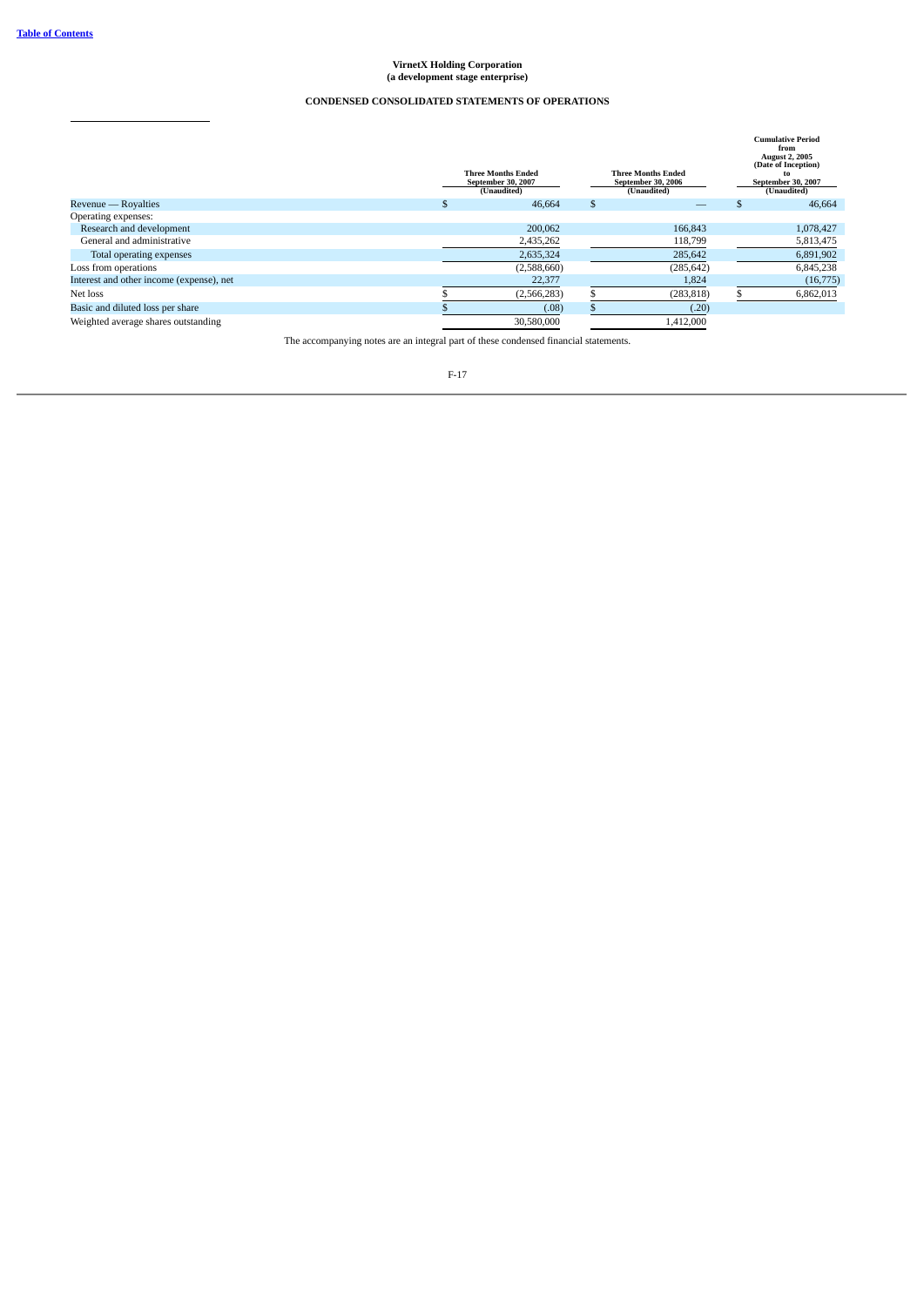## **CONDENSED CONSOLIDATED STATEMENTS OF OPERATIONS**

<span id="page-67-0"></span>

|                                          | <b>Three Months Ended</b><br>September 30, 2007<br>(Unaudited) |     | <b>Three Months Ended</b><br>September 30, 2006<br>(Unaudited) | <b>Cumulative Period</b><br>from<br><b>August 2, 2005</b><br>(Date of Inception)<br>to<br>September 30, 2007<br>(Unaudited) |
|------------------------------------------|----------------------------------------------------------------|-----|----------------------------------------------------------------|-----------------------------------------------------------------------------------------------------------------------------|
| Revenue — Royalties                      | \$<br>46,664                                                   | \$. |                                                                | 46,664                                                                                                                      |
| Operating expenses:                      |                                                                |     |                                                                |                                                                                                                             |
| Research and development                 | 200,062                                                        |     | 166,843                                                        | 1,078,427                                                                                                                   |
| General and administrative               | 2,435,262                                                      |     | 118,799                                                        | 5,813,475                                                                                                                   |
| Total operating expenses                 | 2,635,324                                                      |     | 285,642                                                        | 6,891,902                                                                                                                   |
| Loss from operations                     | (2,588,660)                                                    |     | (285, 642)                                                     | 6.845.238                                                                                                                   |
| Interest and other income (expense), net | 22,377                                                         |     | 1,824                                                          | (16, 775)                                                                                                                   |
| Net loss                                 | (2,566,283)                                                    |     | (283, 818)                                                     | 6,862,013                                                                                                                   |
| Basic and diluted loss per share         | (.08)                                                          |     | (.20)                                                          |                                                                                                                             |
| Weighted average shares outstanding      | 30,580,000                                                     |     | 1,412,000                                                      |                                                                                                                             |

The accompanying notes are an integral part of these condensed financial statements.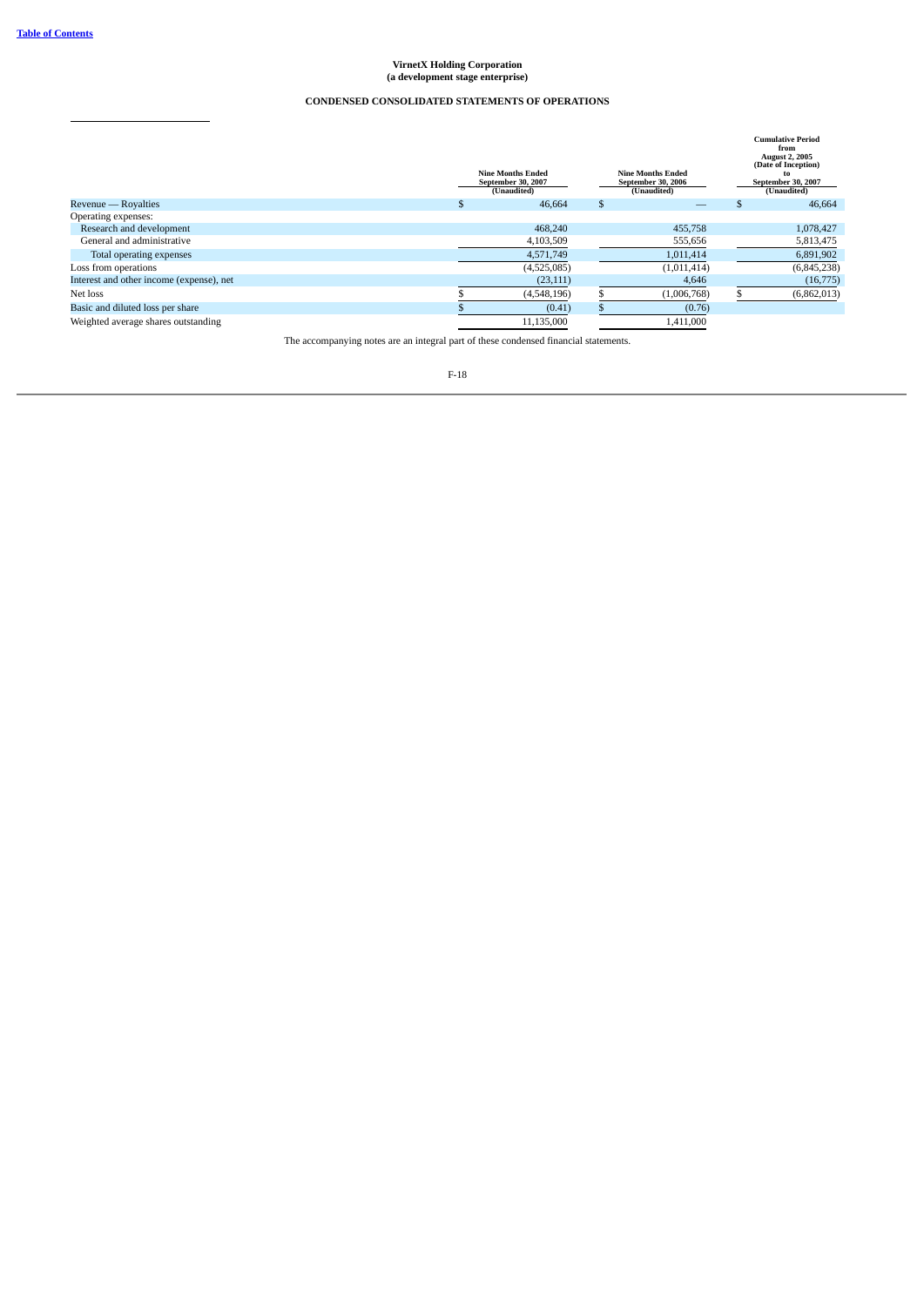## **CONDENSED CONSOLIDATED STATEMENTS OF OPERATIONS**

<span id="page-68-0"></span>

|                                          |   | <b>Nine Months Ended</b><br>September 30, 2007<br>(Unaudited) | <b>Nine Months Ended</b><br>September 30, 2006<br>(Unaudited) | <b>Cumulative Period</b><br>from<br><b>August 2, 2005</b><br>(Date of Inception)<br>to<br>September 30, 2007<br>(Unaudited) |
|------------------------------------------|---|---------------------------------------------------------------|---------------------------------------------------------------|-----------------------------------------------------------------------------------------------------------------------------|
| Revenue — Royalties                      | æ | 46,664                                                        | \$                                                            | 46,664                                                                                                                      |
| Operating expenses:                      |   |                                                               |                                                               |                                                                                                                             |
| Research and development                 |   | 468,240                                                       | 455,758                                                       | 1,078,427                                                                                                                   |
| General and administrative               |   | 4,103,509                                                     | 555,656                                                       | 5,813,475                                                                                                                   |
| Total operating expenses                 |   | 4,571,749                                                     | 1,011,414                                                     | 6,891,902                                                                                                                   |
| Loss from operations                     |   | (4,525,085)                                                   | (1,011,414)                                                   | (6,845,238)                                                                                                                 |
| Interest and other income (expense), net |   | (23, 111)                                                     | 4,646                                                         | (16, 775)                                                                                                                   |
| Net loss                                 |   | (4,548,196)                                                   | (1,006,768)                                                   | (6,862,013)                                                                                                                 |
| Basic and diluted loss per share         |   | (0.41)                                                        | (0.76)                                                        |                                                                                                                             |
| Weighted average shares outstanding      |   | 11,135,000                                                    | 1,411,000                                                     |                                                                                                                             |

The accompanying notes are an integral part of these condensed financial statements.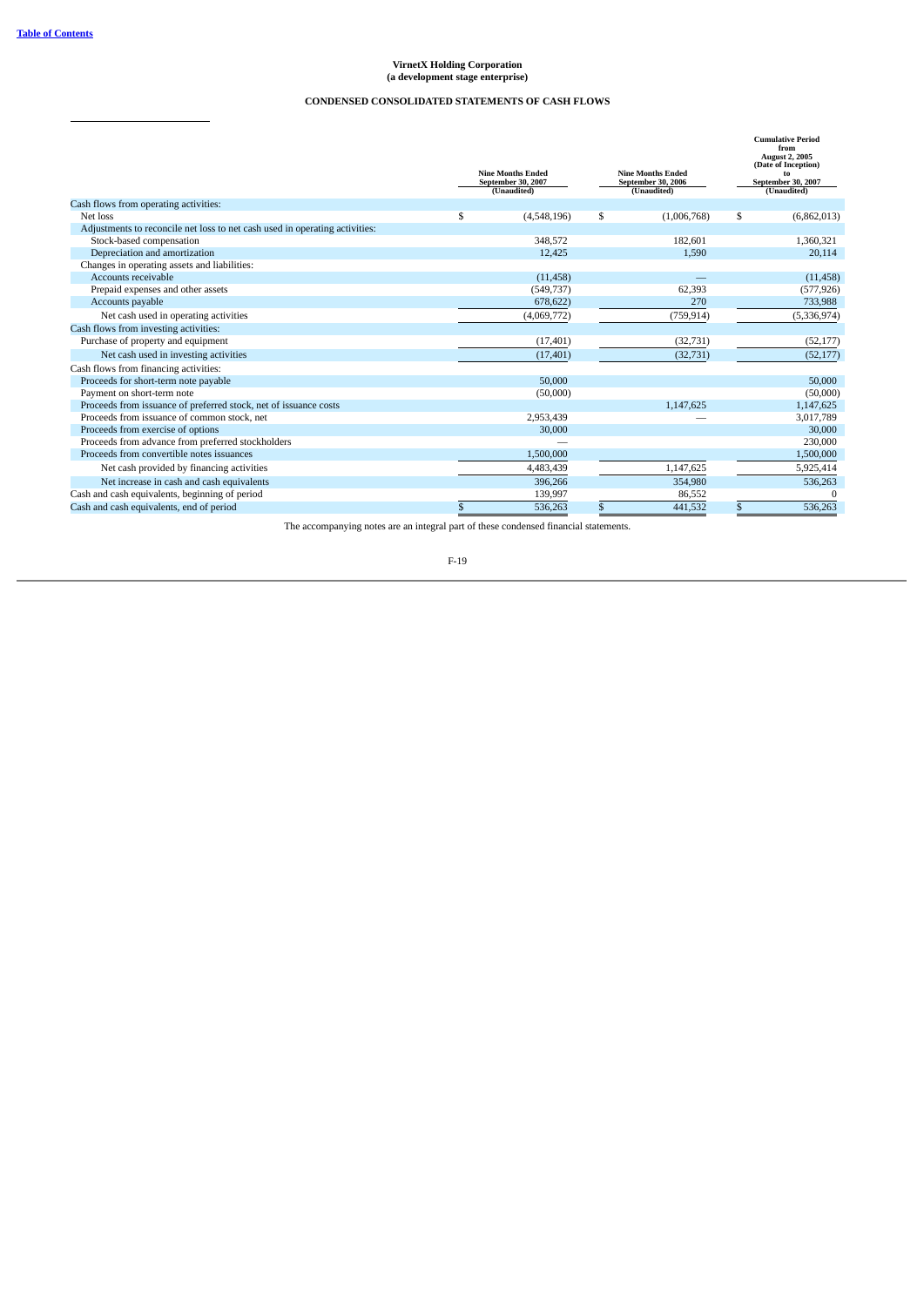# **CONDENSED CONSOLIDATED STATEMENTS OF CASH FLOWS**

<span id="page-69-0"></span>

|                                                                             | <b>Nine Months Ended</b><br>September 30, 2007<br>(Unaudited) | <b>Nine Months Ended</b><br>September 30, 2006<br>(Unaudited) |    | <b>Cumulative Period</b><br>from<br><b>August 2, 2005</b><br>(Date of Inception)<br>to<br>September 30, 2007<br>(Unaudited) |
|-----------------------------------------------------------------------------|---------------------------------------------------------------|---------------------------------------------------------------|----|-----------------------------------------------------------------------------------------------------------------------------|
| Cash flows from operating activities:                                       |                                                               |                                                               |    |                                                                                                                             |
| Net loss                                                                    | \$<br>(4,548,196)                                             | \$<br>(1,006,768)                                             | S  | (6,862,013)                                                                                                                 |
| Adjustments to reconcile net loss to net cash used in operating activities: |                                                               |                                                               |    |                                                                                                                             |
| Stock-based compensation                                                    | 348,572                                                       | 182,601                                                       |    | 1,360,321                                                                                                                   |
| Depreciation and amortization                                               | 12,425                                                        | 1,590                                                         |    | 20,114                                                                                                                      |
| Changes in operating assets and liabilities:                                |                                                               |                                                               |    |                                                                                                                             |
| Accounts receivable                                                         | (11, 458)                                                     |                                                               |    | (11, 458)                                                                                                                   |
| Prepaid expenses and other assets                                           | (549, 737)                                                    | 62,393                                                        |    | (577, 926)                                                                                                                  |
| Accounts payable                                                            | 678,622)                                                      | 270                                                           |    | 733,988                                                                                                                     |
| Net cash used in operating activities                                       | (4,069,772)                                                   | (759, 914)                                                    |    | (5,336,974)                                                                                                                 |
| Cash flows from investing activities:                                       |                                                               |                                                               |    |                                                                                                                             |
| Purchase of property and equipment                                          | (17, 401)                                                     | (32, 731)                                                     |    | (52, 177)                                                                                                                   |
| Net cash used in investing activities                                       | (17, 401)                                                     | (32, 731)                                                     |    | (52, 177)                                                                                                                   |
| Cash flows from financing activities:                                       |                                                               |                                                               |    |                                                                                                                             |
| Proceeds for short-term note payable                                        | 50,000                                                        |                                                               |    | 50,000                                                                                                                      |
| Payment on short-term note                                                  | (50,000)                                                      |                                                               |    | (50,000)                                                                                                                    |
| Proceeds from issuance of preferred stock, net of issuance costs            |                                                               | 1,147,625                                                     |    | 1,147,625                                                                                                                   |
| Proceeds from issuance of common stock, net                                 | 2,953,439                                                     |                                                               |    | 3,017,789                                                                                                                   |
| Proceeds from exercise of options                                           | 30,000                                                        |                                                               |    | 30,000                                                                                                                      |
| Proceeds from advance from preferred stockholders                           |                                                               |                                                               |    | 230,000                                                                                                                     |
| Proceeds from convertible notes issuances                                   | 1,500,000                                                     |                                                               |    | 1,500,000                                                                                                                   |
| Net cash provided by financing activities                                   | 4,483,439                                                     | 1,147,625                                                     |    | 5,925,414                                                                                                                   |
| Net increase in cash and cash equivalents                                   | 396,266                                                       | 354,980                                                       |    | 536,263                                                                                                                     |
| Cash and cash equivalents, beginning of period                              | 139,997                                                       | 86,552                                                        |    |                                                                                                                             |
| Cash and cash equivalents, end of period                                    | \$<br>536,263                                                 | \$<br>441,532                                                 | \$ | 536,263                                                                                                                     |

The accompanying notes are an integral part of these condensed financial statements.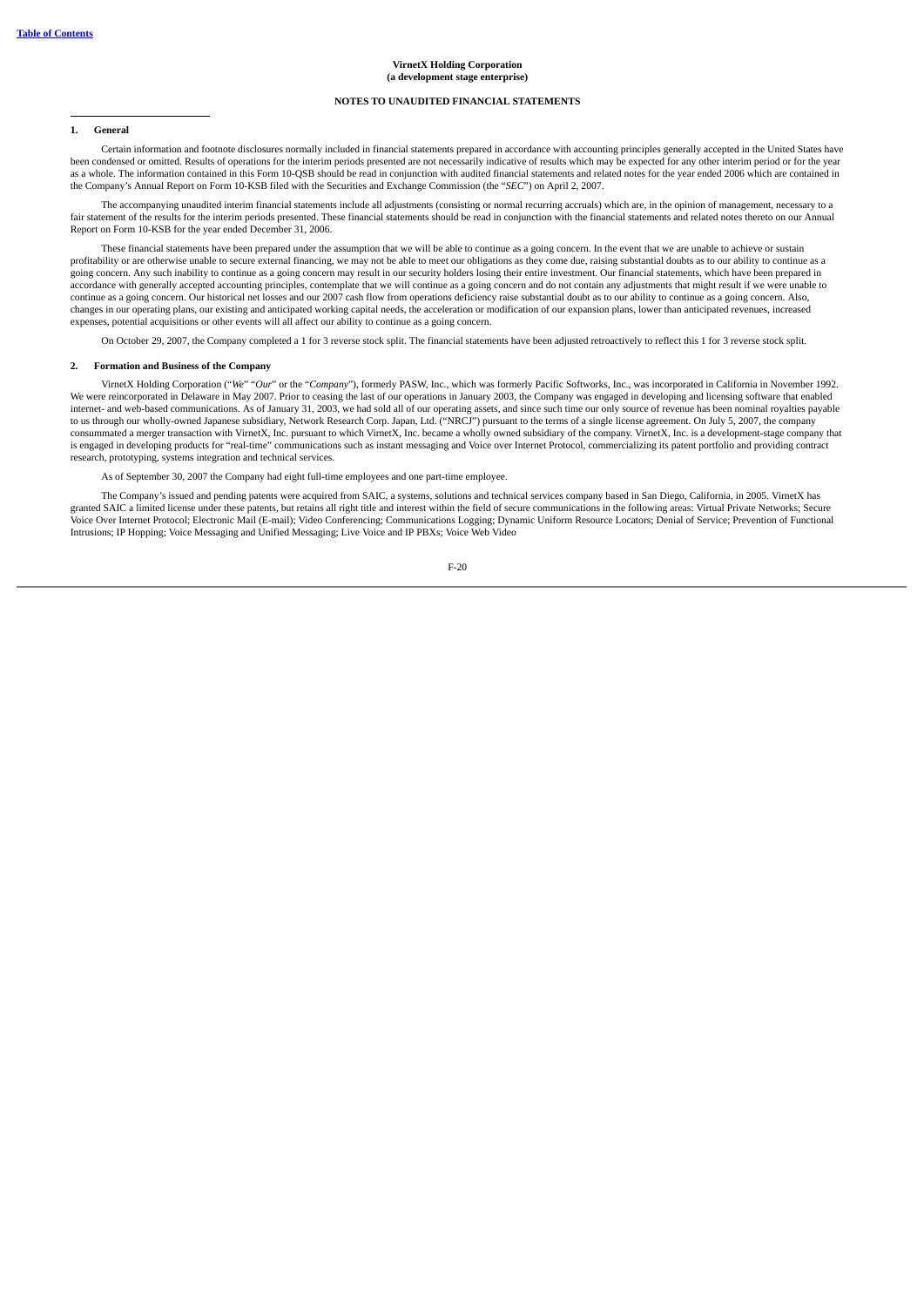## **NOTES TO UNAUDITED FINANCIAL STATEMENTS**

#### <span id="page-70-0"></span>**1. General**

Certain information and footnote disclosures normally included in financial statements prepared in accordance with accounting principles generally accepted in the United States have been condensed or omitted. Results of operations for the interim periods presented are not necessarily indicative of results which may be expected for any other interim period or for the year as a whole. The information contained in this Form 10-QSB should be read in conjunction with audited financial statements and related notes for the year ended 2006 which are contained in the Company's Annual Report on Form 10-KSB filed with the Securities and Exchange Commission (the "*SEC*") on April 2, 2007.

The accompanying unaudited interim financial statements include all adjustments (consisting or normal recurring accruals) which are, in the opinion of management, necessary to a fair statement of the results for the interim periods presented. These financial statements should be read in conjunction with the financial statements and related notes thereto on our Annual Report on Form 10-KSB for the year ended December 31, 2006.

These financial statements have been prepared under the assumption that we will be able to continue as a going concern. In the event that we are unable to achieve or sustain profitability or are otherwise unable to secure external financing, we may not be able to meet our obligations as they come due, raising substantial doubts as to our ability to continue as a going concern. Any such inability to continue as a going concern may result in our security holders losing their entire investment. Our financial statements, which have been prepared in accordance with generally accepted accounting principles, contemplate that we will continue as a going concern and do not contain any adjustments that might result if we were unable to continue as a going concern. Our historical net losses and our 2007 cash flow from operations deficiency raise substantial doubt as to our ability to continue as a going concern. Also, changes in our operating plans, our existing and anticipated working capital needs, the acceleration or modification of our expansion plans, lower than anticipated revenues, increased expenses, potential acquisitions or other events will all affect our ability to continue as a going concern.

On October 29, 2007, the Company completed a 1 for 3 reverse stock split. The financial statements have been adjusted retroactively to reflect this 1 for 3 reverse stock split.

#### **2. Formation and Business of the Company**

VirnetX Holding Corporation ("*We*" "*Our*" or the "*Company*"), formerly PASW, Inc., which was formerly Pacific Softworks, Inc., was incorporated in California in November 1992. We were reincorporated in Delaware in May 2007. Prior to ceasing the last of our operations in January 2003, the Company was engaged in developing and licensing software that enabled internet- and web-based communications. As of January 31, 2003, we had sold all of our operating assets, and since such time our only source of revenue has been nominal royalties payable to us through our wholly-owned Japanese subsidiary, Network Research Corp. Japan, Ltd. ("NRCJ") pursuant to the terms of a single license agreement. On July 5, 2007, the company consummated a merger transaction with VirnetX, Inc. pursuant to which VirnetX, Inc. became a wholly owned subsidiary of the company. VirnetX, Inc. is a development-stage company that<br>is engaged in developing products for " research, prototyping, systems integration and technical services.

As of September 30, 2007 the Company had eight full-time employees and one part-time employee.

The Company's issued and pending patents were acquired from SAIC, a systems, solutions and technical services company based in San Diego, California, in 2005. VirnetX has granted SAIC a limited license under these patents, but retains all right title and interest within the field of secure communications in the following areas: Virtual Private Networks; Secure Voice Over Internet Protocol; Electronic Mail (E-mail); Video Conferencing; Communications Logging; Dynamic Uniform Resource Locators; Denial of Service; Prevention of Functional Intrusions; IP Hopping; Voice Messaging and Unified Messaging; Live Voice and IP PBXs; Voice Web Video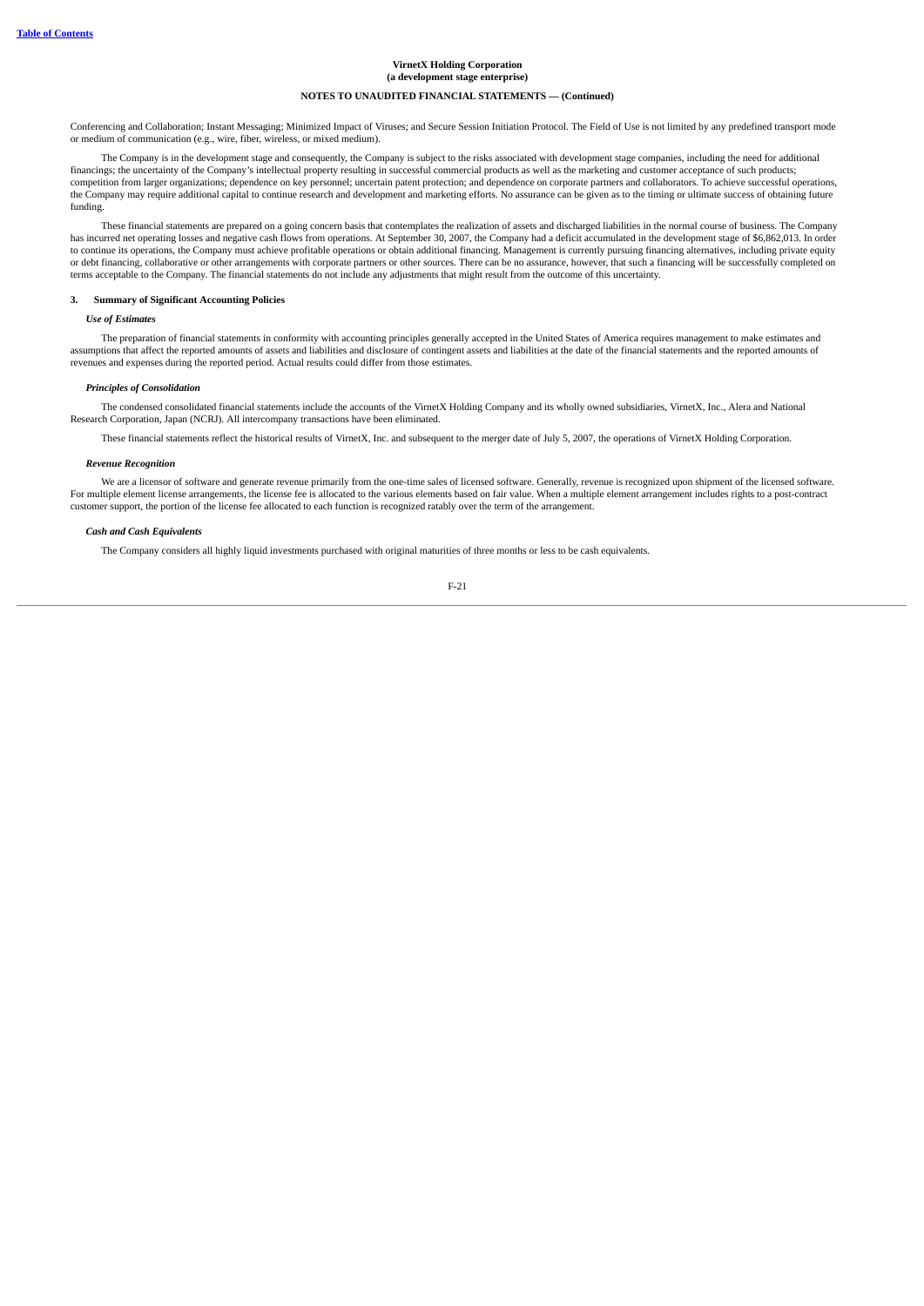# **VirnetX Holding Corporation**

**(a development stage enterprise)**

## **NOTES TO UNAUDITED FINANCIAL STATEMENTS — (Continued)**

Conferencing and Collaboration; Instant Messaging; Minimized Impact of Viruses; and Secure Session Initiation Protocol. The Field of Use is not limited by any predefined transport mode or medium of communication (e.g., wire, fiber, wireless, or mixed medium).

The Company is in the development stage and consequently, the Company is subject to the risks associated with development stage companies, including the need for additional financings; the uncertainty of the Company's intellectual property resulting in successful commercial products as well as the marketing and customer acceptance of such products; competition from larger organizations; dependence on key personnel; uncertain patent protection; and dependence on corporate partners and collaborators. To achieve successful operations, the Company may require additional capital to continue research and development and marketing efforts. No assurance can be given as to the timing or ultimate success of obtaining future funding.

These financial statements are prepared on a going concern basis that contemplates the realization of assets and discharged liabilities in the normal course of business. The Company has incurred net operating losses and negative cash flows from operations. At September 30, 2007, the Company had a deficit accumulated in the development stage of \$6,862,013. In order to continue its operations, the Company must achieve profitable operations or obtain additional financing. Management is currently pursuing financing alternatives, including private equity or debt financing, collaborative or other arrangements with corporate partners or other sources. There can be no assurance, however, that such a financing will be successfully completed on terms acceptable to the Company. The financial statements do not include any adjustments that might result from the outcome of this uncertainty.

## **3. Summary of Significant Accounting Policies**

## *Use of Estimates*

The preparation of financial statements in conformity with accounting principles generally accepted in the United States of America requires management to make estimates and assumptions that affect the reported amounts of assets and liabilities and disclosure of contingent assets and liabilities at the date of the financial statements and the reported amounts of revenues and expenses during the reported period. Actual results could differ from those estimates.

## *Principles of Consolidation*

The condensed consolidated financial statements include the accounts of the VirnetX Holding Company and its wholly owned subsidiaries, VirnetX, Inc., Alera and National Research Corporation, Japan (NCRJ). All intercompany transactions have been eliminated.

These financial statements reflect the historical results of VirnetX, Inc. and subsequent to the merger date of July 5, 2007, the operations of VirnetX Holding Corporation.

#### *Revenue Recognition*

We are a licensor of software and generate revenue primarily from the one-time sales of licensed software. Generally, revenue is recognized upon shipment of the licensed software. For multiple element license arrangements, the license fee is allocated to the various elements based on fair value. When a multiple element arrangement includes rights to a post-contract customer support, the portion of the license fee allocated to each function is recognized ratably over the term of the arrangement.

## *Cash and Cash Equivalents*

The Company considers all highly liquid investments purchased with original maturities of three months or less to be cash equivalents.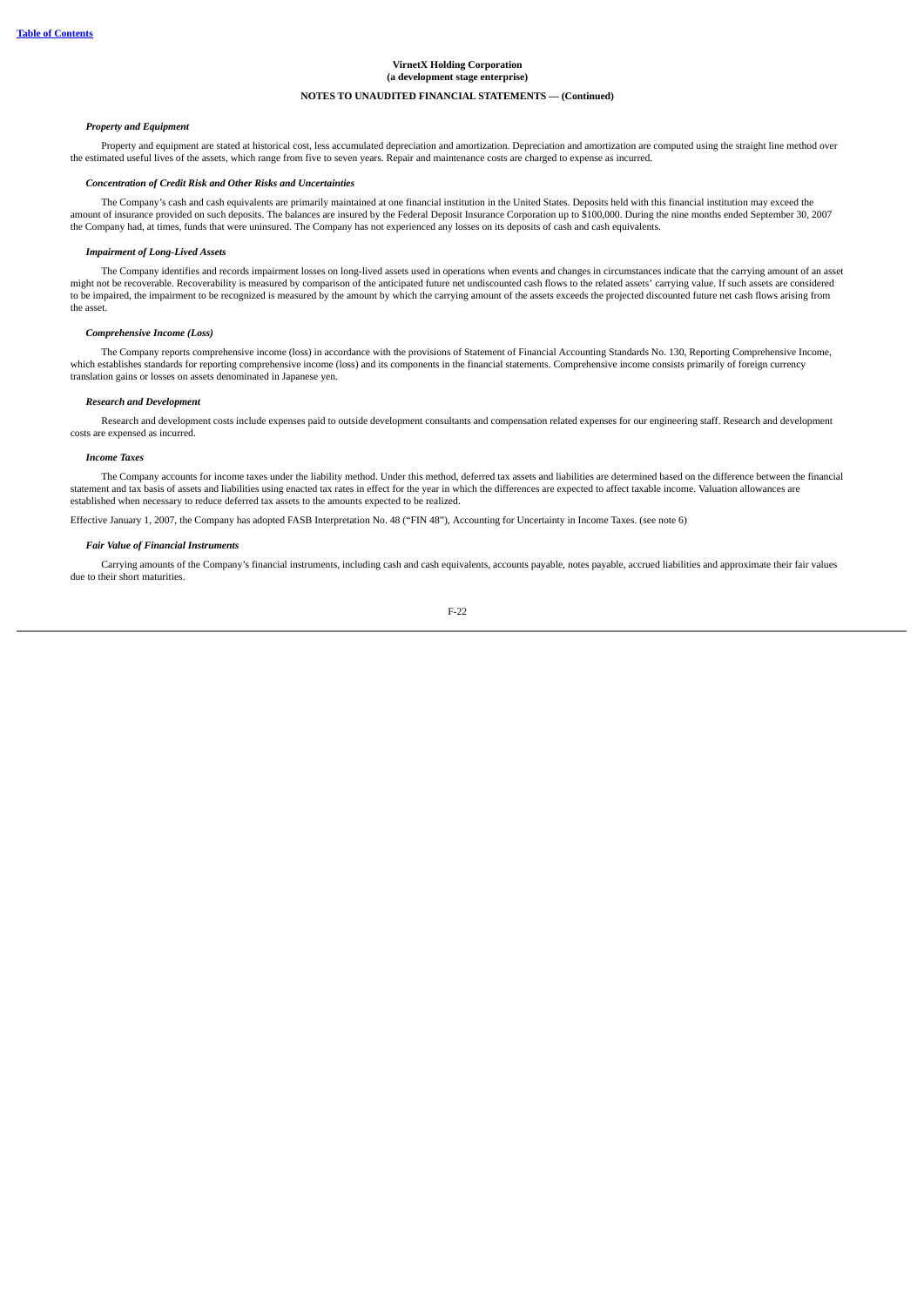# **VirnetX Holding Corporation**

**(a development stage enterprise)**

# **NOTES TO UNAUDITED FINANCIAL STATEMENTS — (Continued)**

# *Property and Equipment*

Property and equipment are stated at historical cost, less accumulated depreciation and amortization. Depreciation and amortization are computed using the straight line method over the estimated useful lives of the assets, which range from five to seven years. Repair and maintenance costs are charged to expense as incurred.

#### *Concentration of Credit Risk and Other Risks and Uncertainties*

The Company's cash and cash equivalents are primarily maintained at one financial institution in the United States. Deposits held with this financial institution may exceed the amount of insurance provided on such deposits. The balances are insured by the Federal Deposit Insurance Corporation up to \$100,000. During the nine months ended September 30, 2007 the Company had, at times, funds that were uninsured. The Company has not experienced any losses on its deposits of cash and cash equivalents.

#### *Impairment of Long-Lived Assets*

The Company identifies and records impairment losses on long-lived assets used in operations when events and changes in circumstances indicate that the carrying amount of an asset might not be recoverable. Recoverability is measured by comparison of the anticipated future net undiscounted cash flows to the related assets' carrying value. If such assets are considered to be impaired, the impairment to be recognized is measured by the amount by which the carrying amount of the assets exceeds the projected discounted future net cash flows arising from the asset.

#### *Comprehensive Income (Loss)*

The Company reports comprehensive income (loss) in accordance with the provisions of Statement of Financial Accounting Standards No. 130, Reporting Comprehensive Income, which establishes standards for reporting comprehensive income (loss) and its components in the financial statements. Comprehensive income consists primarily of foreign currency translation gains or losses on assets denominated in Japanese yen.

#### *Research and Development*

Research and development costs include expenses paid to outside development consultants and compensation related expenses for our engineering staff. Research and development costs are expensed as incurred.

#### *Income Taxes*

The Company accounts for income taxes under the liability method. Under this method, deferred tax assets and liabilities are determined based on the difference between the financial statement and tax basis of assets and liabilities using enacted tax rates in effect for the year in which the differences are expected to affect taxable income. Valuation allowances are established when necessary to reduce deferred tax assets to the amounts expected to be realized.

Effective January 1, 2007, the Company has adopted FASB Interpretation No. 48 ("FIN 48"), Accounting for Uncertainty in Income Taxes. (see note 6)

## *Fair Value of Financial Instruments*

Carrying amounts of the Company's financial instruments, including cash and cash equivalents, accounts payable, notes payable, accrued liabilities and approximate their fair values due to their short maturities.

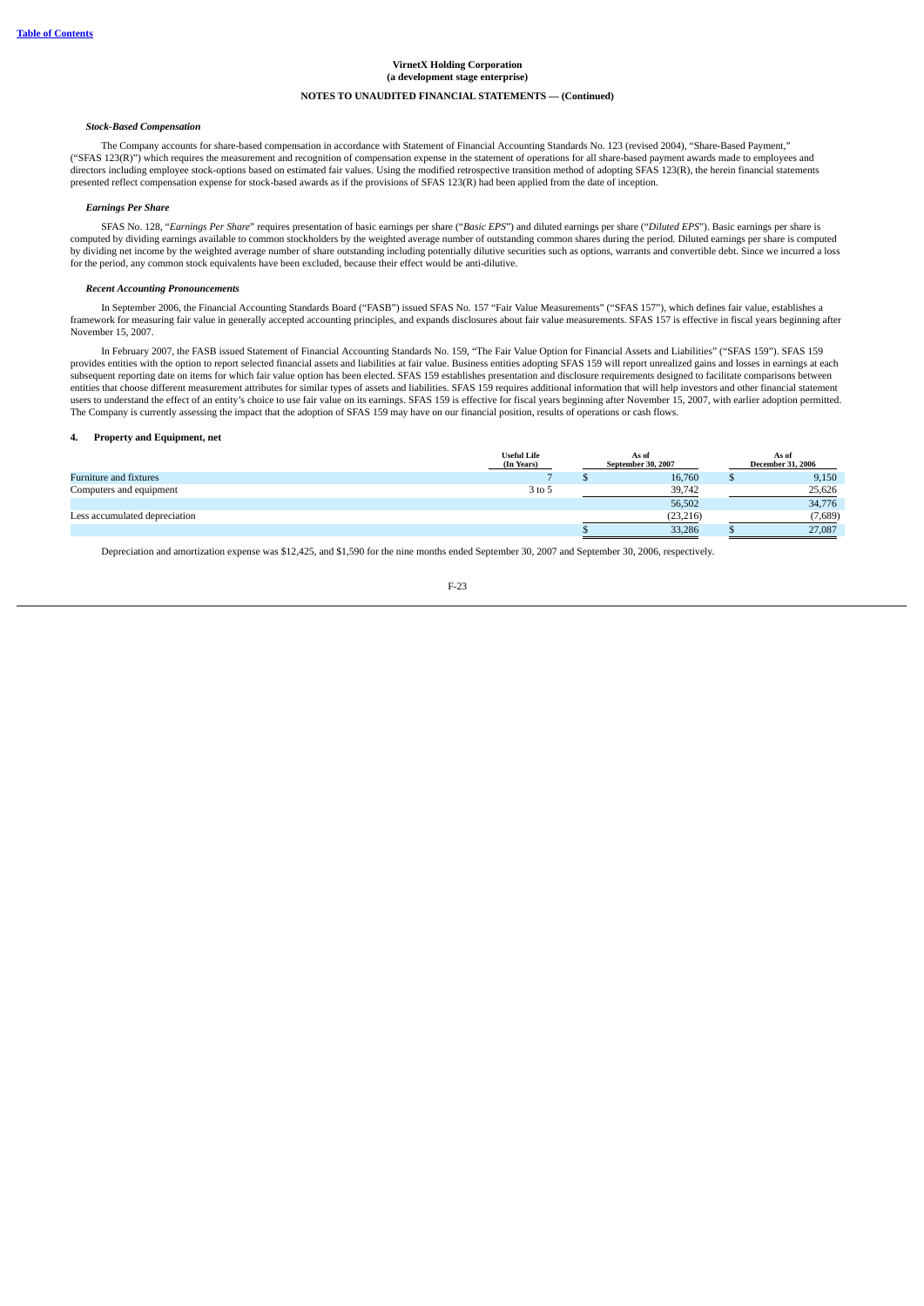## **VirnetX Holding Corporation (a development stage enterprise)**

# **NOTES TO UNAUDITED FINANCIAL STATEMENTS — (Continued)**

# *Stock-Based Compensation*

The Company accounts for share-based compensation in accordance with Statement of Financial Accounting Standards No. 123 (revised 2004), "Share-Based Payment," ("SFAS 123(R)") which requires the measurement and recognition of compensation expense in the statement of operations for all share-based payment awards made to employees and directors including employee stock-options based on estimated fair values. Using the modified retrospective transition method of adopting SFAS 123(R), the herein financial statements presented reflect compensation expense for stock-based awards as if the provisions of SFAS 123(R) had been applied from the date of inception.

#### *Earnings Per Share*

SFAS No. 128, "*Earnings Per Share*" requires presentation of basic earnings per share ("*Basic EPS*") and diluted earnings per share ("*Diluted EPS*"). Basic earnings per share is computed by dividing earnings available to common stockholders by the weighted average number of outstanding common shares during the period. Diluted earnings per share is computed by dividing net income by the weighted average number of share outstanding including potentially dilutive securities such as options, warrants and convertible debt. Since we incurred a loss for the period, any common stock equivalents have been excluded, because their effect would be anti-dilutive.

#### *Recent Accounting Pronouncements*

In September 2006, the Financial Accounting Standards Board ("FASB") issued SFAS No. 157 "Fair Value Measurements" ("SFAS 157"), which defines fair value, establishes a framework for measuring fair value in generally accepted accounting principles, and expands disclosures about fair value measurements. SFAS 157 is effective in fiscal years beginning after November 15, 2007.

In February 2007, the FASB issued Statement of Financial Accounting Standards No. 159, "The Fair Value Option for Financial Assets and Liabilities" ("SFAS 159"). SFAS 159<br>provides entities with the option to report selecte subsequent reporting date on items for which fair value option has been elected. SFAS 159 establishes presentation and disclosure requirements designed to facilitate comparisons between entities that choose different measurement attributes for similar types of assets and liabilities. SFAS 159 requires additional information that will help investors and other financial statement users to understand the effect of an entity's choice to use fair value on its earnings. SFAS 159 is effective for fiscal years beginning after November 15, 2007, with earlier adoption permitted. The Company is currently assessing the impact that the adoption of SFAS 159 may have on our financial position, results of operations or cash flows.

#### **4. Property and Equipment, net**

|                               | <b>Useful Life</b><br>As of<br>(In Years)<br>September 30, 2007 |  |           | As of<br><b>December 31, 2006</b> |
|-------------------------------|-----------------------------------------------------------------|--|-----------|-----------------------------------|
| Furniture and fixtures        |                                                                 |  | 16,760    | 9,150                             |
| Computers and equipment       | 3 to 5                                                          |  | 39,742    | 25,626                            |
|                               |                                                                 |  | 56,502    | 34,776                            |
| Less accumulated depreciation |                                                                 |  | (23, 216) | (7,689)                           |
|                               |                                                                 |  | 33,286    | 27,087                            |

Depreciation and amortization expense was \$12,425, and \$1,590 for the nine months ended September 30, 2007 and September 30, 2006, respectively.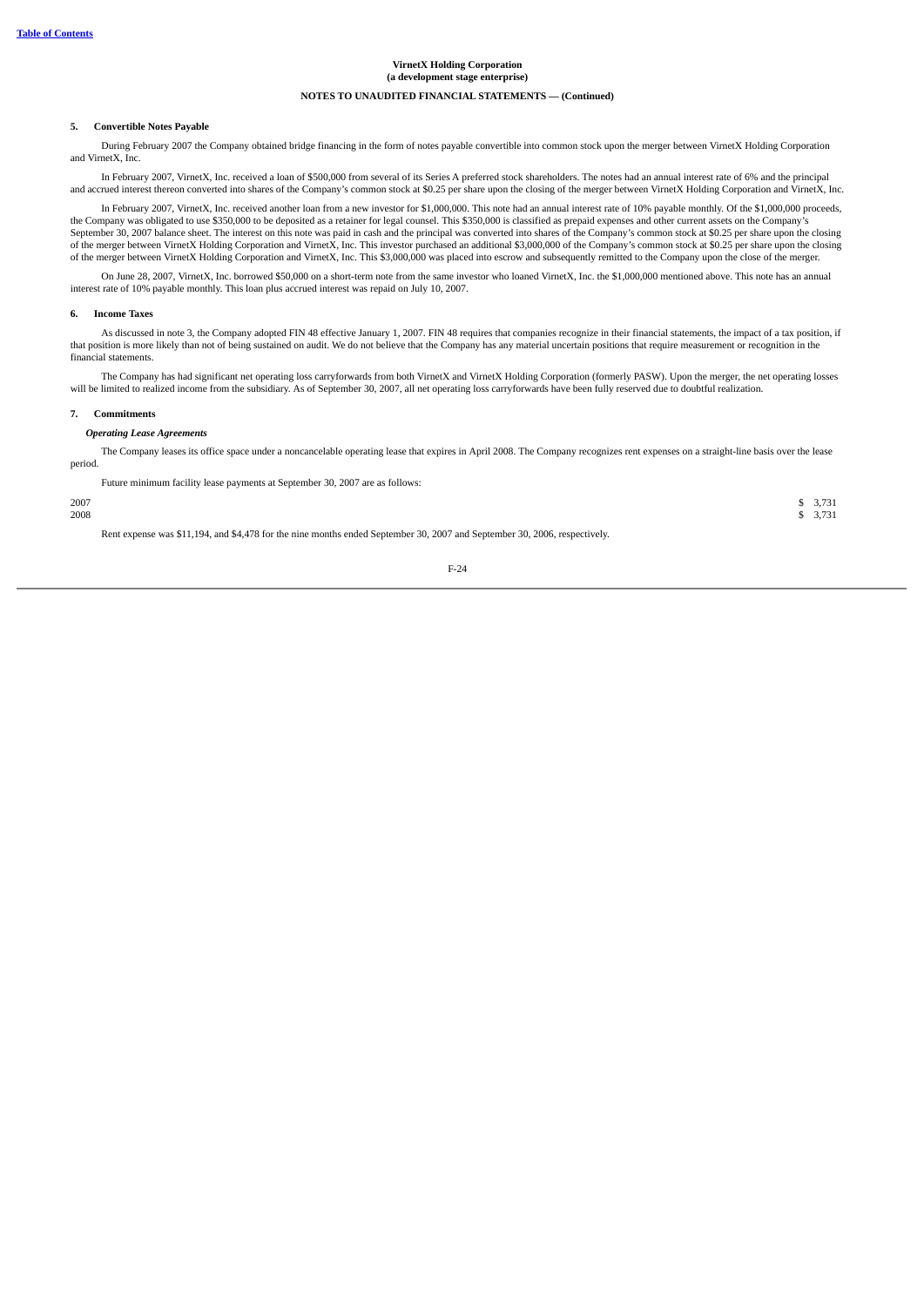# **VirnetX Holding Corporation**

**(a development stage enterprise)**

# **NOTES TO UNAUDITED FINANCIAL STATEMENTS — (Continued)**

# **5. Convertible Notes Payable**

During February 2007 the Company obtained bridge financing in the form of notes payable convertible into common stock upon the merger between VirnetX Holding Corporation and VirnetX, Inc.

In February 2007, VirnetX, Inc. received a loan of \$500,000 from several of its Series A preferred stock shareholders. The notes had an annual interest rate of 6% and the principal and accrued interest thereon converted into shares of the Company's common stock at \$0.25 per share upon the closing of the merger between VirnetX Holding Corporation and VirnetX, Inc.

In February 2007, VirnetX, Inc. received another loan from a new investor for \$1,000,000. This note had an annual interest rate of 10% payable monthly. Of the \$1,000,000 proceeds, the Company was obligated to use \$350,000 to be deposited as a retainer for legal counsel. This \$350,000 is classified as prepaid expenses and other current assets on the Company's September 30, 2007 balance sheet. The interest on this note was paid in cash and the principal was converted into shares of the Company's common stock at \$0.25 per share upon the closing of the merger between VirnetX Holding Corporation and VirnetX, Inc. This investor purchased an additional \$3,000,000 of the Company's common stock at \$0.25 per share upon the closing<br>of the merger between VirnetX Holding C

On June 28, 2007, VirnetX, Inc. borrowed \$50,000 on a short-term note from the same investor who loaned VirnetX, Inc. the \$1,000,000 mentioned above. This note has an annual interest rate of 10% payable monthly. This loan plus accrued interest was repaid on July 10, 2007.

#### **6. Income Taxes**

As discussed in note 3, the Company adopted FIN 48 effective January 1, 2007. FIN 48 requires that companies recognize in their financial statements, the impact of a tax position, if that position is more likely than not of being sustained on audit. We do not believe that the Company has any material uncertain positions that require measurement or recognition in the financial statements.

The Company has had significant net operating loss carryforwards from both VirnetX and VirnetX Holding Corporation (formerly PASW). Upon the merger, the net operating losses<br>will be limited to realized income from the subs

# **7. Commitments**

#### *Operating Lease Agreements*

The Company leases its office space under a noncancelable operating lease that expires in April 2008. The Company recognizes rent expenses on a straight-line basis over the lease period.

|              | Future minimum facility lease payments at September 30, 2007 are as follows: |                    |
|--------------|------------------------------------------------------------------------------|--------------------|
| 2007<br>2008 |                                                                              | \$3,731<br>\$3.731 |

Rent expense was \$11,194, and \$4,478 for the nine months ended September 30, 2007 and September 30, 2006, respectively.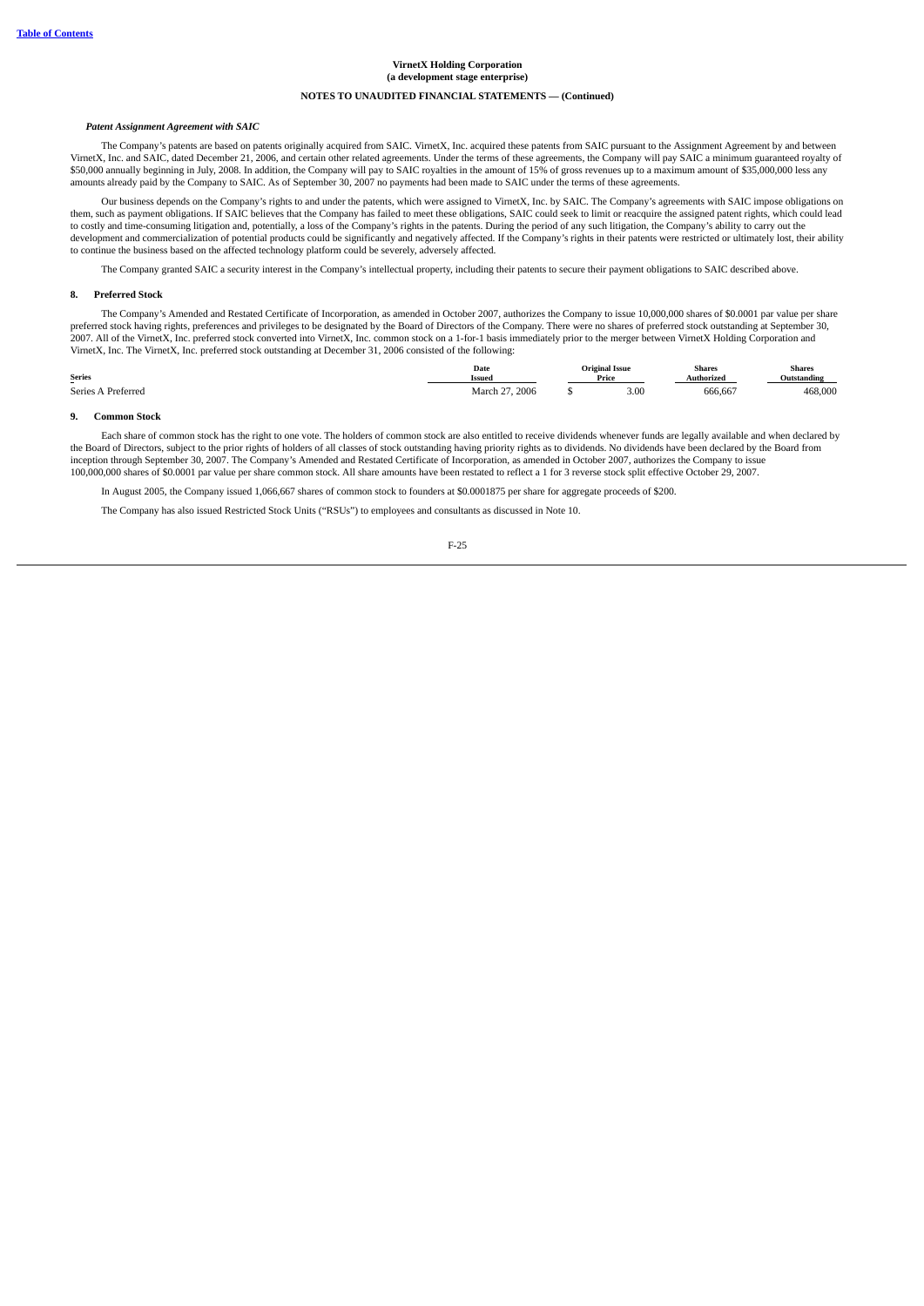# **VirnetX Holding Corporation**

**(a development stage enterprise)**

# **NOTES TO UNAUDITED FINANCIAL STATEMENTS — (Continued)**

# *Patent Assignment Agreement with SAIC*

The Company's patents are based on patents originally acquired from SAIC. VirnetX, Inc. acquired these patents from SAIC pursuant to the Assignment Agreement by and between VirnetX, Inc. and SAIC, dated December 21, 2006, and certain other related agreements. Under the terms of these agreements, the Company will pay SAIC a minimum guaranteed royalty of \$50,000 annually beginning in July, 2008. In addition, the Company will pay to SAIC royalties in the amount of 15% of gross revenues up to a maximum amount of \$35,000,000 less any amounts already paid by the Company to SAIC. As of September 30, 2007 no payments had been made to SAIC under the terms of these agreements.

Our business depends on the Company's rights to and under the patents, which were assigned to VirnetX, Inc. by SAIC. The Company's agreements with SAIC impose obligations on them, such as payment obligations. If SAIC believes that the Company has failed to meet these obligations, SAIC could seek to limit or reacquire the assigned patent rights, which could lead to costly and time-consuming litigation and, potentially, a loss of the Company's rights in the patents. During the period of any such litigation, the Company's ability to carry out the development and commercialization of potential products could be significantly and negatively affected. If the Company's rights in their patents were restricted or ultimately lost, their ability to continue the business based on the affected technology platform could be severely, adversely affected.

The Company granted SAIC a security interest in the Company's intellectual property, including their patents to secure their payment obligations to SAIC described above.

#### **8. Preferred Stock**

The Company's Amended and Restated Certificate of Incorporation, as amended in October 2007, authorizes the Company to issue 10,000,000 shares of \$0.0001 par value per share preferred stock having rights, preferences and privileges to be designated by the Board of Directors of the Company. There were no shares of preferred stock outstanding at September 30, 2007. All of the VirnetX, Inc. preferred stock converted into VirnetX, Inc. common stock on a 1-for-1 basis immediately prior to the merger between VirnetX Holding Corporation and VirnetX, Inc. The VirnetX, Inc. preferred stock outstanding at December 31, 2006 consisted of the following:

| <b>Series</b>      | Date                | Original Issue |      | <b>Shares</b> | <b>Shares</b> |
|--------------------|---------------------|----------------|------|---------------|---------------|
|                    | Issued              | Price          |      | Authorized    | Outstanding   |
| Series A Preferred | 127.2006<br>March 2 |                | 3.00 | 666,667       | 468,000       |

#### **9. Common Stock**

Each share of common stock has the right to one vote. The holders of common stock are also entitled to receive dividends whenever funds are legally available and when declared by the Board of Directors, subject to the prior rights of holders of all classes of stock outstanding having priority rights as to dividends. No dividends have been declared by the Board from inception through September 30, 2007. The Company's Amended and Restated Certificate of Incorporation, as amended in October 2007, authorizes the Company to issue 100,000,000 shares of \$0.0001 par value per share common stock. All share amounts have been restated to reflect a 1 for 3 reverse stock split effective October 29, 2007.

In August 2005, the Company issued 1,066,667 shares of common stock to founders at \$0.0001875 per share for aggregate proceeds of \$200.

The Company has also issued Restricted Stock Units ("RSUs") to employees and consultants as discussed in Note 10.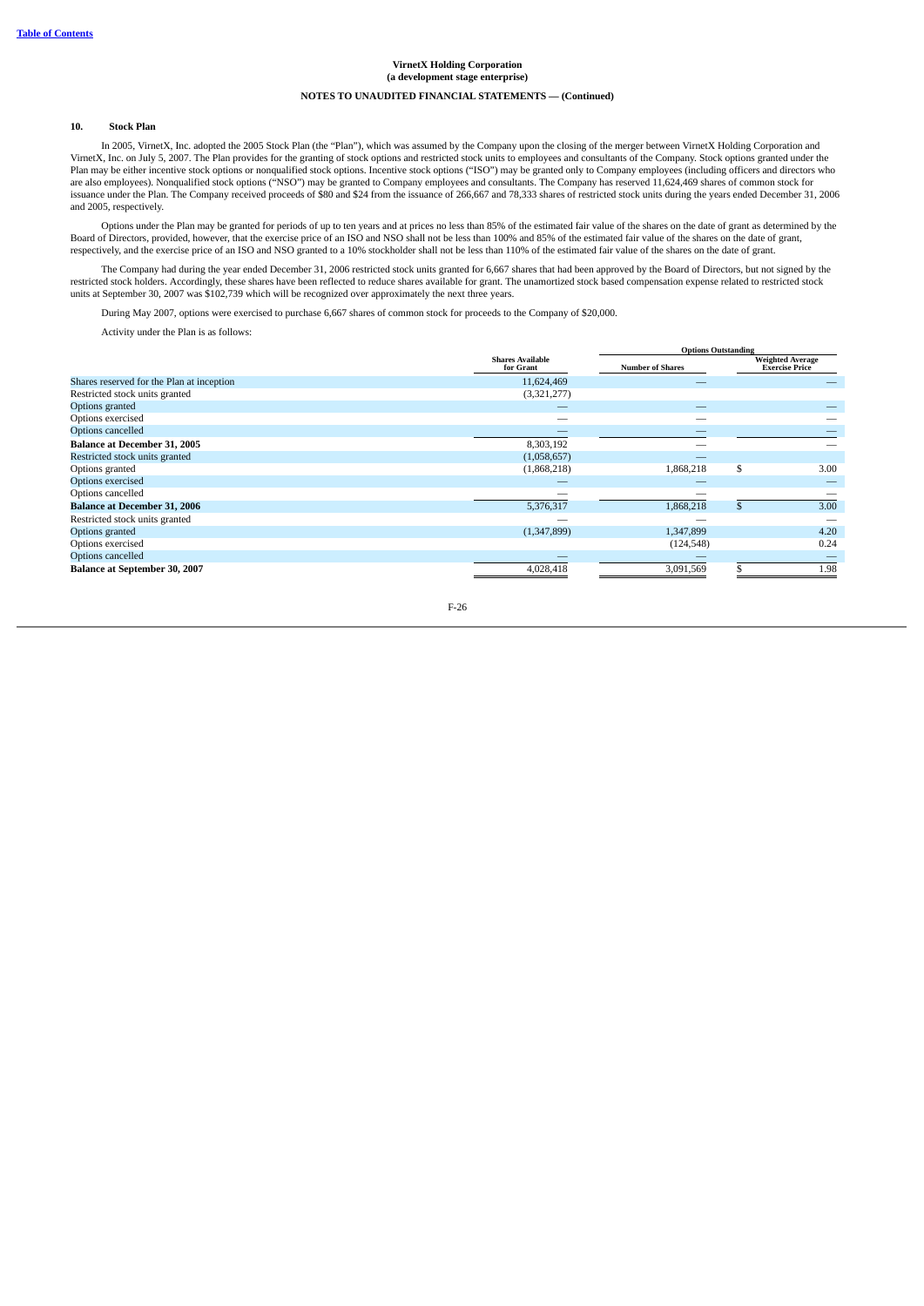## **VirnetX Holding Corporation (a development stage enterprise)**

# **NOTES TO UNAUDITED FINANCIAL STATEMENTS — (Continued)**

# **10. Stock Plan**

In 2005, VirnetX, Inc. adopted the 2005 Stock Plan (the "Plan"), which was assumed by the Company upon the closing of the merger between VirnetX Holding Corporation and<br>VirnetX, Inc. on July 5, 2007. The Plan provides for Plan may be either incentive stock options or nonqualified stock options. Incentive stock options ("ISO") may be granted only to Company employees (including officers and directors who<br>are also employees). Nonqualified sto issuance under the Plan. The Company received proceeds of \$80 and \$24 from the issuance of 266,667 and 78,333 shares of restricted stock units during the years ended December 31, 2006 and 2005, respectively.

Options under the Plan may be granted for periods of up to ten years and at prices no less than 85% of the estimated fair value of the shares on the date of grant as determined by the Board of Directors, provided, however, that the exercise price of an ISO and NSO shall not be less than 100% and 85% of the estimated fair value of the shares on the date of grant, respectively, and the exercise price of an ISO and NSO granted to a 10% stockholder shall not be less than 110% of the estimated fair value of the shares on the date of grant.

The Company had during the year ended December 31, 2006 restricted stock units granted for 6,667 shares that had been approved by the Board of Directors, but not signed by the restricted stock holders. Accordingly, these shares have been reflected to reduce shares available for grant. The unamortized stock based compensation expense related to restricted stock units at September 30, 2007 was \$102,739 which will be recognized over approximately the next three years.

During May 2007, options were exercised to purchase 6,667 shares of common stock for proceeds to the Company of \$20,000.

Activity under the Plan is as follows:

|                                           |                                      | <b>Options Outstanding</b> |     |                                                  |
|-------------------------------------------|--------------------------------------|----------------------------|-----|--------------------------------------------------|
|                                           | <b>Shares Available</b><br>for Grant | <b>Number of Shares</b>    |     | <b>Weighted Average</b><br><b>Exercise Price</b> |
| Shares reserved for the Plan at inception | 11,624,469                           |                            |     |                                                  |
| Restricted stock units granted            | (3,321,277)                          |                            |     |                                                  |
| Options granted                           |                                      |                            |     |                                                  |
| Options exercised                         |                                      |                            |     |                                                  |
| Options cancelled                         |                                      |                            |     |                                                  |
| <b>Balance at December 31, 2005</b>       | 8,303,192                            |                            |     |                                                  |
| Restricted stock units granted            | (1,058,657)                          |                            |     |                                                  |
| Options granted                           | (1,868,218)                          | 1,868,218                  | \$  | 3.00                                             |
| Options exercised                         | __                                   | __                         |     | -                                                |
| Options cancelled                         |                                      |                            |     |                                                  |
| <b>Balance at December 31, 2006</b>       | 5,376,317                            | 1,868,218                  | \$. | 3.00                                             |
| Restricted stock units granted            |                                      |                            |     |                                                  |
| Options granted                           | (1,347,899)                          | 1,347,899                  |     | 4.20                                             |
| Options exercised                         |                                      | (124, 548)                 |     | 0.24                                             |
| Options cancelled                         |                                      |                            |     |                                                  |
| Balance at September 30, 2007             | 4,028,418                            | 3,091,569                  |     | 1.98                                             |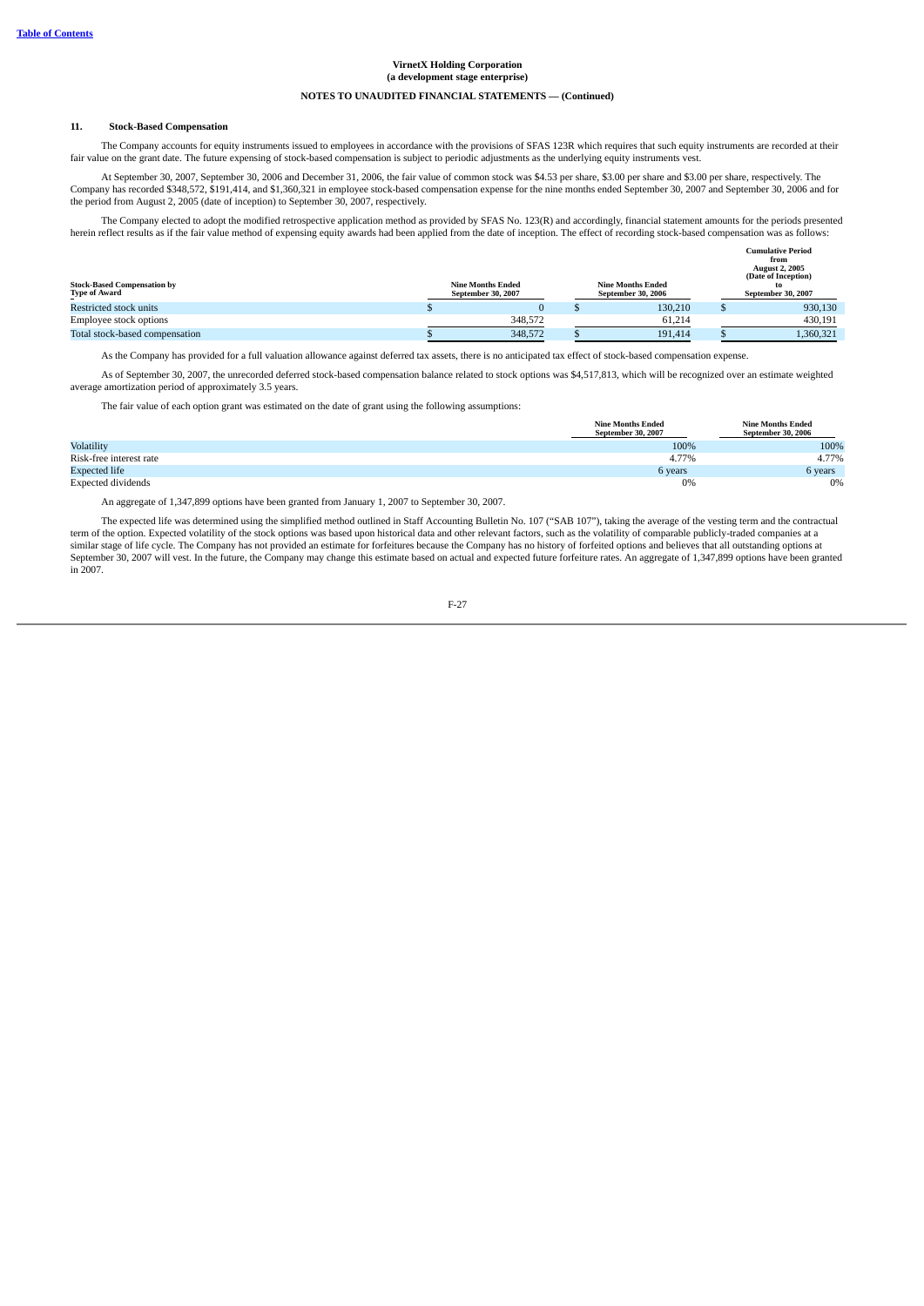# **VirnetX Holding Corporation**

# **(a development stage enterprise)**

# **NOTES TO UNAUDITED FINANCIAL STATEMENTS — (Continued)**

# **11. Stock-Based Compensation**

The Company accounts for equity instruments issued to employees in accordance with the provisions of SFAS 123R which requires that such equity instruments are recorded at their fair value on the grant date. The future expensing of stock-based compensation is subject to periodic adjustments as the underlying equity instruments vest.

At September 30, 2007, September 30, 2006 and December 31, 2006, the fair value of common stock was \$4.53 per share, \$3.00 per share and \$3.00 per share, respectively. The Company has recorded \$348,572, \$191,414, and \$1,360,321 in employee stock-based compensation expense for the nine months ended September 30, 2007 and September 30, 2006 and for<br>the period from August 2, 2005 (date of incep

The Company elected to adopt the modified retrospective application method as provided by SFAS No. 123(R) and accordingly, financial statement amounts for the periods presented herein reflect results as if the fair value method of expensing equity awards had been applied from the date of inception. The effect of recording stock-based compensation was as follows:

| <b>Stock-Based Compensation by</b><br><b>Type of Award</b> | <b>Nine Months Ended</b><br>September 30, 2007 | <b>Nine Months Ended</b><br>September 30, 2006 | <b>Cumulative Period</b><br>from<br><b>August 2, 2005</b><br>(Date of Inception)<br>to<br>September 30, 2007 |
|------------------------------------------------------------|------------------------------------------------|------------------------------------------------|--------------------------------------------------------------------------------------------------------------|
| Restricted stock units                                     |                                                | 130,210                                        | 930,130                                                                                                      |
| Employee stock options                                     | 348,572                                        | 61.214                                         | 430.191                                                                                                      |
| Total stock-based compensation                             | 348,572                                        | 191,414                                        | 1,360,321                                                                                                    |

As the Company has provided for a full valuation allowance against deferred tax assets, there is no anticipated tax effect of stock-based compensation expense.

As of September 30, 2007, the unrecorded deferred stock-based compensation balance related to stock options was \$4,517,813, which will be recognized over an estimate weighted average amortization period of approximately 3.5 years.

The fair value of each option grant was estimated on the date of grant using the following assumptions:

|                           | <b>Nine Months Ended</b><br>September 30, 2007 | <b>Nine Months Ended</b><br>September 30, 2006 |
|---------------------------|------------------------------------------------|------------------------------------------------|
| Volatility                | 100%                                           | 100%                                           |
| Risk-free interest rate   | 4.77%                                          | 4.77%                                          |
| <b>Expected life</b>      | 6 years                                        | 6 years                                        |
| <b>Expected dividends</b> | 0%                                             | 0%                                             |

An aggregate of 1,347,899 options have been granted from January 1, 2007 to September 30, 2007.

The expected life was determined using the simplified method outlined in Staff Accounting Bulletin No. 107 ("SAB 107"), taking the average of the vesting term and the contractual term of the option. Expected volatility of the stock options was based upon historical data and other relevant factors, such as the volatility of comparable publicly-traded companies at a<br>similar stage of life cycle. The C September 30, 2007 will vest. In the future, the Company may change this estimate based on actual and expected future forfeiture rates. An aggregate of 1,347,899 options have been granted in 2007.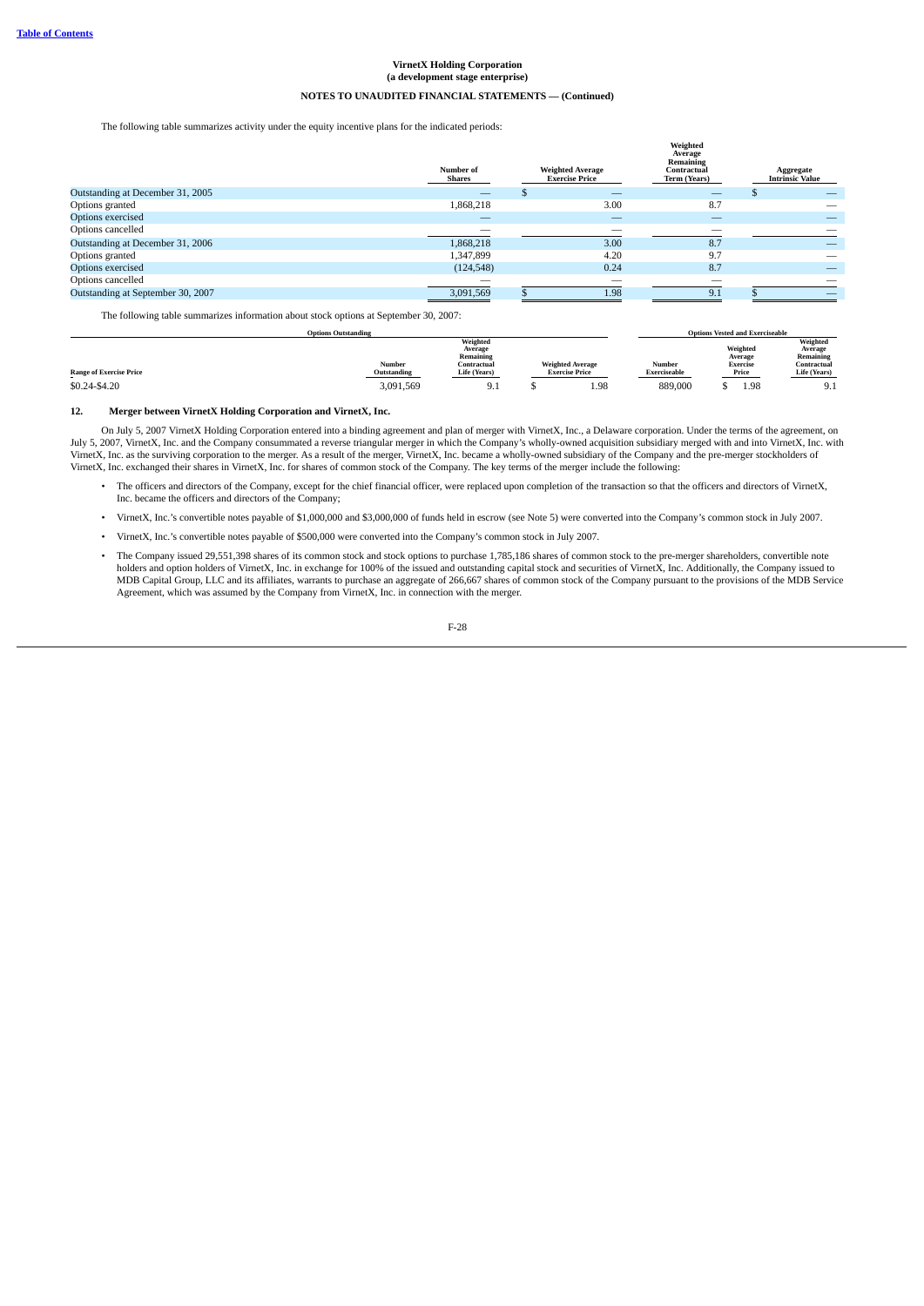## **VirnetX Holding Corporation (a development stage enterprise)**

# **NOTES TO UNAUDITED FINANCIAL STATEMENTS — (Continued)**

The following table summarizes activity under the equity incentive plans for the indicated periods:

|                                   | Number of<br>Shares | <b>Weighted Average</b><br><b>Exercise Price</b> | Weighted<br>Average<br>Remaining<br>Contractual<br><b>Term (Years)</b> | Aggregate<br><b>Intrinsic Value</b> |
|-----------------------------------|---------------------|--------------------------------------------------|------------------------------------------------------------------------|-------------------------------------|
| Outstanding at December 31, 2005  |                     | $\overline{\phantom{a}}$                         |                                                                        |                                     |
| Options granted                   | 1,868,218           | 3.00                                             | 8.7                                                                    | __                                  |
| Options exercised                 | _                   |                                                  |                                                                        |                                     |
| Options cancelled                 |                     |                                                  |                                                                        |                                     |
| Outstanding at December 31, 2006  | 1,868,218           | 3.00                                             | 8.7                                                                    | _                                   |
| Options granted                   | 1,347,899           | 4.20                                             | 9.7                                                                    |                                     |
| Options exercised                 | (124, 548)          | 0.24                                             | 8.7                                                                    |                                     |
| Options cancelled                 |                     |                                                  |                                                                        |                                     |
| Outstanding at September 30, 2007 | 3,091,569           | 1.98                                             | 9.1                                                                    |                                     |

The following table summarizes information about stock options at September 30, 2007:

|                                | <b>Options Outstanding</b> |              |                         |                     | <b>Options Vested and Exerciseable</b> |                       |
|--------------------------------|----------------------------|--------------|-------------------------|---------------------|----------------------------------------|-----------------------|
|                                |                            | Weighted     |                         |                     |                                        | Weighted              |
|                                |                            | Average      |                         |                     | Weighted                               | Average               |
|                                |                            | Remaining    |                         |                     | Average                                | Remaining             |
|                                | Number                     | Contractual  | <b>Weighted Average</b> | Number              | <b>Exercise</b>                        | Contractual           |
| <b>Range of Exercise Price</b> | Outstanding                | Life (Years) | <b>Exercise Price</b>   | <b>Exerciseable</b> | Price                                  | Life (Years)          |
| \$0.24-\$4.20                  | 3,091,569                  | ۰.۱          | 1.98                    | 889,000             | 1.98                                   | Q <sub>1</sub><br>ـ ر |

#### **12. Merger between VirnetX Holding Corporation and VirnetX, Inc.**

On July 5, 2007 VirnetX Holding Corporation entered into a binding agreement and plan of merger with VirnetX, Inc., a Delaware corporation. Under the terms of the agreement, on July 5, 2007, VirnetX, Inc. and the Company consummated a reverse triangular merger in which the Company's wholly-owned acquisition subsidiary merged with and into VirnetX, Inc. with VirnetX, Inc. as the surviving corporation to the merger. As a result of the merger, VirnetX, Inc. became a wholly-owned subsidiary of the Company and the pre-merger stockholders of VirnetX, Inc. exchanged their shares in VirnetX, Inc. for shares of common stock of the Company. The key terms of the merger include the following:

- The officers and directors of the Company, except for the chief financial officer, were replaced upon completion of the transaction so that the officers and directors of VirnetX, Inc. became the officers and directors of t
- VirnetX, Inc.'s convertible notes payable of \$1,000,000 and \$3,000,000 of funds held in escrow (see Note 5) were converted into the Company's common stock in July 2007.
- VirnetX, Inc.'s convertible notes payable of \$500,000 were converted into the Company's common stock in July 2007.
- The Company issued 29,551,398 shares of its common stock and stock options to purchase 1,785,186 shares of common stock to the pre-merger shareholders, convertible note holders and option holders of VirnetX, Inc. in exchange for 100% of the issued and outstanding capital stock and securities of VirnetX, Inc. Additionally, the Company issued to<br>MDB Capital Group, LLC and its affiliates, wa Agreement, which was assumed by the Company from VirnetX, Inc. in connection with the merger.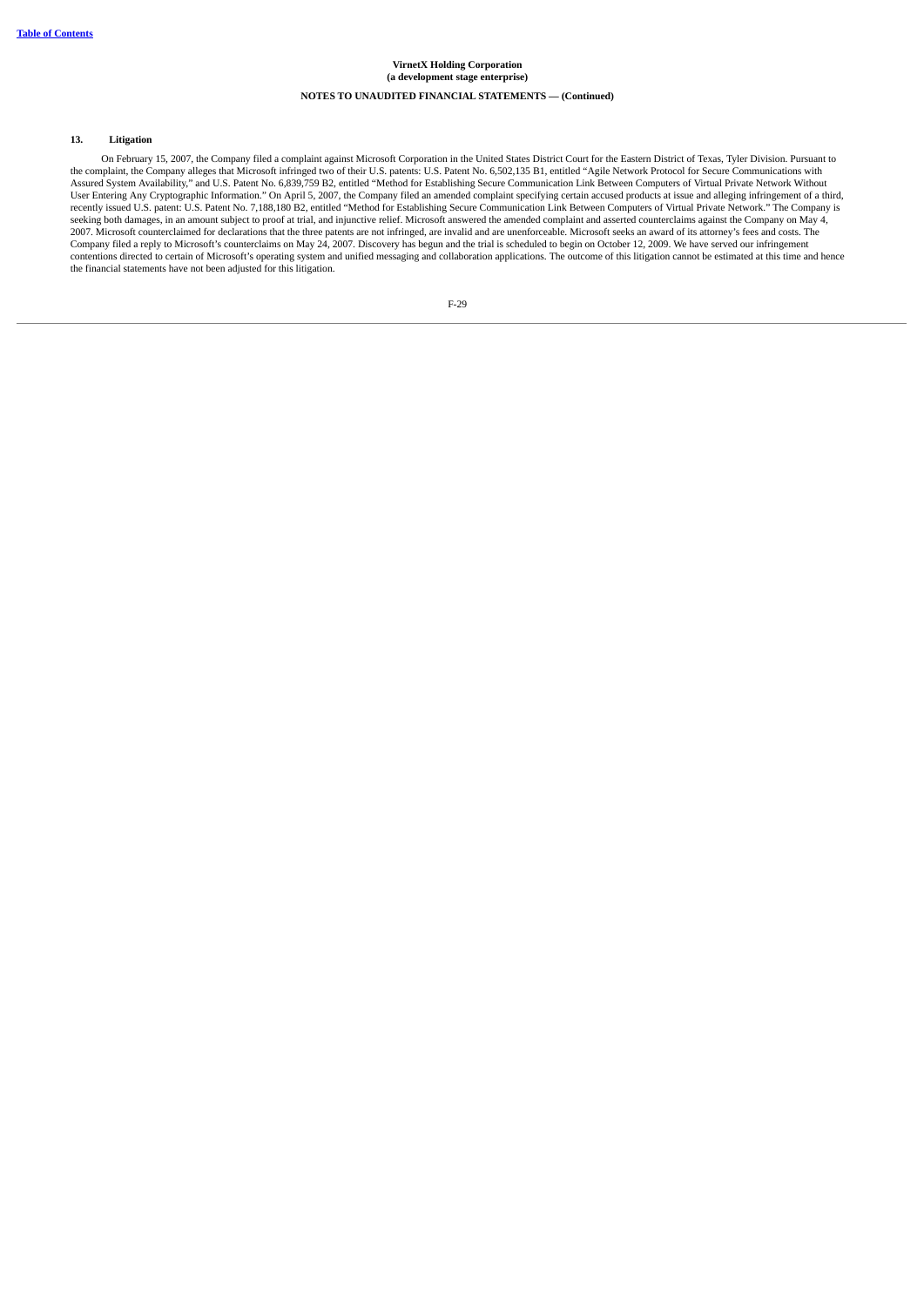## **VirnetX Holding Corporation (a development stage enterprise)**

# **NOTES TO UNAUDITED FINANCIAL STATEMENTS — (Continued)**

# **13. Litigation**

On February 15, 2007, the Company filed a complaint against Microsoft Corporation in the United States District Court for the Eastern District of Texas, Tyler Division. Pursuant to<br>the complaint, the Company alleges that M Assured System Availability," and U.S. Patent No. 6,839,759 B2, entitled "Method for Establishing Secure Communication Link Between Computers of Virtual Private Network Without Notwork Without User Entering Any Cryptographic Information." On April 5, 2007, the Company filed an amended complaint specifying certain accused products at issue and alleging infringement of a third, recently issued U.S. patent: U.S. Patent No. 7,188,180 B2, entitled "Method for Establishing Secure Communication Link Between Computers of Virtual Private Network." The Company is seeking both damages, in an amount subject to proof at trial, and injunctive relief. Microsoft answered the amended complaint and asserted counterclaims against the Company on May 4, 2007. Microsoft counterclaimed for declarations that the three patents are not infringed, are invalid and are unenforceable. Microsoft seeks an award of its attorney's fees and costs. The<br>Company filed a reply to Microsoft contentions directed to certain of Microsoft's operating system and unified messaging and collaboration applications. The outcome of this litigation cannot be estimated at this time and hence the financial statements have not been adjusted for this litigation.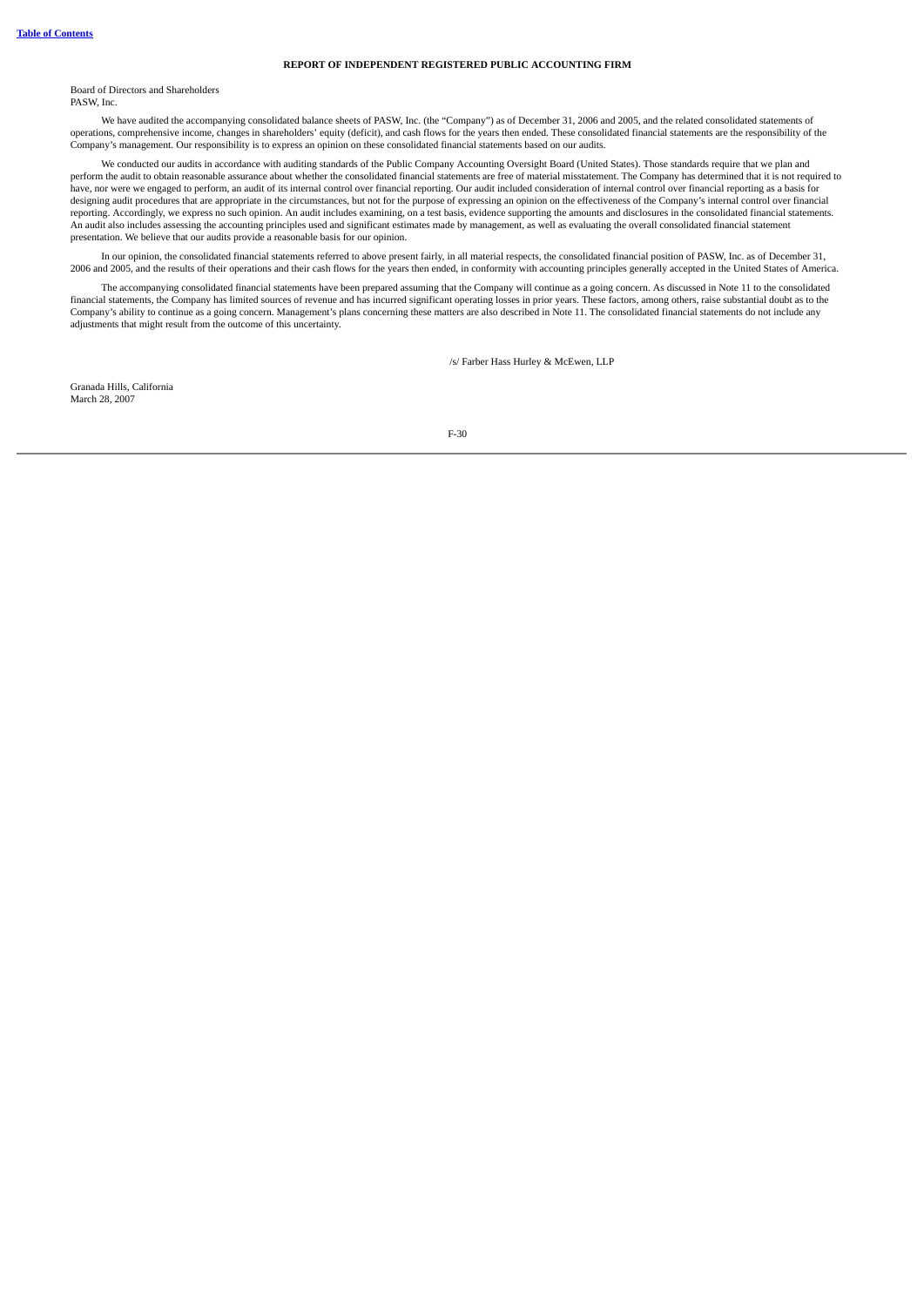## **REPORT OF INDEPENDENT REGISTERED PUBLIC ACCOUNTING FIRM**

Board of Directors and Shareholders PASW, Inc.

We have audited the accompanying consolidated balance sheets of PASW, Inc. (the "Company") as of December 31, 2006 and 2005, and the related consolidated statements of operations, comprehensive income, changes in shareholders' equity (deficit), and cash flows for the years then ended. These consolidated financial statements are the responsibility of the Company's management. Our responsibility is to express an opinion on these consolidated financial statements based on our audits.

We conducted our audits in accordance with auditing standards of the Public Company Accounting Oversight Board (United States). Those standards require that we plan and perform the audit to obtain reasonable assurance about whether the consolidated financial statements are free of material misstatement. The Company has determined that it is not required to have, nor were we engaged to perform, an audit of its internal control over financial reporting. Our audit included consideration of internal control over financial reporting as a basis for designing audit procedures that are appropriate in the circumstances, but not for the purpose of expressing an opinion on the effectiveness of the Company's internal control over financial reporting. Accordingly, we express no such opinion. An audit includes examining, on a test basis, evidence supporting the amounts and disclosures in the consolidated financial statements. An audit also includes assessing the accounting principles used and significant estimates made by management, as well as evaluating the overall consolidated financial statement presentation. We believe that our audits provide a reasonable basis for our opinion.

In our opinion, the consolidated financial statements referred to above present fairly, in all material respects, the consolidated financial position of PASW, Inc. as of December 31, 2006 and 2005, and the results of their operations and their cash flows for the years then ended, in conformity with accounting principles generally accepted in the United States of America.

The accompanying consolidated financial statements have been prepared assuming that the Company will continue as a going concern. As discussed in Note 11 to the consolidated<br>financial statements, the Company has limited so Company's ability to continue as a going concern. Management's plans concerning these matters are also described in Note 11. The consolidated financial statements do not include any adjustments that might result from the outcome of this uncertainty.

/s/ Farber Hass Hurley & McEwen, LLP

Granada Hills, California March 28, 2007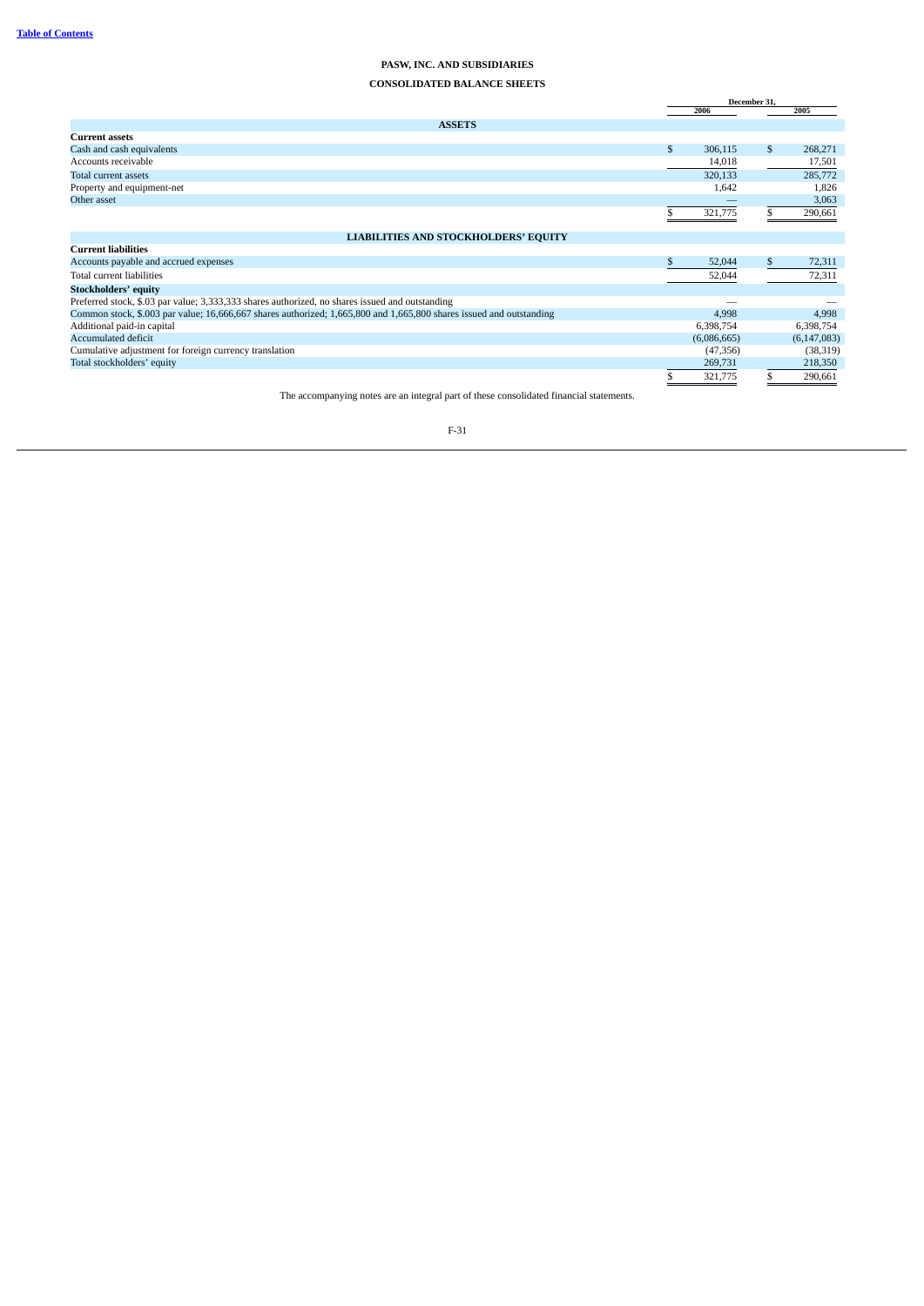# **CONSOLIDATED BALANCE SHEETS**

|                                                                                                                     |     | 2006        | December 31. | 2005          |
|---------------------------------------------------------------------------------------------------------------------|-----|-------------|--------------|---------------|
| <b>ASSETS</b>                                                                                                       |     |             |              |               |
| <b>Current assets</b>                                                                                               |     |             |              |               |
| Cash and cash equivalents                                                                                           | \$. | 306,115     | $\mathbb{S}$ | 268,271       |
| Accounts receivable                                                                                                 |     | 14,018      |              | 17,501        |
| Total current assets                                                                                                |     | 320,133     |              | 285,772       |
| Property and equipment-net                                                                                          |     | 1,642       |              | 1,826         |
| Other asset                                                                                                         |     |             |              | 3,063         |
|                                                                                                                     |     | 321,775     |              | 290,661       |
|                                                                                                                     |     |             |              |               |
| <b>LIABILITIES AND STOCKHOLDERS' EQUITY</b>                                                                         |     |             |              |               |
| <b>Current liabilities</b>                                                                                          |     |             |              |               |
| Accounts payable and accrued expenses                                                                               |     | 52,044      | S.           | 72,311        |
| Total current liabilities                                                                                           |     | 52,044      |              | 72,311        |
| <b>Stockholders' equity</b>                                                                                         |     |             |              |               |
| Preferred stock, \$.03 par value; 3,333,333 shares authorized, no shares issued and outstanding                     |     |             |              |               |
| Common stock, \$.003 par value; 16,666,667 shares authorized; 1,665,800 and 1,665,800 shares issued and outstanding |     | 4,998       |              | 4,998         |
| Additional paid-in capital                                                                                          |     | 6,398,754   |              | 6,398,754     |
| <b>Accumulated deficit</b>                                                                                          |     | (6,086,665) |              | (6, 147, 083) |
| Cumulative adjustment for foreign currency translation                                                              |     | (47,356)    |              | (38, 319)     |
| Total stockholders' equity                                                                                          |     | 269,731     |              | 218,350       |
|                                                                                                                     |     | 321,775     |              | 290,661       |

The accompanying notes are an integral part of these consolidated financial statements.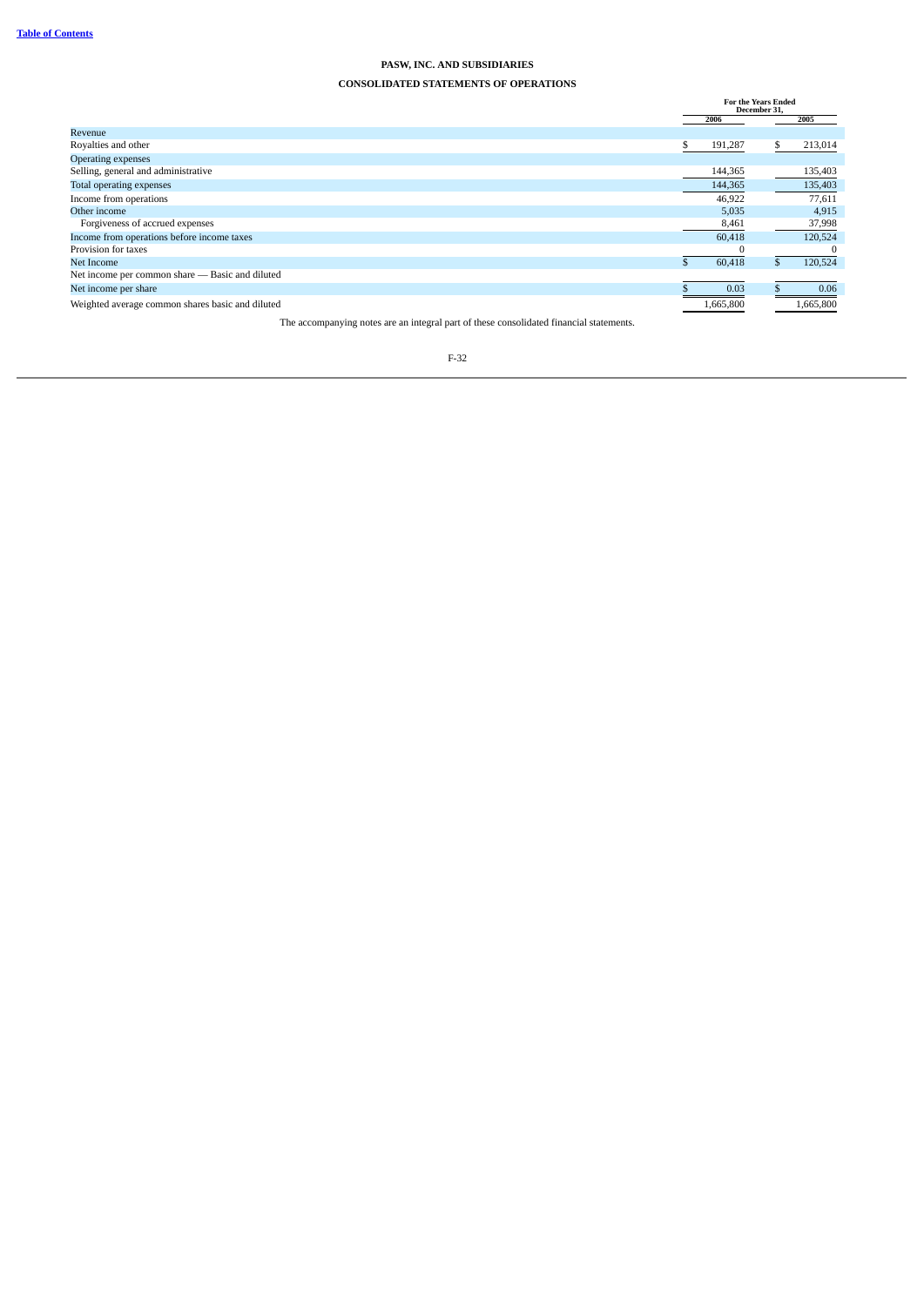# **CONSOLIDATED STATEMENTS OF OPERATIONS**

|                                                  |   |           | For the Years Ended<br>December 31, |           |
|--------------------------------------------------|---|-----------|-------------------------------------|-----------|
|                                                  |   | 2006      |                                     | 2005      |
| Revenue                                          |   |           |                                     |           |
| Royalties and other                              | ъ | 191,287   | \$                                  | 213,014   |
| <b>Operating expenses</b>                        |   |           |                                     |           |
| Selling, general and administrative              |   | 144,365   |                                     | 135,403   |
| Total operating expenses                         |   | 144,365   |                                     | 135,403   |
| Income from operations                           |   | 46,922    |                                     | 77,611    |
| Other income                                     |   | 5,035     |                                     | 4,915     |
| Forgiveness of accrued expenses                  |   | 8,461     |                                     | 37,998    |
| Income from operations before income taxes       |   | 60,418    |                                     | 120,524   |
| Provision for taxes                              |   |           |                                     | 0         |
| Net Income                                       |   | 60,418    | n.                                  | 120,524   |
| Net income per common share - Basic and diluted  |   |           |                                     |           |
| Net income per share                             |   | 0.03      |                                     | 0.06      |
| Weighted average common shares basic and diluted |   | 1,665,800 |                                     | 1,665,800 |

The accompanying notes are an integral part of these consolidated financial statements.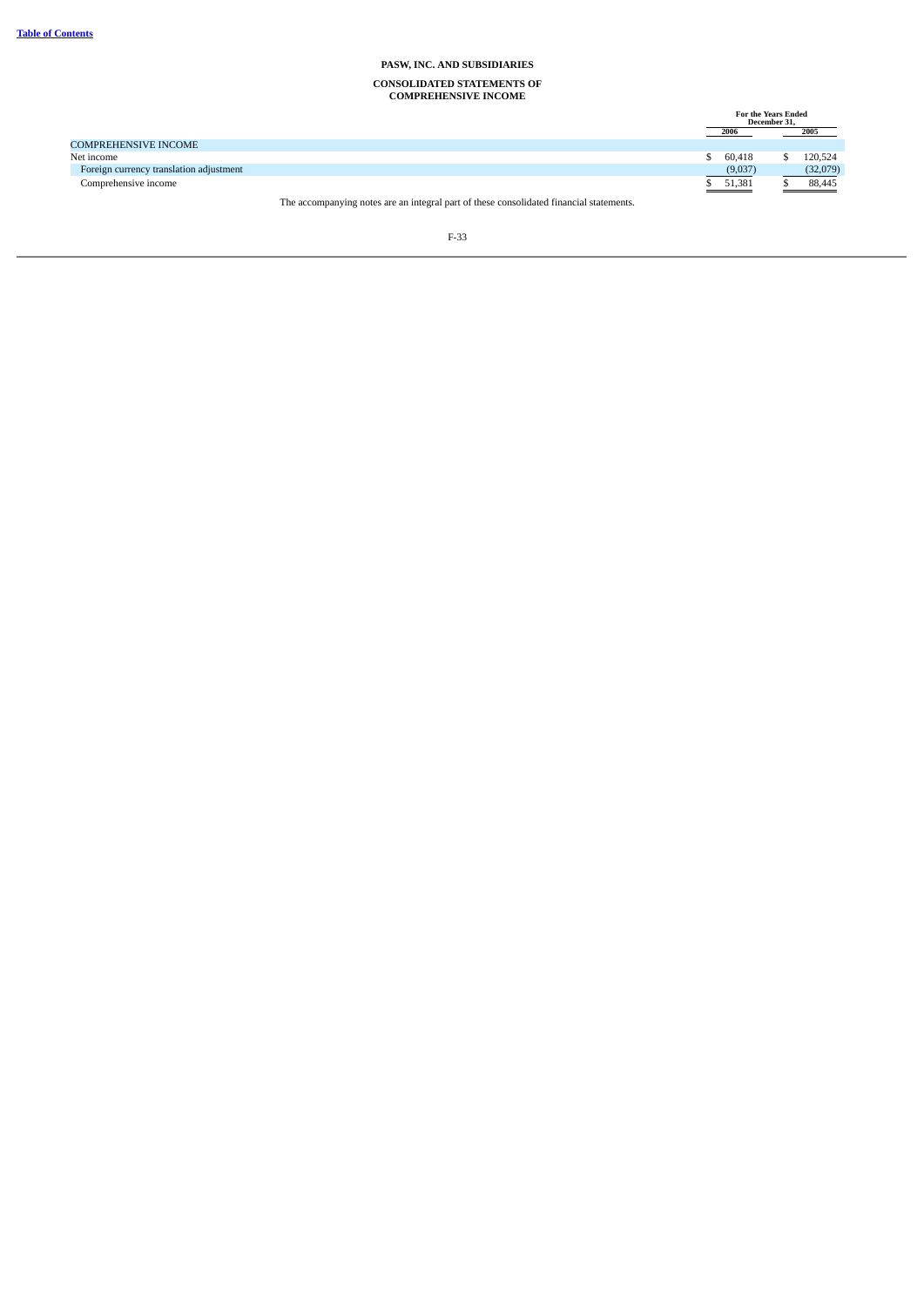**CONSOLIDATED STATEMENTS OF COMPREHENSIVE INCOME**

|                                         |                                                                                         |    | <b>For the Years Ended</b><br>2006 | December 31. | 2005     |
|-----------------------------------------|-----------------------------------------------------------------------------------------|----|------------------------------------|--------------|----------|
| <b>COMPREHENSIVE INCOME</b>             |                                                                                         |    |                                    |              |          |
| Net income                              |                                                                                         | S. | 60.418                             |              | 120.524  |
| Foreign currency translation adjustment |                                                                                         |    | (9,037)                            |              | (32,079) |
| Comprehensive income                    |                                                                                         |    | 51,381                             |              | 88,445   |
|                                         | The accompanying notes are an integral part of these consolidated financial statements. |    |                                    |              |          |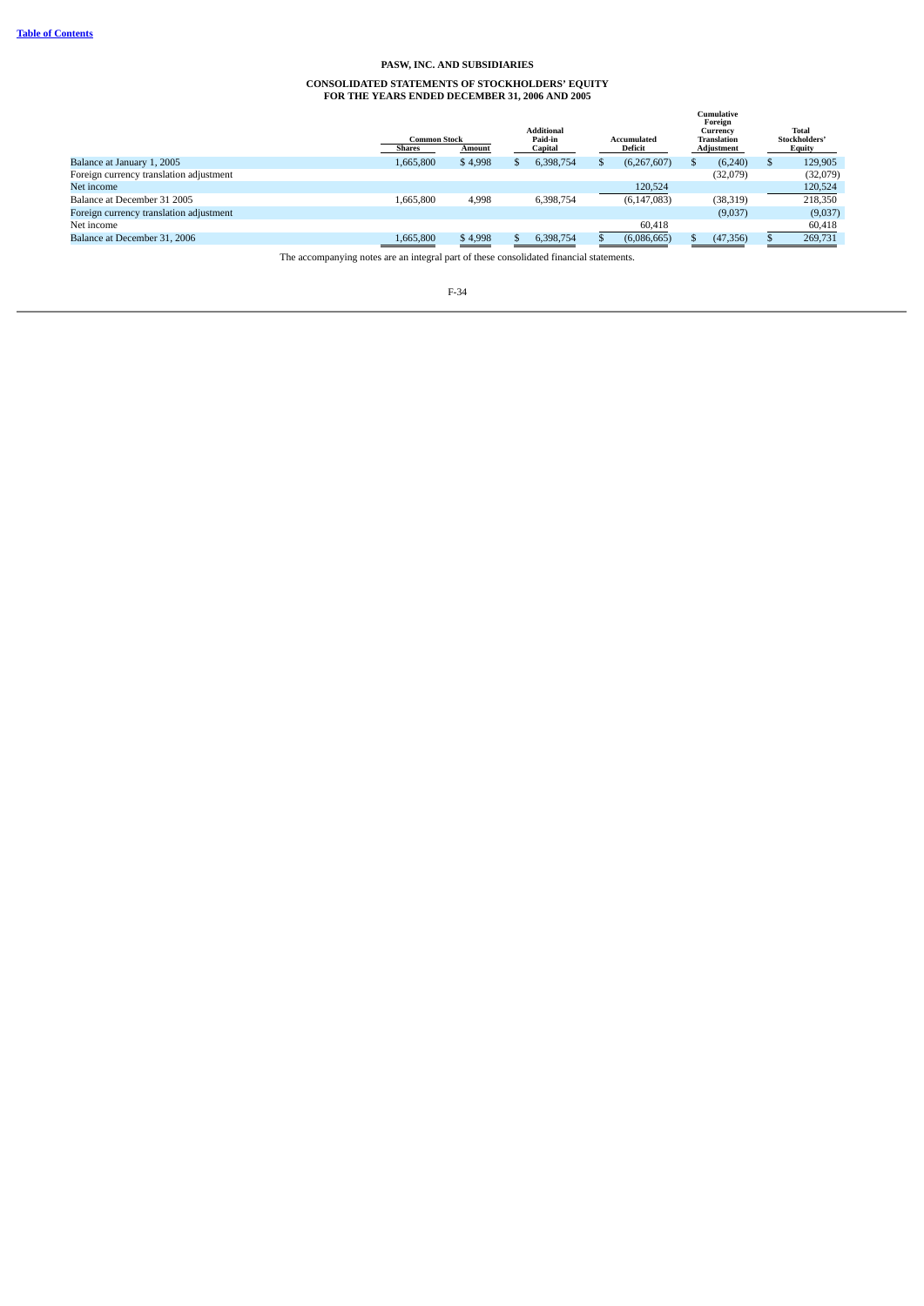# **CONSOLIDATED STATEMENTS OF STOCKHOLDERS' EQUITY FOR THE YEARS ENDED DECEMBER 31, 2006 AND 2005**

|                                         |                                                                                         | <b>Common Stock</b><br>Shares | Amount  | <b>Additional</b><br>Paid-in<br>Capital |   | Accumulated<br>Deficit |    | Cumulative<br>Foreign<br>Currency<br><b>Translation</b><br>Adjustment |               | Total<br>Stockholders'<br>Equity |
|-----------------------------------------|-----------------------------------------------------------------------------------------|-------------------------------|---------|-----------------------------------------|---|------------------------|----|-----------------------------------------------------------------------|---------------|----------------------------------|
| Balance at January 1, 2005              |                                                                                         | 1,665,800                     | \$4,998 | 6,398,754                               | æ | (6,267,607)            | S. | (6,240)                                                               | <sup>\$</sup> | 129,905                          |
| Foreign currency translation adjustment |                                                                                         |                               |         |                                         |   |                        |    | (32,079)                                                              |               | (32,079)                         |
| Net income                              |                                                                                         |                               |         |                                         |   | 120.524                |    |                                                                       |               | 120,524                          |
| Balance at December 31 2005             |                                                                                         | 1.665.800                     | 4,998   | 6.398.754                               |   | (6, 147, 083)          |    | (38, 319)                                                             |               | 218,350                          |
| Foreign currency translation adjustment |                                                                                         |                               |         |                                         |   |                        |    | (9,037)                                                               |               | (9,037)                          |
| Net income                              |                                                                                         |                               |         |                                         |   | 60,418                 |    |                                                                       |               | 60,418                           |
| Balance at December 31, 2006            |                                                                                         | 1,665,800                     | \$4,998 | 6,398,754                               |   | (6,086,665)            |    | (47, 356)                                                             |               | 269,731                          |
|                                         | The accompanying notes are an integral part of these consolidated financial statements. |                               |         |                                         |   |                        |    |                                                                       |               |                                  |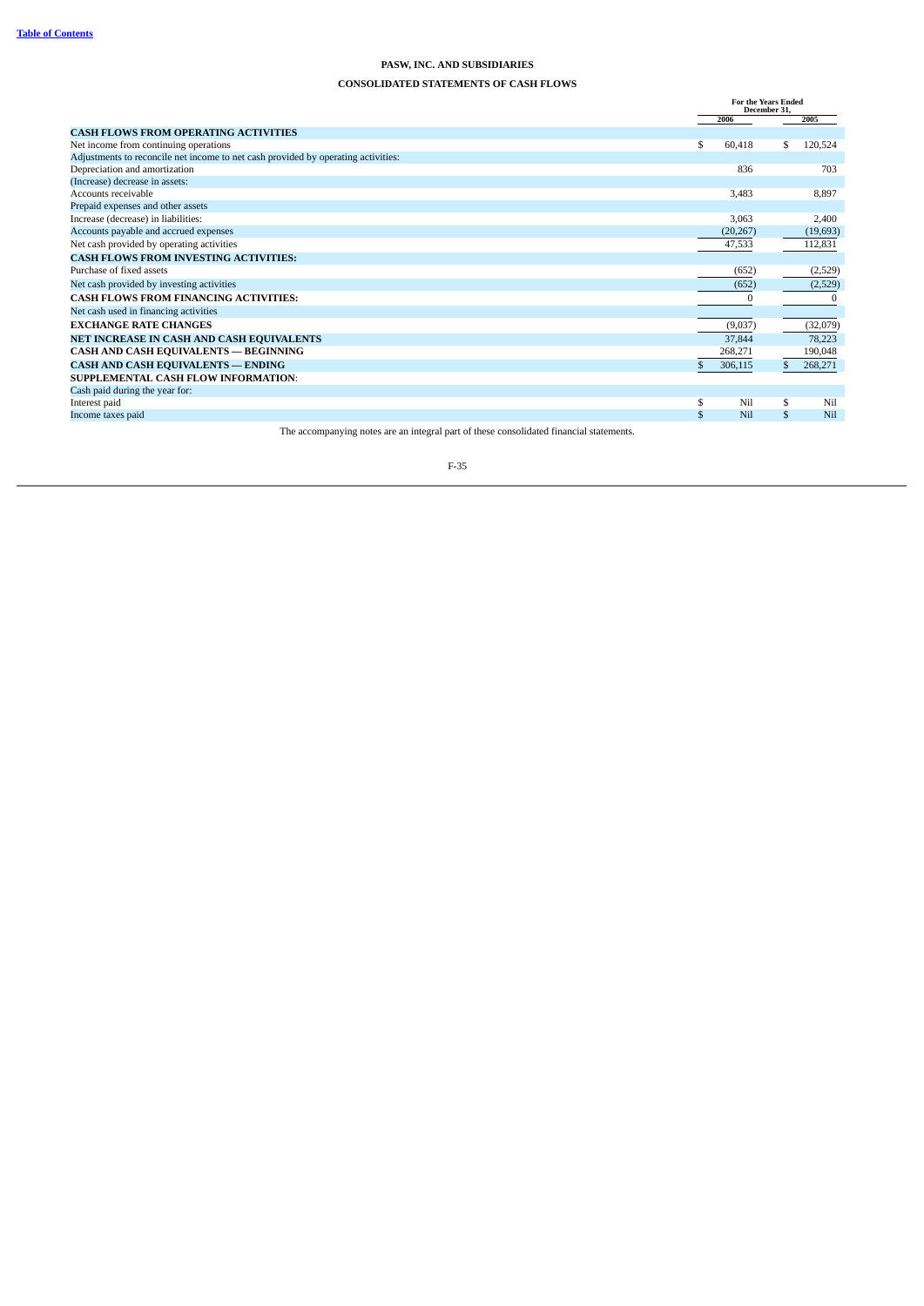# **CONSOLIDATED STATEMENTS OF CASH FLOWS**

|                                                                                   | <b>For the Years Ended</b><br>December 31. |           |     |           |
|-----------------------------------------------------------------------------------|--------------------------------------------|-----------|-----|-----------|
|                                                                                   |                                            | 2006      |     | 2005      |
| <b>CASH FLOWS FROM OPERATING ACTIVITIES</b>                                       |                                            |           |     |           |
| Net income from continuing operations                                             | \$                                         | 60,418    | \$  | 120,524   |
| Adjustments to reconcile net income to net cash provided by operating activities: |                                            |           |     |           |
| Depreciation and amortization                                                     |                                            | 836       |     | 703       |
| (Increase) decrease in assets:                                                    |                                            |           |     |           |
| Accounts receivable                                                               |                                            | 3.483     |     | 8,897     |
| Prepaid expenses and other assets                                                 |                                            |           |     |           |
| Increase (decrease) in liabilities:                                               |                                            | 3,063     |     | 2,400     |
| Accounts payable and accrued expenses                                             |                                            | (20, 267) |     | (19, 693) |
| Net cash provided by operating activities                                         |                                            | 47,533    |     | 112,831   |
| <b>CASH FLOWS FROM INVESTING ACTIVITIES:</b>                                      |                                            |           |     |           |
| Purchase of fixed assets                                                          |                                            | (652)     |     | (2,529)   |
| Net cash provided by investing activities                                         |                                            | (652)     |     | (2,529)   |
| <b>CASH FLOWS FROM FINANCING ACTIVITIES:</b>                                      |                                            |           |     |           |
| Net cash used in financing activities                                             |                                            |           |     |           |
| <b>EXCHANGE RATE CHANGES</b>                                                      |                                            | (9,037)   |     | (32,079)  |
| NET INCREASE IN CASH AND CASH EQUIVALENTS                                         |                                            | 37,844    |     | 78,223    |
| <b>CASH AND CASH EQUIVALENTS - BEGINNING</b>                                      |                                            | 268,271   |     | 190,048   |
| <b>CASH AND CASH EQUIVALENTS - ENDING</b>                                         |                                            | 306,115   | S.  | 268,271   |
| SUPPLEMENTAL CASH FLOW INFORMATION:                                               |                                            |           |     |           |
| Cash paid during the year for:                                                    |                                            |           |     |           |
| Interest paid                                                                     | \$                                         | Nil       | \$  | Nil       |
| Income taxes paid                                                                 | \$.                                        | Nil       | \$. | Nil       |
|                                                                                   |                                            |           |     |           |

The accompanying notes are an integral part of these consolidated financial statements.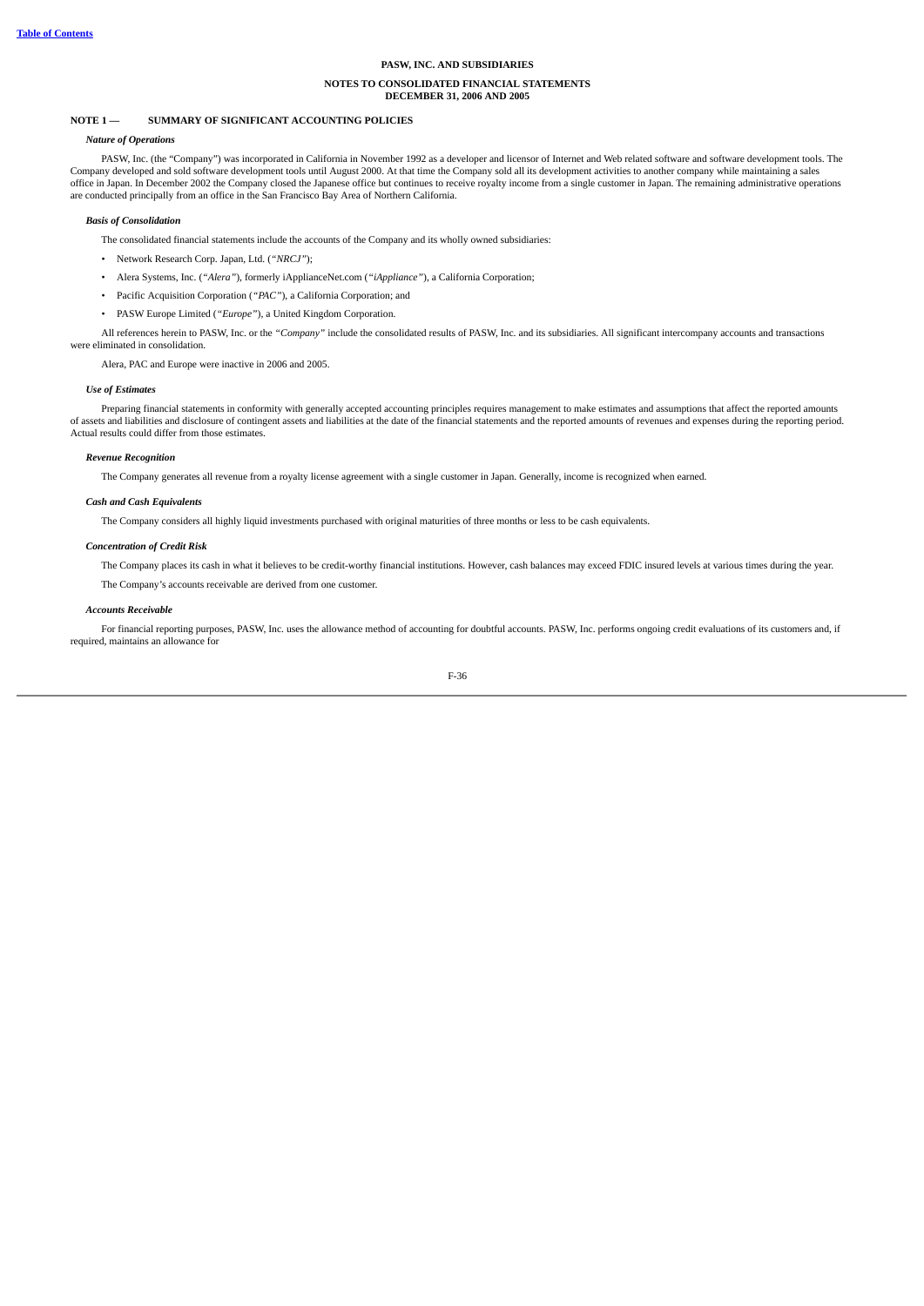#### **NOTES TO CONSOLIDATED FINANCIAL STATEMENTS DECEMBER 31, 2006 AND 2005**

#### **NOTE 1 — SUMMARY OF SIGNIFICANT ACCOUNTING POLICIES**

## *Nature* of *Operat*

PASW, Inc. (the "Company") was incorporated in California in November 1992 as a developer and licensor of Internet and Web related software and software development tools. The Company developed and sold software developmen office in Japan. In December 2002 the Company closed the Japanese office but continues to receive royalty income from a single customer in Japan. The remaining administrative operations are conducted principally from an office in the San Francisco Bay Area of Northern California.

#### *Basis of Consolidation*

The consolidated financial statements include the accounts of the Company and its wholly owned subsidiaries:

- Network Research Corp. Japan, Ltd. (*"NRCJ"*);
- Alera Systems, Inc. (*"Alera"*), formerly iApplianceNet.com (*"iAppliance"*), a California Corporation;
- Pacific Acquisition Corporation (*"PAC"*), a California Corporation; and
- PASW Europe Limited (*"Europe"*), a United Kingdom Corporation.

All references herein to PASW, Inc. or the *"Company"* include the consolidated results of PASW, Inc. and its subsidiaries. All significant intercompany accounts and transactions were eliminated in consolidation.

Alera, PAC and Europe were inactive in 2006 and 2005.

#### *Use of Estimates*

Preparing financial statements in conformity with generally accepted accounting principles requires management to make estimates and assumptions that affect the reported amounts of assets and liabilities and disclosure of contingent assets and liabilities at the date of the financial statements and the reported amounts of revenues and expenses during the reporting period. Actual results could differ from those estimates.

#### *Revenue Recognition*

The Company generates all revenue from a royalty license agreement with a single customer in Japan. Generally, income is recognized when earned.

#### *Cash and Cash Equivalents*

The Company considers all highly liquid investments purchased with original maturities of three months or less to be cash equivalents.

#### *Concentration of Credit Risk*

The Company places its cash in what it believes to be credit-worthy financial institutions. However, cash balances may exceed FDIC insured levels at various times during the year.

The Company's accounts receivable are derived from one customer.

#### *Accounts Receivable*

For financial reporting purposes, PASW, Inc. uses the allowance method of accounting for doubtful accounts. PASW, Inc. performs ongoing credit evaluations of its customers and, if required, maintains an allowance for

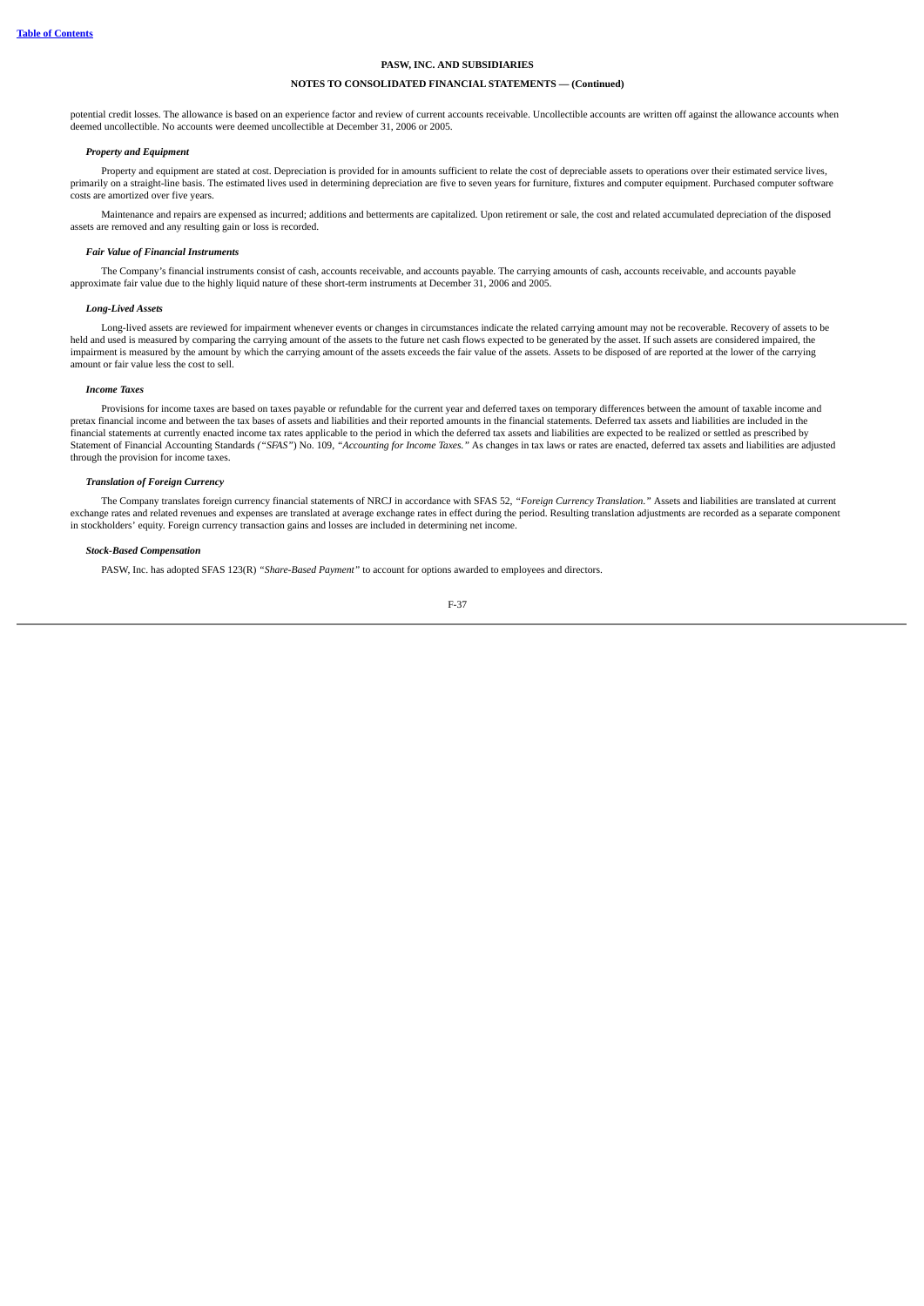### **NOTES TO CONSOLIDATED FINANCIAL STATEMENTS — (Continued)**

potential credit losses. The allowance is based on an experience factor and review of current accounts receivable. Uncollectible accounts are written off against the allowance accounts when<br>deemed uncollectible. No account

#### *Property and Equipment*

Property and equipment are stated at cost. Depreciation is provided for in amounts sufficient to relate the cost of depreciable assets to operations over their estimated service lives, primarily on a straight-line basis. The estimated lives used in determining depreciation are five to seven years for furniture, fixtures and computer equipment. Purchased computer software costs are amortized over five years.

Maintenance and repairs are expensed as incurred; additions and betterments are capitalized. Upon retirement or sale, the cost and related accumulated depreciation of the disposed assets are removed and any resulting gain or loss is recorded.

#### *Fair Value of Financial Instruments*

The Company's financial instruments consist of cash, accounts receivable, and accounts payable. The carrying amounts of cash, accounts receivable, and accounts payable approximate fair value due to the highly liquid nature of these short-term instruments at December 31, 2006 and 2005.

#### *Long-Lived Assets*

Long-lived assets are reviewed for impairment whenever events or changes in circumstances indicate the related carrying amount may not be recoverable. Recovery of assets to be held and used is measured by comparing the carrying amount of the assets to the future net cash flows expected to be generated by the asset. If such assets are considered impaired, the impairment is measured by the amount by which the carrying amount of the assets exceeds the fair value of the assets. Assets to be disposed of are reported at the lower of the carrying amount or fair value less the cost to sell.

#### *Income Taxes*

Provisions for income taxes are based on taxes payable or refundable for the current year and deferred taxes on temporary differences between the amount of taxable income and pretax financial income and between the tax bases of assets and liabilities and their reported amounts in the financial statements. Deferred tax assets and liabilities are included in the financial statements at currently enacted income tax rates applicable to the period in which the deferred tax assets and liabilities are expected to be realized or settled as prescribed by Statement of Financial Accounting Standards *("SFAS"*) No. 109, *"Accounting for Income Taxes."* As changes in tax laws or rates are enacted, deferred tax assets and liabilities are adjusted through the provision for income taxes.

#### *Translation of Foreign Currency*

The Company translates foreign currency financial statements of NRCJ in accordance with SFAS 52, *"Foreign Currency Translation."* Assets and liabilities are translated at current exchange rates and related revenues and expenses are translated at average exchange rates in effect during the period. Resulting translation adjustments are recorded as a separate component in stockholders' equity. Foreign currency transaction gains and losses are included in determining net income.

#### *Stock-Based Compensation*

PASW, Inc. has adopted SFAS 123(R) *"Share-Based Payment"* to account for options awarded to employees and directors.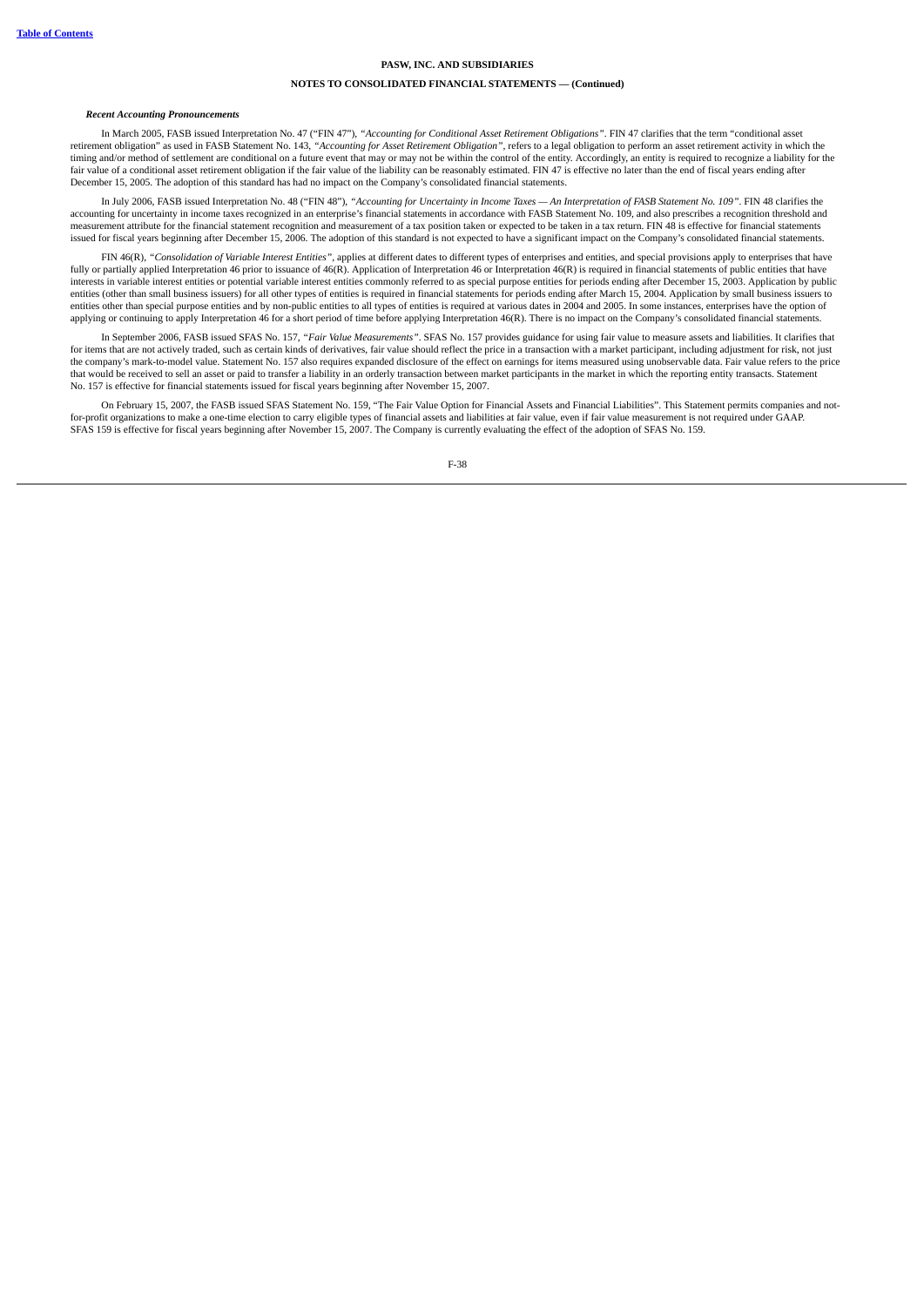## **NOTES TO CONSOLIDATED FINANCIAL STATEMENTS — (Continued)**

#### *Recent Accounting Pronouncements*

In March 2005, FASB issued Interpretation No. 47 ("FIN 47"), *"Accounting for Conditional Asset Retirement Obligations"*. FIN 47 clarifies that the term "conditional asset retirement obligation" as used in FASB Statement No. 143, *"Accounting for Asset Retirement Obligation"*, refers to a legal obligation to perform an asset retirement activity in which the timing and/or method of settlement are conditional on a future event that may or may not be within the control of the entity. Accordingly, an entity is required to recognize a liability for the fair value of a conditional asset retirement obligation if the fair value of the liability can be reasonably estimated. FIN 47 is effective no later than the end of fiscal years ending after December 15, 2005. The adoption of this standard has had no impact on the Company's consolidated financial statements.

In July 2006, FASB issued Interpretation No. 48 ("FIN 48"), "Accounting for Uncertainty in Income Taxes - An Interpretation of FASB Statement No. 109", FIN 48 clarifies the accounting for uncertainty in income taxes recognized in an enterprise's financial statements in accordance with FASB Statement No. 109, and also prescribes a recognition threshold and measurement attribute for the financial statement recognition and measurement of a tax position taken or expected to be taken in a tax return. FIN 48 is effective for financial statements issued for fiscal years beginning after December 15, 2006. The adoption of this standard is not expected to have a significant impact on the Company's consolidated financial statements.

FIN 46(R), *"Consolidation of Variable Interest Entities"*, applies at different dates to different types of enterprises and entities, and special provisions apply to enterprises that have fully or partially applied Interpretation 46 prior to issuance of 46(R). Application of Interpretation 46 or Interpretation 46(R) is required in financial statements of public entities that have interests in variable interest entities or potential variable interest entities commonly referred to as special purpose entities for periods ending after December 15, 2003. Application by public entities (other than small business issuers) for all other types of entities is required in financial statements for periods ending after March 15, 2004. Application by small business issuers to entities other than special purpose entities and by non-public entities to all types of entities is required at various dates in 2004 and 2005. In some instances, enterprises have the option of applying or continuing to apply Interpretation 46 for a short period of time before applying Interpretation 46(R). There is no impact on the Company's consolidated financial statements.

In September 2006, FASB issued SFAS No. 157, *"Fair Value Measurements"*. SFAS No. 157 provides guidance for using fair value to measure assets and liabilities. It clarifies that for items that are not actively traded, such as certain kinds of derivatives, fair value should reflect the price in a transaction with a market participant, including adjustment for risk, not just the company's mark-to-model value. Statement No. 157 also requires expanded disclosure of the effect on earnings for items measured using unobservable data. Fair value refers to the price that would be received to sell an asset or paid to transfer a liability in an orderly transaction between market participants in the market in which the reporting entity transacts. Statement No. 157 is effective for financial statements issued for fiscal years beginning after November 15, 2007.

On February 15, 2007, the FASB issued SFAS Statement No. 159, "The Fair Value Option for Financial Assets and Financial Liabilities". This Statement permits companies and notfor-profit organizations to make a one-time election to carry eligible types of financial assets and liabilities at fair value, even if fair value measurement is not required under GAAP. SFAS 159 is effective for fiscal years beginning after November 15, 2007. The Company is currently evaluating the effect of the adoption of SFAS No. 159.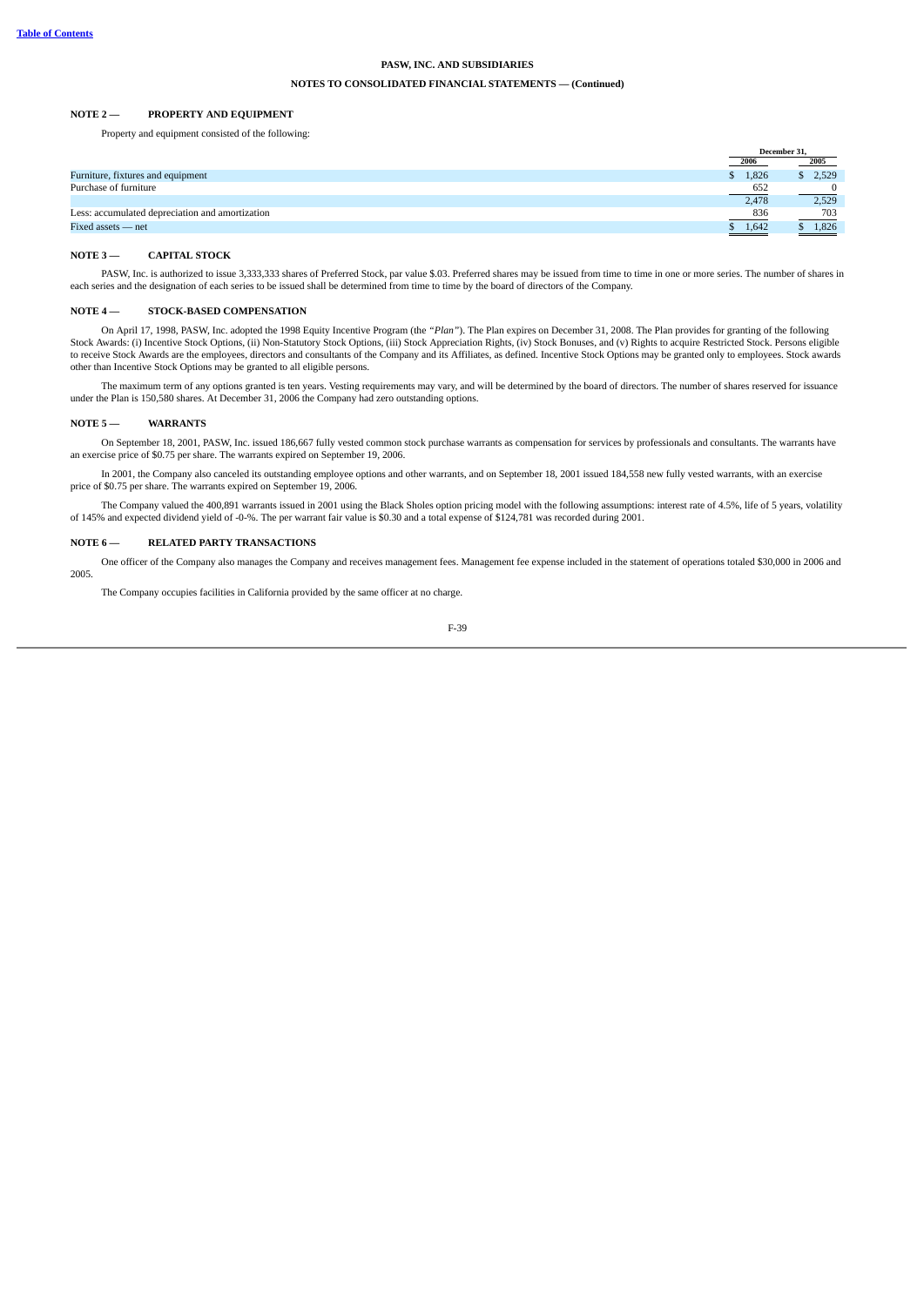# **NOTES TO CONSOLIDATED FINANCIAL STATEMENTS — (Continued)**

# **NOTE 2 — PROPERTY AND EQUIPMENT**

Property and equipment consisted of the following:

|                                                 |                                | December 31, |
|-------------------------------------------------|--------------------------------|--------------|
|                                                 | 2006                           | 2005         |
| Furniture, fixtures and equipment               | 1,826                          | \$2,529      |
| Purchase of furniture                           | 652                            | 0            |
|                                                 | 2,478                          | 2,529        |
| Less: accumulated depreciation and amortization | 836<br>the control of the con- | 703          |
| $Fixed$ assets $-$ net                          | 1,642                          | 1,826        |

#### **NOTE 3 — CAPITAL STOCK**

PASW, Inc. is authorized to issue 3,333,333 shares of Preferred Stock, par value \$.03. Preferred shares may be issued from time to time in one or more series. The number of shares in each series and the designation of each series to be issued shall be determined from time to time by the board of directors of the Company.

#### **NOTE 4 — STOCK-BASED COMPENSATION**

On April 17, 1998, PASW, Inc. adopted the 1998 Equity Incentive Program (the *"Plan"*). The Plan expires on December 31, 2008. The Plan provides for granting of the following Stock Awards: (i) Incentive Stock Options, (ii) Non-Statutory Stock Options, (iii) Stock Appreciation Rights, (iv) Stock Bonuses, and (v) Rights to acquire Restricted Stock. Persons eligible to receive Stock Awards are the employees, directors and consultants of the Company and its Affiliates, as defined. Incentive Stock Options may be granted only to employees. Stock awards other than Incentive Stock Options may be granted to all eligible persons.

The maximum term of any options granted is ten years. Vesting requirements may vary, and will be determined by the board of directors. The number of shares reserved for issuance under the Plan is 150,580 shares. At December 31, 2006 the Company had zero outstanding options.

## **NOTE 5 — WARRANTS**

On September 18, 2001, PASW, Inc. issued 186,667 fully vested common stock purchase warrants as compensation for services by professionals and consultants. The warrants have an exercise price of \$0.75 per share. The warrants expired on September 19, 2006.

In 2001, the Company also canceled its outstanding employee options and other warrants, and on September 18, 2001 issued 184,558 new fully vested warrants, with an exercise price of \$0.75 per share. The warrants expired on September 19, 2006.

The Company valued the 400,891 warrants issued in 2001 using the Black Sholes option pricing model with the following assumptions: interest rate of 4.5%, life of 5 years, volatility of 145% and expected dividend yield of -0-%. The per warrant fair value is \$0.30 and a total expense of \$124,781 was recorded during 2001.

#### **NOTE 6 — RELATED PARTY TRANSACTIONS**

One officer of the Company also manages the Company and receives management fees. Management fee expense included in the statement of operations totaled \$30,000 in 2006 and 2005.

The Company occupies facilities in California provided by the same officer at no charge.

$$
F-39
$$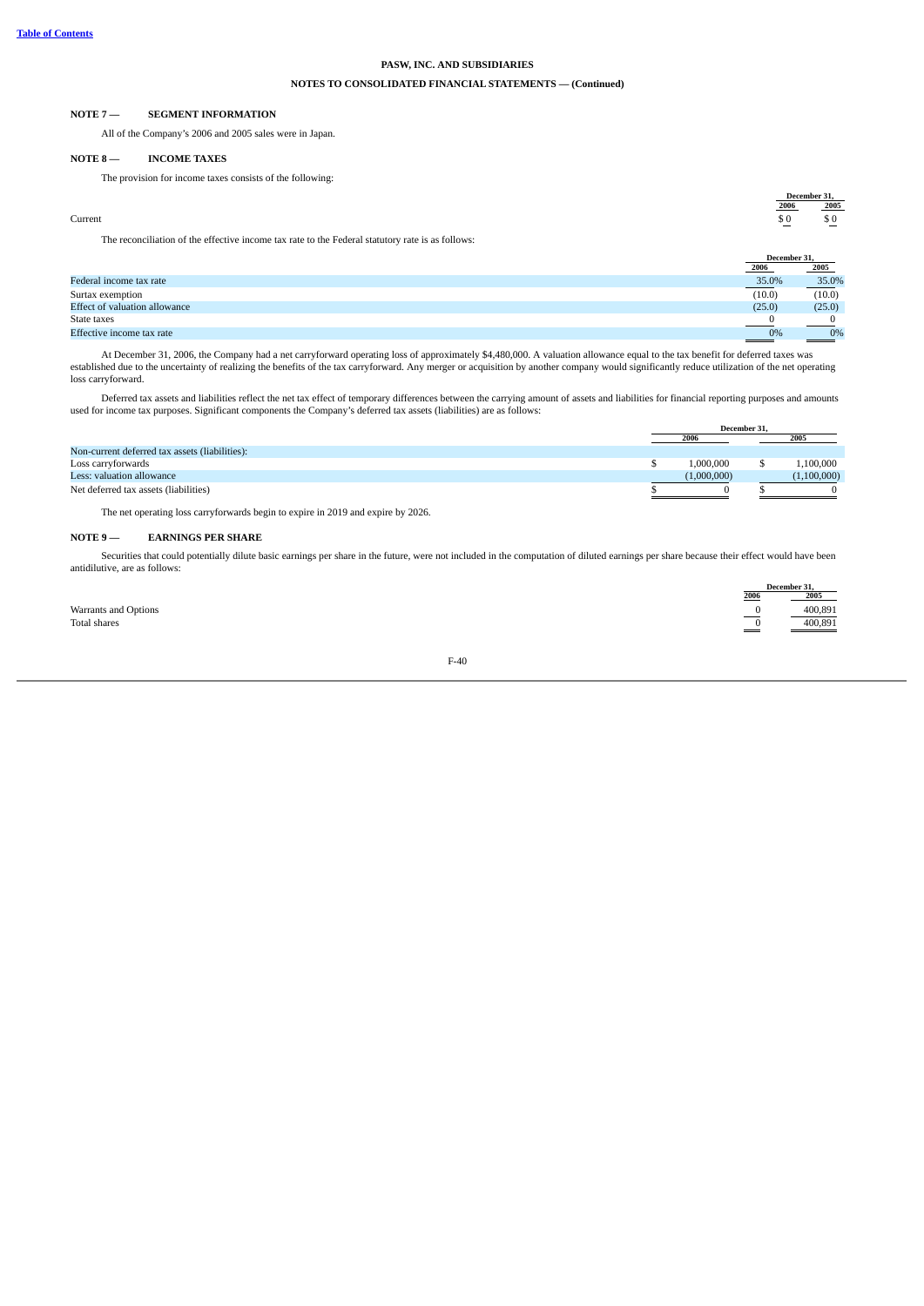# **NOTES TO CONSOLIDATED FINANCIAL STATEMENTS — (Continued)**

# **NOTE 7 — SEGMENT INFORMATION**

All of the Company's 2006 and 2005 sales were in Japan.

# **NOTE 8 — INCOME TAXES**

The provision for income taxes consists of the following:

|         |  |                                    |  |   |  |                                          |  |  |  |  | December 31. |               |  |
|---------|--|------------------------------------|--|---|--|------------------------------------------|--|--|--|--|--------------|---------------|--|
|         |  |                                    |  |   |  |                                          |  |  |  |  | 2006         | 2005          |  |
| Current |  |                                    |  |   |  |                                          |  |  |  |  | \$0          | \$0<br>$\sim$ |  |
| $\sim$  |  | $\sim$ $\sim$ $\sim$ $\sim$ $\sim$ |  | . |  | the contract of the contract of the con- |  |  |  |  |              |               |  |

The reconciliation of the effective income tax rate to the Federal statutory rate is as follows:

|                               | December 31, |        |
|-------------------------------|--------------|--------|
|                               | 2006         | 2005   |
| Federal income tax rate       | 35.0%        | 35.0%  |
| Surtax exemption              | (10.0)       | (10.0) |
| Effect of valuation allowance | (25.0)       | (25.0) |
| State taxes                   |              |        |
| Effective income tax rate     | 0%           | 0%     |
|                               |              |        |

**December 31,**

At December 31, 2006, the Company had a net carryforward operating loss of approximately \$4,480,000. A valuation allowance equal to the tax benefit for deferred taxes was established due to the uncertainty of realizing the benefits of the tax carryforward. Any merger or acquisition by another company would significantly reduce utilization of the net operating loss carryforward.

Deferred tax assets and liabilities reflect the net tax effect of temporary differences between the carrying amount of assets and liabilities for financial reporting purposes and amounts<br>used for income tax purposes. Signi

|                                                | December 31.<br>2006 | 2005        |
|------------------------------------------------|----------------------|-------------|
| Non-current deferred tax assets (liabilities): |                      |             |
| Loss carryforwards                             | 1.000.000            | 100,000     |
| Less: valuation allowance                      | (1.000.000)          | (1,100,000) |
| Net deferred tax assets (liabilities)          |                      |             |

The net operating loss carryforwards begin to expire in 2019 and expire by 2026.

# **NOTE 9 — EARNINGS PER SHARE**

Securities that could potentially dilute basic earnings per share in the future, were not included in the computation of diluted earnings per share because their effect would have been antidilutive, are as follows:

|                      |      | December 31.                                 |
|----------------------|------|----------------------------------------------|
|                      | 2006 | 2005                                         |
| Warrants and Options | $-$  | 400,891                                      |
| Total shares         | ____ | 400,891<br>and the control of the control of |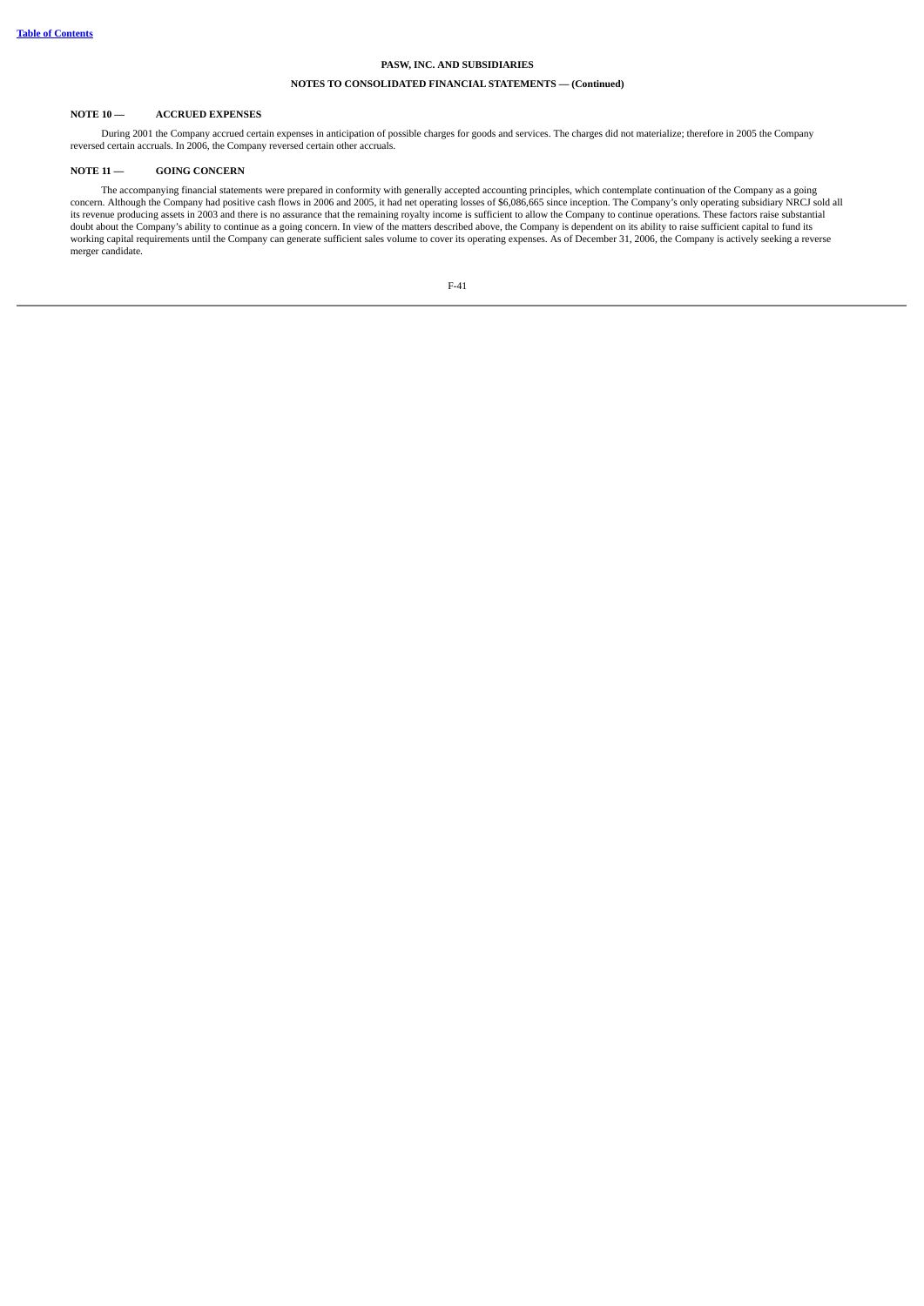# **NOTES TO CONSOLIDATED FINANCIAL STATEMENTS — (Continued)**

# **NOTE 10 — ACCRUED EXPENSES**

During 2001 the Company accrued certain expenses in anticipation of possible charges for goods and services. The charges did not materialize; therefore in 2005 the Company reversed certain accruals. In 2006, the Company reversed certain other accruals.

# **NOTE 11 — GOING CONCERN**

The accompanying financial statements were prepared in conformity with generally accepted accounting principles, which contemplate continuation of the Company as a going concern. Although the Company had positive cash flows in 2006 and 2005, it had net operating losses of \$6,086,665 since inception. The Company's only operating subsidiary NRCJ sold all<br>its revenue producing assets in 2003 working capital requirements until the Company can generate sufficient sales volume to cover its operating expenses. As of December 31, 2006, the Company is actively seeking a reverse merger candidate.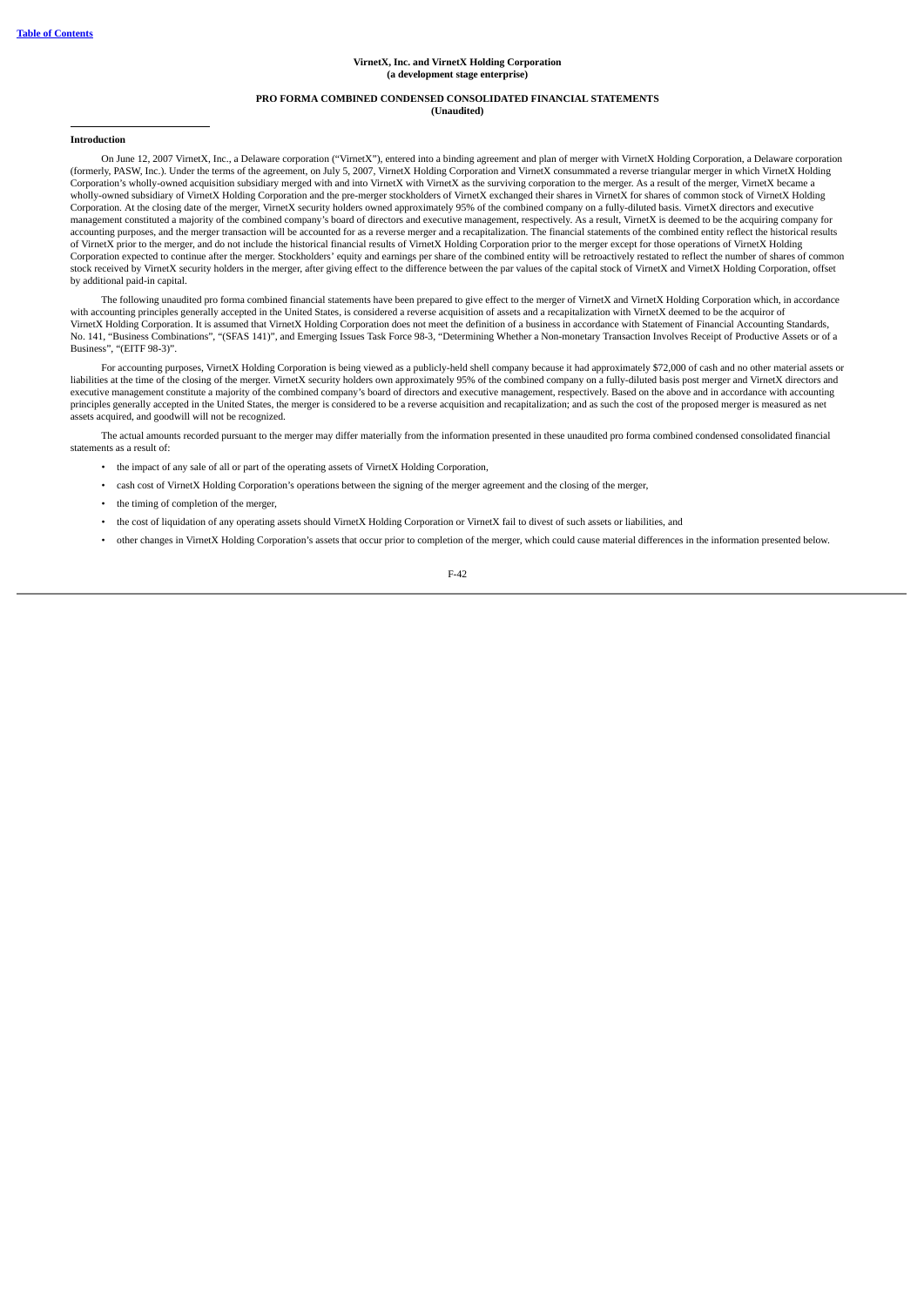# **PRO FORMA COMBINED CONDENSED CONSOLIDATED FINANCIAL STATEMENTS**

#### **(Unaudited)**

#### **Introduction**

On June 12, 2007 VirnetX, Inc., a Delaware corporation ("VirnetX"), entered into a binding agreement and plan of merger with VirnetX Holding Corporation, a Delaware corporation ("VirnetX"), entered into a binding agreement Corporation's wholly-owned acquisition subsidiary merged with and into VirnetX with VirnetX as the surviving corporation to the merger. As a result of the merger, VirnetX became a wholly-owned subsidiary of VirnetX Holding Corporation and the pre-merger stockholders of VirnetX exchanged their shares in VirnetX for shares of common stock of VirnetX Holding Corporation. At the closing date of the merger, VirnetX security holders owned approximately 95% of the combined company on a fully-diluted basis. VirnetX directors and executive management constituted a majority of the combined company's board of directors and executive management, respectively. As a result, VirnetX is deemed to be the acquiring company for accounting purposes, and the merger transaction will be accounted for as a reverse merger and a recapitalization. The financial statements of the combined entity reflect the historical results<br>of VirnetX prior to the merge Corporation expected to continue after the merger. Stockholders' equity and earnings per share of the combined entity will be retroactively restated to reflect the number of shares of common stock received by VirnetX security holders in the merger, after giving effect to the difference between the par values of the capital stock of VirnetX and VirnetX Holding Corporation, offset by additional paid-in capital.

The following unaudited pro forma combined financial statements have been prepared to give effect to the merger of VirnetX and VirnetX Holding Corporation which, in accordance with accounting principles generally accepted in the United States, is considered a reverse acquisition of assets and a recapitalization with VirnetX deemed to be the acquiror of VirnetX Holding Corporation. It is assumed that VirnetX Holding Corporation does not meet the definition of a business in accordance with Statement of Financial Accounting Standards, No. 141, "Business Combinations", "(SFAS 141)", and Emerging Issues Task Force 98-3, "Determining Whether a Non-monetary Transaction Involves Receipt of Productive Assets or of a Business", "(EITF 98-3)".

For accounting purposes, VirnetX Holding Corporation is being viewed as a publicly-held shell company because it had approximately \$72,000 of cash and no other material assets or liabilities at the time of the closing of the merger. VirnetX security holders own approximately 95% of the combined company on a fully-diluted basis post merger and VirnetX directors and<br>executive management constitute a principles generally accepted in the United States, the merger is considered to be a reverse acquisition and recapitalization; and as such the cost of the proposed merger is measured as net assets acquired, and goodwill will not be recognized.

The actual amounts recorded pursuant to the merger may differ materially from the information presented in these unaudited pro forma combined condensed consolidated financial statements as a result of:

- the impact of any sale of all or part of the operating assets of VirnetX Holding Corporation,
- cash cost of VirnetX Holding Corporation's operations between the signing of the merger agreement and the closing of the merger,
- the timing of completion of the merger,
- the cost of liquidation of any operating assets should VirnetX Holding Corporation or VirnetX fail to divest of such assets or liabilities, and
- other changes in VirnetX Holding Corporation's assets that occur prior to completion of the merger, which could cause material differences in the information presented below.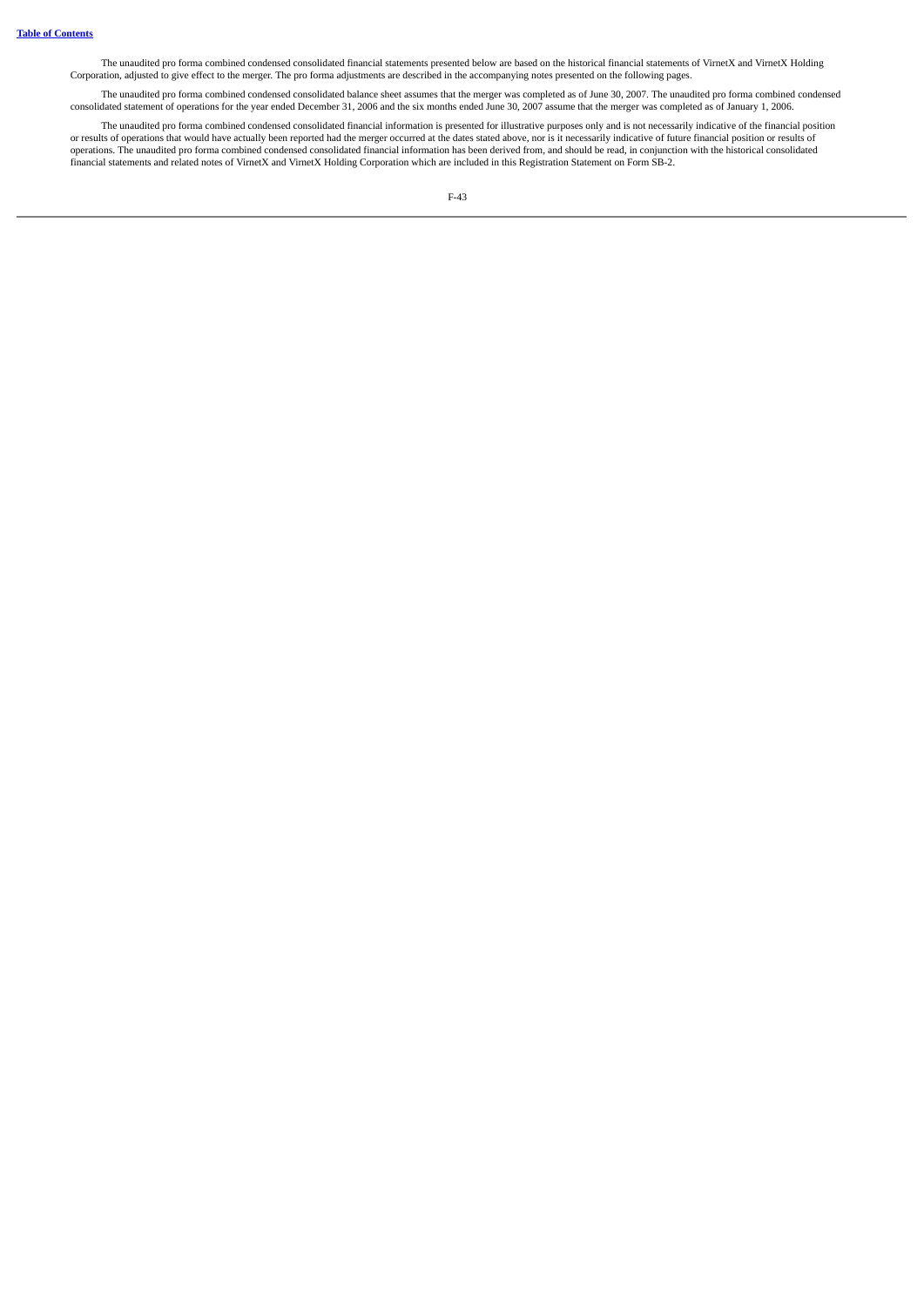The unaudited pro forma combined condensed consolidated financial statements presented below are based on the historical financial statements of VirnetX and VirnetX Holding Corporation, adjusted to give effect to the merger. The pro forma adjustments are described in the accompanying notes presented on the following pages.

The unaudited pro forma combined condensed consolidated balance sheet assumes that the merger was completed as of June 30, 2007. The unaudited pro forma combined condensed consolidated statement of operations for the year ended December 31, 2006 and the six months ended June 30, 2007 assume that the merger was completed as of January 1, 2006.

The unaudited pro forma combined condensed consolidated financial information is presented for illustrative purposes only and is not necessarily indicative of the financial position or results of operations that would have actually been reported had the merger occurred at the dates stated above, nor is it necessarily indicative of future financial position or results of operations. The unaudited pro forma combined condensed consolidated financial information has been derived from, and should be read, in conjunction with the historical consolidated<br>financial statements and related notes of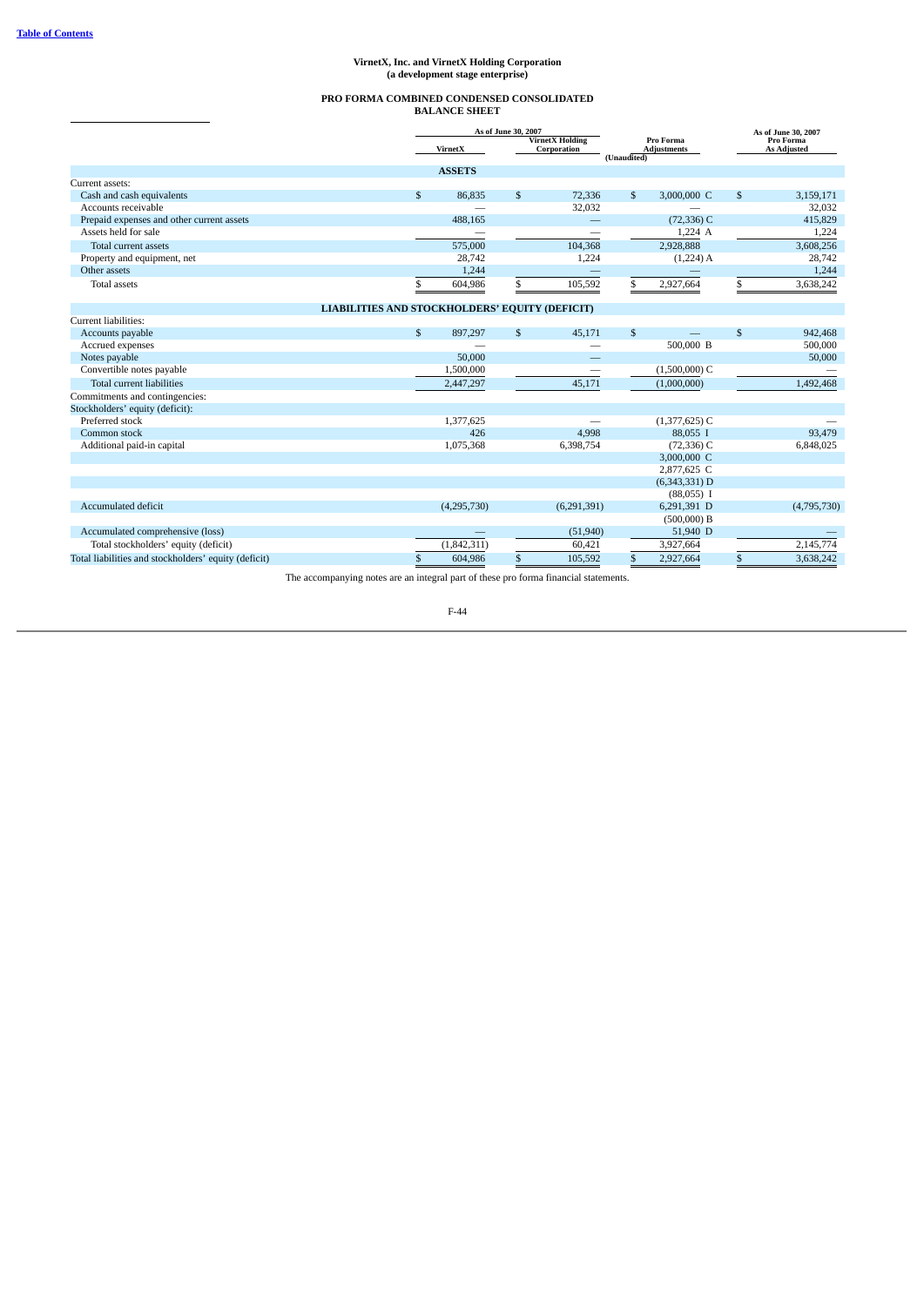# **PRO FORMA COMBINED CONDENSED CONSOLIDATED BALANCE SHEET**

|                                                      |                                                       | As of June 30, 2007<br><b>VirnetX Holding</b><br>VirnetX<br>Corporation |    |               | (Unaudited)  | Pro Forma<br><b>Adjustments</b> |    | As of June 30, 2007<br>Pro Forma<br><b>As Adjusted</b> |
|------------------------------------------------------|-------------------------------------------------------|-------------------------------------------------------------------------|----|---------------|--------------|---------------------------------|----|--------------------------------------------------------|
|                                                      |                                                       | <b>ASSETS</b>                                                           |    |               |              |                                 |    |                                                        |
| Current assets:                                      |                                                       |                                                                         |    |               |              |                                 |    |                                                        |
| Cash and cash equivalents                            | \$                                                    | 86,835                                                                  | \$ | 72,336        | $\mathbb{S}$ | 3,000,000 C                     | \$ | 3,159,171                                              |
| Accounts receivable                                  |                                                       |                                                                         |    | 32,032        |              |                                 |    | 32,032                                                 |
| Prepaid expenses and other current assets            |                                                       | 488,165                                                                 |    |               |              | $(72, 336)$ C                   |    | 415,829                                                |
| Assets held for sale                                 |                                                       |                                                                         |    |               |              | 1,224 A                         |    | 1,224                                                  |
| Total current assets                                 |                                                       | 575,000                                                                 |    | 104,368       |              | 2,928,888                       |    | 3,608,256                                              |
| Property and equipment, net                          |                                                       | 28,742                                                                  |    | 1,224         |              | $(1,224)$ A                     |    | 28,742                                                 |
| Other assets                                         |                                                       | 1,244                                                                   |    | —             |              |                                 |    | 1,244                                                  |
| <b>Total assets</b>                                  | \$                                                    | 604,986                                                                 | \$ | 105,592       | \$           | 2,927,664                       | S  | 3,638,242                                              |
|                                                      | <b>LIABILITIES AND STOCKHOLDERS' EQUITY (DEFICIT)</b> |                                                                         |    |               |              |                                 |    |                                                        |
| Current liabilities:                                 |                                                       |                                                                         |    |               |              |                                 |    |                                                        |
| Accounts payable                                     | \$                                                    | 897,297                                                                 | \$ | 45,171        | \$           |                                 | \$ | 942,468                                                |
| Accrued expenses                                     |                                                       |                                                                         |    |               |              | 500,000 B                       |    | 500,000                                                |
| Notes payable                                        |                                                       | 50,000                                                                  |    | –             |              |                                 |    | 50,000                                                 |
| Convertible notes payable                            |                                                       | 1,500,000                                                               |    |               |              | $(1,500,000)$ C                 |    |                                                        |
| Total current liabilities                            |                                                       | 2,447,297                                                               |    | 45,171        |              | (1,000,000)                     |    | 1,492,468                                              |
| Commitments and contingencies:                       |                                                       |                                                                         |    |               |              |                                 |    |                                                        |
| Stockholders' equity (deficit):                      |                                                       |                                                                         |    |               |              |                                 |    |                                                        |
| Preferred stock                                      |                                                       | 1,377,625                                                               |    |               |              | $(1,377,625)$ C                 |    |                                                        |
| Common stock                                         |                                                       | 426                                                                     |    | 4.998         |              | 88,055 I                        |    | 93.479                                                 |
| Additional paid-in capital                           |                                                       | 1,075,368                                                               |    | 6,398,754     |              | $(72, 336)$ C                   |    | 6,848,025                                              |
|                                                      |                                                       |                                                                         |    |               |              | 3,000,000 C                     |    |                                                        |
|                                                      |                                                       |                                                                         |    |               |              | 2,877,625 C                     |    |                                                        |
|                                                      |                                                       |                                                                         |    |               |              | $(6,343,331)$ D                 |    |                                                        |
|                                                      |                                                       |                                                                         |    |               |              | $(88,055)$ I                    |    |                                                        |
| <b>Accumulated deficit</b>                           |                                                       | (4,295,730)                                                             |    | (6, 291, 391) |              | 6,291,391 D                     |    | (4,795,730)                                            |
|                                                      |                                                       |                                                                         |    |               |              | $(500,000)$ B                   |    |                                                        |
| Accumulated comprehensive (loss)                     |                                                       |                                                                         |    | (51,940)      |              | 51,940 D                        |    |                                                        |
| Total stockholders' equity (deficit)                 |                                                       | (1,842,311)                                                             |    | 60,421        |              | 3,927,664                       |    | 2,145,774                                              |
| Total liabilities and stockholders' equity (deficit) | \$                                                    | 604,986                                                                 | \$ | 105,592       | \$           | 2,927,664                       | \$ | 3,638,242                                              |

The accompanying notes are an integral part of these pro forma financial statements.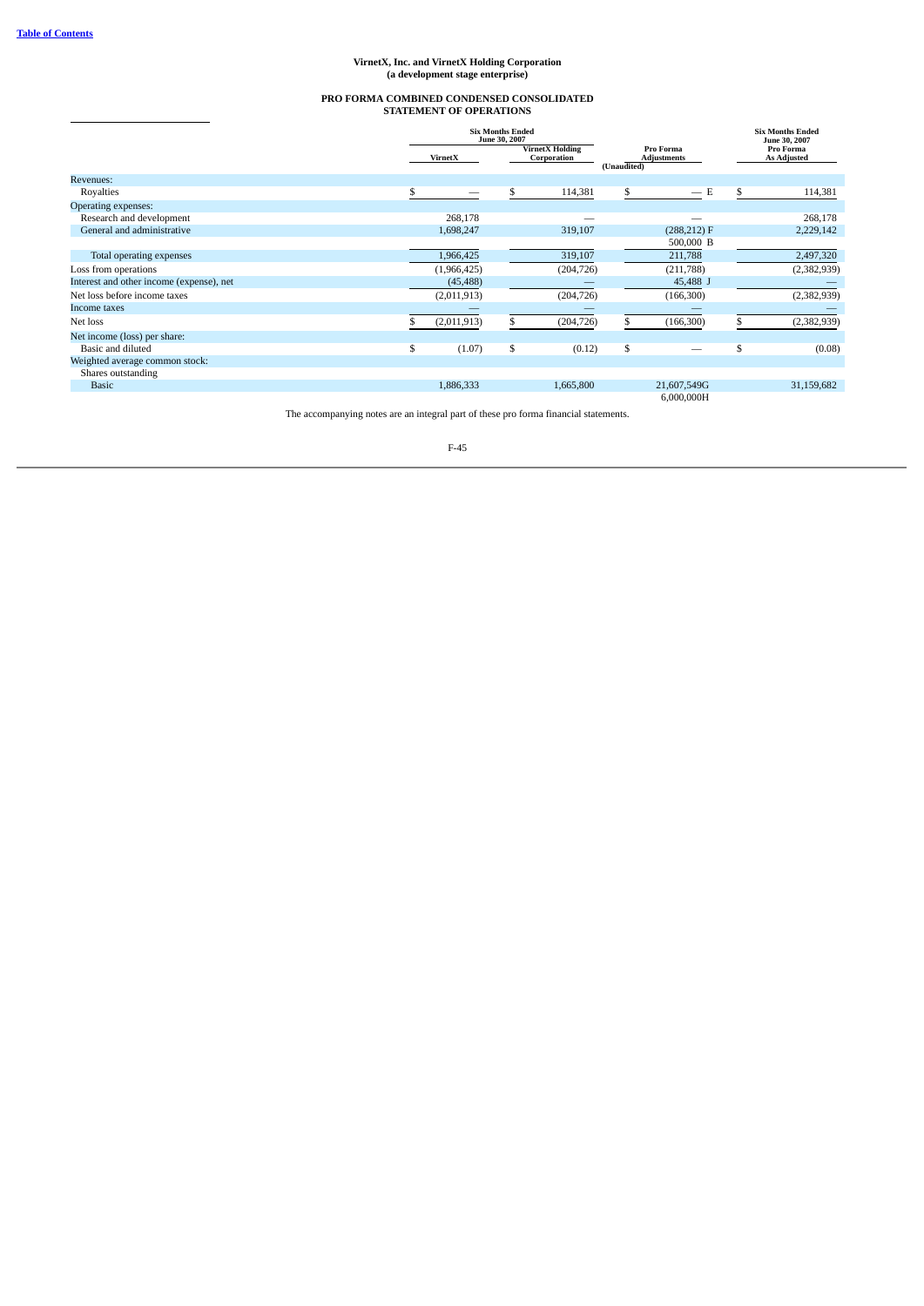# **PRO FORMA COMBINED CONDENSED CONSOLIDATED STATEMENT OF OPERATIONS**

|                                          |                | <b>Six Months Ended</b><br>June 30, 2007 | <b>VirnetX Holding</b> |             | Pro Forma          | <b>Six Months Ended</b><br>June 30, 2007<br>Pro Forma |
|------------------------------------------|----------------|------------------------------------------|------------------------|-------------|--------------------|-------------------------------------------------------|
|                                          | <b>VirnetX</b> |                                          | Corporation            | (Unaudited) | <b>Adjustments</b> | <b>As Adjusted</b>                                    |
| Revenues:                                |                |                                          |                        |             |                    |                                                       |
| Royalties                                | \$             | £.                                       | 114,381                | \$          | $- E$              | \$<br>114,381                                         |
| Operating expenses:                      |                |                                          |                        |             |                    |                                                       |
| Research and development                 | 268,178        |                                          |                        |             |                    | 268,178                                               |
| General and administrative               | 1,698,247      |                                          | 319,107                |             | (288, 212) F       | 2,229,142                                             |
|                                          |                |                                          |                        |             | 500,000 B          |                                                       |
| Total operating expenses                 | 1,966,425      |                                          | 319,107                |             | 211,788            | 2,497,320                                             |
| Loss from operations                     | (1,966,425)    |                                          | (204, 726)             |             | (211,788)          | (2,382,939)                                           |
| Interest and other income (expense), net | (45, 488)      |                                          |                        |             | 45,488 J           |                                                       |
| Net loss before income taxes             | (2,011,913)    |                                          | (204, 726)             |             | (166, 300)         | (2,382,939)                                           |
| Income taxes                             |                |                                          |                        |             |                    |                                                       |
| Net loss                                 | (2,011,913)    |                                          | (204, 726)             |             | (166, 300)         | (2,382,939)                                           |
| Net income (loss) per share:             |                |                                          |                        |             |                    |                                                       |
| Basic and diluted                        | \$<br>(1.07)   | \$                                       | (0.12)                 | \$          |                    | \$<br>(0.08)                                          |
| Weighted average common stock:           |                |                                          |                        |             |                    |                                                       |
| Shares outstanding                       |                |                                          |                        |             |                    |                                                       |
| <b>Basic</b>                             | 1,886,333      |                                          | 1,665,800              |             | 21,607,549G        | 31,159,682                                            |
|                                          |                |                                          |                        |             | 6,000,000H         |                                                       |

The accompanying notes are an integral part of these pro forma financial statements.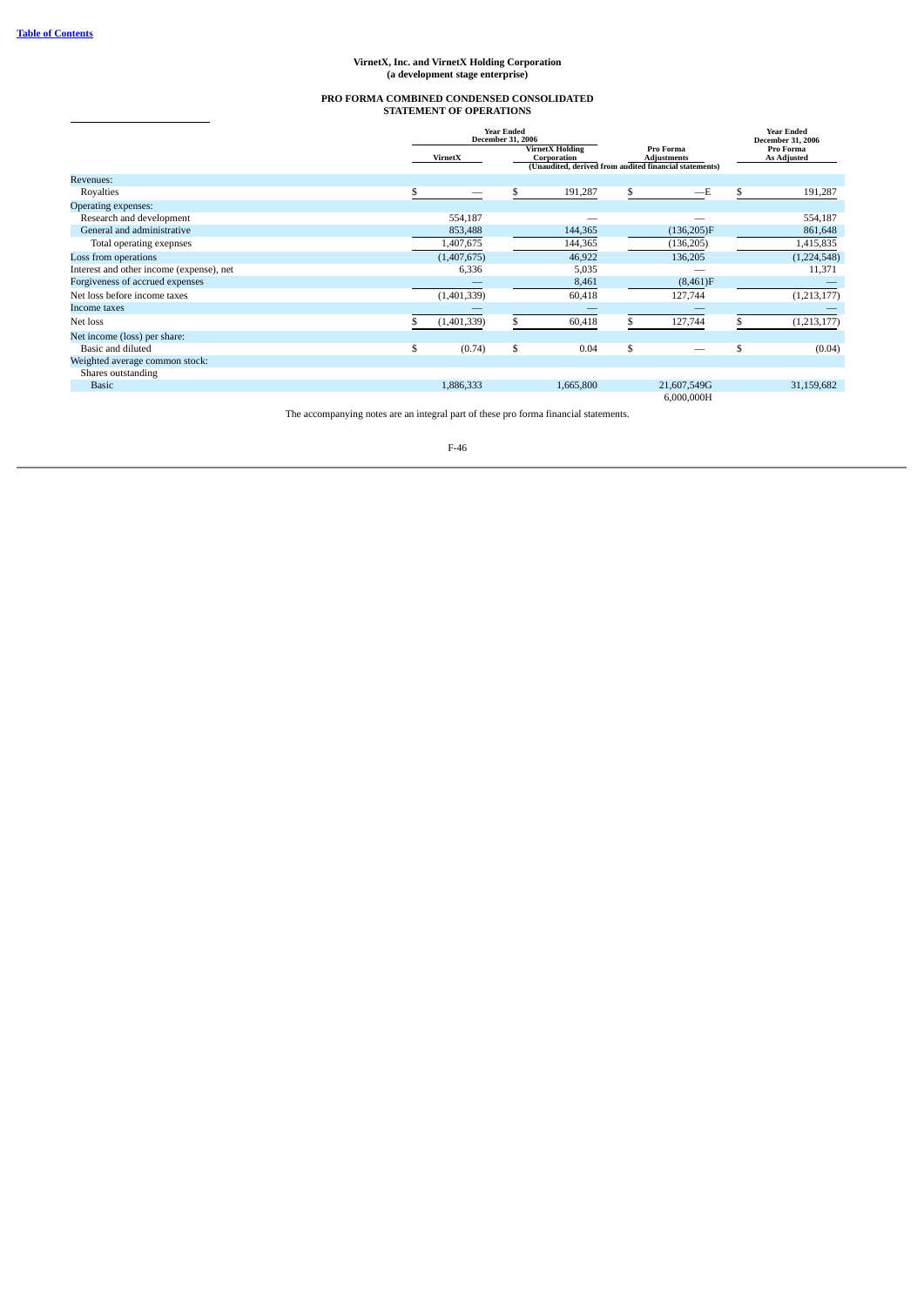# **PRO FORMA COMBINED CONDENSED CONSOLIDATED STATEMENT OF OPERATIONS**

|                                          | <b>VirnetX</b> | <b>Year Ended</b><br><b>December 31, 2006</b><br><b>VirnetX Holding</b><br>Pro Forma<br><b>Adjustments</b><br>Corporation<br>(Unaudited, derived from audited financial statements) |           |    |             | <b>Year Ended</b><br><b>December 31, 2006</b><br>Pro Forma<br><b>As Adjusted</b> |             |
|------------------------------------------|----------------|-------------------------------------------------------------------------------------------------------------------------------------------------------------------------------------|-----------|----|-------------|----------------------------------------------------------------------------------|-------------|
| Revenues:                                |                |                                                                                                                                                                                     |           |    |             |                                                                                  |             |
| Royalties                                | \$             |                                                                                                                                                                                     | 191,287   | \$ | $-E$        | \$                                                                               | 191,287     |
| Operating expenses:                      |                |                                                                                                                                                                                     |           |    |             |                                                                                  |             |
| Research and development                 | 554,187        |                                                                                                                                                                                     |           |    |             |                                                                                  | 554,187     |
| General and administrative               | 853,488        |                                                                                                                                                                                     | 144,365   |    | (136, 205)F |                                                                                  | 861,648     |
| Total operating exepnses                 | 1,407,675      |                                                                                                                                                                                     | 144,365   |    | (136, 205)  |                                                                                  | 1,415,835   |
| Loss from operations                     | (1,407,675)    |                                                                                                                                                                                     | 46,922    |    | 136,205     |                                                                                  | (1,224,548) |
| Interest and other income (expense), net | 6,336          |                                                                                                                                                                                     | 5,035     |    |             |                                                                                  | 11,371      |
| Forgiveness of accrued expenses          |                |                                                                                                                                                                                     | 8,461     |    | (8,461)F    |                                                                                  |             |
| Net loss before income taxes             | (1,401,339)    |                                                                                                                                                                                     | 60,418    |    | 127,744     |                                                                                  | (1,213,177) |
| Income taxes                             |                |                                                                                                                                                                                     |           |    |             |                                                                                  |             |
| Net loss                                 | (1,401,339)    |                                                                                                                                                                                     | 60,418    |    | 127,744     |                                                                                  | (1,213,177) |
| Net income (loss) per share:             |                |                                                                                                                                                                                     |           |    |             |                                                                                  |             |
| Basic and diluted                        | \$<br>(0.74)   | \$                                                                                                                                                                                  | 0.04      | \$ |             | S                                                                                | (0.04)      |
| Weighted average common stock:           |                |                                                                                                                                                                                     |           |    |             |                                                                                  |             |
| Shares outstanding                       |                |                                                                                                                                                                                     |           |    |             |                                                                                  |             |
| <b>Basic</b>                             | 1,886,333      |                                                                                                                                                                                     | 1,665,800 |    | 21,607,549G |                                                                                  | 31,159,682  |
|                                          |                |                                                                                                                                                                                     |           |    | 6,000,000H  |                                                                                  |             |

The accompanying notes are an integral part of these pro forma financial statements.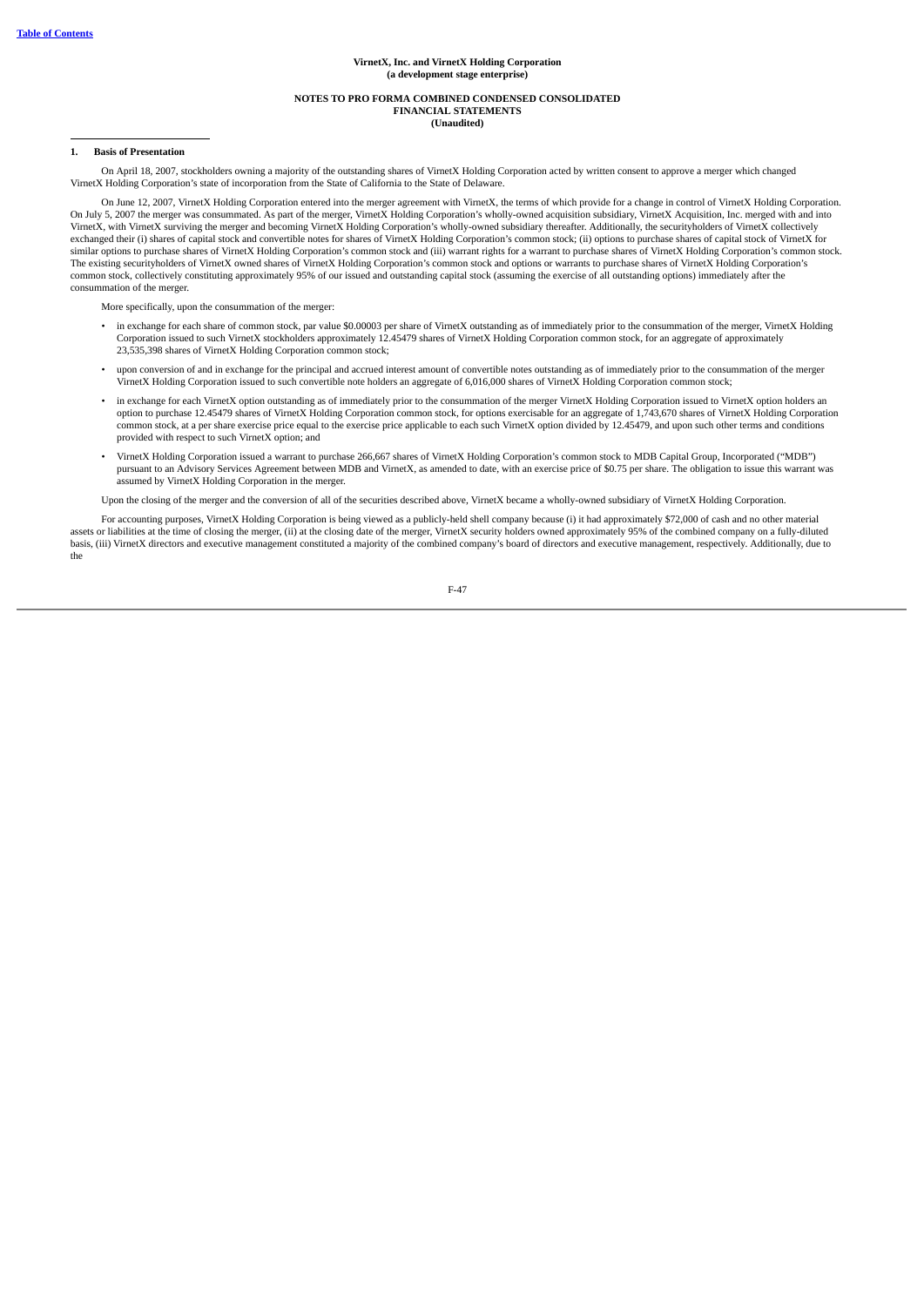#### **NOTES TO PRO FORMA COMBINED CONDENSED CONSOLIDATED**

**FINANCIAL STATEMENTS**

**(Unaudited)**

### **1. Basis of Presentation**

On April 18, 2007, stockholders owning a majority of the outstanding shares of VirnetX Holding Corporation acted by written consent to approve a merger which changed VirnetX Holding Corporation's state of incorporation from the State of California to the State of Delaware.

On June 12, 2007, VirnetX Holding Corporation entered into the merger agreement with VirnetX, the terms of which provide for a change in control of VirnetX Holding Corporation. On July 5, 2007 the merger was consummated. As part of the merger, VirnetX Holding Corporation's wholly-owned acquisition subsidiary, VirnetX Acquisition, Inc. merged with and into VirnetX, with VirnetX surviving the merger and becoming VirnetX Holding Corporation's wholly-owned subsidiary thereafter. Additionally, the securityholders of VirnetX collectively exchanged their (i) shares of capital stock and convertible notes for shares of VirnetX Holding Corporation's common stock; (ii) options to purchase shares of capital stock of VirnetX for similar options to purchase shares of VirnetX Holding Corporation's common stock and (iii) warrant rights for a warrant to purchase shares of VirnetX Holding Corporation's common stock. The existing securityholders of VirnetX owned shares of VirnetX Holding Corporation's common stock and options or warrants to purchase shares of VirnetX Holding Corporation's common stock, collectively constituting approximately 95% of our issued and outstanding capital stock (assuming the exercise of all outstanding options) immediately after the consummation of the merger.

More specifically, upon the consummation of the merger:

- in exchange for each share of common stock, par value \$0.00003 per share of VirnetX outstanding as of immediately prior to the consummation of the merger, VirnetX Holding Corporation issued to such VirnetX stockholders approximately 12.45479 shares of VirnetX Holding Corporation common stock, for an aggregate of approximately 23,535,398 shares of VirnetX Holding Corporation common stock;
- upon conversion of and in exchange for the principal and accrued interest amount of convertible notes outstanding as of immediately prior to the consummation of the merger VirnetX Holding Corporation issued to such convertible note holders an aggregate of 6,016,000 shares of VirnetX Holding Corporation common stock;
- in exchange for each VirnetX option outstanding as of immediately prior to the consummation of the merger VirnetX Holding Corporation issued to VirnetX option holders an option to purchase 12.45479 shares of VirnetX Holding Corporation common stock, for options exercisable for an aggregate of 1,743,670 shares of VirnetX Holding Corporation common stock, at a per share exercise price equal to the exercise price applicable to each such VirnetX option divided by 12.45479, and upon such other terms and conditions provided with respect to such VirnetX option; and
- VirnetX Holding Corporation issued a warrant to purchase 266,667 shares of VirnetX Holding Corporation's common stock to MDB Capital Group, Incorporated ("MDB") pursuant to an Advisory Services Agreement between MDB and VirnetX, as amended to date, with an exercise price of \$0.75 per share. The obligation to issue this warrant was assumed by VirnetX Holding Corporation in the merger.

Upon the closing of the merger and the conversion of all of the securities described above, VirnetX became a wholly-owned subsidiary of VirnetX Holding Corporation.

For accounting purposes, VirnetX Holding Corporation is being viewed as a publicly-held shell company because (i) it had approximately \$72,000 of cash and no other material assets or liabilities at the time of closing the merger, (ii) at the closing date of the merger, VirnetX security holders owned approximately 95% of the combined company on a fully-diluted basis, (iii) VirnetX directors and executive management constituted a majority of the combined company's board of directors and executive management, respectively. Additionally, due to the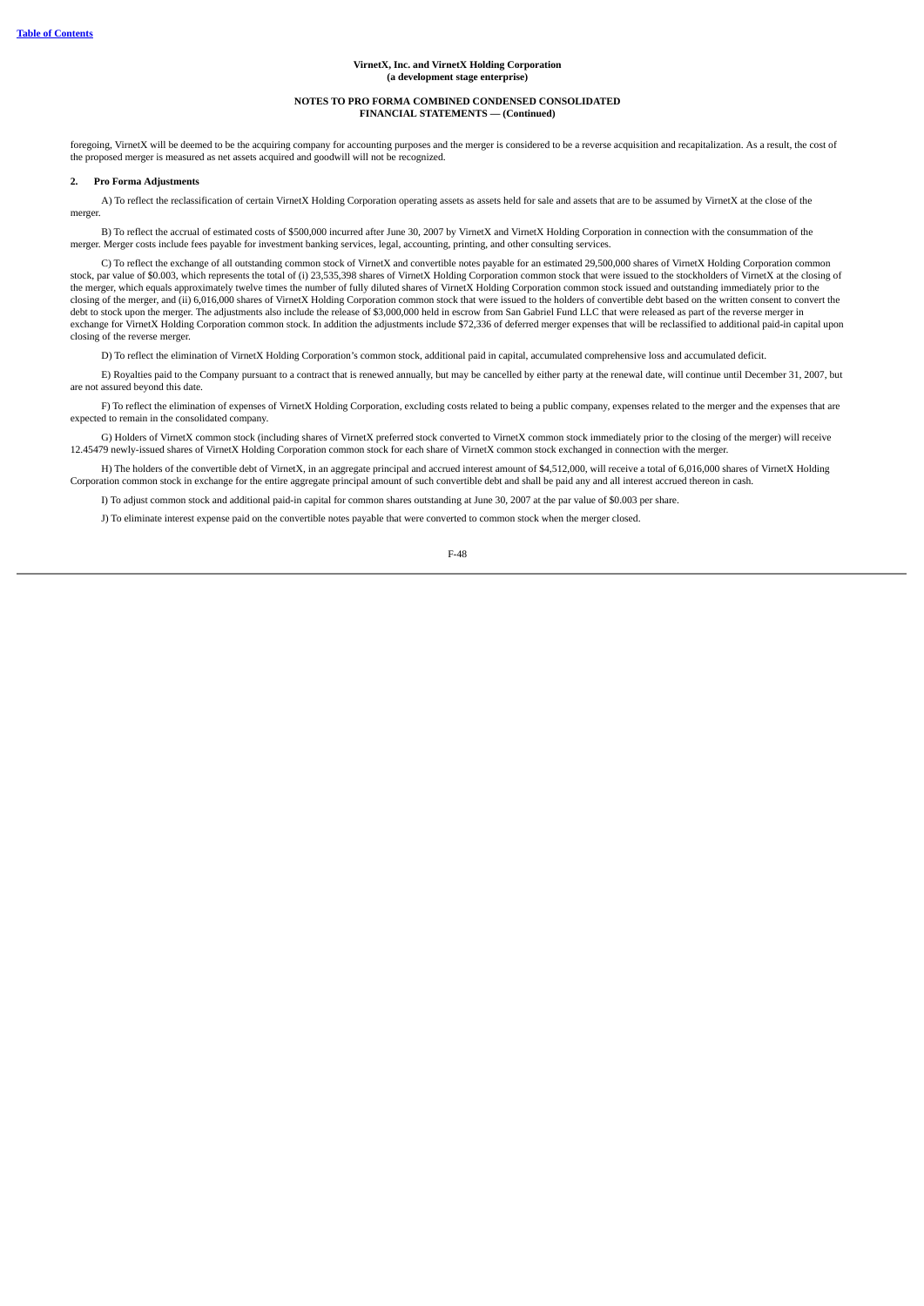## **NOTES TO PRO FORMA COMBINED CONDENSED CONSOLIDATED FINANCIAL STATEMENTS — (Continued)**

foregoing, VirnetX will be deemed to be the acquiring company for accounting purposes and the merger is considered to be a reverse acquisition and recapitalization. As a result, the cost of the proposed merger is measured as net assets acquired and goodwill will not be recognized.

#### **2. Pro Forma Adjustments**

A) To reflect the reclassification of certain VirnetX Holding Corporation operating assets as assets held for sale and assets that are to be assumed by VirnetX at the close of the merger

B) To reflect the accrual of estimated costs of \$500,000 incurred after June 30, 2007 by VirnetX and VirnetX Holding Corporation in connection with the consummation of the merger. Merger costs include fees payable for investment banking services, legal, accounting, printing, and other consulting services.

C) To reflect the exchange of all outstanding common stock of VirnetX and convertible notes payable for an estimated 29,500,000 shares of VirnetX Holding Corporation common<br>stock, par value of \$0.003, which represents the the merger, which equals approximately twelve times the number of fully diluted shares of VirnetX Holding Corporation common stock issued and outstanding immediately prior to the closing of the merger, and (ii) 6,016,000 shares of VirnetX Holding Corporation common stock that were issued to the holders of convertible debt based on the written consent to convert the debt to stock upon the merger. The adjustments also include the release of \$3,000,000 held in escrow from San Gabriel Fund LLC that were released as part of the reverse merger in exchange for VirnetX Holding Corporation common stock. In addition the adjustments include \$72,336 of deferred merger expenses that will be reclassified to additional paid-in capital upon closing of the reverse merger.

D) To reflect the elimination of VirnetX Holding Corporation's common stock, additional paid in capital, accumulated comprehensive loss and accumulated deficit.

E) Royalties paid to the Company pursuant to a contract that is renewed annually, but may be cancelled by either party at the renewal date, will continue until December 31, 2007, but are not assured beyond this date.

F) To reflect the elimination of expenses of VirnetX Holding Corporation, excluding costs related to being a public company, expenses related to the merger and the expenses that are expected to remain in the consolidated company.

G) Holders of VirnetX common stock (including shares of VirnetX preferred stock converted to VirnetX common stock immediately prior to the closing of the merger) will receive 12.45479 newly-issued shares of VirnetX Holding Corporation common stock for each share of VirnetX common stock exchanged in connection with the merger.

H) The holders of the convertible debt of VirnetX, in an aggregate principal and accrued interest amount of \$4,512,000, will receive a total of 6,016,000 shares of VirnetX Holding Corporation common stock in exchange for the entire aggregate principal amount of such convertible debt and shall be paid any and all interest accrued thereon in cash.

I) To adjust common stock and additional paid-in capital for common shares outstanding at June 30, 2007 at the par value of \$0.003 per share.

J) To eliminate interest expense paid on the convertible notes payable that were converted to common stock when the merger closed.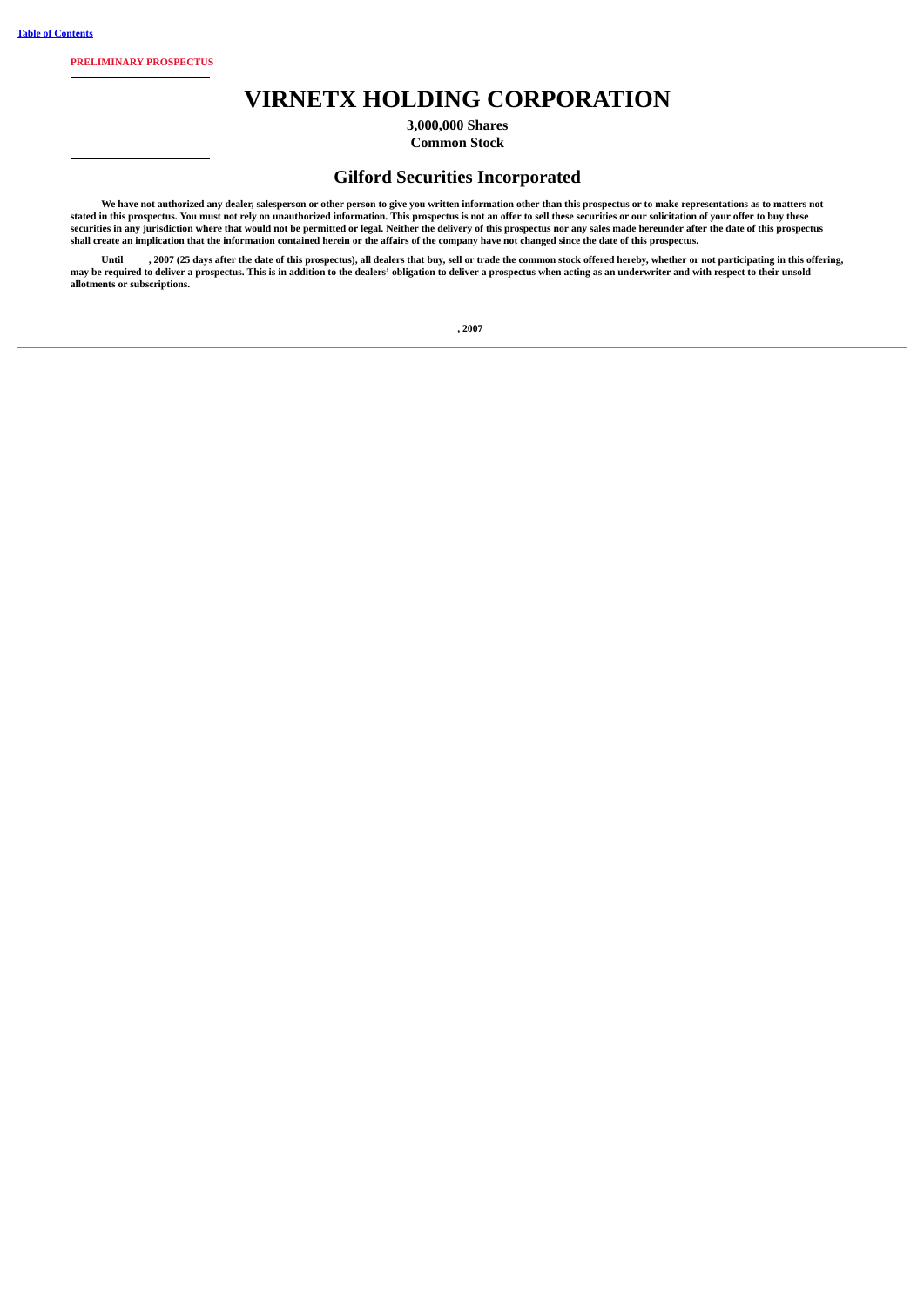# **VIRNETX HOLDING CORPORATION**

**3,000,000 Shares Common Stock**

# **Gilford Securities Incorporated**

We have not authorized any dealer, salesperson or other person to give you written information other than this prospectus or to make representations as to matters not stated in this prospectus. You must not rely on unauthorized information. This prospectus is not an offer to sell these securities or our solicitation of your offer to buy these<br>securities in any jurisdiction where that wo stall create an implication that the information contained herein or the affairs of the company have not changed since the date of this prospectus.

Until , 2007 (25 days after the date of this prospectus), all dealers that buy, sell or trade the common stock offered hereby, whether or not participating in this offering, may be required to deliver a prospectus. This is in addition to the dealers' obligation to deliver a prospectus when acting as an underwriter and with respect to their unsold<br>allotments or subscriptions.

**, 2007**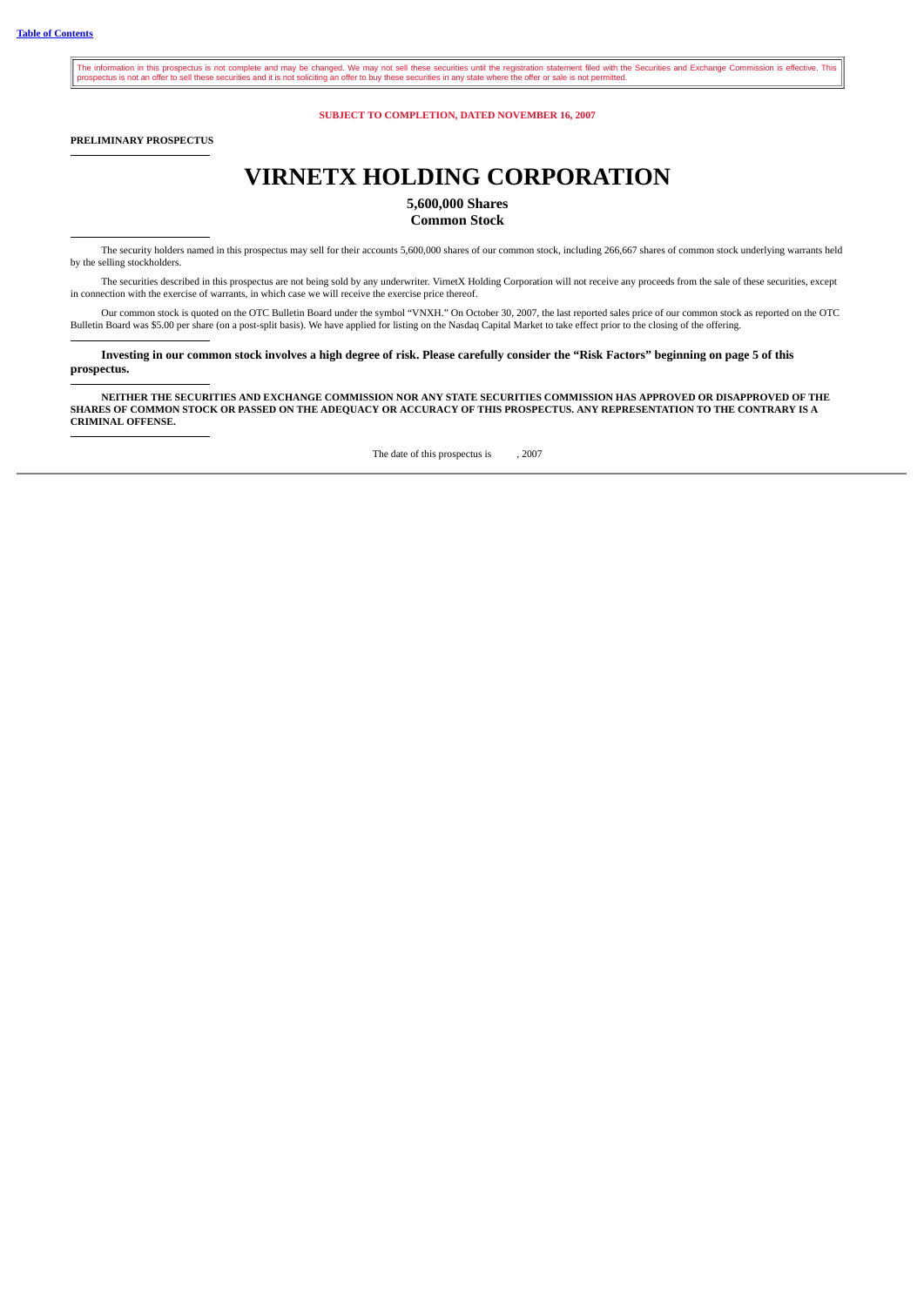The information in this prospectus is not complete and may be changed. We may not sell these securities until the registration statement filed with the Securities and Exchange Commission is effective. This<br>prospectus is no

# **SUBJECT TO COMPLETION, DATED NOVEMBER 16, 2007**

**PRELIMINARY PROSPECTUS**

# **VIRNETX HOLDING CORPORATION**

**5,600,000 Shares Common Stock**

The security holders named in this prospectus may sell for their accounts 5,600,000 shares of our common stock, including 266,667 shares of common stock underlying warrants held by the selling stockholders.

The securities described in this prospectus are not being sold by any underwriter. VirnetX Holding Corporation will not receive any proceeds from the sale of these securities, except in connection with the exercise of warrants, in which case we will receive the exercise price thereof.

Our common stock is quoted on the OTC Bulletin Board under the symbol "VNXH." On October 30, 2007, the last reported sales price of our common stock as reported on the OTC Bulletin Board was \$5.00 per share (on a post-split basis). We have applied for listing on the Nasdaq Capital Market to take effect prior to the closing of the offering.

**Investing in our common stock involves a high degree of risk. Please carefully consider the "Risk Factors" beginning on page 5 of this prospectus.**

NEITHER THE SECURITIES AND EXCHANGE COMMISSION NOR ANY STATE SECURITIES COMMISSION HAS APPROVED OR DISAPPROVED OF THE SHARES OF COMMON STOCK OR PASSED ON THE ADEQUACY OR ACCURACY OF THIS PROSPECTUS. ANY REPRESENTATION TO THE CONTRARY IS A **CRIMINAL OFFENSE.**

The date of this prospectus is  $, 2007$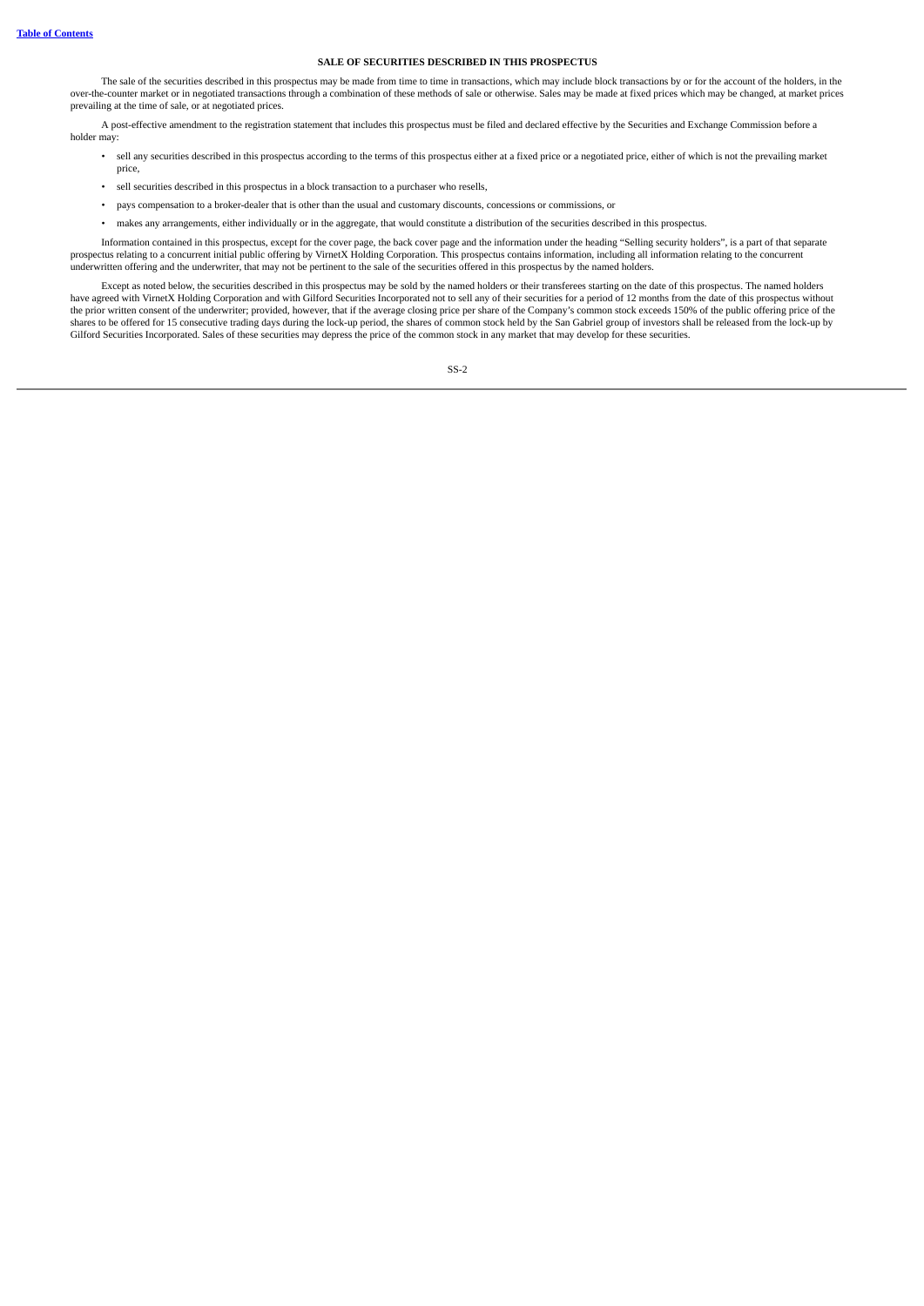#### **SALE OF SECURITIES DESCRIBED IN THIS PROSPECTUS**

The sale of the securities described in this prospectus may be made from time to time in transactions, which may include block transactions by or for the account of the holders, in the over-the-counter market or in negotiated transactions through a combination of these methods of sale or otherwise. Sales may be made at fixed prices which may be changed, at market prices prevailing at the time of sale, or at negotiated prices.

A post-effective amendment to the registration statement that includes this prospectus must be filed and declared effective by the Securities and Exchange Commission before a holder may:

- sell any securities described in this prospectus according to the terms of this prospectus either at a fixed price or a negotiated price, either of which is not the prevailing market price,
- sell securities described in this prospectus in a block transaction to a purchaser who resells,
- pays compensation to a broker-dealer that is other than the usual and customary discounts, concessions or commissions, or
- makes any arrangements, either individually or in the aggregate, that would constitute a distribution of the securities described in this prospectus.

Information contained in this prospectus, except for the cover page, the back cover page and the information under the heading "Selling security holders", is a part of that separate prospectus relating to a concurrent initial public offering by VirnetX Holding Corporation. This prospectus contains information, including all information relating to the concurrent<br>underwritten offering and the underwrit

Except as noted below, the securities described in this prospectus may be sold by the named holders or their transferees starting on the date of this prospectus. The named holders have agreed with VirnetX Holding Corporation and with Gilford Securities Incorporated not to sell any of their securities for a period of 12 months from the date of this prospectus without the prior written consent of the underwriter; provided, however, that if the average closing price per share of the Company's common stock exceeds 150% of the public offering price of the<br>shares to be offered for 15 consec Gilford Securities Incorporated. Sales of these securities may depress the price of the common stock in any market that may develop for these securities.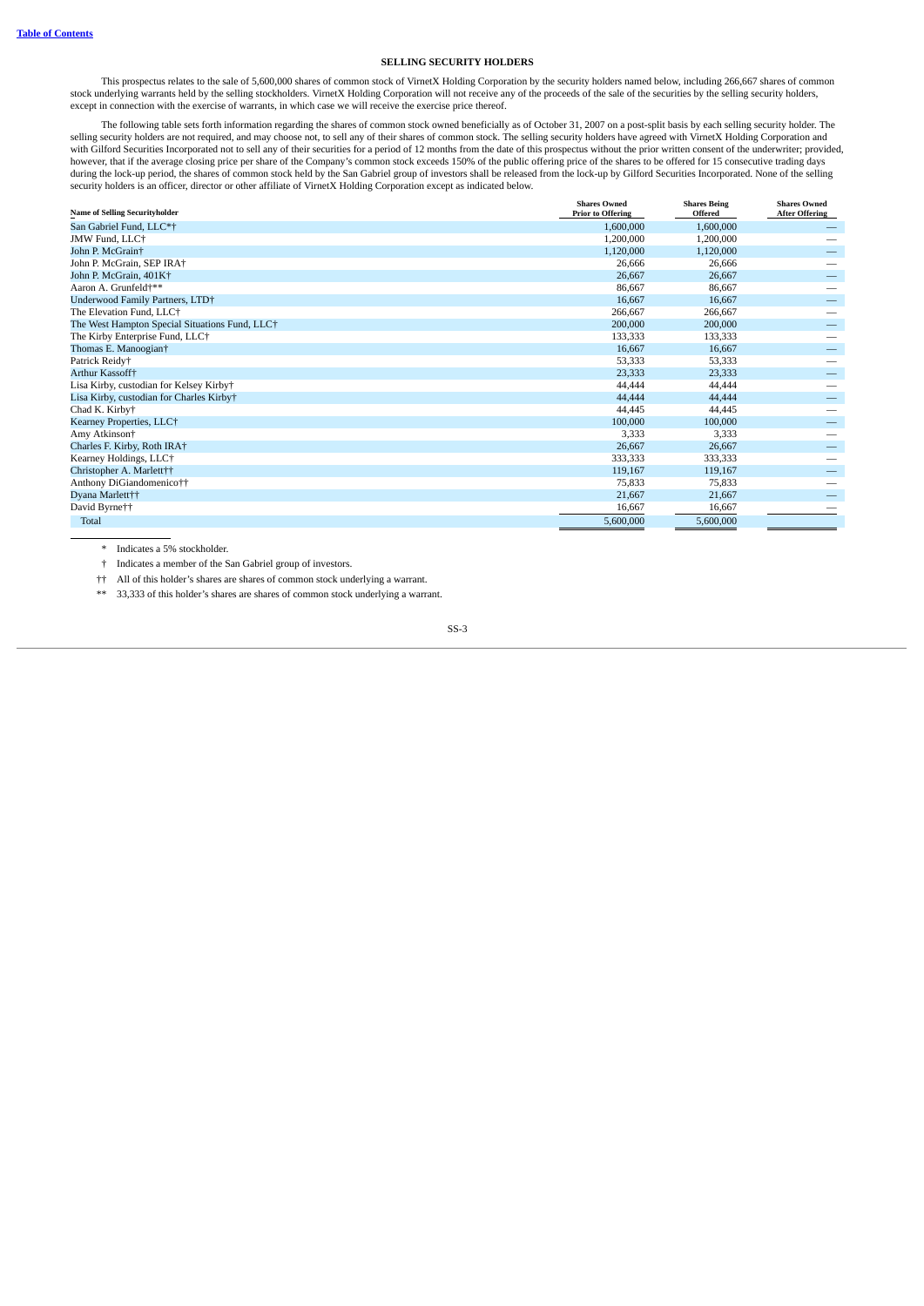### **SELLING SECURITY HOLDERS**

This prospectus relates to the sale of 5,600,000 shares of common stock of VirnetX Holding Corporation by the security holders named below, including 266,667 shares of common<br>stock underlying warrants held by the selling s except in connection with the exercise of warrants, in which case we will receive the exercise price thereof.

The following table sets forth information regarding the shares of common stock owned beneficially as of October 31, 2007 on a post-split basis by each selling security holder. The selling security holders are not required, and may choose not, to sell any of their shares of common stock. The selling security holders have agreed with VirnetX Holding Corporation and<br>with Gilford Securities Incorporated however, that if the average closing price per share of the Company's common stock exceeds 150% of the public offering price of the shares to be offered for 15 consecutive trading days during the lock-up period, the shares of common stock held by the San Gabriel group of investors shall be released from the lock-up by Gilford Securities Incorporated. None of the selling security holders is an officer, director or other affiliate of VirnetX Holding Corporation except as indicated below.

| <b>Name of Selling Securityholder</b>          | <b>Shares Owned</b><br><b>Prior to Offering</b> | <b>Shares Being</b><br>Offered | <b>Shares Owned</b><br><b>After Offering</b> |
|------------------------------------------------|-------------------------------------------------|--------------------------------|----------------------------------------------|
| San Gabriel Fund, LLC*†                        | 1,600,000                                       | 1,600,000                      |                                              |
| JMW Fund, LLC+                                 | 1,200,000                                       | 1,200,000                      |                                              |
| John P. McGrain†                               | 1,120,000                                       | 1,120,000                      |                                              |
| John P. McGrain, SEP IRA+                      | 26,666                                          | 26,666                         |                                              |
| John P. McGrain, 401K+                         | 26,667                                          | 26,667                         |                                              |
| Aaron A. Grunfeld+**                           | 86,667                                          | 86,667                         |                                              |
| Underwood Family Partners, LTD+                | 16,667                                          | 16,667                         |                                              |
| The Elevation Fund, LLC+                       | 266,667                                         | 266,667                        |                                              |
| The West Hampton Special Situations Fund, LLC† | 200,000                                         | 200,000                        |                                              |
| The Kirby Enterprise Fund, LLC†                | 133,333                                         | 133,333                        |                                              |
| Thomas E. Manoogian†                           | 16,667                                          | 16,667                         |                                              |
| Patrick Reidy†                                 | 53,333                                          | 53,333                         |                                              |
| Arthur Kassoff <sup>+</sup>                    | 23,333                                          | 23,333                         |                                              |
| Lisa Kirby, custodian for Kelsey Kirby†        | 44,444                                          | 44,444                         |                                              |
| Lisa Kirby, custodian for Charles Kirby†       | 44,444                                          | 44,444                         |                                              |
| Chad K. Kirby†                                 | 44,445                                          | 44,445                         |                                              |
| Kearney Properties, LLC+                       | 100,000                                         | 100,000                        |                                              |
| Amy Atkinson <sup>+</sup>                      | 3,333                                           | 3,333                          |                                              |
| Charles F. Kirby, Roth IRA†                    | 26,667                                          | 26,667                         |                                              |
| Kearney Holdings, LLC+                         | 333,333                                         | 333,333                        |                                              |
| Christopher A. Marlett††                       | 119,167                                         | 119,167                        |                                              |
| Anthony DiGiandomenico††                       | 75,833                                          | 75,833                         |                                              |
| Dyana Marlett††                                | 21,667                                          | 21,667                         |                                              |
| David Byrne††                                  | 16,667                                          | 16,667                         |                                              |
| <b>Total</b>                                   | 5,600,000                                       | 5,600,000                      |                                              |

\* Indicates a 5% stockholder.

† Indicates a member of the San Gabriel group of investors.

†† All of this holder's shares are shares of common stock underlying a warrant.

\*\* 33,333 of this holder's shares are shares of common stock underlying a warrant.

SS-3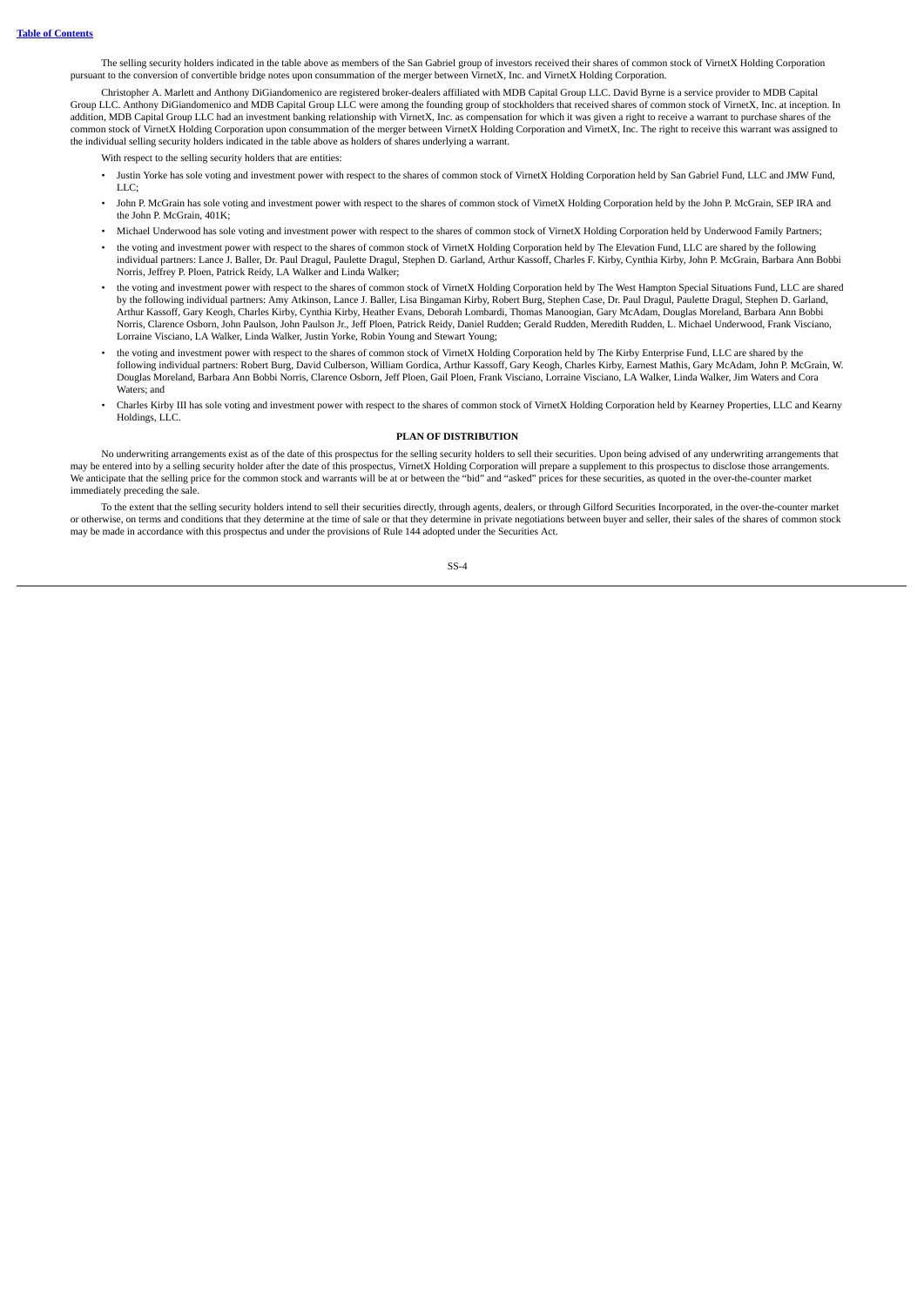The selling security holders indicated in the table above as members of the San Gabriel group of investors received their shares of common stock of VirnetX Holding Corporation pursuant to the conversion of convertible bridge notes upon consummation of the merger between VirnetX, Inc. and VirnetX Holding Corporation.

Christopher A. Marlett and Anthony DiGiandomenico are registered broker-dealers affiliated with MDB Capital Group LLC. David Byrne is a service provider to MDB Capital Group LLC. Anthony DiGiandomenico and MDB Capital Group LLC were among the founding group of stockholders that received shares of common stock of VirnetX, Inc. at inception. In addition, MDB Capital Group LLC had an investment banking relationship with VirnetX, Inc. as compensation for which it was given a right to receive a warrant to purchase shares of the common stock of VirnetX Holding Corporation upon consummation of the merger between VirnetX Holding Corporation and VirnetX, Inc. The right to receive this warrant was assigned to the individual selling security holders indicated in the table above as holders of shares underlying a warrant.

With respect to the selling security holders that are entities:

- Justin Yorke has sole voting and investment power with respect to the shares of common stock of VirnetX Holding Corporation held by San Gabriel Fund, LLC and JMW Fund, LLC;
- John P. McGrain has sole voting and investment power with respect to the shares of common stock of VirnetX Holding Corporation held by the John P. McGrain, SEP IRA and the John P. McGrain, 401K;
- Michael Underwood has sole voting and investment power with respect to the shares of common stock of VirnetX Holding Corporation held by Underwood Family Partners;
- the voting and investment power with respect to the shares of common stock of VirnetX Holding Corporation held by The Elevation Fund, LLC are shared by the following individual partners: Lance J. Baller, Dr. Paul Dragul, Paulette Dragul, Stephen D. Garland, Arthur Kassoff, Charles F. Kirby, Cynthia Kirby, John P. McGrain, Barbara Ann Bobbi Norris, Jeffrey P. Ploen, Patrick Reidy, LA Walker and Linda Walker;
- the voting and investment power with respect to the shares of common stock of VirnetX Holding Corporation held by The West Hampton Special Situations Fund, LLC are shared by the following individual partners: Amy Atkinson, Lance J. Baller, Lisa Bingaman Kirby, Robert Burg, Stephen Case, Dr. Paul Dragul, Paulette Dragul, Stephen D. Garland, Arthur Kassoff, Gary Keogh, Charles Kirby, Cynthia Kirby, Heather Evans, Deborah Lombardi, Thomas Manoogian, Gary McAdam, Douglas Moreland, Barbara Ann Bobbi Norris, Clarence Osborn, John Paulson, John Paulson Jr., Jeff Ploen, Patrick Reidy, Daniel Rudden; Gerald Rudden, Meredith Rudden, L. Michael Underwood, Frank Visciano, Lorraine Visciano, LA Walker, Linda Walker, Justin Yorke, Robin Young and Stewart Young;
- the voting and investment power with respect to the shares of common stock of VirnetX Holding Corporation held by The Kirby Enterprise Fund, LLC are shared by the following individual partners: Robert Burg, David Culberson, William Gordica, Arthur Kassoff, Gary Keogh, Charles Kirby, Earnest Mathis, Gary McAdam, John P. McGrain, W. Douglas Moreland, Barbara Ann Bobbi Norris, Clarence Osborn, Jeff Ploen, Gail Ploen, Frank Visciano, Lorraine Visciano, LA Walker, Linda Walker, Jim Waters and Cora Waters; and
- Charles Kirby III has sole voting and investment power with respect to the shares of common stock of VirnetX Holding Corporation held by Kearney Properties, LLC and Kearny Holdings, LLC.

## **PLAN OF DISTRIBUTION**

No underwriting arrangements exist as of the date of this prospectus for the selling security holders to sell their securities. Upon being advised of any underwriting arrangements that may be entered into by a selling security holder after the date of this prospectus, VirnetX Holding Corporation will prepare a supplement to this prospectus to disclose those arrangements. We anticipate that the selling price for the common stock and warrants will be at or between the "bid" and "asked" prices for these securities, as quoted in the over-the-counter market immediately preceding the sale.

To the extent that the selling security holders intend to sell their securities directly, through agents, dealers, or through Gilford Securities Incorporated, in the over-the-counter market or otherwise, on terms and conditions that they determine at the time of sale or that they determine in private negotiations between buyer and seller, their sales of the shares of common stock<br>may be made in accordance wit

SS-4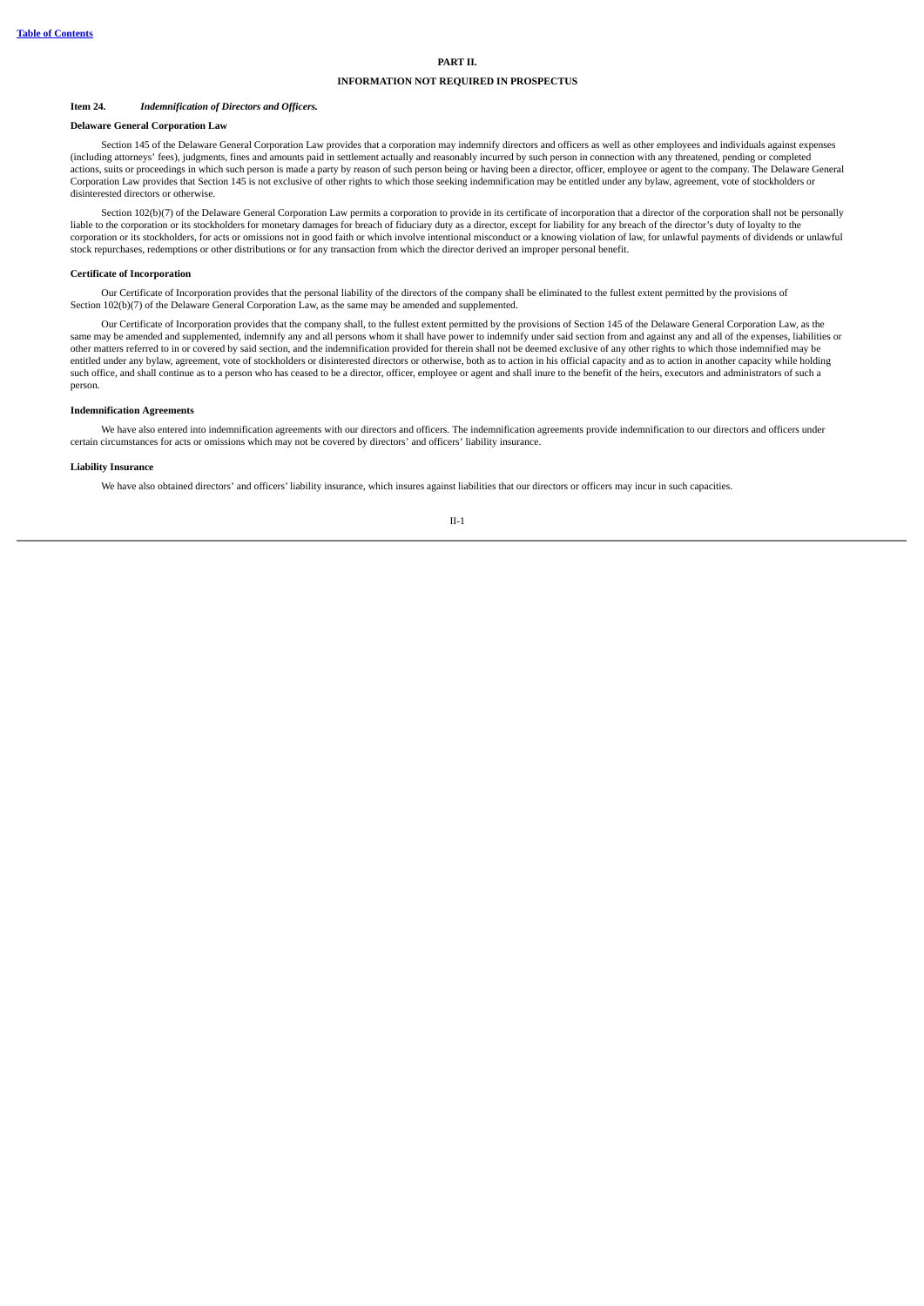#### **PART II.**

# **INFORMATION NOT REQUIRED IN PROSPECTUS**

#### **Item 24.** *Indemnification of Directors and Officers.*

# **Delaware General Corporation Law**

Section 145 of the Delaware General Corporation Law provides that a corporation may indemnify directors and officers as well as other employees and individuals against expenses (including attorneys' fees), judgments, fines and amounts paid in settlement actually and reasonably incurred by such person in connection with any threatened, pending or completed actions, suits or proceedings in which such person is made a party by reason of such person being or having been a director, officer, employee or agent to the company. The Delaware General Corporation Law provides that Section 145 is not exclusive of other rights to which those seeking indemnification may be entitled under any bylaw, agreement, vote of stockholders or disinterested directors or otherwise.

Section 102(b)(7) of the Delaware General Corporation Law permits a corporation to provide in its certificate of incorporation that a director of the corporation shall not be personally liable to the corporation or its stockholders for monetary damages for breach of fiduciary duty as a director, except for liability for any breach of the director's duty of loyalty to the corporation or its stockholders, for acts or omissions not in good faith or which involve intentional misconduct or a knowing violation of law, for unlawful payments of dividends or unlawful stock repurchases, redemptions or other distributions or for any transaction from which the director derived an improper personal benefit.

#### **Certificate of Incorporation**

Our Certificate of Incorporation provides that the personal liability of the directors of the company shall be eliminated to the fullest extent permitted by the provisions of Section 102(b)(7) of the Delaware General Corporation Law, as the same may be amended and supplemented.

Our Certificate of Incorporation provides that the company shall, to the fullest extent permitted by the provisions of Section 145 of the Delaware General Corporation Law, as the same may be amended and supplemented, indemnify any and all persons whom it shall have power to indemnify under said section from and against any and all of the expenses, liabilities or<br>other matters referred to in or cove entitled under any bylaw, agreement, vote of stockholders or disinterested directors or otherwise, both as to action in his official capacity and as to action in another capacity while holding such office, and shall continue as to a person who has ceased to be a director, officer, employee or agent and shall inure to the benefit of the heirs, executors and administrators of such a person.

#### **Indemnification Agreements**

We have also entered into indemnification agreements with our directors and officers. The indemnification agreements provide indemnification to our directors and officers under certain circumstances for acts or omissions which may not be covered by directors' and officers' liability insurance.

#### **Liability Insurance**

We have also obtained directors' and officers' liability insurance, which insures against liabilities that our directors or officers may incur in such capacities.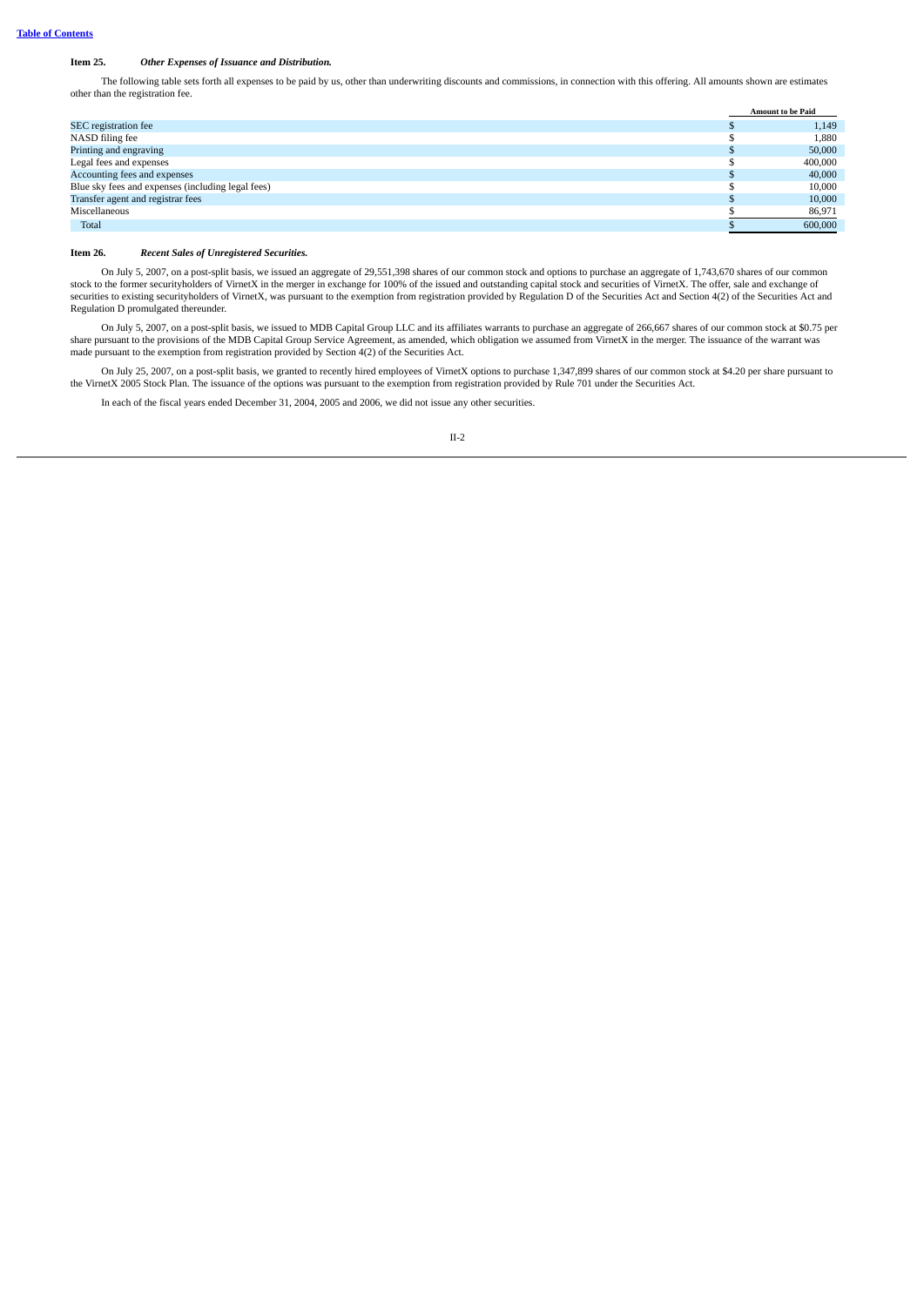## **Item 25.** *Other Expenses of Issuance and Distribution.*

The following table sets forth all expenses to be paid by us, other than underwriting discounts and commissions, in connection with this offering. All amounts shown are estimates other than the registration fee.

| <b>Amount to be Paid</b> |
|--------------------------|
| 1,149                    |
| 1,880                    |
| 50,000                   |
| 400,000                  |
| 40,000                   |
| 10,000                   |
| 10,000                   |
| 86,971                   |
| 600,000                  |
|                          |

# **Item 26.** *Recent Sales of Unregistered Securities.*

On July 5, 2007, on a post-split basis, we issued an aggregate of 29,551,398 shares of our common stock and options to purchase an aggregate of 1,743,670 shares of our common<br>stock to the former securityholders of VirnetX securities to existing securityholders of VirnetX, was pursuant to the exemption from registration provided by Regulation D of the Securities Act and Section 4(2) of the Securities Act and Section 4(2) of the Securities Ac Regulation D promulgated thereunder.

On July 5, 2007, on a post-split basis, we issued to MDB Capital Group LLC and its affiliates warrants to purchase an aggregate of 266,667 shares of our common stock at \$0.75 per<br>share pursuant to the provisions of the MDB made pursuant to the exemption from registration provided by Section 4(2) of the Securities Act.

On July 25, 2007, on a post-split basis, we granted to recently hired employees of VirnetX options to purchase 1,347,899 shares of our common stock at \$4.20 per share pursuant to the VirnetX 2005 Stock Plan. The issuance of the options was pursuant to the exemption from registration provided by Rule 701 under the Securities Act.

In each of the fiscal years ended December 31, 2004, 2005 and 2006, we did not issue any other securities.

II-2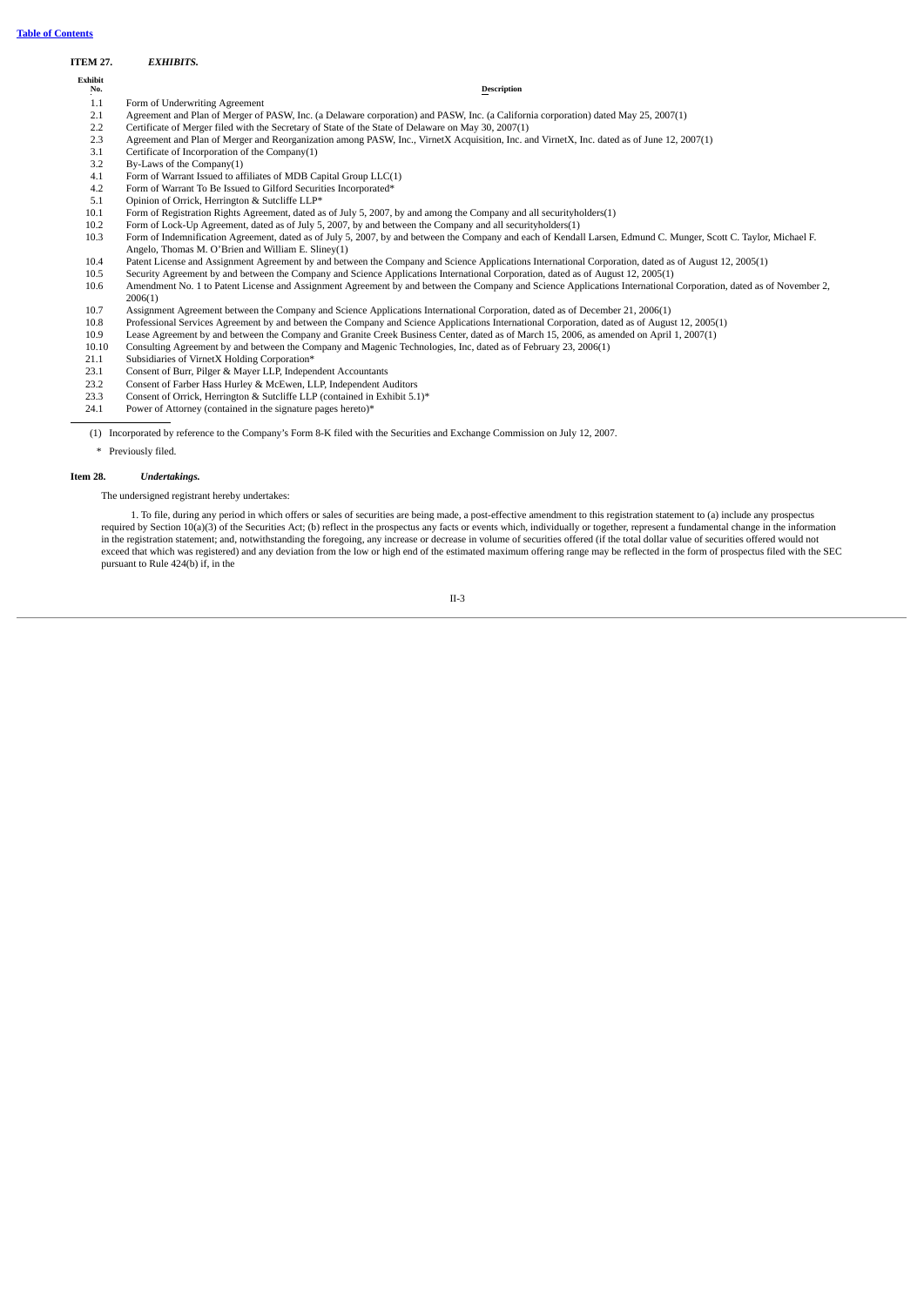# **ITEM 27.** *EXHIBITS.*

#### Exhibit<br>No. **No. Description**

# 1.1 Form of Underwriting Agreement

- 2.1 Agreement and Plan of Merger of PASW, Inc. (a Delaware corporation) and PASW, Inc. (a California corporation) dated May 25, 2007(1)<br>2.2 Certificate of Merger filed with the Secretary of State of the State of Delaware o
- 
- 2.2 Certificate of Merger filed with the Secretary of State of the State of Delaware on May 30, 2007(1)<br>2.3 Agreement and Plan of Merger and Reorganization among PASW, Inc., VirnetX Acquisition, Inc. a 2.3 Agreement and Plan of Merger and Reorganization among PASW, Inc., VirnetX Acquisition, Inc. and VirnetX, Inc. dated as of June 12, 2007(1)<br>3.1 Certificate of Incorporation of the Company(1)
- 3.1 Certificate of Incorporation of the Company(1)<br>3.2 By-Laws of the Company(1)
- 3.2 By-Laws of the Company(1)<br>4.1 Form of Warrant Issued to aff<br>4.2 Form of Warrant To Be Issue
- Form of Warrant Issued to affiliates of MDB Capital Group LLC(1)
- 4.2 Form of Warrant To Be Issued to Gilford Securities Incorporated<br>5.1 Opinion of Orrick. Herrington & Sutcliffe LLP\*
- 5.1 Opinion of Orrick, Herrington & Sutcliffe LLP\*<br>10.1 Form of Registration Rights Agreement, dated a 10.1 Form of Registration Rights Agreement, dated as of July 5, 2007, by and among the Company and all securityholders(1)<br>10.2 Form of Lock-Up Agreement, dated as of July 5, 2007, by and between the Company and all securit
- Form of Lock-Up Agreement, dated as of July 5, 2007, by and between the Company and all securityholders(1)
- 10.3 Form of Indemnification Agreement, dated as of July 5, 2007, by and between the Company and each of Kendall Larsen, Edmund C. Munger, Scott C. Taylor, Michael F. Angelo, Thomas M. O'Brien and William E. Sliney(1)
- 10.4 Patent License and Assignment Agreement by and between the Company and Science Applications International Corporation, dated as of August 12, 2005(1)<br>10.5 Security Agreement by and between the Company and Science Appl
- 10.5 Security Agreement by and between the Company and Science Applications International Corporation, dated as of August 12, 2005(1)<br>10.6 Amendment No. 1 to Patent License and Assignment Agreement by and between the Compa
- Amendment No. 1 to Patent License and Assignment Agreement by and between the Company and Science Applications International Corporation, dated as of November 2, 2006(1)
- 10.7 Assignment Agreement between the Company and Science Applications International Corporation, dated as of December 21, 2006(1)<br>10.8 Professional Services Agreement by and between the Company and Science Applications In
- 10.8 Professional Services Agreement by and between the Company and Science Applications International Corporation, dated as of August 12, 2005(1)<br>10.9 Lease Agreement by and between the Company and Granite Creek Business
- 10.9 Lease Agreement by and between the Company and Granite Creek Business Center, dated as of March 15, 2006, as amended on April 1, 2007(1)<br>10.10 Consulting Agreement by and between the Company and Magenic Technologies,
- 10.10 Consulting Agreement by and between the Company and Magenic Technologies, Inc, dated as of February 23, 2006(1)
- 21.1 Subsidiaries of VirnetX Holding Corporation\*
- 23.1 Consent of Burr, Pilger & Mayer LLP, Independent Accountants<br>23.2 Consent of Farber Hass Hurley & McEwen, LLP, Independent A
- 23.2 Consent of Farber Hass Hurley & McEwen, LLP, Independent Auditors<br>23.3 Consent of Orrick, Herrington & Sutcliffe LLP (contained in Exhibit 5.1
- 23.3 Consent of Orrick, Herrington & Sutcliffe LLP (contained in Exhibit 5.1)\*<br>24.1 Power of Attorney (contained in the signature pages hereto)\*
- Power of Attorney (contained in the signature pages hereto)\*

(1) Incorporated by reference to the Company's Form 8-K filed with the Securities and Exchange Commission on July 12, 2007.

\* Previously filed.

#### **Item 28.** *Undertakings.*

### The undersigned registrant hereby undertakes:

1. To file, during any period in which offers or sales of securities are being made, a post-effective amendment to this registration statement to (a) include any prospectus required by Section  $10(a)(3)$  of the Securities Act; (b) reflect in the prospectus any facts or events which, individually or together, represent a fundamental change in the information in the registration statement; and, notwithstanding the foregoing, any increase or decrease in volume of securities offered (if the total dollar value of securities offered would not exceed that which was registered) and any deviation from the low or high end of the estimated maximum offering range may be reflected in the form of prospectus filed with the SEC pursuant to Rule 424(b) if, in the

II-3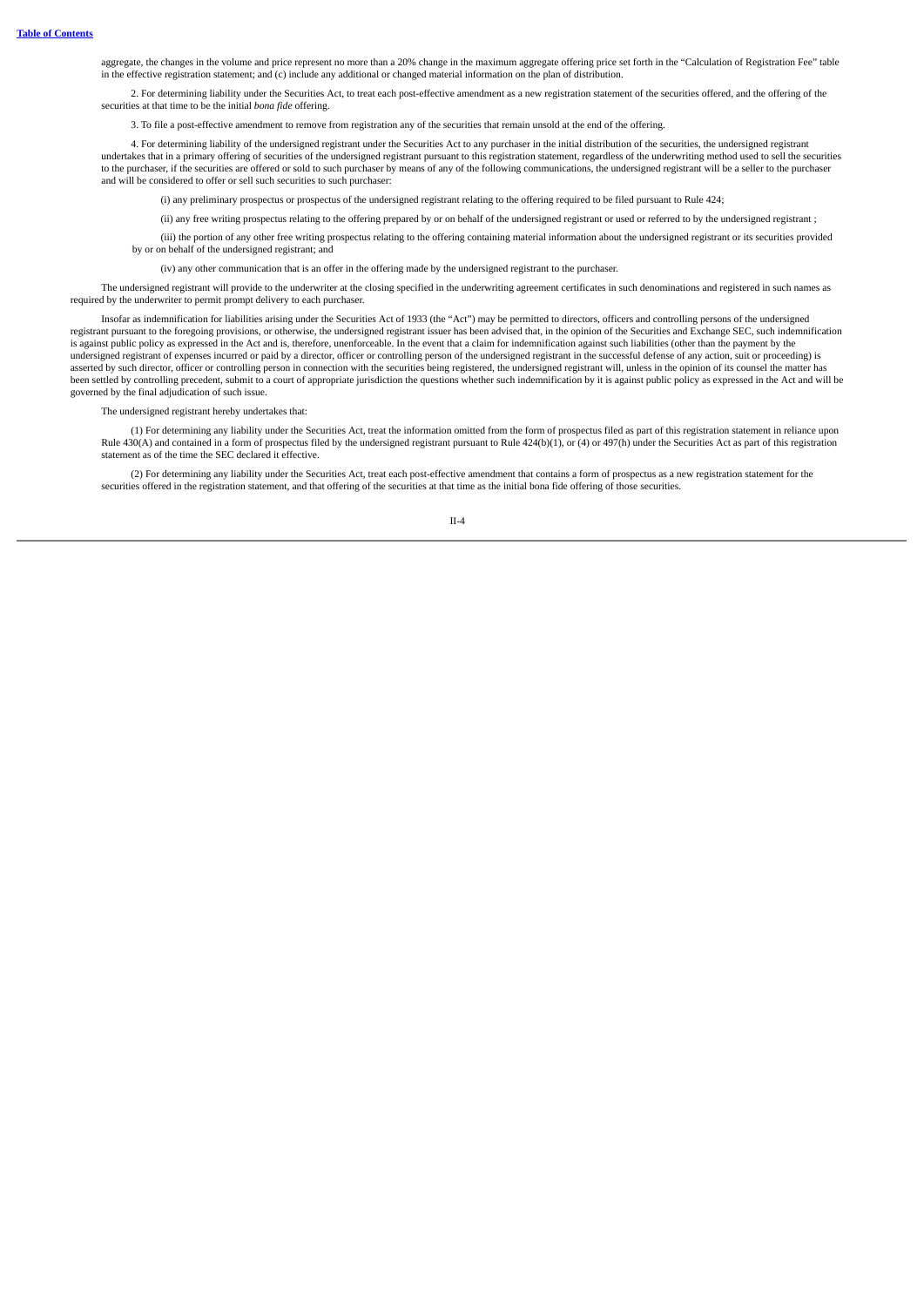aggregate, the changes in the volume and price represent no more than a 20% change in the maximum aggregate offering price set forth in the "Calculation of Registration Fee" table<br>in the effective registration statement; a

2. For determining liability under the Securities Act, to treat each post-effective amendment as a new registration statement of the securities offered, and the offering of the securities at that time to be the initial *bona fide* offering.

3. To file a post-effective amendment to remove from registration any of the securities that remain unsold at the end of the offering.

4. For determining liability of the undersigned registrant under the Securities Act to any purchaser in the initial distribution of the securities, the undersigned registrant undertakes that in a primary offering of securities of the undersigned registrant pursuant to this registration statement, regardless of the underwriting method used to sell the securities to the purchaser, if the securities are offered or sold to such purchaser by means of any of the following communications, the undersigned registrant will be a seller to the purchaser and will be considered to offer or sell such securities to such purchaser:

(i) any preliminary prospectus or prospectus of the undersigned registrant relating to the offering required to be filed pursuant to Rule 424;

(ii) any free writing prospectus relating to the offering prepared by or on behalf of the undersigned registrant or used or referred to by the undersigned registrant;

(iii) the portion of any other free writing prospectus relating to the offering containing material information about the undersigned registrant or its securities provided by or on behalf of the undersigned registrant; and

(iv) other communication that is an offer in the offering made by the undersigned registrant to the purchaser.

The undersigned registrant will provide to the underwriter at the closing specified in the underwriting agreement certificates in such denominations and registered in such names as required by the underwriter to permit prompt delivery to each purchaser.

Insofar as indemnification for liabilities arising under the Securities Act of 1933 (the "Act") may be permitted to directors, officers and controlling persons of the undersigned registrant pursuant to the foregoing provisions, or otherwise, the undersigned registrant issuer has been advised that, in the opinion of the Securities and Exchange SEC, such indemnification is against public policy as expressed in the Act and is, therefore, unenforceable. In the event that a claim for indemnification against such liabilities (other than the payment by the undersigned registrant of expenses incurred or paid by a director, officer or controlling person of the undersigned registrant in the successful defense of any action, suit or proceeding) is asserted by such director, officer or controlling person in connection with the securities being registered, the undersigned registrant will, unless in the opinion of its counsel the matter has been settled by controlling precedent, submit to a court of appropriate jurisdiction the questions whether such indemnification by it is against public policy as expressed in the Act and will be governed by the final adjud

The undersigned registrant hereby undertakes that:

(1) For determining any liability under the Securities Act, treat the information omitted from the form of prospectus filed as part of this registration statement in reliance upon Rule 430(A) and contained in a form of prospectus filed by the undersigned registrant pursuant to Rule 424(b)(1), or (4) or 497(h) under the Securities Act as part of this registration statement as of the time the SEC declared it effective.

(2) For determining any liability under the Securities Act, treat each post-effective amendment that contains a form of prospectus as a new registration statement for the securities offered in the registration statement, and that offering of the securities at that time as the initial bona fide offering of those securities.

#### $II - 4$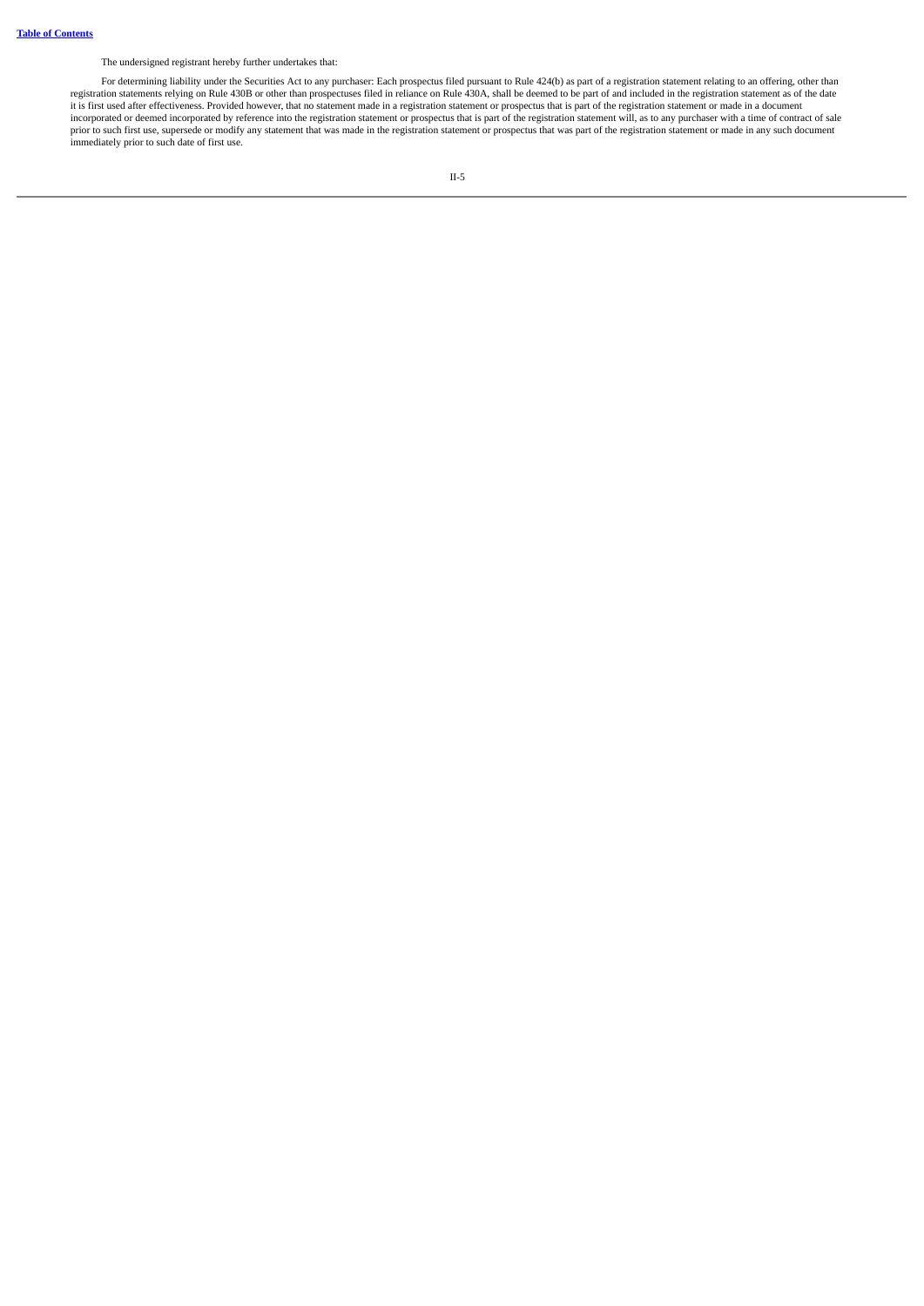The undersigned registrant hereby further undertakes that:

For determining liability under the Securities Act to any purchaser: Each prospectus filed pursuant to Rule 424(b) as part of a registration statement relating to an offering, other than prospectuses filed in reliance on R it is first used after effectiveness. Provided however, that no statement made in a registration statement or prospectus that is part of the registration statement or made in a document<br>incorporated or deemed incorporated prior to such first use, supersede or modify any statement that was made in the registration statement or prospectus that was part of the registration statement or made in any such document immediately prior to such date of first use.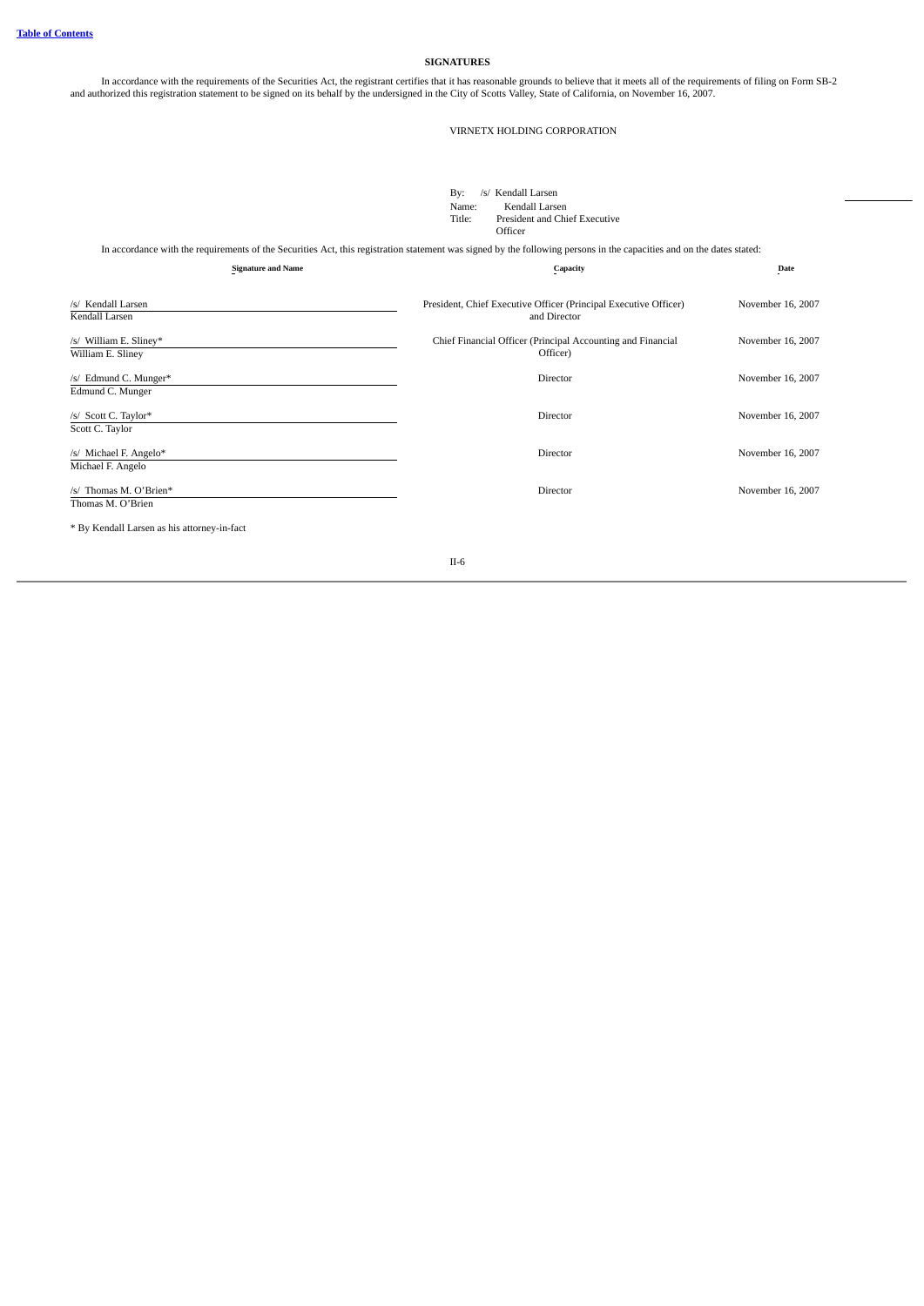# **SIGNATURES**

In accordance with the requirements of the Securities Act, the registrant certifies that it has reasonable grounds to believe that it meets all of the requirements of filing on Form SB-2<br>And authorized this registration st

VIRNETX HOLDING CORPORATION

By: /s/ Kendall Larsen Name: Kendall Larsen<br>Title: President and Chi President and Chief Executive **Officer** 

**Signature and Name Capacity Date**

In accordance with the requirements of the Securities Act, this registration statement was signed by the following persons in the capacities and on the dates stated:

|                                              | ----                                                                             |                   |
|----------------------------------------------|----------------------------------------------------------------------------------|-------------------|
| /s/ Kendall Larsen<br>Kendall Larsen         | President, Chief Executive Officer (Principal Executive Officer)<br>and Director | November 16, 2007 |
| /s/ William E. Sliney*<br>William E. Sliney  | Chief Financial Officer (Principal Accounting and Financial<br>Officer)          | November 16, 2007 |
| Edmund C. Munger*<br>/s/<br>Edmund C. Munger | Director                                                                         | November 16, 2007 |
| /s/ Scott C. Taylor*<br>Scott C. Taylor      | Director                                                                         | November 16, 2007 |
| /s/ Michael F. Angelo*<br>Michael F. Angelo  | Director                                                                         | November 16, 2007 |
| /s/ Thomas M. O'Brien*<br>Thomas M. O'Brien  | Director                                                                         | November 16, 2007 |
| * By Kendall Larsen as his attorney-in-fact  |                                                                                  |                   |

II-6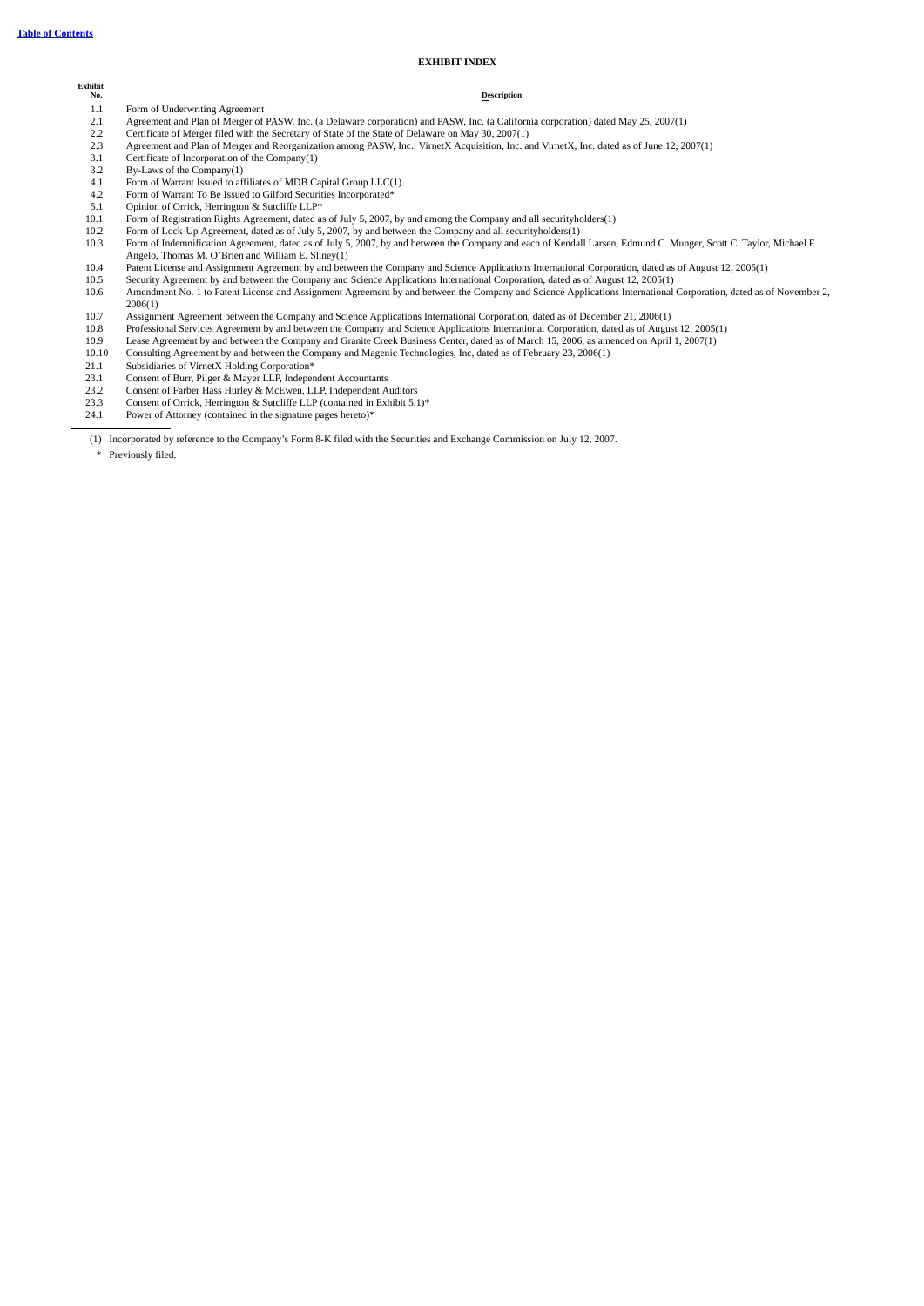### **EXHIBIT INDEX**

# **Exhibit**

#### **No. Description** 1.1 Form of Underwriting Agreement

- 2.1 Agreement and Plan of Merger of PASW, Inc. (a Delaware corporation) and PASW, Inc. (a California corporation) dated May 25, 2007(1)<br>2.2 Certificate of Merger filed with the Secretary of State of the State of Delaware o
- 2.2 Certificate of Merger filed with the Secretary of State of the State of Delaware on May 30, 2007(1)
- 2.3 Agreement and Plan of Merger and Reorganization among PASW, Inc., VirnetX Acquisition, Inc. and VirnetX, Inc. dated as of June 12, 2007(1)<br>3.1 Certificate of Incorporation of the Company(1)
- Certificate of Incorporation of the Company(1)
- 3.2 By-Laws of the Company(1)<br>4.1 Form of Warrant Issued to aff
- 4.1 Form of Warrant Issued to affiliates of MDB Capital Group LLC(1)<br>4.2 Form of Warrant To Be Issued to Gilford Securities Incorporated\*
- Form of Warrant To Be Issued to Gilford Securities Incorporated\*
- 5.1 Opinion of Orrick, Herrington & Sutcliffe LLP\*
- 10.1 Form of Registration Rights Agreement, dated as of July 5, 2007, by and among the Company and all securityholders(1)<br>10.2 Form of Lock-Up Agreement, dated as of July 5, 2007, by and between the Company a
- 
- 10.3 Form of Indemnification Agreement, dated as of July 5, 2007, by and between the Company and each of Kendall Larsen, Edmund C. Munger, Scott C. Taylor, Michael F. Angelo, Thomas M. O'Brien and William E. Sliney(1)
- 10.4 Patent License and Assignment Agreement by and between the Company and Science Applications International Corporation, dated as of August 12, 2005(1)
- 
- 10.5 Security Agreement by and between the Company and Science Applications International Corporation, dated as of August 12, 2005(1)<br>10.6 Amendment No. 1 to Patent License and Assignment Agreement by and between the Compa 2006(1)
- 10.7 Assignment Agreement between the Company and Science Applications International Corporation, dated as of December 21, 2006(1)<br>10.8 Professional Services Agreement by and between the Company and Science Applications In
- 10.8 Professional Services Agreement by and between the Company and Science Applications International Corporation, dated as of August 12, 2005(1)<br>10.9 Lease Agreement by and between the Company and Granite Creek Business
- 
- 10.10 Consulting Agreement by and between the Company and Magenic Technologies, Inc, dated as of February 23, 2006(1)<br>21.1 Subsidiaries of VirnetX Holding Corporation\*
- 21.1 Subsidiaries of VirnetX Holding Corporation\*<br>23.1 Consent of Burr, Pilger & Mayer LLP, Indepen
- Consent of Burr, Pilger & Mayer LLP, Independent Accountants
- 23.2 Consent of Farber Hass Hurley & McEwen, LLP, Independent Auditors
- 23.3 Consent of Orrick, Herrington & Sutcliffe LLP (contained in Exhibit 5.1)\* 24.1 Power of Attorney (contained in the signature pages hereto)\*
- 

(1) Incorporated by reference to the Company's Form 8-K filed with the Securities and Exchange Commission on July 12, 2007.

\* Previously filed.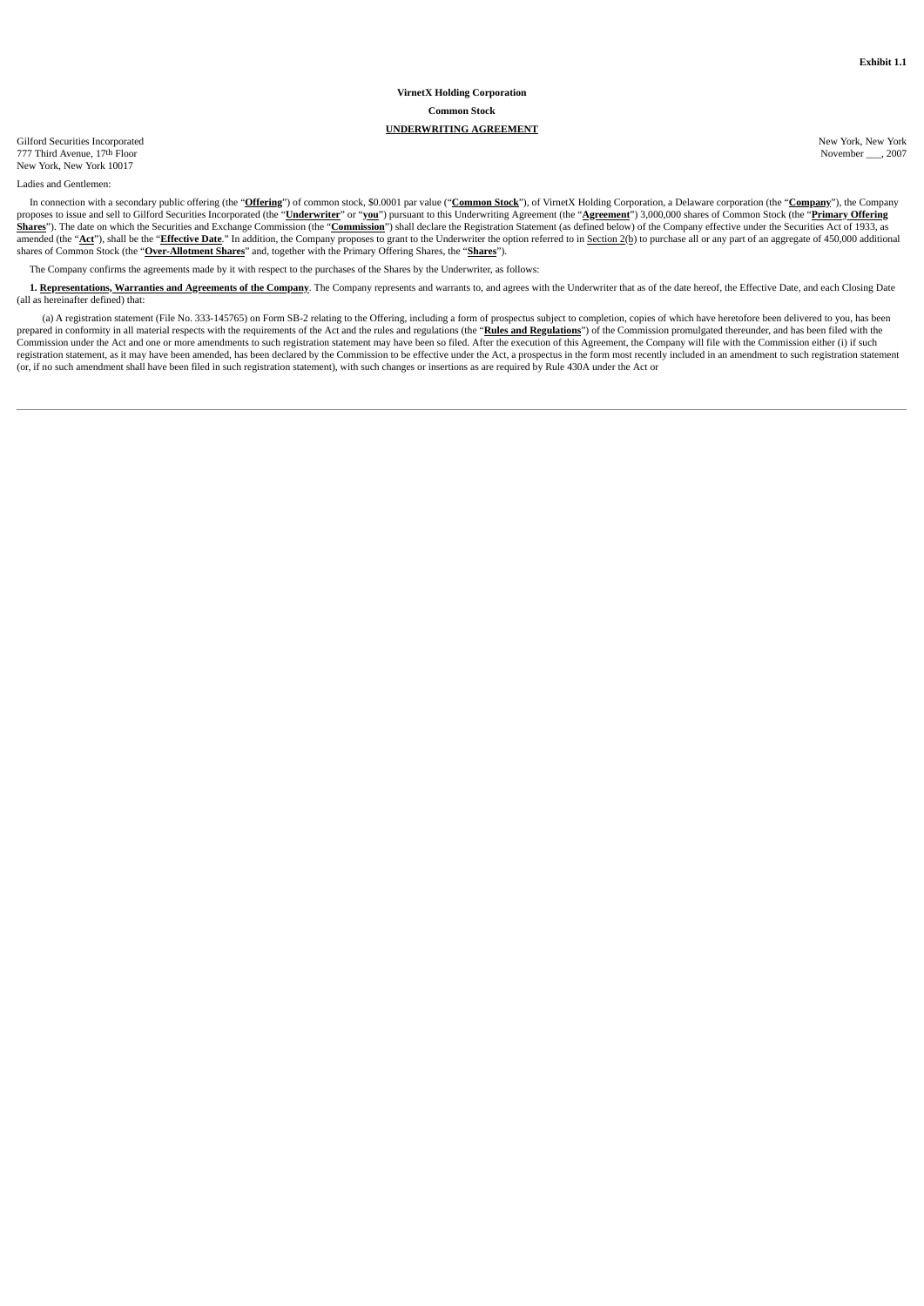# **VirnetX Holding Corporation Common Stock**

# **UNDERWRITING AGREEMENT**

Gilford Securities Incorporated New York, New York 777 Third Avenue, 17th Floor November \_\_\_, 2007 New York, New York 10017

Ladies and Gentlemen:

In connection with a secondary public offering (the "Offering") of common stock, \$0.0001 par value ("Common Stock"), of VirnetX Holding Corporation, a Delaware corporation (the "Company"), the Company proposes to issue and sell to Gilford Securities Incorporated (the "<mark>Underwriter</mark>" or "y<u>ou</u>") pursuant to this Underwriting Agreement (the "<mark>Agreement</mark>") 3,000,000 shares of Common Stock (the "<mark>Primary Offering</mark><br><u>Shares</u>" amended (the "Act"), shall be the "Effective Date." In addition, the Company proposes to grant to the Underwriter the option referred to in Section 2(b) to purchase all or any part of an aggregate of 450,000 additional shares of Common Stock (the "**Over-Allotment Shares**" and, together with the Primary Offering Shares, the "**Shares**").

The Company confirms the agreements made by it with respect to the purchases of the Shares by the Underwriter, as follows:

1. Representations, Warranties and Agreements of the Company. The Company represents and warrants to, and agrees with the Underwriter that as of the date hereof, the Effective Date, and each Closing Date (all as hereinafter defined) that:

(a) A registration statement (File No. 333-145765) on Form SB-2 relating to the Offering, including a form of prospectus subject to completion, copies of which have heretofore been delivered to you, has been prepared in conformity in all material respects with the requirements of the Act and the rules and regulations (the "Rules and Regulations") of the Commission promulgated thereunder, and has been filed with the Commission under the Act and one or more amendments to such registration statement may have been so filed. After the execution of this Agreement, the Company will file with the Commission either (i) if such registration statement, as it may have been amended, has been declared by the Commission to be effective under the Act, a prospectus in the form most recently included in an amendment to such registration statement (or, if no such amendment shall have been filed in such registration statement), with such changes or insertions as are required by Rule 430A under the Act or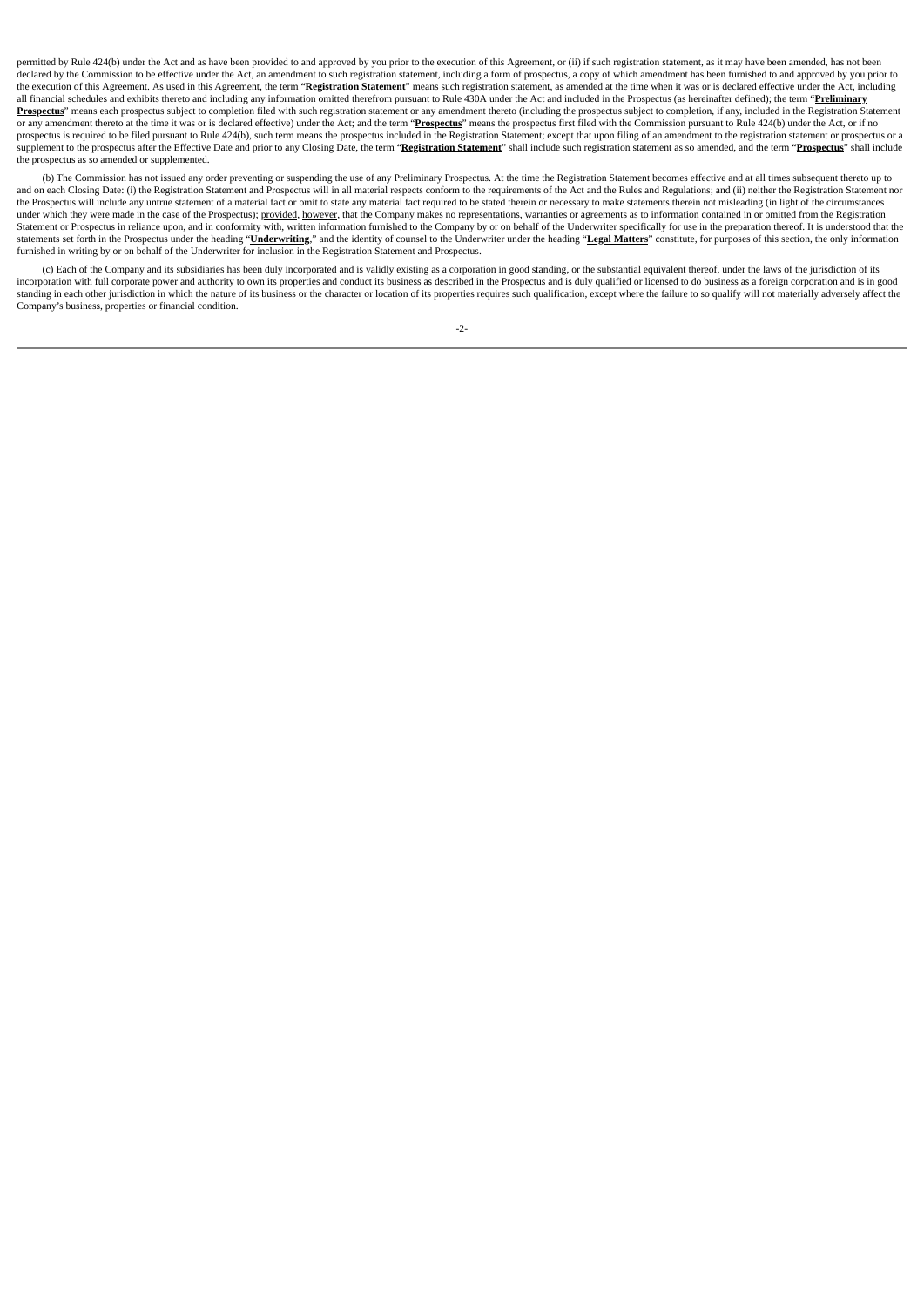permitted by Rule 424(b) under the Act and as have been provided to and approved by you prior to the execution of this Agreement, or (ii) if such registration statement, as it may have been amended, has not been<br>declared b the execution of this Agreement. As used in this Agreement, the term "Registration Statement" means such registration statement, as amended at the time when it was or is declared effective under the Act, including all financial schedules and exhibits thereto and including any information omitted therefrom pursuant to Rule 430A under the Act and included in the Prospectus (as hereinafter defined); the term "**Preliminary** Prospectus' means each prospectus subject to completion filed with such registration statement or any amendment thereto (including the prospectus subject to completion, if any, included in the Registration Statement or any amendment thereto at the time it was or is declared effective) under the Act; and the term "**Prospectus**" means the prospectus first filed with the Commission pursuant to Rule 424(b) under the Act, or if no prospectus is required to be filed pursuant to Rule 424(b), such term means the prospectus included in the Registration Statement; except that upon filing of an amendment to the registration statement or prospectus or a supplement to the prospectus after the Effective Date and prior to any Closing Date, the term "Registration Statement" shall include such registration statement as so amended, and the term "Prospectus" shall include the prospectus as so amended or supplemented.

(b) The Commission has not issued any order preventing or suspending the use of any Preliminary Prospectus. At the time the Registration Statement becomes effective and at all times subsequent thereto up to and on each Closing Date: (i) the Registration Statement and Prospectus will in all material respects conform to the requirements of the Act and the Rules and Regulations; and (ii) neither the Registration Statement nor the Prospectus will include any untrue statement of a material fact or omit to state any material fact required to be stated therein or necessary to make statements therein not misleading (in light of the circumstances under which they were made in the case of the Prospectus); provided, however, that the Company makes no representations, warranties or agreements as to information contained in or omitted from the Registration Statement or Prospectus in reliance upon, and in conformity with, written information furnished to the Company by or on behalf of the Underwriter specifically for use in the preparation thereof. It is understood that the statements set forth in the Prospectus under the heading "Underwriting," and the identity of counsel to the Underwriter under the heading "Legal Matters" constitute, for purposes of this section, the only information furnished in writing by or on behalf of the Underwriter for inclusion in the Registration Statement and Prospectus.

(c) Each of the Company and its subsidiaries has been duly incorporated and is validly existing as a corporation in good standing, or the substantial equivalent thereof, under the laws of the jurisdiction of its incorporation with full corporate power and authority to own its properties and conduct its business as described in the Prospectus and is duly qualified or licensed to do business as a foreign corporation and is in good standing in each other jurisdiction in which the nature of its business or the character or location of its properties requires such qualification, except where the failure to so qualify will not materially adversely affec Company's business, properties or financial condition.

-2-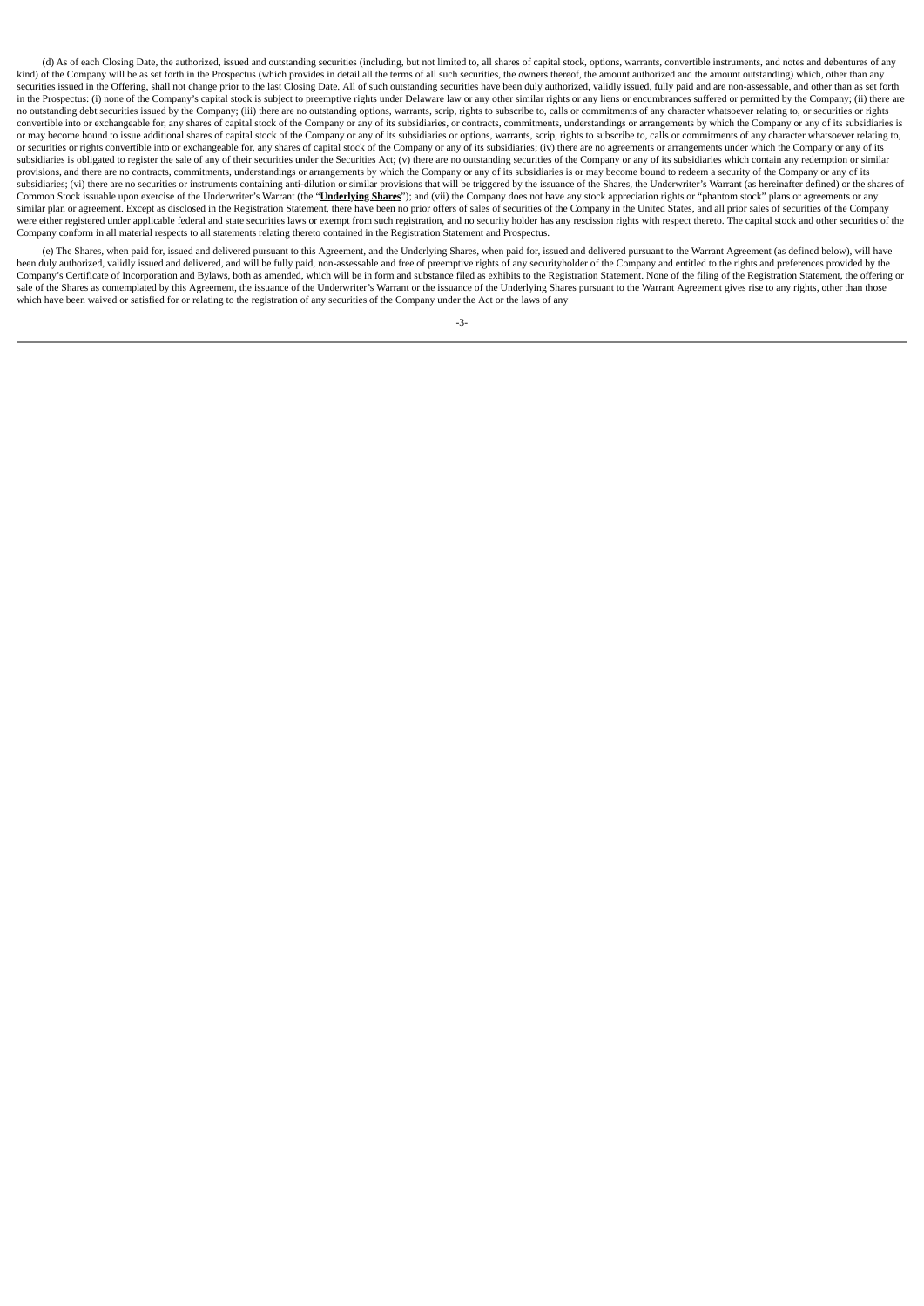(d) As of each Closing Date, the authorized, issued and outstanding securities (including, but not limited to, all shares of capital stock, options, warrants, convertible instruments, and notes and debentures of any kind) of the Company will be as set forth in the Prospectus (which provides in detail all the terms of all such securities, the owners thereof, the amount authorized and the amount outstanding) which, other than any kind) securities issued in the Offering, shall not change prior to the last Closing Date. All of such outstanding securities have been duly authorized, validly issued, fully paid and are non-assessable, and other than as set for in the Prospectus: (i) none of the Company's capital stock is subject to preemptive rights under Delaware law or any other similar rights or any liens or encumbrances suffered or permitted by the Company; (ii) there are no outstanding debt securities issued by the Company; (iii) there are no outstanding options, warrants, scrip, rights to subscribe to, calls or commitments of any character whatsoever relating to, or securities or rights convertible into or exchangeable for, any shares of capital stock of the Company or any of its subsidiaries, or contracts, commitments, understandings or arrangements by which the Company or any of its subsidiaries is or may become bound to issue additional shares of capital stock of the Company or any of its subsidiaries or options, warrants, scrip, rights to subscribe to, calls or commitments of any character whatsoever relating to, or securities or rights convertible into or exchangeable for, any shares of capital stock of the Company or any of its subsidiaries; (iv) there are no agreements or arrangements under which the Company or any of its subsidiaries is obligated to register the sale of any of their securities under the Securities Act; (v) there are no outstanding securities of the Company or any of its subsidiaries which contain any redemption or similar provisions, and there are no contracts, commitments, understandings or arrangements by which the Company or any of its subsidiaries is or may become bound to redeem a security of the Company or any of its<br>subsidiaries; (vi Common Stock issuable upon exercise of the Underwriter's Warrant (the "**Underlying Shares**"); and (vii) the Company does not have any stock appreciation rights or "phantom stock" plans or agreements or any similar plan or agreement. Except as disclosed in the Registration Statement, there have been no prior offers of sales of securities of the Company in the United States, and all prior sales of securities of the Company were either registered under applicable federal and state securities laws or exempt from such registration, and no security holder has any rescission rights with respect thereto. The capital stock and other securities of the Company conform in all material respects to all statements relating thereto contained in the Registration Statement and Prospectus.

(e) The Shares, when paid for, issued and delivered pursuant to this Agreement, and the Underlying Shares, when paid for, issued and delivered pursuant to the Warrant Agreement (as defined below), will have been duly authorized, validly issued and delivered, and will be fully paid, non-assessable and free of preemptive rights of any securityholder of the Company and entitled to the rights and preferences provided by the Company's Certificate of Incorporation and Bylaws, both as amended, which will be in form and substance filed as exhibits to the Registration Statement. None of the filing of the Registration Statement, the offering or sale of the Shares as contemplated by this Agreement, the issuance of the Underwriter's Warrant or the issuance of the Underlying Shares pursuant to the Warrant Agreement gives rise to any rights, other than those which have been waived or satisfied for or relating to the registration of any securities of the Company under the Act or the laws of any

-3-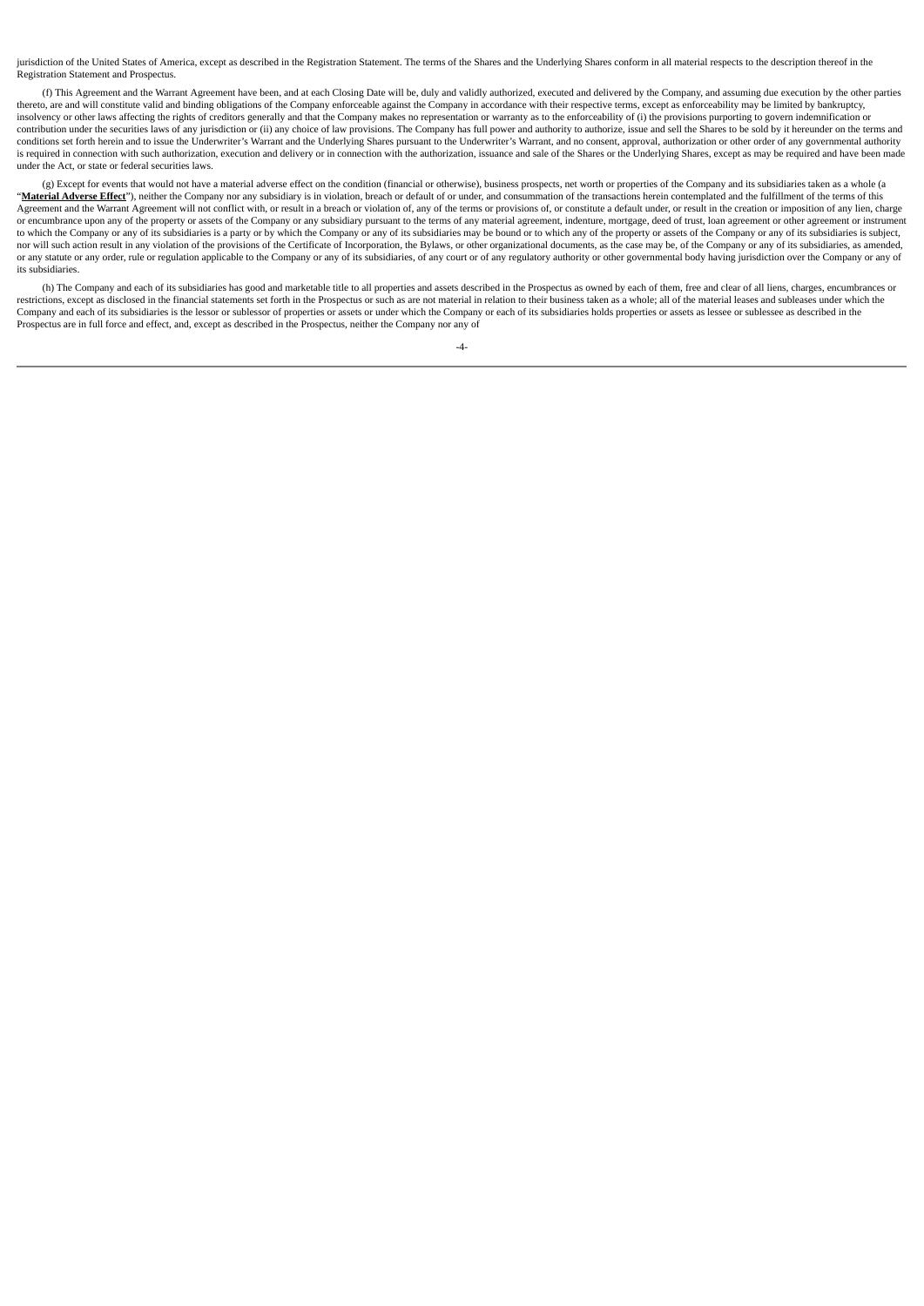jurisdiction of the United States of America, except as described in the Registration Statement. The terms of the Shares and the Underlying Shares conform in all material respects to the description thereof in the<br>Registra

(f) This Agreement and the Warrant Agreement have been, and at each Closing Date will be, duly and validly authorized, executed and delivered by the Company, and assuming due execution by the other parties thereto, are and will constitute valid and binding obligations of the Company enforceable against the Company in accordance with their respective terms, except as enforceability may be limited by bankruptcy, insolvency or other laws affecting the rights of creditors generally and that the Company makes no representation or warranty as to the enforceability of (i) the provisions purporting to govern indemnification or contribution under the securities laws of any jurisdiction or (ii) any choice of law provisions. The Company has full power and authority to authorize, issue and sell the Shares to be sold by it hereunder on the terms and conditions set forth herein and to issue the Underwriter's Warrant and the Underlying Shares pursuant to the Underwriter's Warrant, and no consent, approval, authorization or other order of any governmental authority is required in connection with such authorization, execution and delivery or in connection with the authorization, issuance and sale of the Shares or the Underlying Shares, except as may be required and have been made under the Act, or state or federal securities laws.

(g) Except for events that would not have a material adverse effect on the condition (financial or otherwise), business prospects, net worth or properties of the Company and its subsidiaries taken as a whole (a "Material Adverse Effect"), neither the Company nor any subsidiary is in violation, breach or default of or under, and consummation of the transactions herein contemplated and the fulfillment of the terms of this Agreement and the Warrant Agreement will not conflict with, or result in a breach or violation of, any of the terms or provisions of, or constitute a default under, or result in the creation or imposition of any lien, charge or encumbrance upon any of the property or assets of the Company or any subsidiary pursuant to the terms of any material agreement, indenture, mortgage, deed of trust, loan agreement or other agreement or instrument to which the Company or any of its subsidiaries is a party or by which the Company or any of its subsidiaries may be bound or to which any of the property or assets of the Company or any of its subsidiaries is subject, nor will such action result in any violation of the provisions of the Certificate of Incorporation, the Bylaws, or other organizational documents, as the case may be, of the Company or any of its subsidiaries, as amended, or any statute or any order, rule or regulation applicable to the Company or any of its subsidiaries, of any court or of any regulatory authority or other governmental body having jurisdiction over the Company or any of its subsidiaries.

(h) The Company and each of its subsidiaries has good and marketable title to all properties and assets described in the Prospectus as owned by each of them, free and clear of all liens, charges, encumbrances or restrictions, except as disclosed in the financial statements set forth in the Prospectus or such as are not material in relation to their business taken as a whole; all of the material leases and subleases under which the Company and each of its subsidiaries is the lessor or sublessor of properties or assets or under which the Company or each of its subsidiaries holds properties or assets as lessee or sublessee as described in the Prospectus are in full force and effect, and, except as described in the Prospectus, neither the Company nor any of

-4-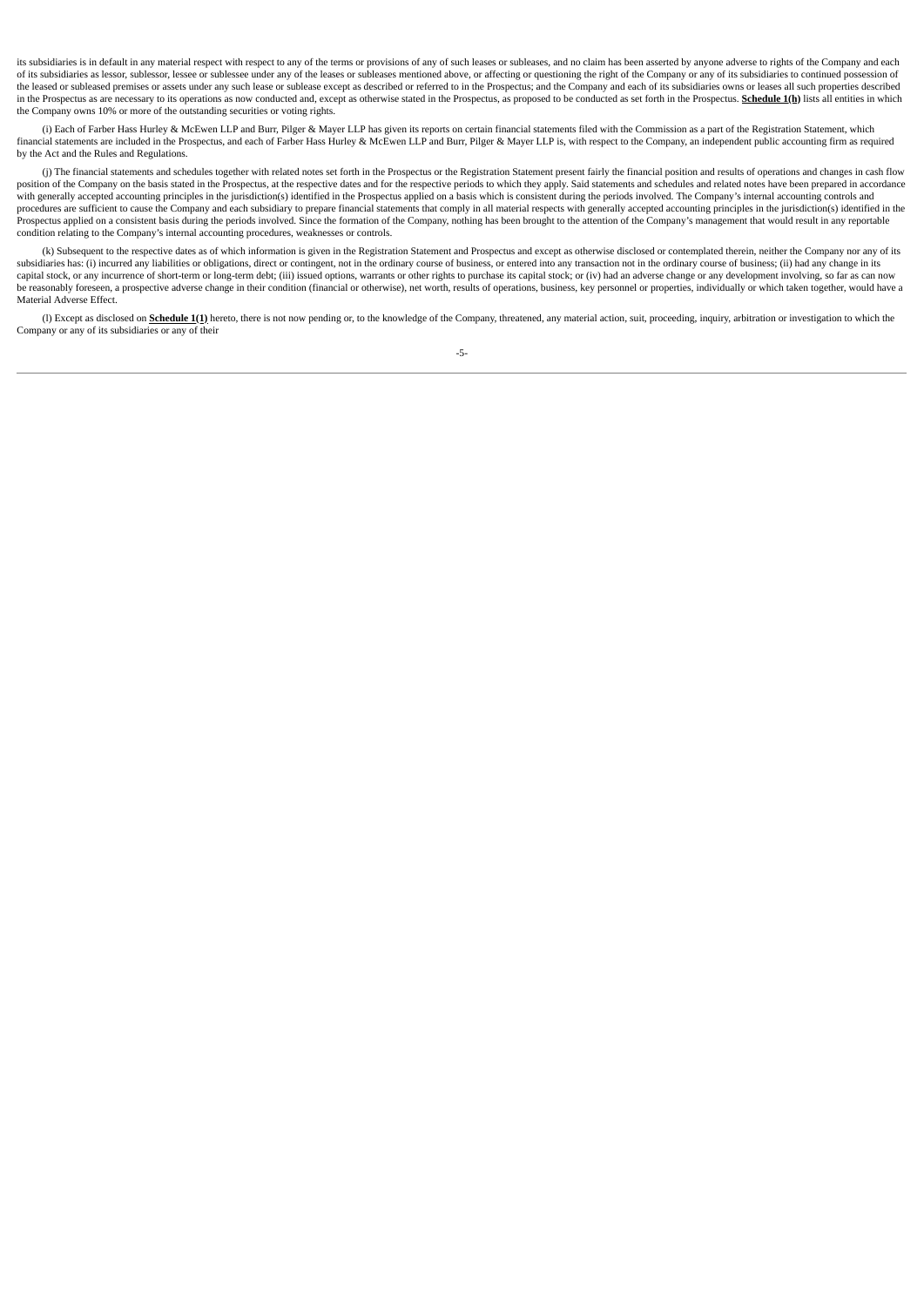its subsidiaries is in default in any material respect with respect to any of the terms or provisions of any of such leases or subleases, and no claim has been asserted by anyone adverse to rights of the Company and each of its subsidiaries as lessor, sublessor, lessee or sublessee under any of the leases or subleases mentioned above, or affecting or questioning the right of the Company or any of its subsidiaries to continued possession of the leased or subleased premises or assets under any such lease or sublease except as described or referred to in the Prospectus; and the Company and each of its subsidiaries owns or leases all such properties described in the Prospectus as are necessary to its operations as now conducted and, except as otherwise stated in the Prospectus, as proposed to be conducted as set forth in the Prospectus. Schedule 1(h) lists all entities in which the Company owns 10% or more of the outstanding securities or voting rights.

(i) Each of Farber Hass Hurley & McEwen LLP and Burr, Pilger & Mayer LLP has given its reports on certain financial statements filed with the Commission as a part of the Registration Statement, which financial statements are included in the Prospectus, and each of Farber Hass Hurley & McEwen LLP and Burr, Pilger & Mayer LLP is, with respect to the Company, an independent public accounting firm as required by the Act and the Rules and Regulations.

(j) The financial statements and schedules together with related notes set forth in the Prospectus or the Registration Statement present fairly the financial position and results of operations and changes in cash flow position of the Company on the basis stated in the Prospectus, at the respective dates and for the respective periods to which they apply. Said statements and schedules and related notes have been prepared in accordance with generally accepted accounting principles in the jurisdiction(s) identified in the Prospectus applied on a basis which is consistent during the periods involved. The Company's internal accounting controls and procedures are sufficient to cause the Company and each subsidiary to prepare financial statements that comply in all material respects with generally accepted accounting principles in the jurisdiction(s) identified in the Prospectus applied on a consistent basis during the periods involved. Since the formation of the Company, nothing has been brought to the attention of the Company's management that would result in any reportable condition relating to the Company's internal accounting procedures, weaknesses or controls.

(k) Subsequent to the respective dates as of which information is given in the Registration Statement and Prospectus and except as otherwise disclosed or contemplated therein, neither the Company nor any of its subsidiaries has: (i) incurred any liabilities or obligations, direct or contingent, not in the ordinary course of business, or entered into any transaction not in the ordinary course of business; (ii) had any change in it capital stock, or any incurrence of short-term or long-term debt; (iii) issued options, warrants or other rights to purchase its capital stock; or (iv) had an adverse change or any development involving, so far as can now be reasonably foreseen, a prospective adverse change in their condition (financial or otherwise), net worth, results of operations, business, key personnel or properties, individually or which taken together, would have a Material Adverse Effect.

(1) Except as disclosed on Schedule 1(1) hereto, there is not now pending or, to the knowledge of the Company, threatened, any material action, suit, proceeding, inquiry, arbitration or investigation to which the Company or any of its subsidiaries or any of their

-5-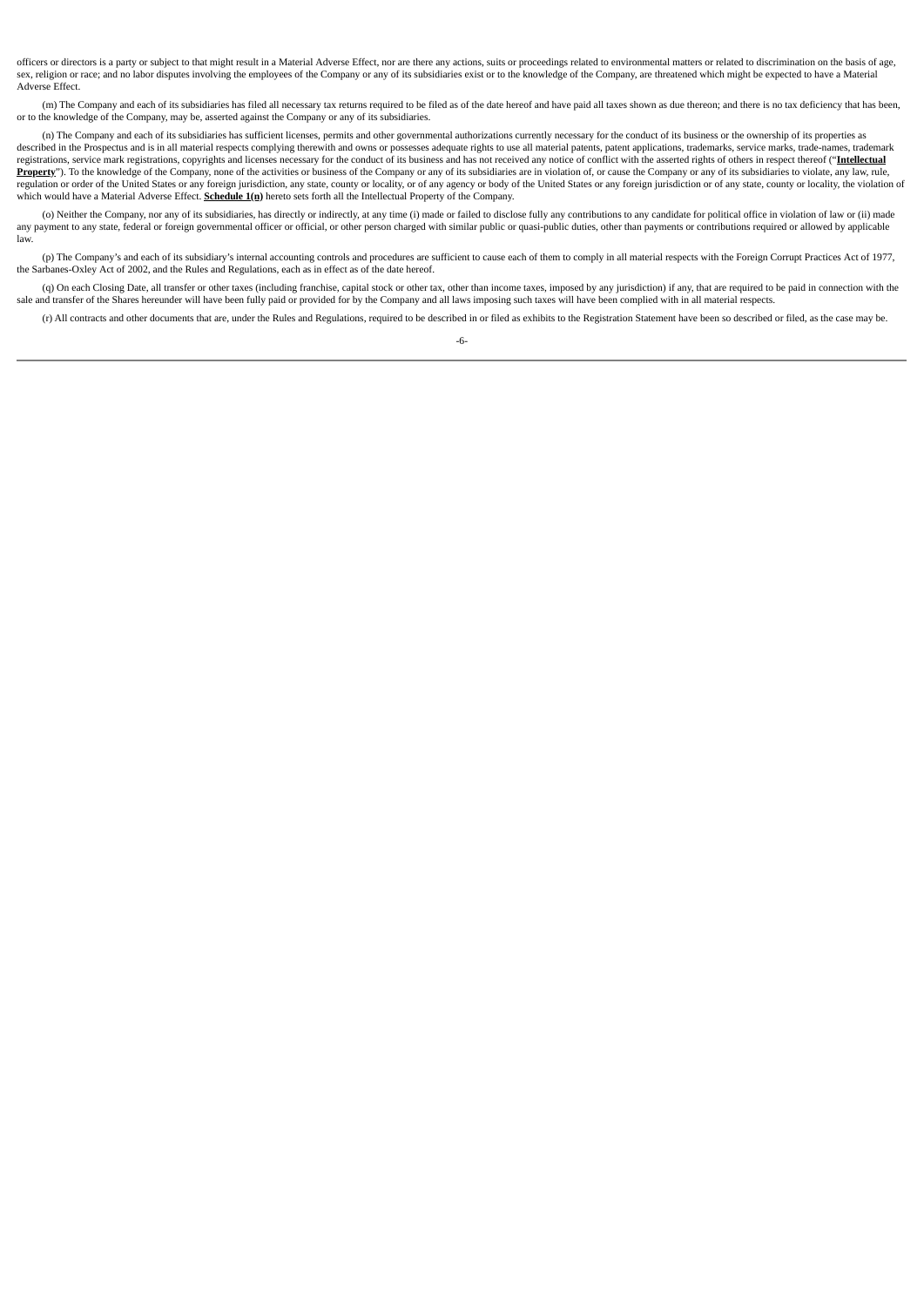officers or directors is a party or subject to that might result in a Material Adverse Effect, nor are there any actions, suits or proceedings related to environmental matters or related to discrimination on the basis of a sex, religion or race; and no labor disputes involving the employees of the Company or any of its subsidiaries exist or to the knowledge of the Company, are threatened which might be expected to have a Material Adverse Effect.

(m) The Company and each of its subsidiaries has filed all necessary tax returns required to be filed as of the date hereof and have paid all taxes shown as due thereon; and there is no tax deficiency that has been, or to the knowledge of the Company, may be, asserted against the Company or any of its subsidiaries.

(n) The Company and each of its subsidiaries has sufficient licenses, permits and other governmental authorizations currently necessary for the conduct of its business or the ownership of its properties as described in the Prospectus and is in all material respects complying therewith and owns or possesses adequate rights to use all material patents, patent applications, trademarks, service marks, trade-names, trademarks registrations, service mark registrations, copyrights and licenses necessary for the conduct of its business and has not received any notice of conflict with the asserted rights of others in respect thereof ("Intellectual Property"). To the knowledge of the Company, none of the activities or business of the Company or any of its subsidiaries are in violation of, or cause the Company or any of its subsidiaries to violate, any law, rule,<br>regu which would have a Material Adverse Effect. **Schedule 1(n)** hereto sets forth all the Intellectual Property of the Company.

(o) Neither the Company, nor any of its subsidiaries, has directly or indirectly, at any time (i) made or failed to disclose fully any contributions to any candidate for political office in violation of law or (ii) made any payment to any state, federal or foreign governmental officer or official, or other person charged with similar public or quasi-public duties, other than payments or contributions required or allowed by applicable law.

(p) The Company's and each of its subsidiary's internal accounting controls and procedures are sufficient to cause each of them to comply in all material respects with the Foreign Corrupt Practices Act of 1977, the Sarbanes-Oxley Act of 2002, and the Rules and Regulations, each as in effect as of the date hereof.

(q) On each Closing Date, all transfer or other taxes (including franchise, capital stock or other tax, other than income taxes, imposed by any jurisdiction) if any, that are required to be paid in connection with the sale

(r) All contracts and other documents that are, under the Rules and Regulations, required to be described in or filed as exhibits to the Registration Statement have been so described or filed, as the case may be.

-6-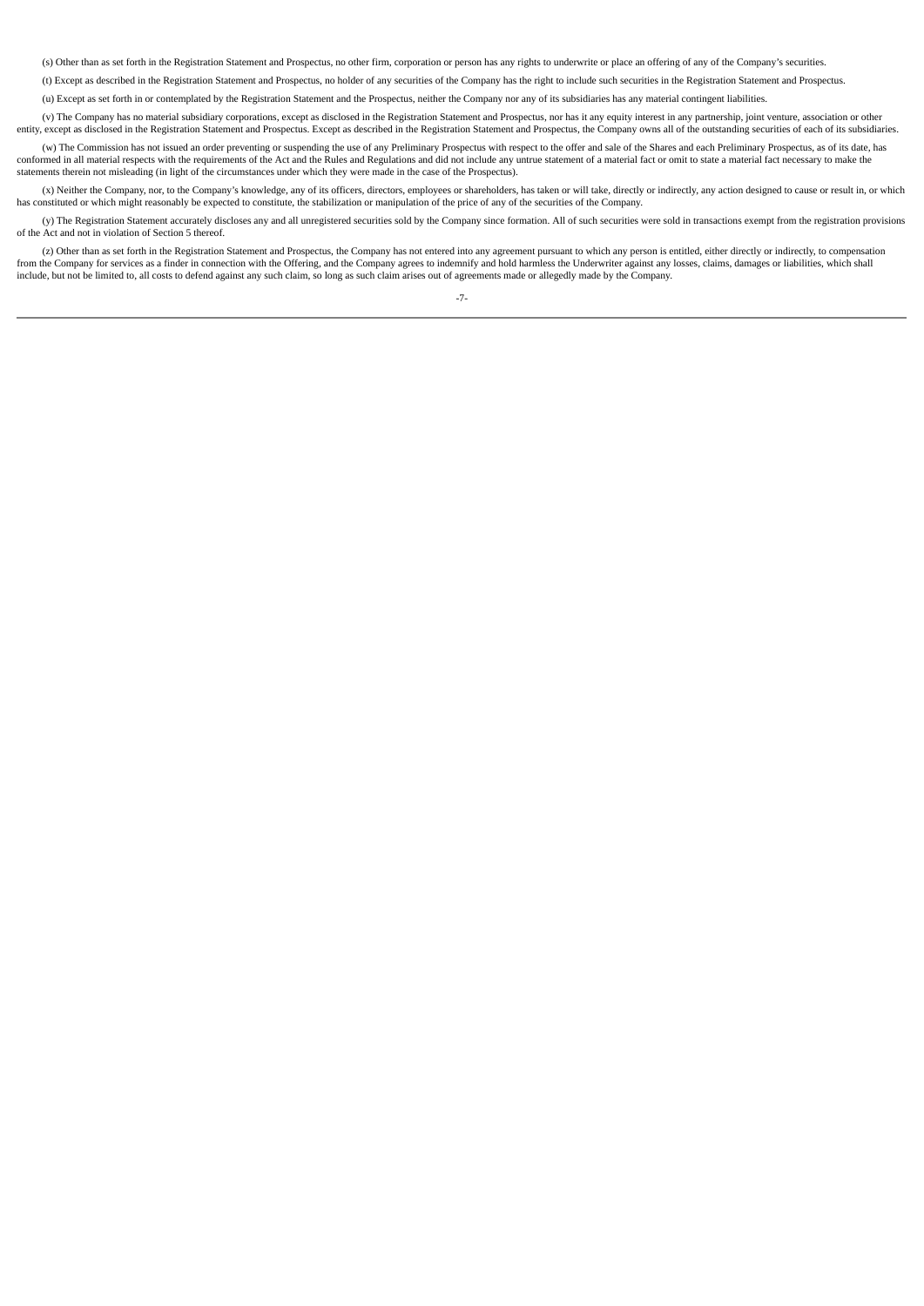(s) Other than as set forth in the Registration Statement and Prospectus, no other firm, corporation or person has any rights to underwrite or place an offering of any of the Company's securities.

(t) Except as described in the Registration Statement and Prospectus, no holder of any securities of the Company has the right to include such securities in the Registration Statement and Prospectus.

(u) Except as set forth in or contemplated by the Registration Statement and the Prospectus, neither the Company nor any of its subsidiaries has any material contingent liabilities.

(v) The Company has no material subsidiary corporations, except as disclosed in the Registration Statement and Prospectus, nor has it any equity interest in any partnership, joint venture, association or other entity, except as disclosed in the Registration Statement and Prospectus. Except as described in the Registration Statement and Prospectus, the Company owns all of the outstanding securities of each of its subsidiaries.

(w) The Commission has not issued an order preventing or suspending the use of any Preliminary Prospectus with respect to the offer and sale of the Shares and each Preliminary Prospectus, as of its date, has conformed in all material respects with the requirements of the Act and the Rules and Regulations and did not include any untrue statement of a material fact or omit to state a material fact necessary to make the statements therein not misleading (in light of the circumstances under which they were made in the case of the Prospectus).

(x) Neither the Company, nor, to the Company's knowledge, any of its officers, directors, employees or shareholders, has taken or will take, directly or indirectly, any action designed to cause or result in, or which has constituted or which might reasonably be expected to constitute, the stabilization or manipulation of the price of any of the securities of the Company.

(y) The Registration Statement accurately discloses any and all unregistered securities sold by the Company since formation. All of such securities were sold in transactions exempt from the registration provisions of the Act and not in violation of Section 5 thereof.

(z) Other than as set forth in the Registration Statement and Prospectus, the Company has not entered into any agreement pursuant to which any person is entitled, either directly or indirectly, to compensation from the Company for services as a finder in connection with the Offering, and the Company agrees to indemnify and hold harmless the Underwriter against any losses, claims, damages or liabilities, which shall include, but not be limited to, all costs to defend against any such claim, so long as such claim arises out of agreements made or allegedly made by the Company.

-7-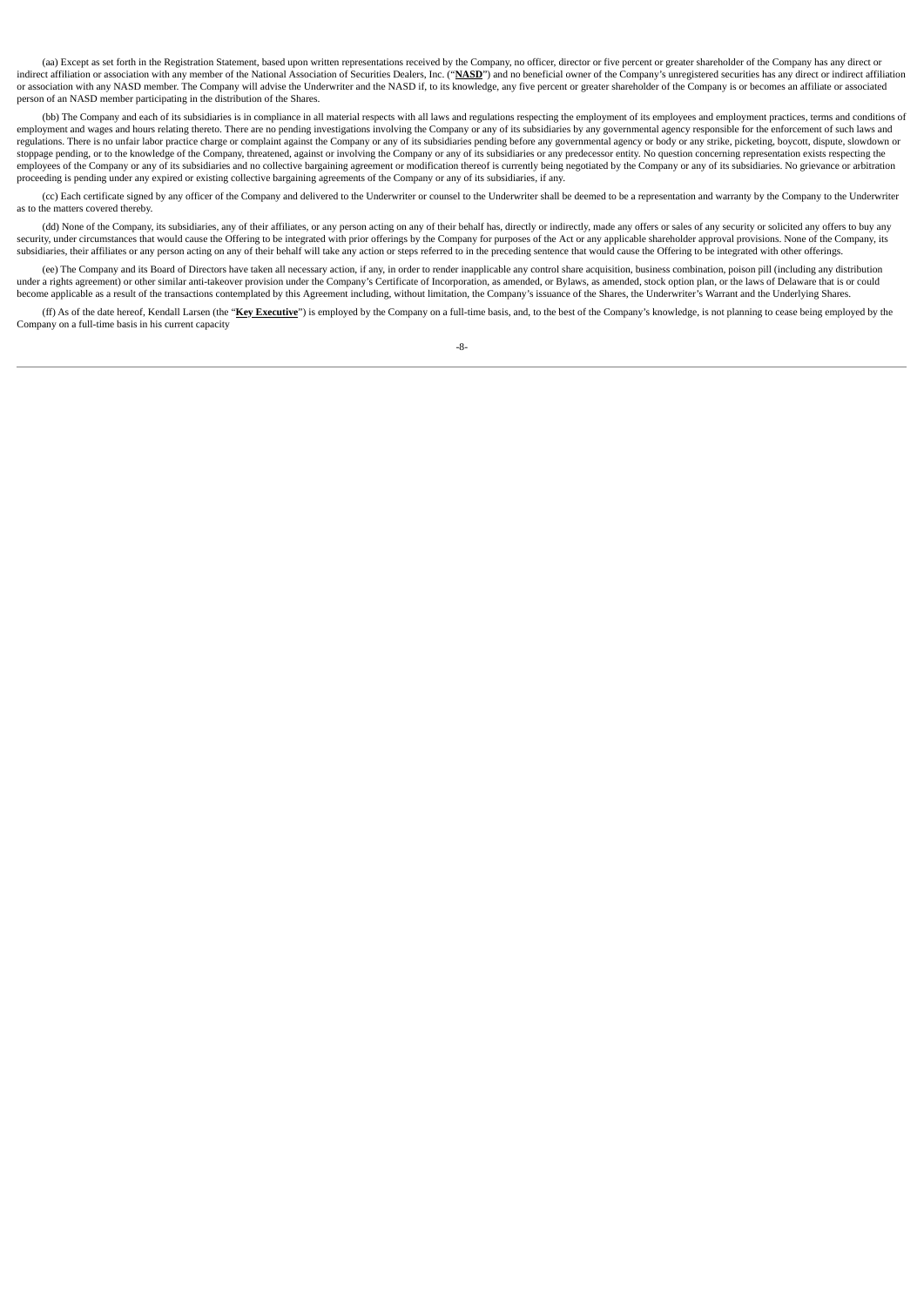(aa) Except as set forth in the Registration Statement, based upon written representations received by the Company, no officer, director or five percent or greater shareholder of the Company has any direct or indirect affiliation or association with any member of the National Association of Securities Dealers, Inc. ("NASD") and no beneficial owner of the Company's unregistered securities has any direct or indirect affiliation or association with any NASD member. The Company will advise the Underwriter and the NASD if, to its knowledge, any five percent or greater shareholder of the Company is or becomes an affiliate or associated person of an NASD member participating in the distribution of the Shares.

(bb) The Company and each of its subsidiaries is in compliance in all material respects with all laws and regulations respecting the employment of its employees and employment practices, terms and conditions of employment and wages and hours relating thereto. There are no pending investigations involving the Company or any of its subsidiaries by any governmental agency responsible for the enforcement of such laws and regulations. There is no unfair labor practice charge or complaint against the Company or any of its subsidiaries pending before any governmental agency or body or any strike, picketing, boycott, dispute, slowdown or<br>stopp employees of the Company or any of its subsidiaries and no collective bargaining agreement or modification thereof is currently being negotiated by the Company or any of its subsidiaries. No grievance or arbitration proceeding is pending under any expired or existing collective bargaining agreements of the Company or any of its subsidiaries, if any.

(cc) Each certificate signed by any officer of the Company and delivered to the Underwriter or counsel to the Underwriter shall be deemed to be a representation and warranty by the Company to the Underwriter as to the matters covered thereby.

(dd) None of the Company, its subsidiaries, any of their affiliates, or any person acting on any of their behalf has, directly or indirectly, made any offers or sales of any security or solicited any offers to buy any security, under circumstances that would cause the Offering to be integrated with prior offerings by the Company for purposes of the Act or any applicable shareholder approval provisions. None of the Company, its subsidiaries, their affiliates or any person acting on any of their behalf will take any action or steps referred to in the preceding sentence that would cause the Offering to be integrated with other offerings.

(ee) The Company and its Board of Directors have taken all necessary action, if any, in order to render inapplicable any control share acquisition, business combination, poison pill (including any distribution under a rights agreement) or other similar anti-takeover provision under the Company's Certificate of Incorporation, as amended, or Bylaws, as amended, stock option plan, or the laws of Delaware that is or could become applicable as a result of the transactions contemplated by this Agreement including, without limitation, the Company's issuance of the Shares, the Underwriter's Warrant and the Underlying Shares.

(ff) As of the date hereof, Kendall Larsen (the "**Key Executive**") is employed by the Company on a full-time basis, and, to the best of the Company's knowledge, is not planning to cease being employed by the Company on a full-time basis in his current capacity

-8-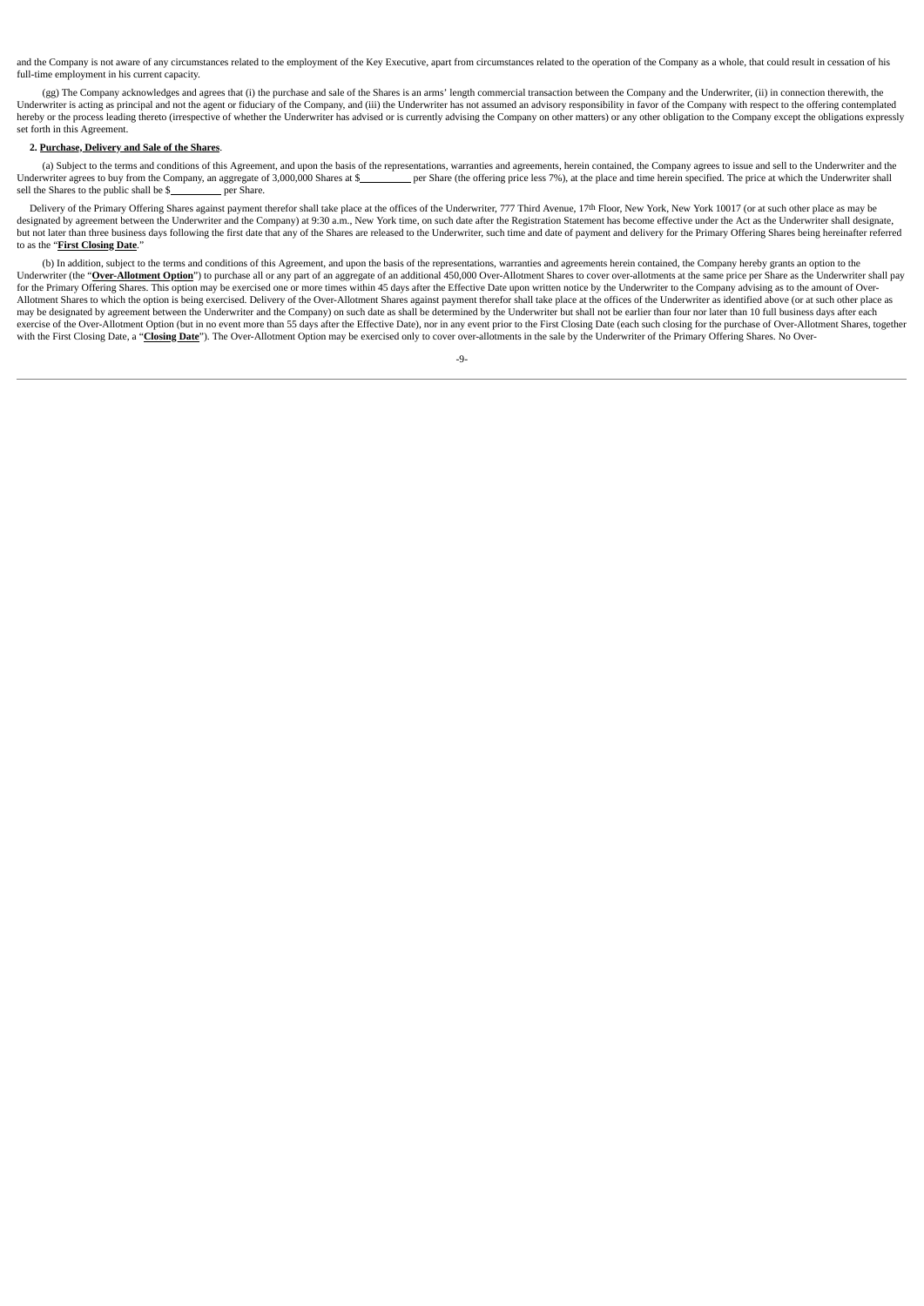and the Company is not aware of any circumstances related to the employment of the Key Executive, apart from circumstances related to the operation of the Company as a whole, that could result in cessation of his full-time employment in his current capacity.

(gg) The Company acknowledges and agrees that (i) the purchase and sale of the Shares is an arms' length commercial transaction between the Company and the Underwriter, (ii) in connection therewith, the Underwriter is acting as principal and not the agent or fiduciary of the Company, and (iii) the Underwriter has not assumed an advisory responsibility in favor of the Company with respect to the offering contemplated hereby or the process leading thereto (irrespective of whether the Underwriter has advised or is currently advising the Company on other matters) or any other obligation to the Company except the obligations expressly set forth in this Agreement.

#### **2. Purchase, Delivery and Sale of the Shares**.

(a) Subject to the terms and conditions of this Agreement, and upon the basis of the representations, warranties and agreements, herein contained, the Company agrees to issue and sell to the Underwriter and the Underwriter per Share (the offering price less 7%), at the place and time herein specified. The price at which the Underwriter shall sell the Shares to the public shall be \$ per Share.

Delivery of the Primary Offering Shares against payment therefor shall take place at the offices of the Underwriter, 777 Third Avenue, 17th Floor, New York, New York 10017 (or at such other place as may be designated by agreement between the Underwriter and the Company) at 9:30 a.m., New York time, on such date after the Registration Statement has become effective under the Act as the Underwriter shall designate, but not later than three business days following the first date that any of the Shares are released to the Underwriter, such time and date of payment and delivery for the Primary Offering Shares being hereinafter referred to as the "**First Closing Date**."

(b) In addition, subject to the terms and conditions of this Agreement, and upon the basis of the representations, warranties and agreements herein contained, the Company hereby grants an option to the (b) In addition, sub for the Primary Offering Shares. This option may be exercised one or more times within 45 days after the Effective Date upon written notice by the Underwriter to the Company advising as to the amount of Over-Allotment Shares to which the option is being exercised. Delivery of the Over-Allotment Shares against payment therefor shall take place at the offices of the Underwriter as identified above (or at such other place as may be designated by agreement between the Underwriter and the Company) on such date as shall be determined by the Underwriter but shall not be earlier than four nor later than 10 full business days after each exercise of the Over-Allotment Option (but in no event more than 55 days after the Effective Date), nor in any event prior to the First Closing Date (each such closing for the purchase of Over-Allotment Shares, together with the First Closing Date, a "Closing Date"). The Over-Allotment Option may be exercised only to cover over-allotments in the sale by the Underwriter of the Primary Offering Shares. No Over-

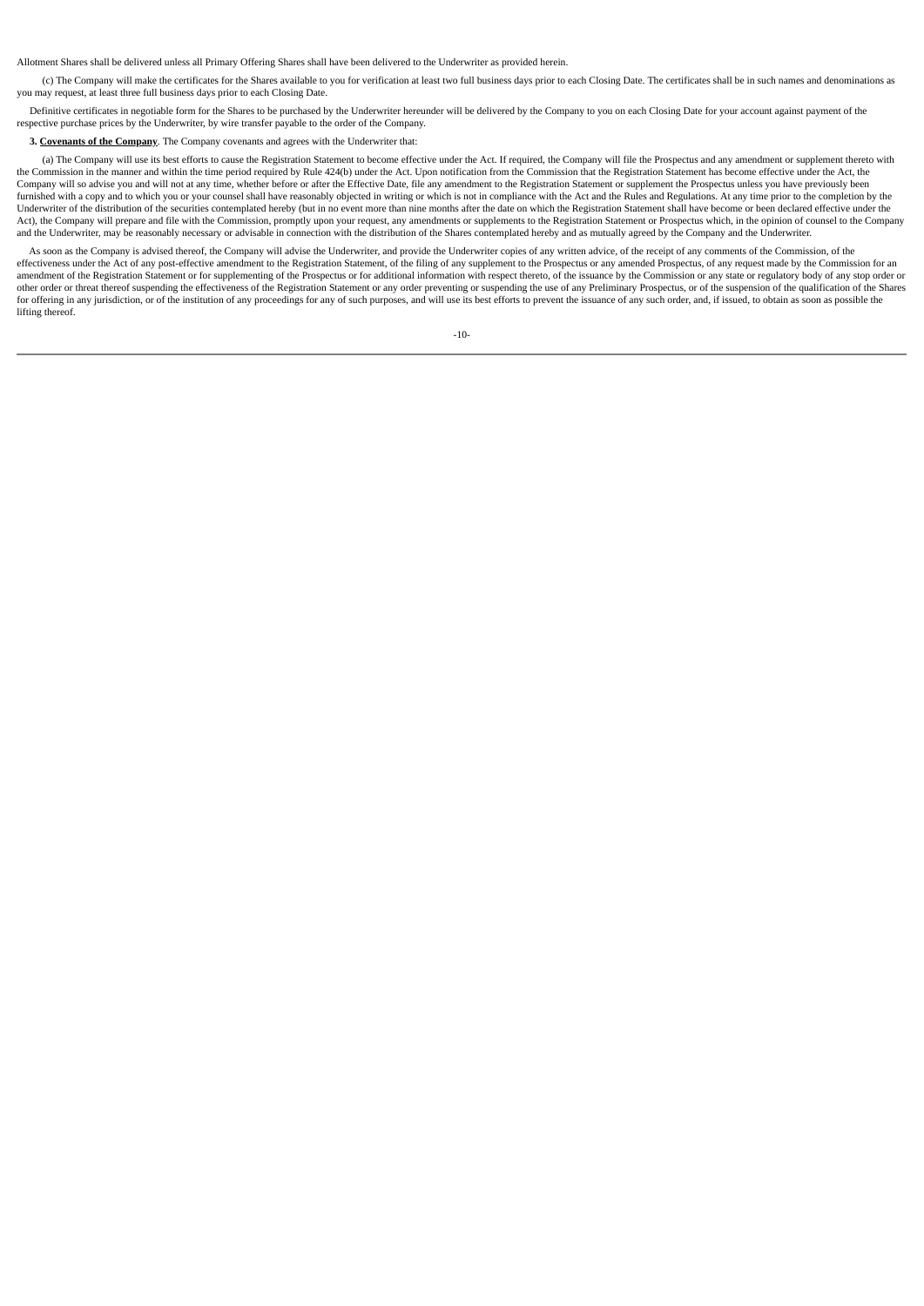Allotment Shares shall be delivered unless all Primary Offering Shares shall have been delivered to the Underwriter as provided herein.

(c) The Company will make the certificates for the Shares available to you for verification at least two full business days prior to each Closing Date. The certificates shall be in such names and denominations as you may request, at least three full business days prior to each Closing Date.

Definitive certificates in negotiable form for the Shares to be purchased by the Underwriter hereunder will be delivered by the Company to you on each Closing Date for your account against payment of the respective purchase prices by the Underwriter, by wire transfer payable to the order of the Company.

**3. Covenants of the Company**. The Company covenants and agrees with the Underwriter that:

(a) The Company will use its best efforts to cause the Registration Statement to become effective under the Act. If required, the Company will file the Prospectus and any amendment or supplement thereto with the Commission in the manner and within the time period required by Rule 424(b) under the Act. Upon notification from the Commission that the Registration Statement has become effective under the Act, the Company will so advise you and will not at any time, whether before or after the Effective Date, file any amendment to the Registration Statement or supplement the Prospectus unless you have previously been furnished with a copy and to which you or your counsel shall have reasonably objected in writing or which is not in compliance with the Act and the Rules and Regulations. At any time prior to the completion by the Underwriter of the distribution of the securities contemplated hereby (but in no event more than nine months after the date on which the Registration Statement shall have become or been declared effective under the Act), the Company will prepare and file with the Commission, promptly upon your request, any amendments or supplements to the Registration Statement or Prospectus which, in the opinion of counsel to the Company and the Underwriter, may be reasonably necessary or advisable in connection with the distribution of the Shares contemplated hereby and as mutually agreed by the Company and the Underwriter.

As soon as the Company is advised thereof, the Company will advise the Underwriter, and provide the Underwriter copies of any written advice, of the receipt of any comments of the Commission, of the effectiveness under the Act of any post-effective amendment to the Registration Statement, of the filing of any supplement to the Prospectus or any amended Prospectus, of any request made by the Commission for an amendment of the Registration Statement or for supplementing of the Prospectus or for additional information with respect thereto, of the issuance by the Commission or any state or regulatory body of any stop order or other order or threat thereof suspending the effectiveness of the Registration Statement or any order preventing or suspending the use of any Preliminary Prospectus, or of the suspension of the qualification of the Shares for offering in any jurisdiction, or of the institution of any proceedings for any of such purposes, and will use its best efforts to prevent the issuance of any such order, and, if issued, to obtain as soon as possible th lifting thereof.

-10-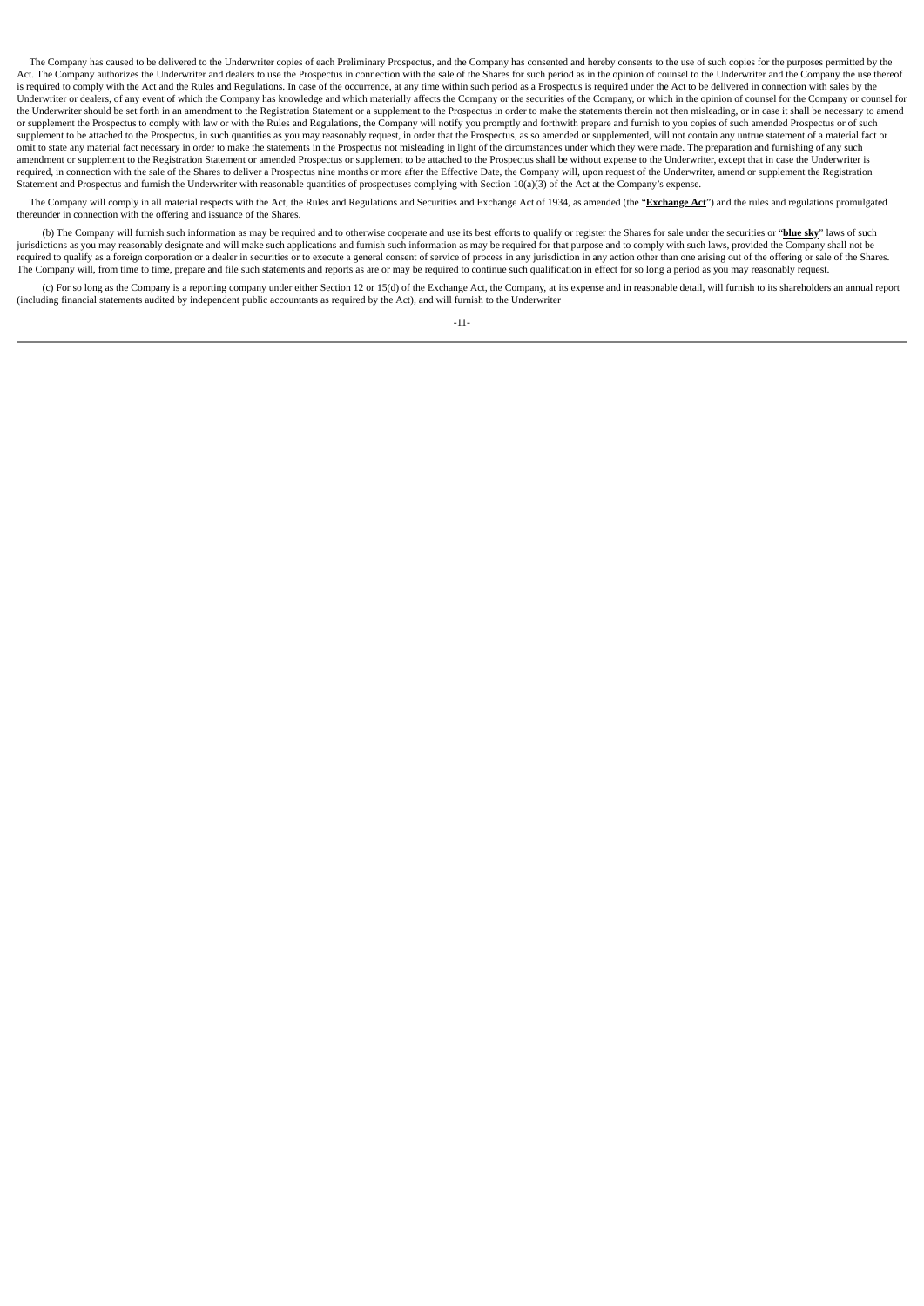The Company has caused to be delivered to the Underwriter copies of each Preliminary Prospectus, and the Company has consented and hereby consents to the use of such copies for the purposes permitted by the Act. The Company authorizes the Underwriter and dealers to use the Prospectus in connection with the sale of the Shares for such period as in the opinion of counsel to the Underwriter and the Company the use thereof is required to comply with the Act and the Rules and Regulations. In case of the occurrence, at any time within such period as a Prospectus is required under the Act to be delivered in connection with sales by the Underwriter or dealers, of any event of which the Company has knowledge and which materially affects the Company or the securities of the Company, or which in the opinion of counsel for the Company or counsel for the Underwriter should be set forth in an amendment to the Registration Statement or a supplement to the Prospectus in order to make the statements therein not then misleading, or in case it shall be necessary to amend or supplement the Prospectus to comply with law or with the Rules and Regulations, the Company will notify you promptly and forthwith prepare and furnish to you copies of such amended Prospectus or of such<br>supplement to be omit to state any material fact necessary in order to make the statements in the Prospectus not misleading in light of the circumstances under which they were made. The preparation and furnishing of any such amendment or supplement to the Registration Statement or amended Prospectus or supplement to be attached to the Prospectus shall be without expense to the Underwriter, except that in case the Underwriter is required, in connection with the sale of the Shares to deliver a Prospectus nine months or more after the Effective Date, the Company will, upon request of the Underwriter, amend or supplement the Registration Statement and Prospectus and furnish the Underwriter with reasonable quantities of prospectuses complying with Section 10(a)(3) of the Act at the Company's expense.

The Company will comply in all material respects with the Act, the Rules and Regulations and Securities and Exchange Act of 1934, as amended (the "**Exchange Act**") and the rules and regulations promulgated thereunder in connection with the offering and issuance of the Shares.

(b) The Company will furnish such information as may be required and to otherwise cooperate and use its best efforts to qualify or register the Shares for sale under the securities or "**blue sky**" laws of such jurisdictions as you may reasonably designate and will make such applications and furnish such information as may be required for that purpose and to comply with such laws, provided the Company shall not be required to qualify as a foreign corporation or a dealer in securities or to execute a general consent of service of process in any jurisdiction in any action other than one arising out of the offering or sale of the Shares. The Company will, from time to time, prepare and file such statements and reports as are or may be required to continue such qualification in effect for so long a period as you may reasonably request.

(c) For so long as the Company is a reporting company under either Section 12 or 15(d) of the Exchange Act, the Company, at its expense and in reasonable detail, will furnish to its shareholders an annual report (including financial statements audited by independent public accountants as required by the Act), and will furnish to the Underwriter

-11-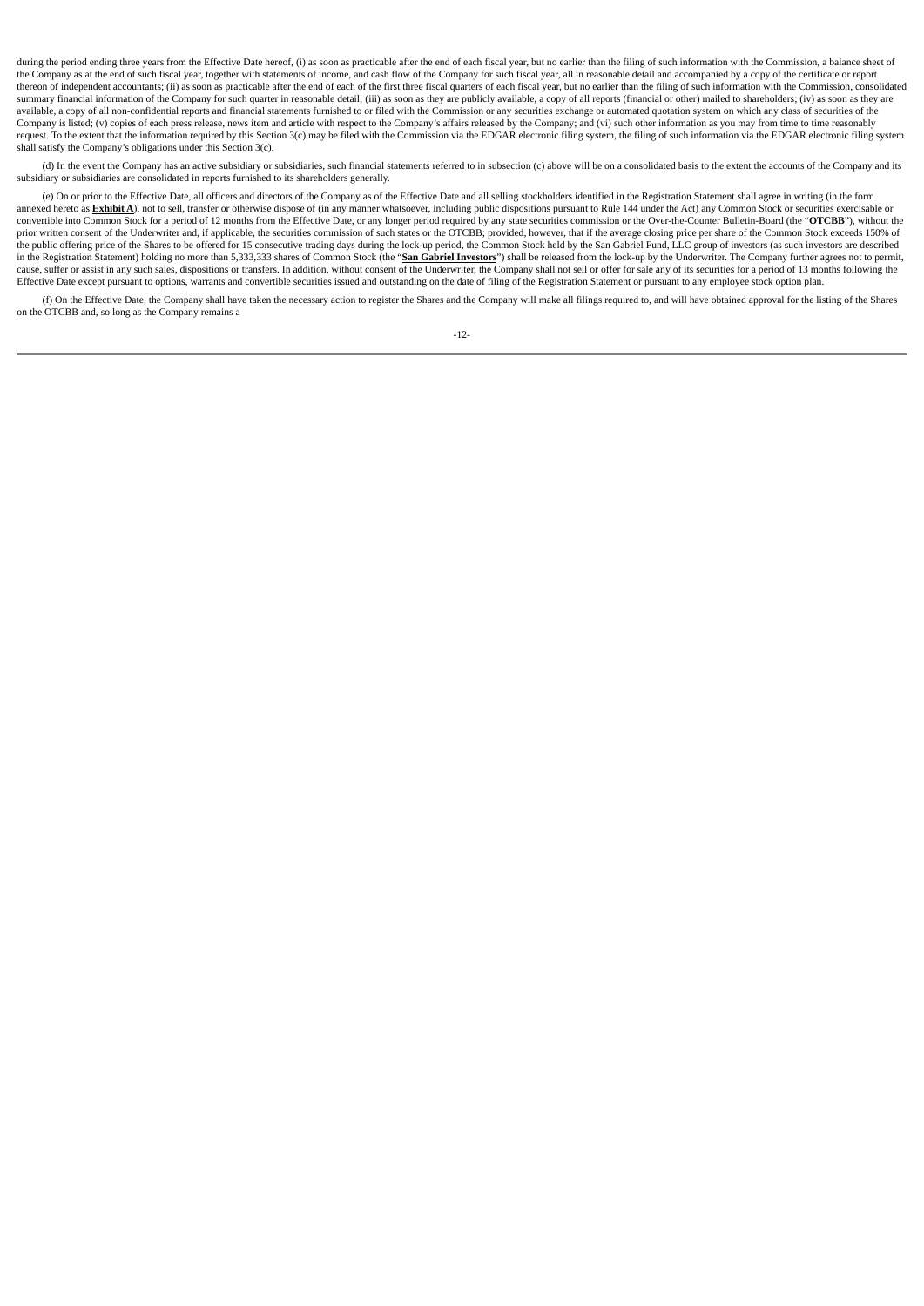during the period ending three years from the Effective Date hereof, (i) as soon as practicable after the end of each fiscal year, but no earlier than the filing of such information with the Commission, a balance sheet of the Company as at the end of such fiscal year, together with statements of income, and cash flow of the Company for such fiscal year, all in reasonable detail and accompanied by a copy of the certificate or report thereon of independent accountants; (ii) as soon as practicable after the end of each of the first three fiscal quarters of each fiscal year, but no earlier than the filing of such information with the Commission, consolid summary financial information of the Company for such quarter in reasonable detail; (iii) as soon as they are publicly available, a copy of all reports (financial or other) mailed to shareholders; (iv) as soon as they are available, a copy of all non-confidential reports and financial statements furnished to or filed with the Commission or any securities exchange or automated quotation system on which any class of securities of the Company is listed; (v) copies of each press release, news item and article with respect to the Company's affairs released by the Company; and (vi) such other information as you may from time to time reasonably request. To the extent that the information required by this Section 3(c) may be filed with the Commission via the EDGAR electronic filing system, the filing of such information via the EDGAR electronic filing system shall satisfy the Company's obligations under this Section 3(c).

(d) In the event the Company has an active subsidiary or subsidiaries, such financial statements referred to in subsection (c) above will be on a consolidated basis to the extent the accounts of the Company and its subsidiary or subsidiaries are consolidated in reports furnished to its shareholders generally.

(e) On or prior to the Effective Date, all officers and directors of the Company as of the Effective Date and all selling stockholders identified in the Registration Statement shall agree in writing (in the form annexed hereto as Exhibit A), not to sell, transfer or otherwise dispose of (in any manner whatsoever, including public dispositions pursuant to Rule 144 under the Act) any Common Stock or securities exercisable or convertible into Common Stock for a period of 12 months from the Effective Date, or any longer period required by any state securities commission or the Over-the-Counter Bulletin-Board (the "**OTCBB**"), without the prior written consent of the Underwriter and, if applicable, the securities commission of such states or the OTCBB; provided, however, that if the average closing price per share of the Common Stock exceeds 150% of the public offering price of the Shares to be offered for 15 consecutive trading days during the lock-up period, the Common Stock held by the San Gabriel Fund, LLC group of investors (as such investors are described<br>in the cause, suffer or assist in any such sales, dispositions or transfers. In addition, without consent of the Underwriter, the Company shall not sell or offer for sale any of its securities for a period of 13 months following Effective Date except pursuant to options, warrants and convertible securities issued and outstanding on the date of filing of the Registration Statement or pursuant to any employee stock option plan.

(f) On the Effective Date, the Company shall have taken the necessary action to register the Shares and the Company will make all filings required to, and will have obtained approval for the listing of the Shares on the OTCBB and, so long as the Company remains a

#### -12-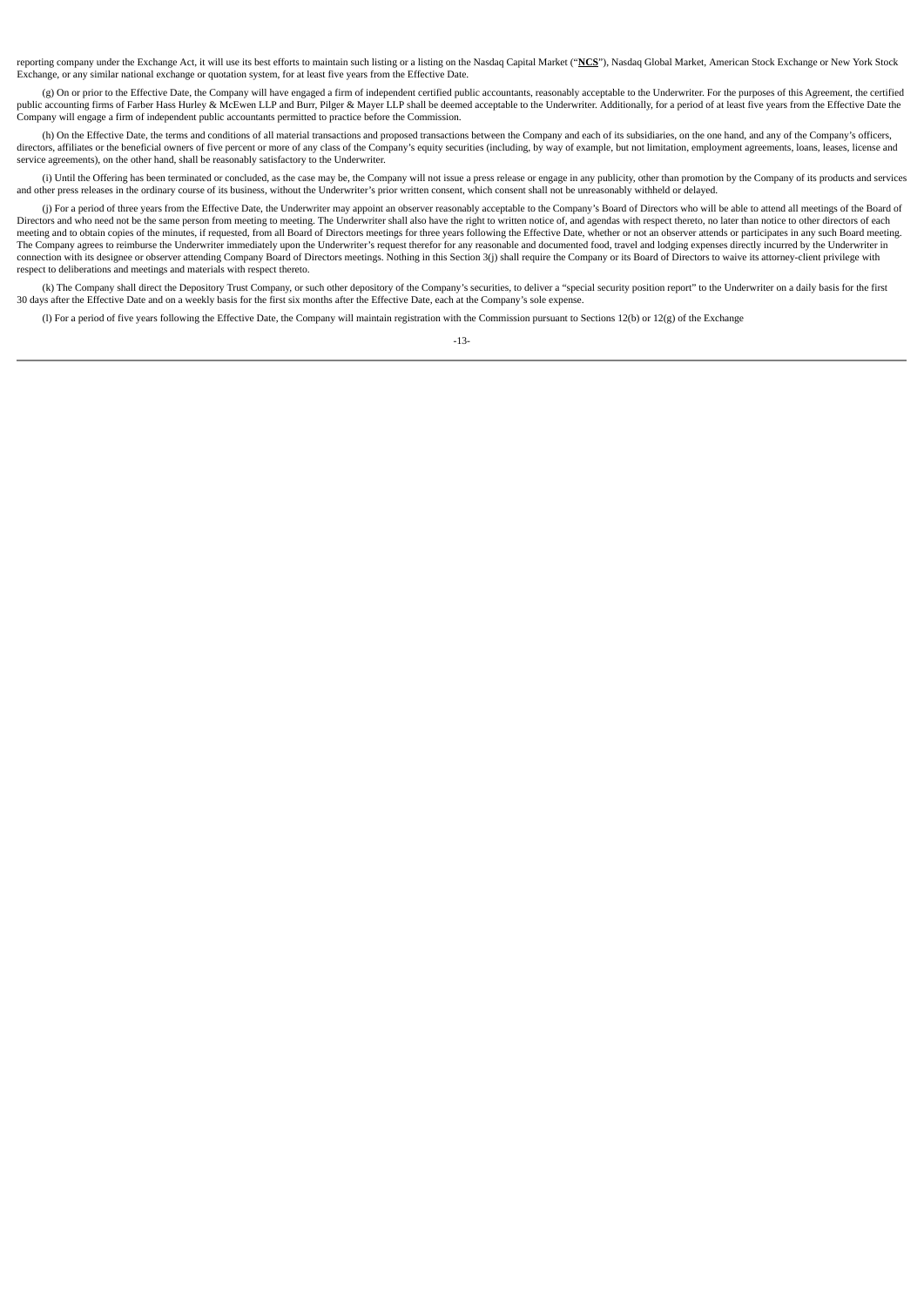reporting company under the Exchange Act, it will use its best efforts to maintain such listing or a listing on the Nasdaq Capital Market ("<mark>NCS</mark>"), Nasdaq Global Market, American Stock Exchange or New York Stock<br>Exchange,

g) On or prior to the Effective Date, the Company will have engaged a firm of independent certified public accountants, reasonably acceptable to the Underwriter. For the purposes of this Agreement, the certified public acc Company will engage a firm of independent public accountants permitted to practice before the Commission.

(h) On the Effective Date, the terms and conditions of all material transactions and proposed transactions between the Company and each of its subsidiaries, on the one hand, and any of the Company's officers, directors, affiliates or the beneficial owners of five percent or more of any class of the Company's equity securities (including, by way of example, but not limitation, employment agreements, loans, leases, license and service agreements), on the other hand, shall be reasonably satisfactory to the Underwriter.

(i) Until the Offering has been terminated or concluded, as the case may be, the Company will not issue a press release or engage in any publicity, other than promotion by the Company of its products and services and other press releases in the ordinary course of its business, without the Underwriter's prior written consent, which consent shall not be unreasonably withheld or delayed.

(j) For a period of three years from the Effective Date, the Underwriter may appoint an observer reasonably acceptable to the Company's Board of Directors who will be able to attend all meetings of the Board of Directors and who need not be the same person from meeting to meeting. The Underwriter shall also have the right to written notice of, and agendas with respect thereto, no later than notice to other directors of each meeting and to obtain copies of the minutes, if requested, from all Board of Directors meetings for three years following the Effective Date, whether or not an observer attends or participates in any such Board meeting. The Company agrees to reimburse the Underwriter immediately upon the Underwriter's request therefor for any reasonable and documented food, travel and lodging expenses directly incurred by the Underwriter in connection with its designee or observer attending Company Board of Directors meetings. Nothing in this Section 3(j) shall require the Company or its Board of Directors to waive its attorney-client privilege with respect to deliberations and meetings and materials with respect thereto.

(k) The Company shall direct the Depository Trust Company, or such other depository of the Company's securities, to deliver a "special security position report" to the Underwriter on a daily basis for the first six months

(l) For a period of five years following the Effective Date, the Company will maintain registration with the Commission pursuant to Sections 12(b) or 12(g) of the Exchange

-13-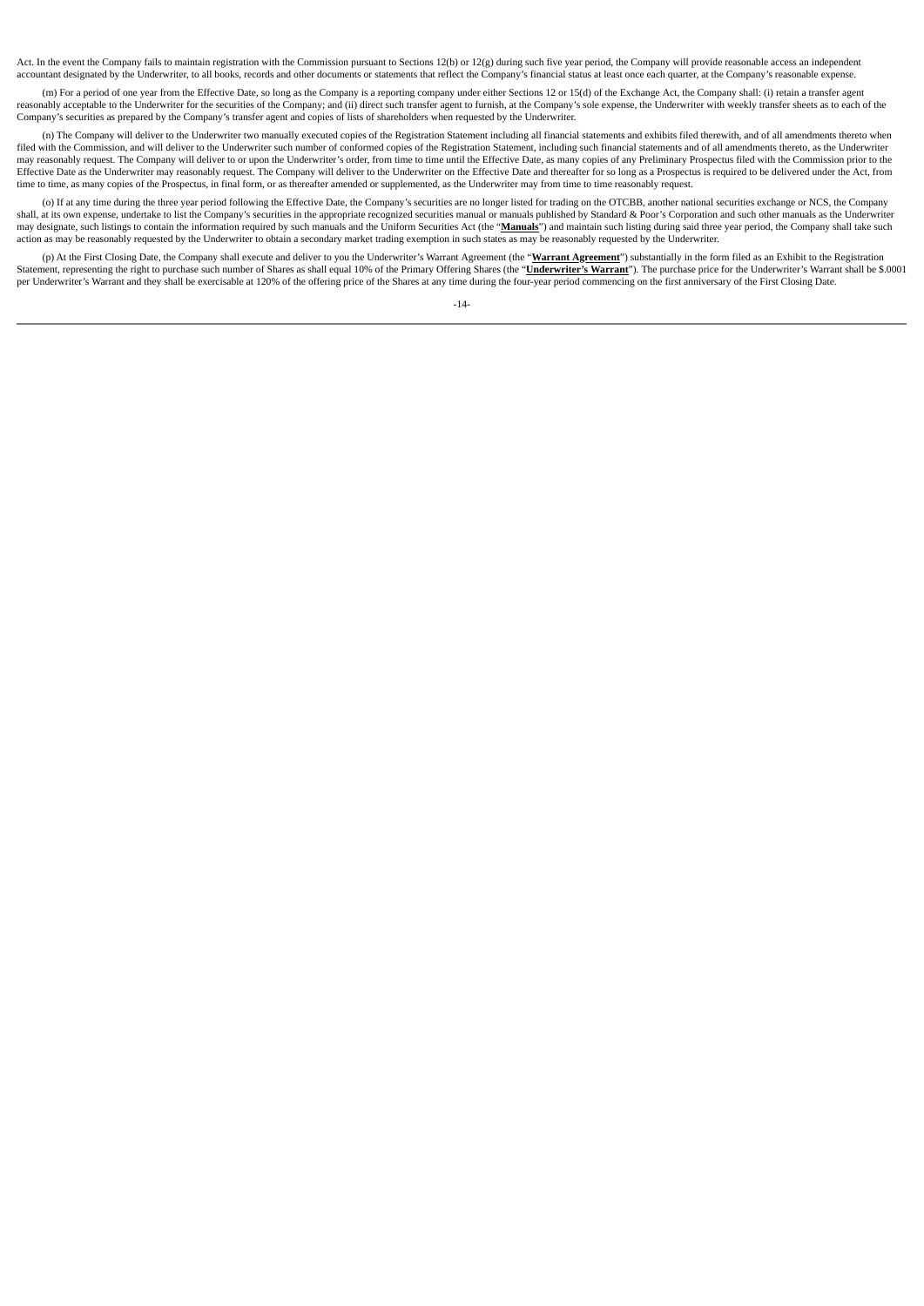Act. In the event the Company fails to maintain registration with the Commission pursuant to Sections 12(b) or 12(g) during such five year period, the Company will provide reasonable access an independent<br>accountant design

m) For a period of one year from the Effective Date, so long as the Company is a reporting company under either Sections 12 or 15(d) of the Exchange Act, the Company shall: (i) retain a transfer agent to furnish, at the Co Company's securities as prepared by the Company's transfer agent and copies of lists of shareholders when requested by the Underwriter.

(n) The Company will deliver to the Underwriter two manually executed copies of the Registration Statement including all financial statements and exhibits filed therewith, and of all amendments thereto when filed with the Commission, and will deliver to the Underwriter such number of conformed copies of the Registration Statement, including such financial statements and of all amendments thereto, as the Underwriter may reasonably request. The Company will deliver to or upon the Underwriter's order, from time to time until the Effective Date, as many copies of any Preliminary Prospectus filed with the Commission prior to the Effective Date as the Underwriter may reasonably request. The Company will deliver to the Underwriter on the Effective Date and thereafter for so long as a Prospectus is required to be delivered under the Act, from time to time, as many copies of the Prospectus, in final form, or as thereafter amended or supplemented, as the Underwriter may from time to time reasonably request.

(o) If at any time during the three year period following the Effective Date, the Company's securities are no longer listed for trading on the OTCBB, another national securities exchange or NCS, the Company shall, at its own expense, undertake to list the Company's securities in the appropriate recognized securities manual or manuals published by Standard & Poor's Corporation and such other manuals as the Underwriter<br>may desi action as may be reasonably requested by the Underwriter to obtain a secondary market trading exemption in such states as may be reasonably requested by the Underwriter.

(p) At the First Closing Date, the Company shall execute and deliver to you the Underwriter's Warrant Agreement (the "**Warrant Agreement**") substantially in the form filed as an Exhibit to the Registration Statement, representing the right to purchase such number of Shares as shall equal 10% of the Primary Offering Shares (the "Underwriter's Warrant"). The purchase price for the Underwriter's Warrant thall be \$.0001 per Underwriter's Warrant and they shall be exercisable at 120% of the offering price of the Shares at any time during the four-year period commencing on the first anniversary of the First Closing Date.

-14-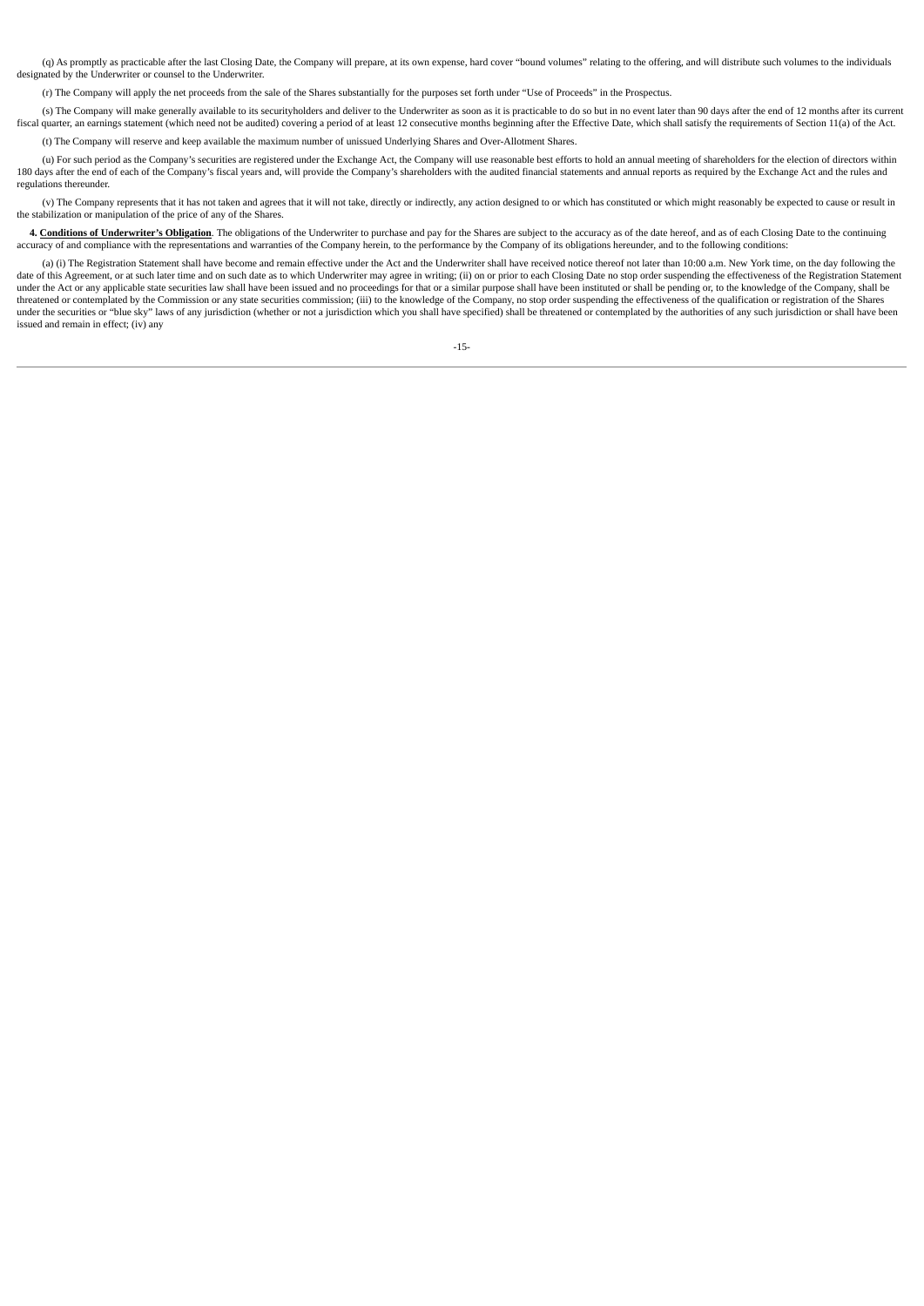(q) As promptly as practicable after the last Closing Date, the Company will prepare, at its own expense, hard cover "bound volumes" relating to the offering, and will distribute such volumes to the individuals designated by the Underwriter or counsel to the Underwriter.

(r) The Company will apply the net proceeds from the sale of the Shares substantially for the purposes set forth under "Use of Proceeds" in the Prospectus.

(s) The Company will make generally available to its securityholders and deliver to the Underwriter as soon as it is practicable to do so but in no event later than 90 days after the end of 12 months after its current fiscal quarter, an earnings statement (which need not be audited) covering a period of at least 12 consecutive months beginning after the Effective Date, which shall satisfy the requirements of Section 11(a) of the Act.

(t) The Company will reserve and keep available the maximum number of unissued Underlying Shares and Over-Allotment Shares.

(u) For such period as the Company's securities are registered under the Exchange Act, the Company will use reasonable best efforts to hold an annual meeting of shareholders for the election of directors within 180 days after the end of each of the Company's fiscal years and, will provide the Company's shareholders with the audited financial statements and annual reports as required by the Exchange Act and the rules and regulations thereunder.

(v) The Company represents that it has not taken and agrees that it will not take, directly or indirectly, any action designed to or which has constituted or which might reasonably be expected to cause or result in the stabilization or manipulation of the price of any of the Shares.

4. Conditions of Underwriter's Obligation. The obligations of the Underwriter to purchase and pay for the Shares are subject to the accuracy as of the date hereof, and as of each Closing Date to the continuing accuracy of and compliance with the representations and warranties of the Company herein, to the performance by the Company of its obligations hereunder, and to the following conditions:

(a) (i) The Registration Statement shall have become and remain effective under the Act and the Underwriter shall have received notice thereof not later than 10:00 a.m. New York time, on the day following the date of this Agreement, or at such later time and on such date as to which Underwriter may agree in writing; (ii) on or prior to each Closing Date no stop order suspending the effectiveness of the Registration Statement under the Act or any applicable state securities law shall have been issued and no proceedings for that or a similar purpose shall have been instituted or shall be pending or, to the knowledge of the Company, shall be threatened or contemplated by the Commission or any state securities commission; (iii) to the knowledge of the Company, no stop order suspending the effectiveness of the qualification or registration of the Shares under the securities or "blue sky" laws of any jurisdiction (whether or not a jurisdiction which you shall have specified) shall be threatened or contemplated by the authorities of any such jurisdiction or shall have been issued and remain in effect; (iv) any

-15-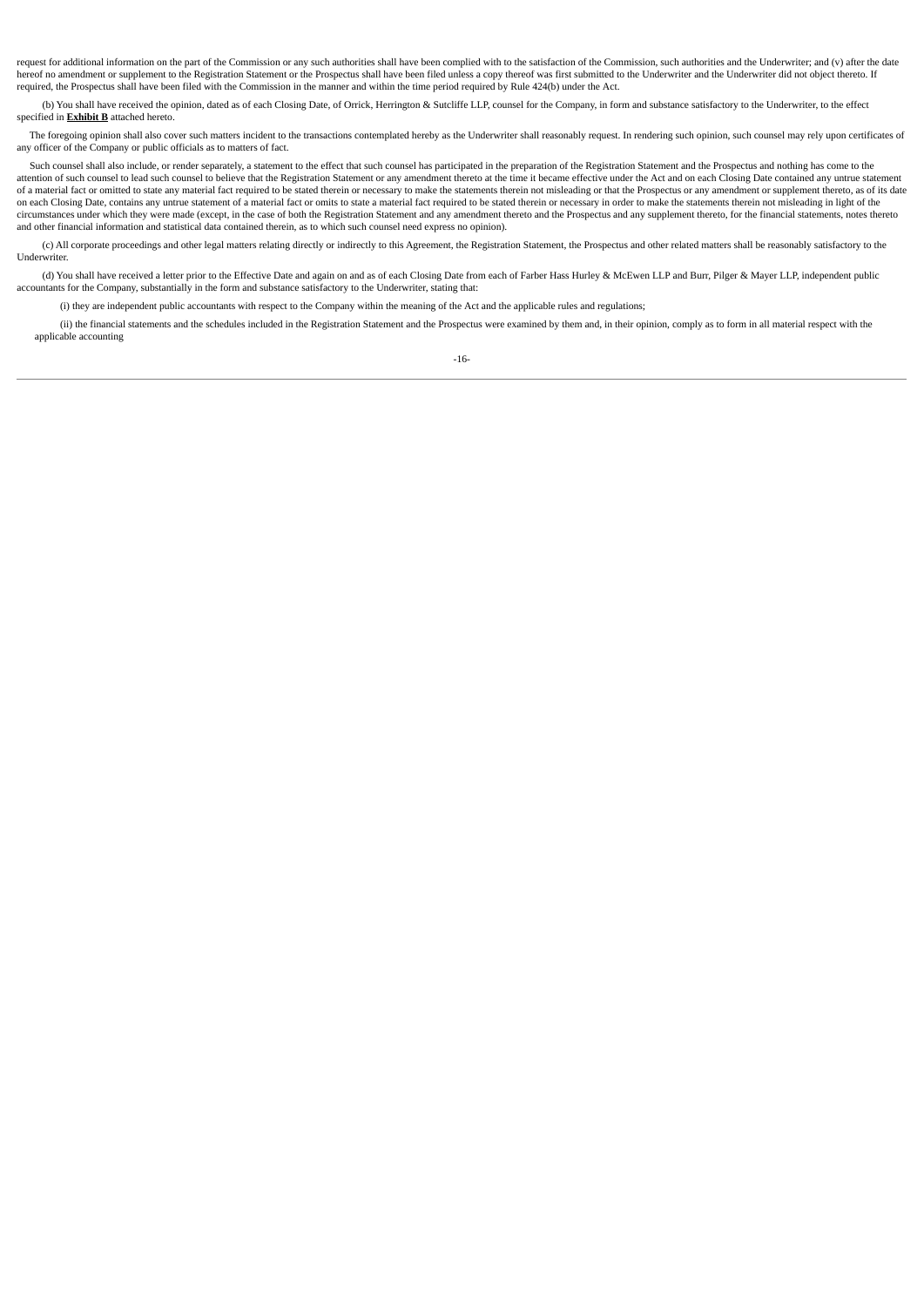request for additional information on the part of the Commission or any such authorities shall have been complied with to the satisfaction of the Commission, such authorities and the Underwriter; and (v) after the date hereof no amendment or supplement to the Registration Statement or the Prospectus shall have been filed unless a copy thereof was first submitted to the Underwriter and the Underwriter did not object thereto. If required, the Prospectus shall have been filed with the Commission in the manner and within the time period required by Rule 424(b) under the Act.

(b) You shall have received the opinion, dated as of each Closing Date, of Orrick, Herrington & Sutcliffe LLP, counsel for the Company, in form and substance satisfactory to the Underwriter, to the effect specified in **Exhibit B** attached hereto.

The foregoing opinion shall also cover such matters incident to the transactions contemplated hereby as the Underwriter shall reasonably request. In rendering such opinion, such counsel may rely upon certificates of any officer of the Company or public officials as to matters of fact.

Such counsel shall also include, or render separately, a statement to the effect that such counsel has participated in the preparation of the Registration Statement and the Prospectus and nothing has come to the attention of such counsel to lead such counsel to believe that the Registration Statement or any amendment thereto at the time it became effective under the Act and on each Closing Date contained any untrue statement of a material fact or omitted to state any material fact required to be stated therein or necessary to make the statements therein not misleading or that the Prospectus or any amendment or supplement thereto, as of its date on each Closing Date, contains any untrue statement of a material fact or omits to state a material fact required to be stated therein or necessary in order to make the statements therein not misleading in light of the circumstances under which they were made (except, in the case of both the Registration Statement and any amendment thereto and the Prospectus and any supplement thereto, for the financial statements, notes thereto and other financial information and statistical data contained therein, as to which such counsel need express no opinion).

(c) All corporate proceedings and other legal matters relating directly or indirectly to this Agreement, the Registration Statement, the Prospectus and other related matters shall be reasonably satisfactory to the Underwriter.

(d) You shall have received a letter prior to the Effective Date and again on and as of each Closing Date from each of Farber Hass Hurley & McEwen LLP and Burr, Pilger & Mayer LLP, independent public accountants for the Company, substantially in the form and substance satisfactory to the Underwriter, stating that:

(i) they are independent public accountants with respect to the Company within the meaning of the Act and the applicable rules and regulations;

(ii) the financial statements and the schedules included in the Registration Statement and the Prospectus were examined by them and, in their opinion, comply as to form in all material respect with the applicable accounting

-16-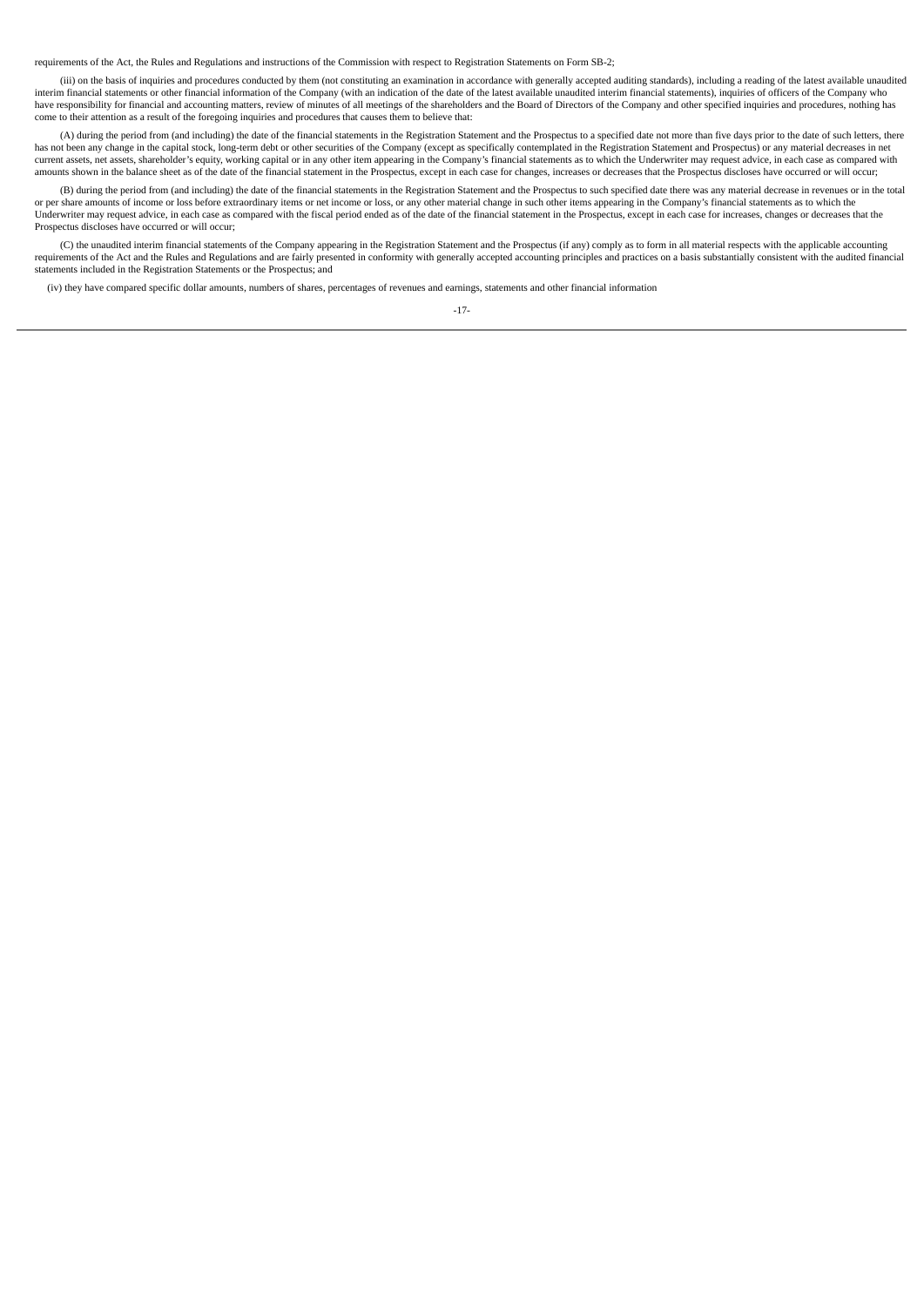requirements of the Act, the Rules and Regulations and instructions of the Commission with respect to Registration Statements on Form SB-2;

(iii) on the basis of inquiries and procedures conducted by them (not constituting an examination in accordance with generally accepted auditing standards), including a reading of the latest available unaudited interim financial statements or other financial information of the Company (with an indication of the date of the latest available unaudited interim financial statements), inquiries of officers of the Company who have responsibility for financial and accounting matters, review of minutes of all meetings of the shareholders and the Board of Directors of the Company and other specified inquiries and procedures, nothing has come to their attention as a result of the foregoing inquiries and procedures that causes them to believe that:

(A) during the period from (and including) the date of the financial statements in the Registration Statement and the Prospectus to a specified date not more than five days prior to the date of such letters, there has not been any change in the capital stock, long-term debt or other securities of the Company (except as specifically contemplated in the Registration Statement and Prospectus) or any material decreases in net current assets, net assets, shareholder's equity, working capital or in any other item appearing in the Company's financial statements as to which the Underwriter may request advice, in each case as compared with amounts shown in the balance sheet as of the date of the financial statement in the Prospectus, except in each case for changes, increases or decreases that the Prospectus discloses have occurred or will occur;

(B) during the period from (and including) the date of the financial statements in the Registration Statement and the Prospectus to such specified date there was any material decrease in revenues or in the total or per share amounts of income or loss before extraordinary items or net income or loss, or any other material change in such other items appearing in the Company's financial statements as to which the Underwriter may request advice, in each case as compared with the fiscal period ended as of the date of the financial statement in the Prospectus, except in each case for increases, changes or decreases that the Prospectus discloses have occurred or will occur;

(C) the unaudited interim financial statements of the Company appearing in the Registration Statement and the Prospectus (if any) comply as to form in all material respects with the applicable accounting requirements of th statements included in the Registration Statements or the Prospectus; and

(iv) they have compared specific dollar amounts, numbers of shares, percentages of revenues and earnings, statements and other financial information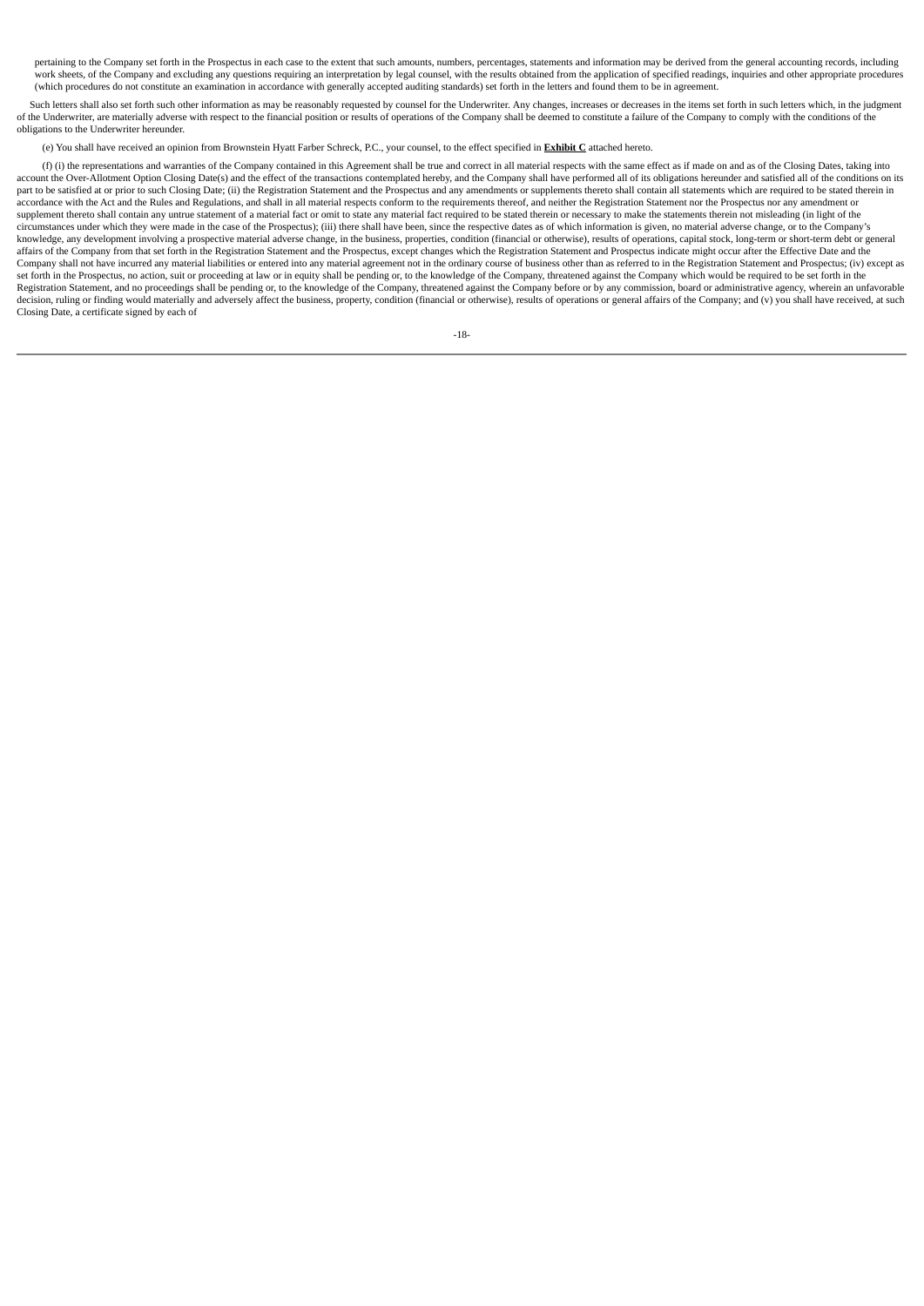pertaining to the Company set forth in the Prospectus in each case to the extent that such amounts, numbers, percentages, statements and information may be derived from the general accounting records, including work sheets, of the Company and excluding any questions requiring an interpretation by legal counsel, with the results obtained from the application of specified readings, inquiries and other appropriate procedures (which procedures do not constitute an examination in accordance with generally accepted auditing standards) set forth in the letters and found them to be in agreement.

Such letters shall also set forth such other information as may be reasonably requested by counsel for the Underwriter. Any changes, increases or decreases in the items set forth in such letters which, in the judgment of the Underwriter, are materially adverse with respect to the financial position or results of operations of the Company shall be deemed to constitute a failure of the Company to comply with the conditions of the obligations to the Underwriter hereunder.

(e) You shall have received an opinion from Brownstein Hyatt Farber Schreck, P.C., your counsel, to the effect specified in **Exhibit C** attached hereto.

(f) (i) the representations and warranties of the Company contained in this Agreement shall be true and correct in all material respects with the same effect as if made on and as of the Closing Dates, taking into account the Over-Allotment Option Closing Date(s) and the effect of the transactions contemplated hereby, and the Company shall have performed all of its obligations hereunder and satisfied all of the conditions on its part to be satisfied at or prior to such Closing Date; (ii) the Registration Statement and the Prospectus and any amendments or supplements thereto shall contain all statements which are required to be stated therein in accordance with the Act and the Rules and Regulations, and shall in all material respects conform to the requirements thereof, and neither the Registration Statement nor the Prospectus nor any amendment or supplement thereto shall contain any untrue statement of a material fact or omit to state any material fact required to be stated therein or necessary to make the statements therein not misleading (in light of the circumstances under which they were made in the case of the Prospectus); (iii) there shall have been, since the respective dates as of which information is given, no material adverse change, or to the Company's knowledge, any development involving a prospective material adverse change, in the business, properties, condition (financial or otherwise), results of operations, capital stock, long-term or short-term debt or general affairs of the Company from that set forth in the Registration Statement and the Prospectus, except changes which the Registration Statement and Prospectus indicate might occur after the Effective Date and the Company shall not have incurred any material liabilities or entered into any material agreement not in the ordinary course of business other than as referred to in the Registration Statement and Prospectus; (iv) except as set forth in the Prospectus, no action, suit or proceeding at law or in equity shall be pending or, to the knowledge of the Company, threatened against the Company which would be required to be set forth in the Registration Statement, and no proceedings shall be pending or, to the knowledge of the Company, threatened against the Company before or by any commission, board or administrative agency, wherein an unfavorable decision, ruling or finding would materially and adversely affect the business, property, condition (financial or otherwise), results of operations or general affairs of the Company; and (v) you shall have received, at suc Closing Date, a certificate signed by each of

|  | × |  |
|--|---|--|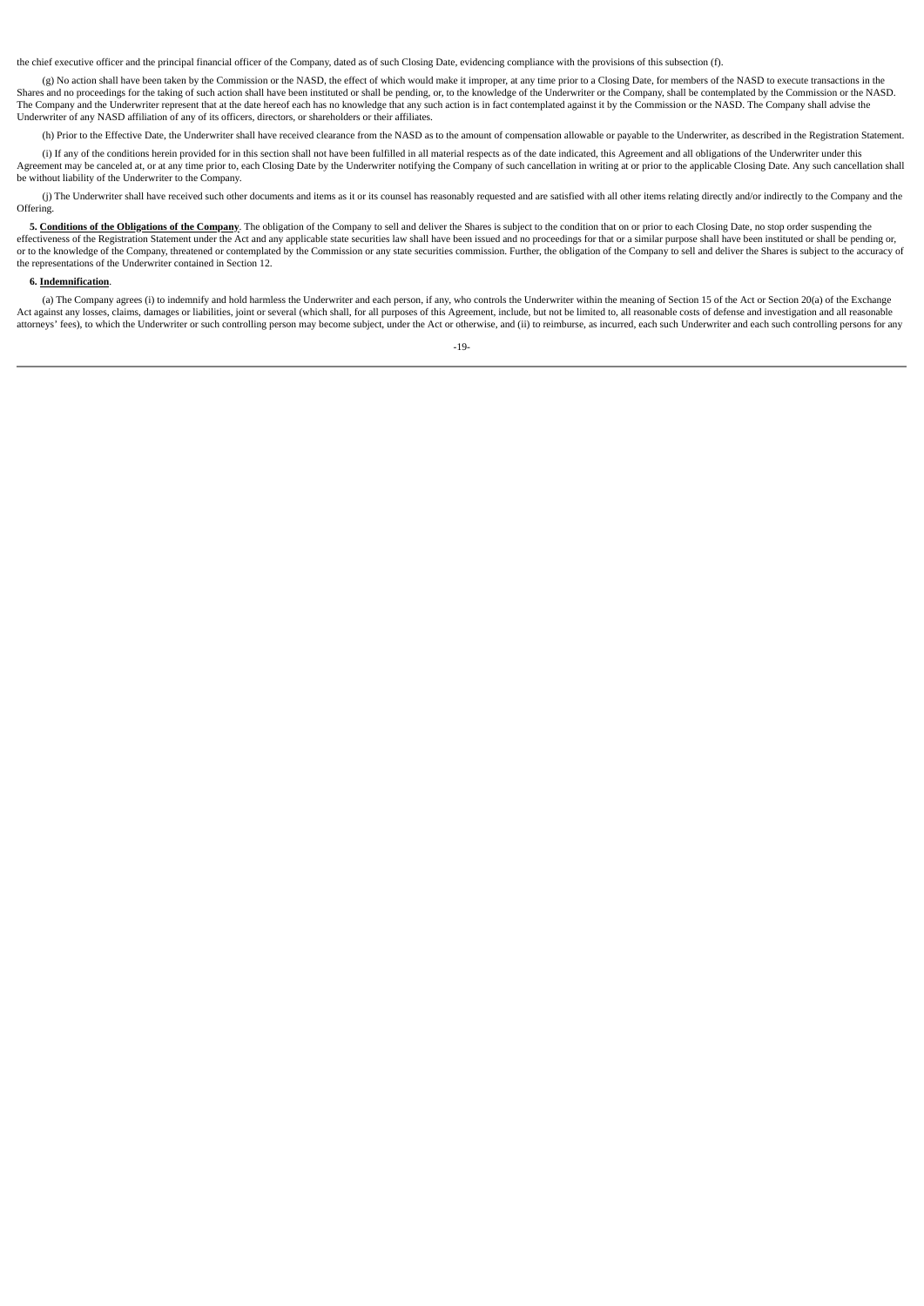the chief executive officer and the principal financial officer of the Company, dated as of such Closing Date, evidencing compliance with the provisions of this subsection (f).

(g) No action shall have been taken by the Commission or the NASD, the effect of which would make it improper, at any time prior to a Closing Date, for members of the NASD to execute transactions in the Shares and no proceedings for the taking of such action shall have been instituted or shall be pending, or, to the knowledge of the Underwriter or the Company, shall be contemplated by the Commission or the NASD. The Company and the Underwriter represent that at the date hereof each has no knowledge that any such action is in fact contemplated against it by the Commission or the NASD. The Company shall advise the Underwriter of any NASD affiliation of any of its officers, directors, or shareholders or their affiliates.

(h) Prior to the Effective Date, the Underwriter shall have received clearance from the NASD as to the amount of compensation allowable or payable to the Underwriter, as described in the Registration Statement.

(i) If any of the conditions herein provided for in this section shall not have been fulfilled in all material respects as of the date indicated, this Agreement and all obligations of the Underwriter under this Agreement may be canceled at, or at any time prior to, each Closing Date by the Underwriter notifying the Company of such cancellation in writing at or prior to the applicable Closing Date. Any such cancellation shall be without liability of the Underwriter to the Company.

(j) The Underwriter shall have received such other documents and items as it or its counsel has reasonably requested and are satisfied with all other items relating directly and/or indirectly to the Company and the Offering.

5. Conditions of the Obligations of the Company. The obligation of the Company to sell and deliver the Shares is subject to the condition that on or prior to each Closing Date, no stop order suspending the effectiveness of the Registration Statement under the Act and any applicable state securities law shall have been issued and no proceedings for that or a similar purpose shall have been instituted or shall be pending or, or to the knowledge of the Company, threatened or contemplated by the Commission or any state securities commission. Further, the obligation of the Company to sell and deliver the Shares is subject to the accuracy of the representations of the Underwriter contained in Section 12.

#### **6. Indemnification**.

(a) The Company agrees (i) to indemnify and hold harmless the Underwriter and each person, if any, who controls the Underwriter within the meaning of Section 15 of the Act or Section 20(a) of the Exchange Act against any losses, claims, damages or liabilities, joint or several (which shall, for all purposes of this Agreement, include, but not be limited to, all reasonable costs of defense and investigation and all reasonable attorneys' fees), to which the Underwriter or such controlling person may become subject, under the Act or otherwise, and (ii) to reimburse, as incurred, each such Underwriter and each such controlling persons for any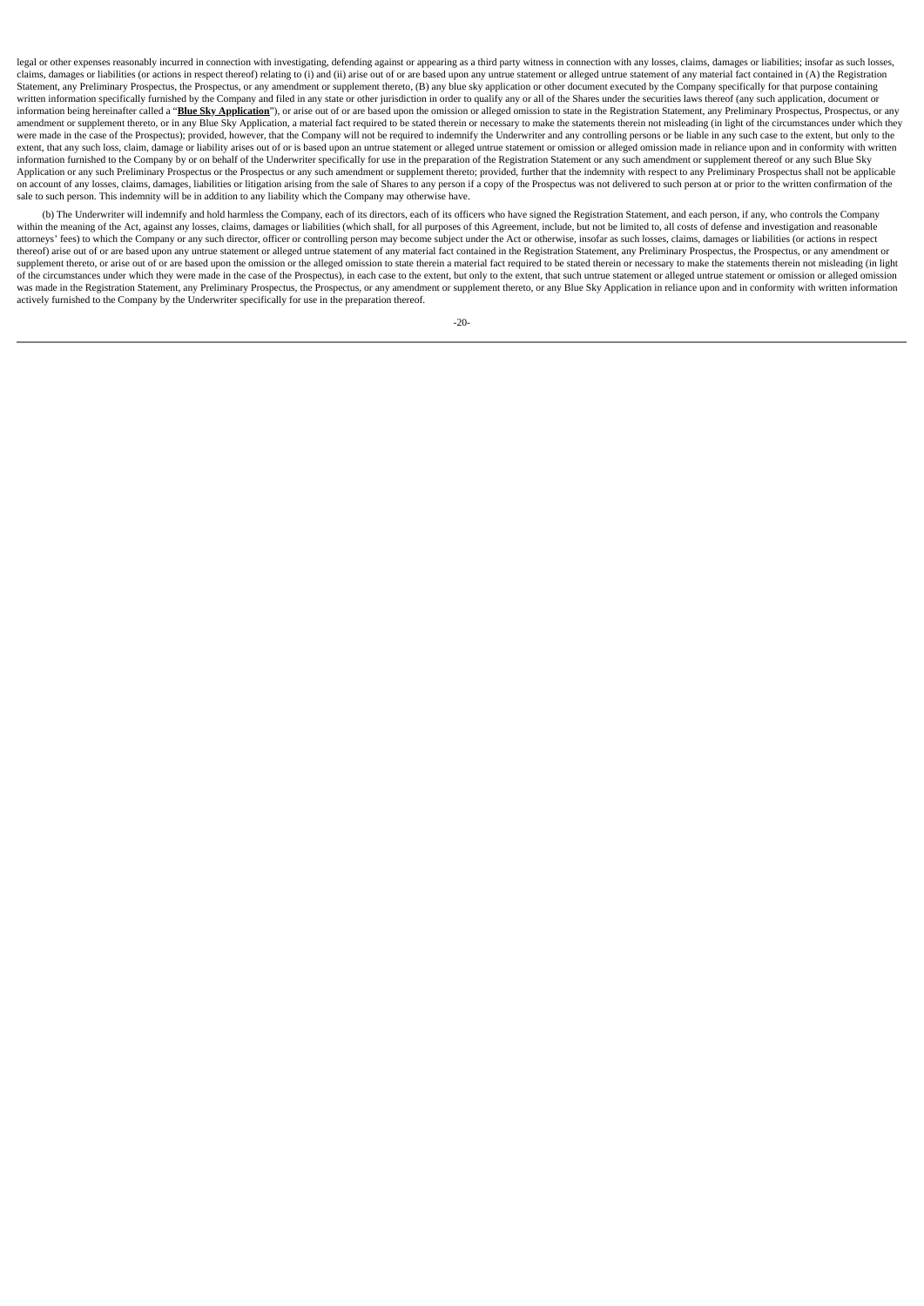legal or other expenses reasonably incurred in connection with investigating, defending against or appearing as a third party witness in connection with any losses, claims, damages or liabilities; insofar as such losses,<br>c Statement, any Preliminary Prospectus, the Prospectus, or any amendment or supplement thereto, (B) any blue sky application or other document executed by the Company specifically for that purpose containing written information specifically furnished by the Company and filed in any state or other jurisdiction in order to qualify any or all of the Shares under the securities laws thereof (any such application, document or information being hereinafter called a "Blue Sky Application"), or arise out of or are based upon the omission or alleged omission to state in the Registration Statement, any Preliminary Prospectus, Prospectus, or any amendment or supplement thereto, or in any Blue Sky Application, a material fact required to be stated therein or necessary to make the statements therein not misleading (in light of the circumstances under which they were made in the case of the Prospectus); provided, however, that the Company will not be required to indemnify the Underwriter and any controlling persons or be liable in any such case to the extent, but only to the extent, that any such loss, claim, damage or liability arises out of or is based upon an untrue statement or alleged untrue statement or omission or alleged omission made in reliance upon and in conformity with written information furnished to the Company by or on behalf of the Underwriter specifically for use in the preparation of the Registration Statement or any such amendment or supplement thereof or any such Blue Sky Application or any such Preliminary Prospectus or the Prospectus or any such amendment or supplement thereto; provided, further that the indemnity with respect to any Preliminary Prospectus shall not be applicable on account of any losses, claims, damages, liabilities or litigation arising from the sale of Shares to any person if a copy of the Prospectus was not delivered to such person at or prior to the written confirmation of the sale to such person. This indemnity will be in addition to any liability which the Company may otherwise have.

(b) The Underwriter will indemnify and hold harmless the Company, each of its directors, each of its officers who have signed the Registration Statement, and each person, if any, who controls the Company within the meaning of the Act, against any losses, claims, damages or liabilities (which shall, for all purposes of this Agreement, include, but not be limited to, all costs of defense and investigation and reasonable attorneys' fees) to which the Company or any such director, officer or controlling person may become subject under the Act or otherwise, insofar as such losses, claims, damages or liabilities (or actions in respect thereof) arise out of or are based upon any untrue statement or alleged untrue statement of any material fact contained in the Registration Statement, any Preliminary Prospectus, the Prospectus, or any amendment or supplement thereto, or arise out of or are based upon the omission or the alleged omission to state therein a material fact required to be stated therein or necessary to make the statements therein not misleading (in light of the circumstances under which they were made in the case of the Prospectus), in each case to the extent, but only to the extent, that such untrue statement or alleged untrue statement or omission or alleged omission was made in the Registration Statement, any Preliminary Prospectus, the Prospectus, or any amendment or supplement thereto, or any Blue Sky Application in reliance upon and in conformity with written information actively furnished to the Company by the Underwriter specifically for use in the preparation thereof.

-20-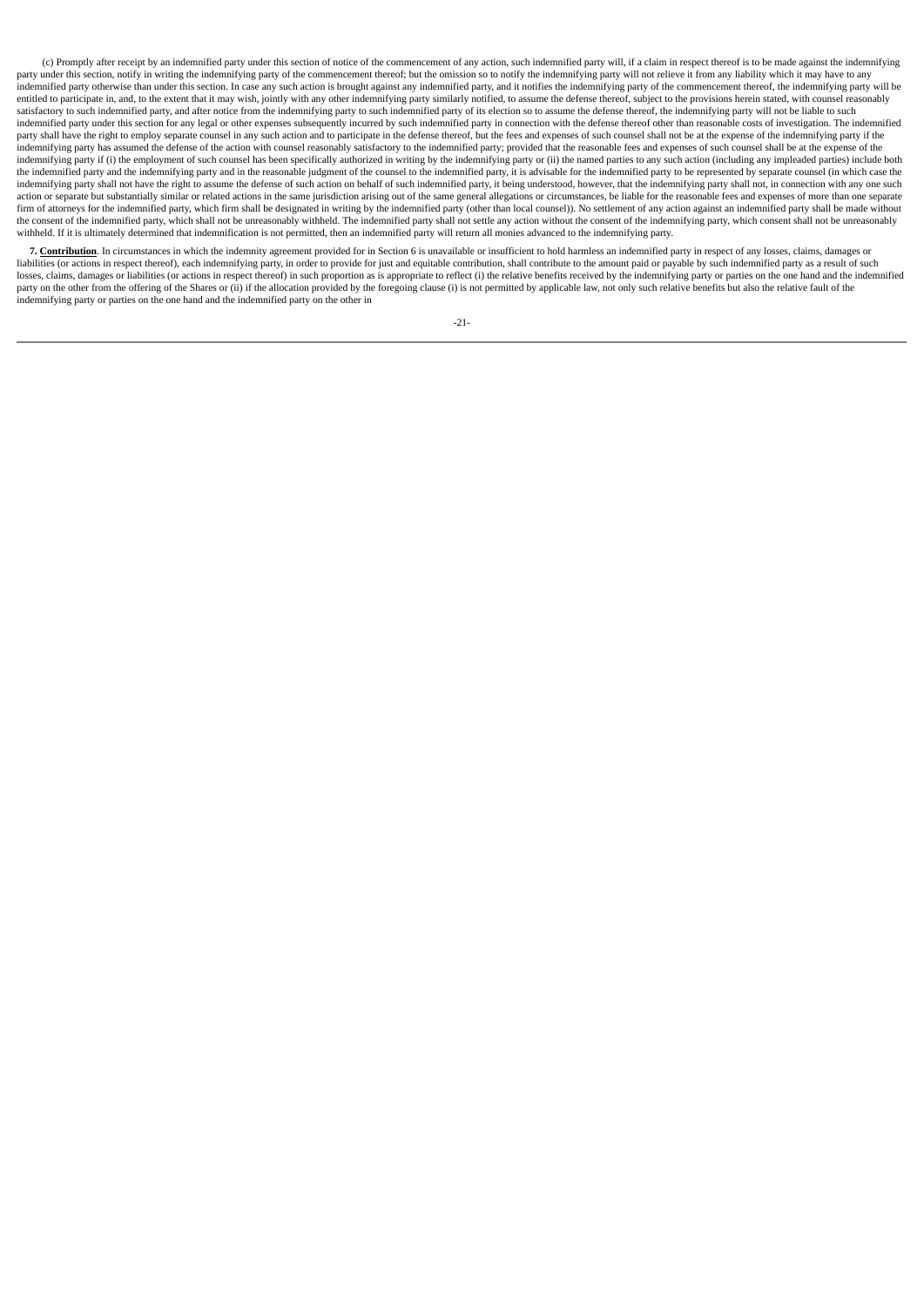(c) Promptly after receipt by an indemnified party under this section of notice of the commencement of any action, such indemnified party will, if a claim in respect thereof is to be made against the indemnifying party under this section, notify in writing the indemnifying party of the commencement thereof; but the omission so to notify the indemnifying party will not relieve it from any liability which it may have to any indemnified party otherwise than under this section. In case any such action is brought against any indemnified party, and it notifies the indemnifying party of the commencement thereof, the indemnifying party will be entitled to participate in, and, to the extent that it may wish, jointly with any other indemnifying party similarly notified, to assume the defense thereof, subject to the provisions herein stated, with counsel reasonably satisfactory to such indemnified party, and after notice from the indemnifying party to such indemnified party of its election so to assume the defense thereof, the indemnifying party will not be liable to such indemnified party under this section for any legal or other expenses subsequently incurred by such indemnified party in connection with the defense thereof other than reasonable costs of investigation. The indemnified party shall have the right to employ separate counsel in any such action and to participate in the defense thereof, but the fees and expenses of such counsel shall not be at the expense of the indemnifying party if the indemnifying party has assumed the defense of the action with counsel reasonably satisfactory to the indemnified party; provided that the reasonable fees and expenses of such counsel shall be at the expense of the indemnifying party if (i) the employment of such counsel has been specifically authorized in writing by the indemnifying party or (ii) the named parties to any such action (including any impleaded parties) include both the indemnified party and the indemnifying party and in the reasonable judgment of the counsel to the indemnified party, it is advisable for the indemnified party to be represented by separate counsel (in which case the indemnifying party shall not have the right to assume the defense of such action on behalf of such indemnified party, it being understood, however, that the indemnifying party shall not, in connection with any one such act action or separate but substantially similar or related actions in the same jurisdiction arising out of the same general allegations or circumstances, be liable for the reasonable fees and expenses of more than one separate firm of attorneys for the indemnified party, which firm shall be designated in writing by the indemnified party (other than local counsel)). No settlement of any action against an indemnified party shall be made without the consent of the indemnified party, which shall not be unreasonably withheld. The indemnified party shall not settle any action without the consent of the indemnifying party, which consent shall not be unreasonably withheld. If it is ultimately determined that indemnification is not permitted, then an indemnified party will return all monies advanced to the indemnifying party.

7. Contribution. In circumstances in which the indemnity agreement provided for in Section 6 is unavailable or insufficient to hold harmless an indemnified party in respect of any losses, claims, damages or liabilities (or actions in respect thereof), each indemnifying party, in order to provide for just and equitable contribution, shall contribute to the amount paid or payable by such indemnified party as a result of such losses, claims, damages or liabilities (or actions in respect thereof) in such proportion as is appropriate to reflect (i) the relative benefits received by the indemnifying party or parties on the one hand and the indemni party on the other from the offering of the Shares or (ii) if the allocation provided by the foregoing clause (i) is not permitted by applicable law, not only such relative benefits but also the relative fault of the<br>indem

-21-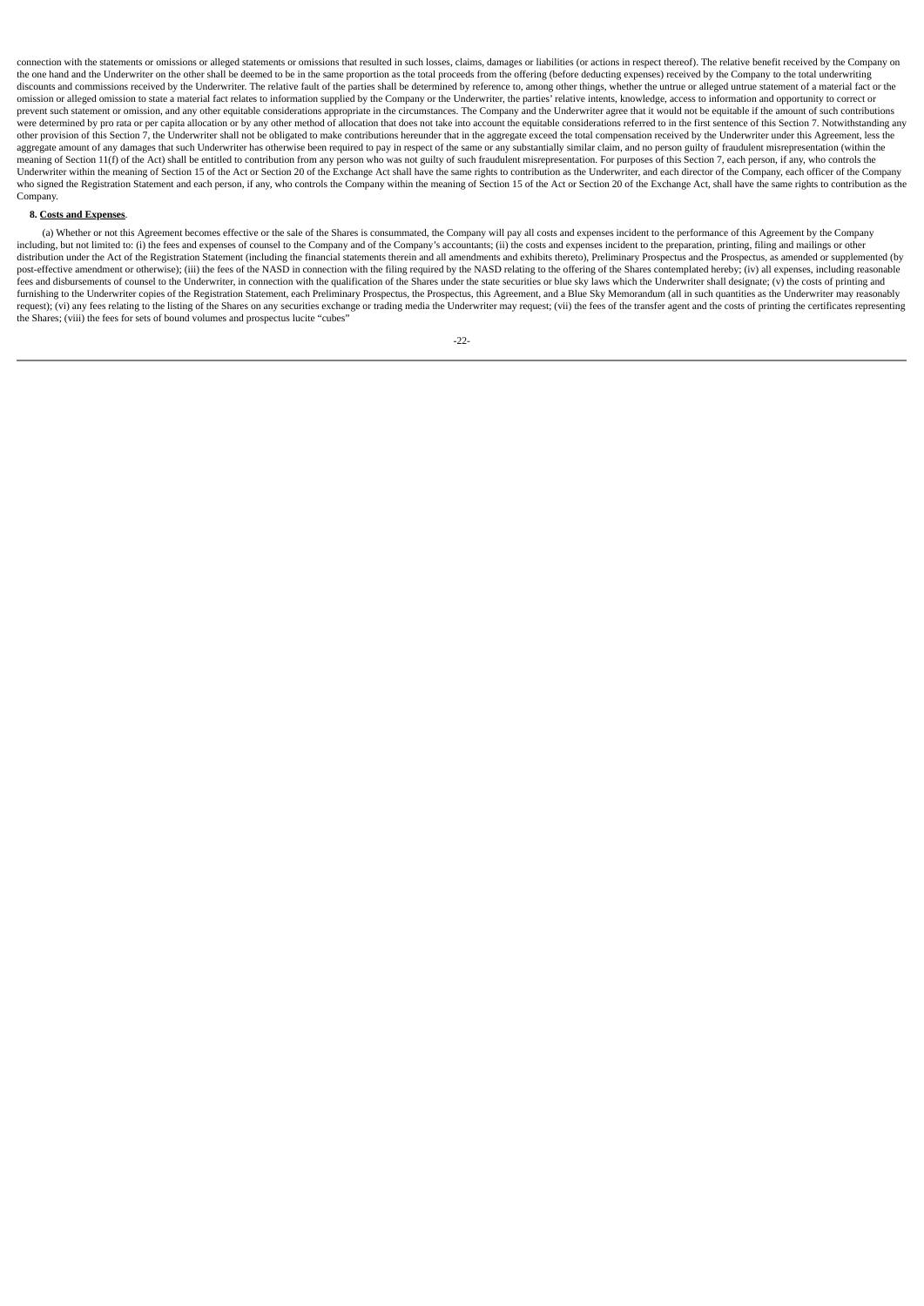connection with the statements or omissions or alleged statements or omissions that resulted in such losses, claims, damages or liabilities (or actions in respect thereof). The relative benefit received by the Company on the one hand and the Underwriter on the other shall be deemed to be in the same proportion as the total proceeds from the offering (before deducting expenses) received by the Company to the total underwriting discounts and commissions received by the Underwriter. The relative fault of the parties shall be determined by reference to, among other things, whether the untrue or alleged untrue statement of a material fact or the omission or alleged omission to state a material fact relates to information supplied by the Company or the Underwriter, the parties' relative intents, knowledge, access to information and opportunity to correct or prevent such statement or omission, and any other equitable considerations appropriate in the circumstances. The Company and the Underwriter agree that it would not be equitable if the amount of such contributions were determined by pro rata or per capita allocation or by any other method of allocation that does not take into account the equitable considerations referred to in the first sentence of this Section 7. Notwithstanding any other provision of this Section 7, the Underwriter shall not be obligated to make contributions hereunder that in the aggregate exceed the total compensation received by the Underwriter under this Agreement, less the aggregate amount of any damages that such Underwriter has otherwise been required to pay in respect of the same or any substantially similar claim, and no person guilty of fraudulent misrepresentation (within the meaning of Section 11(f) of the Act) shall be entitled to contribution from any person who was not guilty of such fraudulent misrepresentation. For purposes of this Section 7, each person, if any, who controls the Underwriter within the meaning of Section 15 of the Act or Section 20 of the Exchange Act shall have the same rights to contribution as the Underwriter, and each director of the Company, each officer of the Company<br>who sig Company.

#### **8. Costs and Expenses**.

(a) Whether or not this Agreement becomes effective or the sale of the Shares is consummated, the Company will pay all costs and expenses incident to the performance of this Agreement by the Company including, but not limited to: (i) the fees and expenses of counsel to the Company and of the Company's accountants; (ii) the costs and expenses incident to the preparation, printing, filing and mailings or other distribution under the Act of the Registration Statement (including the financial statements therein and all amendments and exhibits thereto), Preliminary Prospectus and the Prospectus, as amended or supplemented (by post-effective amendment or otherwise); (iii) the fees of the NASD in connection with the filing required by the NASD relating to the offering of the Shares contemplated hereby; (iv) all expenses, including reasonable fees and disbursements of counsel to the Underwriter, in connection with the qualification of the Shares under the state securities or blue sky laws which the Underwriter shall designate; (v) the costs of printing and furnishing to the Underwriter copies of the Registration Statement, each Preliminary Prospectus, the Prospectus, this Agreement, and a Blue Sky Memorandum (all in such quantities as the Underwriter may reasonably<br>request); the Shares; (viii) the fees for sets of bound volumes and prospectus lucite "cubes"

-22-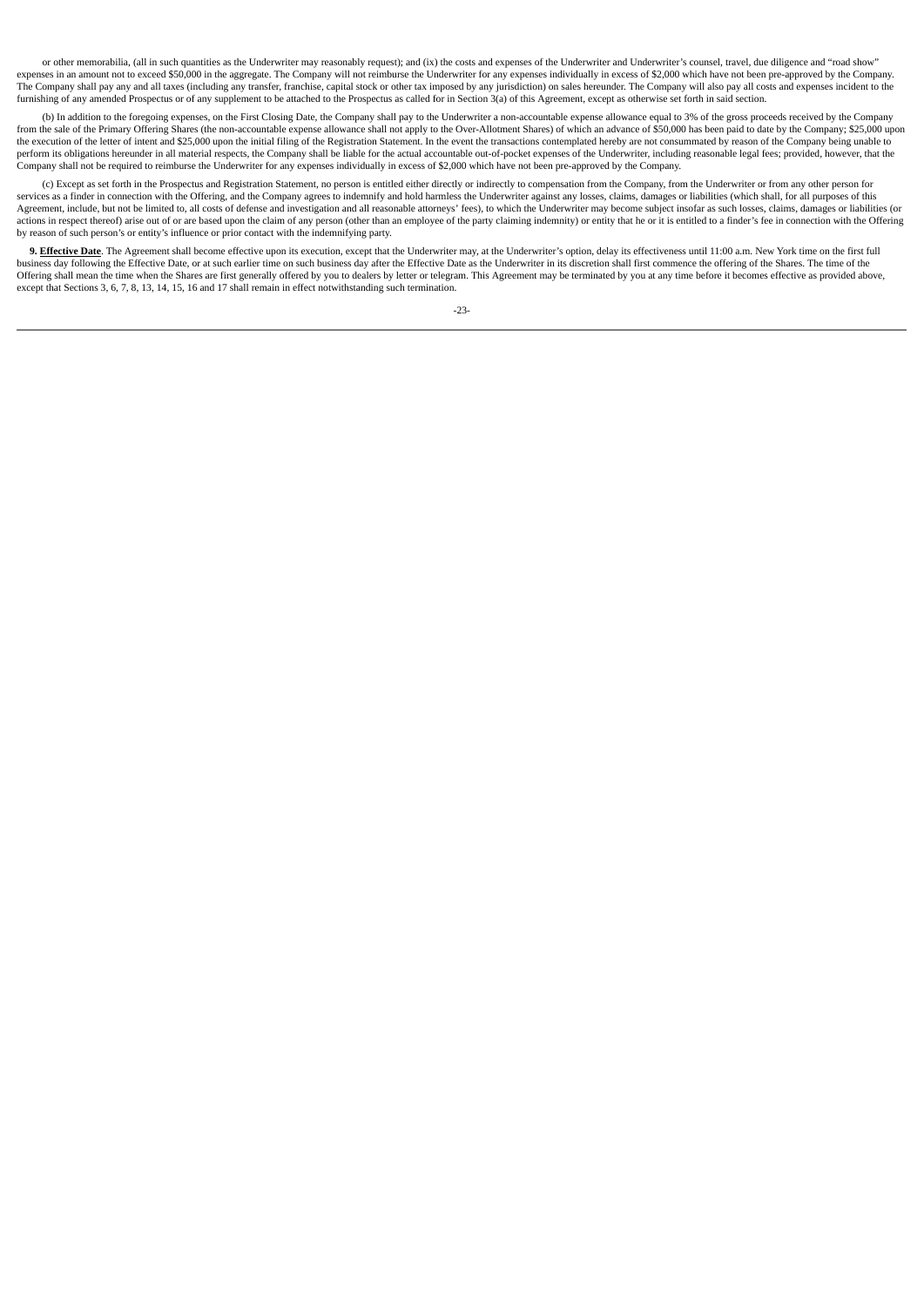or other memorabilia, (all in such quantities as the Underwriter may reasonably request); and (ix) the costs and expenses of the Underwriter and Underwriter's counsel, travel, due diligence and "road show" expenses in an amount not to exceed \$50,000 in the aggregate. The Company will not reimburse the Underwriter for any expenses individually in excess of \$2,000 which have not been pre-approved by the Company. The Company shall pay any and all taxes (including any transfer, franchise, capital stock or other tax imposed by any jurisdiction) on sales hereunder. The Company will also pay all costs and expenses incident to the furnishing of any amended Prospectus or of any supplement to be attached to the Prospectus as called for in Section 3(a) of this Agreement, except as otherwise set forth in said section.

(b) In addition to the foregoing expenses, on the First Closing Date, the Company shall pay to the Underwriter a non-accountable expense allowance equal to 3% of the gross proceeds received by the Company from the sale of the Primary Offering Shares (the non-accountable expense allowance shall not apply to the Over-Allotment Shares) of which an advance of \$50,000 has been paid to date by the Company; \$25,000 upon the execution of the letter of intent and \$25,000 upon the initial filing of the Registration Statement. In the event the transactions contemplated hereby are not consummated by reason of the Company being unable to perform its obligations hereunder in all material respects, the Company shall be liable for the actual accountable out-of-pocket expenses of the Underwriter, including reasonable legal fees; provided, however, that the Company shall not be required to reimburse the Underwriter for any expenses individually in excess of \$2,000 which have not been pre-approved by the Company.

(c) Except as set forth in the Prospectus and Registration Statement, no person is entitled either directly or indirectly to compensation from the Company, from the Underwriter or from any other person for services as a finder in connection with the Offering, and the Company agrees to indemnify and hold harmless the Underwriter against any losses, claims, damages or liabilities (which shall, for all purposes of this Agreement, include, but not be limited to, all costs of defense and investigation and all reasonable attorneys' fees), to which the Underwriter may become subject insofar as such losses, claims, damages or liabilities (or actions in respect thereof) arise out of or are based upon the claim of any person (other than an employee of the party claiming indemnity) or entity that he or it is entitled to a finder's fee in connection with the Offer by reason of such person's or entity's influence or prior contact with the indemnifying party.

9. Effective Date. The Agreement shall become effective upon its execution, except that the Underwriter may, at the Underwriter's option, delay its effectiveness until 11:00 a.m. New York time on the first full business day following the Effective Date, or at such earlier time on such business day after the Effective Date as the Underwriter in its discretion shall first commence the offering of the Shares. The time of the Offering shall mean the time when the Shares are first generally offered by you to dealers by letter or telegram. This Agreement may be terminated by you at any time before it becomes effective as provided above, except that Sections 3, 6, 7, 8, 13, 14, 15, 16 and 17 shall remain in effect notwithstanding such termination.

-23-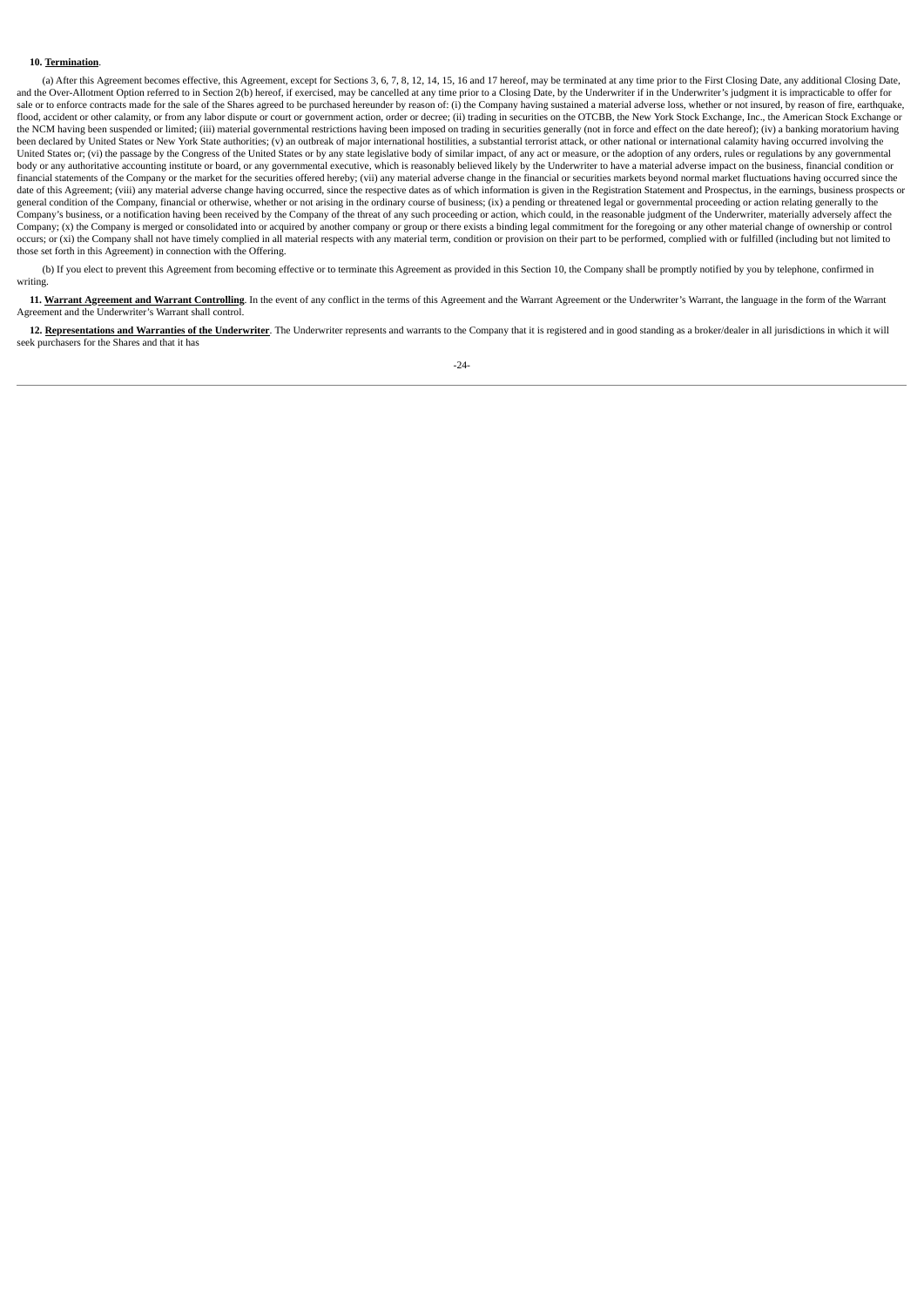#### **10. Termination**.

(a) After this Agreement becomes effective, this Agreement, except for Sections 3, 6, 7, 8, 12, 14, 15, 16 and 17 hereof, may be terminated at any time prior to the First Closing Date, any additional Closing Date, and the Over-Allotment Option referred to in Section 2(b) hereof, if exercised, may be cancelled at any time prior to a Closing Date, by the Underwriter if in the Underwriter's judgment it is impracticable to offer for sale or to enforce contracts made for the sale of the Shares agreed to be purchased hereunder by reason of: (i) the Company having sustained a material adverse loss, whether or not insured, by reason of fire, earthquake, flood, accident or other calamity, or from any labor dispute or court or government action, order or decree; (ii) trading in securities on the OTCBB, the New York Stock Exchange, Inc., the American Stock Exchange or the NCM having been suspended or limited; (iii) material governmental restrictions having been imposed on trading in securities generally (not in force and effect on the date hereof); (iv) a banking moratorium having been declared by United States or New York State authorities; (v) an outbreak of major international hostilities, a substantial terrorist attack, or other national or international calamity having occurred involving the United States or; (vi) the passage by the Congress of the United States or by any state legislative body of similar impact, of any act or measure, or the adoption of any orders, rules or regulations by any governmental body or any authoritative accounting institute or board, or any governmental executive, which is reasonably believed likely by the Underwriter to have a material adverse impact on the business, financial condition or financial statements of the Company or the market for the securities offered hereby; (vii) any material adverse change in the financial or securities markets beyond normal market fluctuations having occurred since the date of this Agreement; (viii) any material adverse change having occurred, since the respective dates as of which information is given in the Registration Statement and Prospectus, in the earnings, business prospects or general condition of the Company, financial or otherwise, whether or not arising in the ordinary course of business; (ix) a pending or threatened legal or governmental proceeding or action relating generally to the Company's business, or a notification having been received by the Company of the threat of any such proceeding or action, which could, in the reasonable judgment of the Underwriter, materially adversely affect the Company; (x) the Company is merged or consolidated into or acquired by another company or group or there exists a binding legal commitment for the foregoing or any other material change of ownership or control occurs; or (xi) the Company shall not have timely complied in all material respects with any material term, condition or provision on their part to be performed, complied with or fulfilled (including but not limited to those set forth in this Agreement) in connection with the Offering.

(b) If you elect to prevent this Agreement from becoming effective or to terminate this Agreement as provided in this Section 10, the Company shall be promptly notified by you by telephone, confirmed in writing.

11. Warrant Agreement and Warrant Controlling. In the event of any conflict in the terms of this Agreement and the Warrant Agreement or the Underwriter's Warrant, the language in the form of the Warrant Agreement and the Underwriter's Warrant shall control.

12. Representations and Warranties of the Underwriter. The Underwriter represents and warrants to the Company that it is registered and in good standing as a broker/dealer in all jurisdictions in which it will seek purchasers for the Shares and that it has

-24-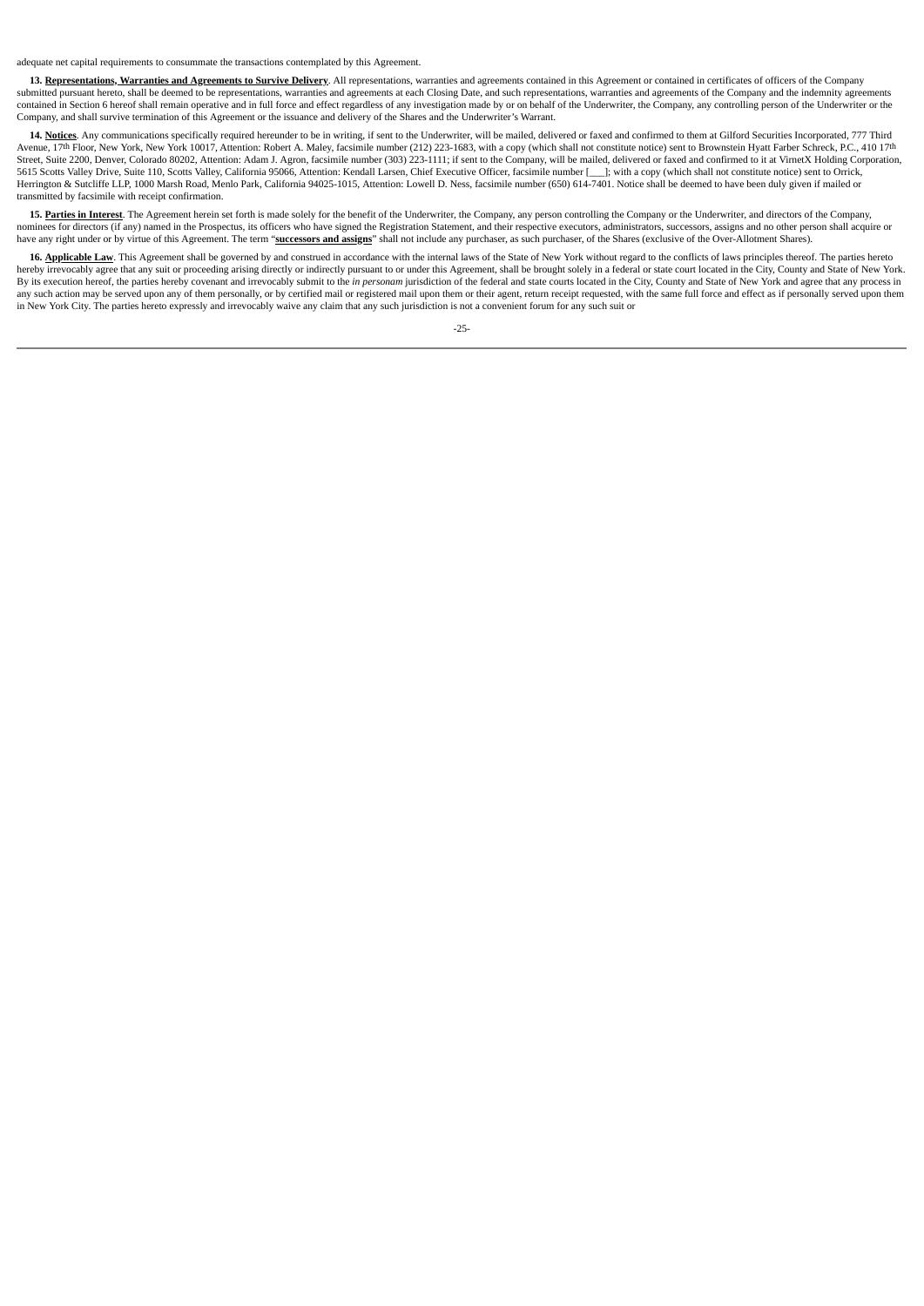adequate net capital requirements to consummate the transactions contemplated by this Agreement.

13. Representations, Warranties and Agreements to Survive Delivery. All representations, warranties and agreements contained in this Agreement or contained in certificates of officers of the Company submitted pursuant hereto, shall be deemed to be representations, warranties and agreements at each Closing Date, and such representations, warranties and agreements of the Company and the indemnity agreements contained in Section 6 hereof shall remain operative and in full force and effect regardless of any investigation made by or on behalf of the Underwriter, the Company, any controlling person of the Underwriter or the Company, and shall survive termination of this Agreement or the issuance and delivery of the Shares and the Underwriter's Warrant.

14. Notices. Any communications specifically required hereunder to be in writing, if sent to the Underwriter, will be mailed, delivered or faxed and confirmed to them at Gilford Securities Incorporated, 777 Third Avenue, 17th Floor, New York, New York 10017, Attention: Robert A. Maley, facsimile number (212) 223-1683, with a copy (which shall not constitute notice) sent to Brownstein Hyatt Farber Schreck, P.C., 410 17th Street, Suite 2200, Denver, Colorado 80202, Attention: Adam J. Agron, facsimile number (303) 223-1111; if sent to the Company, will be mailed, delivered or faxed and confirmed to it at VirnetX Holding Corporation, 5615 Scotts Valley Drive, Suite 110, Scotts Valley, California 95066, Attention: Kendall Larsen, Chief Executive Officer, facsimile number [\_\_\_]; with a copy (which shall not constitute notice) sent to Orrick,<br>Herrington & transmitted by facsimile with receipt confirmation.

15. Parties in Interest. The Agreement herein set forth is made solely for the benefit of the Underwriter, the Company, any person controlling the Company or the Underwriter, and directors of the Company, nominees for directors (if any) named in the Prospectus, its officers who have signed the Registration Statement, and their respective executors, administrators, successors, assigns and no other person shall acquire or have any right under or by virtue of this Agreement. The term "**successors and assigns**" shall not include any purchaser, as such purchaser, of the Shares (exclusive of the Over-Allotment Shares).

16. Applicable Law. This Agreement shall be governed by and construed in accordance with the internal laws of the State of New York without regard to the conflicts of laws principles thereof. The parties hereto hereby irrevocably agree that any suit or proceeding arising directly or indirectly pursuant to or under this Agreement, shall be brought solely in a federal or state court located in the City, County and State of New York By its execution hereof, the parties hereby covenant and irrevocably submit to the in personam jurisdiction of the federal and state courts located in the City, County and State of New York and agree that any process in any such action may be served upon any of them personally, or by certified mail or registered mail upon them or their agent, return receipt requested, with the same full force and effect as if personally served upon them in New York City. The parties hereto expressly and irrevocably waive any claim that any such jurisdiction is not a convenient forum for any such suit or

-25-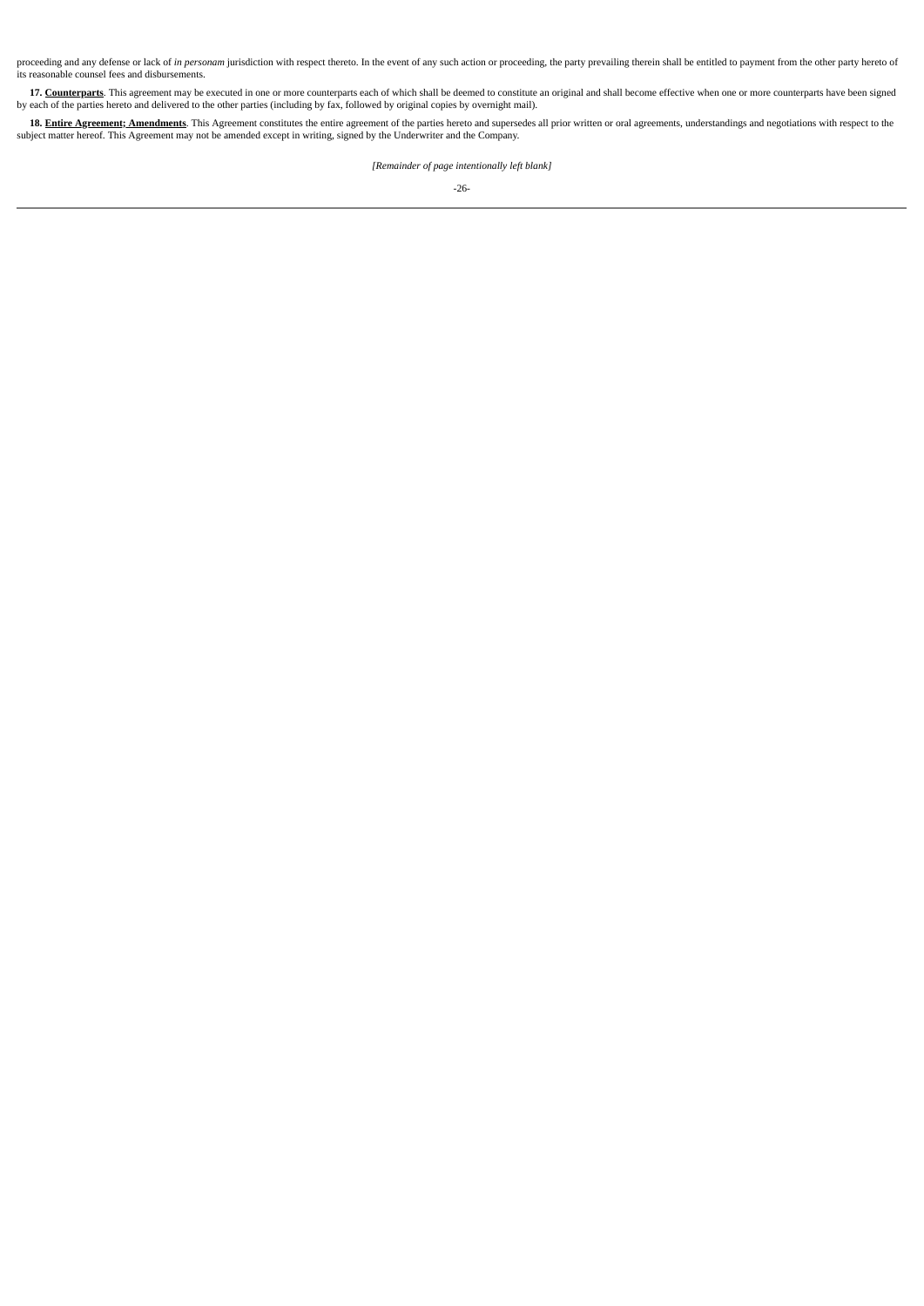proceeding and any defense or lack of *in personam* jurisdiction with respect thereto. In the event of any such action or proceeding, the party prevailing therein shall be entitled to payment from the other party hereto of

17. Counterparts. This agreement may be executed in one or more counterparts each of which shall be deemed to constitute an original and shall become effective when one or more counterparts have been signed<br>by each of the

18. Entire Agreement; Amendments. This Agreement constitutes the entire agreement of the parties hereto and supersedes all prior written or oral agreements, understandings and negotiations with respect to the subject matte

*[Remainder of page intentionally left blank]*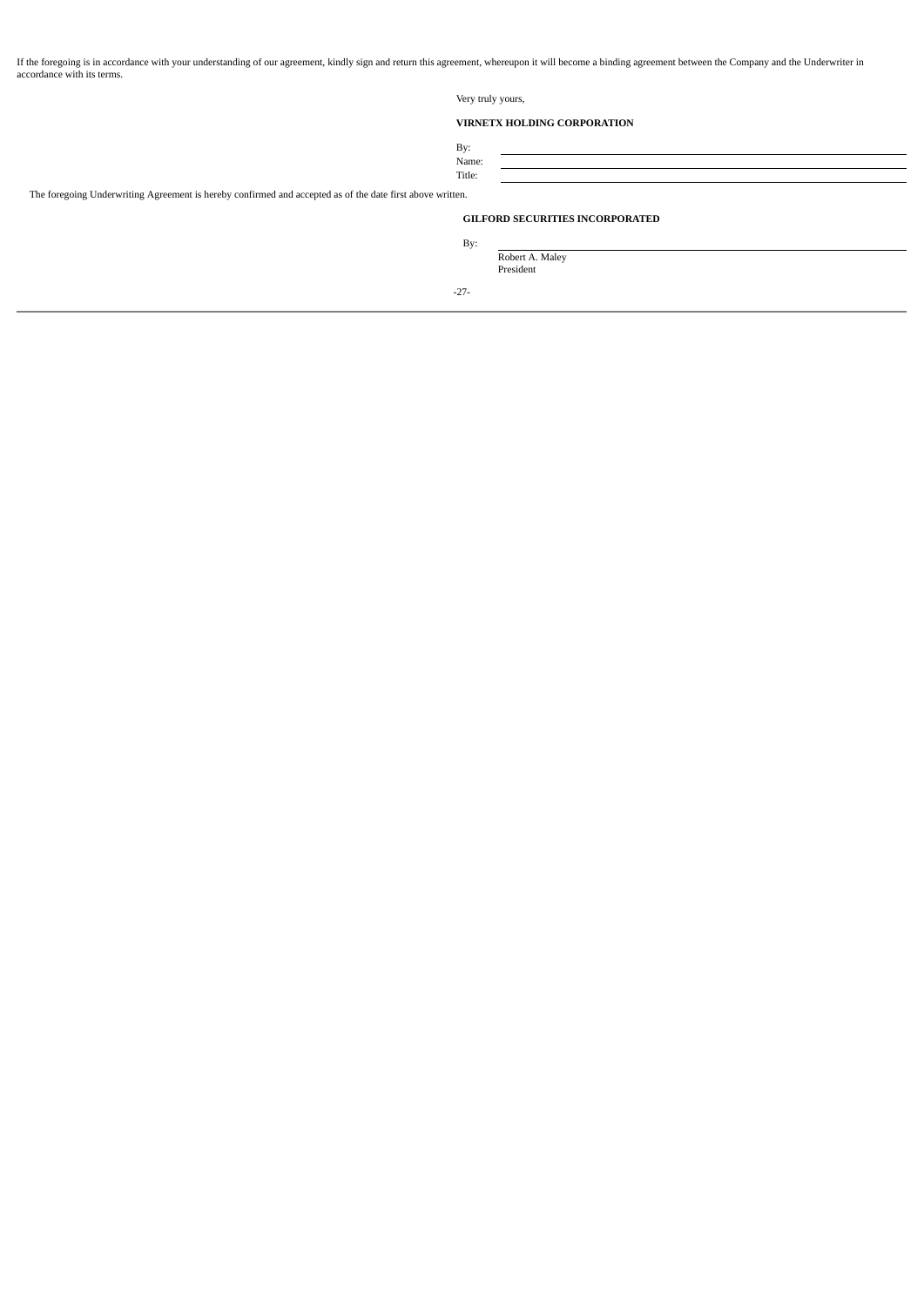If the foregoing is in accordance with your understanding of our agreement, kindly sign and return this agreement, whereupon it will become a binding agreement between the Company and the Underwriter in<br>accordance with its

# Very truly yours,

# **VIRNETX HOLDING CORPORATION**

By: Name: Title:

The foregoing Underwriting Agreement is hereby confirmed and accepted as of the date first above written.

# **GILFORD SECURITIES INCORPORATED**

By: Robert A. Maley

President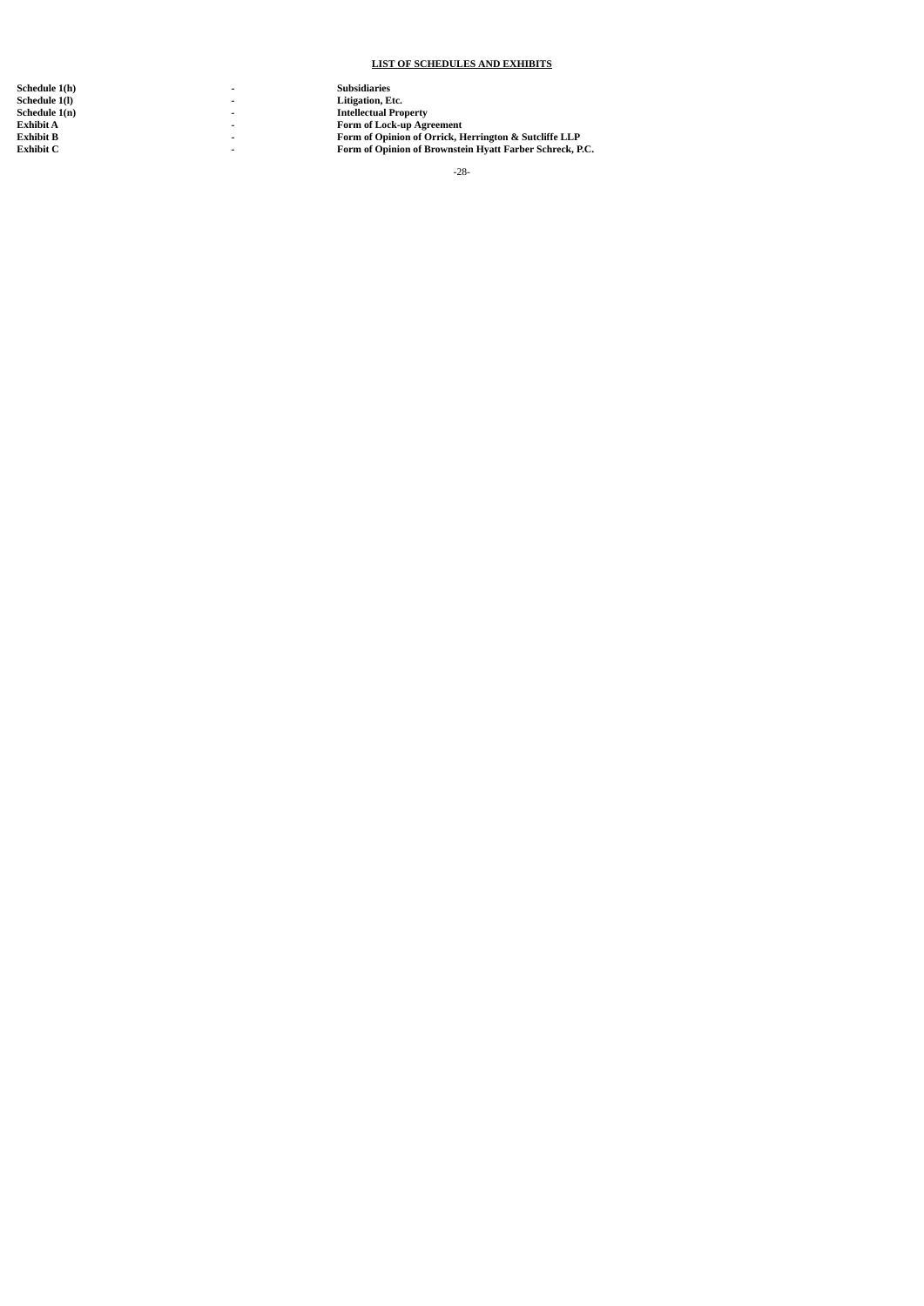LIST OF SCHEDULES AND EXHIBITS

| Schedule 1(h)    |  |
|------------------|--|
| Schedule 1(l)    |  |
| Schedule 1(n)    |  |
| <b>Exhibit A</b> |  |
| <b>Exhibit B</b> |  |
| <b>Exhibit C</b> |  |

**S u b s i d ia r i e s L i t i g a t i o n, E tc. Schedule 1(n) - Intellectual Pro p e r t y F o r m o f L o c k -u p A g r e e m en t F o r m o f O p in io n o f O rr i c k, H e r r in g t o n & S u t c li ff e L L P F o r m o f O p in io n o f B r o w n s t e i n H y a t t F a r b e r S c h r e c k, P.C.**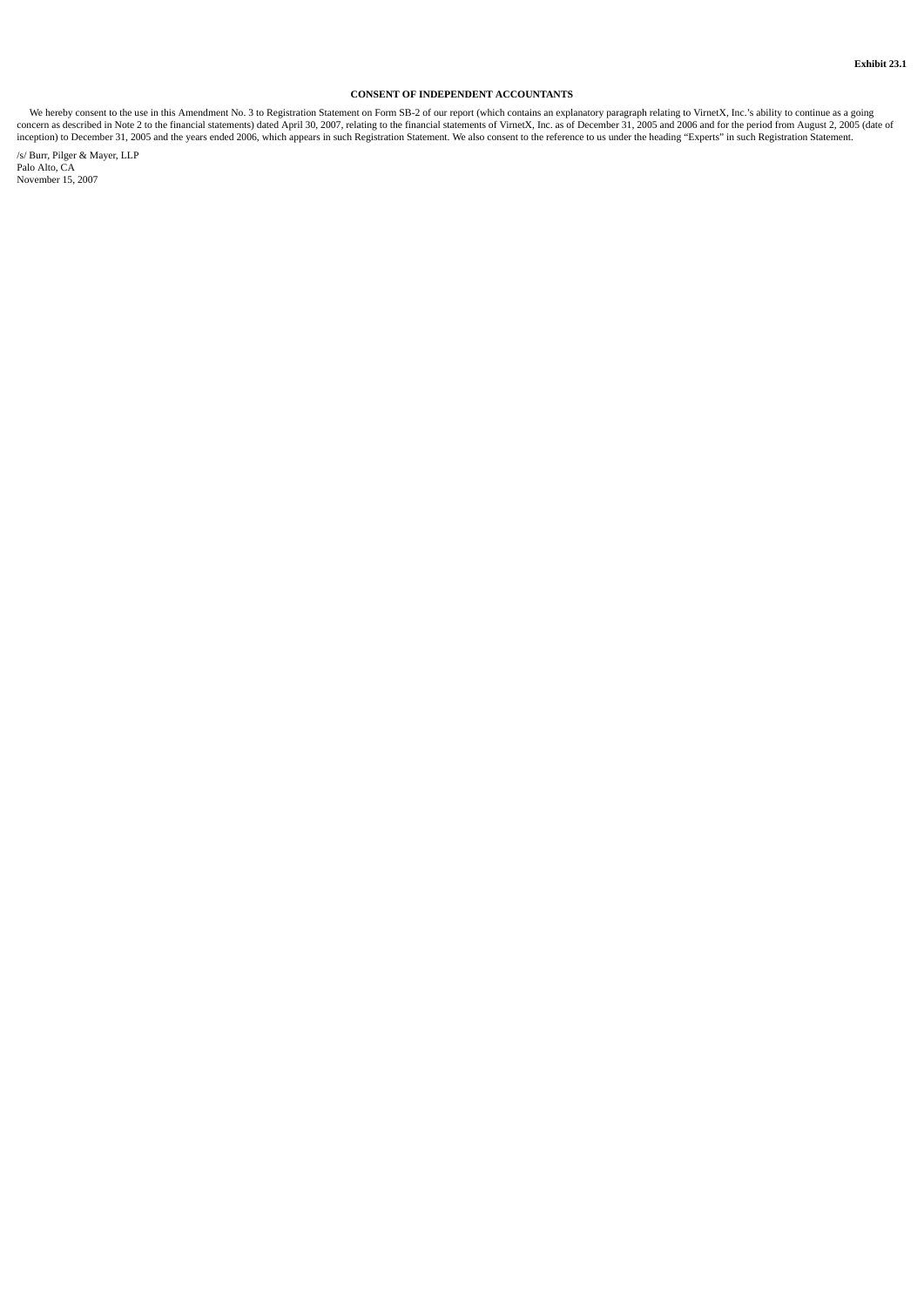#### **CONSENT OF INDEPENDENT ACCOUNTANTS**

We hereby consent to the use in this Amendment No. 3 to Registration Statement on Form SB-2 of our report (which contains an explanatory paragraph relating to VirnetX, Inc.'s ability to continue as a going concern as descr

/s/ Burr, Pilger & Mayer, LLP

Palo Alto, CA November 15, 2007